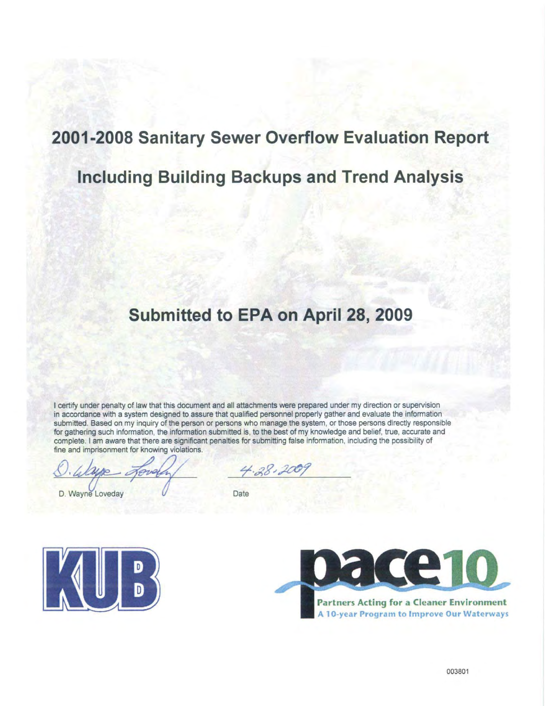# 2001-2008 Sanitary Sewer Overflow Evaluation Report

# **Including Building Backups and Trend Analysis**

# Submitted to EPA on April 28, 2009

I certify under penalty of law that this document and all attachments were prepared under my direction or supervision in accordance with a system designed to assure that qualified personnel properly gather and evaluate the information submitted. Based on my inquiry of the person or persons who manage the system, or those persons directly responsible for gathering such information, the information submitted is, to the best of my knowledge and belief, true, accurate and complete. I am aware that there are significant penalties for submitting false information, including the possibility of fine and imprisonment for knowing violations.

D. Wayne Loveday

 $4.38.200$ 

Date





**Partners Acting for a Cleaner Environment** A 10-year Program to Improve Our Waterways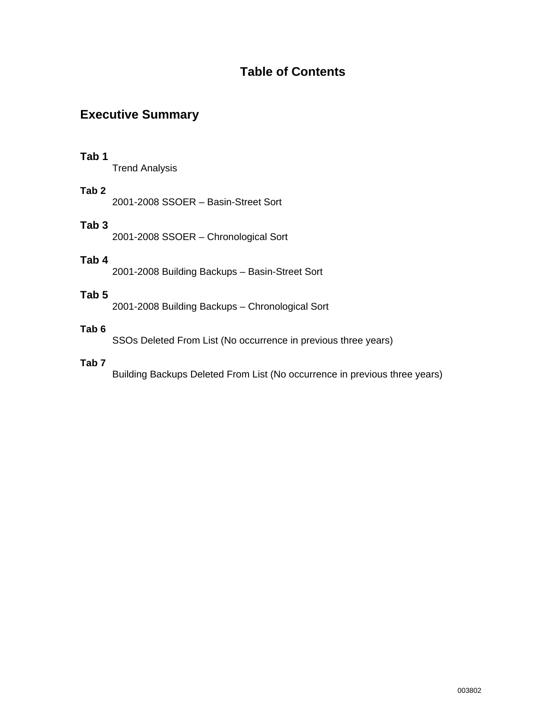# **Table of Contents**

# **Executive Summary**

# **Tab 1**

Trend Analysis

# **Tab 2**

2001-2008 SSOER – Basin-Street Sort

# **Tab 3**

2001-2008 SSOER – Chronological Sort

# **Tab 4**

2001-2008 Building Backups – Basin-Street Sort

# **Tab 5**

2001-2008 Building Backups – Chronological Sort

# **Tab 6**

SSOs Deleted From List (No occurrence in previous three years)

## **Tab 7**

Building Backups Deleted From List (No occurrence in previous three years)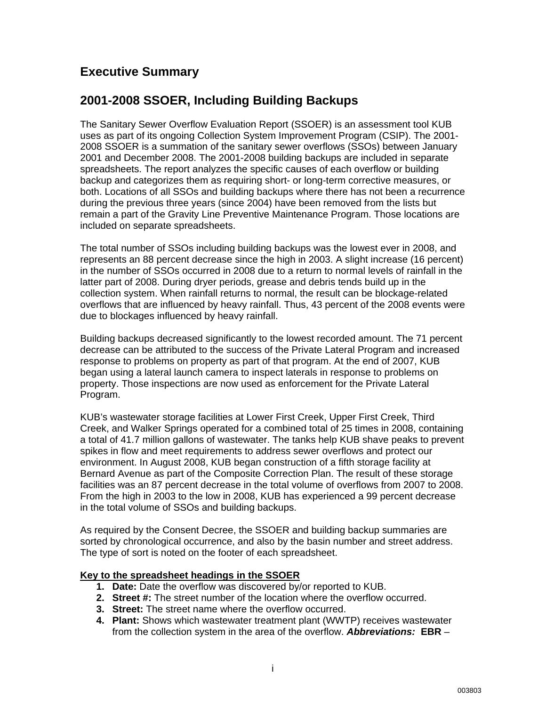# **Executive Summary**

# **2001-2008 SSOER, Including Building Backups**

The Sanitary Sewer Overflow Evaluation Report (SSOER) is an assessment tool KUB uses as part of its ongoing Collection System Improvement Program (CSIP). The 2001- 2008 SSOER is a summation of the sanitary sewer overflows (SSOs) between January 2001 and December 2008. The 2001-2008 building backups are included in separate spreadsheets. The report analyzes the specific causes of each overflow or building backup and categorizes them as requiring short- or long-term corrective measures, or both. Locations of all SSOs and building backups where there has not been a recurrence during the previous three years (since 2004) have been removed from the lists but remain a part of the Gravity Line Preventive Maintenance Program. Those locations are included on separate spreadsheets.

The total number of SSOs including building backups was the lowest ever in 2008, and represents an 88 percent decrease since the high in 2003. A slight increase (16 percent) in the number of SSOs occurred in 2008 due to a return to normal levels of rainfall in the latter part of 2008. During dryer periods, grease and debris tends build up in the collection system. When rainfall returns to normal, the result can be blockage-related overflows that are influenced by heavy rainfall. Thus, 43 percent of the 2008 events were due to blockages influenced by heavy rainfall.

Building backups decreased significantly to the lowest recorded amount. The 71 percent decrease can be attributed to the success of the Private Lateral Program and increased response to problems on property as part of that program. At the end of 2007, KUB began using a lateral launch camera to inspect laterals in response to problems on property. Those inspections are now used as enforcement for the Private Lateral Program.

KUB's wastewater storage facilities at Lower First Creek, Upper First Creek, Third Creek, and Walker Springs operated for a combined total of 25 times in 2008, containing a total of 41.7 million gallons of wastewater. The tanks help KUB shave peaks to prevent spikes in flow and meet requirements to address sewer overflows and protect our environment. In August 2008, KUB began construction of a fifth storage facility at Bernard Avenue as part of the Composite Correction Plan. The result of these storage facilities was an 87 percent decrease in the total volume of overflows from 2007 to 2008. From the high in 2003 to the low in 2008, KUB has experienced a 99 percent decrease in the total volume of SSOs and building backups.

As required by the Consent Decree, the SSOER and building backup summaries are sorted by chronological occurrence, and also by the basin number and street address. The type of sort is noted on the footer of each spreadsheet.

## **Key to the spreadsheet headings in the SSOER**

- **1. Date:** Date the overflow was discovered by/or reported to KUB.
- **2. Street #:** The street number of the location where the overflow occurred.
- **3. Street:** The street name where the overflow occurred.
- **4. Plant:** Shows which wastewater treatment plant (WWTP) receives wastewater from the collection system in the area of the overflow. *Abbreviations:* **EBR** –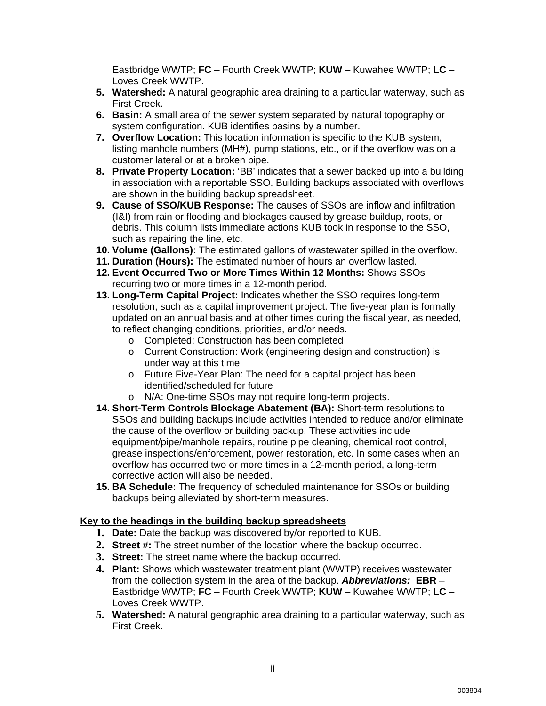Eastbridge WWTP; **FC** – Fourth Creek WWTP; **KUW** – Kuwahee WWTP; **LC** – Loves Creek WWTP.

- **5. Watershed:** A natural geographic area draining to a particular waterway, such as First Creek.
- **6. Basin:** A small area of the sewer system separated by natural topography or system configuration. KUB identifies basins by a number.
- **7. Overflow Location:** This location information is specific to the KUB system, listing manhole numbers (MH#), pump stations, etc., or if the overflow was on a customer lateral or at a broken pipe.
- **8. Private Property Location:** 'BB' indicates that a sewer backed up into a building in association with a reportable SSO. Building backups associated with overflows are shown in the building backup spreadsheet.
- **9. Cause of SSO/KUB Response:** The causes of SSOs are inflow and infiltration (I&I) from rain or flooding and blockages caused by grease buildup, roots, or debris. This column lists immediate actions KUB took in response to the SSO, such as repairing the line, etc.
- **10. Volume (Gallons):** The estimated gallons of wastewater spilled in the overflow.
- **11. Duration (Hours):** The estimated number of hours an overflow lasted.
- **12. Event Occurred Two or More Times Within 12 Months:** Shows SSOs recurring two or more times in a 12-month period.
- **13. Long-Term Capital Project:** Indicates whether the SSO requires long-term resolution, such as a capital improvement project. The five-year plan is formally updated on an annual basis and at other times during the fiscal year, as needed, to reflect changing conditions, priorities, and/or needs.
	- o Completed: Construction has been completed
	- o Current Construction: Work (engineering design and construction) is under way at this time
	- o Future Five-Year Plan: The need for a capital project has been identified/scheduled for future
	- o N/A: One-time SSOs may not require long-term projects.
- **14. Short-Term Controls Blockage Abatement (BA):** Short-term resolutions to SSOs and building backups include activities intended to reduce and/or eliminate the cause of the overflow or building backup. These activities include equipment/pipe/manhole repairs, routine pipe cleaning, chemical root control, grease inspections/enforcement, power restoration, etc. In some cases when an overflow has occurred two or more times in a 12-month period, a long-term corrective action will also be needed.
- **15. BA Schedule:** The frequency of scheduled maintenance for SSOs or building backups being alleviated by short-term measures.

### **Key to the headings in the building backup spreadsheets**

- **1. Date:** Date the backup was discovered by/or reported to KUB.
- **2. Street #:** The street number of the location where the backup occurred.
- **3. Street:** The street name where the backup occurred.
- **4. Plant:** Shows which wastewater treatment plant (WWTP) receives wastewater from the collection system in the area of the backup. *Abbreviations:* **EBR** – Eastbridge WWTP; **FC** – Fourth Creek WWTP; **KUW** – Kuwahee WWTP; **LC** – Loves Creek WWTP.
- **5. Watershed:** A natural geographic area draining to a particular waterway, such as First Creek.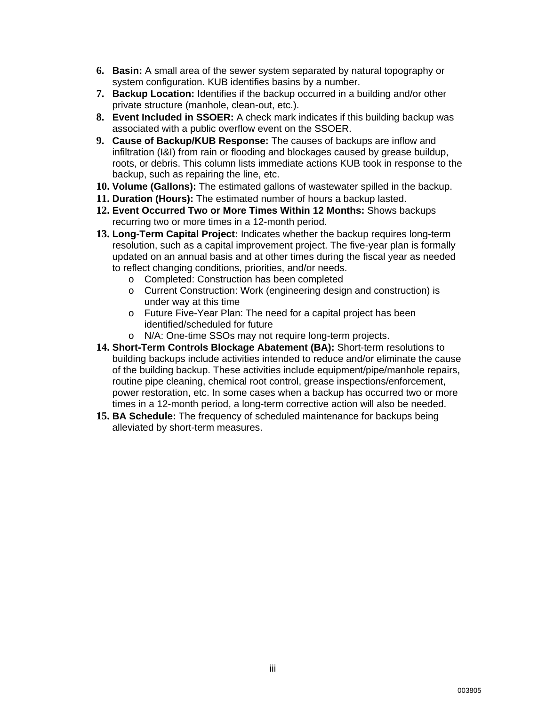- **6. Basin:** A small area of the sewer system separated by natural topography or system configuration. KUB identifies basins by a number.
- **7. Backup Location:** Identifies if the backup occurred in a building and/or other private structure (manhole, clean-out, etc.).
- **8. Event Included in SSOER:** A check mark indicates if this building backup was associated with a public overflow event on the SSOER.
- **9. Cause of Backup/KUB Response:** The causes of backups are inflow and infiltration (I&I) from rain or flooding and blockages caused by grease buildup, roots, or debris. This column lists immediate actions KUB took in response to the backup, such as repairing the line, etc.
- **10. Volume (Gallons):** The estimated gallons of wastewater spilled in the backup.
- **11. Duration (Hours):** The estimated number of hours a backup lasted.
- **12. Event Occurred Two or More Times Within 12 Months:** Shows backups recurring two or more times in a 12-month period.
- **13. Long-Term Capital Project:** Indicates whether the backup requires long-term resolution, such as a capital improvement project. The five-year plan is formally updated on an annual basis and at other times during the fiscal year as needed to reflect changing conditions, priorities, and/or needs.
	- o Completed: Construction has been completed
	- o Current Construction: Work (engineering design and construction) is under way at this time
	- o Future Five-Year Plan: The need for a capital project has been identified/scheduled for future
	- o N/A: One-time SSOs may not require long-term projects.
- **14. Short-Term Controls Blockage Abatement (BA):** Short-term resolutions to building backups include activities intended to reduce and/or eliminate the cause of the building backup. These activities include equipment/pipe/manhole repairs, routine pipe cleaning, chemical root control, grease inspections/enforcement, power restoration, etc. In some cases when a backup has occurred two or more times in a 12-month period, a long-term corrective action will also be needed.
- **15. BA Schedule:** The frequency of scheduled maintenance for backups being alleviated by short-term measures.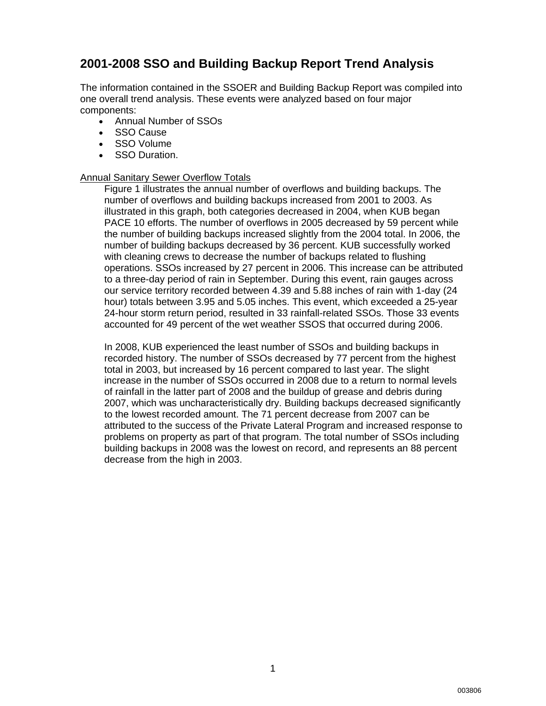# **2001-2008 SSO and Building Backup Report Trend Analysis**

The information contained in the SSOER and Building Backup Report was compiled into one overall trend analysis. These events were analyzed based on four major components:

- Annual Number of SSOs
- SSO Cause
- SSO Volume
- SSO Duration.

### Annual Sanitary Sewer Overflow Totals

Figure 1 illustrates the annual number of overflows and building backups. The number of overflows and building backups increased from 2001 to 2003. As illustrated in this graph, both categories decreased in 2004, when KUB began PACE 10 efforts. The number of overflows in 2005 decreased by 59 percent while the number of building backups increased slightly from the 2004 total. In 2006, the number of building backups decreased by 36 percent. KUB successfully worked with cleaning crews to decrease the number of backups related to flushing operations. SSOs increased by 27 percent in 2006. This increase can be attributed to a three-day period of rain in September. During this event, rain gauges across our service territory recorded between 4.39 and 5.88 inches of rain with 1-day (24 hour) totals between 3.95 and 5.05 inches. This event, which exceeded a 25-year 24-hour storm return period, resulted in 33 rainfall-related SSOs. Those 33 events accounted for 49 percent of the wet weather SSOS that occurred during 2006.

In 2008, KUB experienced the least number of SSOs and building backups in recorded history. The number of SSOs decreased by 77 percent from the highest total in 2003, but increased by 16 percent compared to last year. The slight increase in the number of SSOs occurred in 2008 due to a return to normal levels of rainfall in the latter part of 2008 and the buildup of grease and debris during 2007, which was uncharacteristically dry. Building backups decreased significantly to the lowest recorded amount. The 71 percent decrease from 2007 can be attributed to the success of the Private Lateral Program and increased response to problems on property as part of that program. The total number of SSOs including building backups in 2008 was the lowest on record, and represents an 88 percent decrease from the high in 2003.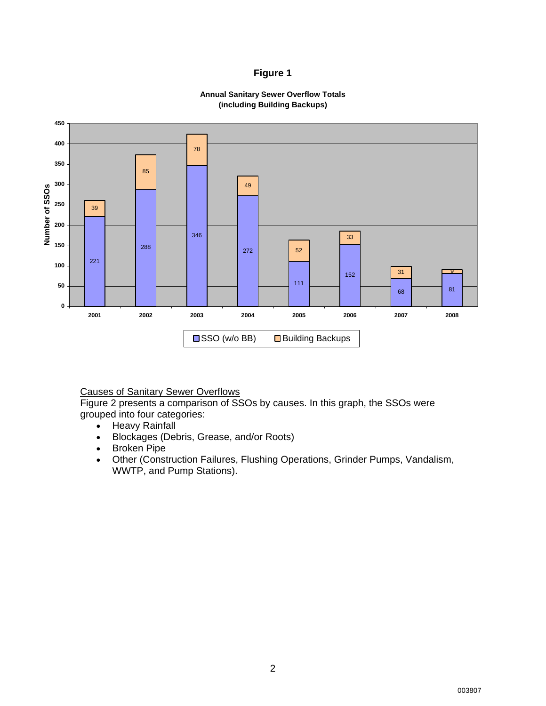### **Figure 1**





Causes of Sanitary Sewer Overflows

Figure 2 presents a comparison of SSOs by causes. In this graph, the SSOs were grouped into four categories:

- Heavy Rainfall
- Blockages (Debris, Grease, and/or Roots)
- Broken Pipe
- Other (Construction Failures, Flushing Operations, Grinder Pumps, Vandalism, WWTP, and Pump Stations).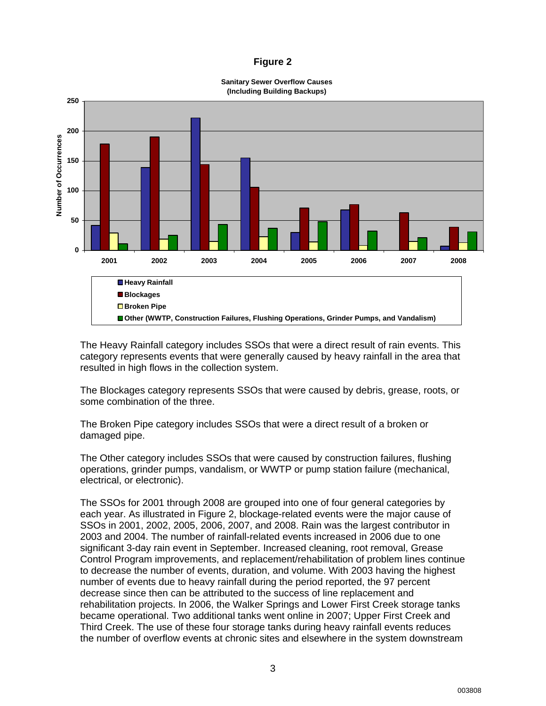### **Figure 2**



**Sanitary Sewer Overflow Causes**

The Heavy Rainfall category includes SSOs that were a direct result of rain events. This category represents events that were generally caused by heavy rainfall in the area that resulted in high flows in the collection system.

The Blockages category represents SSOs that were caused by debris, grease, roots, or some combination of the three.

The Broken Pipe category includes SSOs that were a direct result of a broken or damaged pipe.

The Other category includes SSOs that were caused by construction failures, flushing operations, grinder pumps, vandalism, or WWTP or pump station failure (mechanical, electrical, or electronic).

The SSOs for 2001 through 2008 are grouped into one of four general categories by each year. As illustrated in Figure 2, blockage-related events were the major cause of SSOs in 2001, 2002, 2005, 2006, 2007, and 2008. Rain was the largest contributor in 2003 and 2004. The number of rainfall-related events increased in 2006 due to one significant 3-day rain event in September. Increased cleaning, root removal, Grease Control Program improvements, and replacement/rehabilitation of problem lines continue to decrease the number of events, duration, and volume. With 2003 having the highest number of events due to heavy rainfall during the period reported, the 97 percent decrease since then can be attributed to the success of line replacement and rehabilitation projects. In 2006, the Walker Springs and Lower First Creek storage tanks became operational. Two additional tanks went online in 2007; Upper First Creek and Third Creek. The use of these four storage tanks during heavy rainfall events reduces the number of overflow events at chronic sites and elsewhere in the system downstream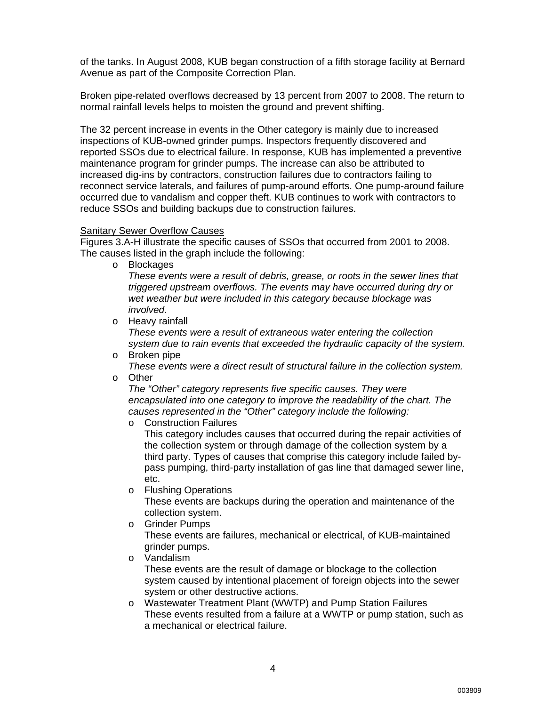of the tanks. In August 2008, KUB began construction of a fifth storage facility at Bernard Avenue as part of the Composite Correction Plan.

Broken pipe-related overflows decreased by 13 percent from 2007 to 2008. The return to normal rainfall levels helps to moisten the ground and prevent shifting.

The 32 percent increase in events in the Other category is mainly due to increased inspections of KUB-owned grinder pumps. Inspectors frequently discovered and reported SSOs due to electrical failure. In response, KUB has implemented a preventive maintenance program for grinder pumps. The increase can also be attributed to increased dig-ins by contractors, construction failures due to contractors failing to reconnect service laterals, and failures of pump-around efforts. One pump-around failure occurred due to vandalism and copper theft. KUB continues to work with contractors to reduce SSOs and building backups due to construction failures.

### Sanitary Sewer Overflow Causes

Figures 3.A-H illustrate the specific causes of SSOs that occurred from 2001 to 2008. The causes listed in the graph include the following:

o Blockages

*These events were a result of debris, grease, or roots in the sewer lines that triggered upstream overflows. The events may have occurred during dry or wet weather but were included in this category because blockage was involved.* 

- o Heavy rainfall *These events were a result of extraneous water entering the collection system due to rain events that exceeded the hydraulic capacity of the system.*
- o Broken pipe *These events were a direct result of structural failure in the collection system.*  o Other
- 

*The "Other" category represents five specific causes. They were encapsulated into one category to improve the readability of the chart. The causes represented in the "Other" category include the following:* 

o Construction Failures

This category includes causes that occurred during the repair activities of the collection system or through damage of the collection system by a third party. Types of causes that comprise this category include failed bypass pumping, third-party installation of gas line that damaged sewer line, etc.

o Flushing Operations

These events are backups during the operation and maintenance of the collection system.

o Grinder Pumps

These events are failures, mechanical or electrical, of KUB-maintained grinder pumps.

o Vandalism

These events are the result of damage or blockage to the collection system caused by intentional placement of foreign objects into the sewer system or other destructive actions.

o Wastewater Treatment Plant (WWTP) and Pump Station Failures These events resulted from a failure at a WWTP or pump station, such as a mechanical or electrical failure.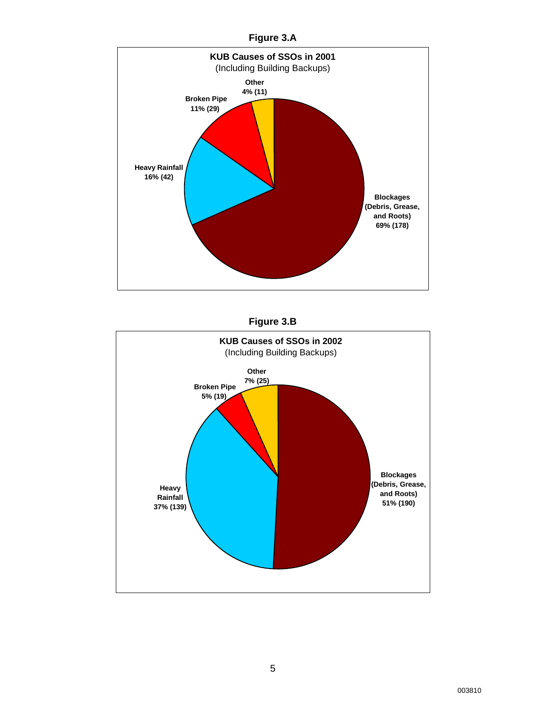





003810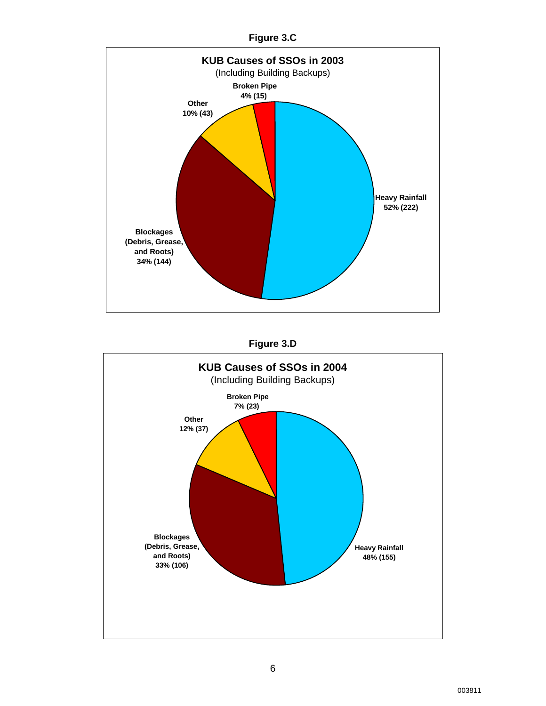



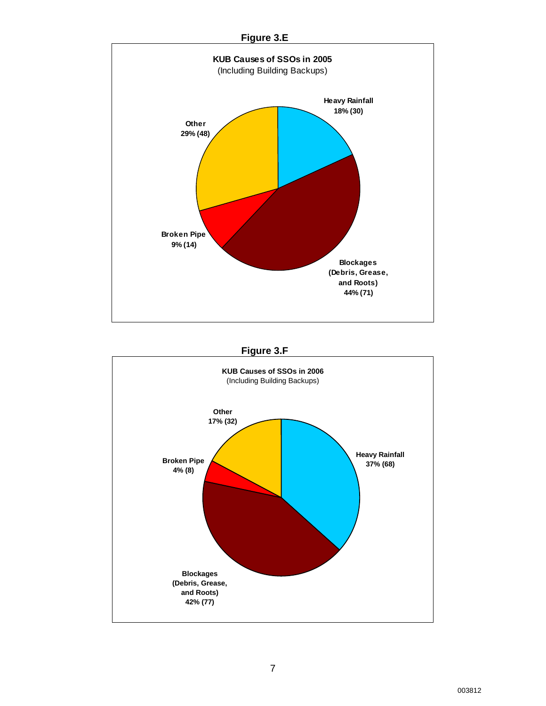

# **Figure 3.F**

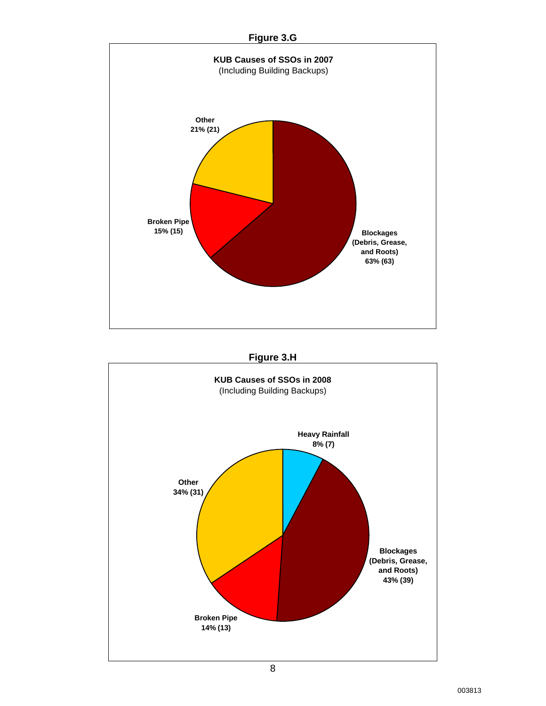![](_page_12_Figure_0.jpeg)

![](_page_12_Figure_1.jpeg)

![](_page_12_Figure_2.jpeg)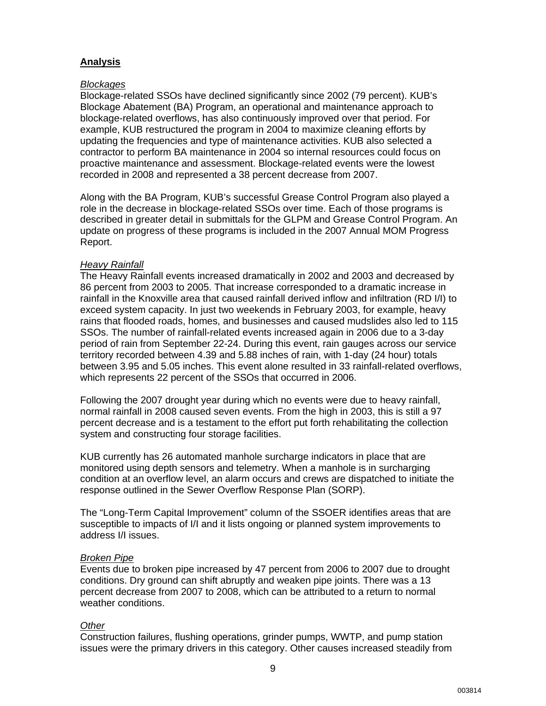## **Analysis**

### *Blockages*

Blockage-related SSOs have declined significantly since 2002 (79 percent). KUB's Blockage Abatement (BA) Program, an operational and maintenance approach to blockage-related overflows, has also continuously improved over that period. For example, KUB restructured the program in 2004 to maximize cleaning efforts by updating the frequencies and type of maintenance activities. KUB also selected a contractor to perform BA maintenance in 2004 so internal resources could focus on proactive maintenance and assessment. Blockage-related events were the lowest recorded in 2008 and represented a 38 percent decrease from 2007.

Along with the BA Program, KUB's successful Grease Control Program also played a role in the decrease in blockage-related SSOs over time. Each of those programs is described in greater detail in submittals for the GLPM and Grease Control Program. An update on progress of these programs is included in the 2007 Annual MOM Progress Report.

### *Heavy Rainfall*

The Heavy Rainfall events increased dramatically in 2002 and 2003 and decreased by 86 percent from 2003 to 2005. That increase corresponded to a dramatic increase in rainfall in the Knoxville area that caused rainfall derived inflow and infiltration (RD I/I) to exceed system capacity. In just two weekends in February 2003, for example, heavy rains that flooded roads, homes, and businesses and caused mudslides also led to 115 SSOs. The number of rainfall-related events increased again in 2006 due to a 3-day period of rain from September 22-24. During this event, rain gauges across our service territory recorded between 4.39 and 5.88 inches of rain, with 1-day (24 hour) totals between 3.95 and 5.05 inches. This event alone resulted in 33 rainfall-related overflows, which represents 22 percent of the SSOs that occurred in 2006.

Following the 2007 drought year during which no events were due to heavy rainfall, normal rainfall in 2008 caused seven events. From the high in 2003, this is still a 97 percent decrease and is a testament to the effort put forth rehabilitating the collection system and constructing four storage facilities.

KUB currently has 26 automated manhole surcharge indicators in place that are monitored using depth sensors and telemetry. When a manhole is in surcharging condition at an overflow level, an alarm occurs and crews are dispatched to initiate the response outlined in the Sewer Overflow Response Plan (SORP).

The "Long-Term Capital Improvement" column of the SSOER identifies areas that are susceptible to impacts of I/I and it lists ongoing or planned system improvements to address I/I issues.

### *Broken Pipe*

Events due to broken pipe increased by 47 percent from 2006 to 2007 due to drought conditions. Dry ground can shift abruptly and weaken pipe joints. There was a 13 percent decrease from 2007 to 2008, which can be attributed to a return to normal weather conditions.

### *Other*

Construction failures, flushing operations, grinder pumps, WWTP, and pump station issues were the primary drivers in this category. Other causes increased steadily from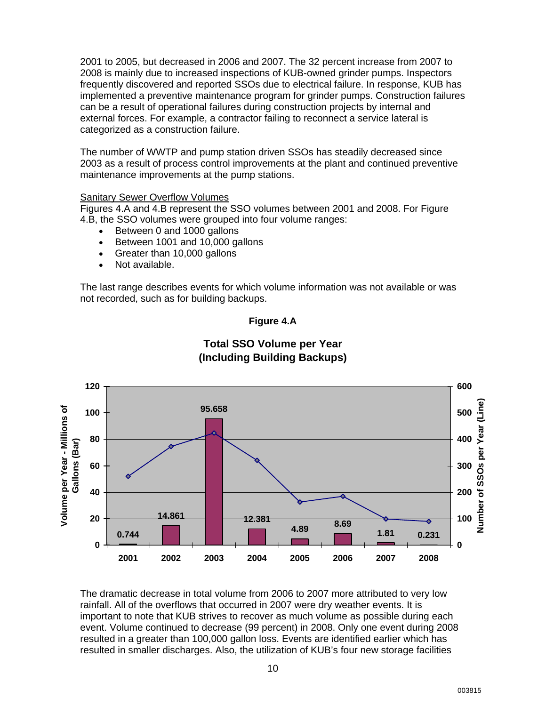2001 to 2005, but decreased in 2006 and 2007. The 32 percent increase from 2007 to 2008 is mainly due to increased inspections of KUB-owned grinder pumps. Inspectors frequently discovered and reported SSOs due to electrical failure. In response, KUB has implemented a preventive maintenance program for grinder pumps. Construction failures can be a result of operational failures during construction projects by internal and external forces. For example, a contractor failing to reconnect a service lateral is categorized as a construction failure.

The number of WWTP and pump station driven SSOs has steadily decreased since 2003 as a result of process control improvements at the plant and continued preventive maintenance improvements at the pump stations.

### Sanitary Sewer Overflow Volumes

Figures 4.A and 4.B represent the SSO volumes between 2001 and 2008. For Figure 4.B, the SSO volumes were grouped into four volume ranges:

- Between 0 and 1000 gallons
- Between 1001 and 10,000 gallons
- Greater than 10,000 gallons
- Not available.

The last range describes events for which volume information was not available or was not recorded, such as for building backups.

![](_page_14_Figure_9.jpeg)

![](_page_14_Figure_10.jpeg)

# **Total SSO Volume per Year (Including Building Backups)**

The dramatic decrease in total volume from 2006 to 2007 more attributed to very low rainfall. All of the overflows that occurred in 2007 were dry weather events. It is important to note that KUB strives to recover as much volume as possible during each event. Volume continued to decrease (99 percent) in 2008. Only one event during 2008 resulted in a greater than 100,000 gallon loss. Events are identified earlier which has resulted in smaller discharges. Also, the utilization of KUB's four new storage facilities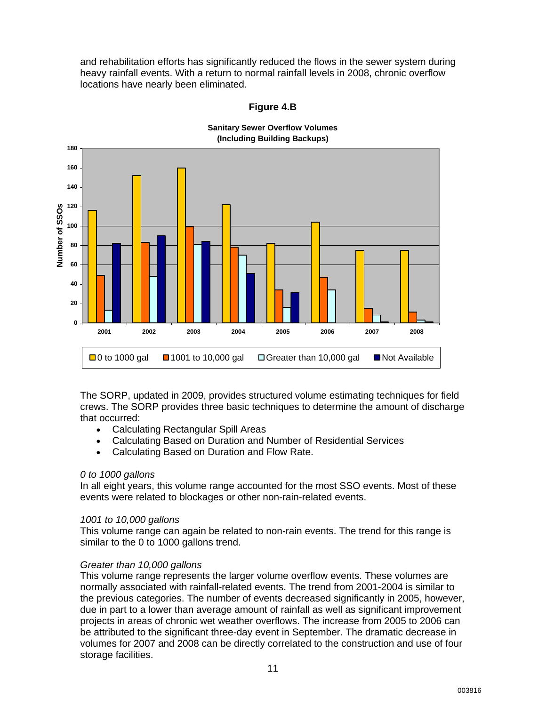and rehabilitation efforts has significantly reduced the flows in the sewer system during heavy rainfall events. With a return to normal rainfall levels in 2008, chronic overflow locations have nearly been eliminated.

![](_page_15_Figure_1.jpeg)

**Figure 4.B** 

The SORP, updated in 2009, provides structured volume estimating techniques for field crews. The SORP provides three basic techniques to determine the amount of discharge that occurred:

- Calculating Rectangular Spill Areas
- Calculating Based on Duration and Number of Residential Services
- Calculating Based on Duration and Flow Rate.

### *0 to 1000 gallons*

In all eight years, this volume range accounted for the most SSO events. Most of these events were related to blockages or other non-rain-related events.

### *1001 to 10,000 gallons*

This volume range can again be related to non-rain events. The trend for this range is similar to the 0 to 1000 gallons trend.

### *Greater than 10,000 gallons*

This volume range represents the larger volume overflow events. These volumes are normally associated with rainfall-related events. The trend from 2001-2004 is similar to the previous categories. The number of events decreased significantly in 2005, however, due in part to a lower than average amount of rainfall as well as significant improvement projects in areas of chronic wet weather overflows. The increase from 2005 to 2006 can be attributed to the significant three-day event in September. The dramatic decrease in volumes for 2007 and 2008 can be directly correlated to the construction and use of four storage facilities.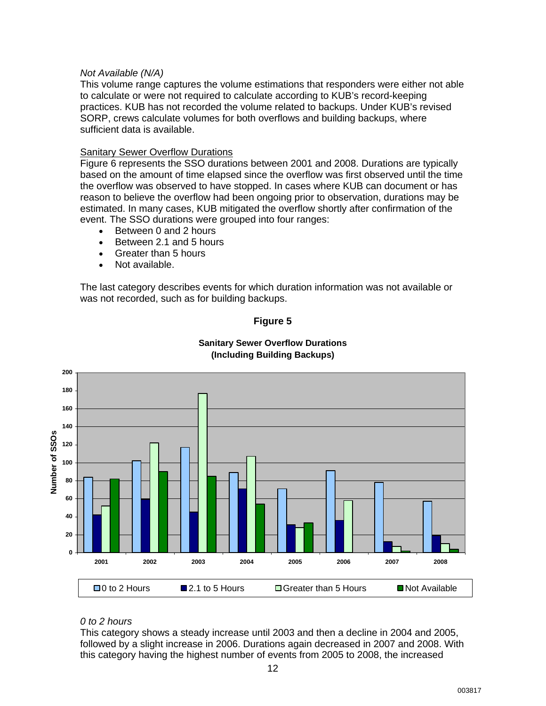### *Not Available (N/A)*

This volume range captures the volume estimations that responders were either not able to calculate or were not required to calculate according to KUB's record-keeping practices. KUB has not recorded the volume related to backups. Under KUB's revised SORP, crews calculate volumes for both overflows and building backups, where sufficient data is available.

### Sanitary Sewer Overflow Durations

Figure 6 represents the SSO durations between 2001 and 2008. Durations are typically based on the amount of time elapsed since the overflow was first observed until the time the overflow was observed to have stopped. In cases where KUB can document or has reason to believe the overflow had been ongoing prior to observation, durations may be estimated. In many cases, KUB mitigated the overflow shortly after confirmation of the event. The SSO durations were grouped into four ranges:

- Between 0 and 2 hours
- Between 2.1 and 5 hours
- Greater than 5 hours
- Not available.

The last category describes events for which duration information was not available or was not recorded, such as for building backups.

![](_page_16_Figure_9.jpeg)

![](_page_16_Figure_10.jpeg)

### **Sanitary Sewer Overflow Durations (Including Building Backups)**

### *0 to 2 hours*

This category shows a steady increase until 2003 and then a decline in 2004 and 2005, followed by a slight increase in 2006. Durations again decreased in 2007 and 2008. With this category having the highest number of events from 2005 to 2008, the increased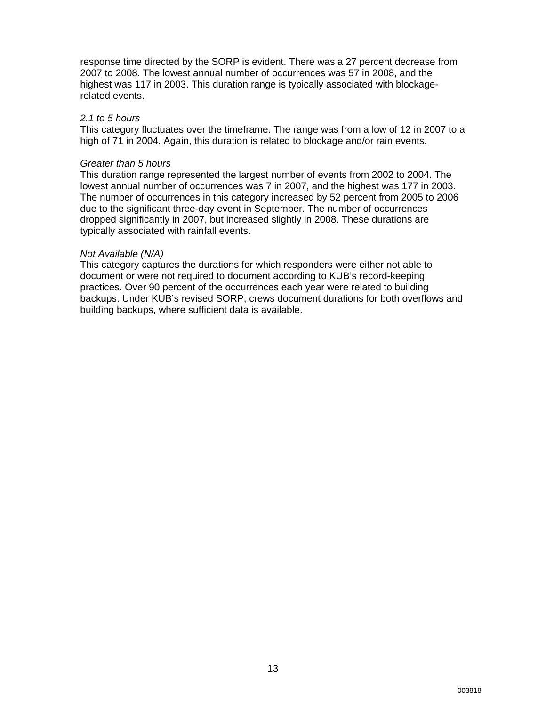response time directed by the SORP is evident. There was a 27 percent decrease from 2007 to 2008. The lowest annual number of occurrences was 57 in 2008, and the highest was 117 in 2003. This duration range is typically associated with blockagerelated events.

### *2.1 to 5 hours*

This category fluctuates over the timeframe. The range was from a low of 12 in 2007 to a high of 71 in 2004. Again, this duration is related to blockage and/or rain events.

### *Greater than 5 hours*

This duration range represented the largest number of events from 2002 to 2004. The lowest annual number of occurrences was 7 in 2007, and the highest was 177 in 2003. The number of occurrences in this category increased by 52 percent from 2005 to 2006 due to the significant three-day event in September. The number of occurrences dropped significantly in 2007, but increased slightly in 2008. These durations are typically associated with rainfall events.

### *Not Available (N/A)*

This category captures the durations for which responders were either not able to document or were not required to document according to KUB's record-keeping practices. Over 90 percent of the occurrences each year were related to building backups. Under KUB's revised SORP, crews document durations for both overflows and building backups, where sufficient data is available.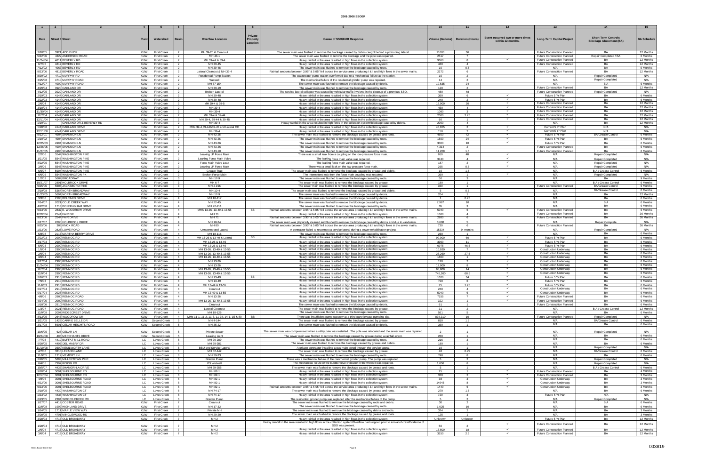|                      |                                                 | $\overline{4}$           |                                          |                                                                                 |                                                                                                                                                                                                                                           |                                     |                                  |                                                      |                                                                   |                                                              |                        |
|----------------------|-------------------------------------------------|--------------------------|------------------------------------------|---------------------------------------------------------------------------------|-------------------------------------------------------------------------------------------------------------------------------------------------------------------------------------------------------------------------------------------|-------------------------------------|----------------------------------|------------------------------------------------------|-------------------------------------------------------------------|--------------------------------------------------------------|------------------------|
|                      |                                                 |                          |                                          |                                                                                 |                                                                                                                                                                                                                                           |                                     |                                  |                                                      |                                                                   |                                                              |                        |
|                      |                                                 |                          |                                          | Private                                                                         |                                                                                                                                                                                                                                           |                                     |                                  |                                                      |                                                                   |                                                              |                        |
| Date                 | <b>Street # Street</b>                          |                          | Watershed                                | <b>Overflow Location</b><br>Property<br>Rasiı                                   | <b>Cause of SSO/KUB Response</b>                                                                                                                                                                                                          | Volume (Gallons)   Duration (Hours) |                                  | Event occurred two or more times<br>within 12 months | <b>Long-Term Capital Project</b>                                  | <b>Short-Term Controls</b><br><b>Blockage Abatement (BA)</b> | <b>BA Schedule</b>     |
|                      |                                                 |                          |                                          | Location                                                                        |                                                                                                                                                                                                                                           |                                     |                                  |                                                      |                                                                   |                                                              |                        |
|                      |                                                 |                          |                                          |                                                                                 |                                                                                                                                                                                                                                           |                                     |                                  |                                                      |                                                                   |                                                              |                        |
| 3/10/05              | 3921 ACORN DR                                   | KUW                      | <b>First Creek</b>                       | MH 39-20 & Cleanout<br>$\overline{2}$                                           | The sewer main was flushed to remove the blockage caused by debris caught behind a protruding lateral.                                                                                                                                    | 21600                               | 36                               |                                                      | Future Construction Planned                                       | BA                                                           | 12 Months              |
| 5/22/06              | 4322 ANDERSON ROAD<br>4811 BEVERLY RD           | <b>KUW</b><br><b>KUW</b> | <b>First Creek</b>                       | MH 43-1<br>$\overline{2}$<br>MH 39-44 & 39-4<br>$\overline{2}$                  | The sewer main was flushed to remove the blockage and the pipe was repaired.                                                                                                                                                              | 2517                                | $\overline{7}$<br>$\mathbf{R}$   |                                                      | Future Construction Planned<br>Future Construction Planned        | Repair Completed / BA<br>BA                                  | 6 Months<br>12 Months  |
| 11/24/04<br>6/7/05   | 4817 BEVERLY RD                                 | KUW                      | <b>First Creek</b><br><b>First Creek</b> | MH 39-45                                                                        | Heavy rainfall in the area resulted in high flows in the collection system<br>Heavy rainfall in the area resulted in high flows in the collection system                                                                                  | 9360<br>480                         |                                  |                                                      | <b>Future Construction Planned</b>                                |                                                              | 12 Months              |
| 7/12/02              | 4963 BEVERLY RD                                 | <b>KUW</b>               | <b>First Creek</b>                       | MH 39-48<br>2                                                                   | The sewer main was flushed to remove the blockage caused by roots.                                                                                                                                                                        | 10 <sup>1</sup>                     | 0.5                              |                                                      | N/A                                                               | <b>BA</b>                                                    | 6 Months               |
| 9/23/06              | 4817 BEVERLY ROAD                               | <b>KUW</b>               | <b>First Creek</b>                       | Lateral Cleanout & MH 39-4<br>$\overline{2}$                                    | Rainfall amounts between 3.95" & 5.05" fell across the service area producing I & I and high flows in the sewer mains.                                                                                                                    | 2272                                | 6                                |                                                      | Future Construction Planned                                       | BA                                                           | 12 Months              |
| 8/29/02              | 4710 MURPHY RD                                  | <b>KUW</b>               | <b>First Creek</b>                       | $\overline{2}$<br><b>Residential Pump Station</b>                               | The wastewater pump station overflowed due to a mechanical failure at the station.                                                                                                                                                        | 10 <sup>1</sup>                     |                                  |                                                      | N/A                                                               | <b>Repair Completed</b>                                      | N/A                    |
| 3/25/08              | 4710 MURPHY ROAD                                | <b>KUW</b>               | <b>First Creek</b>                       | Wetwell                                                                         | The mechanical failure of the residential grinder pump was repaired                                                                                                                                                                       | 14                                  |                                  |                                                      | N/A                                                               | Repair Completed                                             | N/A                    |
| 7/12/07              | 4900 MURPHY ROAD                                | <b>KUW</b>               | <b>First Creek</b>                       | $\overline{2}$<br>MH 67-154                                                     | The sewer main was flushed to remove the blockage caused by debris.                                                                                                                                                                       | 19,635                              | 24                               |                                                      | N/A<br><b>Future Construction Planned</b>                         | B A<br><b>BA</b>                                             | 6 Months<br>12 Months  |
| 4/29/04<br>4/12/05   | 3920 OAKLAND DR<br>3920 OAKLAND DR              | <b>KUW</b><br><b>KUW</b> | <b>First Creek</b><br><b>First Creek</b> | MH 39-19<br><b>Broken Latera</b>                                                | The sewer main was flushed to remove the blockage caused by roots<br>The service lateral collapse was caused by vehicular traffic involved in the cleanup of a previous SSO.                                                              | 120<br>480                          | 48                               |                                                      | Future Construction Planned                                       | Repair Completed                                             | N/A                    |
| 2/19/03              | 4144 OAKLAND DF                                 | <b>KUW</b>               | <b>First Creek</b>                       | $\overline{2}$<br>MH 39-48                                                      | Heavy rainfall in the area resulted in high flows in the collection system                                                                                                                                                                | 360                                 |                                  |                                                      | Future 5 Yr Plan                                                  | BA                                                           | 6 Months               |
| 2/22/03              | 4144 OAKLAND DR                                 | <b>KUW</b>               | <b>First Creek</b>                       | MH 39-48<br>$\overline{2}$                                                      | Heavy rainfall in the area resulted in high flows in the collection system                                                                                                                                                                | 240                                 | $\overline{2}$                   | $\checkmark$                                         | Future 5 Yr Plan                                                  | <b>BA</b>                                                    | 6 Months               |
| 2/6/04               | 4144 OAKLAND DR                                 | <b>KUW</b>               | <b>First Creek</b>                       | MH 39-4 & 39-5<br>$\overline{2}$                                                | Heavy rainfall in the area resulted in high flows in the collection system                                                                                                                                                                | 12,000                              | 20                               | $\checkmark$                                         | Future Construction Planned                                       | <b>BA</b>                                                    | 12 Months              |
| 3/10/04              | 4144 OAKLAND DR                                 | <b>KUW</b>               | <b>First Creek</b>                       | MH 39-4                                                                         | Heavy rainfall in the area resulted in high flows in the collection system                                                                                                                                                                | 450                                 | $\Delta$                         | $\checkmark$                                         | Future Construction Planned                                       | BA                                                           | 12 Months              |
| 11/30/04             | 4144 OAKLAND DR                                 | <b>KUW</b>               | <b>First Creek</b>                       | MH 39-4<br>$\overline{2}$<br>2                                                  | Heavy rainfall in the area resulted in high flows in the collection system                                                                                                                                                                | 1080                                |                                  | $\checkmark$                                         | Future Construction Planned<br>Future Construction Planned        | <b>BA</b><br>BA                                              | 12 Months<br>12 Months |
| 12/7/04<br>12/11/04  | 4144 OAKLAND DR<br>4144 OAKLAND DR              | <b>KUW</b><br><b>KUW</b> | <b>First Creek</b><br><b>First Creek</b> | MH 39-4 & 39-44<br>MH 39-4, 39-44 & 39-45<br>$\overline{2}$                     | Heavy rainfall in the area resulted in high flows in the collection system<br>Heavy rainfall in the area resulted in high flows in the collection system                                                                                  | 2000<br>60                          | 2.75<br>$\overline{1}$           | $\checkmark$                                         | Future Construction Planned                                       | BA                                                           | 12 Months              |
| 1/19/01              | OAKLAND DR & BEVERLY RD                         | <b>KUW</b>               | <b>First Creek</b>                       | 2<br>MH 39-4                                                                    | Heavy rainfall in the area resulted in high flows in the collection system/Blockage caused by debris.                                                                                                                                     | 2000                                | $\overline{4}$                   |                                                      | N/A                                                               | <b>BA</b>                                                    | 12 Months              |
| 5/28/08              | 4144 OAKLAND DRIVE                              | <b>KUW</b>               | <b>First Creek</b>                       | MHs 39-4,39-44&39-45 and Lateral CO<br>2                                        | Heavy rainfall in the area resulted in high flows in the collection system                                                                                                                                                                | 45,655                              | $\mathcal{D}$                    | $\checkmark$                                         | Current 5 Yr Plan                                                 | N/A                                                          | N/A                    |
| 12/11/08             | 4144 OAKLAND DRIVE                              | <b>KUW</b>               | <b>First Creek</b>                       | $\overline{2}$<br>MH 39-4                                                       | Heavy rainfall in the area resulted in high flows in the collection system                                                                                                                                                                | 150                                 | $\overline{2}$                   |                                                      | Current 5 Yr Plan                                                 | N/A                                                          | N/A                    |
| 9/12/01              | 4904 SHANNON LN                                 | <b>KUW</b>               | <b>First Creek</b>                       | $\overline{2}$<br>MH 43-26                                                      | The sewer main was flushed to remove the blockage caused by grease and roots                                                                                                                                                              | 4500                                | 72                               |                                                      | Future 5 Yr Plan                                                  | <b>BA/Grease Control</b>                                     | 6 Months               |
| 1/10/02              | 4904 SHANNON LN<br>4904 SHANNON LN              | <b>KUW</b>               | <b>First Creek</b>                       | MH 43-26<br>2<br>MH 43-26                                                       | The sewer main was flushed to remove the blockage caused by roots.<br>The sewer main was flushed to remove the blockage caused by roots                                                                                                   | 1500<br>3000                        | 24<br>10 <sup>1</sup>            | $\checkmark$<br>$\checkmark$                         | Future 5 Yr Plan                                                  | BA<br><b>BA</b>                                              | 6 Months               |
| 12/25/03<br>12/26/05 | 4904 SHANNON LN                                 | <b>KUW</b><br><b>KUW</b> | <b>First Creek</b><br><b>First Creek</b> | MH 43-26<br>$\overline{2}$                                                      | The sewer main was flushed to remove the blockage caused by roots                                                                                                                                                                         | 4,314                               |                                  |                                                      | Future 5 Yr Plan<br><b>Future Construction Planned</b>            | <b>BA</b>                                                    | 6 Months<br>6 Months   |
| 11/27/05             | 4905 SHANNON LN                                 | <b>KUW</b>               | <b>First Creek</b>                       | $\overline{2}$<br>MH 43-10                                                      | The sewer main was flushed to remove the blockage caused by roots.                                                                                                                                                                        | 11.209                              | 1.5                              |                                                      | Future Construction Planned                                       | <b>BA</b>                                                    | 6 Months               |
| 2/2/06               | 5544 WASHINGTON PIKE                            | <b>KUW</b>               | <b>First Creek</b>                       | Leaking LP Force Main<br>2                                                      | There was a small leak from a coupling on the low-pressure force main.                                                                                                                                                                    | 650                                 | 48                               | $\checkmark$                                         | N/A                                                               | <b>Repair Completed</b>                                      | N/A                    |
| 1/21/05              | 5548 WASHINGTON PIKE                            | <b>KUW</b>               | <b>First Creek</b>                       | 2<br>Leaking Force Main Valve                                                   | The leaking force main valve was repaired                                                                                                                                                                                                 | 3740                                | $\mathbf{A}$                     | $\checkmark$                                         | N/A                                                               | Repair Completed                                             | N/A                    |
| 8/22/05              | 5548 WASHINGTON PIKE<br>5548 WASHINGTON PIKE    | <b>KUW</b>               | <b>First Creek</b>                       | Force Main Valve Leak                                                           | The leaking force main valve was repaired.                                                                                                                                                                                                | 187                                 |                                  | $\checkmark$                                         | N/A                                                               | <b>Repair Completed</b>                                      | N/A                    |
| 3/9/06               | 5904 WASHINGTON PIKE                            | <b>KUW</b><br><b>KUW</b> | <b>First Creek</b><br><b>First Creek</b> | 2<br>Leaking LP Force Main<br>2                                                 | There was a small leak on the low-pressure force main.<br>The sewer main was flushed to remove the blockage caused by grease and debris.                                                                                                  | 265<br>19                           | 0.5<br>1.5                       |                                                      | N/A<br>N/A                                                        | Repair Completed<br>B A / Grease Contro                      | N/A<br>6 Months        |
| 6/6/07<br>6/6/05     | 5548 WASHINGTON PK                              | <b>KUW</b>               | <b>First Creek</b>                       | Grease Trap<br>Broken Force Mai                                                 | The intermittent leak from the force main coupling was repaired.                                                                                                                                                                          | 360                                 |                                  | $\checkmark$                                         | N/A                                                               | Repair Completed                                             | N/A                    |
| 1/2/02               | 5604 BROADWAY                                   | <b>KUW</b>               | <b>First Creek</b>                       | MH 17-9<br>3                                                                    | The sewer main was flushed to remove the blockage caused by roots.                                                                                                                                                                        | 50                                  | $\overline{\mathbf{3}}$          |                                                      | N/A                                                               | <b>BA</b>                                                    | 9 Months               |
| 10/21/07             | 2801 HOLBROOK DRIVE                             | <b>KUW</b>               | <b>First Creek</b>                       | MH 6-7<br>$\mathbf{3}$                                                          | The sewer main was flushed to remove the blockage caused by grease                                                                                                                                                                        | 180                                 | $\overline{1}$                   |                                                      | N/A                                                               | B A / Grease Control                                         | 6 Months               |
| 9/25/06              | 5608 JACKSBORO PIKE                             | <b>KUW</b>               | <b>First Creek</b>                       | MH 2-196<br>$\mathbf{3}$                                                        | The sewer main was flushed to remove the blockage caused by grease                                                                                                                                                                        | 360                                 | $\overline{1}$                   |                                                      | Future Construction Planned                                       | <b>BA/Grease Control</b>                                     | 6 Months               |
| 2/19/08              | 5364 NORTH BROADWAY                             | <b>KUW</b>               | <b>First Creek</b>                       | MH 10-4                                                                         | The sewer main was flushed to remove the blockage caused by grease and debris                                                                                                                                                             |                                     | 0.5                              |                                                      | N/A                                                               | <b>BA/Grease Control</b>                                     | 6 Months               |
| 11/23/05<br>3/3/08   | 5604 NORTH BROADWAY<br>2108 BELCARO DRIVE       | <b>KUW</b><br><b>KUW</b> | <b>First Creek</b><br><b>First Creek</b> | MH 17-9<br>3<br>MH 18-117<br>$\overline{4}$                                     | The sewer main was flushed to remove the blockage caused by debris<br>The sewer main was flushed to remove the blockage caused by debris.                                                                                                 | 204<br>$\overline{1}$               | 0.25                             |                                                      | N/A<br>N/A                                                        | BA<br>BA                                                     | 12 Months<br>6 Months  |
| 7/14/07              | 2021 COLD CREEK WAY                             | <b>KUW</b>               | <b>First Creek</b>                       | MH 22-45<br>$\overline{4}$                                                      | The sewer main was flushed to remove the blockage caused by debris.                                                                                                                                                                       | 7,967                               | 10                               |                                                      | N/A                                                               | <b>BA</b>                                                    | 6 Months               |
| 4/22/08              | 1713 DONNINGHAM DRIVE                           | <b>KUW</b>               | <b>First Creek</b>                       | $\overline{4}$<br>MH 22-211                                                     | The sewer main was flushed to remove the blockage caused by roots                                                                                                                                                                         | 35                                  |                                  |                                                      | N/A                                                               | BA                                                           | 6 Months               |
| 9/23/06              | 2837 E. WOODROW DRIVE                           | <b>KUW</b>               | <b>First Creek</b>                       | MHS 13-26, 13-49 & 13-55<br>BB<br>$\overline{4}$                                | Rainfall amounts between 3.95" & 5.05" fell across the service area producing I & I and high flows in the sewer mains.                                                                                                                    | 5040                                | 6                                |                                                      | <b>Future Construction Planned</b>                                | <b>BA</b>                                                    | 6 Months               |
| 12/22/04             | 2544 FAIR DR                                    | <b>KUW</b>               | <b>First Creek</b>                       | $\overline{4}$<br>MH 71                                                         | Heavy rainfall in the area resulted in high flows in the collection system                                                                                                                                                                | 1500                                | $\mathbf{A}$                     |                                                      | Future Construction Planned                                       | <b>BA</b>                                                    | 36 Months              |
| 9/23/06              | 2544 FAIR DRIVE                                 | <b>KUW</b>               | <b>First Creek</b>                       | MH 71<br>$\overline{4}$<br>$\overline{4}$                                       | Rainfall amounts between 3.95" & 5.05" fell across the service area producing I & I and high flows in the sewer mains.                                                                                                                    | 2880                                | 6                                |                                                      | <b>Future Construction Planned</b>                                | <b>BA</b>                                                    | 36 Months              |
| 2/17/07<br>9/25/06   | 2600 HOLBROOK DRIVE<br>308 KNOX ROAD            | <b>KUW</b><br>I KUW I    | <b>First Creek</b><br><b>First Creek</b> | MH 18-24<br>MH 80<br>$\overline{4}$                                             | The sewer main was physically cleaned and flushed to remove the blockage caused by debris and due to vandalism.<br>Rainfall amounts between 3.95" & 5.05" fell across the service area producing I & I and high flows in the sewer mains. | 3,600<br>720                        | -6                               |                                                      | N/A<br><b>Future Construction Planned</b>                         | <b>Repair Complete</b><br><b>BA</b>                          | N/A<br>36 Months       |
| 1/23/06              | 2828 LOWE ROAD                                  | <b>KUW</b>               | <b>First Creek</b>                       | $\overline{4}$<br>Unnconnected Lateral                                          | A contractor failed to reconnect a service lateral during a sewer rehabilitation project.                                                                                                                                                 | 15334                               | 9 months                         |                                                      | N/A                                                               | <b>Repair Completed</b>                                      | N/A                    |
| 5/8/08               | 2113 MARTHA BERRY DRIVE                         | <b>KUW</b>               | <b>First Creek</b>                       | MH 18-116<br>$\overline{4}$                                                     | The sewer main was flushed to remove the blockage caused by roots.                                                                                                                                                                        | 230                                 |                                  |                                                      | N/A                                                               | BA                                                           | 6 Months               |
| 2/22/03              | 2900 RENNOC RD                                  | <b>KUW</b>               | <b>First Creek</b>                       | MH 13-26 & 13-49 & Lateral<br><b>BB</b><br>$\overline{4}$                       | Heavy rainfall in the area resulted in high flows in the collection system.                                                                                                                                                               | 99,000                              | 60                               | $\checkmark$                                         | Future 5 Yr Plan                                                  | <b>BA</b>                                                    | 6 Months               |
| 4/17/03              | 2900 RENNOC RD                                  | <b>KUW</b>               | <b>First Creek</b>                       | $\overline{4}$<br>MH 13-26 & 13-49                                              | Heavy rainfall in the area resulted in high flows in the collection system                                                                                                                                                                | 3960                                | 11                               | $\checkmark$                                         | Future 5 Yr Plan                                                  | <b>BA</b>                                                    | 6 Months               |
| 5/6/03<br>1/5/04     | 2900 RENNOC RD<br>2900 RENNOC RD                | <b>KUW</b><br><b>KUW</b> | <b>First Creek</b><br><b>First Creek</b> | $\overline{4}$<br>MH 13-26 & 13-49<br>$\overline{4}$<br>MH 13-26, 13-49 & 13-55 | Heavy rainfall in the area resulted in high flows in the collection system<br>Heavy rainfall in the area resulted in high flows in the collection system.                                                                                 | 6975<br>10,920                      | 46.5<br>$\overline{7}$           | $\checkmark$                                         | Future 5 Yr Plan<br><b>Construction Underway</b>                  | <b>BA</b><br>BA                                              | 6 Months<br>6 Months   |
| 2/6/04               | 2900 RENNOC RD                                  | <b>KUW</b>               | <b>First Creek</b>                       | MH 13-26, 13-49 & 13-55<br>$\overline{4}$                                       | Heavy rainfall in the area resulted in high flows in the collection system                                                                                                                                                                | 25,260                              | 27.5                             | $\checkmark$                                         | <b>Construction Underway</b>                                      | BA                                                           | 6 Months               |
| 3/6/04               | 2900 RENNOC RD                                  | <b>KUW</b>               | <b>First Creek</b>                       | $\overline{4}$<br>MH 13-26, 13-49 & 13-55                                       | Heavy rainfall in the area resulted in high flows in the collection system.                                                                                                                                                               | 1800                                | $\overline{1}$                   |                                                      | <b>Construction Underway</b>                                      | BA                                                           | 6 Months               |
| 9/17/04              | 2900 RENNOC RD                                  | KUW                      | <b>First Creek</b>                       | MH 13-26                                                                        | Heavy rainfall in the area resulted in high flows in the collection system                                                                                                                                                                | 120                                 |                                  |                                                      | <b>Construction Underway</b>                                      | <b>BA</b>                                                    | 6 Months               |
| 11/24/04             | 2900 RENNOC RD                                  | <b>KUW</b>               | <b>First Creek</b>                       | MH 13-26<br>$\overline{4}$                                                      | Heavy rainfall in the area resulted in high flows in the collection system                                                                                                                                                                | 12,000                              | -8                               |                                                      | <b>Construction Underway</b>                                      | <b>BA</b>                                                    | 6 Months               |
| 12/7/04              | 2900 RENNOC RD                                  | <b>KUW</b>               | <b>First Creek</b>                       | $\overline{4}$<br>MH 13-26, 13-49 & 13-55                                       | Heavy rainfall in the area resulted in high flows in the collection system                                                                                                                                                                | 98.800                              | 14                               | $\checkmark$                                         | <b>Construction Underway</b>                                      | BA<br><b>BA</b>                                              | 6 Months               |
| 12/9/04              | 2900 RENNOC RD                                  | <b>KUW</b><br><b>KUW</b> | <b>First Creek</b><br><b>First Creek</b> | MH 13-26, 13-49 & 13-55<br>$\overline{4}$<br>BB<br>$\overline{4}$<br>MH 13-49   | Heavy rainfall in the area resulted in high flows in the collection system                                                                                                                                                                | 745,260<br>1020                     | 68.5<br>34                       |                                                      | <b>Construction Underway</b><br>Future 5 Yr Plan                  | <b>BA</b>                                                    | 6 Months<br>6 Months   |
| 2/16/03              | 2910 RENNOC RD<br>7/9/03 2910 RENNOC RD         | <b>KUW</b>               | First Creek                              | MH 13-49<br>$\overline{4}$                                                      | Heavy rainfall in the area resulted in high flows in the collection system<br>Heavy rainfall in the area resulted in high flows in the collection system                                                                                  | 720                                 | 6                                |                                                      | Future 5 Yr Plan                                                  | BA                                                           | 6 Months               |
| 11/6/03              | 2910 RENNOC RD                                  | <b>KUW</b>               | <b>First Creek</b>                       | MH 13-49 & 13-55<br>$\overline{a}$                                              | Heavy rainfall in the area resulted in high flows in the collection system                                                                                                                                                                | 75                                  | 1.25                             |                                                      | Future 5 Yr Plan                                                  | <b>BA</b>                                                    | 6 Months               |
| 6/27/04              | 2910 RENNOC RD                                  | <b>KUW</b>               | <b>First Creek</b>                       | Cleanout<br>$\overline{4}$                                                      | Heavy rainfall in the area resulted in high flows in the collection system.                                                                                                                                                               | 240                                 | 4                                |                                                      | <b>Construction Underway</b>                                      | BA                                                           | 6 Months               |
| 9/17/04              | 2928 RENNOC RD                                  | <b>KUW</b>               | <b>First Creek</b>                       | MH 13-49 & 13-55<br>$\overline{4}$                                              | Heavy rainfall in the area resulted in high flows in the collection system.                                                                                                                                                               | 5040                                | 6                                | $\checkmark$                                         | Construction Underway                                             | <b>BA</b>                                                    | 6 Months               |
| 4/8/06<br>4/24/06    | 2900 RENNOC ROAD<br>2900 RENNOC ROAD            | <b>KUW</b><br><b>KUW</b> | <b>First Creek</b>                       | MH 13-26<br>$\overline{4}$<br>MH 13-26, 13-49 & 13-55<br>$\overline{4}$         | Heavy rainfall in the area resulted in high flows in the collection system.<br>Heavy rainfall in the area resulted in high flows in the collection system                                                                                 | 7155<br>322                         | $\overline{7}$<br>$\overline{1}$ | $\checkmark$<br>$\checkmark$                         | Future Construction Planned<br><b>Future Construction Planned</b> | BA<br><b>BA</b>                                              | 6 Months<br>6 Months   |
| 1/18/06              | 2910 RENNOC ROAD                                | <b>KUW</b>               | <b>First Creek</b><br><b>First Creek</b> | Cleanout<br>$\overline{4}$                                                      | The sewer main was flushed to remove the blockage caused by debris.                                                                                                                                                                       | 61                                  | $\overline{1}$                   |                                                      | Future Construction Planned                                       | <b>BA</b>                                                    | 6 Months               |
| 1/3/07               | 3021 RENNOC ROAD                                | <b>KUW</b>               | <b>First Creek</b>                       | Lateral Cleanout<br>$\overline{4}$                                              | The sewer main was flushed to remove the blockage caused by grease                                                                                                                                                                        | 31                                  | $\overline{2}$                   |                                                      | N/A                                                               | B A / Grease Control                                         | 12 Months              |
| 12/9/08              | 2007 RIDGECREST DRIVE                           | <b>KUW</b>               | <b>First Creek</b>                       | MH 18-126<br>4                                                                  | The sewer main was flushed to remove the blockage caused by roots.                                                                                                                                                                        | 561                                 | -5                               |                                                      | N/A                                                               | BA                                                           | 6 Months               |
| 8/13/05              | 2647 WOODROW DR                                 | <b>KUW</b>               | <b>First Creek</b>                       | MHs 11-1, 11-2, 11-3, 11-34, 14-1, 15 & 80<br><b>BB</b><br>4                    | There was insufficient pump capacity at a third-party bypass pumping site.                                                                                                                                                                | 834,310                             | 10                               |                                                      | Future Construction Planned                                       | <b>Repair Completed</b>                                      | N/A                    |
| 1/31/05              | 1428 CARRIE BELLE DR<br>5601 CEDAR HEIGHTS ROAD |                          | KUW Second Creek                         | 5 <sup>5</sup><br>MH 4-144                                                      | The sewer main was flushed to remove the blockage caused by grease<br>The sewer main was flushed to remove the blockage caused by debris.                                                                                                 | 810                                 | 1.5<br>$\overline{1}$            |                                                      | N/A<br>N/A                                                        | <b>BA/Grease Control</b><br><b>BA</b>                        | 6 Months<br>6 Months   |
| 3/17/08              |                                                 |                          | KUW Second Creek                         | MH 35-22<br>5                                                                   |                                                                                                                                                                                                                                           | 360                                 |                                  |                                                      |                                                                   |                                                              |                        |
| 10/6/05              | 628 CEDAR LN                                    | <b>KUW</b>               | Second Creek                             | <b>Private Sewer</b>                                                            | The sewer main was compromised when a utility pole was installed. The pole was relocated and the sewer main was repaired.                                                                                                                 |                                     |                                  |                                                      | N/A                                                               | Repair Completed                                             | N/A                    |
| 10/24/08             | 405 MERCHANTS DRIVE                             |                          | KUW Second Creek                         | Leaking Joint<br>-5                                                             | The sewer main was flushed to remove the blockage caused by grease during a rainfall event.                                                                                                                                               | 280                                 | $\overline{1}$                   |                                                      | N/A                                                               | <b>BA</b>                                                    | 6 Months               |
| 7/7/08               | 4410 BUFFAT MILL ROAD                           |                          | LC   Loves Creek                         | MH 29-289<br>6                                                                  | The sewer main was flushed to remove the blockage caused by roots.                                                                                                                                                                        | 216                                 | $\mathbf{3}$                     |                                                      | N/A                                                               | <b>BA</b>                                                    | 6 Months               |
| 9/30/05              | 4405 DEL MABRY DR<br>3600 KENILWORTH LANE       |                          | LC Loves Creek<br>LC Loves Creek         | MH 29-381<br>6<br>6                                                             | The sewer main was flushed to remove the blockage caused by grease and debris.                                                                                                                                                            | 180<br>19                           | $\overline{1}$                   |                                                      | N/A<br>N/A                                                        | <b>BA</b><br>Repair Completed                                | 6 Months<br>N/A        |
| 11/19/08<br>4/7/06   | 3310 LEXANN LANE                                |                          | LC Loves Creek                           | <b>BBU and Service Lateral</b><br>6<br>MH 82-142                                | A private contractor installing a gas main bored through the service lateral.<br>The sewer main was flushed to remove the blockage caused by grease.                                                                                      | 48                                  | 0.75                             |                                                      | N/A                                                               | <b>BA/Grease Control</b>                                     | 6 Months               |
| 11/9/05              | 1312 MEMORY LN                                  |                          | LC Loves Creek                           | MH 29-33<br>6                                                                   | The sewer main was flushed to remove the blockage caused by roots.                                                                                                                                                                        | 748                                 | -8                               |                                                      | N/A                                                               | <b>BA</b>                                                    | 6 Months               |
| 2/26/05              | 5803 MILLERTOWN PIKE                            | LC                       | <b>Loves Creek</b>                       | Grinder Pump<br>6                                                               | There was a mechanical failure of the commercial grinder pump. The pump was replaced.                                                                                                                                                     | -5                                  | $\overline{2}$                   |                                                      | N/A                                                               | Repair Completed                                             | N/A                    |
| 8/4/05               | 7307 RISING RD                                  |                          | LC Loves Creek                           | 6<br>PS Wetwell                                                                 | The mechanical failure of the bubbler level indicator in the wetwell was repaired.                                                                                                                                                        | 1,000                               | 8                                |                                                      | N/A                                                               | Repair Completed                                             | N/A                    |
| 10/5/07              | 4435 SHANGRI-LA DRIVE<br>3001 SHELBOURNE RD     |                          | LC Loves Creek                           | MH 29-355<br>- 6<br>MH 82-1                                                     | The sewer main was flushed to remove the blockage caused by grease and roots                                                                                                                                                              |                                     | $\overline{1}$                   | $\checkmark$                                         | N/A                                                               | B A / Grease Control<br><b>BA</b>                            | 6 Months<br>3 Months   |
| 9/20/04<br>12/17/04  | 3001 SHELBOURNE RD                              |                          | LC Loves Creek<br>LC Loves Creek         | 6<br>6<br>MH 82-1                                                               | Heavy rainfall in the area resulted in high flows in the collection system<br>Heavy rainfall in the area resulted in high flows in the collection system.                                                                                 | 25<br>370                           | $\overline{2}$                   | $\checkmark$                                         | Future Construction Planned<br>Future Construction Planned        | <b>BA</b>                                                    | 3 Months               |
| 4/8/06               | 3001 SHELBOURNE ROAD                            | LC.                      | Loves Creek                              | MH 82-1<br>6                                                                    | Heavy rainfall in the area resulted in high flows in the collection system.                                                                                                                                                               | 38                                  | 3                                | $\checkmark$                                         | Construction Underway                                             | BA                                                           | 3 Months               |
| 4/22/06              | 3001 SHELBOURNE ROAD                            |                          | LC   Loves Creek                         | MH 82-1<br>6                                                                    | Heavy rainfall in the area resulted in high flows in the collection system.                                                                                                                                                               | 14945                               | 8                                | $\checkmark$                                         | <b>Construction Underway</b>                                      | <b>BA</b>                                                    | 3 Months               |
| 9/23/06              | 3001 SHELBOURNE ROAD                            | LC                       | <b>Loves Creek</b>                       | MH 82-1<br>6                                                                    | Rainfall amounts between 3.95" & 5.05" fell across the service area producing   &   and high flows in the sewer mains.                                                                                                                    | 1440                                | 6                                | $\checkmark$                                         | <b>Construction Underway</b>                                      | <b>BA</b>                                                    | 3 Months               |
| 2/18/05              | 4430 WASHINGTON CT                              | LC                       | Loves Creek                              | MH 74-17<br>6                                                                   | The sewer main was flushed to remove the blockage caused by grease and roots.                                                                                                                                                             | 270                                 | 1.5                              |                                                      | N/A                                                               | BA                                                           | 6 Months               |
| 1/23/02              | 4436 WASHINGTON CT<br>2304 WOODS CREEK RD       | LC                       | LC   Loves Creek<br><b>Loves Creek</b>   | MH 74-17<br>6<br><b>Grinder Pump</b><br>6                                       | Heavy rainfall in the area resulted in high flows in the collection system.                                                                                                                                                               | 720<br>-5                           | 3<br>$\overline{2}$              |                                                      | Future 5 Yr Plan<br>N/A                                           | N/A                                                          | N/A<br>N/A             |
| 8/23/05<br>1/27/07   | 4419 COSTER ROAD                                | <b>KUW</b>               | <b>First Creek</b>                       | $\overline{7}$<br>Cleanout                                                      | The residential grinder pump was replaced after the mechanical failure of the pump.<br>The sewer main was flushed to remove the blockage caused by roots and debris.                                                                      | 30                                  | $\overline{2}$                   |                                                      | N/A                                                               | Repair Completed<br><b>BA</b>                                | 6 Months               |
| 12/8/08              | 1902 HIGHLAND DRIVE                             | <b>KUW</b>               | <b>First Creek</b>                       | MH 17-32<br>$\overline{7}$                                                      | The sewer main was flushed to remove the blockage caused by roots.                                                                                                                                                                        | 1,025                               | 10                               |                                                      | N/A                                                               | BA                                                           | 6 Months               |
| 1/24/05              | 1711 MAPLE VIEW WAY                             | <b>KUW</b>               | <b>First Creek</b>                       | Private MH<br>$\overline{7}$                                                    | The sewer main was flushed to remove the blockage caused by debris and roots.                                                                                                                                                             | 374                                 | $\overline{2}$                   |                                                      | N/A                                                               | <b>BA</b>                                                    | 3 Months               |
| 3/28/05              | 4701 MINGLEWOOD RD                              | <b>KUW</b>               | <b>First Creek</b>                       | MH 29-20<br>$\overline{7}$                                                      | The sewer main was flushed to remove the blockage caused by grease and roots.                                                                                                                                                             | 125                                 | $\overline{1}$                   |                                                      | N/A                                                               | <b>BA</b>                                                    | 3 Months               |
| 3/28/03              | 4713 OLD BROADWAY                               | <b>KUW</b>               | <b>First Creek</b>                       | $\overline{7}$<br>MH <sub>2</sub>                                               | Heavy rainfall in the area resulted in high flows in the collection system.<br>Heavy rainfall in the area resulted in high flows in the collection system/Overflow had stopped prior to arrival of crew/Evidence of                       | Unknown                             | Unknown                          |                                                      | Future 5 Yr Plan                                                  | <b>BA</b>                                                    | 12 Months              |
| 1/28/04              | 4713 OLD BROADWAY                               | <b>KUW</b>               | <b>First Creek</b>                       | MH <sub>2</sub>                                                                 | SSO was present.                                                                                                                                                                                                                          | 50                                  |                                  | $\checkmark$                                         | Future Construction Planned                                       | <b>BA</b>                                                    | 12 Months              |
| 2/6/04               | 4713 OLD BROADWAY                               | <b>KUW</b>               | <b>First Creek</b>                       | MH <sub>2</sub><br>$\overline{7}$                                               | Heavy rainfall in the area resulted in high flows in the collection system.                                                                                                                                                               | 13,500                              | 18                               | $\checkmark$                                         | Future Construction Planned                                       | <b>BA</b>                                                    | 12 Months              |
| 3/6/04               | 4713 OLD BROADWAY                               | <b>KUW</b>               | <b>First Creek</b>                       | MH <sub>2</sub><br>$\overline{7}$                                               | Heavy rainfall in the area resulted in high flows in the collection system.                                                                                                                                                               | 3150                                | 2.5                              | $\checkmark$                                         | Future Construction Planned                                       | BA                                                           | 12 Months              |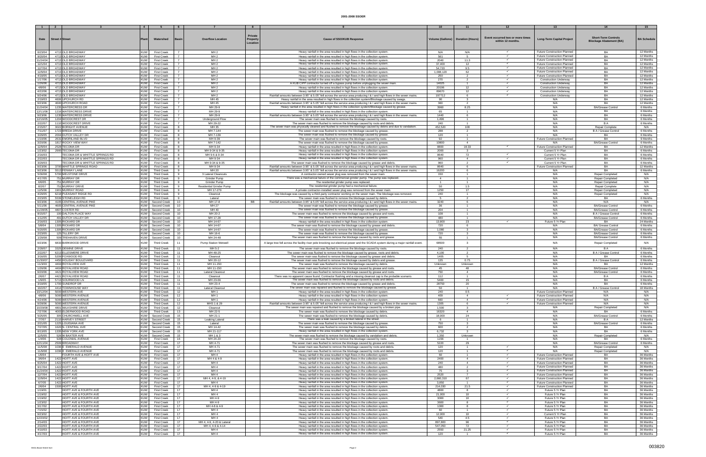| $\blacksquare$      |                                                             | $\overline{4}$           |                                          | - 6                                                                    | $\mathbf{R}$                           |                                                                                                                                                                                                                                |                                     |                                    |                                                       |                                                                   | -14                                                          | - 15                   |
|---------------------|-------------------------------------------------------------|--------------------------|------------------------------------------|------------------------------------------------------------------------|----------------------------------------|--------------------------------------------------------------------------------------------------------------------------------------------------------------------------------------------------------------------------------|-------------------------------------|------------------------------------|-------------------------------------------------------|-------------------------------------------------------------------|--------------------------------------------------------------|------------------------|
| Date                | <b>Street # Street</b>                                      |                          | Watershed                                | <b>Overflow Location</b><br>3asir                                      | Private<br><b>Property</b><br>Location | <b>Cause of SSO/KUB Response</b>                                                                                                                                                                                               | Volume (Gallons)   Duration (Hours) |                                    | Event occurred two or more times<br>within 12 months. | <b>Long-Term Capital Project</b>                                  | <b>Short-Term Controls</b><br><b>Blockage Abatement (BA)</b> | <b>BA Schedule</b>     |
| 6/23/04<br>9/20/04  | 4713 OLD BROADWAY<br>4713 OLD BROADWAY                      | <b>KUW</b><br><b>KUW</b> | <b>First Creek</b><br><b>First Creek</b> | MH <sub>2</sub><br>$\overline{7}$<br>MH <sub>2</sub>                   |                                        | Heavy rainfall in the area resulted in high flows in the collection system.<br>Heavy rainfall in the area resulted in high flows in the collection system                                                                      | N/A<br>561                          | N/A<br>-5                          | $\checkmark$                                          | <b>Future Construction Planned</b><br>Future Construction Planned | BA<br>BA                                                     | 12 Months<br>12 Months |
| 11/24/04            | 4713 OLD BROADWAY                                           | <b>KUW</b>               | <b>First Creek</b>                       | MH <sub>2</sub>                                                        |                                        | Heavy rainfall in the area resulted in high flows in the collection system                                                                                                                                                     | 2040                                | 11.3                               | $\checkmark$                                          | Future Construction Planned                                       | <b>BA</b>                                                    | 12 Months              |
| 12/1/04             | 4713 OLD BROADWAY                                           | <b>KUW</b>               | <b>First Creek</b>                       | $\overline{7}$<br>MH <sub>2</sub>                                      |                                        | Heavy rainfall in the area resulted in high flows in the collection system.                                                                                                                                                    | 37,400                              | 12                                 |                                                       | Future Construction Planned                                       | <b>BA</b>                                                    | 12 Months              |
| 12/7/04<br>12/9/04  | 4713 OLD BROADWAY<br>4713 OLD BROADWAY                      | <b>KUW</b><br><b>KUW</b> | <b>First Creek</b><br><b>First Creek</b> | MH <sub>2</sub><br>$\overline{7}$<br>MH <sub>2</sub><br>$\overline{7}$ |                                        | Heavy rainfall in the area resulted in high flows in the collection system<br>Heavy rainfall in the area resulted in high flows in the collection system                                                                       | 54,720<br>1,008,120                 | 9.5<br>62                          | $\checkmark$                                          | Future Construction Planned<br>Future Construction Planned        | <b>BA</b><br><b>BA</b>                                       | 12 Months<br>12 Months |
| 4/19/05             | 4713 OLD BROADWAY                                           | <b>KUW</b>               | <b>First Creek</b>                       | $\overline{7}$<br>MH <sub>2</sub>                                      |                                        | Heavy rainfall in the area resulted in high flows in the collection system                                                                                                                                                     | 250                                 |                                    |                                                       | Future Construction Planned                                       | <b>BA</b>                                                    | 12 Months              |
| 1/17/06             | 4713 OLD BROADWAY                                           | <b>KUW</b>               | <b>First Creek</b>                       | MH <sub>2</sub><br>$\overline{7}$                                      |                                        | Heavy rainfall in the area resulted in high flows in the collection system                                                                                                                                                     | 270                                 | $\overline{2}$                     |                                                       | <b>Construction Underway</b>                                      | <b>BA</b>                                                    | 12 Months              |
| 1/26/06<br>4/8/06   | 4713 OLD BROADWAY<br>4713 OLD BROADWAY                      | <b>KUW</b><br><b>KUW</b> | <b>First Creek</b><br><b>First Creek</b> | MH <sub>2</sub><br>$\overline{7}$<br>MH <sub>2</sub><br>$\overline{7}$ |                                        | A KUB CIPP contractor turned off a bypass pump before unplugging the sewer main.<br>Heavy rainfall in the area resulted in high flows in the collection system.                                                                | 14025<br>20196                      | $\overline{1}$<br>12 <sup>2</sup>  | $\checkmark$                                          | <b>Construction Underway</b><br><b>Construction Underway</b>      | <b>BA</b><br>BA                                              | 12 Months<br>12 Months |
| 4/22/06             | 4713 OLD BROADWAY                                           | <b>KUW</b>               | <b>First Creek</b>                       | MH <sub>2</sub><br>$\overline{7}$                                      |                                        | Heavy rainfall in the area resulted in high flows in the collection system.                                                                                                                                                    | 89670                               | 12                                 |                                                       | <b>Construction Underway</b>                                      | <b>BA</b>                                                    | 12 Months              |
| 9/24/06             | 4713 OLD BROADWAY                                           | <b>KUW</b>               | <b>First Creek</b>                       | MH <sub>2</sub><br>$\overline{7}$                                      |                                        | Rainfall amounts between 3.95" & 5.05" fell across the service area producing   &   and high flows in the sewer mains.                                                                                                         | 197712                              | 6                                  |                                                       | <b>Construction Underway</b>                                      | BA                                                           | 12 Months              |
| 2/19/03<br>9/23/06  | 4606 UPCHURCH RD<br>4600 UPCHURCH ROAD                      | <b>KUW</b><br><b>KUW</b> | <b>First Creek</b><br><b>First Creek</b> | MH 45<br>$\overline{7}$<br>MH 45<br>$\overline{7}$                     |                                        | Heavy rainfall in the area resulted in high flows in the collection system/Blockage caused by swags.<br>Rainfall amounts between 3.95" & 5.05" fell across the service area producing   &   and high flows in the sewer mains. | 90<br>360                           | 3<br>$\overline{2}$                |                                                       | N/A<br>N/A                                                        | BA<br><b>BA</b>                                              | 12 Months<br>12 Months |
| 11/24/04            | 1235 WATERCRESS DR                                          | <b>KUW</b>               | <b>First Creek</b>                       | MH 29-9                                                                |                                        | Heavy rainfall in the area resulted in high flows in the collection system/Blockage caused by grease.                                                                                                                          | 3960                                | 8.25                               |                                                       | N/A                                                               | <b>BA/Grease Control</b>                                     | 6 Months               |
| 12/11/08            | 1216 WATERCRESS DRIVE                                       | <b>KUW</b>               | <b>First Creek</b>                       | MH 29-9                                                                |                                        | Heavy rainfall in the area resulted in high flows in the collection system                                                                                                                                                     | 65                                  |                                    |                                                       | N/A                                                               | BA                                                           | 6 Months               |
| 9/23/06<br>12/16/05 | 1235 WATERCRESS DRIVE<br>1204 WOODCREST DR                  | <b>KUW</b><br><b>KUW</b> | <b>First Creek</b><br><b>First Creek</b> | MH 29-9<br>$\overline{7}$<br>Underground Flow                          |                                        | Rainfall amounts between 3.95" & 5.05" fell across the service area producing I & I and high flows in the sewer mains.<br>The sewer main was flushed to remove the blockage caused by roots.                                   | 1440<br>1,496                       | 6<br>$\overline{1}$                |                                                       | N/A<br>N/A                                                        | BA<br><b>BA</b>                                              | 6 Months<br>6 Months   |
| 2/22/07             | 1110 WOODCREST DRIVE                                        | <b>KUW</b>               | <b>First Creek</b>                       | MH 29-22                                                               |                                        | The sewer main was flushed to remove the blockage caused by roots and debris                                                                                                                                                   | 240                                 |                                    |                                                       | N/A                                                               | <b>BA</b>                                                    | 6 Months               |
| 2/15/07             | 3022 BORIGHT AVENUE                                         | <b>KUW</b>               | First Creek                              | -8<br>MH 35<br>MH 7-144<br>8                                           |                                        | The sewer main was physically cleaned and flushed to remove the blockage caused by debris and due to vandalism.                                                                                                                | 452,520                             | 108                                |                                                       | N/A                                                               | <b>Repair Complete</b>                                       | N/A                    |
| 7/11/07<br>3/29/05  | 1723 BREDA DRIVE<br>2004 DUTCH VALLEY DR                    | <b>KUW</b><br><b>KUW</b> | <b>First Creek</b><br><b>First Creek</b> | 8<br>MH 7-139                                                          |                                        | The sewer main was flushed to remove the blockage caused by grease<br>The sewer main was flushed to remove the blockage caused by grease                                                                                       | 288<br>120                          | 2<br>$\overline{1}$                |                                                       | N/A<br>N/A                                                        | B A / Grease Contro<br><b>BA</b>                             | 6 Months<br>6 Months   |
| 1/10/06             | 2631 EMORILAND BLVD                                         | <b>KUW</b>               | <b>First Creek</b>                       | MH 9-39<br>-8                                                          |                                        | The sewer main was flushed to remove the blockage caused by roots.                                                                                                                                                             | 92                                  | $\overline{1}$                     |                                                       | Future Construction Planned                                       | <b>BA</b>                                                    | 9 Months               |
| 3/20/06             | 1817 ROCKY VIEW WAY                                         | <b>KUW</b>               | <b>First Creek</b>                       | MH 7-142<br>8                                                          |                                        | The sewer main was flushed to remove the blockage caused by grease                                                                                                                                                             | 10800                               | $\overline{4}$                     | $\checkmark$                                          | N/A                                                               | <b>BA/Grease Control</b>                                     | 6 Months               |
| 12/9/04<br>1/23/02  | 2528 TECOMA DR<br>2900 TECOMA DR                            | <b>KUW</b><br><b>KUW</b> | <b>First Creek</b><br><b>First Creek</b> | $\mathbf{R}$<br>MH 9-34<br>8<br>MH 9-34 & 9-35                         |                                        | Heavy rainfall in the area resulted in high flows in the collection system<br>Heavy rainfall in the area resulted in high flows in the collection system                                                                       | 8800<br>2000                        | 18.33<br>$\mathbf{3}$              |                                                       | Future Construction Planned<br>Current 5 Yr Plan                  | BA                                                           | 12 Months<br>6 Months  |
| 2/16/03             | TECOMA DR & WHITTLE SPRINGS RD                              | <b>KUW</b>               | <b>First Creek</b>                       | MH 9-6 & 9-34<br>-8                                                    |                                        | Heavy rainfall in the area resulted in high flows in the collection system.                                                                                                                                                    | 8640                                | 72                                 | $\checkmark$                                          | Current 5 Yr Plan                                                 | <b>BA</b>                                                    | 6 Months               |
| 2/22/03             | TECOMA DR & WHITTLE SPRINGS RD                              | <b>KUW</b>               | <b>First Creek</b>                       | MH 9-34<br>8                                                           |                                        | Heavy rainfall in the area resulted in high flows in the collection system                                                                                                                                                     | 960                                 | $\overline{a}$                     | $\checkmark$<br>$\checkmark$                          | Current 5 Yr Plan                                                 | <b>BA</b>                                                    | 6 Months               |
| 3/29/03<br>9/23/06  | TECOMA DR & WHITTLE SPRINGS RD<br>3700 WHITTLE SPRINGS ROAD | <b>KUW</b><br><b>KUW</b> | <b>First Creek</b><br><b>First Creek</b> | MH 9-34 & 9-3<br>8<br>-8<br>MH 9-34                                    |                                        | The sewer main was flushed to remove the blockage caused by grease and debris<br>Rainfall amounts between 3.95" & 5.05" fell across the service area producing I & I and high flows in the sewer mains.                        | 960<br>8640                         | 6                                  |                                                       | Current 5 Yr Plan<br>Future Construction Planned                  | <b>BA</b><br><b>BA</b>                                       | 6 Months<br>12 Months  |
| 9/23/06             | 5513 FENWAY LANE                                            | <b>KUW</b>               | <b>Third Creek</b>                       | MH 20<br>-9                                                            |                                        | Rainfall amounts between 3.95" & 5.05" fell across the service area producing   &   and high flows in the sewer mains.                                                                                                         | 16200                               | 6                                  |                                                       | N/A                                                               | <b>BA</b>                                                    | 6 Months               |
| 5/30/08             | 5700 MELSTONE DRIVE                                         | <b>KUW</b>               | <b>Third Creek</b>                       | 9<br>3 Lateral Cleanouts                                               |                                        | A contractor-owned sewer plug was removed from the sewer main.                                                                                                                                                                 | 150                                 | $\overline{1}$<br>$\overline{1}$   |                                                       | N/A                                                               | Repair Completed                                             | N/A                    |
| 4/17/05<br>6/6/05   | 751 MURRAY DR<br>751 MURRAY DR                              | KUW<br><b>KUW</b>        | <b>Third Creek</b><br><b>Third Creek</b> | $\mathbf{Q}$<br>Grinder Pump<br>-9<br>Grinder Pump                     |                                        | There was a mechanical failure of the commercial grinder pump. The pump was replaced.<br>The residential grinder pump was replaced.                                                                                            | $\overline{a}$<br>$\overline{1}$    | $\overline{1}$                     |                                                       | N/A<br>N/A                                                        | Repair Completed<br><b>Repair Completed</b>                  | N/A<br>N/A             |
| 8/2/07              | 751 MURRAY DRIVE                                            | <b>KUW</b>               | <b>Third Creek</b>                       | <b>Residential Grinder Pump</b><br>-9                                  |                                        | The residential grinder pump had a mechanical failure.                                                                                                                                                                         | 50                                  | 1.5                                |                                                       | N/A                                                               | <b>Repair Complete</b>                                       | N/A                    |
| 12/5/06             | 1901 MURRAY ROAD                                            | <b>KUW</b>               | <b>Third Creek</b>                       | MH 17-279<br>-9                                                        |                                        | A private contractor-installed sewer plug was removed from the sewer main.                                                                                                                                                     | 1250                                | 17                                 |                                                       | N/A                                                               | <b>Repair Completed</b>                                      | N/A                    |
| 4/29/05<br>2/23/05  | 6218 PLEASANT RIDGE RD<br>5539 STONELEIGH RD                | <b>KUW</b><br><b>KUW</b> | <b>Third Creek</b><br><b>Third Creek</b> | -9<br>Cleanout<br>-9<br>Lateral                                        |                                        | The blockage was caused by a third-party contractor working on the sewer main. The blockage was removed.<br>The sewer main was flushed to remove the blockage caused by debris.                                                | 240<br>-5                           | $\mathbf{1}$<br>$\overline{2}$     |                                                       | N/A<br>N/A                                                        | Repair Completed<br>BA                                       | N/A<br>6 Months        |
| 9/23/06             | 4105 CENTRAL AVENUE PIKE                                    | <b>KUW</b>               | Second Creek                             | 10<br>MH 17-8                                                          | BB.                                    | Rainfall amounts between 3.95" & 5.05" fell across the service area producing I & I and high flows in the sewer mains.                                                                                                         | 3240                                | 6                                  |                                                       | N/A                                                               | N/A                                                          | N/A                    |
| 5/11/06             | 4605 CENTRAL AVENUE PIKE                                    | <b>KUW</b>               | Second Creek                             | 10<br>MH 27                                                            |                                        | The sewer main was flushed to remove the blockage caused by grease                                                                                                                                                             | 36                                  | $\overline{1}$                     |                                                       | N/A                                                               | <b>BA/Grease Control</b>                                     | 6 Months               |
| 11/28/05<br>8/15/07 | 4807 COSTER RD<br>100 DALTON PLACE WAY                      | <b>KUW</b><br><b>KUW</b> | Second Creek<br>Second Creek             | 10 <sup>1</sup><br>MH 40<br>10<br>MH 20-2                              |                                        | The sewer main was flushed to remove the blockage caused by grease<br>The sewer main was flushed to remove the blockage caused by grease and roots                                                                             | 204<br>108                          | $\overline{1}$<br>$\overline{1}$   |                                                       | N/A<br>N/A                                                        | <b>BA/Grease Control</b><br>B A / Grease Control             | 6 Months<br>6 Months   |
| 1/12/05             | 491 DUTCH VALLEY DR                                         | KUW I                    | Second Creek                             | MH 17-28<br>10                                                         |                                        | The sewer main was flushed to remove the blockage caused by grease                                                                                                                                                             | 480                                 | $\overline{1}$                     |                                                       | N/A                                                               | <b>BA/Grease Control</b>                                     | 6 Months               |
| 2/16/03             | 1305 RICKARD DR                                             |                          | KUW Second Creek                         | 10<br>MH 14-67                                                         |                                        | Heavy rainfall in the area resulted in high flows in the collection system                                                                                                                                                     | 13,800                              | 23                                 |                                                       | Future 5 Yr Plan                                                  | BA                                                           | 24 Months              |
| 5/8/04<br>5/20/05   | 1305 RICKARD DR<br>1305 RICKARD DR                          | <b>KUW</b>               | KUW Second Creek<br>Second Creek         | MH 14-67<br>10<br>10 <sup>1</sup><br>MH 14-67                          |                                        | The sewer main was flushed to remove the blockage caused by grease and debris.<br>The sewer main was flushed to remove the blockage caused by grease                                                                           | 720<br>1,080                        | 6<br>$\mathbf{3}$                  |                                                       | N/A<br>N/A                                                        | <b>BA/ Grease Control</b><br><b>BA/Grease Control</b>        | 6 Months<br>6 Months   |
| 2/23/05             | 125 TILLERY DR                                              | <b>KUW</b>               | Second Creek                             | MH 16-6<br>10                                                          |                                        | The sewer main was flushed to remove the blockage caused by grease                                                                                                                                                             | 720                                 | $\overline{\mathbf{3}}$            |                                                       | N/A                                                               | <b>BA/Grease Control</b>                                     | 6 Months               |
| 1/29/08             | 509 TREHAVEN DRIVE                                          | <b>KUW</b>               | Second Creek                             | 10 <sup>1</sup><br>MH 24-48                                            |                                        | The sewer main was flushed to remove the blockage caused by roots and grease                                                                                                                                                   | 55                                  | $\overline{1}$                     |                                                       | N/A                                                               | <b>BA/Grease Control</b>                                     | 6 Months               |
| 9/23/06             | 6833 BARKWOOD DRIVE                                         | <b>KUW</b>               | <b>Third Creek</b>                       | Pump Station Wetwell<br>11                                             |                                        | A large tree fell across the facility riser pole knocking out electrical power and the SCADA system during a major rainfall event.                                                                                             | 68500                               | $\overline{\mathbf{3}}$            |                                                       | N/A                                                               | Repair Completed                                             | N/A                    |
| 2/28/07             | 3325 DEWINE DRIVE                                           | <b>KUW</b>               | <b>Third Creek</b>                       | MH 5-2<br>11                                                           |                                        | The sewer main was flushed to remove the blockage caused by roots.                                                                                                                                                             | 240                                 | $\overline{2}$                     |                                                       | N/A                                                               | <b>BA</b>                                                    | 6 Months               |
| 2/22/07             | 6213 ELLESMERE DRIVE                                        | <b>KUW</b><br><b>KUW</b> | <b>Third Creek</b>                       | MH 48-25<br>11<br>11                                                   |                                        | The sewer main was flushed to remove the blockage caused by grease, roots and debris                                                                                                                                           | 4,100<br>1405                       | $\overline{2}$                     |                                                       | N/A<br>N/A                                                        | B A / Grease Control<br><b>BA</b>                            | 6 Months               |
| 3/16/05<br>11/30/07 | 5209 FOXWOOD RD<br>4450 HOLIDAY BOULEVARD                   | <b>KUW</b>               | <b>Third Creek</b><br><b>Third Creek</b> | Cleanout<br>11<br>MH 20-12                                             |                                        | The sewer main was flushed to remove the blockage caused by grease and debris<br>The sewer main was flushed to remove the blockage caused by debris and grease.                                                                | 135                                 | 0.75                               |                                                       | N/A                                                               | B A / Grease Control                                         | 6 Months<br>6 Months   |
| 11/3/03             | 4404 ROYALVIEW AVE                                          | <b>KUW</b>               | <b>Third Creek</b>                       | 11<br>MH 11-150                                                        |                                        | The sewer main was flushed to remove the blockage caused by debris.                                                                                                                                                            | Unknown                             | Unknown                            |                                                       | N/A                                                               | <b>BA</b>                                                    | 12 Months              |
| 1/26/06<br>9/20/06  | 4404 ROYALVIEW ROAD<br>4421 ROYALVIEW ROAD                  | <b>KUW</b><br><b>KUW</b> | Third Creek<br><b>Third Creek</b>        | MH 11-150<br>11<br>11<br>Lateral Cleanout                              |                                        | The sewer main was flushed to remove the blockage caused by grease and roots<br>The sewer main was flushed to remove the blockage caused by grease and roots.                                                                  | 45<br>750                           | 48<br>$\overline{a}$               |                                                       | N/A<br>N/A                                                        | <b>BA/Grease Control</b><br><b>BA/Grease Control</b>         | 6 Months<br>6 Months   |
| 2/6/07              | 4421 ROYALVIEW ROAD                                         | <b>KUW</b>               | <b>Third Creek</b>                       | 11<br>Cleanout                                                         |                                        | There was no apparent cause found. Contractor flushing and a missing cleanout cap is the probable scenario.                                                                                                                    | 112                                 |                                    |                                                       | N/A                                                               | B A                                                          | 6 Months               |
| 1/9/05              | 5713 SOURWOOD LN                                            | <b>KUW</b>               | <b>Third Creek</b>                       | 11<br>MH 23-66                                                         |                                        | The sewer main was flushed to remove the blockage caused by roots and debris.                                                                                                                                                  | 5400                                | 15                                 |                                                       | N/A                                                               | <b>BA</b>                                                    | 6 Months               |
| 3/19/05<br>10/2/07  | 1700 SUNDROP DR<br>4414 TOWNHOUSE WAY                       | <b>KUW</b><br><b>KUW</b> | <b>Third Creek</b><br><b>Third Creek</b> | 11<br>MH 23-4<br>Lateral Cleanout<br>11                                |                                        | The sewer main was flushed to remove the blockage caused by grease and debris.<br>The sewer main was repaired and flushed to remove the blockage caused by grease.                                                             | 28750<br>50                         | 20<br>-1.                          |                                                       | N/A<br>N/A                                                        | <b>BA</b><br>B A / Grease Control                            | 6 Months<br>18 Months  |
| 10/12/04            | 5000 WESTERN AVE                                            | <b>KUW</b>               | <b>Third Creek</b>                       | MH <sub>1</sub><br>12                                                  |                                        | Heavy rainfall in the area resulted in high flows in the collection system.                                                                                                                                                    | 240                                 | 0.5                                |                                                       | <b>Future Construction Planned</b>                                | N/A                                                          | N/A                    |
| 4/8/06              | 5000 WESTERN AVENUE                                         | <b>KUW</b>               | <b>Third Creek</b>                       | 12<br>MH <sub>1</sub>                                                  |                                        | Heavy rainfall in the area resulted in high flows in the collection system.                                                                                                                                                    | 409                                 | $\overline{a}$                     | $\checkmark$                                          | Future Construction Planned                                       | N/A                                                          | N/A                    |
| 4/24/06<br>9/28/06  | 5000 WESTERN AVENUE<br>5000 WESTERN AVENUE                  | <b>KUW</b><br><b>KUW</b> | <b>Third Creek</b><br><b>Third Creek</b> | 12<br>MH <sub>1</sub><br>MHS 1 & 29<br>12                              |                                        | Heavy rainfall in the area resulted in high flows in the collection system.<br>Rainfall amounts between 3.95" & 5.05" fell across the service area producing I & I and high flows in the sewer mains.                          | 660<br>1305                         | $\overline{a}$<br>6                | $\checkmark$<br>$\checkmark$                          | Future Construction Planned<br>Future Construction Planned        | N/A<br>N/A                                                   | N/A<br>N/A             |
| 10/29/08            | 4801 WILKSHIRE DRIVE                                        | <b>KUW</b>               | <b>Third Creek</b>                       | 12<br>Cleanout                                                         |                                        | The sewer main was repaired and flushed to remove the blockage caused by a broken pipe.                                                                                                                                        | 1.500                               | $\mathbf{3}$                       |                                                       | N/A                                                               | Repair Completed                                             | N/A                    |
| 7/27/06             | 4003 ELDERWOOD ROAD                                         | <b>KUW</b>               | Third Creek                              | MH 22-5<br>13                                                          |                                        | The sewer main was flushed to remove the blockage caused by debris.                                                                                                                                                            | 16320                               | $\overline{4}$                     |                                                       | N/A                                                               | BA                                                           | 6 Months               |
| 5/25/05<br>7/7/07   | 305 CHURCHWELL AVE<br>2110 HARVEY STREET                    | <b>KUW</b>               | KUW Second Creek<br>Second Creek         | MH 21-1<br>15<br>15<br>Leaking Latera                                  |                                        | The sewer main was flushed to remove the blockage caused by debris.<br>There was a leak caused by a broken lateral in the street.                                                                                              | 18,000<br>- 6                       | 24<br>$\overline{1}$               |                                                       | N/A<br>N/A                                                        | <b>BA/Grease Control</b><br>B A                              | 6 Months<br>12 Months  |
| 2/21/05             | 1225 LOUISIANA AVE                                          |                          | KUW Second Creek                         | 15<br>Lateral                                                          |                                        | The sewer main was flushed to remove the blockage caused by grease.                                                                                                                                                            | 750                                 | $\overline{\mathbf{3}}$            |                                                       | N/A                                                               | <b>BA/Grease Control</b>                                     | 6 Months               |
| 7/27/05             | 1620 N. CENTRAL AVE                                         | <b>KUW</b>               | Second Creek                             | MH 14-42<br>15                                                         |                                        | The sewer main was flushed to remove the blockage caused by debris.                                                                                                                                                            | 600                                 | $\overline{2}$                     |                                                       | N/A                                                               | BA                                                           | 6 Months               |
| 8/13/05<br>12/5/05  | 1335 NEW YORK AVE<br>526 W BAXTER AVE                       | <b>KUW</b><br><b>KUW</b> | Second Creek<br>Second Creek             | MH 21-117<br>15<br>15<br>MH 1 & 3                                      |                                        | Heavy rainfall in the area resulted in high flows in the collection system.<br>The sewer main was flushed to remove the blockage caused by vandalism and debris.                                                               | 6,732<br>1.350                      | $\mathcal{R}$<br>Unknown           |                                                       | N/A<br>N/A                                                        | <b>BA</b><br>Repair Completed                                | 6 Months<br>N/A        |
| 1/4/06              | 928 COLONIAL AVENUE                                         | <b>KUW</b>               | <b>First Creek</b>                       | 16<br>MH 24-20                                                         |                                        | The sewer main was flushed to remove the blockage caused by roots.                                                                                                                                                             | 1156                                | $\overline{1}$                     |                                                       | N/A                                                               | <b>BA</b>                                                    | 6 Months               |
| 12/11/04            | 2509 BROADWAY                                               | <b>KUW</b>               | <b>First Creek</b>                       | 17<br>MH 4-71                                                          |                                        | The sewer main was flushed to remove the blockage caused by grease and roots.                                                                                                                                                  | 5220                                | 29                                 |                                                       | N/A                                                               | <b>BA/Grease Control</b>                                     | 6 Months               |
| 11/5/08<br>11/9/08  | 1036 E EMERALD AVENUE<br>1036 E EMERALD AVENUE              | <b>KUW</b><br><b>KUW</b> | <b>First Creek</b><br><b>First Creek</b> | MH 4-71<br>17<br>17<br>MH 4-71                                         |                                        | The sewer main was flushed to remove the blockage caused by roots and debris.<br>The sewer main was flushed to remove the blockage caused by roots and debris.                                                                 | 120<br>120                          | $\overline{1}$<br>$\overline{1}$   | $\checkmark$<br>$\checkmark$                          | N/A<br>N/A                                                        | Repair Completed<br>Repair Completed                         | N/A<br>N/A             |
| 1/6/04              | FOURTH AVE & HOITT AVE                                      | <b>KUW</b>               | <b>First Creek</b>                       | MH <sub>4</sub><br>17                                                  |                                        | Heavy rainfall in the area resulted in high flows in the collection system.                                                                                                                                                    | 60                                  | $\overline{1}$                     | $\checkmark$                                          | Future Construction Planned                                       | BA                                                           | 36 Months              |
| 3/6/04              | 1422 HOITT AVE                                              | <b>KUW</b>               | <b>First Creek</b>                       | 17<br>MH 4 & 4-9                                                       |                                        | Heavy rainfall in the area resulted in high flows in the collection system.                                                                                                                                                    | 2400                                | $\overline{4}$                     | $\checkmark$                                          | Future Construction Planned                                       | <b>BA</b>                                                    | 36 Months              |
| 6/25/04<br>9/17/04  | 1422 HOITT AVE<br>1422 HOITT AVE                            | <b>KUW</b><br><b>KUW</b> | <b>First Creek</b><br><b>First Creek</b> | 17<br>MH <sub>4</sub><br>MH <sub>4</sub><br>17                         |                                        | Heavy rainfall in the area resulted in high flows in the collection system<br>Heavy rainfall in the area resulted in high flows in the collection system                                                                       | 240<br>480                          | $\overline{a}$<br>2                | $\checkmark$                                          | Future Construction Planned<br>Future Construction Planned        | <b>BA</b><br>BA                                              | 36 Months<br>36 Months |
| 11/24/04            | 1422 HOITT AVE                                              | <b>KUW</b>               | <b>First Creek</b>                       | 17<br>MH <sub>4</sub>                                                  |                                        | Heavy rainfall in the area resulted in high flows in the collection system                                                                                                                                                     | 75                                  |                                    |                                                       | Future Construction Planned                                       | <b>BA</b>                                                    | 36 Months              |
| 12/7/04             | 1422 HOITT AVE                                              | <b>KUW</b>               | <b>First Creek</b>                       | 17<br>MH 4                                                             |                                        | Heavy rainfall in the area resulted in high flows in the collection system.                                                                                                                                                    | 2520                                | $\overline{7}$                     | $\checkmark$                                          | Future Construction Planned                                       | BA                                                           | 36 Months              |
| 12/9/04<br>6/7/05   | 1422 HOITT AVE<br>1422 HOITT AVE                            | <b>KUW</b><br><b>KUW</b> | <b>First Creek</b><br><b>First Creek</b> | 17<br>MH 4, 4-9, & 4-19<br>MH <sub>4</sub><br>17                       |                                        | Heavy rainfall in the area resulted in high flows in the collection system.<br>Heavy rainfall in the area resulted in high flows in the collection system                                                                      | 2,660,310<br>3,850                  | 67<br>$\overline{1}$               | $\checkmark$                                          | Future Construction Planned<br>Future Construction Planned        | <b>BA</b><br>BA                                              | 36 Months<br>36 Months |
| 2/6/04              | 1500 HOITT AVE                                              | <b>KUW</b>               | <b>First Creek</b>                       | MH 4, 4-9 & 4-19<br>17                                                 |                                        | Heavy rainfall in the area resulted in high flows in the collection system.                                                                                                                                                    | 214.030                             | 21.5                               | $\checkmark$                                          | <b>Future Construction Planned</b>                                | BA                                                           | 36 Months              |
| 1/19/01             | HOITT AVE & FOURTH AVE                                      | <b>KUW</b>               | <b>First Creek</b>                       | MH <sub>4</sub><br>17                                                  |                                        | Heavy rainfall in the area resulted in high flows in the collection system.                                                                                                                                                    | 4800                                | 8                                  | $\checkmark$                                          | Future 5 Yr Plan                                                  | BA                                                           | 36 Months              |
| 1/19/02<br>1/19/02  | HOITT AVE & FOURTH AVE<br>HOITT AVE & FOURTH AVE            | <b>KUW</b><br><b>KUW</b> | <b>First Creek</b><br><b>First Creek</b> | 17<br>MH <sub>4</sub><br>17<br>MH 4-9                                  |                                        | Heavy rainfall in the area resulted in high flows in the collection system<br>Heavy rainfall in the area resulted in high flows in the collection system                                                                       | 21,000<br>3000                      | $10-10$<br>10 <sup>10</sup>        | $\checkmark$<br>$\checkmark$                          | Future 5 Yr Plan<br>Future 5 Yr Plan                              | BA<br>BA                                                     | 36 Months<br>36 Months |
| 1/23/02             | HOITT AVE & FOURTH AVE                                      | <b>KUW</b>               | <b>First Creek</b>                       | MH 4-9<br>17                                                           |                                        | Heavy rainfall in the area resulted in high flows in the collection system.                                                                                                                                                    | 3600                                | 8                                  | $\checkmark$                                          | Future 5 Yr Plan                                                  | BA                                                           | 36 Months              |
| 3/17/02             | HOITT AVE & FOURTH AVE                                      | <b>KUW</b>               | <b>First Creek</b>                       | 17<br>MH 4-8 & 4-9                                                     |                                        | Heavy rainfall in the area resulted in high flows in the collection system                                                                                                                                                     | 1000                                | 8                                  |                                                       | Future 5 Yr Plan                                                  | BA                                                           | 36 Months              |
| 7/15/02<br>9/23/02  | HOITT AVE & FOURTH AVE<br>HOITT AVE & FOURTH AVE            | <b>KUW</b><br><b>KUW</b> | <b>First Creek</b><br><b>First Creek</b> | 17<br>MH <sub>4</sub><br>17<br>MH <sub>4</sub>                         |                                        | Heavy rainfall in the area resulted in high flows in the collection system.<br>Heavy rainfall in the area resulted in high flows in the collection system.                                                                     | 60<br>12.000                        | $\overline{1}$<br>10 <sup>10</sup> | $\checkmark$<br>$\checkmark$                          | Future 5 Yr Plan<br>Current 5 Yr Plan                             | BA<br>BA                                                     | 36 Months<br>36 Months |
| 12/20/02            | HOITT AVE & FOURTH AVE                                      | <b>KUW</b>               | <b>First Creek</b>                       | MH <sub>4</sub><br>17                                                  |                                        | Heavy rainfall in the area resulted in high flows in the collection system                                                                                                                                                     | 540                                 | 4.5                                | $\checkmark$                                          | Future 5 Yr Plan                                                  | BA                                                           | 36 Months              |
| 2/14/03             | HOITT AVE & FOURTH AVE                                      | <b>KUW</b>               | <b>First Creek</b>                       | 17<br>MH 4, 4-9, 4-20 & Latera                                         |                                        | Heavy rainfall in the area resulted in high flows in the collection system                                                                                                                                                     | 897,800                             | 96                                 | $\checkmark$                                          | Future 5 Yr Plan                                                  | <b>BA</b>                                                    | 36 Months              |
| 2/22/03<br>4/10/03  | HOITT AVE & FOURTH AVE<br>HOITT AVE & FOURTH AVE            | <b>KUW</b><br><b>KUW</b> | <b>First Creek</b><br><b>First Creek</b> | MH 4, 4-9 & 4-14<br>17<br>MH <sub>4</sub><br>17                        |                                        | Heavy rainfall in the area resulted in high flows in the collection system.<br>Heavy rainfall in the area resulted in high flows in the collection system.                                                                     | 547,050<br>2550                     | 72<br>21.25                        | $\checkmark$<br>$\checkmark$                          | Future 5 Yr Plan<br>Future 5 Yr Plan                              | BA<br><b>BA</b>                                              | 36 Months<br>36 Months |
| 4/17/03             | HOITT AVE & FOURTH AVE                                      | <b>KUW</b>               | <b>First Creek</b>                       | MH <sub>4</sub><br>17                                                  |                                        | Heavy rainfall in the area resulted in high flows in the collection system.                                                                                                                                                    | 120                                 | $\overline{1}$                     |                                                       | Future 5 Yr Plan                                                  | <b>BA</b>                                                    | 36 Months              |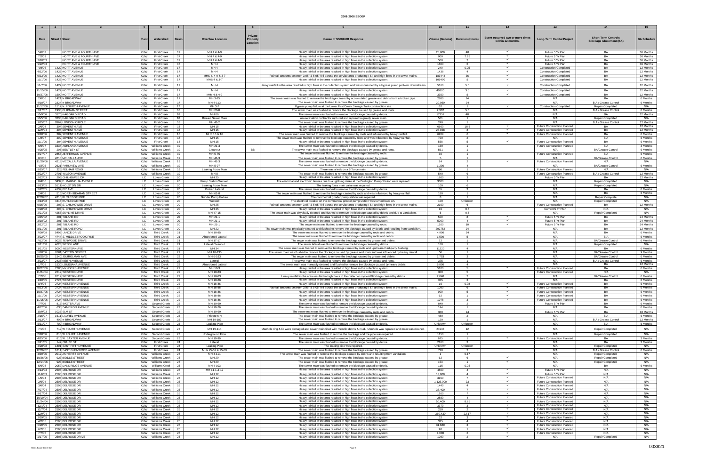|                      |                                                        |                          |                                             |          |                                    | Private  |                                                                                                                                                                         |                                     |                                  |                                  |                                                                |                                          |                        |
|----------------------|--------------------------------------------------------|--------------------------|---------------------------------------------|----------|------------------------------------|----------|-------------------------------------------------------------------------------------------------------------------------------------------------------------------------|-------------------------------------|----------------------------------|----------------------------------|----------------------------------------------------------------|------------------------------------------|------------------------|
| Date                 | <b>Street # Street</b>                                 | Plan                     | Watershed                                   | Rasir    | <b>Overflow Location</b>           | Property | <b>Cause of SSO/KUB Response</b>                                                                                                                                        | Volume (Gallons)   Duration (Hours) |                                  | Event occurred two or more times | <b>Long-Term Capital Project</b>                               | <b>Short-Term Controls</b>               | <b>BA Schedule</b>     |
|                      |                                                        |                          |                                             |          |                                    | Location |                                                                                                                                                                         |                                     |                                  | within 12 months.                |                                                                | <b>Blockage Abatement (BA)</b>           |                        |
|                      |                                                        |                          |                                             |          |                                    |          |                                                                                                                                                                         |                                     |                                  |                                  |                                                                |                                          |                        |
| 5/6/03               | <b>HOITT AVE &amp; FOURTH AVE</b>                      | <b>KUW</b>               | <b>First Creek</b>                          | 17       | MH 4 & 4-9                         |          | Heavy rainfall in the area resulted in high flows in the collection system                                                                                              | 28,800                              | 48                               |                                  | Future 5 Yr Plan                                               | BA                                       | 36 Months              |
| 7/2/03               | <b>HOITT AVE &amp; FOURTH AVE</b>                      | <b>KUW</b>               | <b>First Creek</b>                          | 17       | MH 4 & 4-9                         |          | Heavy rainfall in the area resulted in high flows in the collection system                                                                                              | 900                                 | 7.25                             | $\checkmark$                     | Future 5 Yr Plan                                               | <b>BA</b>                                | 36 Months              |
| 7/10/03              | HOITT AVE & FOURTH AVE                                 | <b>KUW</b>               | <b>First Creek</b>                          | 17       | MH 4 & 4-9                         |          | Heavy rainfall in the area resulted in high flows in the collection system                                                                                              | 500                                 | $\overline{2}$                   |                                  | Future 5 Yr Plan                                               | <b>BA</b>                                | 36 Months              |
| 9/22/03<br>4/8/06    | <b>HOITT AVE &amp; FOURTH AVE</b><br>1422 HOITT AVENUE | <b>KUW</b><br><b>KUW</b> | <b>First Creel</b><br><b>First Creek</b>    | 17<br>17 | MH <sub>4</sub><br>MH <sub>4</sub> |          | Heavy rainfall in the area resulted in high flows in the collection system                                                                                              | 1800<br>240                         | 0.25                             |                                  | Future 5 Yr Plan                                               | BA<br><b>BA</b>                          | 36 Months<br>12 Months |
| 4/22/06              | 1422 HOITT AVENUE                                      | <b>KUW</b>               | <b>First Creek</b>                          | 17       | MH <sub>4</sub>                    |          | Heavy rainfall in the area resulted in high flows in the collection system.<br>Heavy rainfall in the area resulted in high flows in the collection system               | 1438                                | $\overline{4}$                   |                                  | <b>Construction Completed</b><br><b>Construction Completed</b> | BA                                       | 12 Months              |
| 9/23/06              | 1422 HOITT AVENUE                                      | <b>KUW</b>               | <b>First Creek</b>                          | 17       | MHS 4, 4-9 & 3-7                   |          | Rainfall amounts between 3.95" & 5.05" fell across the service area producing I & I and high flows in the sewer mains.                                                  | 183444                              | 36                               | $\checkmark$                     | <b>Construction Completed</b>                                  | <b>BA</b>                                | 12 Months              |
| 11/1/06              | 1422 HOITT AVENUE                                      | <b>KUW</b>               | <b>First Creek</b>                          | 17       | MHS 4 & 3-7                        |          | Heavy rainfall in the area resulted in high flows in the collection system                                                                                              | 106470                              | 5                                |                                  | <b>Construction Completed</b>                                  | BA                                       | 12 Months              |
|                      |                                                        |                          |                                             |          |                                    |          |                                                                                                                                                                         |                                     |                                  |                                  |                                                                |                                          |                        |
| 11/7/06              | 1422 HOITT AVENUE                                      | <b>KUW</b>               | <b>First Creek</b>                          | 17       | MH <sub>4</sub>                    |          | Heavy rainfall in the area resulted in high flows in the collection system and was influenced by a bypass pump problem downstream                                       | 5610                                | 5.5                              |                                  | <b>Construction Completed</b>                                  | <b>BA</b>                                | 12 Months              |
| 11/15/06             | 1422 HOITT AVENUE                                      | <b>KUW</b>               | <b>First Creek</b>                          | 17       | MH 4                               |          | Heavy rainfall in the area resulted in high flows in the collection system.                                                                                             | 40320                               | 3.5                              |                                  | <b>Construction Completed</b>                                  | <b>BA</b>                                | 12 Months              |
| 10/27/06             | 1500 HOITT AVENUE                                      | <b>KUW</b>               | <b>First Creek</b>                          | 17       | MHs 4 & 4-9                        |          | Heavy rainfall in the area resulted in high flows in the collection system                                                                                              | 3350                                | 5                                | $\checkmark$                     | <b>Construction Completed</b>                                  | <b>BA</b>                                | 12 Months              |
| 2/6/06               | 1421 N BROADWAY                                        | <b>KUW</b>               | <b>First Creek</b>                          | 17       | MH 3-25                            |          | The sewer main was flushed to remove the blockage caused by accumulated grease and debris from a broken pipe.                                                           | 2880                                | 24                               |                                  | N/A                                                            | <b>BA</b>                                | 6 Months               |
| 4/18/07              | 2324 N BROADWAY                                        | <b>KUW</b>               | <b>First Creek</b>                          | 17       | MH 4-113                           |          | The sewer main was flushed to remove the blockage caused by grease.                                                                                                     | 20,950                              | 24                               |                                  | N/A                                                            | B A / Grease Control                     | 6 Months               |
| 11/17/06             | 1517 N. FOURTH AVENUE                                  | <b>KUW</b>               | <b>First Creek</b>                          | 17       | MH 3-7                             |          | Bypass pump failure at the Lower First Creek Storage Tank construction site.                                                                                            | 62                                  | $\overline{1}$                   | $\checkmark$                     | <b>Construction Completed</b>                                  | <b>Repair Completed</b>                  | N/A                    |
| 7/17/07<br>10/9/06   | 1935 CHIPMAN STREET<br>3170 HAGGARD ROAD               | KUW<br><b>KUW</b>        | <b>First Creek</b><br><b>First Creek</b>    | 18<br>18 | MH 20-8<br>MH 66                   |          | The sewer main was flushed to remove the blockage caused by grease and roots<br>The sewer main was flushed to remove the blockage caused by debris.                     | 2,962<br>17257                      | 5.5<br>48                        |                                  | N/A<br>N/A                                                     | B A / Grease Control<br>BA               | 6 Months<br>12 Months  |
| 10/5/06              | 3238 HAGGARD ROAD                                      | <b>KUW</b>               | <b>First Creek</b>                          | 18       | <b>Broken Sewer Main</b>           |          | An excavation contractor ruptured and repaired a gravity sewer main.                                                                                                    | 561                                 | -1.                              |                                  | N/A                                                            | <b>Repair Completed</b>                  | N/A                    |
| 1/25/07              | 2862 LONDON CIRCLE                                     | <b>KUW</b>               | <b>First Creek</b>                          | 18       | MH 41-                             |          | The sewer main was flushed to remove the blockage caused by grease                                                                                                      | 240                                 | $\blacktriangleleft$             |                                  | N/A                                                            | B A / Grease Contro                      | 12 Months              |
| 2/6/04               | 304 SEVENTH AVE                                        | <b>KUW</b>               | <b>First Creek</b>                          | 18       | MH 15                              |          | Heavy rainfall in the area resulted in high flows in the collection system                                                                                              | 6660                                | 18.5                             | $\checkmark$                     | Future Construction Planned                                    | BA                                       | 12 Months              |
| 12/9/04              | 304 SEVENTH AVE                                        | <b>KUW</b>               | <b>First Creek</b>                          | 18       | MH 15                              |          | Heavy rainfall in the area resulted in high flows in the collection system                                                                                              | 26,928                              | 8                                |                                  | Future Construction Planned                                    | BA                                       | 12 Months              |
| 9/28/06              | 302 SEVENTH AVENUE                                     | <b>KUW</b>               | <b>First Creek</b>                          | 18       | MHS 15 & 16                        |          | The sewer main was flushed to remove the blockage caused by roots and influenced by heavy rainfall.                                                                     | 6209                                | 6                                | $\checkmark$                     | <b>Future Construction Planned</b>                             | <b>BA</b>                                | 6 Months               |
| 1/8/07               | 302 SEVENTH AVENUE                                     | <b>KUW</b>               | <b>First Creek</b>                          | 18       | MH 15                              |          | The sewer main was flushed to remove the blockage caused by roots and was influenced by heavy rainfall.                                                                 | 720                                 | $\overline{2}$                   |                                  | N/A                                                            | <b>BA</b>                                | 6 Months               |
| 11/1/06              | 304 SEVENTH AVENUE                                     | <b>KUW</b>               | <b>First Creek</b>                          | 18       | MH 15                              |          | Heavy rainfall in the area resulted in high flows in the collection system                                                                                              | 558                                 | 5                                |                                  | <b>Future Construction Planned</b>                             | <b>BA</b>                                | 6 Months               |
| 6/6/07               | 3334 ASHLAND AVENUE                                    |                          | KUW   Williams Creek                        | 19       | MH 21-3                            |          | The sewer main was flushed to remove the blockage caused by debris.                                                                                                     | 160                                 | $\blacktriangleleft$             |                                  | Future Construction Planned                                    | B A                                      | 3 Months               |
| 4/25/05              | 205 BENTLEY ST                                         |                          | KUW   Williams Creek                        | 19       | Cleanout                           | BB       | The sewer main was flushed to remove the blockage caused by grease and roots                                                                                            | 561                                 | $\overline{1}$                   |                                  | N/A                                                            | <b>BA/Grease Contro</b>                  | 6 Months               |
| 3/27/07              | 2856 JEFFERSON AVENUE                                  |                          | KUW Williams Creek                          | 19       | MH 5-75                            |          | The sewer main was flushed to remove the blockage caused by roots.                                                                                                      | 30                                  | $\overline{1}$                   |                                  | Future Construction Planned                                    | <b>BA</b>                                | 6 Months               |
| 8/1/05               | 4218 MC CALLA AVE<br>4218 MCCALLA AVENUE               |                          | KUW Williams Creek                          | 19       | MH 41-3<br>MH 41-3                 |          | The sewer main was flushed to remove the blockage caused by grease                                                                                                      | 24                                  | $\overline{1}$                   |                                  | N/A                                                            | <b>BA/Grease Control</b>                 | 6 Months               |
| 11/20/06<br>4/2/05   | 2621 PARKVIEW AVE                                      |                          | KUW   Williams Creek<br>KUW Williams Creek  | 19<br>19 | MH 5-97                            |          | The sewer main was flushed to remove the blockage caused by debris.<br>The sewer main was flushed to remove the blockage caused by grease.                              | 1.200                               | $\overline{2}$<br>$\overline{4}$ |                                  | Future Construction Planned<br>N/A                             | N/A<br><b>BA/Grease Control</b>          | N/A<br>6 Months        |
| 9/15/07              | 325 PELHAM ROAD                                        |                          | KUW Williams Creek                          | 19       | Leaking Force Mai                  |          | There was a leak on a 6" force main                                                                                                                                     | 90                                  |                                  |                                  | <b>Future Construction Planned</b>                             | N/A                                      | N/A                    |
| 8/22/07              | 2701 WILSON AVENUE                                     |                          | KUW   Williams Creek                        | 19       | MH 8                               |          | The sewer main was flushed to remove the blockage caused by grease.                                                                                                     | 540                                 | 6                                |                                  | <b>Future Construction Planned</b>                             | B A / Grease Contro                      | 12 Months              |
| 2/22/03              | 203 CHILHOWEE DR                                       | LC                       | <b>Loves Creek</b>                          | 20       | MH 25                              |          | Heavy rainfall in the area resulted in high flows in the collection system                                                                                              | 1800                                | $\mathbf{3}$                     |                                  | Future 5 Yr Plan                                               | <b>BA</b>                                | 12 Months              |
| 8/4/06               | 3439 E. MAGNOLIA AVENUE                                | LC                       | <b>Loves Creek</b>                          | 20       | Pump Station Wetwell               |          | The electrical and electronic failures due to a lightning strike at the Burlington Pump Station were repaired.                                                          | 3000                                | $\overline{1}$                   |                                  | N/A                                                            | Repair Completed                         | N/A                    |
| 9/13/05              | 5511 HOLSTON DR                                        | LC                       | <b>Loves Creek</b>                          | 20       | Leaking Force Main                 |          | The leaking force main valve was repaired.                                                                                                                              | 100                                 | 6                                |                                  | N/A                                                            | Repair Completed                         | N/A                    |
| 2/22/05              | 4139 IVY AVE                                           | LC                       | Loves Creek                                 | -20      | <b>Broken Lateral</b>              |          | The sewer main was flushed to remove the blockage caused by debris.                                                                                                     | 55                                  | $\mathbf{3}$                     |                                  | N/A                                                            | BA                                       | 6 Months               |
| 2/4/08               | 516 NORTH BEAMAN STREET                                | LC                       | Loves Creek                                 | 20       | MH 61-8                            |          | The sewer main was flushed to remove the blockage caused by roots and was influenced by heavy rainfall.                                                                 | 180                                 | $\overline{1}$                   |                                  | N/A                                                            | <b>BA</b>                                | 6 Months               |
| 12/28/07             | 4315 RUTLEDGE PIKE                                     | LC                       | Loves Creek                                 | 20       | Grinder Pump Failur                |          | The commercial grinder pump station was repaired.                                                                                                                       |                                     |                                  |                                  | N/A                                                            | <b>Repair Complete</b>                   | N/A                    |
| 2/13/08              | 4315 RUTLEDGE PIKE                                     | LC                       | <b>Loves Creek</b>                          | 20       | Wetwel                             |          | The electrical breaker on the commercial grinder pump station was turned back on.                                                                                       | 100                                 | <b>Unknown</b>                   |                                  | N/A                                                            | Repair Completed                         | N/A                    |
| 9/25/06              | 203 S. CHILHOWEE DRIVE                                 | LC                       | Loves Creek                                 | 20       | MH 25                              |          | Rainfall amounts between 3.95" & 5.05" fell across the service area producing I & I and high flows in the sewer mains.                                                  | 2160                                | 6                                |                                  | Future Construction Planned                                    | BA                                       | 12 Months              |
| 5/28/08              | 203 S. CHILHOWEE DRIVE                                 | LC                       | Loves Creek                                 | 20       | MH 25                              |          | Heavy rainfall in the area resulted in high flows in the collection system.                                                                                             | 16                                  | 0.5                              |                                  | Current 5 Yr Plan                                              | N/A                                      | N/A                    |
| 2/21/08              | 4257 SKYLINE DRIVE                                     | LC                       | <b>Loves Creek</b>                          | 20       | MH 47-15                           |          | The sewer main was physically cleaned and flushed to remove the blockage caused by debris and due to vandalism.                                                         | -5                                  | 0.5                              |                                  | N/A                                                            | Repair Completed                         | N/A                    |
| 1/25/02<br>3/18/02   | 201 TULANE RD<br>201 TULANE RD                         | LC<br>LC.                | Loves Creek                                 | 20       | MH 21-1<br>MH 21-1                 |          | Heavy rainfall in the area resulted in high flows in the collection system<br>Heavy rainfall in the area resulted in high flows in the collection system                | 500<br>5000                         | -8<br>$\overline{4}$             | $\checkmark$<br>$\checkmark$     | Future 5 Yr Plan<br>Future 5 Yr Plan                           | BA<br>BA                                 | 24 Months              |
| 3/22/02              | 201 TULANE RD                                          | LC                       | Loves Creek<br>Loves Creek                  | 20<br>20 | MH 21-1                            |          | The sewer main was flushed to remove the blockage caused by roots.                                                                                                      | 1200                                | 10                               |                                  | Future 5 Yr Plan                                               | BA                                       | 24 Months<br>24 Months |
| 8/11/06              | 201 TULANE ROAD                                        | LC                       | <b>Loves Creek</b>                          | 20       | MH 22                              |          | The sewer main was physically cleaned and flushed to remove the blockage caused by debris and resulting from vandalism.                                                 | 292752                              | 24                               |                                  | N/A                                                            | BA                                       | 12 Months              |
| 7/30/08              | 5405 LANCE DRIVE                                       | <b>KUW</b>               | <b>Third Creek</b>                          | 21       | MH 10-85                           |          | The sewer main was flushed to remove the blockage caused by roots and debris                                                                                            | 4,900                               | 24                               |                                  | N/A                                                            | BA                                       | 6 Months               |
| 3/22/07              | 4744 S. MIDDLEBROOK PIKE                               | KUW                      | <b>Third Creek</b>                          | 21       | Abandoned Latera                   |          | The sewer main was flushed to remove the blockage caused by roots and debris.                                                                                           | 1,500                               | $5 -$                            |                                  | N/A                                                            | <b>BA</b>                                | 6 Months               |
| 7/12/06              | 5029 TENWOOD DRIVE                                     | <b>KUW</b>               | <b>Third Creek</b>                          | 21       | MH 17-17                           |          | The sewer main was flushed to remove the blockage caused by grease and debris.                                                                                          | 72                                  | $\overline{1}$                   |                                  | N/A                                                            | <b>BA/Grease Control</b>                 | 6 Months               |
| 3/11/08              | 4623 WEBB LANE                                         | <b>KUW</b>               | <b>Third Creek</b>                          | 21       | Lateral Cleanout                   |          | The sewer lateral was flushed to remove the blockage caused by debris.                                                                                                  | 180                                 | -1                               |                                  | N/A                                                            | Repair Completed                         | N/A                    |
| 1/21/05              | 5000 WESTERN AVE                                       | <b>KUW</b>               | <b>Third Creek</b>                          | 21       | MH 34                              |          | The sewer main was flushed to remove the blockage caused by roots and upstream third-party flushing.                                                                    | 11220                               | $\overline{4}$                   |                                  | N/A                                                            | <b>BA</b>                                | 6 Months               |
| 1/18/06              | 2601 DAYTON STREET                                     | <b>KUW</b>               | Third Creek                                 | 22       | MH 18-130                          |          | The sewer main was flushed to remove the blockage caused by grease and roots and was influenced by heavy rainfall.                                                      | 56                                  | $\overline{1}$                   |                                  | N/A                                                            | <b>BA/Grease Control</b>                 | 9 Months               |
| 10/25/05             | 1540 JOUROLMAN AVE                                     | <b>KUW</b>               | <b>Third Creek</b>                          | 22       | MH 6-193                           |          | The sewer main was flushed to remove the blockage caused by grease and debris                                                                                           | 2,793                               |                                  |                                  | N/A                                                            | <b>BA/Grease Contro</b>                  | 6 Months               |
| 3/23/07              | 2437 KEITH AVENUE                                      | <b>KUW</b>               | <b>Third Creek</b>                          | 22       | Lateral                            |          | The sewer main was flushed to remove the blockage caused by grease and roots.                                                                                           | 375                                 | $\blacktriangleleft$             |                                  | N/A                                                            | B A / Grease Contro                      | 6 Months               |
| 1/7/08<br>10/27/06   | 1530 LOUISIANA AVENUE                                  | <b>KUW</b>               | <b>Third Creek</b>                          | 22       | Abandoned Latera                   |          | The sewer main was manually-cleaned and flushed to remove the blockage caused by heavy debris.                                                                          | 6,800<br>5100                       | $\overline{4}$<br>-5             |                                  | N/A                                                            | BA<br>BA                                 | 12 Months              |
| 11/24/04             | 2706 MYNDERS AVENUE<br>2612 WESTERN AVE                | <b>KUW</b><br>KUW        | <b>Third Creek</b><br>Third Creek           | 22<br>22 | MH 18-3<br>MH 18-83                |          | Heavy rainfall in the area resulted in high flows in the collection system<br>Heavy rainfall in the area resulted in high flows in the collection system.               | 300                                 | -5                               |                                  | Future Construction Planned<br>Future Construction Planned     | N/A                                      | 6 Months<br>N/A        |
| 7/7/05               | 2612 WESTERN AVE                                       | <b>KUW</b>               | <b>Third Creek</b>                          | 22       | MH 18-83                           |          | Heavy rainfall in the area resulted in high flows in the collection system/Blockage caused by debris.                                                                   | 2.040                               |                                  |                                  | N/A                                                            | <b>BA/Grease Control</b>                 | 6 Months               |
| 1/10/05              | 2724 WESTERN AVE                                       | <b>KUW</b>               | <b>Third Creek</b>                          | 22       | MH 18-86                           |          | Heavy rainfall in the area resulted in high flows in the collection system                                                                                              | 375                                 | $\mathbf{R}$                     |                                  | N/A                                                            | BA                                       | 6 Months               |
| 8/4/06               | 2724 WESTERN AVENUE                                    | <b>KUW</b>               | <b>Third Creek</b>                          | 22       | MH 18-86                           |          | Heavy rainfall in the area resulted in high flows in the collection system                                                                                              | 16                                  | 0.08                             |                                  | Future Construction Planned                                    | BA                                       | 6 Months               |
| 9/23/06              | 2724 WESTERN AVENUE                                    | <b>KUW</b>               | <b>Third Creek</b>                          | 22       | MH 18-86                           |          | Rainfall amounts between 3.95" & 5.05" fell across the service area producing I & I and high flows in the sewer mains.                                                  | 1080                                | 6                                |                                  | Future Construction Planned                                    | BA                                       | 6 Months               |
| 10/27/06             | 2724 WESTERN AVENUE                                    | KUW                      | <b>Third Creek</b>                          | 22       | MH 18-86                           |          | Heavy rainfall in the area resulted in high flows in the collection system                                                                                              | 900                                 | -5                               |                                  | Future Construction Planned                                    | <b>BA</b>                                | 6 Months               |
| 11/1/06              | 2724 WESTERN AVENUE                                    | <b>KUW</b>               | <b>Third Creek</b>                          | 22       | MH 18-86                           |          | Heavy rainfall in the area resulted in high flows in the collection system.                                                                                             | 62                                  | $\overline{1}$                   | $\checkmark$                     | Future Construction Planned                                    | BA                                       | 6 Months               |
| 11/15/06             | 2724 WESTERN AVENUE                                    | <b>KUW</b>               | <b>Third Creek</b>                          | 22       | MH 18-86                           |          | Heavy rainfall in the area resulted in high flows in the collection system.                                                                                             | 1078                                | $\mathbf{3}$                     | $\checkmark$                     | <b>Future Construction Planned</b>                             | BA                                       | 6 Months               |
| 7/7/05               | 816 BAXTER AVE                                         | <b>KUW</b>               | Second Creek                                | 23       | MH 19-99                           |          | The sewer main was flushed to remove the blockage caused by debris.                                                                                                     | 840                                 | 2                                |                                  | Future 5 Yr Plan                                               | BA                                       | 6 Months               |
| 4/12/06              | 635 DAMERON AVENUE                                     | <b>KUW</b>               | Second Creek                                | 23       | MH 19-76                           |          | The sewer main was flushed to remove the blockage caused by debris.                                                                                                     | 144                                 | $\overline{1}$                   |                                  | N/A                                                            | <b>BA</b>                                | 6 Months               |
| 10/9/03              | 1025 ELM ST                                            | <b>KUW</b>               | Second Creek                                | 23       | MH 19-99                           |          | The sewer main was flushed to remove the blockage caused by roots and debris                                                                                            | 360                                 | 24                               |                                  | Future 5 Yr Plan                                               | <b>BA</b>                                | 18 Months              |
| 2/15/07<br>2/13/07   | 1611 LAUREL AVENUE<br>409 N BROADWAY                   | <b>KUW</b><br><b>KUW</b> | Second Creek<br>Second Creek                | 23<br>23 | Private MH<br>MH 19-187            |          | The sewer main was flushed to remove the blockage caused by grease<br>The sewer main was flushed to remove the blockage caused by grease.                               | 480<br>120                          | $\overline{2}$<br>$\overline{1}$ |                                  | N/A<br>N/A                                                     | B A<br>B A / Grease Control              | 6 Months<br>12 Months  |
| 5/31/07              | 700 N BROADWAY                                         | <b>KUW</b>               | Second Creek                                | 23       | <b>Leaking Pipe</b>                |          | The sewer main was flushed to remove the blockage caused by debris.                                                                                                     | Unknown                             | Unknown                          |                                  | N/A                                                            | B A                                      | 6 Months               |
|                      |                                                        |                          |                                             |          |                                    |          |                                                                                                                                                                         |                                     |                                  |                                  |                                                                |                                          |                        |
| 7/1/06               | 719 W FOURTH AVENUE                                    | <b>KUW</b>               | Second Creek                                | 23       | MH 19-114                          |          | Manhole ring & lid were damaged and sewer main filled with metallic debris & mud. Manhole was repaired and main was cleaned.                                            | 24933                               | 12                               |                                  | N/A                                                            | Repair Completed                         | N/A                    |
| 2/28/06              | 810 W FOURTH AVENUE                                    | <b>KUW</b>               | Second Creek                                | 23       | Underground Flow                   |          | The sewer main was flushed to remove the blockage and the pipe was repaired.                                                                                            | 1150                                | $\overline{1}$                   |                                  | N/A                                                            | Repair Completed                         | N/A                    |
| 4/25/06              | 816 W. BAXTER AVENUE                                   | <b>KUW</b>               | Second Creek                                | 23       | MH 19-99                           |          | The sewer main was flushed to remove the blockage caused by debris.                                                                                                     | 675                                 | $\overline{1}$                   | $\checkmark$                     | Future Construction Planned                                    | BA                                       | 3 Months               |
| 2/21/05              | 147 CRUZE ST                                           | KUW                      | <b>First Creek</b>                          | 24       | Lateral                            |          | The sewer main was flushed to remove the blockage caused by debris.                                                                                                     | 2160                                | $\mathbf{R}$                     |                                  | N/A                                                            | BA                                       | 3 Months               |
| 3/28/08              | 1801 EAST FIFTH AVENUE                                 | <b>KUW</b>               | <b>First Creek</b>                          | 24       | Leaking Pipe                       |          | The leaking pipe was repaired.                                                                                                                                          | Unknown                             | Unknown                          |                                  | N/A                                                            | <b>Repair Completed</b>                  | N/A                    |
| 12/26/07<br>4/20/06  | 1811 EAST GLENWOOD AVENUE<br>2017 AMHERST AVENUE       | <b>KUW</b><br><b>KUW</b> | <b>First Creek</b><br><b>Williams Creek</b> | 24<br>25 | MHs 25-52 & 25-53<br>MH 4-111      |          | The sewer main was flushed to remove the blockage caused by grease.<br>The sewer main was flushed to remove the blockage caused by debris and resulting from vandalism. | 720                                 | $\overline{2}$<br>0.17           |                                  | N/A<br>N/A                                                     | B A / Grease Control<br>Repair Completed | 6 Months<br>N/A        |
| 10/26/06             | 923 BIDDLE STREET                                      | <b>KUW</b>               | Williams Creek                              | 25       | MH 29                              |          | The sewer main was flushed to remove the blockage caused by grease.                                                                                                     | 62                                  | 6                                | $\checkmark$                     | N/A                                                            | Repair Completed                         | N/A                    |
| 12/14/06             | 923 BIDDLE STREET                                      | <b>KUW</b>               | Williams Creek                              | 25       | MH 29                              |          | The sewer main was flushed to remove the blockage caused by grease.                                                                                                     | 153                                 | $\overline{1}$                   | $\checkmark$                     | N/A                                                            | Repair Completed                         | N/A                    |
| 5/6/08               | 2052 DANDRIDGE AVENUE                                  | <b>KUW</b>               | <b>Williams Creel</b>                       | 25       | MH 4-103                           |          | The sewer main was flushed to remove the blockage caused by debris.                                                                                                     | 115                                 | 0.25                             |                                  | N/A                                                            | BA                                       | 6 Months               |
| 3/13/03              | 2505 DELROSE DR                                        |                          | KUW Williams Creek                          | 25       | MH 11-1 & 12                       |          | Heavy rainfall in the area resulted in high flows in the collection system.                                                                                             | 4800                                | $\overline{4}$                   | $\checkmark$                     | Future 5 Yr Plan                                               | N/A                                      | N/A                    |
| 11/6/03              | 2505 DELROSE DR                                        |                          | KUW Williams Creek                          | 25       | MH 12                              |          | Heavy rainfall in the area resulted in high flows in the collection system.                                                                                             | 13,000                              | $\overline{4}$                   | $\checkmark$                     | Future 5 Yr Plan                                               | N/A                                      | N/A                    |
| 1/5/04               | 2505 DELROSE DR                                        |                          | KUW   Williams Creek                        | 25       | MH 12                              |          | Heavy rainfall in the area resulted in high flows in the collection system                                                                                              | 3150                                | $\overline{7}$                   |                                  | Future Construction Planned                                    | N/A                                      | N/A                    |
| 2/6/04               | 2505 DELROSE DR                                        |                          | KUW   Williams Creek                        | 25       | MH 12                              |          | Heavy rainfall in the area resulted in high flows in the collection system.                                                                                             | 1,125,000                           | 23                               | $\checkmark$                     | Future Construction Planned                                    | N/A                                      | N/A                    |
| 3/6/04               | 2505 DELROSE DR                                        |                          | KUW   Williams Creek                        | 25       | MH 12                              |          | Heavy rainfall in the area resulted in high flows in the collection system.                                                                                             | 1440                                | 4                                | $\checkmark$                     | Future Construction Planned                                    | N/A                                      | N/A                    |
| 7/27/04              | 2505 DELROSE DR                                        |                          | KUW   Williams Creek                        | 25       | MH 12                              |          | Heavy rainfall in the area resulted in high flows in the collection system.                                                                                             | 37,400                              | $\overline{7}$                   |                                  | Future Construction Planned                                    | N/A                                      | N/A                    |
| 9/17/04              | 2505 DELROSE DR                                        |                          | KUW Williams Creek                          | 25       | MH 12                              |          | Heavy rainfall in the area resulted in high flows in the collection system.                                                                                             | 1260                                | $\overline{7}$<br>$\mathbf{A}$   | $\checkmark$<br>$\checkmark$     | Future Construction Planned<br>Future Construction Planned     | N/A                                      | N/A<br>N/A             |
| 10/19/04<br>11/24/04 | 2505 DELROSE DR<br>2505 DELROSE DR                     |                          | KUW Williams Creek<br>KUW   Williams Creek  | 25<br>25 | MH 12<br>MH 12                     |          | Heavy rainfall in the area resulted in high flows in the collection system.<br>Heavy rainfall in the area resulted in high flows in the collection system.              | 2880<br>50,400                      | 8.75                             |                                  | Future Construction Planned                                    | N/A<br>N/A                               | N/A                    |
| 12/1/04              | 2505 DELROSE DR                                        |                          | KUW   Williams Creek                        | 25       | MH 12                              |          | Heavy rainfall in the area resulted in high flows in the collection system.                                                                                             | 3370                                | 3                                |                                  | Future Construction Planned                                    | N/A                                      | N/A                    |
| 12/7/04              | 2505 DELROSE DR                                        |                          | KUW   Williams Creek                        | 25       | MH 12                              |          | Heavy rainfall in the area resulted in high flows in the collection system                                                                                              | 250                                 |                                  | $\checkmark$                     | Future Construction Planned                                    | N/A                                      | N/A                    |
| 12/9/04              | 2505 DELROSE DR                                        |                          | KUW   Williams Creek                        | 25       | MH 12                              |          | Heavy rainfall in the area resulted in high flows in the collection system                                                                                              | 360,430                             | 22.17                            | $\checkmark$                     | Future Construction Planned                                    | N/A                                      | N/A                    |
| 3/29/05              | 2505 DELROSE DR                                        |                          | KUW Williams Creek                          | 25       | MH 12                              |          | Heavy rainfall in the area resulted in high flows in the collection system.                                                                                             | 32                                  | 3                                |                                  | <b>Future Construction Planned</b>                             | N/A                                      | N/A                    |
| 4/2/05               | 2505 DELROSE DR                                        |                          | KUW   Williams Creek                        | 25       | MH 12                              |          | Heavy rainfall in the area resulted in high flows in the collection system.                                                                                             | 375                                 | $\overline{4}$                   | $\checkmark$                     | Future Construction Planned                                    | N/A                                      | N/A                    |
| 5/20/05              | 2505 DELROSE DR                                        |                          | KUW Williams Creek                          | 25       | MH 12                              |          | Heavy rainfall in the area resulted in high flows in the collection system.                                                                                             | 31.680                              | $\mathbf{3}$                     |                                  | Future Construction Planned                                    | N/A                                      | N/A                    |
| 6/7/05               | 2505 DELROSE DR                                        |                          | KUW Williams Creek                          | 25       | MH 12                              |          | Heavy rainfall in the area resulted in high flows in the collection system                                                                                              | 90                                  | $\blacktriangleleft$             | $\checkmark$                     | Future Construction Planned                                    | N/A                                      | N/A                    |
| 7/7/05               | 2505 DELROSE DR                                        |                          | KUW   Williams Creek                        | 25       | MH 12                              |          | Heavy rainfall in the area resulted in high flows in the collection system                                                                                              | 1,080                               | $\overline{2}$                   | $\checkmark$                     | Future Construction Planned                                    | N/A                                      | N/A                    |
| 1/17/06              | 2505 DELROSE DRIVE                                     |                          | KUW Williams Creek                          | 25       | MH 12                              |          | Heavy rainfall in the area resulted in high flows in the collection system                                                                                              | 1080                                | $\overline{2}$                   |                                  | N/A                                                            | Repair Completed                         | N/A                    |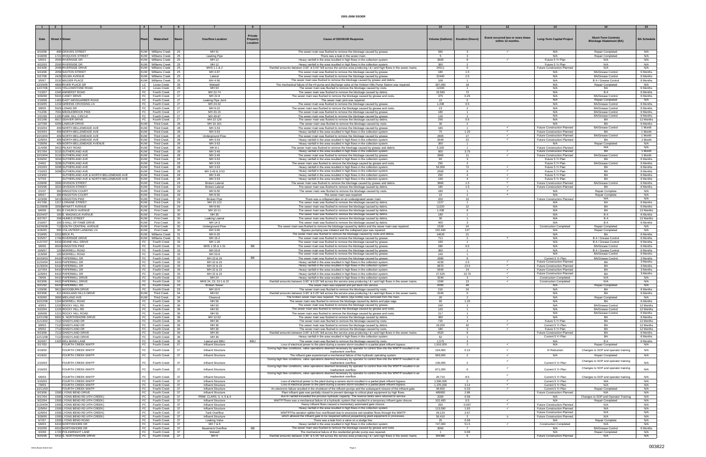|                      |                                                                                | $\overline{4}$           |                                            | 6                                       |                                            | 8                                      |                                                                                                                                                                                                                                   |                                     | $-11$                            |                                                      | -13                                                               | 14                                                           | 15                    |
|----------------------|--------------------------------------------------------------------------------|--------------------------|--------------------------------------------|-----------------------------------------|--------------------------------------------|----------------------------------------|-----------------------------------------------------------------------------------------------------------------------------------------------------------------------------------------------------------------------------------|-------------------------------------|----------------------------------|------------------------------------------------------|-------------------------------------------------------------------|--------------------------------------------------------------|-----------------------|
|                      |                                                                                |                          |                                            |                                         |                                            |                                        |                                                                                                                                                                                                                                   |                                     |                                  |                                                      |                                                                   |                                                              |                       |
| Date                 | <b>Street # Street</b>                                                         | Plan                     | Watershed                                  | <b>Basin</b>                            | <b>Overflow Location</b>                   | Private<br><b>Property</b><br>Location | <b>Cause of SSO/KUB Response</b>                                                                                                                                                                                                  | Volume (Gallons)   Duration (Hours) |                                  | Event occurred two or more times<br>within 12 months | <b>Long-Term Capital Project</b>                                  | <b>Short-Term Controls</b><br><b>Blockage Abatement (BA)</b> | <b>BA Schedule</b>    |
| 9/10/06              | 800 GRAVES STREET                                                              |                          | KUW   Williams Creek                       | - 25                                    | MH 31                                      |                                        | The sewer main was flushed to remove the blockage caused by grease.                                                                                                                                                               | 360                                 | $\mathbf{R}$                     |                                                      | N/A                                                               | Repair Completed                                             | N/A                   |
| 6/18/08              | 1721 IROQUOIS STREET                                                           |                          | KUW   Williams Creek                       | 25                                      | Leaking Pipe                               |                                        | There was a leak in the sewer main.                                                                                                                                                                                               | -5                                  | $\mathbf{3}$                     |                                                      | N/A                                                               | Repair Completed                                             | N/A                   |
| 5/6/03               | 2500 RIVERSIDE DR                                                              |                          | KUW   Williams Creek                       | 25                                      | MH 12                                      |                                        | Heavy rainfall in the area resulted in high flows in the collection system.                                                                                                                                                       | 3600                                | 8                                | $\checkmark$                                         | Future 5 Yr Plan                                                  | N/A                                                          | N/A                   |
| 9/22/03<br>9/24/06   | 2500 RIVERSIDE DR<br>2008 RIVERSIDE DRIVE                                      |                          | KUW   Williams Creek<br>KUW Williams Creek | 25<br>25                                | MH 12<br>MHS 1-1 & 2                       |                                        | Heavy rainfall in the area resulted in high flows in the collection system<br>Rainfall amounts between 3.95" & 5.05" fell across the service area producing I & I and high flows in the sewer mains.                              | 360<br>24511                        | 6                                |                                                      | Future 5 Yr Plan<br>Future Construction Planned                   | N/A<br>N/A                                                   | N/A<br>N/A            |
| 9/24/06              | 2059 SAXTON STREET                                                             |                          | KUW Williams Creek                         | 25                                      | MH 4-87                                    |                                        | The sewer main was flushed to remove the blockage caused by grease                                                                                                                                                                | 180                                 | 1.5                              |                                                      | N/A                                                               | <b>BA/Grease Control</b>                                     | 6 Months              |
| 6/27/06              | 2429 SELMA AVENUE                                                              |                          | KUW   Williams Creek                       | - 25                                    | Lateral                                    |                                        | The sewer main was flushed to remove the blockage caused by grease                                                                                                                                                                | 22440                               | 2.5                              |                                                      | N/A                                                               | <b>BA/Grease Control</b>                                     | 6 Months              |
| 3/5/07               | 1532 WILDER PLACE<br>4800 RIVER PLACE DR                                       | LC                       | KUW   Williams Creek                       | 25<br>26                                | MH 4-56<br>Wetwel                          |                                        | The sewer main was flushed to remove the blockage caused by grease and debris.                                                                                                                                                    | 108<br>367,000                      | $\mathbf{1}$<br>18               |                                                      | N/A<br>N/A                                                        | B A / Grease Control                                         | 6 Months<br>N/A       |
| 12/25/05<br>12/27/06 | 1021 YELLOWSTONE ROAD                                                          | LC                       | Loves Creek<br>Loves Creek                 | 26                                      | MH 93                                      |                                        | The mechanical failure of the #4 pump and discharge valve at the Holston Hills Pump Station was repaired.<br>The sewer main was flushed to remove the blockage caused by roots.                                                   | 12240                               | $\overline{1}$                   |                                                      | N/A                                                               | Repair Completed<br>BA                                       | 6 Months              |
| 7/13/07              | 1540 AMHERST ROAD                                                              |                          | FC Fourth Creek                            | 27                                      | MH 22-74                                   |                                        | The sewer main was flushed to remove the blockage caused by debris.                                                                                                                                                               | 16,560                              | 72                               |                                                      | N/A                                                               | B A                                                          | 6 Months              |
| 9/30/08<br>2/18/08   | 5915 CASEY DRIVE<br>1463 EAST WEISGARBER ROAD                                  | FC                       | Fourth Creek<br>FC Fourth Creek            | 27<br>27                                | MH 22-8                                    |                                        | The sewer main was flushed to remove the blockage caused by grease and roots.<br>The sewer main joint was repaired.                                                                                                               | 375<br>10 <sup>1</sup>              | 0.25<br>5.                       |                                                      | N/A<br>N/A                                                        | <b>BA/Grease Control</b><br>Repair Completed                 | 6 Months<br>N/A       |
| 8/19/05              | 1219 GREENS CROSSING LN                                                        | FC                       | Fourth Creek                               | 27                                      | Leaking Pipe Join<br>MH 24-32              |                                        | The sewer main was flushed to remove the blockage caused by grease.                                                                                                                                                               | 1,438                               | 0.5                              |                                                      | N/A                                                               | <b>BA/Grease Control</b>                                     | 6 Months              |
| 3/8/05               | 5525 LONAS DR                                                                  |                          | FC Fourth Creek                            | 27                                      | MH 9-22                                    |                                        | The sewer main was flushed to remove the blockage caused by grease and roots                                                                                                                                                      | 23                                  |                                  |                                                      | N/A                                                               | <b>BA/Grease Control</b>                                     | 6 Months              |
| 7/12/06<br>2/21/08   | 7001 MIDDLEBROOK PIKE<br>1105 PARK HILL CIRCLE                                 | FC  <br>FC               | <b>Fourth Creek</b><br>Fourth Creek        | 27<br>27                                | MH 43-15<br>MH 49-87                       |                                        | The sewer main was flushed to remove the blockage caused by grease.<br>The sewer main was flushed to remove the blockage caused by grease                                                                                         | 180<br>145                          | $\overline{1}$<br>$\overline{2}$ |                                                      | N/A<br>N/A                                                        | <b>BA/Grease Control</b><br><b>BA/Grease Control</b>         | 6 Months<br>6 Months  |
| 3/21/06              | 6917 SEAVER DRIVE                                                              | FC                       | Fourth Creek                               | 27                                      | MH 22-129                                  |                                        | The sewer main was flushed to remove the blockage caused by debris.                                                                                                                                                               | 256                                 | 0.5                              |                                                      | N/A                                                               | <b>BA</b>                                                    | 12 Months             |
| 12/7/08              | 4209 LAMOUR DRIVE                                                              | <b>KUW</b>               | <b>Third Creek</b>                         | 28                                      | MH 16-161                                  |                                        | The sewer main was flushed to remove the blockage caused by roots.                                                                                                                                                                | 30                                  | 2                                |                                                      | N/A                                                               | BA                                                           | 6 Months              |
| 9/10/04<br>9/24/04   | 409 NORTH BELLEMEADE AVE<br>409 NORTH BELLEMEADE AVE                           | <b>KUW</b><br><b>KUW</b> | <b>Third Creek</b><br><b>Third Creek</b>   | 28<br>28                                | MH 3-53<br>MH 3-53                         |                                        | The sewer main was flushed to remove the blockage caused by grease<br>Heavy rainfall in the area resulted in high flows in the collection system.                                                                                 | 180<br>75                           | $\overline{1}$<br>1.25           |                                                      | <b>Future Construction Planned</b><br>Future Construction Planned | <b>BA/Grease Control</b><br>BA                               | 1 Month<br>1 Month    |
| 10/19/04             | 409 NORTH BELLEMEADE AVE                                                       | <b>KUW</b>               | <b>Third Creek</b>                         | 28                                      | Underground Flo                            |                                        | The sewer main was flushed to remove the blockage caused by grease                                                                                                                                                                | 2805                                | 27                               |                                                      | <b>Future Construction Planned</b>                                | <b>BA/Grease Control</b>                                     | 1 Month               |
| 12/9/04              | 409 NORTH BELLEMEADE AVE                                                       | <b>KUW</b>               | <b>Third Creek</b>                         | 28                                      | MH 3-53                                    |                                        | Heavy rainfall in the area resulted in high flows in the collection system.                                                                                                                                                       | 2640                                | 22                               | $\checkmark$                                         | <b>Future Construction Planned</b>                                | <b>RA</b>                                                    | 1 Month               |
| 7/28/08<br>11/4/08   | 409 NORTH BELLEMEADE AVENUE<br>3413 PILKAY ROAD                                | <b>KUW</b><br><b>KUW</b> | <b>Third Creek</b><br><b>Third Creek</b>   | 28<br>28                                | MH 3-53<br>MH 8-1                          |                                        | Heavy rainfall in the area resulted in high flows in the collection system<br>The sewer main was flushed to remove the blockage caused by grease and debris.                                                                      | 300<br>5,320                        | $\overline{1}$<br>$\overline{1}$ |                                                      | N/A<br>Future Construction Planned                                | <b>Repair Completed</b><br>N/A                               | N/A<br>N/A            |
| 9/17/04              | 3110 SUTHERLAND AVE                                                            | <b>KUW</b>               | Third Creek                                | 28                                      | MH 3-49                                    |                                        | Heavy rainfall in the area resulted in high flows in the collection system                                                                                                                                                        | 900                                 | 3.75                             |                                                      | Future Construction Planned                                       | <b>BA</b>                                                    | 1 Month               |
| 10/19/04             | 3110 SUTHERLAND AVE                                                            | <b>KUW</b>               | <b>Third Creek</b>                         | 28                                      | MH 3-49                                    |                                        | The sewer main was flushed to remove the blockage caused by grease.                                                                                                                                                               | 3960                                | 11                               | $\checkmark$                                         | <b>Future Construction Planned</b>                                | <b>BA/Grease Control</b>                                     | 1 Month               |
| 9/26/02<br>2/4/02    | 3204 SUTHERLAND AVE<br>3208 SUTHERLAND AVE                                     | <b>KUW</b><br><b>KUW</b> | Third Creek<br><b>Third Creek</b>          | 28<br>28                                | MH 3-53<br>MH 3-53                         |                                        | Heavy rainfall in the area resulted in high flows in the collection system<br>The sewer main was flushed to remove the blockage caused by grease and roots.                                                                       | 90<br>250                           | $\mathbf{3}$<br>2                |                                                      | Future 5 Yr Plan<br>Future 5 Yr Plan                              | BA<br><b>BA/Grease Control</b>                               | 6 Months<br>6 Months  |
| 2/22/03              | 3208 SUTHERLAND AVE                                                            | <b>KUW</b>               | <b>Third Creek</b>                         | 28                                      | MH 3-53                                    |                                        | Heavy rainfall in the area resulted in high flows in the collection system.                                                                                                                                                       | 54,000                              | 72                               | $\checkmark$                                         | Future 5 Yr Plan                                                  | <b>BA</b>                                                    | 6 Months              |
| 7/10/03              | 3208 SUTHERLAND AVE                                                            | KUW                      | <b>Third Creek</b>                         | 28                                      | MH 3-49 & 3-53                             |                                        | Heavy rainfall in the area resulted in high flows in the collection system.                                                                                                                                                       | 2500                                | 6.                               |                                                      | Future 5 Yr Plan                                                  | <b>BA</b>                                                    | 6 Months              |
| 1/23/02<br>5/7/03    | SUTHERLAND AVE & NORTH BELLEMEADE AVE<br>SUTHERLAND AVE & NORTH BELLEMEADE AVE | <b>KUW</b><br><b>KUW</b> | <b>Third Creek</b><br><b>Third Creek</b>   | 28<br>- 28                              | MH 3-49<br>MH 3-53                         |                                        | Heavy rainfall in the area resulted in high flows in the collection system.<br>Heavy rainfall in the area resulted in high flows in the collection system                                                                         | 250<br>240                          | $\overline{4}$<br>$\overline{a}$ | $\checkmark$                                         | Future 5 Yr Plan<br>Future 5 Yr Plan                              | BA<br>BA                                                     | 6 Months<br>6 Months  |
| 2/28/06              | 3300 DIVISION STREET                                                           | <b>KUW</b>               | <b>Third Creek</b>                         | 29                                      | <b>Broken Latera</b>                       |                                        | The sewer main was flushed to remove the blockage caused by grease and debris.                                                                                                                                                    | 3866                                | 1.5                              |                                                      | <b>Future Construction Planned</b>                                | <b>BA/Grease Control</b>                                     | 6 Months              |
| 3/25/06              | 3323 DIVISION STREET                                                           | <b>KUW</b>               | <b>Third Creek</b>                         | 29                                      | <b>Broken Lateral</b>                      |                                        | The sewer main was flushed to remove the blockage caused by debris.                                                                                                                                                               | 180                                 | 1.5                              | $\checkmark$                                         | Future Construction Planned                                       | BA                                                           | 6 Months              |
| 2/1/07<br>8/6/07     | 300 KINGSTON COURT<br>300 KINGSTON COURT                                       | <b>KUW</b><br><b>KUW</b> | <b>Third Creek</b><br><b>Third Creek</b>   | 29<br>29                                | MH 8-50<br>MH 8-50                         |                                        | The sewer main was flushed to remove the blockage caused by roots.<br>The sewer main was repaired.                                                                                                                                | 180<br>10                           | $\overline{2}$                   | $\checkmark$                                         | N/A<br>N/A                                                        | Repair Complete<br>Repair Complete                           | N/A<br>N/A            |
| 12/3/08              | 3413 KINGSTON PIKE                                                             | <b>KUW</b>               | <b>Third Creek</b>                         | 29                                      | <b>Broken Pipe</b>                         |                                        | There was a collapsed pipe on an undesignated sewer main.                                                                                                                                                                         | 200                                 | 10 <sup>1</sup>                  |                                                      | <b>Future Construction Planned</b>                                | N/A                                                          | N/A                   |
| 4/17/06              | 1317 LORAINE STREET                                                            | <b>KUW</b>               | <b>Third Creek</b>                         | 29                                      | MH 15-113                                  |                                        | The sewer main was flushed to remove the blockage caused by debris.                                                                                                                                                               | 1227                                | $\overline{1}$                   |                                                      | N/A                                                               | BA                                                           | 6 Months              |
| 11/28/06<br>9/6/08   | 3250 MYNATT AVENUE<br>301 E CHURCH AVENUE                                      | KUW I<br><b>KUW</b>      | <b>Third Creek</b><br><b>First Creek</b>   | 29<br>30                                | MH 8-60<br>MH 10-11                        |                                        | The sewer main was flushed to remove the blockage caused by debris.<br>The sewer main was flushed to remove the blockage caused by debris.                                                                                        | 11220<br>1,438                      | 12<br>8                          |                                                      | N/A<br>N/A                                                        | BA<br><b>BA</b>                                              | 6 Months<br>12 Months |
| 10/24/07             | 100 E. MAGNOLIA AVENUE                                                         | <b>KUW</b>               | <b>First Creek</b>                         | 30                                      | MH 35                                      |                                        | The sewer main was flushed to remove the blockage caused by debris.                                                                                                                                                               | 180                                 | $\overline{1}$                   |                                                      | N/A                                                               | <b>BA</b>                                                    | 6 Months              |
| 6/27/07              | 208 HUMES STREET                                                               | <b>KUW</b>               | <b>First Creek</b>                         | 30                                      | Leaking Lateral                            |                                        | The sewer main was flushed to remove the blockage caused by debris.                                                                                                                                                               | 30                                  | -1                               |                                                      | N/A                                                               | B A                                                          | 12 Months             |
| 2/16/07<br>10/26/06  | 100 S HALL OF FAME DRIVE<br>713 SOUTH CENTRAL AVENUE                           | <b>KUW</b><br><b>KUW</b> | <b>First Creek</b><br><b>First Creek</b>   | 30<br>30                                | MH 14-3<br>Underground Flow                |                                        | The sewer main was flushed to remove the blockage caused by debris.<br>The sewer main was flushed to remove the blockage caused by debris and the sewer main was repaired.                                                        | 400<br>1528                         | $\mathbf{R}$<br>24               |                                                      | N/A<br><b>Construction Completed</b>                              | B A<br>Repair Completed                                      | 6 Months<br>N/A       |
| 6/30/05              | 900 VOLUNTEER LANDING LN                                                       | <b>KUW</b>               | <b>First Creek</b>                         | 30                                      | MH 3-65                                    |                                        | Bypass pumping was initiated and the collapsed pipe was repaired.                                                                                                                                                                 | 152,400                             | 127                              |                                                      | N/A                                                               | <b>Repair Completed</b>                                      | N/A                   |
| 2/19/05              | 1012 BECK PL                                                                   |                          | KUW   Williams Creek                       | 31                                      | MH 6-25                                    |                                        | The sewer main was flushed to remove the blockage caused by roots and debris.                                                                                                                                                     | 14620                               | 21                               |                                                      | N/A                                                               | <b>BA</b>                                                    | 6 Months              |
| 5/25/07<br>11/27/07  | 1749 RIVERSIDE DRIVE<br>6410 DEANE HILL DRIVE                                  | <b>KUW</b><br>FC         | Williams Creek<br>Fourth Creek             | 31<br>33                                | MH 16-2<br>MH 1-26                         |                                        | The sewer main was flushed to remove the blockage caused by grease<br>The sewer main was flushed to remove the blockage caused by grease                                                                                          | 711<br>180                          | $\overline{2}$<br>$\overline{1}$ |                                                      | N/A<br>N/A                                                        | B A / Grease Control<br>B A / Grease Control                 | 6 Months<br>6 Months  |
| 3/6/06               | 6504 KINGSTON PIKE                                                             | FC                       | <b>Fourth Creek</b>                        | 33                                      | MHS 1-35 & 1-31                            | BB                                     | The sewer main was flushed to remove the blockage caused by grease.                                                                                                                                                               | 286                                 | 0.5                              |                                                      | N/A                                                               | <b>BA/Grease Control</b>                                     | 6 Months              |
| 10/6/07              | 120 MORRELL ROAD                                                               | FC I                     | Fourth Creek                               | 33                                      | MH 53-8                                    |                                        | The sewer main was flushed to remove the blockage caused by grease.                                                                                                                                                               | 360                                 |                                  |                                                      | N/A                                                               | B A / Grease Control                                         | 6 Months              |
| 11/9/08<br>10/29/03  | 120 MORRELL ROAD<br>6410 PAPERMILL DR                                          | FC  <br>FC               | Fourth Creek<br>Fourth Creek               | 33<br>33                                | MH 53-8<br>MH 23 & 24                      | BB                                     | The sewer main was flushed to remove the blockage caused by grease.<br>The sewer main was flushed to remove the blockage caused by grease                                                                                         | 240<br>2880                         | $\mathbf{1}$                     |                                                      | N/A<br>Current 5 Yr Plan                                          | <b>BA/Grease Control</b><br><b>BA/Grease Control</b>         | 6 Months<br>3 Months  |
| 11/24/04             | 6410 PAPERMILL DR                                                              | FC                       | <b>Fourth Creek</b>                        | 33                                      | MH 22 & 23                                 |                                        | Heavy rainfall in the area resulted in high flows in the collection system                                                                                                                                                        | 4230                                | 2.5                              |                                                      | <b>Future Construction Planned</b>                                | BA                                                           | 3 Months              |
| 11/30/04             | 6410 PAPERMILL DR                                                              | FC                       | Fourth Creek                               | 33                                      | MH 22 & 23                                 |                                        | Heavy rainfall in the area resulted in high flows in the collection system.                                                                                                                                                       | 9870                                | 23.5                             | $\checkmark$                                         | Future Construction Planned                                       | <b>BA</b>                                                    | 3 Months              |
| 12/7/04<br>12/9/04   | 6410 PAPERMILL DR<br>6410 PAPERMILL DR                                         | FC                       | Fourth Creek<br>FC Fourth Creek            | 33<br>33                                | MH 22 & 23<br>MH 22 & 23                   |                                        | Heavy rainfall in the area resulted in high flows in the collection system<br>Heavy rainfall in the area resulted in high flows in the collection system.                                                                         | 5640<br>27,525                      | 24<br>22.75                      |                                                      | <b>Future Construction Planned</b><br>Future Construction Planned | BA<br><b>BA</b>                                              | 3 Months<br>3 Months  |
| 7/6/06               | 6410 PAPERMILL DRIVE                                                           |                          | FC   Fourth Creek                          | 33                                      | MH 24                                      |                                        | Heavy rainfall in the area resulted in high flows in the collection system.                                                                                                                                                       | 3240                                | 3                                |                                                      | <b>Construction Completed</b>                                     | N/A                                                          | N/A                   |
| 9/23/06              | 6422 PAPERMILL DRIVE                                                           |                          | FC Fourth Creek                            | 33                                      | MHS 24, 23, 22-1 & 22                      |                                        | Rainfall amounts between 3.95" & 5.05" fell across the service area producing   &   and high flows in the sewer mains.                                                                                                            | 1590                                | 13 <sup>1</sup>                  |                                                      | <b>Construction Completed</b>                                     | N/A                                                          | N/A                   |
| 6/21/02<br>1/26/06   | 6410 PAPERMILL RD<br>5811 WOODBURN DRIVE                                       | FC  <br>FC               | Fourth Creek<br>Fourth Creek               | 33<br>33                                | <b>Broken Sewer</b><br>MH 10-5             |                                        | The sewer main was repaired and put back into service.<br>The sewer main was flushed to remove the blockage caused by roots.                                                                                                      | 6000<br>216                         | 48<br>24                         |                                                      | N/A<br>N/A                                                        | Repair Completed<br>BA                                       | N/A<br>6 Months       |
| 9/23/06              | 411 HIGHLAND HILLS DRIVE                                                       | <b>KUW</b>               | <b>Third Creek</b>                         | 34                                      | MH 62                                      |                                        | Rainfall amounts between 3.95" & 5.05" fell across the service area producing I & I and high flows in the sewer mains.                                                                                                            | 3240                                | 6                                |                                                      | N/A                                                               | BA                                                           | 6 Months              |
| 4/20/05              | 3993 MIDLAND AVE                                                               | <b>KUW</b>               | <b>Third Creek</b>                         | 34                                      | Cleanout                                   |                                        | The broken sewer main was repaired. The debris (dye bottle) was removed from the main.                                                                                                                                            | 20                                  | $\overline{2}$                   |                                                      | N/A                                                               | Repair Completed                                             | N/A                   |
| 10/22/08<br>4/3/03   | 1224 MORRELL ROAD<br>1215 ROCKY HILL RD                                        | FC                       | Fourth Creek<br>FC Fourth Creek            | 36<br>36                                | MH 56<br>MH 55                             |                                        | The sewer main was flushed to remove the blockage caused by debris and pipe sags.<br>The sewer main was flushed to remove the blockage caused by grease.                                                                          | 60<br>240                           | 1.25<br>$\overline{2}$           |                                                      | N/A<br>N/A                                                        | BA<br><b>BA/Grease Control</b>                               | 6 Months<br>12 Months |
| 5/22/04              | 1215 ROCKY HILL RD                                                             |                          | FC   Fourth Creek                          | 36                                      | MH 55                                      |                                        | The sewer main was flushed to remove the blockage caused by grease and roots.                                                                                                                                                     | 120                                 | $\overline{1}$                   |                                                      | N/A                                                               | <b>BA/Grease Control</b>                                     | 12 Months             |
| 10/6/08              | 1211 ROCKY HILL ROAD                                                           | FC                       | Fourth Creek                               | 36                                      | MH 55                                      |                                        | The sewer main was flushed to remove the blockage caused by grease and roots.                                                                                                                                                     | 217                                 | $\blacksquare$                   |                                                      | N/A                                                               | <b>BA/Grease Control</b>                                     | 6 Months              |
| 12/21/08<br>11/13/02 | 6902 S. NORTHSHORE DRIVE<br>7112 SHADYLAND DR                                  | FC                       | FC Fourth Creek<br>Fourth Creek            | 36<br>36                                | MH 12-62<br>MH 36                          |                                        | The sewer main was flushed to remove the blockage caused by debris.<br>The sewer main was flushed to remove the blockage caused by roots.                                                                                         | 360<br>720                          | $\overline{1}$<br>$\overline{4}$ | $\checkmark$                                         | N/A<br>Future 5 Yr Plan                                           | BA<br>BA                                                     | 6 Months<br>12 Months |
| 3/9/03               | 7112 SHADYLAND DR                                                              | FC                       | Fourth Creek                               | 36                                      | MH 36                                      |                                        | The sewer main was flushed to remove the blockage caused by debris.                                                                                                                                                               | 19,200                              | 40                               |                                                      | Current 5 Yr Plan                                                 | <b>BA</b>                                                    | 12 Months             |
| 9/5/02               | 7712 SHADYLAND DR                                                              | FC                       | Fourth Creek                               | 36                                      | MH 36                                      |                                        | The sewer main was flushed to remove the blockage caused by roots.                                                                                                                                                                | 180                                 | $\mathbf{3}$                     |                                                      | Future 5 Yr Plan                                                  | BA                                                           | 12 Months             |
| 9/23/06<br>12/11/08  | 7112 SHADYLAND DRIVE<br>7112 SHADYLAND DRIVE                                   | FC                       | FC   Fourth Creek<br>Fourth Creek          | 36<br>36                                | MH 36<br>MH 36                             |                                        | Rainfall amounts between 3.95" & 5.05" fell across the service area producing I & I and high flows in the sewer mains.<br>Heavy rainfall in the area resulted in high flows in the collection system.                             | 4320<br>62                          | 8<br>$\mathbf{1}$                |                                                      | <b>Future Construction Planned</b><br>Current 5 Yr Plan           | <b>BA</b><br>BA                                              | 6 Months<br>6 Months  |
| 3/24/07              | 1325 WILLMANN LANE                                                             | FC                       | Fourth Creek                               | 36                                      | Lateral and BBL                            | BBU                                    | The sewer main was flushed to remove the blockage caused by roots                                                                                                                                                                 | 1,575                               | $\mathbf{A}$                     |                                                      | N/A                                                               | <b>BA</b>                                                    | 6 Months              |
| 3/17/02              | FOURTH CREEK WWTP                                                              | FC                       | Fourth Creek                               | 37                                      | Influent Structure                         |                                        | Loss of electrical power to the plant during a severe storm resulted in a partial plant influent bypass.                                                                                                                          | 1,916,000                           | 2                                |                                                      | N/A                                                               | <b>Repair Completed</b>                                      | N/A                   |
| 3/18/02              | FOURTH CREEK WWTP                                                              | FC                       | Fourth Creek                               | 37                                      | Influent Structure                         |                                        | During high flow conditions, valve operations deemed necessary by operator to control flow into the WWTP resulted in an<br>inadvertent overflow.                                                                                  | 134,000                             | 0.13                             |                                                      | I/I Reduction                                                     | Changes to SOP and operator training                         | N/A                   |
| 4/19/02              | FOURTH CREEK WWTP                                                              |                          | FC   Fourth Creek                          | $\frac{37}{ }$                          | Influent Structure                         |                                        | The influent gate experienced a mechanical failure of the hydraulic operating system.                                                                                                                                             | 569,000                             | $\overline{2}$                   | $\checkmark$                                         | N/A                                                               | Repair Completed                                             | N/A                   |
| 2/15/03              | FOURTH CREEK WWTP                                                              | FC                       | Fourth Creek                               | 37                                      | Influent Structure                         |                                        | During high flow conditions, valve operations deemed necessary by operator to control flow into the WWTP resulted in an<br>inadvertent overflow                                                                                   | 136,000                             | $\overline{2}$                   |                                                      | Current 5 Yr Plan                                                 | Changes to SOP and operator training                         | N/A                   |
|                      |                                                                                |                          |                                            |                                         |                                            |                                        | During high flow conditions, valve operations deemed necessary by operator to control flow into the WWTP resulted in an                                                                                                           |                                     |                                  | $\checkmark$                                         |                                                                   | Changes to SOP and operator training                         |                       |
| 2/16/03              | FOURTH CREEK WWTP                                                              | FC                       | <b>Fourth Creek</b>                        | 37                                      | Influent Structure                         |                                        | inadvertent overflow<br>During high flow conditions, valve operations deemed necessary by operator to control flow into the WWTP resulted in an                                                                                   | 871.000                             | 6                                |                                                      | Current 5 Yr Plan                                                 |                                                              | N/A                   |
| 5/6/03               | FOURTH CREEK WWTP                                                              | FC                       | Fourth Creek                               | 37                                      | Influent Structure                         |                                        | inadvertent overflow                                                                                                                                                                                                              | 26.710                              | 8.5                              |                                                      | Current 5 Yr Plan                                                 | Changes to SOP and operator training                         | N/A                   |
| 5/15/03              | FOURTH CREEK WWTP                                                              |                          | FC Fourth Creek                            | 37                                      | Influent Structure                         |                                        | Loss of electrical power to the plant during a severe storm resulted in a partial plant influent bypass.                                                                                                                          | 1,500,000                           |                                  |                                                      | Current 5 Yr Plan                                                 | N/A                                                          | N/A                   |
| 7/9/03<br>12/11/03   | FOURTH CREEK WWTP<br>FOURTH CREEK WWTP                                         | FC I                     | FC Fourth Creek<br><b>Fourth Creek</b>     | 37<br>37                                | Influent Structure<br>Influent Structure   |                                        | Loss of electrical power to the plant during a severe storm resulted in a partial plant influent bypass.<br>An electronic failure resulted in the shutdown of the influent pumps and the subsequent closure of the influent gate. | 1,370,000<br>48,650                 | 3.14<br>0.33                     | $\checkmark$                                         | Current 5 Yr Plan<br>Current 5 Yr Plan                            | N/A<br>Repair Completed                                      | N/A<br>N/A            |
| 9/23/06              | 1500 LYONS BEND DRIVE                                                          | FC                       | Fourth Creek                               | 37                                      | Influent Structure                         |                                        | Plant influent gate was partially closed to prevent damage to critical plant equipment by high flows.                                                                                                                             | 489000                              | 2.88                             |                                                      | Future Construction Planned                                       | N/A                                                          | N/A                   |
| 6/17/04<br>9/22/04   | 1500 LYONS BEND RD (4TH CREEK)<br>1500 LYONS BEND RD (4TH CREEK)               | FC                       | <b>Fourth Creek</b>                        | - 37                                    | PRIM. CLARS, 3, 4, 5 & 6                   |                                        | due to rainfall exceeded the process hydraulic capacity. The reserve tanks were returned to service.<br>WWTP/There was a mechanical failure of a hydraulic system that resulted in a temporary influent gate closure.             | 2000<br>102,483                     | 0.58                             |                                                      | N/A<br>N/A                                                        | Changes to SOP and Operator Training<br>Repair Completed     | N/A                   |
| 11/24/04             | 1500 LYONS BEND RD (4TH CREEK)                                                 | FC<br>FC                 | Fourth Creek<br>Fourth Creek               | 37<br>37                                | Influent Structure<br>Influent Structure   |                                        | Heavy influent flows caused a momentary automated gate closure.                                                                                                                                                                   | 250                                 | 0.5<br>0.007                     | $\checkmark$                                         | <b>Future Construction Planned</b>                                | N/A                                                          | N/A<br>N/A            |
| 12/9/04              | 1500 LYONS BEND RD (4TH CREEK)                                                 | FC                       | <b>Fourth Creek</b>                        | 37                                      | Influent Structure                         |                                        | Heavy rainfall in the area resulted in high flows in the collection system.                                                                                                                                                       | 113,590                             | 1.83                             |                                                      | Future Construction Planned                                       | N/A                                                          | N/A                   |
| 12/9/04<br>3/28/05   | 1500 LYONS BEND RD (4TH CREEK)<br>1500 LYONS BEND RD (4TH CREEK)               | FC  <br>FC               | <b>Fourth Creek</b>                        | 37                                      | <b>Tank Overflow</b><br>Influent Structure |                                        | WWTP/The aeration splitter box overflowed due to excessive wet weather flows through the WWTP.<br>which allowed the influent gate to be reopened without jeopardizing plant equipment or processes.                               | 29,123<br>50.410                    | 2.67<br>$\overline{2}$           | ü                                                    | <b>Future Construction Planned</b><br>Future Construction Planned | N/A<br>N/A                                                   | N/A<br>N/A            |
| 6/7/07               | 1500 LYONS BEND ROAD                                                           | FC                       | Fourth Creek<br>Fourth Creek               | 37<br>37                                | Leaking Valve                              |                                        | There was a leak from a valve on a sludge line.                                                                                                                                                                                   | 25                                  | 0.58                             |                                                      | N/A                                                               | Repair Complete                                              | N/A                   |
| 5/6/03               | 6410 NORTHSHORE DR                                                             | FC                       | Fourth Creek                               | 37                                      | MH 7 & 8                                   |                                        | Heavy rainfall in the area resulted in high flows in the collection system.                                                                                                                                                       | 747,000                             | 51.5                             | $\checkmark$                                         | <b>Construction Completed</b>                                     | N/A                                                          | N/A                   |
| 2/22/05              | 6522 NORTHSHORE DR                                                             |                          | FC   Fourth Creek                          | 37                                      | <b>Basement Overflow</b><br>Wetwell        | BB                                     | The sewer main was flushed to remove the blockage caused by grease and roots.<br>The mechanical failure of the residential grinder pump was repaired.                                                                             | 3000                                | $\overline{7}$                   |                                                      | N/A<br>N/A                                                        | <b>BA/Grease Control</b><br>Repair Completed                 | 6 Months<br>N/A       |
| 3/2/08<br>9/25/06    | 1720 POLKWRIGHT LANE<br>6410 S. NORTHSHORE DRIVE                               |                          | FC   Fourth Creek<br>FC Fourth Creek       | 37<br>$\begin{array}{c} 37 \end{array}$ | MH <sub>8</sub>                            |                                        | Rainfall amounts between 3.95" & 5.05" fell across the service area producing I & I and high flows in the sewer mains.                                                                                                            | 304380                              | 0.08<br>$6^{\circ}$              |                                                      | Future Construction Planned                                       | N/A                                                          | N/A                   |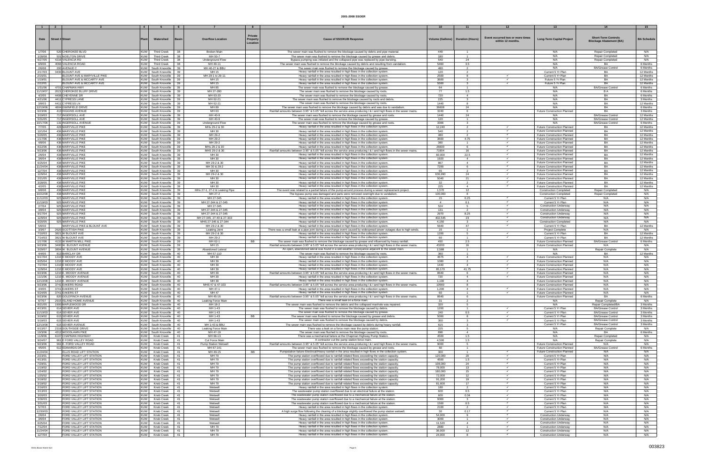| $\blacksquare$ 1 $\blacksquare$ |                                                      | $\begin{array}{ccc} \end{array}$ |                                              | - 6        | $\mathbf{R}$                                    |                                                                                                                                                                                                                        |                   | 11                                     |                                  |                                                                          | 14                                                   | 15                     |
|---------------------------------|------------------------------------------------------|----------------------------------|----------------------------------------------|------------|-------------------------------------------------|------------------------------------------------------------------------------------------------------------------------------------------------------------------------------------------------------------------------|-------------------|----------------------------------------|----------------------------------|--------------------------------------------------------------------------|------------------------------------------------------|------------------------|
| Date                            | <b>Street # Street</b>                               |                                  | Watershed                                    |            | Private<br><b>Overflow Location</b>             | <b>Cause of SSO/KUB Response</b>                                                                                                                                                                                       |                   |                                        | Event occurred two or more times |                                                                          | <b>Short-Term Controls</b>                           | <b>BA Schedule</b>     |
|                                 |                                                      |                                  |                                              |            | Property<br>Location                            |                                                                                                                                                                                                                        |                   | Volume (Gallons)   Duration (Hours)    | within 12 months.                | <b>Long-Term Capital Project</b>                                         | <b>Blockage Abatement (BA)</b>                       |                        |
| 1/7/06<br>1/28/08               | 520 CHEROKEE BLVD<br>501 NOELTON DRIVE               | <b>KUW</b><br><b>KUW</b>         | <b>Third Creek</b><br><b>Third Creek</b>     | -38<br>38  | Broken Main<br>MH 50-7                          | The sewer main was flushed to remove the blockage caused by debris and pipe material<br>The sewer main was flushed to remove the blockage caused by grease and debris.                                                 | 449<br>180        | $\blacksquare$                         |                                  | N/A<br>N/A                                                               | Repair Completed<br>Repair Completed                 | N/A<br>N/A             |
| 6/27/05<br>9/9/06               | 4216 VALENCIA RD<br>4066 VALENCIA ROAD               | <b>KUW</b><br><b>KUW</b>         | <b>Third Creek</b><br><b>Third Creek</b>     | 38<br>38   | Underground Flow<br>MH 49-11                    | Bypass pumping was initiated and the collapsed pipe was replaced by pipe-bursting.<br>The sewer main was flushed to remove the blockage caused by debris and resulting from vandalism.                                 | 540<br>5460       | 24<br>3.5                              |                                  | N/A<br>N/A                                                               | Repair Completed<br><b>BA</b>                        | N/A<br>6 Months        |
| 2/6/08                          | 200 AVENUE C                                         |                                  | KUW South Knoxville                          | 39         | MH 40-27 & BBU                                  | The sewer main was flushed to remove the blockage caused by grease.                                                                                                                                                    | 480               | 2                                      |                                  | N/A                                                                      | <b>BA/Grease Control</b>                             | 6 Months               |
| 2/17/03<br>2/15/01              | 3430 BLOUNT AVE<br>BLOUNT AVE & MARYVILLE PIKE       |                                  | KUW South Knoxville<br>KUW South Knoxville   | 39<br>39   | MH 15<br>MH 29-1 to 29-11                       | Heavy rainfall in the area resulted in high flows in the collection system<br>Heavy rainfall in the area resulted in high flows in the collection system.                                                              | 120<br>2500       | $\overline{2}$<br>8                    |                                  | Current 5 Yr Plan<br>Current 5 Yr Plan                                   | <b>BA</b><br><b>BA</b>                               | 12 Months<br>12 Months |
| 1/19/01                         | BLOUNT AVE & MCCARTY AVE                             |                                  | KUW South Knoxville                          | 39         | MH 15                                           | Heavy rainfall in the area resulted in high flows in the collection system.                                                                                                                                            | 3600              | $\mathbf{3}$                           | $\checkmark$                     | Future 5 Yr Plan                                                         | BA                                                   | 12 Months              |
| 2/22/01<br>1/31/06              | BLOUNT AVE & MCCARTY AVE<br>4701 CHAPMAN HWY         |                                  | KUW South Knoxville<br>KUW South Knoxville   | 39<br>39   | MH 15<br>MH 85                                  | Heavy rainfall in the area resulted in high flows in the collection system.<br>The sewer main was flushed to remove the blockage caused by grease.                                                                     | 5500<br>64        | $\mathbf{3}$<br>$\mathbf{1}$           |                                  | Future 5 Yr Plan<br>N/A                                                  | BA<br><b>BA/Grease Control</b>                       | 12 Months<br>6 Months  |
| 11/19/07                        | 2021 CHEROKEE BLUFF DRIVE<br>4408 CHEYENNE DR        |                                  | KUW South Knoxville<br>KUW South Knoxville   | 39<br>39   | MH 27-280                                       | The sewer main was flushed to remove the blockage caused by roots.                                                                                                                                                     | 77                | 1.5                                    |                                  | N/A<br>N/A                                                               | <b>BA</b><br>BA                                      | 6 Months               |
| 4/2/05<br>4/21/06               | 4411 CYPRESS LANE                                    |                                  | KUW South Knoxville                          | - 39       | MH 63-20<br>MH 62-21                            | The sewer main was flushed to remove the blockage caused by roots<br>The sewer main was flushed to remove the blockage caused by roots and debris.                                                                     | 720<br>225        | 3                                      |                                  | N/A                                                                      | BA                                                   | 6 Months<br>3 Months   |
| 3/8/03<br>12/19/06              | 4411 CYPRESS LN<br>4804 GWINFIELD DRIVE              |                                  | KUW South Knoxville<br>KUW South Knoxville   | 39<br>-39  | MH 62-21<br>MH 89                               | The sewer main was flushed to remove the blockage caused by roots.<br>The sewer main was flushed to remove the blockage caused by debris and was due to vandalism                                                      | 1440<br>36608     | 8<br>24                                |                                  | N/A<br>N/A                                                               | BA<br><b>RA</b>                                      | 12 Months<br>6 Months  |
| 9/23/06                         | 413 HIGGINS AVENUE                                   |                                  | KUW   South Knoxville                        | 39         | MH 63                                           | Rainfall amounts between 3.95" & 5.05" fell across the service area producing I & I and high flows in the sewer mains.                                                                                                 | 3240              | 6                                      |                                  | <b>Future Construction Planned</b>                                       | BA                                                   | 3 Months               |
| 3/19/03<br>5/31/05              | 717 INGERSOLL AVE<br>717 INGERSOLL AVE               |                                  | KUW South Knoxville<br>KUW South Knoxville   | 39<br>39   | MH 40-9<br>MH 40-9                              | The sewer main was flushed to remove the blockage caused by grease and roots<br>The sewer main was flushed to remove the blockage caused by grease.                                                                    | 1440<br>120       | 24<br>$\blacktriangleleft$             |                                  | N/A<br>N/A                                                               | <b>BA/Grease Control</b><br><b>BA/Grease Control</b> | 12 Months<br>12 Months |
| 10/17/06<br>7/7/05              | 131 INGERSOLL AVENUE<br>428 MARYVILLE PIKE           |                                  | KUW South Knoxville<br>KUW South Knoxville   | - 39<br>39 | Underground Flow<br>MHs 29-2 & 30               | The sewer main was flushed to remove the blockage caused by grease and roots.<br>Heavy rainfall in the area resulted in high flows in the collection system.                                                           | 3366<br>12,240    | 3<br>$\overline{2}$                    | $\checkmark$                     | N/A<br><b>Future Construction Planned</b>                                | <b>BA/Grease Control</b><br>BA                       | 6 Months<br>12 Months  |
| 12/1/04                         | 436 MARYVILLE PIKE                                   |                                  | KUW South Knoxville                          | 39         | MH 30                                           | Heavy rainfall in the area resulted in high flows in the collection system                                                                                                                                             | 540               |                                        | ✓                                | <b>Future Construction Planned</b>                                       | <b>BA</b>                                            | 12 Months              |
| 5/20/05<br>1/17/06              | 436 MARYVILLE PIKE<br>436 MARYVILLE PIKE             |                                  | KUW South Knoxville<br>KUW   South Knoxville | 39<br>39   | MH 29-2<br>MH 29-2                              | Heavy rainfall in the area resulted in high flows in the collection system.<br>Heavy rainfall in the area resulted in high flows in the collection system.                                                             | 480<br>3600       | 2<br>4.75                              |                                  | <b>Future Construction Planned</b><br><b>Future Construction Planned</b> | BA<br><b>BA</b>                                      | 12 Months<br>12 Months |
| 4/8/06<br>4/22/06               | 436 MARYVILLE PIKE<br>436 MARYVILLE PIKE             |                                  | KUW South Knoxville<br>KUW South Knoxville   | - 39<br>39 | MH 29-2<br>MHs 29-2 & 30                        | Heavy rainfall in the area resulted in high flows in the collection system.<br>Heavy rainfall in the area resulted in high flows in the collection system.                                                             | 360<br>26600      | -1                                     | $\checkmark$                     | <b>Future Construction Planned</b><br><b>Future Construction Planned</b> | BA<br>BA                                             | 12 Months<br>12 Months |
| 9/23/06                         | 436 MARYVILLE PIKE                                   |                                  | KUW South Knoxville                          | 39         | MHS 29-2 & 30                                   | Rainfall amounts between 3.95" & 5.05" fell across the service area producing I & I and high flows in the sewer mains.                                                                                                 | 71904             | 16                                     |                                  | <b>Future Construction Planned</b>                                       | BA                                                   | 12 Months              |
| 2/6/04<br>3/6/04                | 438 MARYVILLE PIKE<br>438 MARYVILLE PIKE             |                                  | KUW South Knoxville<br>KUW South Knoxville   | 39<br>39   | MH 30<br>MH 30                                  | Heavy rainfall in the area resulted in high flows in the collection system.<br>Heavy rainfall in the area resulted in high flows in the collection system.                                                             | 60.000<br>1920    | 22.5<br>$\overline{4}$                 | $\checkmark$                     | <b>Future Construction Planned</b><br>Future Construction Planned        | <b>BA</b><br><b>BA</b>                               | 12 Months<br>12 Months |
| 6/25/04                         | <b>438 MARYVILLE PIKE</b><br>438 MARYVILLE PIKE      |                                  | KUW South Knoxville<br>KUW South Knoxville   | -39        | MH 29-2 & 30                                    | Heavy rainfall in the area resulted in high flows in the collection system                                                                                                                                             | 867               |                                        | ✓                                | <b>Future Construction Planned</b><br><b>Future Construction Planned</b> | BA<br>BA                                             | 12 Months<br>12 Months |
| 11/24/04<br>12/7/04             | 438 MARYVILLE PIKE                                   |                                  | KUW South Knoxville                          | 39<br>39   | MH 30 & 29-2<br>MH 30                           | Heavy rainfall in the area resulted in high flows in the collection system<br>Heavy rainfall in the area resulted in high flows in the collection system.                                                              | 7200<br>65        |                                        | $\checkmark$                     | Future Construction Planned                                              | <b>BA</b>                                            | 12 Months              |
| 12/9/04<br>2/21/05              | 438 MARYVILLE PIKE<br>438 MARYVILLE PIKE             |                                  | KUW South Knoxville<br>KUW South Knoxville   | 39<br>39   | MH 29-2 & 30<br>MH 30                           | Heavy rainfall in the area resulted in high flows in the collection system.<br>Heavy rainfall in the area resulted in high flows in the collection system                                                              | 636,990<br>5040   | 24<br>21                               | $\checkmark$<br>$\checkmark$     | <b>Future Construction Planned</b><br><b>Future Construction Planned</b> | <b>BA</b><br>BA                                      | 12 Months<br>12 Months |
| 3/28/05                         | 438 MARYVILLE PIKE                                   |                                  | KUW South Knoxville<br>KUW South Knoxville   | 39         | MH 30<br>MH 30                                  | Heavy rainfall in the area resulted in high flows in the collection system.                                                                                                                                            | 32                | $\overline{2}$<br>$\mathbf{A}$         | $\checkmark$<br>$\checkmark$     | Future Construction Planned                                              | <b>BA</b><br><b>BA</b>                               | 12 Months              |
| 4/2/05<br>9/8/08                | 438 MARYVILLE PIKE<br>438 MARYVILLE PIKE             |                                  | KUW South Knoxville                          | 39<br>- 39 | MHs 27-1, 27-2 & Leaking Pipe                   | Heavy rainfall in the area resulted in high flows in the collection system.<br>The event was related to a partial failure of the pump-around process during a sewer replacement project.                               | 225<br>1,570      | 12                                     |                                  | <b>Future Construction Planned</b><br><b>Construction Completed</b>      | <b>Repair Completed</b>                              | 12 Months<br>N/A       |
| 10/22/08<br>11/12/03            | 438 MARYVILLE PIKE<br>925 MARYVILLE PIKE             |                                  | KUW South Knoxville<br>KUW South Knoxville   | 39<br>39   | MH 27-2<br>MH 27-345                            | The bypass pump was damaged and parts were removed overnight due to vandalism.<br>Heavy rainfall in the area resulted in high flows in the collection system.                                                          | 100,000<br>15     | 8<br>0.25                              |                                  | <b>Construction Completed</b><br>Current 5 Yr Plan                       | <b>Repair Completed</b><br>N/A                       | N/A<br>N/A             |
| 11/19/03                        | 925 MARYVILLE PIKE<br>925 MARYVILLE PIKE             |                                  | KUW South Knoxville                          | 39         | MH 27-344 & 27-345                              | Heavy rainfall in the area resulted in high flows in the collection system.                                                                                                                                            | $\mathbf{A}$      | 0.1                                    | $\checkmark$<br>$\checkmark$     | Current 5 Yr Plan                                                        | N/A                                                  | N/A<br>N/A             |
| 2/7/04<br>3/8/04                | 925 MARYVILLE PIKE                                   |                                  | KUW South Knoxville<br>KUW South Knoxville   | - 39<br>39 | MH 27-345<br>MH 27-344 & 27-345                 | Heavy rainfall in the area resulted in high flows in the collection system.<br>Heavy rainfall in the area resulted in high flows in the collection system.                                                             | 524<br>131        | 5                                      |                                  | <b>Construction Underway</b><br>Construction Underway                    | N/A<br>N/A                                           | N/A                    |
| 9/17/04<br>12/9/04              | 925 MARYVILLE PIKE<br>925 MARYVILLE PIKE             |                                  | KUW South Knoxville<br>KUW South Knoxville   | 39<br>39   | MH 27-344 & 27-345<br>MH 27-345, 27-40 & 27-333 | Heavy rainfall in the area resulted in high flows in the collection system.<br>Heavy rainfall in the area resulted in high flows in the collection system.                                                             | 2970<br>402,545   | 8.25<br>23                             | $\checkmark$<br>✓                | <b>Construction Underway</b><br><b>Construction Underway</b>             | N/A<br>N/A                                           | N/A<br>N/A             |
| 5/20/05                         | 925 MARYVILLE PIKE                                   |                                  | KUW South Knoxville                          | 39         | MHS 27-345 & 27-344                             | Heavy rainfall in the area resulted in high flows in the collection system.                                                                                                                                            | 4,150             | 3                                      | ✓                                | <b>Construction Completed</b>                                            | N/A                                                  | N/A                    |
| 5/6/03<br>3/3/07                | MARYVILLE PIKE & BLOUNT AVE<br>2620 SCOTTISH PIKE    |                                  | KUW South Knoxville<br>KUW South Knoxville   | 39<br>39   | MH 29-2 & 30<br>Leaking Joint                   | Heavy rainfall in the area resulted in high flows in the collection system.<br>There was a small leak at a pipe joint during a surcharge event caused by widespread power outages due to high winds.                   | 5640<br>15        | 47                                     | $\checkmark$                     | Current 5 Yr Plan<br>Project Complete                                    | BA<br>N/A                                            | 12 Months<br>N/A       |
| 7/10/03<br>7/14/03              | 3821 W BLOUNT AVE<br>3821 W BLOUNT AVE               |                                  | KUW South Knoxville<br>KUW South Knoxville   | 39<br>39   | MH 29-2 & 30<br>MH 29-2                         | Heavy rainfall in the area resulted in high flows in the collection system.<br>Heavy rainfall in the area resulted in high flows in the collection system.                                                             | 1200<br>60        | -5                                     | ✓                                | Current 5 Yr Plan<br>Current 5 Yr Plan                                   | RA<br><b>BA</b>                                      | 12 Months<br>12 Months |
| 1/17/06                         | 4132 W MARTIN MILL PIKE                              |                                  | KUW South Knoxville                          | 39         | MH 62-1<br><b>BB</b>                            | The sewer main was flushed to remove the blockage caused by grease and influenced by heavy rainfall.                                                                                                                   | 450               | 2.5                                    |                                  | <b>Future Construction Planned</b>                                       | <b>BA/Grease Control</b>                             | 6 Months               |
| 9/23/06<br>3/29/07              | 3400 W. BLOUNT AVENUE<br>3804 W. BLOUNT AVENUE       |                                  | KUW South Knoxville<br>KUW South Knoxville   | 39<br>39   | MH 15<br>Abandoned Lateral                      | Rainfall amounts between 3.95" & 5.05" fell across the service area producing I & I and high flows in the sewer mains.<br>An open, abandoned lateral was found in a wet-weather conveyance adjacent to the sewer main. | 43200<br>2,588    | 16<br>$\blacktriangleleft$             |                                  | <b>Future Construction Planned</b><br>N/A                                | N/A<br>Repair Complete                               | N/A<br>N/A             |
| 4/4/05<br>6/17/04               | 813 BARCLAY DR<br>1210 E MOODY AVE                   |                                  | KUW South Knoxville<br>KUW South Knoxville   | 40<br>40   | MH 57-110<br>MH 39                              | The sewer main was flushed to remove the blockage caused by roots<br>Heavy rainfall in the area resulted in high flows in the collection system.                                                                       | 360<br>4675       | $\blacktriangleleft$<br>$\overline{a}$ | ✓                                | N/A<br><b>Future Construction Planned</b>                                | BA<br>N/A                                            | 12 Months<br>N/A       |
| 6/25/04                         | 1210 E MOODY AVE                                     |                                  | KUW South Knoxville                          | 40         | MH 39                                           | Heavy rainfall in the area resulted in high flows in the collection system                                                                                                                                             | 1080              |                                        | $\checkmark$                     | <b>Future Construction Planned</b>                                       | N/A                                                  | N/A                    |
| 7/27/04<br>12/9/04              | 1210 E MOODY AVE<br>1210 E MOODY AVE                 |                                  | KUW South Knoxville<br>KUW South Knoxville   | 40<br>40   | MH 39<br>MH 39                                  | Heavy rainfall in the area resulted in high flows in the collection system<br>Heavy rainfall in the area resulted in high flows in the collection system.                                                              | 1440<br>85,170    | $\overline{a}$<br>41.75                | $\checkmark$                     | Future Construction Planned<br><b>Future Construction Planned</b>        | N/A<br>N/A                                           | N/A<br>N/A             |
| 9/23/06<br>11/1/06              | 1210 E. MOODY AVENUE<br>1210 E. MOODY AVENUE         |                                  | KUW South Knoxville<br>KUW South Knoxville   | 40<br>40   | MH 39<br>MH 39                                  | Rainfall amounts between 3.95" & 5.05" fell across the service area producing I & I and high flows in the sewer mains.<br>Heavy rainfall in the area resulted in high flows in the collection system                   | 8640<br>720       | 6<br>$\mathbf{A}$                      |                                  | <b>Future Construction Planned</b><br><b>Future Construction Planned</b> | N/A<br>N/A                                           | N/A<br>N/A             |
| 12/10/08                        | 1210 E. MOODY AVENUE                                 |                                  | KUW South Knoxville 40                       |            | MH 39                                           | Heavy rainfall in the area resulted in high flows in the collection system.                                                                                                                                            | 1,100             |                                        |                                  | Future Construction Planned                                              | N/A                                                  | N/A                    |
| 9/23/06<br>4/4/05               | 3741 EAKERS ROAD<br>3741 EAKERS ST                   |                                  | KUW   South Knoxville<br>KUW South Knoxville | 40<br>40   | MHS 47 & 47-103<br>MH 47-1                      | Rainfall amounts between 3.95" & 5.05" fell across the service area producing I & I and high flows in the sewer mains.<br>Heavy rainfall in the area resulted in high flows in the collection system                   | 10560<br>1,200    | 8                                      | ✓                                | Future Construction Planned<br><b>Future Construction Planned</b>        | N/A<br>N/A                                           | N/A<br>N/A             |
| 5/24/05<br>9/23/06              | 3741 EAKERS ST<br>820 GOLDFINCH AVENUE               |                                  | KUW South Knoxville<br>KUW South Knoxville   | 40<br>40   | MH 47<br>MH 45-16                               | Heavy rainfall in the area resulted in high flows in the collection system.<br>Rainfall amounts between 3.95" & 5.05" fell across the service area producing I & I and high flows in the sewer mains.                  | 60<br>8640        | $\overline{1}$<br>6                    | $\checkmark$                     | Future Construction Planned<br><b>Future Construction Planned</b>        | N/A<br>BA                                            | N/A<br>6 Months        |
| 6/7/07                          | 2915 ISLAND HOME AVENUE                              |                                  | KUW South Knoxville                          | 40         | Leaking Force Mair                              | There was a small leak on a force main.                                                                                                                                                                                | 31                | $\overline{2}$                         |                                  | N/A                                                                      | Repair Complete                                      | N/A                    |
| 8/21/05<br>4/13/01              | 1900 MAPLEWOOD DR<br>614 SEVIER AVE                  |                                  | KUW South Knoxville<br>KUW South Knoxville   | 40<br>40   | MH 18-2<br>MH 1-43                              | The sewer main was flushed to remove the debris and the collapsed manhole was repaired.<br>The sewer main was flushed to remove the blockage caused by debris.                                                         | 320<br>1200       | 5<br>$\overline{1}$                    |                                  | N/A<br>Current 5 Yr Plan                                                 | Repair Completed/BA<br>BA/Grease Control             | 3 Months<br>3 Months   |
| 11/10/03<br>3/19/02             | 614 SEVIER AVE<br>615 SEVIER AVE                     |                                  | KUW South Knoxville<br>KUW South Knoxville   | 40<br>40   | MH 1-43<br>MH 1-43<br>BB                        | The sewer main was flushed to remove the blockage caused by grease.<br>The sewer main was flushed to remove the blockage caused by grease and debris.                                                                  | 240<br>5000       | 0.5<br>8                               | $\checkmark$<br>✓                | Current 5 Yr Plan<br>Current 5 Yr Plan                                   | <b>BA/Grease Control</b><br><b>BA/Grease Control</b> | 3 Months<br>3 Months   |
| 5/19/03                         | 615 SEVIER AVE                                       |                                  | KUW South Knoxville                          | 40         | MH 1-43                                         | The sewer main was flushed to remove the blockage caused by debris.                                                                                                                                                    | 300               | $\overline{3}$                         | $\checkmark$                     | Current 5 Yr Plan                                                        | <b>BA/Grease Control</b>                             | 3 Months               |
| 12/10/08<br>6/13/07             | 615 SEVIER AVENUE<br>2319 SOUTHSIDE DRIVE            |                                  | KUW South Knoxville<br>KUW South Knoxville   | 40<br>40   | MH 1-43 & BBL<br>Leaking Force Mair             | The sewer main was flushed to remove the blockage caused by debris during heavy rainfall<br>There was a leak on a force main near the pump station.                                                                    | 615<br>225        | $\mathbf{R}$<br>5                      |                                  | Current 5 Yr Plan<br>N/A                                                 | <b>BA/Grease Control</b><br>Repair Complete          | 3 Months<br>N/A        |
| 10/3/06<br>11/9/06              | 4312 WOODLAWN PIKE<br>6107 CHAPMAN HIGHWAY           | <b>KUW</b>                       | KUW South Knoxville<br>Knob Creek            | - 40<br>41 | MH 47-19<br>MH 66-13                            | The sewer main was flushed to remove the blockage caused by roots.<br>There was a mechanical failure at the Chapman Highway Pump Station.                                                                              | 898<br>4500       | $\overline{4}$<br>1.5                  |                                  | N/A<br>N/A                                                               | BA<br>Repair Completed                               | 6 Months<br>N/A        |
| 9/24/07                         | 961 E FORD VALLEY ROAD                               |                                  | KUW Knob Creek                               | 41         | Cut Force Main                                  | A contractor cut the pump station force main.                                                                                                                                                                          | 4,500             | 1.5                                    |                                  | N/A                                                                      | Repair Complete                                      | N/A                    |
| 9/23/06<br>4/5/05               | 961 E. FORD VALLEY ROAD<br>612 EDWARDS DR            | <b>KUW</b><br><b>KUW</b>         | Knob Creek<br>Knob Creek                     | 41<br>41   | <b>Pump Station Wetwell</b><br>MH 67-141        | Rainfall amounts between 3.95" & 5.05" fell across the service area producing I & I and high flows in the sewer mains.<br>The sewer main was flushed to remove the blockage caused by grease and roots.                | 9000<br>60        | 5<br>$\overline{1}$                    |                                  | Future Construction Planned<br><b>Future Construction Planned</b>        | N/A<br><b>BA/Grease Control</b>                      | N/A<br>6 Months        |
| 11/24/04                        | ELLIS ROAD LIFT STATION                              | <b>KUW</b>                       | Knob Creek                                   | 41         | MH 49-15<br>BB                                  | Pumpstation failure-Electrical/Heavy rainfall in the area resulted in high flows in the collection system.                                                                                                             | 300               |                                        | $\checkmark$                     | <b>Future Construction Planned</b>                                       | N/A                                                  | N/A                    |
| 2/23/01<br>4/13/01              | FORD VALLEY LIFT STATION<br>FORD VALLEY LIFT STATION | <b>KUW</b><br><b>KUW</b>         | Knob Creek<br>Knob Creek                     | 41<br>41   | MH 79<br>MH 79                                  | The pump station overflowed due to rainfall-related flows exceeding the station capacity.<br>The pump station overflowed due to rainfall-related flows exceeding the station capacity.                                 | 120,000<br>4500   | 20<br>1.5                              | ✓                                | Current 5 Yr Plan<br>Current 5 Yr Plan                                   | N/A<br>N/A                                           | N/A<br>N/A             |
| 7/29/01<br>1/19/02              | FORD VALLEY LIFT STATION<br>FORD VALLEY LIFT STATION | <b>KUW</b><br><b>KUW</b>         | Knob Creek<br>Knob Creek                     | 41<br>41   | MH 79<br>MH 79                                  | The pump station overflowed due to rainfall-related flows exceeding the station capacity.<br>The pump station overflowed due to rainfall-related flows exceeding the station capacity.                                 | 108,000<br>78,000 | 24<br>13                               | $\checkmark$<br>$\checkmark$     | Current 5 Yr Plan<br>Current 5 Yr Plan                                   | N/A<br>N/A                                           | N/A<br>N/A             |
| 1/24/02                         | FORD VALLEY LIFT STATION                             | <b>KUW</b>                       | <b>Knob Creek</b>                            | 41         | MH 79                                           | The pump station overflowed due to rainfall-related flows exceeding the station capacity.                                                                                                                              | 180,000           | $15^{\circ}$                           | $\checkmark$                     | Current 5 Yr Plan                                                        | N/A                                                  | N/A                    |
| 1/25/02<br>3/18/02              | FORD VALLEY LIFT STATION<br>FORD VALLEY LIFT STATION | <b>KUW</b><br><b>KUW</b>         | Knob Creek<br>Knob Creek                     | 41<br>41   | MH 79<br>MH 79                                  | The pump station overflowed due to rainfall-related flows exceeding the station capacity.<br>The pump station overflowed due to rainfall-related flows exceeding the station capacity.                                 | 72,000<br>91.200  | 12<br>19                               | $\checkmark$<br>$\checkmark$     | Current 5 Yr Plan<br>Current 5 Yr Plan                                   | N/A<br>N/A                                           | N/A<br>N/A             |
| 3/19/02<br>2/16/03              | FORD VALLEY LIFT STATION<br>FORD VALLEY LIFT STATION | <b>KUW</b><br><b>KUW</b>         | Knob Creek<br>Knob Creek                     | 41<br>41   | MH 79<br>Wetwell                                | The pump station overflowed due to rainfall-related flows exceeding the station capacity.<br>Heavy rainfall in the area resulted in high flows in the collection system.                                               | 81,600<br>180     | 17<br>$\overline{2}$                   | $\checkmark$<br>$\checkmark$     | Current 5 Yr Plan<br>Current 5 Yr Plan                                   | N/A<br>N/A                                           | N/A<br>N/A             |
| 3/13/03                         | FORD VALLEY LIFT STATION                             | <b>KUW</b>                       | Knob Creek                                   | 41         | Wetwell                                         | The wastewater pump station overflowed due to an electrical failure at the station.                                                                                                                                    | 600               | 0.5                                    | $\checkmark$                     | Current 5 Yr Plan                                                        | N/A                                                  | N/A                    |
| 3/20/03<br>3/30/03              | FORD VALLEY LIFT STATION<br>FORD VALLEY LIFT STATION | <b>KUW</b><br><b>KUW</b>         | Knob Creek<br>Knob Creek                     | 41<br>41   | Wetwell<br>Wetwell                              | The wastewater pump station overflowed due to a mechanical failure at the station.<br>The wastewater pump station overflowed due to a mechanical failure at the station.                                               | 600<br>9000       | 0.34<br>$\mathbf{3}$                   | $\checkmark$<br>$\checkmark$     | Current 5 Yr Plan<br>Current 5 Yr Plan                                   | N/A<br>N/A                                           | N/A<br>N/A             |
| 3/31/03<br>5/7/03               | FORD VALLEY LIFT STATION<br>FORD VALLEY LIFT STATION | <b>KUW</b>                       | Knob Creek<br>KUW Knob Creek                 | 41<br>41   | Wetwell<br>Wetwell                              | The wastewater pump station overflowed due to a mechanical failure at the station.<br>Heavy rainfall in the area resulted in high flows in the collection system.                                                      | 1500<br>2100      | 0.5<br>2                               | $\checkmark$                     | Current 5 Yr Plan<br>Current 5 Yr Plan                                   | N/A<br>N/A                                           | N/A<br>N/A             |
| 12/30/03                        | FORD VALLEY LIFT STATION                             | <b>KUW</b>                       | Knob Creek                                   | 41         | Wetwell                                         | A high surge flow following the clearing of a blockage slightly overflowed the pump station wetwell.                                                                                                                   | 30                | 0.17                                   | $\checkmark$                     | Current 5 Yr Plan                                                        | N/A                                                  | N/A                    |
| 2/6/04<br>3/6/04                | FORD VALLEY LIFT STATION<br>FORD VALLEY LIFT STATION | <b>KUW</b><br><b>KUW</b>         | Knob Creek<br>Knob Creek                     | 41<br>41   | Wetwell<br>Wetwell                              | Heavy rainfall in the area resulted in high flows in the collection system<br>Heavy rainfall in the area resulted in high flows in the collection system                                                               | 54.000<br>3000    | $\mathbf{Q}$<br>$\overline{1}$         | $\checkmark$                     | <b>Construction Underway</b><br><b>Construction Underway</b>             | N/A<br>N/A                                           | N/A<br>N/A             |
| 6/25/04<br>7/12/04              | FORD VALLEY LIFT STATION<br>FORD VALLEY LIFT STATION | <b>KUW</b><br><b>KUW</b>         | Knob Creek<br><b>Knob Creek</b>              | 41<br>41   | Wetwell<br>MH 79                                | Heavy rainfall in the area resulted in high flows in the collection system.<br>Heavy rainfall in the area resulted in high flows in the collection system.                                                             | 11.520<br>2880    | $\Delta$<br>$\mathbf{1}$               | ✓<br>✓                           | <b>Construction Underway</b><br><b>Construction Underway</b>             | N/A<br>N/A                                           | N/A<br>N/A             |
| 11/24/04                        | FORD VALLEY LIFT STATION                             | <b>KUW</b>                       | Knob Creek                                   | 41         | MH 79                                           | Heavy rainfall in the area resulted in high flows in the collection system.                                                                                                                                            | 36,000            | 12                                     | ✓                                | <b>Construction Underway</b>                                             | N/A                                                  | N/A                    |
| 12/7/04                         | FORD VALLEY LIFT STATION                             |                                  | KUW Knob Creek                               | 41         | MH 79                                           | Heavy rainfall in the area resulted in high flows in the collection system.                                                                                                                                            | 24,000            | 8                                      | $\checkmark$                     | <b>Construction Underway</b>                                             | N/A                                                  | N/A                    |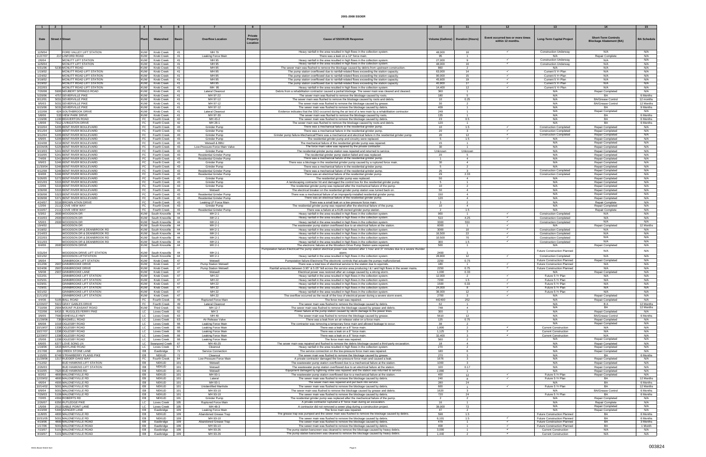|                     |                                                        |                          |                                     |            |                                                | Private  |                                                                                                                                                                                      |                  |                                     |                                                       |                                                              |                                                              |                      |
|---------------------|--------------------------------------------------------|--------------------------|-------------------------------------|------------|------------------------------------------------|----------|--------------------------------------------------------------------------------------------------------------------------------------------------------------------------------------|------------------|-------------------------------------|-------------------------------------------------------|--------------------------------------------------------------|--------------------------------------------------------------|----------------------|
| Date                | <b>Street # Street</b>                                 |                          | Watershed                           | Basin      | <b>Overflow Location</b>                       | Property | <b>Cause of SSO/KUB Response</b>                                                                                                                                                     |                  | Volume (Gallons)   Duration (Hours) | Event occurred two or more times<br>within 12 months. | <b>Long-Term Capital Project</b>                             | <b>Short-Term Controls</b><br><b>Blockage Abatement (BA)</b> | <b>BA Schedule</b>   |
|                     |                                                        |                          |                                     |            |                                                | Location |                                                                                                                                                                                      |                  |                                     |                                                       |                                                              |                                                              |                      |
|                     |                                                        |                          |                                     |            |                                                |          |                                                                                                                                                                                      |                  |                                     |                                                       |                                                              |                                                              |                      |
| 12/9/04             | FORD VALLEY LIFT STATION                               | <b>KUW</b>               | Knob Creek                          | 41         | MH 79                                          |          | Heavy rainfall in the area resulted in high flows in the collection system.                                                                                                          | 48,000           | 16                                  |                                                       | <b>Construction Underway</b>                                 | N/A                                                          | N/A                  |
| 11/27/07            | 217 LINFORD ROAD                                       | <b>KUW</b>               | Knob Creek                          | 41         | Leaking Force Main                             |          | There was a leak on a 12" force main.                                                                                                                                                | 95               | $\sim$                              |                                                       | N/A                                                          | Repair Complete                                              | N/A                  |
| 2/6/04              | MCNUTT LIFT STATION                                    | KUW                      | Knob Creek                          | 41         | MH 95                                          |          | Heavy rainfall in the area resulted in high flows in the collection system                                                                                                           | 27,000           | $\alpha$                            |                                                       | <b>Construction Underway</b>                                 | N/A                                                          | N/A                  |
| 12/9/04             | MCNUTT LIFT STATION                                    | <b>KUW</b>               | Knob Creek                          | 41         | MH 95                                          |          | Heavy rainfall in the area resulted in high flows in the collection system                                                                                                           | 48,000           | 16                                  | $\checkmark$                                          | <b>Construction Underway</b>                                 | N/A                                                          | N/A                  |
| 5/31/06             | 5230 MCNUTT ROAD                                       | <b>KUW</b>               | Knob Creek                          | 41         | MH 95                                          |          | The sewer main was flushed to remove the blockage caused by debris from upstream construction.                                                                                       | 860              | $\overline{2}$                      |                                                       | N/A                                                          | N/A                                                          | N/A                  |
| 1/19/02             | MCNUTT ROAD LIFT STATION                               | <b>KUW</b>               | Knob Creek                          | 41         | MH 95                                          |          | The pump station overflowed due to rainfall-related flows exceeding the station capacity                                                                                             | 63,000           | 14                                  | $\checkmark$                                          | Current 5 Yr Plan                                            | N/A                                                          | N/A                  |
| 1/24/02             | MCNUTT ROAD LIFT STATION                               | <b>KUW</b>               | Knob Creek                          | 41         | MH 95                                          |          | The pump station overflowed due to rainfall-related flows exceeding the station capacity<br>The pump station overflowed due to rainfall-related flows exceeding the station capacity | 90,000           | 15<br>19                            |                                                       | Current 5 Yr Plan                                            | N/A                                                          | N/A                  |
| 3/18/02<br>3/19/02  | MCNUTT ROAD LIFT STATION<br>MCNUTT ROAD LIFT STATION   | <b>KUW</b>               | Knob Creek                          | 41<br>41   | MH 95<br>MH 95                                 |          |                                                                                                                                                                                      | 45,600           | 17                                  |                                                       | Current 5 Yr Plan                                            | N/A                                                          | N/A                  |
| 2/22/03             | MCNUTT ROAD LIFT STATION                               | <b>KUW</b><br><b>KUW</b> | Knob Creek<br>Knob Creek            | 41         | MH 95                                          |          | The pump station overflowed due to rainfall-related flows exceeding the station capacity<br>Heavy rainfall in the area resulted in high flows in the collection system.              | 40,800<br>14,400 | 12                                  | $\checkmark$                                          | Current 5 Yr Plan<br>Current 5 Yr Plan                       | N/A<br>N/A                                                   | N/A<br>N/A           |
| 7/20/08             | 5900 NEUBERT SPRINGS ROAD                              | <b>KUW</b>               | Knob Creek                          | 41         | Lateral Cleanout                               |          | Debris from a rehabilitation contractor caused a partial blockage. The sewer main was cleared and cleaned.                                                                           | 360              | $\overline{1}$                      |                                                       | N/A                                                          | Repair Completed                                             | N/A                  |
| 5/20/06             | 4757 SEVIERVILLE PIKE                                  | <b>KUW</b>               | Knob Creek                          | 41         | MH 97-22                                       |          | The sewer main was flushed to remove the blockage caused by roots.                                                                                                                   | 180              | -5                                  |                                                       | N/A                                                          | <b>BA</b>                                                    | 6 Months             |
| 8/12/01             | 5031 SEVIERVILLE PIKE                                  | <b>KUW</b>               | Knob Creek                          | 41         | MH 97-12                                       |          | The sewer main was flushed to remove the blockage caused by roots and debris                                                                                                         | 10               | 0.25                                |                                                       | N/A                                                          | <b>BA/Grease Control</b>                                     | 12 months            |
| 9/5/03              | 5031 SEVIERVILLE PIKE                                  | <b>KUW</b>               | Knob Creek                          | 41         | MH 97-12                                       |          | The sewer main was flushed to remove the blockage caused by grease                                                                                                                   | 30               | $\overline{2}$                      |                                                       | N/A                                                          | <b>BA/Grease Control</b>                                     | 12 Months            |
| 6/15/06             | 5031 SEVIERVILLE PIKE                                  | <b>KUW</b>               | Knob Creek                          | 41         | MH 97-12                                       |          | The sewer main was flushed to remove the blockage caused by debris.                                                                                                                  | 409              | $\overline{1}$                      |                                                       | N/A                                                          | BA                                                           | 9 Months             |
| 1/22/08             | 624 SOUTHBROOK DRIVE                                   | <b>KUW</b>               | Knob Creek                          | 41         | Lateral Cleanou                                |          | Evidence indicates that the SSO occurred during the air test of a new main by a rehabilitation contractor                                                                            | 249              | $\overline{1}$                      |                                                       | N/A                                                          | Repair Completed                                             | N/A                  |
| 5/8/06              | 533 VIEW PARK DRIVE                                    | <b>KUW</b>               | Knob Creek                          | 41         | MH 97-30                                       |          | The sewer main was flushed to remove the blockage caused by roots.                                                                                                                   | 135              | $\overline{1}$                      |                                                       | N/A                                                          | <b>BA</b>                                                    | 6 Months             |
| 1/16/06             | 1100 BEAVERTON ROAD                                    | FC                       | Fourth Creek                        | 42         | MH 43-2                                        |          | The sewer main was flushed to remove the blockage caused by debris                                                                                                                   | 23               | 0.5                                 |                                                       | N/A                                                          | BA                                                           | 6 Months             |
| 1/8/08              | 7912 LIVINGSTON DRIVE                                  | FC                       | Fourth Creek                        | 42         | MH 28-1                                        |          | The sewer main was flushed to remove the blockage caused by roots and debris.                                                                                                        | 120              |                                     |                                                       | N/A                                                          | <b>BA</b>                                                    | 6 Months             |
| 9/10/04             | 5205 BENT RIVER BOULEVARD                              | FC                       | Fourth Creek                        | 43         | Grinder Pump                                   |          | There was a mechanical failure in the residential grinder pump.                                                                                                                      | 10               | 1.5                                 | $\checkmark$                                          | <b>Construction Completed</b>                                | <b>Repair Completed</b>                                      | N/A                  |
| 9/11/04             | 5205 BENT RIVER BOULEVARD                              | FC                       | Fourth Creek                        | 43         | Grinder Pump                                   |          | There was a mechanical failure in the residential grinder pump                                                                                                                       | 20               | $\mathbf{3}$                        |                                                       | <b>Construction Completed</b>                                | <b>Repair Completed</b>                                      | N/A                  |
| 9/12/04             | 5205 BENT RIVER BOULEVARD                              | FC                       | Fourth Creek                        | 43         | Grinder Pump                                   |          | Grinder pump failure-Mechanical/There was a mechanical and electrical failure in the residential grinder pump.                                                                       | 20               | 12                                  |                                                       | <b>Construction Completed</b>                                | Repair Completed                                             | N/A                  |
| 6/9/05              | 5205 BENT RIVER BOULEVARD                              | FC                       | <b>Fourth Creek</b>                 | 43         | Grinder Pump                                   |          | The residential grinder pump and circuitry were replaced.                                                                                                                            | -5               | 1.5                                 |                                                       | N/A                                                          | Repair Completed                                             | N/A                  |
| 3/24/08             | 5219 BENT RIVER BOULEVARD<br>5225 BENT RIVER BOULEVARD | FC<br>FC                 | Fourth Creek                        | 43<br>43   | Wetwell & BBI<br>Low-Pressure Force Main Valve |          | The mechanical failure of the residential grinder pump was repaired<br>The force main valve was repaired by the private contractor.                                                  | 15<br>30         | $\overline{1}$                      |                                                       | N/A<br>N/A                                                   | Repair Completed                                             | N/A<br>N/A           |
| 10/26/05<br>9/13/03 | 5241 BENT RIVER BOULEVARD                              | FC                       | Fourth Creek<br><b>Fourth Creek</b> | 43         | Grinder Pump                                   |          |                                                                                                                                                                                      | Unknown          | Unknown                             |                                                       | N/A                                                          | <b>Repair Completed</b><br>Repair Completed                  | N/A                  |
| 3/10/05             | 5241 BENT RIVER BOULEVARD                              | FC                       | Fourth Creel                        | 43         | <b>Residential Grinder Pump</b>                |          | The residential grinder pump station was repaired and returned to service.                                                                                                           | 20               |                                     |                                                       | N/A                                                          | Repair Completed                                             | N/A                  |
| 7/4/08              | 5241 BENT RIVER BOULEVARD                              | FC                       | Fourth Creek                        | 43         | <b>Residential Grinder Pump</b>                |          | The residential grinder pump station failed and was replaced<br>There was a mechanical failure of the residential grinder pump                                                       | $\overline{1}$   | $\mathbf{A}$                        |                                                       | N/A                                                          | Repair Completed                                             | N/A                  |
| 9/9/03              | 5246 BENT RIVER BOULEVARD                              | FC                       | Fourth Creek                        | 43         | Grinder Pump                                   |          | There was a blockage in the residential grinder pump caused by a ruptured force main.                                                                                                | 30               | $\overline{4}$                      |                                                       | N/A                                                          | Repair Completed                                             | N/A                  |
| 11/30/04            | 5246 BENT RIVER BOULEVARD                              | FC                       | Fourth Creek                        | 43         | Grinder Pump                                   |          | There was a mechanical failure in the residential grinder pump                                                                                                                       |                  | -2                                  |                                                       | N/A                                                          | <b>Repair Completed</b>                                      | N/A                  |
| 6/12/08             | 5246 BENT RIVER BOULEVARD                              | FC                       | Fourth Creek                        | 43         | <b>Residential Grinder Pump</b>                |          | There was a mechanical failure of the residential grinder pump                                                                                                                       | 25               |                                     |                                                       | <b>Construction Completed</b>                                | Repair Completed                                             | N/A                  |
| 8/4/08              | 5246 BENT RIVER BOULEVARD                              | FC                       | Fourth Creek                        | 43         | <b>Residential Grinder Pump</b>                |          | There was an electrical failure of the residential grinder pump.                                                                                                                     | 29               | 2.33                                |                                                       | <b>Construction Completed</b>                                | Repair Completed                                             | N/A                  |
| 5/26/05             | 5272 BENT RIVER BOULEVARD                              | FC                       | Fourth Creek                        | 43         | <b>Grinder Pump</b>                            |          | The residential grinder pump was replaced.                                                                                                                                           | 50               | $\overline{4}$                      |                                                       | N/A                                                          | <b>Repair Completed</b>                                      | N/A                  |
| 9/21/03             | 5315 BENT RIVER BOULEVARD                              | FC                       | Fourth Creek                        | 43         | Grinder Pump                                   |          | A landscaping contractor hit and damaged the control box for the residential grinder pump.                                                                                           | -5               | $\mathbf{1}$                        |                                                       | N/A                                                          | <b>Repair Completed</b>                                      | N/A                  |
| 1/2/06              | 5315 BENT RIVER BOULEVARD                              | FC                       | Fourth Creek                        | 43         | <b>Grinder Pump</b>                            |          | The residential grinder pump was replaced after the mechanical failure of the pump.                                                                                                  | 10               | $\overline{2}$                      |                                                       | N/A                                                          | <b>Repair Completed</b>                                      | N/A                  |
| 3/30/08             | 5315 BENT RIVER BOULEVARD                              | FC                       | Fourth Creek                        | 43         | Wetwell                                        |          | The electrical breaker on the residential grinder pump station was turned back on                                                                                                    | 50               | $\overline{4}$                      |                                                       | N/A                                                          | Repair Completed                                             | N/A                  |
| 9/30/08             | 5323 BENT RIVER BOULEVARD                              | FC                       | Fourth Creek                        | 43         | <b>Residential Grinder Pump</b>                |          | There was a mechanical failure of an improperly-installed residential grinder pump.                                                                                                  | 150              | $\overline{4}$                      |                                                       | N/A                                                          | Repair Completed                                             | N/A                  |
| 9/28/08             | 5371 BENT RIVER BOULEVARD                              | FC                       | <b>Fourth Creek</b>                 | 43         | <b>Residential Grinder Pump</b>                |          | There was an electrical failure of the residential grinder pump.                                                                                                                     | 120              | $\overline{4}$                      |                                                       | N/A                                                          | <b>Repair Completed</b>                                      | N/A                  |
| 4/24/07             | 5516 BROWN ATKIN DRIVE                                 | FC                       | <b>Fourth Creek</b>                 | 43         | Leaking LP Force Main                          |          | There was a small leak on a low-pressure force main.                                                                                                                                 |                  | $\overline{2}$                      |                                                       | N/A                                                          | <b>Repair Complete</b>                                       | N/A                  |
| 1/2/06              | 2111 COVE VIEW WAY                                     | FC                       | Fourth Creek                        | 43         | Grinder Pump                                   |          | The residential grinder pump was repaired after the electrical failure of the pump.                                                                                                  | 10               | $\overline{4}$                      |                                                       | N/A                                                          | Repair Completed                                             | N/A                  |
| 6/10/07<br>5/3/02   | 2111 COVE VIEW WAY<br>2600 WOODSON DR                  | FC<br><b>KUW</b>         | Fourth Creek<br>South Knoxville     | 43<br>44   | <b>Residential Grinder Pump</b><br>MH 2-1      |          | There was a failure at a KUB-owned grinder pump station<br>Heavy rainfall in the area resulted in high flows in the collection system                                                | 900              | 1.5<br>$\overline{1}$               | $\checkmark$                                          | N/A<br><b>Construction Completed</b>                         | Repair Complete<br>N/A                                       | N/A<br>N/A           |
| 4/10/03             | 2600 WOODSON DR                                        |                          | KUW South Knoxville                 | 44         | MH 2-1                                         |          | Heavy rainfall in the area resulted in high flows in the collection system.                                                                                                          | 510              | 4.25                                | $\checkmark$                                          | <b>Construction Completed</b>                                | N/A                                                          | N/A                  |
| 5/5/03              | 2600 WOODSON DR                                        |                          | KUW South Knoxville                 | 44         | MH 2-1                                         |          | Heavy rainfall in the area resulted in high flows in the collection system                                                                                                           | 3300             | 550                                 |                                                       | <b>Construction Completed</b>                                | N/A                                                          | N/A                  |
| 10/4/02             | WOODSON DR                                             |                          | KUW South Knoxville                 | 44         | MH 2-1                                         |          | The wastewater pump station overflowed due to an electrical failure at the station.                                                                                                  | 6000             | $\mathbf{1}$                        |                                                       | N/A                                                          | Repair Completed                                             | 12 Months            |
| 3/18/02             | WOODSON DR & DEANBROOK RD                              | <b>KUW</b>               | South Knoxville                     | 44         | MH 2-1                                         |          | Heavy rainfall in the area resulted in high flows in the collection system                                                                                                           | 3000             | 10                                  |                                                       | <b>Construction Completed</b>                                | N/A                                                          | N/A                  |
| 2/14/03             | WOODSON DR & DEANBROOK RD                              | KUW                      | South Knoxville                     | 44         | MH 2-1                                         |          | Heavy rainfall in the area resulted in high flows in the collection system.                                                                                                          | 16,500           | 22                                  |                                                       | <b>Construction Completed</b>                                | N/A                                                          | N/A                  |
| 2/22/03             | WOODSON DR & DEANBROOK RD                              |                          | KUW South Knoxville                 | 44         | MH 2-1                                         |          | Heavy rainfall in the area resulted in high flows in the collection system                                                                                                           | 10,500           | 70                                  | $\checkmark$                                          | <b>Construction Completed</b>                                | N/A                                                          | N/A                  |
| 5/11/03             | <b>WOODSON DR &amp; DEANBROOK RD</b>                   | <b>KUW</b>               | South Knoxville                     | 44         | MH 2-1                                         |          | Heavy rainfall in the area resulted in high flows in the collection system                                                                                                           | 300              | 1.5                                 |                                                       | <b>Construction Completed</b>                                | N/A                                                          | N/A                  |
| 8/4/06              | 2600 WOODSON DRIVE                                     |                          | KUW South Knoxville                 | 44         | MH 2-1                                         |          | The electronic failures at the Woodson Drive Pump Station were repaired                                                                                                              | 500              | $\overline{1}$                      |                                                       | N/A                                                          | Repair Completed                                             | N/A                  |
|                     |                                                        |                          |                                     |            |                                                |          | Pumpstation failure-Electrical/The pump station electrical power was restored after 1 hour and 37 minutes due to a severe thunder                                                    |                  |                                     |                                                       | Future Construction Planned                                  | N/A                                                          | N/A                  |
| 5/31/04             | <b>WOODSON DRIVE LIFT STATION</b>                      | KUW                      | South Knoxville                     | 44<br>44   | MH 2-1<br>MH 2-1                               |          | storm                                                                                                                                                                                | 2400             |                                     | $\checkmark$                                          |                                                              | N/A                                                          |                      |
| 9/21/02             | WOODSON LIFTSTATION                                    | <b>KUW</b>               | South Knoxville                     |            |                                                |          | Heavy rainfall in the area resulted in high flows in the collection system.                                                                                                          | 28,800           | 12                                  |                                                       | <b>Construction Completed</b><br>Future Construction Planned | Repair Completed                                             | N/A<br>N/A           |
| 3/6/04<br>3/12/06   | <b>GINNBROOK LIFT STATION</b><br>2907 GINNBROOKE DRIVE | <b>KUW</b><br><b>KUW</b> | Knob Creek<br>Knob Creek            | 47<br>47   | Wetwell<br>Pump Station Wetwell                |          | Pumpstation failure-Electronic/The electronic controls that actuate the pumps malfunctioned.<br>There was a total loss of electrical service to the station due to squirrels.        | 2250<br>180      | 0.75<br>$\overline{1}$              | $\checkmark$                                          | Future Construction Planned                                  | N/A                                                          | N/A                  |
| 9/24/06             | 2907 GINNBROOKE DRIVE                                  | <b>KUW</b>               | Knob Creek                          | 47         | Pump Station Wetwell                           |          | Rainfall amounts between 3.95" & 5.05" fell across the service area producing I & I and high flows in the sewer mains.                                                               | 2250             | 0.75                                | $\checkmark$                                          | Future Construction Planned                                  | N/A                                                          | N/A                  |
| 5/9/08              | 2907 GINNBROOKE LANE                                   | <b>KUW</b>               | Knob Creek                          | 47         | Wetwel                                         |          | Electrical power was restored after an outage caused by a strong storm                                                                                                               | 1.000            | 0.33                                |                                                       | N/A                                                          | Repair Completed                                             | N/A                  |
| 5/22/01             | GINNBROOKE LIFT STATION                                | <b>KUW</b>               | Knob Creek                          | 47         | MH 22                                          |          | Heavy rainfall in the area resulted in high flows in the collection system                                                                                                           | 12,000           | $\overline{2}$                      | $\checkmark$                                          | Future 5 Yr Plan                                             | N/A                                                          | N/A                  |
| 6/25/01             | <b>GINNBROOKE LIFT STATION</b>                         | <b>KUW</b>               | Knob Creek                          | 47         | MH 22                                          |          | Heavy rainfall in the area resulted in high flows in the collection system                                                                                                           | 7200             | 1.5                                 |                                                       | Future 5 Yr Plan                                             | N/A                                                          | N/A                  |
| 6/29/01             | <b>GINNBROOKE LIFT STATION</b>                         | <b>KUW</b>               | Knob Creek                          | 47         | MH 22                                          |          | Heavy rainfall in the area resulted in high flows in the collection system                                                                                                           | 1500             | 0.33                                | $\checkmark$                                          | Future 5 Yr Plan                                             | N/A                                                          | N/A                  |
| 7/29/01             | <b>GINNBROOKE LIFT STATION</b>                         | <b>KUW</b>               | Knob Creek                          | 47         | MH 22                                          |          | Heavy rainfall in the area resulted in high flows in the collection system.                                                                                                          | 24,000           | 8                                   |                                                       | Future 5 Yr Plan                                             | N/A                                                          | N/A                  |
| 9/21/02             | <b>GINNBROOKE LIFT STATION</b>                         | KUW                      | Knob Creek                          | 47         | MH 22                                          |          | Heavy rainfall in the area resulted in high flows in the collection system                                                                                                           | 36,000           | 12                                  | $\checkmark$                                          | Future 5 Yr Plan                                             | N/A                                                          | N/A                  |
| 11/11/02            | <b>GINNBROOKE LIFT STATION</b>                         | <b>KUW</b>               | Knob Creek                          | 47         | MH 22                                          |          | The overflow occurred as the result of the loss of electrical power during a severe storm event.                                                                                     | 2700             | $\overline{3}$                      | $\checkmark$                                          | N/A                                                          | Repair Completed                                             | N/A                  |
| 4/4/06              | 5105 BALL ROAD                                         | FC                       | Fourth Creek                        | 49         | Ruptured Force Main                            |          | The force main was repaired.                                                                                                                                                         | 442400           | 252                                 |                                                       | N/A                                                          | <b>Repair Completed</b>                                      | N/A                  |
| 12/26/07            | 5922 GRAY GABLES DRIVE                                 | FC                       | Fourth Creek                        | 49         | Lateral Cleanout                               |          | The sewer main was flushed to remove the blockage caused by debris                                                                                                                   | 62               | $\sim$                              |                                                       | N/A                                                          | B A                                                          | 12 Months            |
| 7/10/08             | 2904 MOUNT PLEASANT ROAD                               | <b>KUW</b>               | <b>Third Creek</b>                  | 50         | MH 12-7                                        |          | The sewer main was flushed to remove the blockage caused by grease and debris                                                                                                        | 748              | $\overline{4}$                      |                                                       | N/A<br>N/A                                                   | <b>BA</b><br>Repair Completed                                | 12 Months<br>N/A     |
| 7/22/08<br>3/9/05   | 6410 S. RUGGLES FERRY PIKE<br>7590 ASHEVILLE HWY       | LC.<br>LC.               | Loves Creek<br>Loves Creek          | 62         | MH <sub>3</sub><br>MH 49                       |          | Power failure at the pump station caused by storm damage to the power lines.                                                                                                         | 300<br>5610      |                                     |                                                       | N/A                                                          | <b>BA/Grease Control</b>                                     | 6 Months             |
| 11/28/06            | 735 BAGWELL ROAD                                       | LC                       | <b>Loves Creek</b>                  | 63<br>63   | Air Release Valve                              |          | The sewer main was flushed to remove the blockage caused by grease.<br>There was a leak from an air release valve on a force main.                                                   | 125              | 12<br>0.75                          |                                                       | N/A                                                          | Repair Completed                                             | N/A                  |
| 8/6/08              | 1019 OGLESBY ROAD                                      | LC                       | Loves Creek                         | 66         | Leaking Force Main                             |          | The contractor was removing a temporary force main and allowed leakage to occur.                                                                                                     |                  |                                     |                                                       | N/A                                                          | Repair Completed                                             | N/A                  |
| 10/19/07            | 1338 OGLESBY ROAD                                      | LC                       | Loves Creek                         | 66         | Leaking Force Main                             |          | There was a leak on a 8" force main.                                                                                                                                                 | 1,800            |                                     |                                                       | <b>Current Construction</b>                                  | N/A                                                          | N/A                  |
| 10/27/07            | 1338 OGLESBY ROAD                                      | LC                       | Loves Creek                         | 66         | Leaking Force Main                             |          | There was a leak on a 8" force main.                                                                                                                                                 | 1.125            | $\mathbf{3}$                        | $\checkmark$                                          | <b>Current Construction</b>                                  | N/A                                                          | N/A                  |
| 12/29/07            | 1338 OGLESBY ROAD                                      | LC                       | Loves Creek                         | 66         | Leaking Force Main                             |          | There was a leak on a 8" force main.                                                                                                                                                 | 32,400           | $\mathbf{r}$                        |                                                       | <b>Current Construction</b>                                  | N/A                                                          | N/A                  |
| 2/5/08              | 1338 OGLESBY ROAD                                      | LC                       | Loves Creek                         | 66         | Leaking Force Main                             |          | The force main was repaired.                                                                                                                                                         | 560              |                                     |                                                       | N/A                                                          | <b>Repair Completed</b>                                      | N/A                  |
| 6/6/05              | 6377 LOVE SONG LN                                      |                          | LC Swanpond Cree                    | 67         | MH 40-25                                       |          | The sewer main was repaired and flushed to remove the debris blockage caused a third-party excavation.                                                                               | 18               | $\overline{4}$                      |                                                       | N/A                                                          | Repair Completed                                             | N/A                  |
| 1/18/06             | 1815 WAYLAND ROAD                                      | LC.                      | Loves Creek                         | 67         | Cleanout                                       |          | Heavy rainfall in the area resulted in high flows in the collection system.                                                                                                          | 270              | $\overline{2}$                      |                                                       | N/A                                                          | <b>Repair Completed</b>                                      | N/A                  |
| 2/17/08             | 206 CREEK STONE LANE                                   | EB                       | Eastbridge                          | 72         | Service Connection                             |          | The service connection on the low-pressure force main was repaired.                                                                                                                  | 180              | 6                                   |                                                       | N/A                                                          | Repair Completed                                             | N/A                  |
| 1/15/05             | 8748 STRAWBERRY PLAINS PIKE                            | EB                       | NEKUD                               | 72         | Cleanout                                       |          | The sewer main was flushed to remove the blockage caused by grease                                                                                                                   | 270              |                                     |                                                       | N/A                                                          | BA                                                           | 6 Months             |
| 11/28/06            | 1317 RUDDER OAKS WAY                                   | FC                       | Fourth Creek                        | 84         | Low-Pressure Force Main                        |          | A private contractor damaged the low-pressure force main and caused a leak                                                                                                           | 1676             | -3                                  |                                                       | N/A                                                          | Repair Completed                                             | N/A                  |
| 7/12/02             | <b>BUD HAWKINS LIFT STATION</b>                        | EB                       | <b>NEKUD</b>                        | 101        | Wetwell                                        |          | The wastewater pump station overflowed due to a mechanical failure at the station.                                                                                                   | 1000             | $\mathbf{3}$                        |                                                       | N/A                                                          | Repair Completed                                             | N/A                  |
| 2/26/03<br>6/10/05  | <b>BUD HAWKINS LIFT STATION</b><br>7620 BUD HAWKINS RD | EB<br>EB                 | NEKUD<br><b>NEKUD</b>               | 101<br>101 | Wetwell<br>Wetwell                             |          | The wastewater pump station overflowed due to an electrical failure at the station.<br>Equipment damaged by lightning strike was repaired and the station was returned to service.   | 100<br>2.880     | 0.17<br>$\mathbf{1}$                |                                                       | N/A<br>N/A                                                   | Repair Completed<br>Repair Completed                         | N/A<br>N/A           |
| 8/2/02              | 4800 MALONEYVILLE RD                                   | EB                       | NEKUD                               | 101        | MH 93-1                                        |          | The wastewater pump station overflowed due to a mechanical failure at the station.                                                                                                   | 400              | 12                                  | $\checkmark$                                          | Future 5 Yr Plan                                             | <b>Repair Completed</b>                                      | N/A                  |
| 12/29/02            | 4800 MALONEYVILLE RD                                   | EB                       | <b>NEKUD</b>                        | 101        | Lateral                                        |          | The sewer main was flushed to remove the blockage caused by debris.                                                                                                                  | 240              | 8                                   | $\checkmark$                                          | Future 5 Yr Plan                                             | BA                                                           | 12 Months            |
| 4/6/04              | 4900 MALONEYVILLE RD                                   | EB                       | NEKUD                               | 101        | MH 93-1                                        |          | The sewer main was repaired and put back into service.                                                                                                                               | 280              | 24                                  |                                                       | N/A                                                          | BA                                                           | 6 Months             |
| 10/14/02            | 5001 MALONEYVILLE RD                                   | EB                       | <b>NEKUD</b>                        | 101        | <b>Unidentified Manhole</b>                    |          | The sewer main was flushed to remove the blockage caused by debris.                                                                                                                  | 600              | $\sim$                              | $\checkmark$                                          | Future 5 Yr Plan                                             | BA                                                           | 12 Months            |
| 8/9/04              | 5001 MALONEYVILLE RD                                   | EB                       | NEKUD                               | 101        | MH 93-10                                       |          | The sewer main was flushed to remove the blockage caused by grease and debris.                                                                                                       | 1620             | $\mathcal{R}$                       |                                                       | N/A                                                          | <b>BA/Grease Control</b>                                     | 6 Months             |
| 7/29/03             | 5109 MALONEYVILLE RD                                   | EB                       | NEKUD                               | 101        | MH 93-10                                       |          | The sewer main was flushed to remove the blockage caused by debris.                                                                                                                  | 720              | 24                                  |                                                       | Future 5 Yr Plan                                             | BA                                                           | 6 Months             |
| 7/2/05              | 4304 ROBERTS RD                                        | EB                       | NEKUD                               | 101        | Grinder Pump                                   |          | The residential grinder pump was replaced after the mechanical failure of the pump.                                                                                                  | $\overline{2}$   | $\overline{2}$                      |                                                       | N/A                                                          | <b>Repair Completed</b>                                      | N/A                  |
| 2/26/07             | 6350 RUTLEDGE PIKE                                     | LC                       | Loves Creek                         | 105        | Ruptured Force Mair                            |          | A private contractor ruptured a 6" force main during an excavation.                                                                                                                  | 16               | $\overline{1}$                      |                                                       | N/A                                                          | Repair Complete                                              | N/A                  |
| 1/5/08              | 2513 SABLE POINT LANE                                  | LC                       | oves Creek                          | 105        | MH 48-3                                        |          | A contractor did not removed a sewer plug during a construction project.                                                                                                             | 39,000           | 72                                  |                                                       | N/A                                                          | Repair Completed                                             | N/A                  |
| 4/23/08             | 5300 AZINGER LANE                                      | EB                       | Eastbridge                          | 109        | Leaking Force Main                             |          | The force main was repaired.                                                                                                                                                         | 47               | $\overline{2}$                      |                                                       | N/A                                                          | Repair Completed                                             | N/A                  |
| 11/8/05             | 4800 MALONEYVILLE RD                                   | EB                       | NEKUD                               | 109        | Abandoned Grease Trap                          |          | The grease trap was pumped and the sewer main was flushed to remove the blockage caused by debris.                                                                                   | 598              | 1.5                                 |                                                       | <b>Future Construction Planned</b>                           | BA                                                           | 6 Months             |
| 10/31/05<br>4/19/06 | 5001 MALONEYVILLE RD<br>4800 MALONEYVILLE ROAD         | EB<br>EB                 | NEKUD<br>Eastbridge                 | 109<br>109 | MH 93-10<br>Abandoned Grease Trap              |          | The sewer main was flushed to remove the blockage caused by debris<br>The sewer main was flushed to remove the blockage caused by debris.                                            | 6.101<br>479     | 1.5<br>$\overline{1}$               | $\checkmark$                                          | Future Construction Planned<br>Future Construction Planned   | BA<br>BA                                                     | 6 Months<br>3 Months |
| 1/17/06             | 5001 MALONEYVILLE ROAD                                 | EB                       | Eastbridge                          | 109        | MH 93-10                                       |          | The sewer main was flushed to remove the blockage caused by debris.                                                                                                                  | 408              | $\overline{1}$                      |                                                       | Future Construction Planned                                  | BA                                                           | 1 Month              |
| 7/23/07             | 5101 MALONEYVILLE ROAD                                 | EB                       | Eastbridge                          | 109        | MH 93-26                                       |          | The pump station barscreen was cleaned to remove the blockage caused by heavy debris.                                                                                                | 3,000            | $\mathbf{1}$                        | $\checkmark$                                          | <b>Current Construction</b>                                  | N/A                                                          | N/A                  |
| 8/19/07             | 5101 MALONEYVILLE ROAD                                 | EB                       | Eastbridge                          | 109        | MH 93-26                                       |          | The pump station barscreen was cleaned to remove the blockage caused by heavy debris.                                                                                                | 1.440            | $\overline{2}$                      |                                                       | <b>Current Construction</b>                                  | N/A                                                          | N/A                  |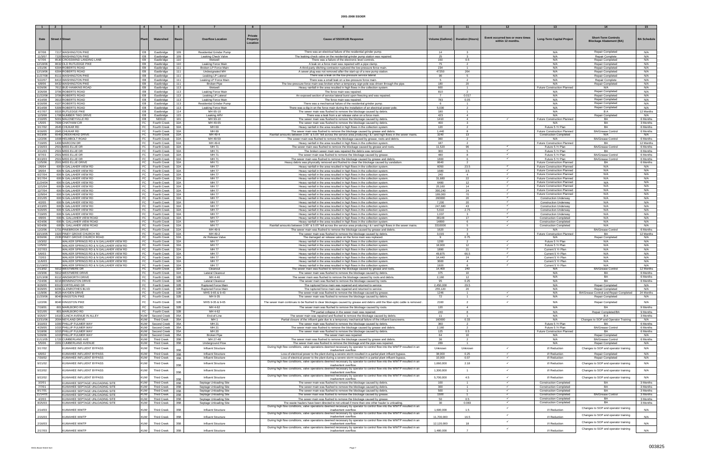|                     |                        |                                                                                  | $\overline{4}$           |                                          |            |                                                  |                                 |                                                                                                                                                                                                          |                       |                                     |                                                       |                                                                     |                                                              |                      |
|---------------------|------------------------|----------------------------------------------------------------------------------|--------------------------|------------------------------------------|------------|--------------------------------------------------|---------------------------------|----------------------------------------------------------------------------------------------------------------------------------------------------------------------------------------------------------|-----------------------|-------------------------------------|-------------------------------------------------------|---------------------------------------------------------------------|--------------------------------------------------------------|----------------------|
| Date                | <b>Street # Street</b> |                                                                                  |                          | Watershed                                | Basin      | <b>Overflow Location</b>                         | Private<br>Property<br>Location | <b>Cause of SSO/KUB Response</b>                                                                                                                                                                         |                       | Volume (Gallons)   Duration (Hours) | Event occurred two or more times<br>within 12 months. | <b>Long-Term Capital Project</b>                                    | <b>Short-Term Controls</b><br><b>Blockage Abatement (BA)</b> | <b>BA Schedule</b>   |
| 8/7/08              |                        | 7217 WASHINGTON PIKE                                                             | EB                       | Eastbridge                               | 109        | <b>Residential Grinder Pump</b>                  |                                 | There was an electrical failure of the residential grinder pump.                                                                                                                                         | 14                    | $\mathbf{3}$                        |                                                       | N/A                                                                 | Repair Completed                                             | N/A                  |
| 11/3/07             |                        | 7220 WASHINGTON PIKE                                                             | EB                       | Eastbridge                               | 109        | <b>Leaking Check Valve</b>                       |                                 | The leaking check valve on the residential grinder pump station was repaired                                                                                                                             | 25                    |                                     |                                                       | N/A                                                                 | Repair Complete                                              | N/A                  |
| 6/7/06<br>12/18/06  |                        | 8530 CROSSWIND LANDING LANE<br>8632 OLD RUTLEDGE PIKE                            | EB<br>EB                 | Eastbridge<br>Eastbridge                 | 110<br>110 | Wetwell<br>Leaking Force Main                    |                                 | There was a failure of the electronic level controls.<br>A leak on a force main was repaired with a pipe clamp.                                                                                          | 150<br>75             | 0.5<br>$\overline{2}$               |                                                       | N/A<br>N/A                                                          | Repair Completed<br><b>Repair Completed</b>                  | N/A<br>N/A           |
| 1/31/06             |                        | 6304 ROBERTS ROAD                                                                | EB                       | Eastbridge                               | 111        | Broken LP Force Main                             |                                 | A third-party ditching contractor ruptured the low-pressure force main.                                                                                                                                  | 234                   | $\overline{1}$                      |                                                       | N/A                                                                 | <b>Repair Completed</b>                                      | N/A                  |
| 12/19/06            |                        | 6304 ROBERTS ROAD                                                                | EB                       | Eastbridge                               | 111        | Undesignated MH                                  |                                 | A sewer plug was not removed after the start-up of a new pump station.                                                                                                                                   | 47250                 | 264                                 |                                                       | N/A                                                                 | Repair Completed                                             | N/A                  |
| 11/27/08            |                        | 8111 WASHINGTON PIKE                                                             | EB                       | Eastbridge                               | 111        | Leaking LP Lateral                               |                                 | There was a leak on the low-pressure service lateral.                                                                                                                                                    | 90                    | -5                                  |                                                       | N/A                                                                 | Repair Completed                                             | N/A                  |
| 5/22/07<br>6/8/06   |                        | 8413 WASHINGTON PIKE<br>8432 WASHINGTON PIKE                                     | EB<br>EB                 | Eastbridge<br>Eastbridge                 | 111<br>111 | Leaking LP Force Mair<br><b>Broken Pipe</b>      |                                 | There was a small leak on a low-pressure force main<br>The low-pressure force main was broken when a temporary sign pole was driven through the pipe.                                                    | 180                   | 20                                  |                                                       | N/A<br>N/A                                                          | <b>Repair Complete</b><br>Repair Completed                   | N/A<br>N/A           |
| 6/26/06             |                        | 7612 BUD HAWKINS ROAD                                                            | EB                       | Eastbridge                               | 113        | Wetwell                                          |                                 | Heavy rainfall in the area resulted in high flows in the collection system.                                                                                                                              | 600                   | $\mathbf{1}$                        |                                                       | Future Construction Planned                                         | N/A                                                          | N/A                  |
| 3/26/08             |                        | 3706 ROBERTS ROAD                                                                | EB                       | Eastbridge                               | 113        | Leaking Force Main                               |                                 | The force main was repaired.                                                                                                                                                                             | 810                   | $\overline{2}$                      |                                                       | N/A                                                                 | Repair Completed                                             | N/A                  |
| 11/22/08<br>4/14/08 |                        | 3706 ROBERTS ROAD<br>3913 ROBERTS ROAD                                           | EB<br>EB I               | Eastbridge<br>Eastbridge                 | 113<br>113 | Leaking LP Latera<br>Leaking Force Main          |                                 | An exposed section of service lateral burst upon freezing and was repaired.<br>The force main was repaired.                                                                                              | $\overline{ }$<br>783 | 0.017<br>0.05                       |                                                       | N/A<br>N/A                                                          | Repair Completed<br><b>Repair Completed</b>                  | N/A<br>N/A           |
| 6/16/08             |                        | 4107 ROBERTS ROAD                                                                | EB                       | Eastbridge                               | 113        | <b>Residential Grinder Pump</b>                  |                                 | There was a mechanical failure of the residential grinder pump.                                                                                                                                          | - 6                   | $\overline{1}$                      |                                                       | N/A                                                                 | Repair Completed                                             | N/A                  |
| 8/14/08             |                        | 5309 ROBERTS ROAD                                                                | EB                       | Eastbridge                               | 113        | Leaking Force Main                               |                                 | There was a dig-in on the force main during the installation of an electrical power pole.                                                                                                                | 5,030                 | $\mathcal{D}$                       |                                                       | N/A                                                                 | Repair Completed                                             | N/A                  |
| 4/17/07<br>12/3/08  |                        | 9315 RUTLEDGE PIKE<br>1708 NUMBER TWO DRIVE                                      | EB<br>EB                 | Eastbridge<br>Eastbridge                 | 114<br>115 | MH 65-10<br>Leaking ARV                          |                                 | The sewer main was flushed to remove the blockage caused by debris<br>There was a leak from a air release valve on a force main                                                                          | 180<br>423            | $\overline{4}$                      |                                                       | N/A<br>N/A                                                          | <b>Repair Completed</b>                                      | 12 Months<br>N/A     |
| 2/10/05             |                        | 5001 MALONEYVILLE RD                                                             | EB                       | NEKUD                                    | 101        | MH 93-10                                         |                                 | The sewer main was flushed to remove the blockage caused by debris                                                                                                                                       | 1410                  | $\overline{4}$                      | $\checkmark$                                          | <b>Future Construction Planned</b>                                  | BA                                                           | 6 Months             |
| 1/5/05              |                        | 7609 CHATHAM CIR                                                                 | FC                       | Fourth Creek                             | 32A        | MH 49-65                                         |                                 | The sewer main was flushed to remove the blockage caused by debris                                                                                                                                       | 400                   | $\mathbf{3}$                        |                                                       | N/A                                                                 | <b>BA</b>                                                    | 3 Months             |
| 3/17/02<br>6/16/05  |                        | 2645 CHUKAR RD<br>2645 CHUKAR RD                                                 | FC<br>FC                 | Fourth Creek                             | 32A<br>32A | MH 69<br>MH 69                                   |                                 | Heavy rainfall in the area resulted in high flows in the collection system.                                                                                                                              | 120<br>1.440          | $\overline{2}$                      |                                                       | Future 5 Yr Plan                                                    | <b>BA</b>                                                    | 6 Months<br>6 Months |
| 9/23/06             |                        | 6540 CREEKHEAD DRIVE                                                             | FC                       | Fourth Creek<br>Fourth Creek             | 32A        | MH 49-4                                          |                                 | The sewer main was flushed to remove the blockage caused by grease and debris.<br>Rainfall amounts between 3.95" & 5.05" fell across the service area producing   &   and high flows in the sewer mains. | 3240                  | 8<br>13 <sup>13</sup>               |                                                       | <b>Future Construction Planned</b><br><b>Construction Completed</b> | <b>BA/Grease Control</b><br>N/A                              | N/A                  |
| 12/2/06             |                        | 1608 HELMBOLT ROAD                                                               | FC                       | Fourth Creek                             | 32A        | MH 49-59                                         |                                 | The sewer main was flushed to remove the blockage caused by grease, roots and debris.                                                                                                                    | 360                   | 2                                   |                                                       | N/A                                                                 | <b>BA/Grease Control</b>                                     | 6 Months             |
| 7/19/05             |                        | 1400 MARCONI DR                                                                  | FC                       | <b>Fourth Creek</b>                      | 32A        | MH 49-6<br>MH 71                                 |                                 | Heavy rainfall in the area resulted in high flows in the collection system                                                                                                                               | 187                   | 96                                  |                                                       | <b>Future Construction Planned</b>                                  | BA                                                           | 12 Months            |
| 1/16/03<br>2/11/03  |                        | 2501 MISS ELLIE DR<br>2501 MISS ELLIE DR                                         | FC  <br>FC               | Fourth Creek<br>Fourth Creek             | 32A<br>32A | MH 71                                            |                                 | The sewer main was flushed to remove the blockage caused by grease and roots<br>The broken sewer main was repaired the debris was removed.                                                               | 11,520<br>300         | -5                                  | $\checkmark$                                          | Future 5 Yr Plan<br>Future 5 Yr Plan                                | <b>BA/Grease Control</b><br>BA                               | 6 Months<br>6 Months |
| 8/7/03              |                        | 2501 MISS ELLIE DR                                                               | FC                       | Fourth Creek                             | 32A        | MH 71                                            |                                 | The sewer main was flushed to remove the blockage caused by grease                                                                                                                                       | 480                   |                                     | $\checkmark$                                          | Future 5 Yr Plan                                                    | <b>BA/Grease Control</b>                                     | 6 Months             |
| 8/13/03<br>12/5/06  |                        | 2501 MISS ELLIE DR<br>2501 MISS ELLIE DRIVE                                      | FC.                      | <b>Fourth Creek</b><br>FC Fourth Creek   | 32A<br>32A | MH 71<br>MH 71                                   |                                 | The sewer main was flushed to remove the blockage caused by grease and debris.                                                                                                                           | 1800<br>8640          | 2                                   |                                                       | Future 5 Yr Plan<br><b>Future Construction Planned</b>              | <b>BA/Grease Contro</b><br>BA                                | 6 Months<br>6 Months |
| 2/6/04              |                        | 600 N GALLAHER VIEW RD                                                           | FC                       | Fourth Creek                             | 32A        | <b>MH77</b>                                      |                                 | Heavy debris was physically removed and flushed to clear the blockage caused by vandalism.<br>Heavy rainfall in the area resulted in high flows in the collection system                                 | 6050                  | 23.5                                |                                                       | Future Construction Planned                                         | N/A                                                          | N/A                  |
| 3/6/04              |                        | 600 N GALLAHER VIEW RD                                                           |                          | FC Fourth Creek                          | 32A        | <b>MH77</b>                                      |                                 | Heavy rainfall in the area resulted in high flows in the collection system                                                                                                                               | 1680                  | 3.5                                 |                                                       | Future Construction Planned                                         | N/A                                                          | N/A                  |
| 6/27/04             |                        | 600 N GALLAHER VIEW RD                                                           |                          | FC   Fourth Creek                        | 32A        | <b>MH77</b>                                      |                                 | Heavy rainfall in the area resulted in high flows in the collection system                                                                                                                               | 240                   | $\overline{4}$                      |                                                       | Future Construction Planned<br>Future Construction Planned          | N/A<br>N/A                                                   | N/A<br>N/A           |
| 9/17/04<br>11/24/04 |                        | 600 N GALLAHER VIEW RD<br>600 N GALLAHER VIEW RD                                 | FC                       | FC Fourth Creek<br><b>Fourth Creek</b>   | 32A<br>32A | <b>MH77</b><br><b>MH77</b>                       |                                 | Heavy rainfall in the area resulted in high flows in the collection system<br>Heavy rainfall in the area resulted in high flows in the collection system                                                 | 31,680<br>6480        | 22<br>12                            | $\checkmark$                                          | <b>Future Construction Planned</b>                                  | N/A                                                          | N/A                  |
| 12/1/04             |                        | 600 N GALLAHER VIEW RD                                                           |                          | FC Fourth Creek                          | 32A        | <b>MH77</b>                                      |                                 | Heavy rainfall in the area resulted in high flows in the collection system                                                                                                                               | 20,160                | 14                                  |                                                       | Future Construction Planned                                         | N/A                                                          | N/A                  |
| 12/7/04             |                        | 600 N GALLAHER VIEW RD                                                           |                          | FC Fourth Creek<br>FC Fourth Creek       | 32A<br>32A | <b>MH77</b><br><b>MH77</b>                       |                                 | Heavy rainfall in the area resulted in high flows in the collection system                                                                                                                               | 390,240               | 24<br>70                            | $\checkmark$                                          | <b>Future Construction Planned</b><br>Future Construction Planned   | N/A<br>N/A                                                   | N/A<br>N/A           |
| 12/9/04<br>2/21/05  |                        | 600 N GALLAHER VIEW RD<br>600 N GALLAHER VIEW RD                                 |                          | FC Fourth Creek                          | 32A        | <b>MH77</b>                                      |                                 | Heavy rainfall in the area resulted in high flows in the collection system<br>Heavy rainfall in the area resulted in high flows in the collection system                                                 | 189,000<br>260000     | 20                                  |                                                       | <b>Construction Underway</b>                                        | N/A                                                          | N/A                  |
| 4/2/05              |                        | 600 N GALLAHER VIEW RD                                                           | FC                       | <b>Fourth Creek</b>                      | 32A        | <b>MH77</b>                                      |                                 | Heavy rainfall in the area resulted in high flows in the collection system                                                                                                                               | 7,200                 | 20                                  |                                                       | <b>Construction Underway</b>                                        | N/A                                                          | N/A                  |
| 4/13/05<br>5/20/05  |                        | 600 N GALLAHER VIEW RD<br>600 N GALLAHER VIEW RD                                 | FC                       | FC   Fourth Creek<br>Fourth Creel        | 32A<br>32A | <b>MH77</b><br><b>MH77</b>                       |                                 | Heavy rainfall in the area resulted in high flows in the collection system<br>Heavy rainfall in the area resulted in high flows in the collection system                                                 | 247,680<br>5,610      | 43<br>2.75                          | $\checkmark$                                          | <b>Construction Underway</b><br><b>Construction Underway</b>        | N/A<br>N/A                                                   | N/A<br>N/A           |
| 7/19/05             |                        | 600 N GALLAHER VIEW RD                                                           |                          | FC   Fourth Creek                        | 32A        | <b>MH77</b>                                      |                                 | Heavy rainfall in the area resulted in high flows in the collection system                                                                                                                               | 1,037                 | 3                                   |                                                       | <b>Construction Underway</b>                                        | N/A                                                          | N/A                  |
| 4/8/06              |                        | 600 N. GALLAHER VIEW ROAD                                                        | FC                       | Fourth Creek                             | 32A        | <b>MH77</b>                                      |                                 | Heavy rainfall in the area resulted in high flows in the collection system.                                                                                                                              | 38148                 | 17                                  | $\checkmark$                                          | <b>Construction Completed</b>                                       | N/A                                                          | N/A                  |
| 4/24/06<br>9/24/06  |                        | 600 N. GALLAHER VIEW ROAD<br>600 N. GALLAHER VIEW ROAD                           | FC  <br>FC               | Fourth Creek<br>Fourth Creek             | 32A<br>32A | <b>MH77</b><br><b>MH77</b>                       |                                 | Heavy rainfall in the area resulted in high flows in the collection system<br>Rainfall amounts between 3.95" & 5.05" fell across the service area producing I & I and high flows in the sewer mains.     | 14890<br>3310000      | $6^{\circ}$<br>5                    |                                                       | <b>Construction Completed</b><br><b>Construction Completed</b>      | N/A<br>N/A                                                   | N/A<br>N/A           |
| 12/2/06             |                        | 1731 PINEBROOK DRIVE                                                             | FC                       | Fourth Creek                             | 32A        | MH 49-9                                          |                                 | The sewer main was flushed to remove the blockage caused by grease and debris.                                                                                                                           | 1620                  | 3                                   |                                                       | N/A                                                                 | <b>BA/Grease Control</b>                                     | 6 Months             |
| 10/10/05            |                        | 1920 PINEY GROVE CHURCH RD                                                       | FC                       | Fourth Creek                             | 32A        | MH 49-2                                          |                                 | The sewer main was flushed to remove the blockage caused by debris                                                                                                                                       | 3.015                 |                                     |                                                       | <b>Future Construction Planned</b>                                  | <b>BA</b>                                                    | 12 Months            |
| 8/30/06<br>10/3/02  |                        | 2335 PINEY GROVE CHURCH ROAD<br>WALKER SPRINGS RD & N GALLAHER VIEW RD           | FC<br>FC                 | Fourth Creek<br>Fourth Creek             | 32A<br>32A | Air Release Valve<br><b>MH77</b>                 |                                 | The damaged air release valve on the force main was replaced.<br>Heavy rainfall in the area resulted in high flows in the collection system.                                                             | -9<br>1200            | 0.75<br>2                           |                                                       | N/A<br>Future 5 Yr Plan                                             | Repair Completed<br>N/A                                      | N/A<br>N/A           |
| 12/5/02             |                        | WALKER SPRINGS RD & N GALLAHER VIEW RD                                           | FC                       | <b>Fourth Creek</b>                      | 32A        | <b>MH77</b>                                      |                                 | Heavy rainfall in the area resulted in high flows in the collection system.                                                                                                                              | 18,000                | 12                                  |                                                       | Future 5 Yr Plan                                                    | N/A                                                          | N/A                  |
| 2/27/03             |                        | WALKER SPRINGS RD & N GALLAHER VIEW RD                                           | FC                       | Fourth Creek                             | 32A        | <b>MH77</b>                                      |                                 | Heavy rainfall in the area resulted in high flows in the collection system                                                                                                                               | 1890                  | 21                                  | $\checkmark$<br>$\checkmark$                          | Current 5 Yr Plan                                                   | N/A                                                          | N/A                  |
| 5/6/03<br>7/2/03    |                        | WALKER SPRINGS RD & N GALLAHER VIEW RD<br>WALKER SPRINGS RD & N GALLAHER VIEW RD |                          | FC Fourth Creek<br>FC   Fourth Creek     | 32A<br>32A | <b>MH77</b><br><b>MH77</b>                       |                                 | Heavy rainfall in the area resulted in high flows in the collection system<br>Heavy rainfall in the area resulted in high flows in the collection system                                                 | 49,875<br>14,440      | 66.5<br>24                          |                                                       | Current 5 Yr Plan<br>Current 5 Yr Plan                              | N/A<br>N/A                                                   | N/A<br>N/A           |
| 11/6/03             |                        | WALKER SPRINGS RD & N GALLAHER VIEW RD                                           |                          | FC Fourth Creek                          | 32A        | <b>MH77</b>                                      |                                 | Heavy rainfall in the area resulted in high flows in the collection system                                                                                                                               | 3600                  | $\overline{a}$                      | $\checkmark$                                          | Current 5 Yr Plan                                                   | N/A                                                          | N/A                  |
| 11/19/03<br>2/13/02 |                        | WALKER SPRINGS RD & N GALLAHER VIEW RD<br>5912 WESTMERE DR                       | FC<br>FC                 | <b>Fourth Creek</b><br>Fourth Creek      | 32A<br>32A | <b>MH77</b><br>Cleanout                          |                                 | Heavy rainfall in the area resulted in high flows in the collection system<br>The sewer main was flushed to remove the blockage caused by grease and roots.                                              | 1920<br>14,400        | 8<br>240                            |                                                       | Current 5 Yr Plan<br>N/A                                            | N/A<br><b>BA/Grease Control</b>                              | N/A<br>12 Months     |
| 10/3/06             |                        | 5912 WESTMERE DRIVE                                                              |                          | FC Fourth Creek                          | 32A        | Lateral Cleanout                                 |                                 | The sewer main was flushed to remove the blockage caused by debris                                                                                                                                       | 375                   | 10                                  |                                                       | N/A                                                                 | <b>BA</b>                                                    | 6 Months             |
| 12/13/08            |                        | 8112 AINSWORTH DRIVE                                                             | FC                       | Fourth Creek                             | 32B        | MH 4-46                                          |                                 | The sewer main was flushed to remove the blockage caused by roots and debris                                                                                                                             | 2.160                 | 12                                  |                                                       | N/A                                                                 | <b>BA</b>                                                    | 6 Months             |
| 7/24/06<br>8/29/05  |                        | 8216 BENNINGTON DRIVE<br>8312 CORTELAND DR                                       | FC                       | Fourth Creek<br>FC Fourth Creek          | 32B<br>32B | Lateral Cleanout<br>Ruptured Force Main          |                                 | The sewer main was flushed to remove the blockage caused by roots.<br>The ruptured force main was repaired and returned to service.                                                                      | 95<br>2,450,000       | 0.25<br>29.5                        |                                                       | N/A<br>N/A                                                          | <b>BA</b><br>Repair Completed                                | 6 Months<br>N/A      |
| 8/29/05             |                        | 8206 GLENROTHES BLVD                                                             |                          | FC Fourth Creek                          | 32B        | Ruptured Force Main                              |                                 | The ruptured force main was repaired and returned to service.                                                                                                                                            | 255,120               | 20                                  |                                                       | N/A                                                                 | Repair Completed                                             | N/A                  |
| 11/9/06             |                        | 8025 HAYDEN DRIVE                                                                |                          | FC   Fourth Creek                        | 32B        | MHS 9-65 & 9-43                                  |                                 | The sewer main was flushed to remove the blockage caused by grease.                                                                                                                                      | 1246                  | $\overline{1}$                      | $\checkmark$                                          | N/A                                                                 | BA/Grease Control and Repair Completed                       | 24 Months            |
| 11/20/06            |                        | 8040 KINGSTON PIKE                                                               | FC                       | Fourth Creek                             | 32B        | MH 9-35                                          |                                 | The sewer main was flushed to remove the blockage caused by debris.                                                                                                                                      | 72                    | $\overline{1}$                      | $\checkmark$                                          | N/A                                                                 | <b>Repair Completed</b>                                      | N/A                  |
| 12/2/06             |                        | 8040 KINGSTON PIKE                                                               | <b>FC</b>                | Fourth Creek                             | 32B        | MHS 9-35 & 9-65                                  |                                 | The sewer main continues to be flushed to clear blockages caused by grease and debris until the fiber-optic cable is removed                                                                             | 2160                  | 2                                   | $\checkmark$                                          | N/A                                                                 | Repair Completed                                             | N/A                  |
| 7/18/01<br>5/21/05  |                        | 801 MARLBORO RD<br>801 MARLBORO RD                                               | FC  <br>FC               | Fourth Creek<br>Fourth Creek             | 32B<br>32B | MH 4-62<br>MH 4-62                               |                                 | The sewer main was flushed to remove the blockage caused by roots.<br>The partial collapse in the sewer main was repaired                                                                                | 120<br>240            | $\overline{4}$<br>$\mathbf{R}$      |                                                       | N/A<br>N/A                                                          | BA<br>Repair Completed/BA                                    | 9 Months<br>9 Months |
| 9/25/07             |                        | 1610 CLINCH AVENUE IN ALLEY                                                      |                          | KUW Second Creek                         | 35A        | End-of-Line                                      |                                 | The sewer main was repaired and flushed to remove the blockage caused by debris.                                                                                                                         | 11                    | $\overline{1}$                      |                                                       | N/A                                                                 | B A                                                          | 3 Months             |
| 12/31/06            |                        | 2004 NEYLAND DRIVE                                                               | <b>KUW</b>               | <b>Third Creek</b>                       | 35A        | MH <sub>1</sub>                                  |                                 | Partial closure of the influent gate due to a temporary mechanical failure of the influent barscreens.                                                                                                   | 160000                | 0.33                                |                                                       | N/A                                                                 | Changes to SOP and Operator Training                         | N/A                  |
| 3/10/03<br>4/29/05  |                        | 1000 PHILLIP FULMER WAY<br>1015 PHILLIP FULMER WAY                               | <b>KUW</b>               | Second Creek<br>KUW Second Creek         | 35A<br>35A | MH 21<br>MH 21                                   |                                 | The sewer main was flushed to remove the blockage caused by debris<br>The sewer main was flushed to remove the blockage caused by grease and debris.                                                     | 360<br>2,160          | $\overline{2}$                      |                                                       | Future 5 Yr Plan<br>Future 5 Yr Plan                                | <b>BA</b><br><b>BA/Grease Control</b>                        | 6 Months<br>6 Months |
| 5/18/06             |                        | 1015 PHILLIP FULMER WAY                                                          | <b>KUW</b>               | Second Creek                             | 35A        | MH 20                                            |                                 | The sewer main was flushed to remove the blockage caused by debris.                                                                                                                                      | 125                   | 0.5                                 |                                                       | Future Construction Planned                                         | BA                                                           | 6 Months             |
| 5/26/06             |                        | 1015 PHILLIP FULMER WAY                                                          |                          | KUW Second Creek                         | 35A        | <b>Broken Pipe</b>                               |                                 | The sewer main was repaired.                                                                                                                                                                             | 64<br>36              | 10                                  |                                                       | N/A                                                                 | Repair Completed                                             | N/A                  |
| 11/11/05<br>5/5/06  |                        | 1720 CUMBERLAND AVE<br>2201 CUMBERLAND AVENUE                                    | <b>KUW</b><br><b>KUW</b> | <b>Third Creek</b><br><b>Third Creek</b> | 35B<br>35B | MH 27-48<br>Underground Flow                     |                                 | The sewer main was flushed to remove the blockage caused by grease and debris.<br>The sewer main was flushed to remove the blockage and the pipe was repaired.                                           | 289                   | $\overline{1}$                      |                                                       | N/A<br>N/A                                                          | <b>BA/Grease Control</b><br>Repair Completed                 | 6 Months<br>N/A      |
| 3/17/02             |                        | KUWAHEE INFLUENT BYPASS                                                          | <b>KUW</b>               | <b>Third Creek</b>                       |            | Influent Structure                               |                                 | During high flow conditions, valve operations deemed necessary by operator to control flow into the WWTP resulted in an                                                                                  | Unknown               | Unknown                             |                                                       | I/I Reduction                                                       | Changes to SOP and operator training                         | N/A                  |
| 6/6/02              |                        | KUWAHEE INFLUENT BYPASS                                                          | <b>KUW</b>               | <b>Third Creek</b>                       | 35B<br>35B | Influent Structure                               |                                 | inadvertent overflow.<br>Loss of electrical power to the plant during a severe storm resulted in a partial plant influent bypass.                                                                        | 38,000                | 0.25                                |                                                       | I/I Reduction                                                       | Repair Completed                                             | N/A                  |
| 7/30/02             |                        | KUWAHEE INFLUENT BYPASS                                                          | <b>KUW</b>               | <b>Third Creek</b>                       | 35B        | Influent Structure                               |                                 | Loss of electrical power to the plant during a severe storm resulted in a partial plant influent bypass.                                                                                                 | 10,000                | 0.07                                | $\checkmark$                                          | I/I Reduction                                                       | Repair Completed                                             | N/A                  |
| 9/21/02             |                        | KUWAHEE INFLUENT BYPASS                                                          | <b>KUW</b>               | <b>Third Creek</b>                       | 35B        | <b>Influent Structure</b>                        |                                 | During high flow conditions, valve operations deemed necessary by operator to control flow into the WWTP resulted in an<br>inadvertent overflow.                                                         | 1,660,000             | 2.18                                |                                                       | I/I Reduction                                                       | Changes to SOP and operator training                         | N/A                  |
| 9/22/02             |                        | KUWAHEE INFLUENT BYPASS                                                          | <b>KUW</b>               | <b>Third Creek</b>                       |            | Influent Structure                               |                                 | During high flow conditions, valve operations deemed necessary by operator to control flow into the WWTP resulted in an                                                                                  | 1,300,000             | $\overline{1}$                      |                                                       | I/I Reduction                                                       | Changes to SOP and operator training                         | N/A                  |
| 9/22/02             |                        | KUWAHEE INFLUENT BYPASS                                                          | <b>KUW</b>               | <b>Third Creek</b>                       | 35B        | Influent Structure                               |                                 | inadvertent overflow.<br>During high flow conditions, valve operations deemed necessary by operator to control flow into the WWTP resulted in an                                                         | 5,700,000             | 4.5                                 | $\checkmark$                                          | I/I Reduction                                                       | Changes to SOP and operator training                         | N/A                  |
|                     |                        |                                                                                  |                          |                                          | 35B        |                                                  |                                 | inadvertent overflow.                                                                                                                                                                                    | 100                   | $\overline{1}$                      | $\checkmark$                                          |                                                                     | BA                                                           | 3 Months             |
| 3/2/01<br>7/7/01    |                        | KUWAHEE SEPTAGE UNLOADING SITE<br>KUWAHEE SEPTAGE UNLOADING SITE                 | <b>KUW</b><br><b>KUW</b> | <b>Third Creek</b><br><b>Third Creek</b> | 35B<br>35B | Septage Unloading Site<br>Septage Unloading Site |                                 | The sewer main was flushed to remove the blockage caused by debris.<br>The sewer main was flushed to remove the blockage caused by debris                                                                | 300                   | $\overline{1}$                      | $\checkmark$                                          | <b>Construction Completed</b><br><b>Construction Completed</b>      | <b>BA</b>                                                    | 3 Months             |
| 8/17/01             |                        | KUWAHEE SEPTAGE UNLOADING SITE                                                   | <b>KUW</b>               | <b>Third Creek</b>                       | 35B        | Septage Unloading Site                           |                                 | The sewer main was flushed to remove the blockage caused by debris.                                                                                                                                      | 500                   | $\overline{1}$                      | $\checkmark$                                          | <b>Construction Completed</b>                                       | <b>BA</b>                                                    | 3 Months             |
| 11/14/01<br>4/2/03  |                        | KUWAHEE SEPTAGE UNLOADING SITE<br>KUWAHEE SEPTAGE UNLOADING SITE                 | <b>KUW</b><br><b>KUW</b> | <b>Third Creek</b><br>Third Creek        | 35B<br>35B | Septage Unloading Site                           |                                 | The sewer main was flushed to remove the blockage caused by grease                                                                                                                                       | 1500<br>50            | $\overline{1}$<br>0.5               | $\checkmark$                                          | <b>Construction Completed</b><br><b>Construction Completed</b>      | <b>BA/Grease Control</b><br>BA                               | 3 Months<br>3 Months |
| 8/25/03             |                        | KUWAHEE SEPTAGE UNLOADING SITE                                                   | <b>KUW</b>               | <b>Third Creek</b>                       | 35B        | Septage Unloading Site<br>Septage Unloading Site |                                 | The sewer main was flushed to remove the blockage caused by grease<br>The waste haulers have been directed to not unload if more than one other hauler is unloading.                                     | 30                    | 0.083                               | $\checkmark$                                          | <b>Construction Completed</b>                                       | BA                                                           | 3 Months             |
| 2/14/03             |                        | KUWAHEE WWTP                                                                     | <b>KUW</b>               | <b>Third Creek</b>                       | 35B        | Influent Structure                               |                                 | During high flow conditions, valve operations deemed necessary by operator to control flow into the WWTP resulted in an<br>inadvertent overflow.                                                         | 1,600,000             | 1.5                                 |                                                       | I/I Reduction                                                       | Changes to SOP and operator training                         | N/A                  |
|                     |                        |                                                                                  |                          |                                          |            |                                                  |                                 | During high flow conditions, valve operations deemed necessary by operator to control flow into the WWTP resulted in an                                                                                  |                       |                                     | $\checkmark$                                          |                                                                     | Changes to SOP and operator training                         |                      |
| 2/15/03             |                        | KUWAHEE WWTP                                                                     | <b>KUW</b>               | <b>Third Creek</b>                       | 35B        | Influent Structure                               |                                 | inadvertent overflow.<br>During high flow conditions, valve operations deemed necessary by operator to control flow into the WWTP resulted in an                                                         | 11,700,000            | 16.5                                | $\checkmark$                                          | I/I Reduction                                                       |                                                              | N/A                  |
| 2/16/03             |                        | KUWAHEE WWTP                                                                     | <b>KUW</b>               | <b>Third Creek</b>                       | 35B        | Influent Structure                               |                                 | inadvertent overflow.<br>During high flow conditions, valve operations deemed necessary by operator to control flow into the WWTP resulted in an                                                         | 12,120,000            | 18                                  |                                                       | I/I Reduction                                                       | Changes to SOP and operator training                         | N/A                  |
| 2/17/03             |                        | KUWAHEE WWTP                                                                     | KUW                      | <b>Third Creek</b>                       | 35B        | Influent Structure                               |                                 | inadvertent overflow.                                                                                                                                                                                    | 1,480,000             |                                     |                                                       | I/I Reduction                                                       | Changes to SOP and operator training                         | N/A                  |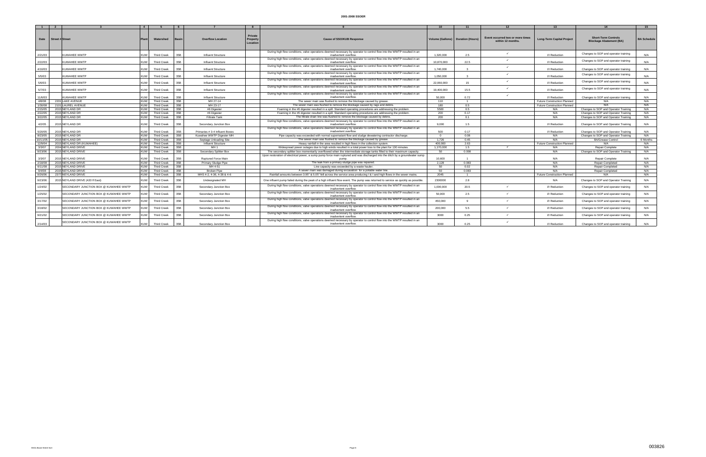|          |                        |                                       | $\overline{4}$ |                    | 6   |                                |                                       |                                                                                                                                                  |            |                                     |                                                       |                                    |                                                              | 15                 |
|----------|------------------------|---------------------------------------|----------------|--------------------|-----|--------------------------------|---------------------------------------|--------------------------------------------------------------------------------------------------------------------------------------------------|------------|-------------------------------------|-------------------------------------------------------|------------------------------------|--------------------------------------------------------------|--------------------|
| Date     | <b>Street # Street</b> |                                       |                | Watershed          |     | <b>Overflow Location</b>       | <b>Private</b><br>Propert<br>Location | <b>Cause of SSO/KUB Response</b>                                                                                                                 |            | Volume (Gallons)   Duration (Hours) | Event occurred two or more times<br>within 12 months. | <b>Long-Term Capital Project</b>   | <b>Short-Term Controls</b><br><b>Blockage Abatement (BA)</b> | <b>BA Schedule</b> |
| 2/21/03  |                        | KUWAHEE WWTP                          | KUW I          | <b>Third Creek</b> | 35B | Influent Structure             |                                       | During high flow conditions, valve operations deemed necessary by operator to control flow into the WWTP resulted in an<br>inadvertent overflow. | 1,320,000  | 2.5                                 |                                                       | I/I Reduction                      | Changes to SOP and operator training                         | N/A                |
| 2/22/03  |                        | KUWAHEE WWTP                          | <b>KUW</b>     | <b>Third Creek</b> | 35B | <b>Influent Structure</b>      |                                       | During high flow conditions, valve operations deemed necessary by operator to control flow into the WWTP resulted in an<br>inadvertent overflow  | 10.870.000 | 22.5                                |                                                       | I/I Reduction                      | Changes to SOP and operator training                         | N/A                |
| 4/10/03  |                        | KUWAHEE WWTP                          | <b>KUW</b>     | <b>Third Creek</b> | 35B | Influent Structure             |                                       | During high flow conditions, valve operations deemed necessary by operator to control flow into the WWTP resulted in an<br>inadvertent overflow  | 1.740.000  | $\mathbf{R}$                        |                                                       | I/I Reduction                      | Changes to SOP and operator training                         | N/A                |
| 5/5/03   |                        | KUWAHEE WWTP                          | KUW            | <b>Third Creek</b> | 35B | <b>Influent Structure</b>      |                                       | During high flow conditions, valve operations deemed necessary by operator to control flow into the WWTP resulted in an<br>inadvertent overflow  | 1,050,000  | ্ব                                  |                                                       | I/I Reduction                      | Changes to SOP and operator training                         | N/A                |
| 5/6/03   |                        | KUWAHEE WWTP                          | <b>KUW</b>     | <b>Third Creek</b> | 35B | Influent Structure             |                                       | During high flow conditions, valve operations deemed necessary by operator to control flow into the WWTP resulted in an<br>inadvertent overflow. | 22,060,000 | 15                                  |                                                       | I/I Reduction                      | Changes to SOP and operator training                         | N/A                |
| 5/7/03   |                        | KUWAHEE WWTP                          | <b>KUW</b>     | <b>Third Creek</b> | 35B | Influent Structure             |                                       | During high flow conditions, valve operations deemed necessary by operator to control flow into the WWTP resulted in an<br>inadvertent overflow  | 19,400,000 | 15.5                                |                                                       | I/I Reduction                      | Changes to SOP and operator training                         | N/A                |
| 11/6/03  |                        | KUWAHEE WWTP                          | KUW            | <b>Third Creek</b> | 35B | Influent Structure             |                                       | During high flow conditions, valve operations deemed necessary by operator to control flow into the WWTP resulted in an<br>inadvertent overflow  | 50,000     | 0.72                                |                                                       | I/I Reduction                      | Changes to SOP and operator training                         | N/A                |
| 4/8/08   |                        | 2201 LAKE AVENUE                      | <b>KUW</b>     | <b>Third Creek</b> | 35B | MH 27-14                       |                                       | The sewer main was flushed to remove the blockage caused by grease.                                                                              | 110        | $\overline{1}$                      |                                                       | <b>Future Construction Planned</b> |                                                              | N/A                |
| 1/30/08  |                        | 2101 LAUREL AVENUE                    | <b>KUW</b>     | Third Creek        | 35B | MH 23-17                       |                                       | The sewer main was flushed to remove the blockage caused by rags and debris.                                                                     | 180        | 0.5                                 |                                                       | <b>Future Construction Planned</b> | N/A                                                          | N/A                |
| 2/15/05  |                        | 2015 NEYLAND DR                       | <b>KUW</b>     | <b>Third Creek</b> | 35B | #6 Digester                    |                                       | Foaming in the #6 digester resulted in a spill. Standard operating procedures are addressing the problem.                                        | 5500       | 0.5                                 |                                                       | N/A                                | Changes to SOP and Operator Training                         | N/A                |
| 2/22/05  |                        | 2015 NEYLAND DR                       | <b>KUW</b>     | <b>Third Creek</b> | 35B | #6 Digester                    |                                       | Foaming in the #6 digester resulted in a spill. Standard operating procedures are addressing the problem.                                        | 200        | 0.17                                |                                                       | N/A                                | Changes to SOP and Operator Training                         | N/A                |
| 3/22/05  |                        | 2015 NEYLAND DR                       | <b>KUW</b>     | <b>Third Creek</b> | 35B | Filtrate Tank                  |                                       | The filtrate drain line was flushed to remove the blockage caused by debris.                                                                     | 200        | 0.1                                 |                                                       | N/A                                | Changes to SOP and Operator Training                         | N/A                |
| 4/2/05   |                        | 2015 NEYLAND DR                       | <b>KUW</b>     | <b>Third Creek</b> | 35B | Secondary Junction Box         |                                       | During high flow conditions, valve operations deemed necessary by operator to control flow into the WWTP resulted in an<br>inadvertent overflow. | 9,000      | 1.5                                 |                                                       | I/I Reduction                      | Changes to SOP and Operator Training                         | N/A                |
| 5/20/05  |                        | 2015 NEYLAND DR                       | <b>KUW</b>     | <b>Third Creek</b> | 35B | Primaries # 3-4 Influent Boxes |                                       | During high flow conditions, valve operations deemed necessary by operator to control flow into the WWTP resulted in an<br>inadvertent overflow. | 500        | 0.17                                |                                                       | I/I Reduction                      | Changes to SOP and Operator Training                         | N/A                |
| 8/23/05  |                        | 2015 NEYLAND DR                       | <b>KUW</b>     | <b>Third Creek</b> | 35B | Kuwahee WWTP Digester MH       |                                       | Pipe capacity was exceeded with normal supernatant flow and sludge dewatering contractor discharge.                                              | $\Omega$   | 0.08                                |                                                       | N/A                                | Changes to SOP and Operator Training                         | N/A                |
| 10/11/05 |                        | 2015 NEYLAND DR                       | <b>KUW</b>     | <b>Third Creek</b> | 35B | Septage Unloading Site         |                                       | The sewer main was flushed to remove the blockage caused by grease                                                                               | 1,726      | 0.45                                |                                                       | N/A                                | <b>BA/Grease Control</b>                                     | 6 Months           |
| 12/9/04  |                        | 2015 NEYLAND DR (KUWAHEE)             | <b>KUW</b>     | <b>Third Creek</b> | 35B | Influent Structure             |                                       | Heavy rainfall in the area resulted in high flows in the collection system.                                                                      | 400,000    | 2.63                                |                                                       | <b>Future Construction Planned</b> | N/A                                                          | N/A                |
| 3/3/07   |                        | 2004 NEYLAND DRIVE                    | <b>KUW</b>     | <b>Third Creek</b> | 35B | MH <sub>1</sub>                |                                       | Widespread power outages due to high winds resulted in a total power loss to the plant for 130 minutes.                                          | 1.170.000  | 1.5                                 | $\sim$                                                | N/A                                | Repair Complete                                              | N/A                |
| 9/23/06  |                        | 2015 NEYLAND DRIVE                    | <b>KUW</b>     | <b>Third Creek</b> | 35B | Secondary Splitter Box         |                                       | The secondary splitter box momentarily overflowed when the intermediate storage tanks filled to their maximum capacity.                          | 50         | 0.008                               |                                                       | N/A                                | Changes to SOP and Operator Training                         | N/A                |
| 3/3/07   |                        | 2015 NEYLAND DRIVE                    | <b>KUW</b>     | <b>Third Creek</b> | 35B | Ruptured Force Main            |                                       | Upon restoration of electrical power, a sump pump force main ruptured and was discharged into the ditch by a groundwater sump                    | 10,600     |                                     |                                                       | N/A                                | Repair Complete                                              | N/A                |
| 2/18/08  |                        | 2015 NEYLAND DRIVE                    | <b>KUW</b>     | <b>Third Creek</b> | 35B | Primary Sludge Pipe            |                                       | The leak from a primary sludge pipe was repaired.                                                                                                | 2,128      | 0.083                               |                                                       | N/A                                | Repair Completed                                             | N/A                |
| 6/11/08  |                        | 2015 NEYLAND DRIVE                    | <b>KUW</b>     | <b>Third Creek</b> | 35B | MH 4-51                        |                                       | Line capacity was exceeded by a waste hauler.                                                                                                    | 50         | 0.02                                |                                                       | N/A                                | Repair Completed                                             | N/A                |
| 9/4/08   |                        | 2015 NEYLAND DRIVE                    | <b>KUW</b>     | <b>Third Creek</b> | 35B | <b>Broken Pipe</b>             |                                       | A sewer main was damaged during excavation for a potable water line.                                                                             | 50         | 0.083                               |                                                       | N/A                                | <b>Repair Completed</b>                                      | N/A                |
| 9/26/06  |                        | 2377 NEYLAND DRIVE                    | <b>KUW</b>     | <b>Third Creek</b> | 35B | MHS 4-2, 4-36, 4-38 & 4-6      |                                       | Rainfall amounts between 3.95" & 5.05" fell across the service area producing I & I and high flows in the sewer mains.                           | 2045       | $\overline{1}$                      |                                                       | Future Construction Planned        | N/A                                                          | N/A                |
| 9/23/06  |                        | 2015 NEYLAND DRIVE (420 If East)      | <b>KUW</b>     | <b>Third Creek</b> | 35B | Undesignated MH                |                                       | One influent pump failed during the peak of a high influent flow event. The pump was returned to service as quickly as possible.                 | 2300000    | 2.8                                 |                                                       | N/A                                | Changes to SOP and Operator Training                         | N/A                |
| 1/24/02  |                        | SECONDARY JUNCTION BOX @ KUWAHEE WWTP | <b>KUW</b>     | <b>Third Creek</b> | 35B | Secondary Junction Box         |                                       | During high flow conditions, valve operations deemed necessary by operator to control flow into the WWTP resulted in an<br>inadvertent overflow. | 1,000,000  | 20.5                                |                                                       | I/I Reduction                      | Changes to SOP and operator training                         | N/A                |
| 1/25/02  |                        | SECONDARY JUNCTION BOX @ KUWAHEE WWTF | KUW            | <b>Third Creek</b> | 35B | Secondary Junction Box         |                                       | During high flow conditions, valve operations deemed necessary by operator to control flow into the WWTP resulted in an<br>inadvertent overflow  | 50,000     | 2.5                                 |                                                       | I/I Reduction                      | Changes to SOP and operator training                         | N/A                |
| 3/17/02  |                        | SECONDARY JUNCTION BOX @ KUWAHEE WWTP | KUW            | <b>Third Creek</b> | 35B | Secondary Junction Box         |                                       | During high flow conditions, valve operations deemed necessary by operator to control flow into the WWTP resulted in an<br>inadvertent overflow. | 450,000    | -9                                  |                                                       | I/I Reduction                      | Changes to SOP and operator training                         | N/A                |
| 3/18/02  |                        | SECONDARY JUNCTION BOX @ KUWAHEE WWTF | KUW            | <b>Third Creek</b> | 35B | Secondary Junction Box         |                                       | During high flow conditions, valve operations deemed necessary by operator to control flow into the WWTP resulted in an<br>inadvertent overflow  | 200,000    | 5.5                                 |                                                       | I/I Reduction                      | Changes to SOP and operator training                         | N/A                |
| 9/21/02  |                        | SECONDARY JUNCTION BOX @ KUWAHEE WWTP | <b>KUW</b>     | <b>Third Creek</b> | 35B | Secondary Junction Box         |                                       | During high flow conditions, valve operations deemed necessary by operator to control flow into the WWTP resulted in an<br>inadvertent overflow. | 3000       | 0.25                                |                                                       | I/I Reduction                      | Changes to SOP and operator training                         | N/A                |
| 2/14/03  |                        | SECONDARY JUNCTION BOX @ KUWAHEE WWTP | KUW            | <b>Third Creek</b> | 35B | Secondary Junction Box         |                                       | During high flow conditions, valve operations deemed necessary by operator to control flow into the WWTP resulted in an<br>inadvertent overflow  | 3000       | 0.25                                |                                                       | I/I Reduction                      | Changes to SOP and operator training                         | N/A                |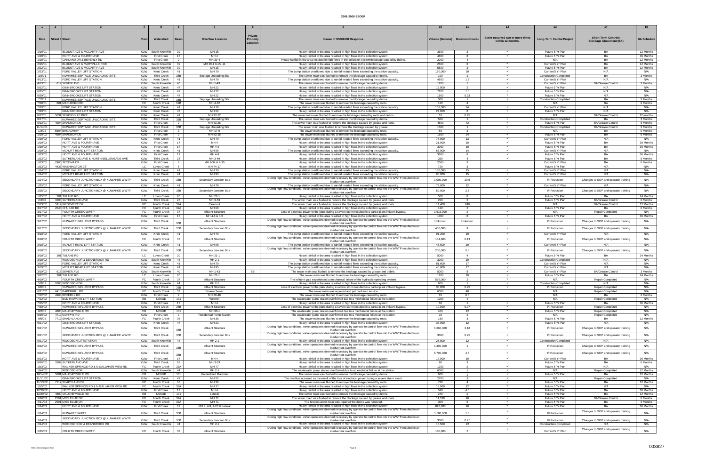|                     |                       |                                                                    |                          |                                              |                                |                                      | Private  |                                                                                                                                                                                                                      |                                     |                                |                                  |                                                   |                                                    |                        |
|---------------------|-----------------------|--------------------------------------------------------------------|--------------------------|----------------------------------------------|--------------------------------|--------------------------------------|----------|----------------------------------------------------------------------------------------------------------------------------------------------------------------------------------------------------------------------|-------------------------------------|--------------------------------|----------------------------------|---------------------------------------------------|----------------------------------------------------|------------------------|
| Date                | <b>Street # Stree</b> |                                                                    |                          | Watershed                                    |                                | <b>Overflow Location</b>             | Property | Cause of SSO/KUB Response                                                                                                                                                                                            | Volume (Gallons)   Duration (Hours) |                                | Event occurred two or more times | <b>Long-Term Capital Project</b>                  | <b>Short-Term Controls</b>                         | <b>BA Schedule</b>     |
|                     |                       |                                                                    |                          |                                              |                                |                                      | Location |                                                                                                                                                                                                                      |                                     |                                | within 12 months                 |                                                   | <b>Blockage Abatement (BA)</b>                     |                        |
|                     |                       |                                                                    |                          |                                              |                                |                                      |          |                                                                                                                                                                                                                      |                                     |                                |                                  |                                                   |                                                    |                        |
| 1/19/01             |                       | BLOUNT AVE & MCCARTY AVE                                           |                          | KUW South Knoxville                          | - 39                           | MH 15                                |          | Heavy rainfall in the area resulted in high flows in the collection system.                                                                                                                                          | 3600                                | 3                              |                                  | Future 5 Yr Plan                                  | BA                                                 | 12 Months              |
| 1/19/01             |                       | HOITT AVE & FOURTH AVE                                             | <b>KUW</b>               | <b>First Creek</b>                           | 17                             | MH <sub>4</sub>                      |          | Heavy rainfall in the area resulted in high flows in the collection system                                                                                                                                           | 4800                                | 8                              | $\checkmark$                     | Future 5 Yr Plan                                  | BA                                                 | 36 Months              |
| 1/19/01             |                       | OAKLAND DR & BEVERLY RD                                            | <b>KUW</b>               | <b>First Creek</b>                           | 2                              | MH 39-4                              |          | Heavy rainfall in the area resulted in high flows in the collection system/Blockage caused by debris.                                                                                                                | 2000                                | $\overline{4}$<br>8            |                                  | N/A                                               | BA                                                 | 12 Months              |
| 2/15/01<br>2/22/01  |                       | BLOUNT AVE & MARYVILLE PIKE<br><b>BLOUNT AVE &amp; MCCARTY AVE</b> |                          | KUW   South Knoxville<br>KUW South Knoxville | 39<br>39                       | MH 29-1 to 29-11<br>MH 15            |          | Heavy rainfall in the area resulted in high flows in the collection system                                                                                                                                           | 2500<br>5500                        | 3                              |                                  | Current 5 Yr Plan<br>Future 5 Yr Plan             | BA<br>BA                                           | 12 Months<br>12 Months |
| 2/23/01             |                       | FORD VALLEY LIFT STATION                                           | KUW                      | Knob Creek                                   | -41                            | MH 79                                |          | Heavy rainfall in the area resulted in high flows in the collection system<br>The pump station overflowed due to rainfall-related flows exceeding the station capacity                                               | 120,000                             | 20                             | $\checkmark$                     | Current 5 Yr Plan                                 | N/A                                                | N/A                    |
| 3/2/01              |                       | KUWAHEE SEPTAGE UNLOADING SITE                                     | <b>KUW</b>               | <b>Third Creek</b>                           | 35B                            | Septage Unloading Site               |          | The sewer main was flushed to remove the blockage caused by debris.                                                                                                                                                  | 100                                 | $\overline{1}$                 |                                  | <b>Construction Completed</b>                     | <b>BA</b>                                          | 3 Months               |
| 4/13/01             |                       | FORD VALLEY LIFT STATION                                           | <b>KUW</b>               | Knob Creek                                   | -41                            | MH 79                                |          | The pump station overflowed due to rainfall-related flows exceeding the station capacity.                                                                                                                            | 4500                                | 1.5                            |                                  | Current 5 Yr Plan                                 | N/A                                                | N/A                    |
| 4/13/01             |                       | 614 SEVIER AVE                                                     |                          | KUW South Knoxville                          | - 40                           | MH 1-43                              |          | The sewer main was flushed to remove the blockage caused by debris.                                                                                                                                                  | 1200                                | $\mathbf{1}$                   |                                  | Current 5 Yr Plan                                 | <b>BA/Grease Contro</b>                            | 3 Months               |
| 5/22/01             |                       | GINNBROOKE LIFT STATION                                            | <b>KUW</b>               | Knob Creek                                   | 47                             | MH 22                                |          | Heavy rainfall in the area resulted in high flows in the collection system                                                                                                                                           | 12,000                              | $\overline{2}$                 |                                  | Future 5 Yr Plan                                  | N/A                                                | N/A                    |
| 6/25/01             |                       | <b>GINNBROOKE LIFT STATION</b>                                     | KUW                      | Knob Creek                                   | 47                             | MH 22                                |          | Heavy rainfall in the area resulted in high flows in the collection system.                                                                                                                                          | 7200                                | 1.5                            |                                  | Future 5 Yr Plan                                  | N/A                                                | N/A                    |
| 6/29/01             |                       | GINNBROOKE LIFT STATION                                            | <b>KUW</b>               | Knob Creek                                   | 47                             | MH 22                                |          | Heavy rainfall in the area resulted in high flows in the collection system.                                                                                                                                          | 1500                                | 0.33<br>$\mathbf{1}$           | $\checkmark$                     | Future 5 Yr Plan<br><b>Construction Completed</b> | N/A                                                | N/A                    |
| 7/7/01<br>7/18/01   |                       | KUWAHEE SEPTAGE UNLOADING SITE<br>801 MARLBORO RD                  | <b>KUW</b><br>FC         | <b>Third Creek</b><br><b>Fourth Creek</b>    | 35B<br>32B                     | Septage Unloading Site<br>MH 4-62    |          | The sewer main was flushed to remove the blockage caused by debris.<br>The sewer main was flushed to remove the blockage caused by roots.                                                                            | 300<br>120                          | $\overline{4}$                 |                                  | N/A                                               | BA<br>BA                                           | 3 Months<br>9 Months   |
| 7/29/01             |                       | FORD VALLEY LIFT STATION                                           | <b>KUW</b>               | Knob Creek                                   | 41                             | MH 79                                |          | The pump station overflowed due to rainfall-related flows exceeding the station capacity.                                                                                                                            | 108,000                             | 24                             |                                  | Current 5 Yr Plan                                 | N/A                                                | N/A                    |
| 7/29/01             |                       | <b>GINNBROOKE LIFT STATION</b>                                     | <b>KUW</b>               | Knob Creek                                   | 47                             | MH 22                                |          | Heavy rainfall in the area resulted in high flows in the collection system                                                                                                                                           | 24,000                              | 8                              |                                  | Future 5 Yr Plan                                  | N/A                                                | N/A                    |
| 8/12/01             |                       | 5031 SEVIERVILLE PIKE                                              | <b>KUW</b>               | Knob Creek                                   | 41                             | MH 97-12                             |          | The sewer main was flushed to remove the blockage caused by roots and debris                                                                                                                                         | 10                                  | 0.25                           |                                  | N/A                                               | <b>BA/Grease Control</b>                           | 12 months              |
| 8/17/01             |                       | KUWAHEE SEPTAGE UNLOADING SITE                                     | <b>KUW</b>               | <b>Third Creek</b>                           | 35B                            | Septage Unloading Site               |          | The sewer main was flushed to remove the blockage caused by debris.                                                                                                                                                  | 500                                 | $\overline{1}$                 |                                  | <b>Construction Completed</b>                     | BA                                                 | 3 Months               |
| 9/12/01             |                       | 4904 SHANNON LN                                                    | <b>KUW</b>               | <b>First Creek</b>                           | $\overline{2}$                 | MH 43-26                             |          | The sewer main was flushed to remove the blockage caused by grease and roots.                                                                                                                                        | 4500                                | 72                             |                                  | Future 5 Yr Plan                                  | <b>BA/Grease Control</b>                           | 6 Months               |
| 11/14/01<br>1/2/02  |                       | KUWAHEE SEPTAGE UNLOADING SITE<br>5604 BROADWAY                    | <b>KUW</b><br><b>KUW</b> | Third Creek<br><b>First Creek</b>            | 35B<br>$\overline{\mathbf{3}}$ | Septage Unloading Site<br>MH 17-9    |          | The sewer main was flushed to remove the blockage caused by grease.                                                                                                                                                  | 1500<br>50                          | $\mathbf{1}$<br>3              | $\checkmark$                     | <b>Construction Completed</b><br>N/A              | <b>BA/Grease Control</b><br>BA                     | 3 Months<br>9 Months   |
| 1/10/02             |                       | 4904 SHANNON LN                                                    | <b>KUW</b>               | <b>First Creek</b>                           |                                | MH 43-26                             |          | The sewer main was flushed to remove the blockage caused by roots.<br>The sewer main was flushed to remove the blockage caused by roots.                                                                             | 1500                                | 24                             |                                  | Future 5 Yr Plan                                  | BA                                                 | 6 Months               |
| 1/19/02             |                       | FORD VALLEY LIFT STATION                                           | <b>KUW</b>               | Knob Creek                                   | 41                             | MH 79                                |          | The pump station overflowed due to rainfall-related flows exceeding the station capacity                                                                                                                             | 78,000                              | 13 <sup>1</sup>                |                                  | Current 5 Yr Plan                                 | N/A                                                | N/A                    |
| 1/19/02             |                       | <b>HOITT AVE &amp; FOURTH AVE</b>                                  | <b>KUW</b>               | <b>First Creek</b>                           | 17                             | MH 4                                 |          | Heavy rainfall in the area resulted in high flows in the collection system                                                                                                                                           | 21,000                              | 10                             |                                  | Future 5 Yr Plan                                  | BA                                                 | 36 Months              |
| 1/19/02             |                       | HOITT AVE & FOURTH AVE                                             | <b>KUW</b>               | <b>First Creek</b>                           | 17                             | MH 4-9                               |          | Heavy rainfall in the area resulted in high flows in the collection system                                                                                                                                           | 3000                                | 10 <sup>1</sup>                |                                  | Future 5 Yr Plan                                  | BA                                                 | 36 Months              |
| 1/19/02             |                       | <b>MCNUTT ROAD LIFT STATION</b>                                    | <b>KUW</b>               | Knob Creek                                   | 41                             | MH 95                                |          | The pump station overflowed due to rainfall-related flows exceeding the station capacity.                                                                                                                            | 63,000                              | 14                             |                                  | Current 5 Yr Plan                                 | N/A                                                | N/A                    |
| 1/23/02             |                       | HOITT AVE & FOURTH AVE                                             | <b>KUW</b>               | <b>First Creek</b>                           | 17                             | MH 4-9                               |          | Heavy rainfall in the area resulted in high flows in the collection system                                                                                                                                           | 3600                                | 8                              | $\checkmark$                     | Future 5 Yr Plan                                  | BA                                                 | 36 Months              |
| 1/23/02<br>1/23/02  |                       | SUTHERLAND AVE & NORTH BELLEMEADE AVE<br>2900 TECOMA DR            | <b>KUW</b><br><b>KUW</b> | <b>Third Creek</b>                           | 28<br>8                        | MH 3-49<br>MH 9-34 & 9-35            |          | Heavy rainfall in the area resulted in high flows in the collection system                                                                                                                                           | 250<br>2000                         | $\overline{a}$<br>$\mathbf{3}$ |                                  | Future 5 Yr Plan                                  | BA<br>BA                                           | 6 Months<br>6 Months   |
| 1/23/02             |                       | 4436 WASHINGTON CT                                                 | LC                       | <b>First Creek</b><br>Loves Creek            | 6                              | MH 74-17                             |          | Heavy rainfall in the area resulted in high flows in the collection system<br>Heavy rainfall in the area resulted in high flows in the collection system                                                             | 720                                 | $\mathbf{3}$                   |                                  | Current 5 Yr Plan<br>Future 5 Yr Plan             | N/A                                                | N/A                    |
| 1/24/02             |                       | FORD VALLEY LIFT STATION                                           | <b>KUW</b>               | Knob Creek                                   | -41                            | MH 79                                |          | The pump station overflowed due to rainfall-related flows exceeding the station capacity                                                                                                                             | 180,000                             | 15                             |                                  | Current 5 Yr Plan                                 | N/A                                                | N/A                    |
| 1/24/02             |                       | MCNUTT ROAD LIFT STATION                                           | KUW                      | <b>Knob Creek</b>                            | 41                             | MH 95                                |          | The pump station overflowed due to rainfall-related flows exceeding the station capacity                                                                                                                             | 90,000                              | 15                             | $\checkmark$                     | Current 5 Yr Plan                                 | N/A                                                | N/A                    |
| 1/24/02             |                       | SECONDARY JUNCTION BOX @ KUWAHEE WWTP                              | <b>KUW</b>               | <b>Third Creek</b>                           | 35B                            | Secondary Junction Box               |          | During high flow conditions, valve operations deemed necessary by operator to control flow into the WWTP resulted in an                                                                                              | 1,000,000                           | 20.5                           |                                  | I/I Reduction                                     | Changes to SOP and operator training               | N/A                    |
|                     |                       |                                                                    |                          |                                              |                                |                                      |          | inadvertent overflow                                                                                                                                                                                                 |                                     |                                | $\checkmark$                     |                                                   |                                                    |                        |
| 1/25/02             |                       | FORD VALLEY LIFT STATION                                           | <b>KUW</b>               | Knob Creek                                   | 41                             | MH 79                                |          | The pump station overflowed due to rainfall-related flows exceeding the station capacity.<br>During high flow conditions, valve operations deemed necessary by operator to control flow into the WWTP resulted in an | 72,000                              | 12                             |                                  | Current 5 Yr Plan                                 | N/A                                                | N/A                    |
| 1/25/02             |                       | SECONDARY JUNCTION BOX @ KUWAHEE WWTP                              | <b>KUW</b>               | <b>Third Creek</b>                           | 35B                            | Secondary Junction Box               |          | inadvertent overflow                                                                                                                                                                                                 | 50,000                              | 2.5                            |                                  | I/I Reduction                                     | Changes to SOP and operator training               | N/A                    |
| 1/25/02             |                       | 201 TULANE RD                                                      | LC                       | Loves Creek                                  | -20                            | MH 21-1                              |          | Heavy rainfall in the area resulted in high flows in the collection system                                                                                                                                           | 500                                 | 8                              | $\checkmark$                     | Future 5 Yr Plan                                  | BA                                                 | 24 Months              |
| 2/4/02              |                       | 3208 SUTHERLAND AVE                                                | KUW I                    | <b>Third Creek</b>                           | 28                             | MH 3-53                              |          | The sewer main was flushed to remove the blockage caused by grease and roots.                                                                                                                                        | 250                                 | $\overline{2}$                 |                                  | Future 5 Yr Plan                                  | <b>BA/Grease Control</b>                           | 6 Months               |
| 2/13/02             |                       | 5912 WESTMERE DR                                                   | FC                       | <b>Fourth Creek</b>                          | 32A                            | Cleanout                             |          | The sewer main was flushed to remove the blockage caused by grease and roots.                                                                                                                                        | 14.400                              | 240                            |                                  | N/A                                               | BA/Grease Contro                                   | 12 Months              |
| 3/17/02             |                       | 2645 CHUKAR RD                                                     | FC I                     | Fourth Creek                                 | 32A                            | MH 69                                |          | Heavy rainfall in the area resulted in high flows in the collection system.                                                                                                                                          | 120                                 | $\overline{2}$                 |                                  | Future 5 Yr Plan                                  | <b>BA</b>                                          | 6 Months               |
| 3/17/02<br>3/17/02  |                       | FOURTH CREEK WWTP<br>HOITT AVE & FOURTH AVE                        | FC  <br><b>KUW</b>       | Fourth Creek<br><b>First Creek</b>           | -37<br>17                      | Influent Structure<br>MH 4-8 & 4-9   |          | Loss of electrical power to the plant during a severe storm resulted in a partial plant influent bypass.<br>Heavy rainfall in the area resulted in high flows in the collection system                               | 1,916,000<br>1000                   | 2<br>$\mathbf{R}$              |                                  | N/A<br>Future 5 Yr Plan                           | Repair Completed<br><b>BA</b>                      | N/A<br>36 Months       |
|                     |                       |                                                                    |                          |                                              |                                |                                      |          | During high flow conditions, valve operations deemed necessary by operator to control flow into the WWTP resulted in an                                                                                              |                                     |                                |                                  |                                                   |                                                    |                        |
| 3/17/02             |                       | KUWAHEE INFLUENT BYPASS                                            | <b>KUW</b>               | <b>Third Creek</b>                           | 35R                            | Influent Structure                   |          | inadvertent overflow                                                                                                                                                                                                 | Unknown                             | Unknown                        |                                  | I/I Reduction                                     | Changes to SOP and operator training               | N/A                    |
| 3/17/02             |                       | SECONDARY JUNCTION BOX @ KUWAHEE WWTF                              | <b>KUW</b>               | <b>Third Creek</b>                           | 35B                            | Secondary Junction Box               |          | During high flow conditions, valve operations deemed necessary by operator to control flow into the WWTP resulted in an                                                                                              | 450,000                             |                                |                                  | I/I Reduction                                     | Changes to SOP and operator training               | N/A                    |
| 3/18/02             |                       | FORD VALLEY LIFT STATION                                           | <b>KUW</b>               | Knob Creek                                   | 41                             | MH 79                                |          | inadvertent overflow<br>The pump station overflowed due to rainfall-related flows exceeding the station capacity.                                                                                                    | 91,200                              | 19                             |                                  | Current 5 Yr Plan                                 | N/A                                                | N/A                    |
|                     |                       |                                                                    |                          |                                              |                                |                                      |          | During high flow conditions, valve operations deemed necessary by operator to control flow into the WWTP resulted in an                                                                                              |                                     |                                |                                  |                                                   |                                                    |                        |
| 3/18/02             |                       | FOURTH CREEK WWTP                                                  | FC                       | <b>Fourth Creek</b>                          | 37                             | Influent Structure                   |          | inadvertent overflow                                                                                                                                                                                                 | 134,000                             | 0.13                           |                                  | I/I Reduction                                     | Changes to SOP and operator training               | N/A                    |
| 3/18/02             |                       | MCNUTT ROAD LIFT STATION                                           | <b>KUW</b>               | Knob Creek                                   | 41                             | MH 95                                |          | The pump station overflowed due to rainfall-related flows exceeding the station capacity                                                                                                                             | 45,600                              | 19                             | $\checkmark$                     | Current 5 Yr Plan                                 | N/A                                                | N/A                    |
| 3/18/02             |                       | SECONDARY JUNCTION BOX @ KUWAHEE WWTF                              | <b>KUW</b>               | <b>Third Creek</b>                           | 35B                            | Secondary Junction Box               |          | During high flow conditions, valve operations deemed necessary by operator to control flow into the WWTP resulted in an                                                                                              | 200,000                             | 5.5                            |                                  | I/I Reduction                                     | Changes to SOP and operator training               | N/A                    |
| 3/18/02             |                       | 201 TULANE RD                                                      | LC                       | Loves Creek                                  | 20                             | MH 21-1                              |          | inadvertent overflow<br>Heavy rainfall in the area resulted in high flows in the collection system                                                                                                                   | 5000                                | $\overline{a}$                 |                                  | Future 5 Yr Plan                                  | BA                                                 | 24 Months              |
| 3/18/02             |                       | WOODSON DR & DEANBROOK RD                                          |                          | KUW   South Knoxville                        | 44                             | MH 2-1                               |          | Heavy rainfall in the area resulted in high flows in the collection system                                                                                                                                           | 3000                                | 10                             |                                  | <b>Construction Completed</b>                     | N/A                                                | N/A                    |
| 3/19/02             |                       | FORD VALLEY LIFT STATION                                           | <b>KUW</b>               | Knob Creek                                   | -41                            | MH 79                                |          | The pump station overflowed due to rainfall-related flows exceeding the station capacity                                                                                                                             | 81,600                              | 17                             |                                  | Current 5 Yr Plan                                 | N/A                                                | N/A                    |
| 3/19/02             |                       | MCNUTT ROAD LIFT STATION                                           | <b>KUW</b>               | Knob Creek                                   | 41                             | MH 95                                |          | The pump station overflowed due to rainfall-related flows exceeding the station capacity                                                                                                                             | 40,800                              | 17                             |                                  | Current 5 Yr Plan                                 | N/A                                                | N/A                    |
| 3/19/02             |                       | 615 SEVIER AVE                                                     | <b>KUW</b>               | South Knoxville                              | 40                             | MH 1-43                              | BB       | The sewer main was flushed to remove the blockage caused by grease and debris.                                                                                                                                       | 5000                                | 8                              |                                  | Current 5 Yr Plar                                 | <b>BA/Grease Control</b>                           | 3 Months               |
| 3/22/02<br>4/19/02  |                       | 201 TULANE RD<br><b>FOURTH CREEK WWTP</b>                          | FC                       | LC Loves Creek                               | 20<br>37                       | MH 21-1<br><b>Influent Structure</b> |          | The sewer main was flushed to remove the blockage caused by roots.                                                                                                                                                   | 1200<br>569,000                     | 10 <sup>10</sup><br>2          |                                  | Future 5 Yr Plan<br>N/A                           | <b>BA</b><br>Repair Completed                      | 24 Months<br>N/A       |
| 5/3/02              |                       | 2600 WOODSON DR                                                    |                          | Fourth Creek<br>KUW South Knoxville          | 44                             | MH 2-1                               |          | The influent gate experienced a mechanical failure of the hydraulic operating system.<br>Heavy rainfall in the area resulted in high flows in the collection system                                                  | 900                                 |                                |                                  | <b>Construction Completed</b>                     | N/A                                                | N/A                    |
| 6/6/02              |                       | KUWAHEE INFLUENT BYPASS                                            | <b>KUW</b>               | Third Creek                                  | 35B                            | Influent Structure                   |          | Loss of electrical power to the plant during a severe storm resulted in a partial plant influent bypass.                                                                                                             | 38,000                              | 0.25                           |                                  | I/I Reduction                                     | Repair Completed                                   | N/A                    |
| 6/21/02             |                       | 6410 PAPERMILL RD                                                  | FC                       | Fourth Creek                                 | - 33                           | <b>Broken Sewer</b>                  |          | The sewer main was repaired and put back into service.                                                                                                                                                               | 6000                                | 48                             |                                  | N/A                                               | Repair Completed                                   | N/A                    |
| 7/12/02             |                       | 4963 BEVERLY RD                                                    | <b>KUW</b>               | <b>First Creek</b>                           | 2                              | MH 39-48                             |          | The sewer main was flushed to remove the blockage caused by roots.                                                                                                                                                   | 10                                  | 0.5                            |                                  | N/A                                               | <b>BA</b>                                          | 6 Months               |
| 7/12/02             |                       | <b>BUD HAWKINS LIFT STATION</b>                                    | EB                       | NEKUD                                        | 101                            | Wetwell                              |          | The wastewater pump station overflowed due to a mechanical failure at the station.                                                                                                                                   | 1000                                | $\mathbf{3}$                   |                                  | N/A                                               | Repair Completed                                   | N/A                    |
| 7/15/02             |                       | HOITT AVE & FOURTH AVE                                             | <b>KUW</b>               | <b>First Creek</b>                           | 17                             | MH <sub>4</sub>                      |          | Heavy rainfall in the area resulted in high flows in the collection system.                                                                                                                                          | 60                                  |                                | $\checkmark$                     | Future 5 Yr Plan                                  | <b>BA</b>                                          | 36 Months              |
| 7/30/02<br>8/2/02   |                       | KUWAHEE INFLUENT BYPASS<br>4800 MALONEYVILLE RD                    | <b>KUW</b><br>EB         | <b>Third Creek</b><br>NEKUD                  | 35B<br>101                     | Influent Structure<br>MH 93-1        |          | Loss of electrical power to the plant during a severe storm resulted in a partial plant influent bypass.<br>The wastewater pump station overflowed due to a mechanical failure at the station.                       | 10,000<br>400                       | 0.07<br>12                     | $\checkmark$                     | I/I Reduction<br>Future 5 Yr Plan                 | <b>Repair Completed</b><br><b>Repair Completed</b> | N/A<br>N/A             |
| 8/29/02             |                       | 4710 MURPHY RD                                                     | <b>KUW</b>               | <b>First Creek</b>                           | 2                              | <b>Residential Pump Station</b>      |          | The wastewater pump station overflowed due to a mechanical failure at the station.                                                                                                                                   | 10                                  | 2                              |                                  | N/A                                               | <b>Repair Completed</b>                            | N/A                    |
| 9/5/02              |                       | 7712 SHADYLAND DR                                                  | FC                       | <b>Fourth Creek</b>                          | -36                            | MH 36                                |          | The sewer main was flushed to remove the blockage caused by roots.                                                                                                                                                   | 180                                 | 3                              |                                  | Future 5 Yr Plan                                  | BA                                                 | 12 Months              |
| 9/21/02             |                       | <b>GINNBROOKE LIFT STATION</b>                                     | <b>KUW</b>               | Knob Creek                                   | 47                             | MH 22                                |          | Heavy rainfall in the area resulted in high flows in the collection system                                                                                                                                           | 36,000                              | 12                             | $\checkmark$                     | Future 5 Yr Plan                                  | N/A                                                | N/A                    |
| 9/21/02             |                       | KUWAHEE INFLUENT BYPASS                                            | <b>KUW</b>               | <b>Third Creek</b>                           | 35B                            | Influent Structure                   |          | During high flow conditions, valve operations deemed necessary by operator to control flow into the WWTP resulted in an                                                                                              | 1,660,000                           | 2.18                           | $\checkmark$                     | I/I Reduction                                     | Changes to SOP and operator training               | N/A                    |
|                     |                       |                                                                    |                          |                                              |                                |                                      |          | inadvertent overflow.<br>During high flow conditions, valve operations deemed necessary by operator to control flow into the WWTP resulted in an                                                                     |                                     |                                |                                  |                                                   |                                                    |                        |
| 9/21/02             |                       | SECONDARY JUNCTION BOX @ KUWAHEE WWTP                              | <b>KUW</b>               | <b>Third Creek</b>                           | 35B                            | Secondary Junction Box               |          | inadvertent overflow                                                                                                                                                                                                 | 3000                                | 0.25                           | $\checkmark$                     | I/I Reduction                                     | Changes to SOP and operator training               | N/A                    |
| 9/21/02             |                       | WOODSON LIFTSTATION                                                |                          | KUW   South Knoxville                        | -44                            | MH 2-1                               |          | Heavy rainfall in the area resulted in high flows in the collection system                                                                                                                                           | 28,800                              | 12                             | $\checkmark$                     | <b>Construction Completed</b>                     | N/A                                                | N/A                    |
| 9/22/02             |                       | KUWAHEE INFLUENT BYPASS                                            | <b>KUW</b>               | <b>Third Creek</b>                           | 35B                            | Influent Structure                   |          | During high flow conditions, valve operations deemed necessary by operator to control flow into the WWTP resulted in an<br>inadvertent overflow                                                                      | 1,300,000                           | $\overline{1}$                 | $\checkmark$                     | I/I Reduction                                     | Changes to SOP and operator training               | N/A                    |
|                     |                       |                                                                    |                          |                                              |                                |                                      |          | During high flow conditions, valve operations deemed necessary by operator to control flow into the WWTP resulted in an                                                                                              |                                     |                                |                                  |                                                   |                                                    |                        |
| 9/22/02             |                       | KUWAHEE INFLUENT BYPASS                                            | <b>KUW</b>               | <b>Third Creek</b>                           |                                | Influent Structure                   |          | inadvertent overflow                                                                                                                                                                                                 | 5,700,000                           | 4.5                            | $\checkmark$                     | I/I Reduction                                     | Changes to SOP and operator training               | N/A                    |
| 9/23/02             |                       | HOITT AVE & FOURTH AVE                                             | <b>KUW</b>               | <b>First Creek</b>                           | 17                             | MH <sub>4</sub>                      |          | Heavy rainfall in the area resulted in high flows in the collection system.                                                                                                                                          | 12.000                              | 10 <sup>10</sup>               | $\checkmark$                     | Current 5 Yr Plan                                 | BA                                                 | 36 Months              |
| 9/26/02<br>10/3/02  |                       | 3204 SUTHERLAND AVE<br>WALKER SPRINGS RD & N GALLAHER VIEW RD      | KUW I<br>FC              | <b>Third Creek</b>                           | 28<br>32A                      | MH 3-53<br>MH 77                     |          | Heavy rainfall in the area resulted in high flows in the collection system<br>Heavy rainfall in the area resulted in high flows in the collection system                                                             | 90<br>1200                          | $\mathbf{3}$<br>$\overline{2}$ |                                  | Future 5 Yr Plan<br>Future 5 Yr Plan              | BA<br>N/A                                          | 6 Months<br>N/A        |
| 10/4/02             |                       | WOODSON DR                                                         |                          | Fourth Creek<br>KUW South Knoxville          | 44                             | MH 2-1                               |          | The wastewater pump station overflowed due to an electrical failure at the station.                                                                                                                                  | 6000                                | $\overline{1}$                 |                                  | N/A                                               | Repair Completed                                   | 12 Months              |
| 10/14/02            |                       | 5001 MALONEYVILLE RD                                               | EB                       | NEKUD                                        | 101                            | Unidentified Manhole                 |          | The sewer main was flushed to remove the blockage caused by debris.                                                                                                                                                  | 600                                 | $\overline{1}$                 |                                  | Future 5 Yr Plan                                  | BA                                                 | 12 Months              |
| 11/11/02            |                       | <b>GINNBROOKE LIFT STATION</b>                                     | <b>KUW</b>               | Knob Creek                                   | 47                             | MH 22                                |          | The overflow occurred as the result of the loss of electrical power during a severe storm event.                                                                                                                     | 2700                                | $\mathbf{3}$                   | $\checkmark$                     | N/A                                               | Repair Completed                                   | N/A                    |
| 11/13/02            |                       | 7112 SHADYLAND DR                                                  | FC                       | Fourth Creek                                 | 36                             | MH 36                                |          | The sewer main was flushed to remove the blockage caused by roots.                                                                                                                                                   | 720                                 | $\overline{4}$                 | $\checkmark$                     | Future 5 Yr Plan                                  | BA                                                 | 12 Months              |
| 12/5/02             |                       | WALKER SPRINGS RD & N GALLAHER VIEW RD                             | FC                       | Fourth Creek                                 | 32A                            | <b>MH77</b>                          |          | Heavy rainfall in the area resulted in high flows in the collection system.                                                                                                                                          | 18,000                              | 12 <sup>12</sup>               |                                  | Future 5 Yr Plan                                  | N/A                                                | N/A                    |
| 12/20/02            |                       | HOITT AVE & FOURTH AVE<br>4800 MALONEYVILLE RD                     | <b>KUW</b><br>EB         | <b>First Creek</b>                           | 17<br>101                      | MH <sub>4</sub>                      |          | Heavy rainfall in the area resulted in high flows in the collection system.                                                                                                                                          | 540<br>240                          | 4.5                            | $\checkmark$                     | Future 5 Yr Plan                                  | BA<br>BA                                           | 36 Months              |
| 12/29/02<br>1/16/03 |                       | 2501 MISS ELLIE DR                                                 | FC                       | NEKUD<br><b>Fourth Creek</b>                 | 32A                            | Lateral<br>MH 71                     |          | The sewer main was flushed to remove the blockage caused by debris.<br>The sewer main was flushed to remove the blockage caused by grease and roots.                                                                 | 11,520                              | 8<br>96                        |                                  | Future 5 Yr Plan<br>Future 5 Yr Plan              | <b>BA/Grease Control</b>                           | 12 Months<br>6 Months  |
| 2/11/03             |                       | 2501 MISS ELLIE DR                                                 |                          | FC   Fourth Creek                            | 32A                            | MH 71                                |          | The broken sewer main was repaired the debris was removed.                                                                                                                                                           | 300                                 | 5                              | $\checkmark$                     | Future 5 Yr Plan                                  | BA                                                 | 6 Months               |
| 2/14/03             |                       | HOITT AVE & FOURTH AVE                                             | <b>KUW</b>               | <b>First Creek</b>                           | 17                             | MH 4, 4-9, 4-20 & Lateral            |          | Heavy rainfall in the area resulted in high flows in the collection system                                                                                                                                           | 897,800                             | 96                             |                                  | Future 5 Yr Plan                                  | BA                                                 | 36 Months              |
|                     |                       |                                                                    |                          |                                              |                                |                                      |          | During high flow conditions, valve operations deemed necessary by operator to control flow into the WWTP resulted in an                                                                                              |                                     |                                | $\checkmark$                     |                                                   | Changes to SOP and operator training               |                        |
| 2/14/03             |                       | <b>KUWAHEE WWTP</b>                                                | KUW                      | <b>Third Creek</b>                           | 35B                            | Influent Structure                   |          | inadvertent overflow                                                                                                                                                                                                 | 1,600,000                           | 1.5                            |                                  | I/I Reduction                                     |                                                    | N/A                    |
| 2/14/03             |                       | SECONDARY JUNCTION BOX @ KUWAHEE WWTP                              | KUW                      | <b>Third Creek</b>                           | 35B                            | Secondary Junction Box               |          | During high flow conditions, valve operations deemed necessary by operator to control flow into the WWTP resulted in an<br>inadvertent overflow                                                                      | 3000                                | 0.25                           |                                  | I/I Reduction                                     | Changes to SOP and operator training               | N/A                    |
| 2/14/03             |                       | WOODSON DR & DEANBROOK RD                                          |                          | KUW South Knoxville                          | 44                             | MH 2-1                               |          | Heavy rainfall in the area resulted in high flows in the collection system.                                                                                                                                          | 16,500                              | 22                             | $\checkmark$                     | <b>Construction Completed</b>                     | N/A                                                | N/A                    |
|                     |                       |                                                                    |                          |                                              | 37                             |                                      |          | During high flow conditions, valve operations deemed necessary by operator to control flow into the WWTP resulted in an                                                                                              |                                     |                                | $\checkmark$                     |                                                   | Changes to SOP and operator training               |                        |
| 2/15/03             |                       | FOURTH CREEK WWTP                                                  | FC                       | Fourth Creek                                 |                                | Influent Structure                   |          | inadvertent overflow.                                                                                                                                                                                                | 136,000                             |                                |                                  | Current 5 Yr Plan                                 |                                                    | N/A                    |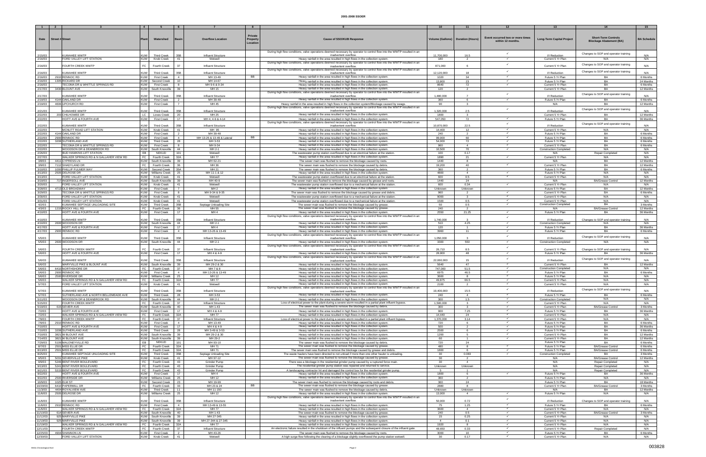|                      |                                                      |                          |                                          |                       |                                       | Private   |                                                                                                                                                                                                                                 |                                     |                                  |                                  |                                                    |                                              |                       |
|----------------------|------------------------------------------------------|--------------------------|------------------------------------------|-----------------------|---------------------------------------|-----------|---------------------------------------------------------------------------------------------------------------------------------------------------------------------------------------------------------------------------------|-------------------------------------|----------------------------------|----------------------------------|----------------------------------------------------|----------------------------------------------|-----------------------|
| Date                 | <b>Street # Stree</b>                                |                          | Watershed                                |                       | <b>Overflow Location</b>              | Property  | <b>Cause of SSO/KUB Response</b>                                                                                                                                                                                                | Volume (Gallons)   Duration (Hours) |                                  | Event occurred two or more times | <b>Long-Term Capital Project</b>                   | <b>Short-Term Controls</b>                   | <b>BA Schedule</b>    |
|                      |                                                      |                          |                                          |                       |                                       | Location  |                                                                                                                                                                                                                                 |                                     |                                  | within 12 months                 |                                                    | <b>Blockage Abatement (BA)</b>               |                       |
|                      |                                                      |                          |                                          |                       |                                       |           |                                                                                                                                                                                                                                 |                                     |                                  |                                  |                                                    |                                              |                       |
|                      |                                                      |                          |                                          |                       |                                       |           | During high flow conditions, valve operations deemed necessary by operator to control flow into the WWTP resulted in an                                                                                                         |                                     |                                  |                                  |                                                    | Changes to SOP and operator training         |                       |
| 2/15/03<br>2/16/03   | (UWAHEE WWTP<br>FORD VALLEY LIFT STATION             | KUW<br><b>KUW</b>        | <b>Third Creek</b><br>Knob Creek         | 35B<br>- 41           | Influent Structure                    |           | inadvertent overflow<br>Heavy rainfall in the area resulted in high flows in the collection system.                                                                                                                             | 11,700,000<br>180                   | 16.5<br>2                        | $\checkmark$                     | I/I Reduction<br>Current 5 Yr Plan                 |                                              | N/A<br>N/A            |
|                      |                                                      |                          |                                          |                       | Wetwell                               |           | During high flow conditions, valve operations deemed necessary by operator to control flow into the WWTP resulted in an                                                                                                         |                                     |                                  |                                  |                                                    | N/A                                          |                       |
| 2/16/03              | FOURTH CREEK WWTP                                    | FC                       | Fourth Creek                             | -37                   | Influent Structure                    |           | inadvertent overflow                                                                                                                                                                                                            | 871,000                             |                                  | $\checkmark$                     | Current 5 Yr Plan                                  | Changes to SOP and operator training         | N/A                   |
|                      |                                                      |                          |                                          |                       |                                       |           | During high flow conditions, valve operations deemed necessary by operator to control flow into the WWTP resulted in an                                                                                                         |                                     |                                  | $\checkmark$                     |                                                    | Changes to SOP and operator training         |                       |
| 2/16/03              | KUWAHEE WWTP<br>2910 RENNOC RD                       | KUW<br><b>KUW</b>        | <b>Third Creek</b>                       | 35B<br>$\overline{4}$ | <b>Influent Structure</b><br>MH 13-49 | BB        | inadvertent overflow.<br>Heavy rainfall in the area resulted in high flows in the collection system.                                                                                                                            | 12,120,000<br>1020                  | 18<br>34                         |                                  | I/I Reduction<br>Future 5 Yr Plan                  | BA                                           | N/A<br>6 Months       |
| 2/16/03<br>2/16/03   | 1305 RICKARD DR                                      |                          | <b>First Creek</b><br>KUW Second Creek   | 10 <sup>1</sup>       | MH 14-67                              |           |                                                                                                                                                                                                                                 | 13,800                              | 23                               | $\checkmark$                     | Future 5 Yr Plan                                   | BA                                           | 24 Months             |
| 2/16/03              | TECOMA DR & WHITTLE SPRINGS RD                       | KUW I                    | First Creek                              | -8                    | MH 9-6 & 9-34                         |           | Heavy rainfall in the area resulted in high flows in the collection system<br>Heavy rainfall in the area resulted in high flows in the collection system.                                                                       | 8640                                | 72                               | $\checkmark$                     | Current 5 Yr Plan                                  | BA                                           | 6 Months              |
| 2/17/03              | 3430 BLOUNT AVE                                      |                          | KUW South Knoxville                      | 39                    | MH 15                                 |           | Heavy rainfall in the area resulted in high flows in the collection system.                                                                                                                                                     | 120                                 | 2                                |                                  | Current 5 Yr Plan                                  | BA                                           | 12 Months             |
|                      |                                                      |                          |                                          |                       |                                       |           | During high flow conditions, valve operations deemed necessary by operator to control flow into the WWTP resulted in an                                                                                                         |                                     |                                  | $\checkmark$                     |                                                    | Changes to SOP and operator training         |                       |
| 2/17/03              | KUWAHEE WWTP                                         | KUW                      | <b>Third Creek</b>                       | 35B                   | Influent Structure                    |           | inadvertent overflow                                                                                                                                                                                                            | 1,480,000                           |                                  | $\checkmark$                     | I/I Reduction                                      |                                              | N/A                   |
| 2/19/03              | 4144 OAKLAND DR                                      | <b>KUW</b>               | <b>First Creek</b>                       | $\overline{7}$        | MH 39-48                              |           | Heavy rainfall in the area resulted in high flows in the collection system                                                                                                                                                      | 360                                 | 6                                |                                  | Future 5 Yr Plan                                   | BA                                           | 6 Months              |
| 2/19/03              | 4606 UPCHURCH RD                                     | <b>KUW</b>               | <b>First Creek</b>                       |                       | MH 45                                 |           | Heavy rainfall in the area resulted in high flows in the collection system/Blockage caused by swags.<br>During high flow conditions, valve operations deemed necessary by operator to control flow into the WWTP resulted in an | 90                                  | -3                               |                                  | N/A                                                | BA                                           | 12 Months             |
| 2/21/03              | KUWAHEE WWTP                                         | KUW                      | <b>Third Creek</b>                       | 35B                   | Influent Structure                    |           | inadvertent overflow.                                                                                                                                                                                                           | 1,320,000                           | 2.5                              | $\checkmark$                     | I/I Reduction                                      | Changes to SOP and operator training         | N/A                   |
| 2/22/03              | 203 CHILHOWEE DR                                     | LC                       | Loves Creek                              | - 20                  | MH 25                                 |           | Heavy rainfall in the area resulted in high flows in the collection system.                                                                                                                                                     | 1800                                | 3                                |                                  | Current 5 Yr Plan                                  | <b>BA</b>                                    | 12 Months             |
| 2/22/03              | HOITT AVE & FOURTH AVE                               | <b>KUW</b>               | <b>First Creek</b>                       | 17                    | MH 4, 4-9 & 4-14                      |           | Heavy rainfall in the area resulted in high flows in the collection system                                                                                                                                                      | 547,050                             | 72                               | $\checkmark$                     | Future 5 Yr Plan                                   | BA                                           | 36 Months             |
| 2/22/03              | (UWAHEE WWTP                                         | KUW                      | <b>Third Creek</b>                       | 35B                   | Influent Structure                    |           | During high flow conditions, valve operations deemed necessary by operator to control flow into the WWTP resulted in an<br>inadvertent overflow                                                                                 | 10,870,000                          | 22.5                             | $\checkmark$                     | I/I Reduction                                      | Changes to SOP and operator training         | N/A                   |
| 2/22/03              | MCNUTT ROAD LIFT STATION                             | <b>KUW</b>               | Knob Creek                               | 41                    | MH 95                                 |           | Heavy rainfall in the area resulted in high flows in the collection system.                                                                                                                                                     | 14,400                              | 12                               |                                  | Current 5 Yr Plan                                  | N/A                                          | N/A                   |
| 2/22/03              | 4144 OAKLAND DF                                      | <b>KUW</b>               | <b>First Creek</b>                       |                       | MH 39-48                              |           | Heavy rainfall in the area resulted in high flows in the collection system                                                                                                                                                      | 240                                 | $\overline{2}$                   | $\checkmark$                     | Future 5 Yr Plan                                   | BA                                           | 6 Months              |
| 2/22/03              | 2900 RENNOC RD                                       | <b>KUW</b>               | <b>First Creek</b>                       | $\overline{4}$        | MH 13-26 & 13-49 & Latera             | BB        | Heavy rainfall in the area resulted in high flows in the collection system                                                                                                                                                      | 99,000                              | 60                               |                                  | Future 5 Yr Plan                                   | <b>BA</b>                                    | 6 Months              |
| 2/22/03              | 3208 SUTHERLAND AVE                                  | <b>KUW</b>               | <b>Third Creek</b>                       | 28                    | MH 3-53                               |           | Heavy rainfall in the area resulted in high flows in the collection system.                                                                                                                                                     | 54,000                              | 72                               |                                  | Future 5 Yr Plan                                   | BA                                           | 6 Months              |
| 2/22/03              | TECOMA DR & WHITTLE SPRINGS RD                       | <b>KUW</b>               | <b>First Creek</b>                       | - 8                   | MH 9-34                               |           | Heavy rainfall in the area resulted in high flows in the collection system.                                                                                                                                                     | 960                                 | $\overline{4}$                   |                                  | Current 5 Yr Plan                                  | <b>BA</b>                                    | 6 Months              |
| 2/22/03              | WOODSON DR & DEANBROOK RD                            |                          | KUW South Knoxville                      | -44                   | MH 2-1                                |           | Heavy rainfall in the area resulted in high flows in the collection system.                                                                                                                                                     | 10,500                              | 70                               | $\checkmark$                     | <b>Construction Completed</b>                      | N/A                                          | N/A                   |
| 2/26/03              | <b>BUD HAWKINS LIFT STATION</b>                      | EB                       | NEKUD                                    | 101                   | Wetwell                               |           | The wastewater pump station overflowed due to an electrical failure at the station                                                                                                                                              | 100                                 | 0.17                             |                                  | N/A                                                | Repair Completed                             | N/A                   |
| 2/27/03              | VALKER SPRINGS RD & N GALLAHER VIEW RD               | FC                       | Fourth Creek                             | 32A                   | MH 77                                 |           | Heavy rainfall in the area resulted in high flows in the collection system.                                                                                                                                                     | 1890                                | 21                               |                                  | Current 5 Yr Plan                                  | N/A                                          | N/A                   |
| 3/8/03               | 4411 CYPRESS LN                                      |                          | KUW   South Knoxville                    | - 39                  | MH 62-21                              |           | The sewer main was flushed to remove the blockage caused by roots.                                                                                                                                                              | 1440                                | 8<br>40                          |                                  | N/A                                                | BA<br><b>BA</b>                              | 12 Months             |
| 3/9/03<br>3/10/03    | 7112 SHADYLAND DR<br>1000 PHILLIP FULMER WAY         | FC                       | Fourth Creek<br>KUW Second Creek         | 35A                   | MH 36<br>MH 21                        |           | The sewer main was flushed to remove the blockage caused by debris.                                                                                                                                                             | 19,200<br>360                       |                                  |                                  | Current 5 Yr Plan                                  | <b>BA</b>                                    | 12 Months<br>6 Months |
| 3/13/03              | 2505 DELROSE DR                                      |                          | KUW Williams Creek                       | - 25                  | MH 11-1 & 1:                          |           | The sewer main was flushed to remove the blockage caused by debris.<br>Heavy rainfall in the area resulted in high flows in the collection system.                                                                              | 4800                                | $\overline{4}$                   |                                  | Future 5 Yr Plan<br>Future 5 Yr Plan               | N/A                                          | N/A                   |
| 3/13/03              | FORD VALLEY LIFT STATION                             | <b>KUW</b>               | Knob Creek                               | 41                    | Wetwel                                |           | The wastewater pump station overflowed due to an electrical failure at the station                                                                                                                                              | 600                                 | 0.5                              | $\checkmark$                     | Current 5 Yr Plan                                  | N/A                                          | N/A                   |
| 3/19/03              | 717 INGERSOLL AVE                                    |                          | KUW South Knoxville                      | -39                   | MH 40-9                               |           | The sewer main was flushed to remove the blockage caused by grease and roots                                                                                                                                                    | 1440                                | 24                               |                                  | N/A                                                | <b>BA/Grease Control</b>                     | 12 Months             |
| 3/20/03              | FORD VALLEY LIFT STATION                             | <b>KUW</b>               | Knob Creek                               | 41                    | Wetwell                               |           | The wastewater pump station overflowed due to a mechanical failure at the station.                                                                                                                                              | 600                                 | 0.34                             | $\checkmark$                     | Current 5 Yr Plan                                  | N/A                                          | N/A                   |
| 3/28/03              | 4713 OLD BROADWAY                                    | <b>KUW</b>               | First Creek                              | $\overline{7}$        | MH <sub>2</sub>                       |           | Heavy rainfall in the area resulted in high flows in the collection system.                                                                                                                                                     | Unknown                             | Unknown                          |                                  | Future 5 Yr Plan                                   | BA                                           | 12 Months             |
| 3/29/03              | TECOMA DR & WHITTLE SPRINGS RD                       | <b>KUW</b>               | <b>First Creek</b>                       | 8                     | MH 9-34 & 9-35                        |           | The sewer main was flushed to remove the blockage caused by grease and debris.                                                                                                                                                  | 960                                 | $\overline{2}$                   | $\checkmark$                     | Current 5 Yr Plan                                  | <b>BA</b>                                    | 6 Months              |
| 3/30/03              | FORD VALLEY LIFT STATION                             | <b>KUW</b>               | Knob Creek                               | 41                    | Wetwel                                |           | The wastewater pump station overflowed due to a mechanical failure at the station                                                                                                                                               | 9000                                |                                  | $\checkmark$                     | Current 5 Yr Plan                                  | N/A                                          | N/A                   |
| 3/31/03              | FORD VALLEY LIFT STATION                             | <b>KUW</b>               | Knob Creek                               | - 41                  | Wetwell                               |           | The wastewater pump station overflowed due to a mechanical failure at the station.                                                                                                                                              | 1500                                | 0.5                              |                                  | Current 5 Yr Plan                                  | N/A                                          | N/A                   |
| 4/2/03<br>4/3/03     | KUWAHEE SEPTAGE UNLOADING SITE<br>1215 ROCKY HILL RD | <b>KUW</b>               | <b>Third Creek</b><br>FC Fourth Creek    | 35B<br>- 36           | Septage Unloading Site<br>MH 55       |           | The sewer main was flushed to remove the blockage caused by grease                                                                                                                                                              | .50<br>240                          | 0.5<br>$\overline{2}$            | $\checkmark$                     | <b>Construction Completed</b><br>N/A               | <b>BA</b>                                    | 3 Months<br>12 Months |
| 4/10/03              | HOITT AVE & FOURTH AVE                               | <b>KUW</b>               | <b>First Creek</b>                       | 17                    | MH <sub>4</sub>                       |           | The sewer main was flushed to remove the blockage caused by grease<br>Heavy rainfall in the area resulted in high flows in the collection system.                                                                               | 2550                                | 21.25                            |                                  | Future 5 Yr Plan                                   | <b>BA/Grease Control</b><br><b>BA</b>        | 36 Months             |
|                      |                                                      |                          |                                          |                       |                                       |           | During high flow conditions, valve operations deemed necessary by operator to control flow into the WWTP resulted in an                                                                                                         |                                     |                                  |                                  |                                                    |                                              |                       |
| 4/10/03              | UWAHEE WWTP                                          | KLJW                     | <b>Third Creek</b>                       |                       | <b>Influent Structur</b>              |           | inadvertent overflow                                                                                                                                                                                                            | 1,740,000                           |                                  |                                  | I/I Reduction                                      | Changes to SOP and operator training         | N/A                   |
| 4/10/03              | 2600 WOODSON DR                                      |                          | KUW South Knoxville                      | -44                   | MH 2-1                                |           | Heavy rainfall in the area resulted in high flows in the collection system.                                                                                                                                                     | 510                                 | 4.25                             | $\checkmark$                     | <b>Construction Completed</b>                      | N/A                                          | N/A                   |
| 4/17/03              | HOITT AVE & FOURTH AVE                               | <b>KUW</b>               | <b>First Creek</b>                       | 17                    | MH <sub>4</sub>                       |           | Heavy rainfall in the area resulted in high flows in the collection system.                                                                                                                                                     | 120                                 | $\overline{1}$                   | $\checkmark$                     | Future 5 Yr Plan                                   | <b>BA</b>                                    | 36 Months             |
| 4/17/03              | 2900 RENNOC RD                                       | <b>KUW</b>               | <b>First Creek</b>                       | $\overline{4}$        | MH 13-26 & 13-49                      |           | Heavy rainfall in the area resulted in high flows in the collection system                                                                                                                                                      | 3960                                | 11                               |                                  | Future 5 Yr Plan                                   | BA                                           | 6 Months              |
| 5/5/03               | UWAHEE WWTP                                          | <b>KUW</b>               | <b>Third Creek</b>                       | 35B                   | Influent Structure                    |           | During high flow conditions, valve operations deemed necessary by operator to control flow into the WWTP resulted in an<br>inadvertent overflow                                                                                 | 1,050,000                           |                                  |                                  | I/I Reduction                                      | Changes to SOP and operator training         | N/A                   |
| 5/5/03               | 2600 WOODSON DR                                      |                          | KUW South Knoxville                      | 44                    | MH 2-1                                |           | Heavy rainfall in the area resulted in high flows in the collection system.                                                                                                                                                     | 3300                                | 550                              |                                  | <b>Construction Completed</b>                      | N/A                                          | N/A                   |
|                      |                                                      |                          |                                          |                       |                                       |           | During high flow conditions, valve operations deemed necessary by operator to control flow into the WWTP resulted in an                                                                                                         |                                     |                                  |                                  |                                                    |                                              |                       |
| 5/6/03               | FOURTH CREEK WWTP                                    | FC                       | Fourth Creek                             | -37                   | Influent Structure                    |           | inadvertent overflow                                                                                                                                                                                                            | 26,710                              | 8.5                              |                                  | Current 5 Yr Plan                                  | Changes to SOP and operator training         | N/A                   |
| 5/6/03               | HOITT AVE & FOURTH AVE                               | <b>KUW</b>               | <b>First Creek</b>                       | 17                    | MH 4 & 4-9                            |           | Heavy rainfall in the area resulted in high flows in the collection system                                                                                                                                                      | 28,800                              | 48                               | $\checkmark$                     | Future 5 Yr Plan                                   | BA                                           | 36 Months             |
| 5/6/03               | KUWAHEE WWTP                                         | <b>KUW</b>               | <b>Third Creek</b>                       | 35B                   | Influent Structure                    |           | During high flow conditions, valve operations deemed necessary by operator to control flow into the WWTP resulted in an                                                                                                         | 22,060,000                          | 15                               | $\checkmark$                     | I/I Reduction                                      | Changes to SOP and operator training         | N/A                   |
| 5/6/03               | <b>MARYVILLE PIKE &amp; BLOUNT AVE</b>               |                          | KUW South Knoxville                      | -39                   | MH 29-2 & 30                          |           | inadvertent overflow                                                                                                                                                                                                            | 5640                                | 47                               |                                  |                                                    | <b>BA</b>                                    | 12 Months             |
| 5/6/03               | 6410 NORTHSHORE DR                                   |                          | FC   Fourth Creek                        | - 37                  | MH 7 & 8                              |           | Heavy rainfall in the area resulted in high flows in the collection system<br>Heavy rainfall in the area resulted in high flows in the collection system                                                                        | 747,000                             | 51.5                             | $\checkmark$                     | Current 5 Yr Plan<br><b>Construction Completed</b> | N/A                                          | N/A                   |
| 5/6/03               | 2900 RENNOC RD                                       | <b>KUW</b>               | <b>First Creek</b>                       | $\overline{4}$        | MH 13-26 & 13-49                      |           | Heavy rainfall in the area resulted in high flows in the collection system                                                                                                                                                      | 6975                                | 46.5                             |                                  | Future 5 Yr Plan                                   | <b>BA</b>                                    | 6 Months              |
| 5/6/03               | 2500 RIVERSIDE DR                                    |                          | KUW   Williams Creek                     | 25                    | MH 12                                 |           | Heavy rainfall in the area resulted in high flows in the collection system                                                                                                                                                      | 3600                                | 8                                |                                  | Future 5 Yr Plan                                   | N/A                                          | N/A                   |
| 5/6/03               | WALKER SPRINGS RD & N GALLAHER VIEW RD               | FC                       | Fourth Creek                             | 32A                   | MH 77                                 |           | Heavy rainfall in the area resulted in high flows in the collection system                                                                                                                                                      | 49,875                              | 66.5                             |                                  | Current 5 Yr Plan                                  | N/A                                          | N/A                   |
| 5/7/03               | FORD VALLEY LIFT STATION                             | <b>KUW</b>               | Knob Creek                               | 41                    | Wetwell                               |           | Heavy rainfall in the area resulted in high flows in the collection system.                                                                                                                                                     | 2100                                | 2                                | $\checkmark$                     | Current 5 Yr Plan                                  | N/A                                          | N/A                   |
| 5/7/03               | KUWAHEE WWTP                                         | <b>KUW</b>               | <b>Third Creek</b>                       | 35B                   | Influent Structure                    |           | During high flow conditions, valve operations deemed necessary by operator to control flow into the WWTP resulted in an<br>inadvertent overflow                                                                                 | 19,400,000                          | 15.5                             | $\checkmark$                     | I/I Reduction                                      | Changes to SOP and operator training         | N/A                   |
| 5/7/03               | SUTHERLAND AVE & NORTH BELLEMEADE AVE                | <b>KUW</b>               | <b>Third Creek</b>                       | 28                    | MH 3-53                               |           | Heavy rainfall in the area resulted in high flows in the collection system.                                                                                                                                                     | 240                                 | $\overline{a}$                   | $\checkmark$                     | Future 5 Yr Plan                                   | <b>BA</b>                                    | 6 Months              |
| 5/11/03              | <b>VOODSON DR &amp; DEANBROOK RD</b>                 |                          | KUW South Knoxville                      | 44                    | MH 2-1                                |           | Heavy rainfall in the area resulted in high flows in the collection system                                                                                                                                                      | 300                                 | 1.5                              | $\checkmark$                     | <b>Construction Completed</b>                      | N/A                                          | N/A                   |
| 5/15/03              | FOURTH CREEK WWTP                                    | FC                       | Fourth Creek                             | - 37                  | Influent Structure                    |           | Loss of electrical power to the plant during a severe storm resulted in a partial plant influent bypass.                                                                                                                        | 1,500,000                           | - 3                              | $\checkmark$                     | Current 5 Yr Plan                                  | N/A                                          | N/A                   |
| 5/19/03              | 615 SEVIER AVE                                       |                          | KUW South Knoxville                      | 40                    | MH 1-43                               |           | The sewer main was flushed to remove the blockage caused by debris.                                                                                                                                                             | 300                                 | $\overline{\mathbf{3}}$          | $\checkmark$                     | Current 5 Yr Plan                                  | <b>BA/Grease Control</b>                     | 3 Months              |
| 7/2/03               | HOITT AVE & FOURTH AVE                               | <b>KUW</b>               | <b>First Creek</b>                       | 17                    | MH 4 & 4-9                            |           | Heavy rainfall in the area resulted in high flows in the collection system                                                                                                                                                      | 900                                 | 7.25                             | $\checkmark$                     | Future 5 Yr Plan                                   | <b>BA</b>                                    | 36 Months             |
| 7/2/03               | WALKER SPRINGS RD & N GALLAHER VIEW RD               |                          | FC Fourth Creek                          | 32A                   | <b>MH77</b>                           |           | Heavy rainfall in the area resulted in high flows in the collection system                                                                                                                                                      | 14,440                              | 24                               |                                  | Current 5 Yr Plan                                  | N/A                                          | N/A                   |
| 7/9/03               | FOURTH CREEK WWTP                                    |                          | FC Fourth Creek                          | 37                    | Influent Structure                    |           | Loss of electrical power to the plant during a severe storm resulted in a partial plant influent bypass.                                                                                                                        | 1,370,000                           | 3.14<br>$6^{\circ}$              | $\checkmark$                     | Current 5 Yr Plan                                  | N/A                                          | N/A                   |
| 7/9/03<br>7/10/03    | 2910 RENNOC RD<br>HOITT AVE & FOURTH AVE             | <b>KUW</b><br><b>KUW</b> | <b>First Creek</b><br><b>First Creek</b> | $\overline{4}$<br>17  | MH 13-49<br>MH 4 & 4-9                |           | Heavy rainfall in the area resulted in high flows in the collection system<br>Heavy rainfall in the area resulted in high flows in the collection system.                                                                       | 720<br>500                          | $\overline{2}$                   |                                  | Future 5 Yr Plan<br>Future 5 Yr Plan               | <b>BA</b><br>BA                              | 6 Months<br>36 Months |
| 7/10/03              | 3208 SUTHERLAND AVE                                  | <b>KUW</b>               | <b>Third Creek</b>                       | 28                    | MH 3-49 & 3-53                        |           | Heavy rainfall in the area resulted in high flows in the collection system.                                                                                                                                                     | 2500                                | 6                                | $\checkmark$                     | Future 5 Yr Plan                                   | <b>BA</b>                                    | 6 Months              |
| 7/10/03              | 3821 W BLOUNT AVE                                    | <b>KUW</b>               | South Knoxville                          | 39                    | MH 29-2 & 30                          |           | Heavy rainfall in the area resulted in high flows in the collection system                                                                                                                                                      | 1200                                | -5                               | $\checkmark$                     | Current 5 Yr Plan                                  | <b>BA</b>                                    | 12 Months             |
| 7/14/03              | 3821 W BLOUNT AVE                                    |                          | KUW South Knoxville                      | 39                    | MH 29-2                               |           | Heavy rainfall in the area resulted in high flows in the collection system.                                                                                                                                                     | 60                                  | $\overline{1}$                   | $\checkmark$                     | Current 5 Yr Plan                                  | <b>BA</b>                                    | 12 Months             |
| 7/29/03              | 5109 MALONEYVILLE RD                                 | EB I                     | NEKUD                                    | 101                   | MH 93-10                              |           | The sewer main was flushed to remove the blockage caused by debris.                                                                                                                                                             | 720                                 | 24                               |                                  | Future 5 Yr Plan                                   | BA                                           | 6 Months              |
| 8/7/03               | 2501 MISS ELLIE DR                                   | FC                       | Fourth Creek                             | 32A                   | MH 71                                 |           | The sewer main was flushed to remove the blockage caused by grease                                                                                                                                                              | 480                                 | 8                                | $\checkmark$                     | Future 5 Yr Plan                                   | <b>BA/Grease Control</b>                     | 6 Months              |
| 8/13/03              | 2501 MISS ELLIE DR                                   |                          | FC   Fourth Creek                        | 32A                   | MH 71                                 |           | The sewer main was flushed to remove the blockage caused by grease and debris.                                                                                                                                                  | 1800                                | 6                                | $\checkmark$                     | Future 5 Yr Plan                                   | <b>BA/Grease Control</b>                     | 6 Months              |
| 8/25/03              | KUWAHEE SEPTAGE UNLOADING SITE                       | <b>KUW</b>               | <b>Third Creek</b>                       | 35B                   | Septage Unloading Site                |           | The waste haulers have been directed to not unload if more than one other hauler is unloading.<br>The sewer main was flushed to remove the blockage caused by grease.                                                           | 30                                  | 0.083                            |                                  | <b>Construction Completed</b>                      | <b>BA</b>                                    | 3 Months              |
| 9/5/03<br>9/9/03     | 5031 SEVIERVILLE PIKE<br>5246 BENT RIVER BOULEVARD   | <b>KUW</b><br>FC         | Knob Creek<br>Fourth Creek               | 41<br>43              | MH 97-12<br>Grinder Pump              |           | There was a blockage in the residential grinder pump caused by a ruptured force main.                                                                                                                                           | 30<br>30                            | $\overline{2}$<br>$\overline{4}$ |                                  | N/A<br>N/A                                         | <b>BA/Grease Control</b><br>Repair Completed | 12 Months<br>N/A      |
| 9/13/03              | 5241 BENT RIVER BOULEVARD                            | FC                       | Fourth Creek                             | 43                    | Grinder Pump                          |           | The residential grinder pump station was repaired and returned to service.                                                                                                                                                      | Unknown                             | Unknown                          |                                  | N/A                                                | Repair Completed                             | N/A                   |
| 9/21/03              | 5315 BENT RIVER BOULEVARD                            | FC                       | Fourth Creek                             | 43                    | Grinder Pump                          |           | A landscaping contractor hit and damaged the control box for the residential grinder pump.                                                                                                                                      |                                     | $\mathbf{1}$                     |                                  | N/A                                                | Repair Completed                             | N/A                   |
| 9/22/03              | HOITT AVE & FOURTH AVE                               | <b>KUW</b>               | <b>First Creek</b>                       | -17                   | MH <sub>4</sub>                       |           | Heavy rainfall in the area resulted in high flows in the collection system.                                                                                                                                                     | 1800                                | 6                                |                                  | Future 5 Yr Plan                                   | BA                                           | 36 Months             |
| 9/22/03              | 2500 RIVERSIDE DR                                    | <b>KUW</b>               | <b>Williams Creek</b>                    | 25                    | MH 12                                 |           | Heavy rainfall in the area resulted in high flows in the collection system.                                                                                                                                                     | 360                                 | $\overline{2}$                   |                                  | Future 5 Yr Plan                                   | N/A                                          | N/A                   |
| 10/9/03              | 1025 ELM ST                                          | <b>KUW</b>               | Second Creek                             | 23                    | MH 19-99                              |           | The sewer main was flushed to remove the blockage caused by roots and debris.                                                                                                                                                   | 360                                 | 24                               |                                  | Future 5 Yr Plan                                   | <b>BA</b>                                    | 18 Months             |
| 10/29/03             | 6410 PAPERMILL DR                                    | FC                       | Fourth Creek                             | 33                    | MH 23 & 24                            | <b>BB</b> | The sewer main was flushed to remove the blockage caused by grease.                                                                                                                                                             | 2880                                | 8                                |                                  | Current 5 Yr Plan                                  | <b>BA/Grease Control</b>                     | 3 Months              |
| 11/3/03              | 4404 ROYALVIEW AVE                                   | KUW I                    | <b>Third Creek</b>                       | 11                    | MH 11-150                             |           | The sewer main was flushed to remove the blockage caused by debris.                                                                                                                                                             | Unknown                             | Unknown                          |                                  | N/A                                                | <b>BA</b>                                    | 12 Months             |
| 11/6/03              | 2505 DELROSE DR                                      |                          | KUW   Williams Creek                     | 25                    | MH 12                                 |           | Heavy rainfall in the area resulted in high flows in the collection system.                                                                                                                                                     | 13,000                              | $\overline{4}$                   | $\checkmark$                     | Future 5 Yr Plan                                   | N/A                                          | N/A                   |
| 11/6/03              | KUWAHEE WWTP                                         | <b>KUW</b>               | <b>Third Creek</b>                       | 35B                   | Influent Structure                    |           | During high flow conditions, valve operations deemed necessary by operator to control flow into the WWTP resulted in an<br>inadvertent overflow                                                                                 | 50,000                              | 0.72                             |                                  | I/I Reduction                                      | Changes to SOP and operator training         | N/A                   |
| 11/6/03              | 2910 RENNOC RD                                       | <b>KUW</b>               | <b>First Creek</b>                       | $\overline{4}$        | MH 13-49 & 13-55                      |           | Heavy rainfall in the area resulted in high flows in the collection system                                                                                                                                                      | 75                                  | 1.25                             | $\checkmark$                     | Future 5 Yr Plan                                   | BA                                           | 6 Months              |
| 11/6/03              | WALKER SPRINGS RD & N GALLAHER VIEW RD               |                          | FC Fourth Creek                          | 32A                   | MH 77                                 |           | Heavy rainfall in the area resulted in high flows in the collection system                                                                                                                                                      | 3600                                | $\mathbf{A}$                     | $\checkmark$                     | Current 5 Yr Plan                                  | N/A                                          | N/A                   |
| 11/10/03             | 614 SEVIER AVE                                       |                          | KUW South Knoxville                      | 40                    | MH 1-43                               |           | The sewer main was flushed to remove the blockage caused by grease                                                                                                                                                              | 240                                 | 0.5                              | $\checkmark$                     | Current 5 Yr Plan                                  | <b>BA/Grease Control</b>                     | 3 Months              |
| 11/12/03             | 925 MARYVILLE PIKE                                   |                          | KUW South Knoxville                      | 39                    | MH 27-345                             |           | Heavy rainfall in the area resulted in high flows in the collection system.                                                                                                                                                     | 15                                  | 0.25                             |                                  | Current 5 Yr Plan                                  | N/A                                          | N/A                   |
| 11/19/03             | 925 MARYVILLE PIKE                                   |                          | KUW South Knoxville                      | 39                    | MH 27-344 & 27-345                    |           | Heavy rainfall in the area resulted in high flows in the collection system                                                                                                                                                      | $\overline{4}$                      | 0.1                              | $\checkmark$                     | Current 5 Yr Plan                                  | N/A                                          | N/A                   |
| 11/19/03             | WALKER SPRINGS RD & N GALLAHER VIEW RD               | FC                       | Fourth Creek                             | 32A                   | MH 77                                 |           | Heavy rainfall in the area resulted in high flows in the collection system.                                                                                                                                                     | 1920                                | 8                                | $\checkmark$                     | Current 5 Yr Plan                                  | N/A                                          | N/A                   |
| 12/11/03<br>12/25/03 | FOURTH CREEK WWTP<br>4904 SHANNON LN                 | FC  <br><b>KUW</b>       | Fourth Creek                             | 37<br>$\overline{2}$  | Influent Structure<br>MH 43-26        |           | An electronic failure resulted in the shutdown of the influent pumps and the subsequent closure of the influent gate.                                                                                                           | 48.650<br>3000                      | 0.33<br>10 <sup>10</sup>         |                                  | Current 5 Yr Plan<br>Future 5 Yr Plan              | <b>Repair Completed</b><br>BA                | N/A                   |
| 12/30/03             | FORD VALLEY LIFT STATION                             | <b>KUW</b>               | <b>First Creek</b><br>Knob Creek         | 41                    | Wetwell                               |           | The sewer main was flushed to remove the blockage caused by roots.<br>A high surge flow following the clearing of a blockage slightly overflowed the pump station wetwell.                                                      | 30                                  | 0.17                             | $\checkmark$                     | Current 5 Yr Plan                                  | N/A                                          | 6 Months<br>N/A       |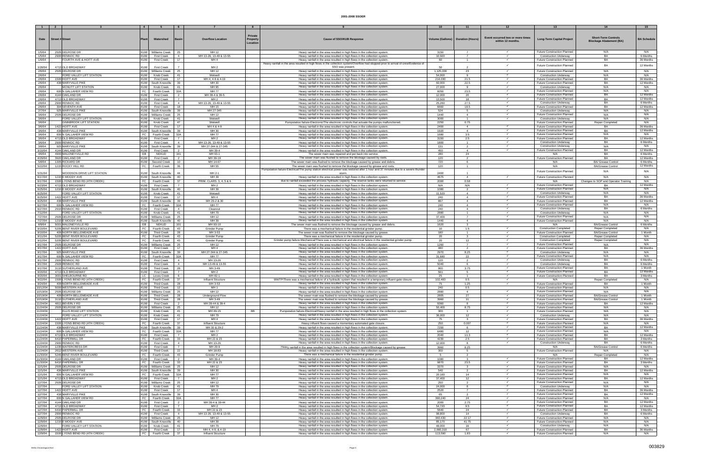|                      |                                      | $\overline{4}$           |                                                 |                                                            |                                                                                                                                                                                      |                                     |                                  |                                  |                                                                    |                                      |                       |
|----------------------|--------------------------------------|--------------------------|-------------------------------------------------|------------------------------------------------------------|--------------------------------------------------------------------------------------------------------------------------------------------------------------------------------------|-------------------------------------|----------------------------------|----------------------------------|--------------------------------------------------------------------|--------------------------------------|-----------------------|
|                      |                                      |                          |                                                 |                                                            |                                                                                                                                                                                      |                                     |                                  |                                  |                                                                    |                                      |                       |
|                      |                                      |                          |                                                 |                                                            |                                                                                                                                                                                      |                                     |                                  |                                  |                                                                    |                                      |                       |
| Date                 | Street # Stree                       |                          | Watershed                                       | <b>Overflow Location</b>                                   | <b>Private</b><br><b>Cause of SSO/KUB Response</b><br>Propert                                                                                                                        | Volume (Gallons)   Duration (Hours) |                                  | Event occurred two or more times | <b>Long-Term Capital Project</b>                                   | <b>Short-Term Controls</b>           | <b>BA Schedule</b>    |
|                      |                                      |                          |                                                 |                                                            | Location                                                                                                                                                                             |                                     |                                  | within 12 months                 |                                                                    | <b>Blockage Abatement (BA)</b>       |                       |
|                      |                                      |                          |                                                 |                                                            |                                                                                                                                                                                      |                                     |                                  |                                  |                                                                    |                                      |                       |
|                      |                                      |                          |                                                 |                                                            |                                                                                                                                                                                      |                                     |                                  |                                  |                                                                    |                                      |                       |
| 1/5/04<br>1/5/04     | 2505 DELROSE DR<br>2900 RENNOC RD    | <b>KUW</b>               | <b>KUW</b> Williams Creek<br><b>First Creek</b> | MH 12<br>- 25<br>MH 13-26, 13-49 & 13-55<br>$\overline{4}$ | Heavy rainfall in the area resulted in high flows in the collection system<br>Heavy rainfall in the area resulted in high flows in the collection system.                            | 3150<br>10,920                      | $\overline{7}$<br>$\overline{7}$ | $\checkmark$                     | <b>Future Construction Planned</b>                                 | N/A<br>BA                            | N/A<br>6 Months       |
| 1/6/04               | FOURTH AVE & HOITT AVE               | <b>KUW</b>               | <b>First Creek</b>                              | 17<br>MH <sub>4</sub>                                      | Heavy rainfall in the area resulted in high flows in the collection system                                                                                                           | 60                                  | $\overline{1}$                   |                                  | <b>Construction Underway</b><br><b>Future Construction Planned</b> | BA                                   | 36 Months             |
|                      |                                      |                          |                                                 |                                                            |                                                                                                                                                                                      |                                     |                                  |                                  |                                                                    |                                      |                       |
| 1/28/04              | 4713 OLD BROADWAY                    | <b>KUW</b>               | <b>First Creek</b>                              | MH <sub>2</sub>                                            | Heavy rainfall in the area resulted in high flows in the collection system/Overflow had stopped prior to arrival of crew/Evidence of<br>SSO was present.                             | 50                                  | $\mathcal{D}$                    |                                  | <b>Future Construction Planned</b>                                 | BA                                   | 12 Months             |
| 2/6/04               | 2505 DELROSE DR                      |                          | KUW   Williams Creek                            | MH 12<br>25                                                | Heavy rainfall in the area resulted in high flows in the collection system.                                                                                                          | 1,125,000                           | 23                               |                                  | Future Construction Planned                                        | N/A                                  | N/A                   |
| 2/6/04               | FORD VALLEY LIFT STATION             | <b>KUW</b>               | Knob Creek                                      | 41<br>Wetwell                                              | Heavy rainfall in the area resulted in high flows in the collection system                                                                                                           | 54,000                              | 9                                | $\checkmark$                     | <b>Construction Underway</b>                                       | N/A                                  | N/A                   |
| 2/6/04               | 1500 HOITT AVE                       | <b>KUW</b>               | <b>First Creek</b>                              | 17<br>MH 4, 4-9 & 4-19                                     | Heavy rainfall in the area resulted in high flows in the collection system.                                                                                                          | 214,030                             | 21.5                             |                                  | <b>Future Construction Planned</b>                                 | <b>BA</b>                            | 36 Months             |
| 2/6/04               | 438 MARYVILLE PIKE                   | <b>KUW</b>               | South Knoxville                                 | MH 30<br>39                                                | Heavy rainfall in the area resulted in high flows in the collection system.                                                                                                          | 60,000                              | 22.5                             |                                  | Future Construction Planned                                        | BA                                   | 12 Months             |
| 2/6/04               | MCNUTT LIFT STATION                  | <b>KUW</b>               | Knob Creek                                      | MH 95<br>-41                                               | Heavy rainfall in the area resulted in high flows in the collection system.                                                                                                          | 27,000                              | -9                               |                                  | <b>Construction Underway</b>                                       | N/A                                  | N/A                   |
| 2/6/04               | 600 N GALLAHER VIEW RD               | FC                       | <b>Fourth Creek</b>                             | 32A<br><b>MH77</b>                                         | Heavy rainfall in the area resulted in high flows in the collection system                                                                                                           | 6050                                | 23.5                             |                                  | <b>Future Construction Planned</b>                                 | N/A                                  | N/A                   |
| 2/6/04               | 4144 OAKLAND DR                      | <b>KUW</b>               | <b>First Creek</b>                              | MH 39-4 & 39-5                                             | Heavy rainfall in the area resulted in high flows in the collection system.                                                                                                          | 12,000                              | 20                               |                                  | <b>Future Construction Planned</b>                                 | BA                                   | 12 Months             |
| 2/6/04               | 4713 OLD BROADWAY                    | <b>KUW</b>               | <b>First Creek</b>                              | MH <sub>2</sub><br>$\overline{7}$                          | Heavy rainfall in the area resulted in high flows in the collection system                                                                                                           | 13,500                              | 18                               |                                  | Future Construction Planned                                        | BA                                   | 12 Months             |
| 2/6/04               | 2900 RENNOC RD                       | <b>KUW</b>               | <b>First Creek</b>                              | $\overline{4}$<br>MH 13-26, 13-49 & 13-55                  | Heavy rainfall in the area resulted in high flows in the collection system                                                                                                           | 25,260                              | 27.5                             | $\checkmark$                     | <b>Construction Underway</b>                                       | BA                                   | 6 Months              |
| 2/6/04               | 304 SEVENTH AVE                      | <b>KUW</b>               | <b>First Creek</b>                              | 18<br>MH 15                                                | Heavy rainfall in the area resulted in high flows in the collection system                                                                                                           | 6660                                | 18.5                             |                                  | <b>Future Construction Planned</b>                                 | <b>BA</b>                            | 12 Months             |
| 2/7/04               | 925 MARYVILLE PIKE                   |                          | KUW South Knoxville                             | -39<br>MH 27-345                                           | Heavy rainfall in the area resulted in high flows in the collection system.                                                                                                          | 524                                 | 5                                |                                  | <b>Construction Underway</b>                                       | N/A                                  | N/A                   |
| 3/6/04               | 2505 DELROSE DR                      |                          | KUW   Williams Creek                            | MH 12<br>25                                                | Heavy rainfall in the area resulted in high flows in the collection system.                                                                                                          | 1440                                | $\overline{4}$                   |                                  | <b>Future Construction Planned</b>                                 | N/A                                  | N/A                   |
| 3/6/04               | FORD VALLEY LIFT STATION             | <b>KUW</b>               | Knob Creek                                      | 41<br>Wetwell                                              | Heavy rainfall in the area resulted in high flows in the collection system.                                                                                                          | 3000                                | $\mathbf{1}$                     | $\checkmark$                     | <b>Construction Underway</b>                                       | N/A                                  | N/A                   |
| 3/6/04               | <b>GINNBROOK LIFT STATION</b>        | <b>KUW</b>               | Knob Creek                                      | 47<br>Wetwell                                              | Pumpstation failure-Electronic/The electronic controls that actuate the pumps malfunctioned.                                                                                         | 2250                                | 0.75                             |                                  | <b>Future Construction Planned</b>                                 | Repair Completed                     | N/A                   |
| 3/6/04               | 1422 HOITT AVE                       | <b>KUW</b>               | <b>First Creek</b>                              | 17<br>MH 4 & 4-9                                           | Heavy rainfall in the area resulted in high flows in the collection system                                                                                                           | 2400                                | $\overline{4}$                   |                                  | <b>Future Construction Planned</b>                                 | BA                                   | 36 Months             |
| 3/6/04               | 438 MARYVILLE PIKE                   |                          | KUW South Knoxville                             | MH 30                                                      | Heavy rainfall in the area resulted in high flows in the collection system                                                                                                           | 1920                                | $\overline{4}$                   |                                  | <b>Future Construction Planned</b>                                 | BA                                   | 12 Months             |
| 3/6/04               | 600 N GALLAHER VIEW RD               | FC                       | Fourth Creek                                    | 32A<br><b>MH77</b>                                         | Heavy rainfall in the area resulted in high flows in the collection system                                                                                                           | 1680                                | 3.5                              | $\checkmark$                     | <b>Future Construction Planned</b>                                 | N/A                                  | N/A                   |
| 3/6/04               | 4713 OLD BROADWAY                    | <b>KUW</b>               | <b>First Creek</b>                              | $\overline{7}$<br>MH <sub>2</sub>                          | Heavy rainfall in the area resulted in high flows in the collection system.                                                                                                          | 3150                                | 2.5                              |                                  | <b>Future Construction Planned</b>                                 | BA                                   | 12 Months             |
| 3/6/04               | 2900 RENNOC RD                       | <b>KUW</b>               | <b>First Creek</b>                              | MH 13-26, 13-49 & 13-55<br>$\overline{4}$                  | Heavy rainfall in the area resulted in high flows in the collection system                                                                                                           | 1800                                | $\overline{1}$                   |                                  | <b>Construction Underway</b>                                       | BA                                   | 6 Months              |
| 3/8/04               | 925 MARYVILLE PIKE                   |                          | KUW South Knoxville                             | 39<br>MH 27-344 & 27-345                                   | Heavy rainfall in the area resulted in high flows in the collection system.                                                                                                          | 131                                 | 2                                | $\checkmark$                     | <b>Construction Underway</b>                                       | N/A                                  | N/A                   |
| 3/10/04              | 4144 OAKLAND DR                      | <b>KUW</b>               | <b>First Creel</b>                              | MH 39-4                                                    | Heavy rainfall in the area resulted in high flows in the collection system                                                                                                           | 450                                 |                                  |                                  | <b>Future Construction Planned</b>                                 | <b>BA</b>                            | 12 Months             |
| 4/6/04               | 4900 MALONEYVILLE RD                 | EB                       | NEKUD                                           | 101<br>MH 93-1                                             | The sewer main was repaired and put back into service.                                                                                                                               | 280                                 | 24                               |                                  | N/A                                                                | BA                                   | 6 Months              |
| 4/29/04              | 3920 OAKLAND DR                      | <b>KUW</b>               | <b>First Creek</b>                              | MH 39-19<br>$\overline{2}$                                 | The sewer main was flushed to remove the blockage caused by roots.                                                                                                                   | 120                                 | $\overline{2}$                   |                                  | <b>Future Construction Planned</b>                                 | BA                                   | 12 Months             |
| 5/8/04               | 1305 RICKARD DR                      | <b>KUW</b>               | Second Creek                                    | 10 <sub>1</sub><br>MH 14-67                                | The sewer main was flushed to remove the blockage caused by grease and debris.                                                                                                       | 720                                 | 6                                |                                  | N/A                                                                | <b>BA/ Grease Control</b>            | 6 Months              |
| 5/22/04              | 1215 ROCKY HILL RD                   | FC                       | Fourth Creek                                    | MH 55                                                      | The sewer main was flushed to remove the blockage caused by grease and roots                                                                                                         | 120                                 | $\blacktriangleleft$             |                                  | N/A                                                                | <b>BA/Grease Contro</b>              | 12 Months             |
|                      |                                      |                          |                                                 |                                                            | Pumpstation failure-Electrical/The pump station electrical power was restored after 1 hour and 37 minutes due to a severe thunder                                                    |                                     |                                  |                                  |                                                                    |                                      |                       |
| 5/31/04              | <b>NOODSON DRIVE LIFT STATION</b>    | <b>KUW</b>               | South Knoxville                                 | MH 2-1<br>44                                               |                                                                                                                                                                                      | 2400                                |                                  |                                  | <b>Future Construction Planned</b>                                 | N/A                                  | N/A                   |
| 6/17/04              | 1210 E MOODY AVE                     |                          | KUW South Knoxville                             | MH 39<br>-40                                               | Heavy rainfall in the area resulted in high flows in the collection system.                                                                                                          | 4675                                | $\overline{4}$                   |                                  | <b>Future Construction Planned</b>                                 | N/A                                  | N/A                   |
| 6/17/04              | 1500 LYONS BEND RD (4TH CREEK)       | FC                       | Fourth Creek                                    | 37<br>PRIM. CLARS. 3, 4, 5 & 6                             | due to rainfall exceeded the process hydraulic capacity. The reserve tanks were returned to service.                                                                                 | 2000                                | 0.58                             |                                  | N/A                                                                | Changes to SOP and Operator Training | N/A                   |
| 6/23/04              | 4713 OLD BROADWAY                    | <b>KUW</b>               | <b>First Creek</b>                              | MH <sub>2</sub>                                            | Heavy rainfall in the area resulted in high flows in the collection system                                                                                                           | N/A                                 | N/A                              |                                  | <b>Future Construction Planned</b>                                 | <b>BA</b>                            | 12 Months             |
| 6/25/04              | 1210 E MOODY AVE                     |                          | KUW South Knoxville                             | 40<br>MH 39                                                | Heavy rainfall in the area resulted in high flows in the collection system                                                                                                           | 1080                                | $\overline{2}$                   |                                  | <b>Future Construction Planned</b>                                 | N/A                                  | N/A                   |
| 6/25/04              | FORD VALLEY LIFT STATION             |                          | KUW Knob Creek                                  | 41<br>Wetwell                                              | Heavy rainfall in the area resulted in high flows in the collection system                                                                                                           | 11.520                              | $\mathbf{A}$                     | $\checkmark$                     | <b>Construction Underway</b>                                       | N/A                                  | N/A                   |
| 6/25/04              | 1422 HOITT AVE                       | <b>KUW</b>               | <b>First Creek</b>                              | 17<br>MH <sub>4</sub>                                      | Heavy rainfall in the area resulted in high flows in the collection system                                                                                                           | 240                                 | $\overline{a}$                   |                                  | <b>Future Construction Planned</b>                                 | BA                                   | 36 Months             |
| 6/25/04              | 438 MARYVILLE PIKE                   |                          | KUW South Knoxville                             | 39<br>MH 29-2 & 30                                         | Heavy rainfall in the area resulted in high flows in the collection system.                                                                                                          | 867                                 | $\overline{4}$                   |                                  | <b>Future Construction Planned</b>                                 | BA                                   | 12 Months             |
| 6/27/04              | 600 N GALLAHER VIEW RD               |                          | FC   Fourth Creek                               | <b>MH77</b><br>32A                                         | Heavy rainfall in the area resulted in high flows in the collection system                                                                                                           | 240                                 | $\overline{4}$                   | $\checkmark$                     | <b>Future Construction Planned</b>                                 | N/A                                  | N/A                   |
| 6/27/04              | 2910 RENNOC RD                       | <b>KUW</b>               | <b>First Creek</b>                              | $\overline{4}$<br>Cleanout                                 | Heavy rainfall in the area resulted in high flows in the collection system.                                                                                                          | 240                                 | $\overline{a}$                   |                                  | <b>Construction Underway</b>                                       | <b>BA</b>                            | 6 Months              |
| 7/12/04              | FORD VALLEY LIFT STATION             | <b>KUW</b>               | Knob Creek                                      | 41<br>MH 79                                                | Heavy rainfall in the area resulted in high flows in the collection system.                                                                                                          | 2880                                | $\blacktriangleleft$             |                                  | <b>Construction Underway</b>                                       | N/A                                  | N/A                   |
| 7/27/04              | 2505 DELROSE DR                      |                          | KUW Williams Creek                              | MH 12<br>- 25                                              | Heavy rainfall in the area resulted in high flows in the collection system                                                                                                           | 37,400                              | $\overline{7}$                   |                                  | <b>Future Construction Planned</b>                                 | N/A                                  | N/A                   |
| 7/27/04              | 1210 E MOODY AVE                     | <b>KUW</b>               | South Knoxville                                 | MH 39<br>-40                                               | Heavy rainfall in the area resulted in high flows in the collection system                                                                                                           | 1440                                | $\overline{4}$                   | $\checkmark$                     | <b>Future Construction Planned</b>                                 | N/A                                  | N/A                   |
| 8/9/04               | 5001 MALONEYVILLE RD                 | EB I                     | NEKUD                                           | 101<br>MH 93-10                                            | The sewer main was flushed to remove the blockage caused by grease and debris.                                                                                                       | 1620                                | $\mathcal{R}$                    |                                  | N/A                                                                | <b>BA/Grease Control</b>             | 6 Months              |
| 9/10/04              | 5205 BENT RIVER BOULEVARD            | FC                       | <b>Fourth Creek</b>                             | 43<br><u>Grinder Pump</u>                                  | There was a mechanical failure in the residential grinder pump.                                                                                                                      |                                     | 1.5                              |                                  | <b>Construction Completed</b>                                      | Repair Completed                     | N/A                   |
| 9/10/04              | 409 NORTH BELLEMEADE AVE             | <b>KUW</b>               | <b>Third Creek</b>                              | MH 3-53<br>-28                                             | The sewer main was flushed to remove the blockage caused by grease                                                                                                                   | 180                                 | $\blacktriangleleft$             | $\checkmark$                     | Future Construction Planned                                        | <b>BA/Grease Control</b>             | 1 Month               |
| 9/11/04              | 5205 BENT RIVER BOULEVARD            |                          | FC   Fourth Creek                               | 43<br>Grinder Pump                                         | There was a mechanical failure in the residential grinder pump.                                                                                                                      | 20                                  | $\mathbf{3}$                     |                                  | <b>Construction Completed</b>                                      | Repair Completed                     | N/A                   |
| 9/12/04              | 5205 BENT RIVER BOULEVARD            | FC                       | Fourth Creek                                    | 43<br>Grinder Pump                                         | Grinder pump failure-Mechanical/There was a mechanical and electrical failure in the residential grinder pump.                                                                       | 20                                  | 12                               |                                  | <b>Construction Completed</b>                                      | Repair Completed                     | N/A                   |
| 9/17/04              | 2505 DELROSE DR                      |                          | KUW Williams Creek                              | MH 12<br>-25                                               | Heavy rainfall in the area resulted in high flows in the collection system                                                                                                           | 1260                                | 7                                |                                  | <b>Future Construction Planned</b>                                 | N/A                                  | N/A                   |
| 9/17/04              | 1422 HOITT AVE                       | <b>KUW</b>               | First Creek                                     | 17<br>MH 4                                                 | Heavy rainfall in the area resulted in high flows in the collection system.                                                                                                          | 480                                 | $\overline{2}$                   | $\checkmark$                     | <b>Future Construction Planned</b>                                 | BA                                   | 36 Months             |
| 9/17/04              | 925 MARYVILLE PIKE                   |                          | KUW South Knoxville                             | 39<br>MH 27-344 & 27-345                                   | Heavy rainfall in the area resulted in high flows in the collection system.                                                                                                          | 2970                                | 8.25                             |                                  | <b>Construction Underway</b>                                       | N/A                                  | N/A                   |
| 9/17/04              | 600 N GALLAHER VIEW RD               |                          | FC Fourth Creek                                 | <b>MH77</b><br>32A                                         | Heavy rainfall in the area resulted in high flows in the collection system                                                                                                           | 31,680                              | 22                               |                                  | <b>Future Construction Planned</b>                                 | N/A                                  | N/A                   |
| 9/17/04              | 2900 RENNOC RD                       | <b>KUW</b>               | <b>First Creek</b>                              | MH 13-26<br>$\overline{4}$                                 | Heavy rainfall in the area resulted in high flows in the collection system.                                                                                                          | 120                                 | 2                                |                                  | <b>Construction Underway</b>                                       | <b>BA</b>                            | 6 Months              |
| 9/17/04              | 2928 RENNOC RD                       | <b>KUW</b>               | <b>First Creek</b>                              | $\overline{4}$<br>MH 13-49 & 13-55                         | Heavy rainfall in the area resulted in high flows in the collection system                                                                                                           | 5040                                | $\epsilon$                       |                                  | <b>Construction Underway</b>                                       | <b>BA</b>                            | 6 Months              |
| 9/17/04              | 3110 SUTHERLAND AVE                  | <b>KUW</b>               | <b>Third Creek</b>                              | 28<br>MH 3-49                                              | Heavy rainfall in the area resulted in high flows in the collection system                                                                                                           | 900                                 | 3.75                             |                                  | <b>Future Construction Planned</b>                                 | BA                                   | 1 Month               |
| 9/20/04              | 4713 OLD BROADWAY                    | <b>KUW</b>               | <b>First Creek</b>                              | MH <sub>2</sub>                                            | Heavy rainfall in the area resulted in high flows in the collection system.                                                                                                          | 561                                 | 5                                |                                  | <b>Future Construction Planned</b>                                 | <b>BA</b>                            | 12 Months             |
| 9/20/04              | 3001 SHELBOURNE RD                   | LC                       | <b>Loves Creek</b>                              | MH 82-1<br>6                                               | Heavy rainfall in the area resulted in high flows in the collection system.                                                                                                          | -25                                 |                                  |                                  | Future Construction Planned                                        | BA                                   | 3 Months              |
| 9/22/04              | 1500 LYONS BEND RD (4TH CREEK)       |                          | FC Fourth Creek                                 | 37<br>Influent Structure                                   | WWTP/There was a mechanical failure of a hydraulic system that resulted in a temporary influent gate closure.                                                                        | 102.483                             | 0.5                              |                                  | N/A                                                                | Repair Completed                     | N/A                   |
| 9/24/04              | 409 NORTH BELLEMEADE AVE             | <b>KUW</b>               | <b>Third Creek</b>                              | 28<br>MH 3-53                                              | Heavy rainfall in the area resulted in high flows in the collection system                                                                                                           | 75                                  | 1.25                             |                                  | <b>Future Construction Planned</b>                                 | BA                                   | 1 Month               |
| 10/12/04             | 5000 WESTERN AVE                     | <b>KUW</b>               | <b>Third Creek</b>                              | 12<br>MH <sub>1</sub>                                      | Heavy rainfall in the area resulted in high flows in the collection system.                                                                                                          | 240                                 | 0.5                              |                                  | <b>Future Construction Planned</b>                                 | N/A                                  | N/A                   |
| 10/19/04             | 2505 DELROSE DR                      | <b>KUW</b>               | Williams Creek                                  | 25<br>MH 12                                                | Heavy rainfall in the area resulted in high flows in the collection system                                                                                                           | 2880                                | $\mathbf{A}$                     | $\checkmark$                     | <b>Future Construction Planned</b>                                 | N/A                                  | N/A                   |
| 10/19/04             | 409 NORTH BELLEMEADE AVE             | <b>KUW</b>               | <b>Third Creek</b>                              | - 28<br>Underground Flow                                   | The sewer main was flushed to remove the blockage caused by grease                                                                                                                   | 2805                                | 27                               |                                  | <b>Future Construction Planned</b>                                 | <b>BA/Grease Control</b>             | 1 Month               |
| 10/19/04             | 3110 SUTHERLAND AVE                  | <b>KUW</b>               | <b>Third Creek</b>                              | 28<br>MH 3-49                                              | The sewer main was flushed to remove the blockage caused by grease.                                                                                                                  | 3960                                | 11                               |                                  | <b>Future Construction Planned</b>                                 | <b>BA/Grease Control</b>             | 1 Month               |
| 11/24/04             | 4811 BEVERLY RD                      | I KUW I                  | First Creek                                     | MH 39-44 & 39-4<br>$\overline{2}$                          | Heavy rainfall in the area resulted in high flows in the collection system.                                                                                                          | 9360                                | 8                                | $\checkmark$                     | Future Construction Planned                                        | BA                                   | 12 Months             |
| 11/24/04             | 2505 DELROSE DR                      |                          | KUW Williams Creek                              | MH 12<br>25                                                | Heavy rainfall in the area resulted in high flows in the collection system.                                                                                                          | 50,400                              | 8.75                             |                                  | Future Construction Planned                                        | N/A                                  | N/A                   |
| 11/24/04             | ELLIS ROAD LIFT STATION              | <b>KUW</b>               | Knob Creek                                      | 41<br>MH 49-15                                             | <b>BB</b><br>Pumpstation failure-Electrical/Heavy rainfall in the area resulted in high flows in the collection system.                                                              | 300                                 | $\overline{1}$                   | $\checkmark$                     | <b>Future Construction Planned</b>                                 | N/A                                  | N/A                   |
| 11/24/04             | FORD VALLEY LIFT STATION             | <b>KUW</b>               | Knob Creek                                      | MH 79<br>41                                                | Heavy rainfall in the area resulted in high flows in the collection system.                                                                                                          | 36.000                              | 12                               | $\checkmark$                     | Construction Underway                                              | N/A                                  | N/A                   |
| 11/24/04             | 1422 HOITT AVE                       | <b>KUW</b>               | <b>First Creek</b>                              | MH <sub>4</sub><br>17                                      | Heavy rainfall in the area resulted in high flows in the collection system.                                                                                                          | 75                                  | $\mathbf{3}$                     |                                  | Future Construction Planned                                        | BA                                   | 36 Months             |
| 11/24/04             | 1500 LYONS BEND RD (4TH CREEK)       |                          | FC Fourth Creek                                 | 37<br>Influent Structure                                   | Heavy influent flows caused a momentary automated gate closure.                                                                                                                      | 250                                 | 0.007                            | $\checkmark$                     | <b>Future Construction Planned</b>                                 | N/A                                  | N/A                   |
| 1/24/04              | 438 MARYVILLE PIKE                   | <b>KUW</b>               | South Knoxville                                 | 39<br>MH 30 & 29-2                                         | Heavy rainfall in the area resulted in high flows in the collection system                                                                                                           | 7200                                |                                  | $\checkmark$                     | <b>Future Construction Planned</b><br>Future Construction Planned  | BA                                   | 12 Months             |
| 11/24/04             | 600 N GALLAHER VIEW RD               |                          | FC Fourth Creek                                 | 32A<br>MH 77                                               | Heavy rainfall in the area resulted in high flows in the collection system                                                                                                           | 6480                                | 12                               | $\checkmark$                     |                                                                    | N/A                                  | N/A                   |
| 11/24/04             | 4713 OLD BROADWAY                    | <b>KUW</b>               | <b>First Creek</b>                              | $\overline{7}$<br>MH <sub>2</sub>                          | Heavy rainfall in the area resulted in high flows in the collection system                                                                                                           | 2040                                | 11.3                             |                                  | <b>Future Construction Planned</b>                                 | BA                                   | 12 Months<br>3 Months |
| 11/24/04<br>11/24/04 | 6410 PAPERMILL DR<br>2900 RENNOC RD  | <b>KUW</b>               | FC Fourth Creek                                 | 33<br>MH 22 & 23<br>MH 13-26<br>$\overline{4}$             | Heavy rainfall in the area resulted in high flows in the collection system.<br>Heavy rainfall in the area resulted in high flows in the collection system.                           | 4230<br>12,000                      | 2.5<br>8                         |                                  | <b>Future Construction Planned</b><br><b>Construction Underway</b> | BA<br>BA                             | 6 Months              |
|                      | 1235 WATERCRESS DR                   |                          | <b>First Creek</b>                              | $\overline{7}$                                             |                                                                                                                                                                                      | 3960                                |                                  |                                  | N/A                                                                | <b>BA/Grease Control</b>             | 6 Months              |
| 11/24/04<br>11/24/04 | 2612 WESTERN AVE                     | <b>KUW</b><br><b>KUW</b> | <b>First Creek</b><br><b>Third Creek</b>        | MH 29-9<br>22<br>MH 18-83                                  | Heavy rainfall in the area resulted in high flows in the collection system/Blockage caused by grease.<br>Heavy rainfall in the area resulted in high flows in the collection system. | 300                                 | 8.25<br>$5 -$                    |                                  | <b>Future Construction Planned</b>                                 | N/A                                  | N/A                   |
| 11/30/04             | 5246 BENT RIVER BOULEVARD            | FC                       | Fourth Creek                                    | Grinder Pump<br>43                                         | There was a mechanical failure in the residential grinder pump.                                                                                                                      | -5                                  | 2                                |                                  | N/A                                                                | Repair Completed                     | N/A                   |
|                      |                                      |                          |                                                 |                                                            |                                                                                                                                                                                      |                                     |                                  | $\checkmark$                     | <b>Future Construction Planned</b>                                 | BA                                   | 12 Months             |
| 11/30/04<br>11/30/04 | 4144 OAKLAND DR<br>6410 PAPERMILL DR | <b>KUW</b><br>FC         | <b>First Creek</b><br><b>Fourth Creek</b>       | MH 39-4<br>$\overline{2}$<br>33<br>MH 22 & 23              | Heavy rainfall in the area resulted in high flows in the collection system<br>Heavy rainfall in the area resulted in high flows in the collection system.                            | 1080<br>9870                        | 23.5                             | $\checkmark$                     | Future Construction Planned                                        | <b>BA</b>                            | 3 Months              |
| 12/1/04              | 2505 DELROSE DR                      |                          | KUW Williams Creek                              | MH 12<br>25                                                | Heavy rainfall in the area resulted in high flows in the collection system.                                                                                                          | 3370                                | 3                                |                                  | <b>Future Construction Planned</b>                                 | N/A                                  | N/A                   |
| 12/1/04              | 436 MARYVILLE PIKE                   |                          | KUW South Knoxville                             | 39<br>MH 30                                                | Heavy rainfall in the area resulted in high flows in the collection system.                                                                                                          | 540                                 | 2                                |                                  | Future Construction Planned                                        | BA                                   | 12 Months             |
| 12/1/04              | 600 N GALLAHER VIEW RD               |                          | FC   Fourth Creek                               | 32A<br>MH 77                                               | Heavy rainfall in the area resulted in high flows in the collection system.                                                                                                          | 20,160                              | 14                               |                                  | <b>Future Construction Planned</b>                                 | N/A                                  | N/A                   |
| 12/1/04              | 4713 OLD BROADWAY                    | <b>KUW</b>               | <b>First Creek</b>                              | $\overline{7}$<br>MH <sub>2</sub>                          | Heavy rainfall in the area resulted in high flows in the collection system.                                                                                                          | 37,400                              | 12                               | $\checkmark$                     | <b>Future Construction Planned</b>                                 | BA                                   | 12 Months             |
| 12/7/04              | 2505 DELROSE DR                      |                          | <b>KUW</b> Williams Creek                       | MH 12<br>25                                                | Heavy rainfall in the area resulted in high flows in the collection system.                                                                                                          | 250                                 | 2                                |                                  | <b>Future Construction Planned</b>                                 | N/A                                  | N/A                   |
| 12/7/04              | FORD VALLEY LIFT STATION             | <b>KUW</b>               | Knob Creek                                      | 41<br>MH 79                                                | Heavy rainfall in the area resulted in high flows in the collection system                                                                                                           | 24,000                              |                                  | $\checkmark$                     | <b>Construction Underway</b>                                       | N/A                                  | N/A                   |
| 12/7/04              | 1422 HOITT AVE                       | <b>KUW</b>               | <b>First Creek</b>                              | MH <sub>4</sub><br>17                                      | Heavy rainfall in the area resulted in high flows in the collection system.                                                                                                          | 2520                                | $\overline{7}$                   | $\checkmark$                     | Future Construction Planned                                        | BA                                   | 36 Months             |
| 12/7/04              | 438 MARYVILLE PIKE                   |                          | KUW South Knoxville                             | 39<br>MH 30                                                | Heavy rainfall in the area resulted in high flows in the collection system                                                                                                           | 65                                  | $\mathcal{P}$                    |                                  | <b>Future Construction Planned</b>                                 | BA                                   | 12 Months             |
| 12/7/04              | 600 N GALLAHER VIEW RD               | FC                       | Fourth Creek                                    | 32A<br>MH 77                                               | Heavy rainfall in the area resulted in high flows in the collection system.                                                                                                          | 390,240                             | 24                               |                                  | <b>Future Construction Planned</b>                                 | N/A                                  | N/A                   |
| 12/7/04              | 4144 OAKLAND DR                      | <b>KUW</b>               | <b>First Creek</b>                              | MH 39-4 & 39-44                                            | Heavy rainfall in the area resulted in high flows in the collection system                                                                                                           | 2000                                | 2.75                             | $\checkmark$                     | <b>Future Construction Planned</b>                                 | BA                                   | 12 Months             |
| 12/7/04              | 4713 OLD BROADWAY                    | <b>KUW</b>               | <b>First Creek</b>                              | $\overline{7}$<br>MH <sub>2</sub>                          | Heavy rainfall in the area resulted in high flows in the collection system                                                                                                           | 54,720                              | 9.5                              |                                  | Future Construction Planned                                        | BA                                   | 12 Months             |
| 12/7/04              | 6410 PAPERMILL DR                    | FC                       | <b>Fourth Creek</b>                             | 33<br>MH 22 & 23                                           | Heavy rainfall in the area resulted in high flows in the collection system.                                                                                                          | 5640                                | 24                               | $\checkmark$                     | <b>Future Construction Planned</b>                                 | BA                                   | 3 Months              |
| 12/7/04              | 2900 RENNOC RD                       | <b>KUW</b>               | <b>First Creek</b>                              | MH 13-26, 13-49 & 13-55<br>$\overline{4}$                  | Heavy rainfall in the area resulted in high flows in the collection system.                                                                                                          | 98.800                              | 14                               | $\checkmark$                     | <b>Construction Underway</b>                                       | BA                                   | 6 Months              |
| 12/9/04              | 2505 DELROSE DR                      | <b>KUW</b>               | Williams Creek                                  | MH 12<br>25                                                | Heavy rainfall in the area resulted in high flows in the collection system                                                                                                           | 360,430                             | 22.17                            | $\checkmark$                     | <b>Future Construction Planned</b>                                 | N/A                                  | N/A                   |
| 12/9/04              | 1210 E MOODY AVE                     |                          | KUW South Knoxville                             | MH 39<br>- 40                                              | Heavy rainfall in the area resulted in high flows in the collection system.                                                                                                          | 85,170                              | 41.75                            | $\checkmark$                     | <b>Future Construction Planned</b>                                 | N/A                                  | N/A                   |
| 12/9/04              | FORD VALLEY LIFT STATION             | <b>KUW</b>               | Knob Creek                                      | 41<br>MH 79                                                | Heavy rainfall in the area resulted in high flows in the collection system.                                                                                                          | 48,000                              | 16                               |                                  | <b>Construction Underway</b>                                       | N/A                                  | N/A                   |
| 12/9/04              | 1422 HOITT AVE                       | <b>KUW</b>               | <b>First Creek</b>                              | MH 4, 4-9, & 4-19<br>17                                    | Heavy rainfall in the area resulted in high flows in the collection system.                                                                                                          | 2,660,310                           | 67                               | $\checkmark$                     | <b>Future Construction Planned</b>                                 | BA                                   | 36 Months             |
| 12/9/04              | 1500 LYONS BEND RD (4TH CREEK)       |                          | FC   Fourth Creek                               | 37<br>Influent Structure                                   | Heavy rainfall in the area resulted in high flows in the collection system.                                                                                                          | 113,590                             | 1.83                             |                                  | Future Construction Planned                                        | N/A                                  | N/A                   |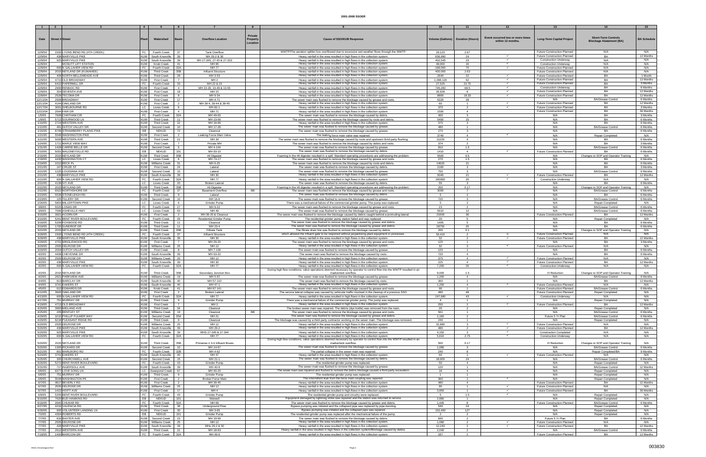| $\blacksquare$       |                                                      | $\overline{4}$           |                                              | 6                    |                                      | $\mathbf{R}$                           |                                                                                                                                                                                          |                                     |                                  |                                                       | -13                                                               | 14                                                           | 15                    |
|----------------------|------------------------------------------------------|--------------------------|----------------------------------------------|----------------------|--------------------------------------|----------------------------------------|------------------------------------------------------------------------------------------------------------------------------------------------------------------------------------------|-------------------------------------|----------------------------------|-------------------------------------------------------|-------------------------------------------------------------------|--------------------------------------------------------------|-----------------------|
|                      |                                                      |                          |                                              |                      |                                      |                                        |                                                                                                                                                                                          |                                     |                                  |                                                       |                                                                   |                                                              |                       |
| Date                 | <b>Street # Street</b>                               |                          | Watershed                                    | 3asin                | <b>Overflow Location</b>             | Private<br><b>Property</b><br>Location | <b>Cause of SSO/KUB Response</b>                                                                                                                                                         | Volume (Gallons)   Duration (Hours) |                                  | Event occurred two or more times<br>within 12 months. | <b>Long-Term Capital Project</b>                                  | <b>Short-Term Controls</b><br><b>Blockage Abatement (BA)</b> | <b>BA Schedule</b>    |
| 12/9/04<br>12/9/04   | 1500 LYONS BEND RD (4TH CREEK)<br>438 MARYVILLE PIKE | FC                       | Fourth Creek<br>KUW South Knoxville 39       | -37                  | <b>Tank Overflow</b><br>MH 29-2 & 30 |                                        | WWTP/The aeration splitter box overflowed due to excessive wet weather flows through the WWTP<br>Heavy rainfall in the area resulted in high flows in the collection system              | 29,123<br>636,990                   | 2.67<br>24                       |                                                       | <b>Future Construction Planned</b><br>Future Construction Planned | N/A<br>BA                                                    | N/A<br>12 Months      |
| 12/9/04              | 925 MARYVILLE PIKE                                   |                          | KUW South Knoxville                          | 39                   | MH 27-345, 27-40 & 27-33             |                                        | Heavy rainfall in the area resulted in high flows in the collection system                                                                                                               | 402,545                             | 23                               | $\checkmark$                                          | <b>Construction Underway</b>                                      | N/A                                                          | N/A                   |
| 12/9/04              | MCNUTT LIFT STATION                                  | <b>KUW</b>               | Knob Creek                                   | 41                   | MH 95                                |                                        | Heavy rainfall in the area resulted in high flows in the collection system.                                                                                                              | 48,000                              | 16                               | $\checkmark$                                          | <b>Construction Underway</b>                                      | N/A                                                          | N/A                   |
| 12/9/04              | 600 N GALLAHER VIEW RD                               | FC                       | Fourth Creek                                 | 32A                  | MH 77                                |                                        | Heavy rainfall in the area resulted in high flows in the collection system                                                                                                               | 189,000                             | 70                               |                                                       | <b>Future Construction Planned</b>                                | N/A                                                          | N/A                   |
| 12/9/04              | 2015 NEYLAND DR (KUWAHEE)                            | <b>KUW</b>               | <b>Third Creek</b>                           | 35B                  | Influent Structure                   |                                        | Heavy rainfall in the area resulted in high flows in the collection system.                                                                                                              | 400,000                             | 2.63                             |                                                       | Future Construction Planned                                       | N/A                                                          | N/A                   |
| 12/9/04              | 409 NORTH BELLEMEADE AVE                             | <b>KUW</b>               | <b>Third Creek</b>                           | 28                   | MH 3-53                              |                                        | Heavy rainfall in the area resulted in high flows in the collection system.                                                                                                              | 2640                                | 22                               |                                                       | <b>Future Construction Planned</b>                                | BA                                                           | 1 Month               |
| 12/9/04              | 4713 OLD BROADWAY                                    | <b>KUW</b>               | <b>First Creek</b>                           |                      | MH <sub>2</sub>                      |                                        | Heavy rainfall in the area resulted in high flows in the collection system                                                                                                               | 1,008,120                           | 62                               |                                                       | <b>Future Construction Planned</b>                                | <b>BA</b>                                                    | 12 Months             |
| 12/9/04              | 6410 PAPERMILL DR<br>2900 RENNOC RD                  | <b>KUW</b>               | FC   Fourth Creek<br><b>First Creek</b>      | 33<br>$\overline{4}$ | MH 22 & 23<br>MH 13-26, 13-49 & 13-5 |                                        | Heavy rainfall in the area resulted in high flows in the collection system.<br>Heavy rainfall in the area resulted in high flows in the collection system                                | 27,525<br>745,260                   | 22.75<br>68.5                    |                                                       | Future Construction Planned<br><b>Construction Underway</b>       | BA<br>BA                                                     | 3 Months<br>6 Months  |
| 12/9/04<br>12/9/04   | 304 SEVENTH AVE                                      | <b>KUW</b>               | <b>First Creek</b>                           | 18                   | MH 15                                |                                        | Heavy rainfall in the area resulted in high flows in the collection system                                                                                                               | 26,928                              |                                  |                                                       | <b>Future Construction Planned</b>                                | <b>BA</b>                                                    | 12 Months             |
| 12/9/04              | 2528 TECOMA DR                                       | <b>KUW</b>               | <b>First Creek</b>                           | 8                    | MH 9-34                              |                                        | Heavy rainfall in the area resulted in high flows in the collection system                                                                                                               | 8800                                | 18.33                            |                                                       | Future Construction Planned                                       | BA                                                           | 12 Months             |
| 12/11/04             | 2509 BROADWAY                                        | <b>KUW</b>               | <b>First Creek</b>                           | 17                   | MH 4-71                              |                                        | The sewer main was flushed to remove the blockage caused by grease and roots.                                                                                                            | 5220                                | 29                               |                                                       | N/A                                                               | <b>BA/Grease Control</b>                                     | 6 Months              |
| 12/11/04             | 4144 OAKLAND DR                                      | <b>KUW</b>               | <b>First Creek</b>                           | 2                    | MH 39-4, 39-44 & 39-45               |                                        | Heavy rainfall in the area resulted in high flows in the collection system                                                                                                               | 60                                  | $\overline{1}$                   | $\checkmark$                                          | Future Construction Planned                                       | BA                                                           | 12 Months             |
| 12/17/04<br>12/22/04 | 3001 SHELBOURNE RD<br>2544 FAIR DR                   | LC<br><b>KUW</b>         | Loves Creek<br><b>First Creek</b>            | 6<br>$\overline{4}$  | MH 82-1<br>MH 71                     |                                        | Heavy rainfall in the area resulted in high flows in the collection system.<br>Heavy rainfall in the area resulted in high flows in the collection system                                | 370<br>1500                         | 2<br>$\overline{a}$              |                                                       | <b>Future Construction Planned</b><br>Future Construction Planned | BA<br>BA                                                     | 3 Months<br>36 Months |
| 1/5/05               | 7609 CHATHAM CIR                                     | FC                       | Fourth Creek                                 | 32A                  | MH 49-65                             |                                        | The sewer main was flushed to remove the blockage caused by debris.                                                                                                                      | 400                                 | $\mathcal{R}$                    |                                                       | N/A                                                               | BA                                                           | 3 Months              |
| 1/9/05               | 5713 SOURWOOD LN                                     | <b>KUW</b>               | <b>Third Creek</b>                           | 11                   | MH 23-66                             |                                        | The sewer main was flushed to remove the blockage caused by roots and debris                                                                                                             | 5400                                | 15                               |                                                       | N/A                                                               | BA                                                           | 6 Months              |
| 1/10/05              | 2724 WESTERN AVE                                     | <b>KUW</b>               | <b>Third Creek</b>                           | 22                   | MH 18-86                             |                                        | Heavy rainfall in the area resulted in high flows in the collection system                                                                                                               | 375                                 | $\overline{\mathbf{3}}$          |                                                       | N/A                                                               | BA                                                           | 6 Months              |
| 1/12/05<br>1/15/05   | 491 DUTCH VALLEY DR<br>8748 STRAWBERRY PLAINS PIKE   | <b>KUW</b><br>EB         | Second Creek<br>NEKUD                        | $10^{-1}$<br>72      | MH 17-28<br>Cleanout                 |                                        | The sewer main was flushed to remove the blockage caused by grease.<br>The sewer main was flushed to remove the blockage caused by grease.                                               | 480<br>270                          | -1<br>$\mathbf{3}$               |                                                       | N/A<br>N/A                                                        | <b>BA/Grease Control</b><br>BA                               | 6 Months<br>6 Months  |
| 1/21/05              | 5548 WASHINGTON PIKE                                 | <b>KUW</b>               | <b>First Creek</b>                           |                      | eaking Force Main Valve              |                                        | The leaking force main valve was repaired.                                                                                                                                               | 3740                                | $\overline{4}$                   | $\checkmark$                                          | N/A                                                               | Repair Completed                                             | N/A                   |
| 1/21/05              | 5000 WESTERN AVE                                     | <b>KUW</b>               | <b>Third Creek</b>                           | 21                   | MH 34                                |                                        | The sewer main was flushed to remove the blockage caused by roots and upstream third-party flushing.                                                                                     | 11220                               | $\overline{4}$                   |                                                       | N/A                                                               | BA                                                           | 6 Months              |
| 1/24/05              | 1711 MAPLE VIEW WAY                                  | <b>KUW</b>               | <b>First Creek</b>                           | $\overline{7}$       | Private MH                           |                                        | The sewer main was flushed to remove the blockage caused by debris and roots                                                                                                             | 374                                 | $\overline{2}$                   |                                                       | N/A                                                               | <b>BA</b>                                                    | 3 Months              |
| 1/31/05              | 1428 CARRIE BELLE DR                                 | <b>KUW</b>               | Second Creek                                 | 5                    | MH 4-144                             |                                        | The sewer main was flushed to remove the blockage caused by grease                                                                                                                       | 810                                 | 1.5                              |                                                       | N/A                                                               | <b>BA/Grease Control</b>                                     | 6 Months              |
| 2/10/05              | 5001 MALONEYVILLE RD                                 | EB                       | NEKUD                                        | 101                  | MH 93-10                             |                                        | The sewer main was flushed to remove the blockage caused by debris.                                                                                                                      | 1410                                | $\overline{4}$                   |                                                       | Future Construction Planned                                       | BA                                                           | 6 Months              |
| 2/15/05<br>2/18/05   | 2015 NEYLAND DR<br>4430 WASHINGTON CT                | <b>KUW</b><br>LC         | <b>Third Creek</b><br>Loves Creek            | 35B<br>6             | #6 Digester<br>MH 74-17              |                                        | Foaming in the #6 digester resulted in a spill. Standard operating procedures are addressing the problem<br>The sewer main was flushed to remove the blockage caused by grease and roots | 5500<br>270                         | 0.5<br>1.5                       |                                                       | N/A<br>N/A                                                        | Changes to SOP and Operator Training<br>BA                   | N/A<br>6 Months       |
| 2/19/05              | 1012 BECK PL                                         |                          | KUW Williams Creek                           | 31                   | MH 6-25                              |                                        | The sewer main was flushed to remove the blockage caused by roots and debris.                                                                                                            | 14620                               | 21                               |                                                       | N/A                                                               | BA                                                           | 6 Months              |
| 2/21/05              | 147 CRUZE ST                                         | <b>KUW</b>               | <b>First Creek</b>                           | 24                   | Lateral                              |                                        | The sewer main was flushed to remove the blockage caused by debris.                                                                                                                      | 2160                                | 3                                |                                                       | N/A                                                               | BA                                                           | 3 Months              |
| 2/21/05              | 1225 LOUISIANA AVE                                   | <b>KUW</b>               | Second Creek                                 | 15                   | Lateral                              |                                        | The sewer main was flushed to remove the blockage caused by grease                                                                                                                       | 750                                 |                                  |                                                       | N/A                                                               | <b>BA/Grease Contro</b>                                      | 6 Months              |
| 2/21/05<br>2/21/05   | 438 MARYVILLE PIKE<br>600 N GALLAHER VIEW RD         |                          | KUW South Knoxville<br>FC   Fourth Creek     | 39<br>32A            | MH 30<br><b>MH77</b>                 |                                        | Heavy rainfall in the area resulted in high flows in the collection system.<br>Heavy rainfall in the area resulted in high flows in the collection system                                | 5040<br>260000                      | 21<br>20                         |                                                       | Future Construction Planned<br><b>Construction Underway</b>       | BA<br>N/A                                                    | 12 Months<br>N/A      |
| 2/22/05              | 4139 IVY AVE                                         | LC                       | Loves Creek                                  | 20                   | <b>Broken Lateral</b>                |                                        | The sewer main was flushed to remove the blockage caused by debris.                                                                                                                      | 55                                  | $\mathbf{3}$                     |                                                       | N/A                                                               | BA                                                           | 6 Months              |
| 2/22/05              | 2015 NEYLAND DR                                      | <b>KUW</b>               | <b>Third Creek</b>                           | 35B                  | #6 Digester                          |                                        | Foaming in the #6 digester resulted in a spill. Standard operating procedures are addressing the problem.                                                                                | 200                                 | 0.17                             |                                                       | N/A                                                               | Changes to SOP and Operator Training                         | N/A                   |
| 2/22/05              | 6522 NORTHSHORE DR                                   |                          | FC   Fourth Creek                            | - 37                 | <b>Basement Overflow</b>             | <b>BB</b>                              | The sewer main was flushed to remove the blockage caused by grease and roots                                                                                                             | 3000                                | 7                                |                                                       | N/A                                                               | <b>BA/Grease Control</b>                                     | 6 Months              |
| 2/23/05              | 5539 STONELEIGH RD                                   | <b>KUW</b>               | <b>Third Creek</b>                           | - 9<br>10            | Lateral                              |                                        | The sewer main was flushed to remove the blockage caused by debris.                                                                                                                      | 5                                   | 2<br>$\mathbf{R}$                |                                                       | N/A                                                               | BA                                                           | 6 Months              |
| 2/23/05<br>2/26/05   | 125 TILLERY DR<br>5803 MILLERTOWN PIKE               | LC                       | KUW Second Creek<br>Loves Creek              |                      | MH 16-6<br>Grinder Pump              |                                        | The sewer main was flushed to remove the blockage caused by grease<br>There was a mechanical failure of the commercial grinder pump. The pump was replaced.                              | 720                                 |                                  |                                                       | N/A<br>N/A                                                        | <b>BA/Grease Control</b><br><b>Repair Completed</b>          | 6 Months<br>N/A       |
| 3/8/05               | 5525 LONAS DR                                        | FC                       | Fourth Creek                                 | 27                   | MH 9-22                              |                                        | The sewer main was flushed to remove the blockage caused by grease and roots                                                                                                             | 23                                  |                                  |                                                       | N/A                                                               | <b>BA/Grease Contro</b>                                      | 6 Months              |
| 3/9/05               | 7590 ASHEVILLE HWY                                   | LC                       | Loves Creek                                  | 63                   | MH 49                                |                                        | The sewer main was flushed to remove the blockage caused by grease                                                                                                                       | 5610                                | 12                               |                                                       | N/A                                                               | <b>BA/Grease Control</b>                                     | 6 Months              |
| 3/10/05              | 3921 ACORN DR                                        | <b>KUW</b>               | <b>First Creek</b>                           |                      | MH 39-20 & Cleanout                  |                                        | The sewer main was flushed to remove the blockage caused by debris caught behind a protruding lateral.                                                                                   | 21600                               | 36                               |                                                       | <b>Future Construction Planned</b>                                | BA                                                           | 12 Months             |
| 3/10/05              | 5241 BENT RIVER BOULEVARD                            |                          | FC Fourth Creek                              | 43<br>11             | Residential Grinder Pump             |                                        | The residential grinder pump station failed and was replaced<br>The sewer main was flushed to remove the blockage caused by grease and debris.                                           | -20                                 | -5                               |                                                       | N/A                                                               | <b>Repair Completed</b>                                      | N/A                   |
| 3/16/05<br>3/19/05   | 5209 FOXWOOD RD<br>1700 SUNDROP DR                   | <b>KUW</b><br><b>KUW</b> | <b>Third Creek</b><br><b>Third Creek</b>     | 11                   | Cleanout<br>MH 23-4                  |                                        | The sewer main was flushed to remove the blockage caused by grease and debris.                                                                                                           | 1405<br>28750                       | 20                               |                                                       | N/A<br>N/A                                                        | BA<br>BA                                                     | 6 Months<br>6 Months  |
| 3/22/05              | 2015 NEYLAND DR                                      | <b>KUW</b>               | <b>Third Creek</b>                           | 35B                  | <b>Filtrate Tank</b>                 |                                        | The filtrate drain line was flushed to remove the blockage caused by debris.                                                                                                             | 200                                 | 0.1                              |                                                       | N/A                                                               | Changes to SOP and Operator Training                         | N/A                   |
| 3/28/05              | 1500 LYONS BEND RD (4TH CREEK)                       | FC                       | Fourth Creek                                 | 37                   | <b>Influent Structure</b>            |                                        | which allowed the influent gate to be reopened without jeopardizing plant equipment or processes.                                                                                        | 50.410                              | 2                                | - m                                                   | <b>Future Construction Planned</b>                                | N/A                                                          | N/A                   |
| 3/28/05              | 438 MARYVILLE PIKE                                   |                          | KUW South Knoxville                          | 39                   | MH 30                                |                                        | Heavy rainfall in the area resulted in high flows in the collection system                                                                                                               | 32                                  | $\overline{2}$                   | $\checkmark$                                          | Future Construction Planned                                       | BA                                                           | 12 Months             |
| 3/28/05<br>3/29/05   | 4701 MINGLEWOOD RD<br>2505 DELROSE DR                | <b>KUW</b>               | <b>First Creek</b><br>KUW Williams Creek     | $\overline{7}$<br>25 | MH 29-20<br>MH 12                    |                                        | The sewer main was flushed to remove the blockage caused by grease and roots<br>Heavy rainfall in the area resulted in high flows in the collection system                               | 125<br>32                           | $\overline{1}$<br>3              |                                                       | N/A<br>Future Construction Planned                                | BA<br>N/A                                                    | 3 Months<br>N/A       |
| 3/29/05              | 2004 DUTCH VALLEY DR                                 | <b>KUW</b>               | <b>First Creek</b>                           | 8                    | MH 7-139                             |                                        | The sewer main was flushed to remove the blockage caused by grease                                                                                                                       | 120                                 | -1.                              |                                                       | N/A                                                               | BA                                                           | 6 Months              |
| 4/2/05               | 4408 CHEYENNE DR                                     |                          | KUW South Knoxville                          | 39                   | MH 63-20                             |                                        | The sewer main was flushed to remove the blockage caused by roots                                                                                                                        | 720                                 | $\mathbf{A}$                     |                                                       | N/A                                                               | <b>BA</b>                                                    | 6 Months              |
| 4/2/05               | 2505 DELROSE DR                                      |                          | KUW Williams Creek                           | 25                   | MH 12                                |                                        | Heavy rainfall in the area resulted in high flows in the collection system                                                                                                               | 375                                 | $\overline{4}$                   |                                                       | <b>Future Construction Planned</b>                                | N/A                                                          | N/A                   |
| 4/2/05<br>4/2/05     | 438 MARYVILLE PIKE<br>600 N GALLAHER VIEW RD         |                          | KUW South Knoxville   39<br>FC Fourth Creek  | 32A                  | MH 30<br>MH 77                       |                                        | Heavy rainfall in the area resulted in high flows in the collection system<br>Heavy rainfall in the area resulted in high flows in the collection system                                 | 225<br>7,200                        | $\overline{4}$<br>20             | $\checkmark$<br>$\checkmark$                          | Future Construction Planned<br><b>Construction Underway</b>       | BA<br>N/A                                                    | 12 Months<br>N/A      |
|                      |                                                      |                          |                                              |                      |                                      |                                        | During high flow conditions, valve operations deemed necessary by operator to control flow into the WWTP resulted in an                                                                  |                                     |                                  |                                                       |                                                                   |                                                              |                       |
| 4/2/05               | 2015 NEYLAND DR                                      | KUW                      | <b>Third Creek</b>                           | 35B                  | Secondary Junction Box               |                                        | inadvertent overflow                                                                                                                                                                     | 9.000                               | 1.5                              |                                                       | I/I Reduction                                                     | Changes to SOP and Operator Training                         | N/A                   |
| 4/2/05               | 2621 PARKVIEW AVE<br>813 BARCLAY DR                  |                          | KUW Williams Creek<br>KUW South Knoxville 40 | 19                   | MH 5-97<br>MH 57-110                 |                                        | The sewer main was flushed to remove the blockage caused by grease.<br>The sewer main was flushed to remove the blockage caused by roots.                                                | 1,200<br>360                        | $\overline{a}$                   |                                                       | N/A<br>N/A                                                        | <b>BA/Grease Control</b><br>BA                               | 6 Months              |
| 4/4/05<br>4/4/05     | 3741 EAKERS ST                                       |                          | KUW South Knoxville                          | - 40                 | MH 47-1                              |                                        | Heavy rainfall in the area resulted in high flows in the collection system                                                                                                               | 1,200                               | -4                               | $\checkmark$                                          | <b>Future Construction Planned</b>                                | N/A                                                          | 12 Months<br>N/A      |
| 4/5/05               | 612 EDWARDS DR                                       | <b>KUW</b>               | Knob Creek                                   | 41                   | MH 67-141                            |                                        | The sewer main was flushed to remove the blockage caused by grease and roots.                                                                                                            | 60                                  | $\overline{1}$                   |                                                       | Future Construction Planned                                       | <b>BA/Grease Control</b>                                     | 6 Months              |
| 4/12/05              | 3920 OAKLAND DR                                      | <b>KUW</b>               | <b>First Creek</b>                           |                      | <b>Broken Lateral</b>                |                                        | The service lateral collapse was caused by vehicular traffic involved in the cleanup of a previous SSO.                                                                                  | 480                                 | 48                               |                                                       | Future Construction Planned                                       | Repair Completed                                             | N/A                   |
| 4/13/05              | 600 N GALLAHER VIEW RD<br>751 MURRAY DR              | FC                       | Fourth Creek                                 | 32A                  | MH 77                                |                                        | Heavy rainfall in the area resulted in high flows in the collection system<br>There was a mechanical failure of the commercial grinder pump. The pump was replaced.                      | 247,680                             | 43                               | $\checkmark$                                          | <b>Construction Underway</b>                                      | N/A                                                          | N/A                   |
| 4/17/05<br>4/19/05   | 4713 OLD BROADWAY                                    | <b>KUW</b><br><b>KUW</b> | <b>Third Creek</b><br><b>First Creek</b>     | 9<br>$\overline{7}$  | Grinder Pump<br>MH <sub>2</sub>      |                                        | Heavy rainfall in the area resulted in high flows in the collection system.                                                                                                              | $\overline{4}$<br>250               | $\overline{1}$<br>$\overline{2}$ |                                                       | N/A<br><b>Future Construction Planned</b>                         | Repair Completed<br>BA                                       | N/A<br>12 Months      |
| 4/20/05              | 3993 MIDLAND AVE                                     | <b>KUW</b>               | <b>Third Creek</b>                           | 34                   | Cleanout                             |                                        | The broken sewer main was repaired. The debris (dye bottle) was removed from the main.                                                                                                   | 20                                  | $\overline{2}$                   |                                                       | N/A                                                               | Repair Completed                                             | N/A                   |
| 4/25/05              | 205 BENTLEY ST                                       |                          | KUW   Williams Creek                         | 19                   | Cleanout                             | <b>BB</b>                              | The sewer main was flushed to remove the blockage caused by grease and roots.                                                                                                            | 561                                 | -1                               |                                                       | N/A                                                               | <b>BA/Grease Control</b>                                     | 6 Months              |
| 4/29/05              | 1015 PHILLIP FULMER WAY                              | <b>KUW</b>               | Second Creek                                 | 35A                  | MH 21                                |                                        | The sewer main was flushed to remove the blockage caused by grease and debris.                                                                                                           | 2,160                               | $\overline{2}$                   |                                                       | Future 5 Yr Plan                                                  | <b>BA/Grease Control</b>                                     | 6 Months              |
| 4/29/05              | 6218 PLEASANT RIDGE RD<br>2505 DELROSE DR            | <b>KUW</b>               | <b>Third Creek</b><br>KUW Williams Creek     | - 9<br>25            | Cleanout<br>MH 12                    |                                        | The blockage was caused by a third-party contractor working on the sewer main. The blockage was removed.                                                                                 | 240<br>31,680                       | $\overline{1}$                   |                                                       | N/A                                                               | Repair Completed                                             | N/A<br>N/A            |
| 5/20/05<br>5/20/05   | 436 MARYVILLE PIKE                                   |                          | KUW South Knoxville 39                       |                      | MH 29-2                              |                                        | Heavy rainfall in the area resulted in high flows in the collection system<br>Heavy rainfall in the area resulted in high flows in the collection system.                                | 480                                 | 2                                | $\checkmark$                                          | Future Construction Planned<br>Future Construction Planned        | N/A<br>BA                                                    | 12 Months             |
| 5/20/05              | 925 MARYVILLE PIKE                                   |                          | KUW South Knoxville                          | - 39                 | MHS 27-345 & 27-344                  |                                        | Heavy rainfall in the area resulted in high flows in the collection system.                                                                                                              | 4,150                               | $\overline{\mathbf{3}}$          | $\checkmark$                                          | <b>Construction Completed</b>                                     | N/A                                                          | N/A                   |
| 5/20/05              | 600 N GALLAHER VIEW RD                               |                          | FC Fourth Creek 32A                          |                      | MH 77                                |                                        | Heavy rainfall in the area resulted in high flows in the collection system                                                                                                               | 5,610                               | 2.75                             | $\checkmark$                                          | <b>Construction Underway</b>                                      | N/A                                                          | N/A                   |
| 5/20/05              | 2015 NEYLAND DR                                      | <b>KUW</b>               | <b>Third Creek</b>                           | 35B                  | Primaries # 3-4 Influent Boxes       |                                        | During high flow conditions, valve operations deemed necessary by operator to control flow into the WWTP resulted in an<br>inadvertent overflow                                          | 500                                 | 0.17                             |                                                       | I/I Reduction                                                     | Changes to SOP and Operator Training                         | N/A                   |
| 5/20/05              | 1305 RICKARD DR                                      |                          | KUW Second Creek                             | 10                   | MH 14-67                             |                                        | The sewer main was flushed to remove the blockage caused by grease.                                                                                                                      | 1,080                               | $\mathbf{3}$                     |                                                       | N/A                                                               | <b>BA/Grease Control</b>                                     | 6 Months              |
| 5/21/05              | 801 MARLBORO RD                                      | FC                       | Fourth Creek                                 | 32B                  | MH 4-62                              |                                        | The partial collapse in the sewer main was repaired                                                                                                                                      | 240                                 |                                  |                                                       | N/A                                                               | Repair Completed/BA                                          | 9 Months              |
| 5/24/05              | 3741 EAKERS ST                                       |                          | KUW   South Knoxville                        | 40                   | MH 47                                |                                        | Heavy rainfall in the area resulted in high flows in the collection system.                                                                                                              | 60                                  | $\mathbf{1}$                     |                                                       | Future Construction Planned                                       | N/A                                                          | N/A                   |
| 5/25/05              | 305 CHURCHWELL AVE<br>5272 BENT RIVER BOULEVARD      | <b>KUW</b><br>FC         | Second Creek                                 | 15<br>43             | MH 21-1<br>Grinder Pump              |                                        | The sewer main was flushed to remove the blockage caused by debris.<br>The residential grinder pump was replaced.                                                                        | 18,000<br>50                        | 24<br>$\overline{4}$             |                                                       | N/A<br>N/A                                                        | <b>BA/Grease Control</b>                                     | 6 Months<br>N/A       |
| 5/26/05<br>5/31/05   | 717 INGERSOLL AVE                                    |                          | Fourth Creek<br>KUW South Knoxville          | 39                   | MH 40-9                              |                                        | The sewer main was flushed to remove the blockage caused by grease                                                                                                                       | 120                                 | $\mathbf{1}$                     |                                                       | N/A                                                               | Repair Completed<br><b>BA/Grease Control</b>                 | 12 Months             |
| 6/6/05               | 6377 LOVE SONG LN                                    |                          | LC Swanpond Creek                            | 67                   | MH 40-25                             |                                        | The sewer main was repaired and flushed to remove the debris blockage caused a third-party excavation.                                                                                   | 18                                  | $\overline{4}$                   |                                                       | N/A                                                               | Repair Completed                                             | N/A                   |
| 6/6/05               | 751 MURRAY DR                                        | <b>KUW</b>               | <b>Third Creek</b>                           | 9                    | Grinder Pump                         |                                        | The residential grinder pump was replaced.                                                                                                                                               | $\overline{1}$                      | $\overline{1}$                   |                                                       | N/A                                                               | Repair Completed                                             | N/A                   |
| 6/6/05               | 5548 WASHINGTON PK                                   | <b>KUW</b>               | <b>First Creek</b>                           | $\overline{2}$       | <b>Broken Force Mair</b>             |                                        | The intermittent leak from the force main coupling was repaired.                                                                                                                         | 360                                 | $\overline{1}$                   | $\checkmark$                                          | N/A                                                               | Repair Completed                                             | N/A                   |
| 6/7/05<br>6/7/05     | 4817 BEVERLY RD<br>2505 DELROSE DR                   | <b>KUW</b>               | <b>First Creek</b><br>KUW Williams Creek     | $\overline{2}$<br>25 | MH 39-45<br>MH 12                    |                                        | Heavy rainfall in the area resulted in high flows in the collection system<br>Heavy rainfall in the area resulted in high flows in the collection system                                 | 480<br>90                           | $\overline{4}$<br>$\blacksquare$ | $\checkmark$                                          | <b>Future Construction Planned</b><br>Future Construction Planned | BA<br>N/A                                                    | 12 Months<br>N/A      |
| 6/7/05               | 1422 HOITT AVE                                       | <b>KUW</b>               | <b>First Creek</b>                           | 17                   | MH <sub>4</sub>                      |                                        | Heavy rainfall in the area resulted in high flows in the collection system.                                                                                                              | 3,850                               | $\overline{1}$                   |                                                       | Future Construction Planned                                       | BA                                                           | 36 Months             |
| 6/9/05               | 5205 BENT RIVER BOULEVARD                            | FC                       | Fourth Creek                                 | 43                   | Grinder Pump                         |                                        | The residential grinder pump and circuitry were replaced.                                                                                                                                |                                     | 1.5                              | $\checkmark$                                          | N/A                                                               | <b>Repair Completed</b>                                      | N/A                   |
| 6/10/05              | 7620 BUD HAWKINS RD                                  | EB I                     | <b>NEKUD</b>                                 | 101                  | Wetwell                              |                                        | Equipment damaged by lightning strike was repaired and the station was returned to service.                                                                                              | 2,880                               | $\mathbf{1}$                     |                                                       | N/A                                                               | Repair Completed                                             | N/A                   |
| 6/16/05<br>6/27/05   | 2645 CHUKAR RD<br>4216 VALENCIA RD                   | FC  <br>KUW I            | Fourth Creek<br><b>Third Creek</b>           | 32A<br>38            | MH 69<br>Underground Flow            |                                        | The sewer main was flushed to remove the blockage caused by grease and debris.<br>Bypass pumping was initiated and the collapsed pipe was replaced by pipe-bursting.                     | 1,440<br>540                        | 8<br>24                          |                                                       | Future Construction Planned<br>N/A                                | <b>BA/Grease Control</b><br>Repair Completed                 | 6 Months<br>N/A       |
| 6/30/05              | 900 VOLUNTEER LANDING LN                             | <b>KUW</b>               | <b>First Creek</b>                           | 30                   | MH 3-65                              |                                        | Bypass pumping was initiated and the collapsed pipe was repaired.                                                                                                                        | 152,400                             | 127                              |                                                       | N/A                                                               | Repair Completed                                             | N/A                   |
| 7/2/05               | 4304 ROBERTS RD                                      | EB                       | NEKUD                                        | 101                  | Grinder Pump                         |                                        | The residential grinder pump was replaced after the mechanical failure of the pump.                                                                                                      | $\overline{2}$                      | 2                                |                                                       | N/A                                                               | Repair Completed                                             | N/A                   |
| 7/7/05               | 816 BAXTER AVE                                       | <b>KUW</b>               | Second Creek                                 | 23                   | MH 19-99                             |                                        | The sewer main was flushed to remove the blockage caused by debris.                                                                                                                      | 840                                 | $\overline{2}$                   |                                                       | Future 5 Yr Plan                                                  | BA                                                           | 6 Months              |
| 7/7/05<br>7/7/05     | 2505 DELROSE DR<br>428 MARYVILLE PIKE                |                          | KUW   Williams Creek<br>KUW South Knoxville  | 25<br>39             | MH 12<br>MHs 29-2 & 30               |                                        | Heavy rainfall in the area resulted in high flows in the collection system.<br>Heavy rainfall in the area resulted in high flows in the collection system.                               | 1,080<br>12,240                     | $\overline{2}$<br>2              |                                                       | Future Construction Planned<br>Future Construction Planned        | N/A<br>BA                                                    | N/A<br>12 Months      |
| 7/7/05               | 2612 WESTERN AVE                                     | <b>KUW</b>               | <b>Third Creek</b>                           | 22                   | MH 18-83                             |                                        | Heavy rainfall in the area resulted in high flows in the collection system/Blockage caused by debris.                                                                                    | 2,040                               | 2                                |                                                       | N/A                                                               | <b>BA/Grease Control</b>                                     | 6 Months              |
|                      | 1400 MARCONI DR                                      |                          | FC Fourth Creek                              | 32A                  | MH 49-6                              |                                        | Heavy rainfall in the area resulted in high flows in the collection system                                                                                                               | 187                                 |                                  |                                                       | <b>Future Construction Planned</b>                                | BA                                                           | 12 Months             |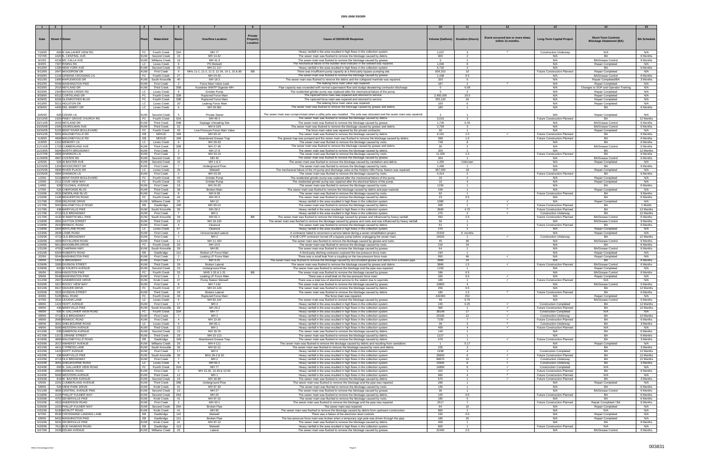|                   |                                                     | $\begin{array}{ccc} \textbf{4} & \textbf{1} \end{array}$ |                                          | - 6                              |                                            |           |                                                                                                                                                                |                |                                     |                                  |                                    |                                      | 15                   |
|-------------------|-----------------------------------------------------|----------------------------------------------------------|------------------------------------------|----------------------------------|--------------------------------------------|-----------|----------------------------------------------------------------------------------------------------------------------------------------------------------------|----------------|-------------------------------------|----------------------------------|------------------------------------|--------------------------------------|----------------------|
|                   |                                                     |                                                          |                                          |                                  |                                            |           |                                                                                                                                                                |                |                                     |                                  |                                    |                                      |                      |
|                   |                                                     |                                                          |                                          |                                  |                                            | Private   |                                                                                                                                                                |                |                                     |                                  |                                    |                                      |                      |
| Date              | <b>Street # Street</b>                              |                                                          | Watershed                                | <b>Basin</b>                     | <b>Overflow Location</b>                   | Property  | <b>Cause of SSO/KUB Response</b>                                                                                                                               |                | Volume (Gallons)   Duration (Hours) | Event occurred two or more times | <b>Long-Term Capital Project</b>   | <b>Short-Term Controls</b>           | <b>BA Schedule</b>   |
|                   |                                                     |                                                          |                                          |                                  |                                            | Location  |                                                                                                                                                                |                |                                     | within 12 months                 |                                    | <b>Blockage Abatement (BA)</b>       |                      |
|                   |                                                     |                                                          |                                          |                                  |                                            |           |                                                                                                                                                                |                |                                     |                                  |                                    |                                      |                      |
| 7/19/05           | 600 N GALLAHER VIEW RD                              | FC                                                       | <b>Fourth Creek</b>                      | 32A                              | <b>MH77</b>                                |           | Heavy rainfall in the area resulted in high flows in the collection system.                                                                                    | 1,037          | $\mathbf{R}$                        |                                  | <b>Construction Underway</b>       | N/A                                  | N/A                  |
| 7/27/05           | 1620 N. CENTRAL AVE                                 | <b>KUW</b>                                               | Second Creek                             | 15                               | MH 14-42                                   |           | The sewer main was flushed to remove the blockage caused by debris.                                                                                            | 600            | 2                                   |                                  | N/A                                | BA                                   | 6 Months             |
|                   |                                                     |                                                          |                                          |                                  |                                            |           |                                                                                                                                                                |                |                                     |                                  |                                    |                                      |                      |
| 8/1/05<br>8/4/05  | 4218 MC CALLA AVE<br>7307 RISING RD                 | KUW<br>LC                                                | <b>Williams Creek</b>                    | 19<br>6.                         | MH 41-3<br>PS Wetwell                      |           | The sewer main was flushed to remove the blockage caused by grease<br>The mechanical failure of the bubbler level indicator in the wetwell was repaired.       | 1,000          | $\mathbf{R}$                        |                                  | N/A<br>N/A                         | <b>BA/Grease Control</b>             | 6 Months<br>N/A      |
| 8/13/05           | 1335 NEW YORK AVE                                   | <b>KUW</b>                                               | Loves Creek<br>Second Creek              | 15                               | MH 21-117                                  |           | Heavy rainfall in the area resulted in high flows in the collection system.                                                                                    | 6,732          | $\mathbf{3}$                        |                                  | N/A                                | Repair Completed<br>BA               | 6 Months             |
| 8/13/05           | 2647 WOODROW DR                                     | <b>KUW</b>                                               | <b>First Creek</b>                       | 4                                | MHs 11-1. 11-2, 11-3, 11-34, 14-1, 15 & 80 | <b>BB</b> | There was insufficient pump capacity at a third-party bypass pumping site                                                                                      | 834,310        | 10                                  |                                  | <b>Future Construction Planned</b> | <b>Repair Completed</b>              | N/A                  |
| 8/19/05           | 1219 GREENS CROSSING LN                             | FC                                                       | Fourth Creek                             | 27                               | MH 24-32                                   |           | The sewer main was flushed to remove the blockage caused by grease                                                                                             | 1.438          | 0.5                                 |                                  | N/A                                | <b>BA/Grease Control</b>             | 6 Months             |
| 8/21/05           | 1900 MAPLEWOOD DR                                   | <b>KUW</b>                                               | South Knoxville                          | 40                               | MH 18-2                                    |           | The sewer main was flushed to remove the debris and the collapsed manhole was repaired.                                                                        | 320            | -5                                  |                                  | N/A                                | Repair Completed/BA                  | 3 Months             |
| 8/22/05           | 5548 WASHINGTON PIKE                                | <b>KUW</b>                                               | <b>First Creek</b>                       | $\overline{2}$                   | Force Main Valve Leak                      |           | The leaking force main valve was repaired.                                                                                                                     | 187            | 2                                   |                                  | N/A                                | <b>Repair Completed</b>              | N/A                  |
| 8/23/05           | 2015 NEYLAND DR                                     | <b>KUW</b>                                               | <b>Third Creek</b>                       | 35B                              | Kuwahee WWTP Digester MH                   |           | Pipe capacity was exceeded with normal supernatant flow and sludge dewatering contractor discharge.                                                            | $\overline{0}$ | 0.08                                |                                  | N/A                                | Changes to SOP and Operator Training | N/A                  |
| 8/23/05           | 2304 WOODS CREEK RD                                 | LC                                                       | oves Creel.                              |                                  | Grinder Pump                               |           | The residential grinder pump was replaced after the mechanical failure of the pump.                                                                            |                |                                     |                                  | N/A                                | Repair Completed                     | N/A                  |
| 8/29/05           | 8312 CORTELAND DR                                   | FC                                                       | Fourth Creek                             | 32B                              | Ruptured Force Main                        |           | The ruptured force main was repaired and returned to service.                                                                                                  | 2,450,000      | 29.5                                |                                  | N/A                                | Repair Completed                     | N/A                  |
| 8/29/05           | 8206 GLENROTHES BLVD                                | FC                                                       | Fourth Creek                             | 32B                              | Ruptured Force Main                        |           | The ruptured force main was repaired and returned to service.                                                                                                  | 255,120        | 20                                  |                                  | N/A                                | <b>Repair Completed</b>              | N/A                  |
| 9/13/05           | 5511 HOLSTON DR                                     | LC                                                       | Loves Creek                              | 20                               | Leaking Force Main                         |           | The leaking force main valve was repaired.                                                                                                                     | 100            | 6                                   |                                  | N/A                                | <b>Repair Completed</b>              | N/A                  |
| 9/30/05           | 4405 DEL MABRY DR                                   | LC                                                       | Loves Creek                              | 6                                | MH 29-381                                  |           | The sewer main was flushed to remove the blockage caused by grease and debris.                                                                                 | 180            | $\overline{1}$                      |                                  | N/A                                | BA                                   | 6 Months             |
|                   |                                                     |                                                          |                                          |                                  |                                            |           |                                                                                                                                                                |                |                                     |                                  |                                    |                                      |                      |
| 10/6/05           | 628 CEDAR LN                                        | <b>KUW</b>                                               | Second Creek                             |                                  | Private Sewe                               |           | The sewer main was compromised when a utility pole was installed. The pole was relocated and the sewer main was repaired.                                      |                |                                     |                                  | N/A                                | Repair Completed                     | N/A                  |
| 10/10/05          | 1920 PINEY GROVE CHURCH RD                          | FC                                                       | Fourth Creek                             | 32A                              | MH 49-2                                    |           | The sewer main was flushed to remove the blockage caused by debris                                                                                             | 3,015          | $\mathbf{3}$                        |                                  | <b>Future Construction Planned</b> | BA                                   | 12 Months            |
| 10/11/05          | 2015 NEYLAND DR                                     | <b>KUW</b>                                               | <b>Third Creek</b>                       | 35B                              | Septage Unloading Site                     |           | The sewer main was flushed to remove the blockage caused by grease                                                                                             | 1,726          | 0.45                                |                                  | N/A                                | <b>BA/Grease Control</b>             | 6 Months             |
| 10/25/05          | 1540 JOUROLMAN AVE                                  | <b>KUW</b>                                               | <b>Third Creek</b>                       | 22                               | MH 6-193                                   |           | The sewer main was flushed to remove the blockage caused by grease and debris.                                                                                 | 2,793          | $\overline{\mathbf{3}}$             |                                  | N/A                                | <b>BA/Grease Control</b>             | 6 Months             |
| 10/26/05          | 5225 BENT RIVER BOULEVARD                           | FC                                                       | Fourth Creek                             | 43                               | Low-Pressure Force Main Valve              |           | The force main valve was repaired by the private contractor.                                                                                                   | 30             | $\mathbf{1}$                        |                                  | N/A                                | <b>Repair Completed</b>              | N/A                  |
| 10/31/05          | 5001 MALONEYVILLE RD                                | EB                                                       | NEKUD                                    | 109                              | MH 93-10                                   |           | The sewer main was flushed to remove the blockage caused by debris                                                                                             | 6,101          | 1.5                                 |                                  | <b>Future Construction Planned</b> | <b>BA</b>                            | 6 Months             |
| 11/8/05           | 4800 MALONEYVILLE RD                                | EB                                                       | <b>NEKUD</b>                             | 109                              | Abandoned Grease Trap                      |           | The grease trap was pumped and the sewer main was flushed to remove the blockage caused by debris                                                              | 598            | 1.5                                 |                                  | <b>Future Construction Planned</b> | BA                                   | 6 Months             |
| 11/9/05           | 1312 MEMORY LN                                      | LC                                                       | Loves Creek                              | 6                                | MH 29-33                                   |           | The sewer main was flushed to remove the blockage caused by roots.                                                                                             | 748            | 8                                   |                                  | N/A                                | BA                                   | 6 Months             |
| 11/11/05          | 1720 CUMBERLAND AVE                                 | <b>KUW</b>                                               | <b>Third Creek</b>                       | 35B                              | MH 27-48                                   |           | The sewer main was flushed to remove the blockage caused by grease and debris.                                                                                 | 36             | $\overline{2}$                      |                                  | N/A                                | <b>BA/Grease Control</b>             | 6 Months             |
| 11/23/05          | 5604 NORTH BROADWAY                                 | KUW                                                      | <b>First Creek</b>                       |                                  | MH 17-9                                    |           | The sewer main was flushed to remove the blockage caused by debris                                                                                             | 204            |                                     |                                  | N/A                                | RA                                   | 12 Months            |
| 11/27/05          | 4905 SHANNON LN                                     | <b>KUW</b>                                               | <b>First Creek</b>                       | $\overline{2}$                   | MH 43-10                                   |           | The sewer main was flushed to remove the blockage caused by roots.                                                                                             | 11,209         | 1.5                                 |                                  | <b>Future Construction Planned</b> | BA                                   | 6 Months             |
| 11/28/05          | 4807 COSTER RD                                      | <b>KUW</b>                                               | Second Creek                             | 10 <sup>1</sup>                  | MH 40                                      |           | The sewer main was flushed to remove the blockage caused by grease.                                                                                            | 204            |                                     |                                  | N/A                                | <b>BA/Grease Control</b>             | 6 Months             |
| 12/5/05           | 526 W BAXTER AVE                                    | <b>KUW</b>                                               | Second Creek                             | 15                               | MH 1 & 3                                   |           | The sewer main was flushed to remove the blockage caused by vandalism and debris.                                                                              | 1,350          | Unknown                             |                                  | N/A                                | <b>Repair Completed</b>              | N/A                  |
| 12/16/05          | 1204 WOODCREST DR                                   | <b>KUW</b>                                               | <b>First Creek</b>                       | $\overline{7}$                   | <b>Underground Flow</b>                    |           | The sewer main was flushed to remove the blockage caused by roots                                                                                              | 1,496          |                                     |                                  | N/A                                | BA                                   | 6 Months             |
| 12/25/05          | 4800 RIVER PLACE DR                                 | <b>LC</b>                                                | Loves Creek                              | 26                               | Wetwell                                    |           | The mechanical failure of the #4 pump and discharge valve at the Holston Hills Pump Station was repaired.                                                      | 367,000        | 18                                  |                                  | N/A                                | <b>Repair Completed</b>              | N/A                  |
| 12/26/05          | 4904 SHANNON LN                                     | <b>KUW</b>                                               | <b>First Creek</b>                       | $\overline{2}$                   | MH 43-26                                   |           | The sewer main was flushed to remove the blockage caused by roots.                                                                                             | 4,314          | 2                                   |                                  | <b>Future Construction Planned</b> | BA.                                  | 6 Months             |
| 1/2/06            | 5315 BENT RIVER BOULEVARD                           | FC                                                       | Fourth Creek                             | 43                               | <b>Grinder Pump</b>                        |           | The residential grinder pump was replaced after the mechanical failure of the pump.                                                                            | 10             | 2                                   |                                  | N/A                                | Repair Completed                     | N/A                  |
| 1/2/06            | 2111 COVE VIEW WAY                                  | FC                                                       | <b>Fourth Creek</b>                      | 43                               | <b>Grinder Pump</b>                        |           | The residential grinder pump was repaired after the electrical failure of the pump.                                                                            | 10             | $\overline{4}$                      |                                  | N/A                                | <b>Repair Completed</b>              | N/A                  |
| 1/4/06            | 928 COLONIAL AVENUE                                 | <b>KUW</b>                                               | <b>First Creek</b>                       | 16                               | MH 24-20                                   |           | The sewer main was flushed to remove the blockage caused by roots.                                                                                             | 1156           |                                     |                                  | N/A                                | <b>BA</b>                            | 6 Months             |
| 1/7/06            | 520 CHEROKEE BLVD                                   | <b>KUW</b>                                               | <b>Third Creek</b>                       | 38                               | <b>Broken Main</b>                         |           | The sewer main was flushed to remove the blockage caused by debris and pipe material.                                                                          | 449            | $\sim$                              |                                  | N/A                                | <b>Repair Completed</b>              | N/A                  |
| 1/10/06           | 2631 EMORILAND BLVD                                 | <b>KUW</b>                                               | <b>First Creek</b>                       | -8                               | MH 9-39                                    |           | The sewer main was flushed to remove the blockage caused by roots.                                                                                             | 92             | $\overline{1}$                      |                                  | <b>Future Construction Planned</b> | BA                                   | 9 Months             |
| 1/16/06           | 1100 BEAVERTON ROAD                                 | FC                                                       | Fourth Creek                             | 42                               | MH 43-2                                    |           | The sewer main was flushed to remove the blockage caused by debris                                                                                             | 23             | 0.5                                 |                                  | N/A                                | <b>BA</b>                            | 6 Months             |
| 1/17/06           | 2505 DELROSE DRIVE                                  |                                                          | KUW   Williams Creek                     | 25                               | MH 12                                      |           | Heavy rainfall in the area resulted in high flows in the collection system                                                                                     | 1080           | 2                                   |                                  | N/A                                | <b>Repair Completed</b>              | N/A                  |
| 1/17/06           | 5001 MALONEYVILLE ROAD                              | EB                                                       | Eastbridge                               | 109                              | MH 93-10                                   |           | The sewer main was flushed to remove the blockage caused by debris                                                                                             | 408            | $\overline{1}$                      | $\checkmark$                     | <b>Future Construction Planned</b> | <b>BA</b>                            | 1 Month              |
| 1/17/06           | 436 MARYVILLE PIKE                                  | <b>KUW</b>                                               | South Knoxville                          | 39                               | MH 29-2                                    |           | Heavy rainfall in the area resulted in high flows in the collection system.                                                                                    | 3600           | 4.75                                |                                  | <b>Future Construction Planned</b> | <b>BA</b>                            | 12 Months            |
| 1/17/06           | 4713 OLD BROADWAY                                   | <b>KUW</b>                                               | <b>First Creek</b>                       | $\overline{7}$                   | MH 2                                       |           | Heavy rainfall in the area resulted in high flows in the collection system.                                                                                    | 270            | $\overline{2}$                      |                                  | Construction Underway              | <b>BA</b>                            | 12 Months            |
| 1/17/06           | 4132 W MARTIN MILL PIKE                             | <b>KUW</b>                                               | South Knoxville                          | 39                               | MH 62-1                                    | BB        | The sewer main was flushed to remove the blockage caused by grease and influenced by heavy rainfall.                                                           | 450            | 2.5                                 |                                  | <b>Future Construction Planned</b> | <b>BA/Grease Control</b>             | 6 Months             |
| 1/18/06           | 2601 DAYTON STREET                                  | <b>KUW</b>                                               | <b>Third Creek</b>                       | 22                               | MH 18-130                                  |           | The sewer main was flushed to remove the blockage caused by grease and roots and was influenced by heavy rainfall.                                             | 56             | $\overline{1}$                      |                                  | N/A                                | <b>BA/Grease Control</b>             | 9 Months             |
| 1/18/06           | 2910 RENNOC ROAD                                    | <b>KUW</b>                                               | <b>First Creek</b>                       | $\overline{4}$                   | Cleanout                                   |           | The sewer main was flushed to remove the blockage caused by debris                                                                                             | 61             | $\overline{1}$                      |                                  | <b>Future Construction Planned</b> | BA                                   | 6 Months             |
| 1/18/06           | 1815 WAYLAND ROAD                                   | LC                                                       | <b>Loves Creek</b>                       | 67                               | Cleanout                                   |           | Heavy rainfall in the area resulted in high flows in the collection system.                                                                                    | 270            | 2                                   |                                  | N/A                                | <b>Repair Completed</b>              | N/A                  |
| 1/23/06           | 2828 LOWE ROAD                                      | KUW                                                      | <b>First Creek</b>                       | $\overline{4}$<br>$\overline{7}$ | Unnconnected Latera                        |           | A contractor failed to reconnect a service lateral during a sewer rehabilitation project.                                                                      | 15334          | 9 months                            |                                  | N/A                                | <b>Repair Completed</b>              | N/A                  |
| 1/26/06           | 4713 OLD BROADWAY                                   | <b>KUW</b>                                               | <b>First Creek</b>                       |                                  | MH <sub>2</sub>                            |           | A KUB CIPP contractor turned off a bypass pump before unplugging the sewer main                                                                                | 14025          |                                     |                                  | <b>Construction Underway</b>       | BA                                   | 12 Months            |
| 1/26/06           | 4404 ROYALVIEW ROAD                                 | <b>KUW</b>                                               | <b>Third Creek</b>                       | 11                               | MH 11-150                                  |           | The sewer main was flushed to remove the blockage caused by grease and roots.                                                                                  | 45             | 48                                  |                                  | N/A                                | <b>BA/Grease Control</b>             | 6 Months             |
| 1/26/06           | 5811 WOODBURN DRIVE                                 | FC                                                       | Fourth Creek                             | 33                               | MH 10-5                                    |           | The sewer main was flushed to remove the blockage caused by roots.                                                                                             | 216            | 24                                  |                                  | N/A                                | BA.                                  | 6 Months             |
| 1/31/06           | 4701 CHAPMAN HWY                                    | <b>KUW</b>                                               | South Knoxville                          | 39                               | MH 85                                      |           | The sewer main was flushed to remove the blockage caused by grease.                                                                                            | 64             | $\overline{1}$                      |                                  | N/A                                | <b>BA/Grease Control</b>             | 6 Months             |
| 1/31/06           | 6304 ROBERTS ROAD                                   | EB                                                       | Eastbridge                               | 111                              | Broken LP Force Main                       |           | A third-party ditching contractor ruptured the low-pressure force main.                                                                                        | 234            | $\overline{1}$                      |                                  | N/A                                | Repair Completed                     | N/A                  |
| 2/2/06            | 5544 WASHINGTON PIKE                                | <b>KUW</b>                                               | <b>First Creek</b>                       | $\overline{2}$                   | Leaking LP Force Main                      |           | There was a small leak from a coupling on the low-pressure force main.                                                                                         | 650            | 48                                  |                                  | N/A                                | Repair Completed<br><b>BA</b>        | N/A                  |
| 2/6/06<br>2/28/06 | 1421 N BROADWAY<br>3300 DIVISION STREET             | <b>KUW</b><br><b>KUW</b>                                 | <b>First Creek</b><br><b>Third Creek</b> | 17<br>29                         | MH 3-25<br><b>Broken Lateral</b>           |           | The sewer main was flushed to remove the blockage caused by accumulated grease and debris from a broken pipe.                                                  | 2880<br>3866   | 24<br>1.5                           |                                  | N/A<br>Future Construction Planned | <b>BA/Grease Control</b>             | 6 Months<br>6 Months |
| 2/28/06           | 810 W FOURTH AVENUE                                 | <b>KUW</b>                                               | Second Creel                             | 23                               | Underground Flow                           |           | The sewer main was flushed to remove the blockage caused by grease and debris.<br>The sewer main was flushed to remove the blockage and the pipe was repaired. | 1150           | $\overline{1}$                      |                                  | N/A                                | <b>Repair Completed</b>              | N/A                  |
| 3/6/06            | 6504 KINGSTON PIKE                                  | FC.                                                      | Fourth Creek                             | 33                               | MHS 1-35 & 1-31                            | BB.       | The sewer main was flushed to remove the blockage caused by grease.                                                                                            | 286            | 0.5                                 |                                  | N/A                                | <b>BA/Grease Contro</b>              | 6 Months             |
| 3/9/06            | 5548 WASHINGTON PIKE                                | <b>KUW</b>                                               | <b>First Creek</b>                       | $\overline{2}$                   | Leaking LP Force Main                      |           | There was a small leak on the low-pressure force main.                                                                                                         | 265            | 0.5                                 |                                  | N/A                                | Repair Completed                     | N/A                  |
| 3/12/06           | 2907 GINNBROOKE DRIVE                               | <b>KUW</b>                                               | Knob Creek                               | 47                               | Pump Station Wetwell                       |           | There was a total loss of electrical service to the station due to squirrels                                                                                   | 180            |                                     | $\checkmark$                     | <b>Future Construction Planned</b> | N/A                                  | N/A                  |
| 3/20/06           | 1817 ROCKY VIEW WAY                                 | <b>KUW</b>                                               | <b>First Creek</b>                       | 8                                | MH 7-142                                   |           | The sewer main was flushed to remove the blockage caused by grease                                                                                             | 10800          |                                     |                                  | N/A                                | <b>BA/Grease Control</b>             | 6 Months             |
| 3/21/06           | 6917 SEAVER DRIVE                                   | FC                                                       | Fourth Creek                             | 27                               | MH 22-129                                  |           | The sewer main was flushed to remove the blockage caused by debris                                                                                             | 256            | 0.5                                 |                                  | N/A                                | BA                                   | 12 Months            |
| 3/25/06           | 3323 DIVISION STREET                                | <b>KUW</b>                                               | <b>Third Creek</b>                       | 29                               | <b>Broken Lateral</b>                      |           | The sewer main was flushed to remove the blockage caused by debris.                                                                                            | 180            | 1.5                                 | $\checkmark$                     | Future Construction Planned        | BA                                   | 6 Months             |
| 4/4/06            | 5105 BALL ROAD                                      | FC                                                       | Fourth Creek                             | 49                               | Ruptured Force Main                        |           | The force main was repaired.                                                                                                                                   | 442400         | 252                                 |                                  | N/A                                | Repair Completed                     | N/A                  |
| 4/7/06            | 3310 LEXANN LANE                                    | LC.                                                      | Loves Creek                              | 6                                | MH 82-142                                  |           | The sewer main was flushed to remove the blockage caused by grease.                                                                                            | 48             | 0.75                                |                                  | N/A                                | <b>BA/Grease Control</b>             | 6 Months             |
| 4/8/06            | 1422 HOITT AVENUE                                   | <b>KUW</b>                                               | <b>First Creek</b>                       | 17                               | MH 4                                       |           | Heavy rainfall in the area resulted in high flows in the collection system.                                                                                    | 240            | 0.25                                | $\checkmark$                     | <b>Construction Completed</b>      | BA                                   | 12 Months            |
| 4/8/06            | 436 MARYVILLE PIKE                                  | <b>KUW</b>                                               | South Knoxville                          | 39                               | MH 29-2                                    |           | Heavy rainfall in the area resulted in high flows in the collection system.                                                                                    | 360            | $\overline{1}$                      | $\checkmark$                     | Future Construction Planned        | BA                                   | 12 Months            |
| 4/8/06            | 600 N. GALLAHER VIEW ROAD                           | FC                                                       | Fourth Creek                             | 32A                              | <b>MH77</b>                                |           | Heavy rainfall in the area resulted in high flows in the collection system.                                                                                    | 38148          | 17                                  |                                  | <b>Construction Completed</b>      | N/A                                  | N/A                  |
| 4/8/06            | 4713 OLD BROADWAY                                   | KUW                                                      | <b>First Creek</b>                       | $\overline{7}$                   | MH <sub>2</sub>                            |           | Heavy rainfall in the area resulted in high flows in the collection system.                                                                                    | 20196          | 12                                  |                                  | <b>Construction Underway</b>       | BA                                   | 12 Months            |
| 4/8/06            | 2900 RENNOC ROAD                                    | KUW                                                      | <b>First Creek</b>                       | $\overline{4}$                   | MH 13-26                                   |           | Heavy rainfall in the area resulted in high flows in the collection system.                                                                                    | 7155           | $\overline{7}$                      |                                  | <b>Future Construction Planned</b> | BA                                   | 6 Months             |
| 4/8/06            | 3001 SHELBOURNE ROAD                                | LC                                                       | <b>Loves Creek</b>                       | 6                                | MH 82-1                                    |           | Heavy rainfall in the area resulted in high flows in the collection system.                                                                                    | 38             | $\mathbf{3}$                        |                                  | <b>Construction Underway</b>       | BA                                   | 3 Months             |
| 4/8/06            | 5000 WESTERN AVENUE                                 | <b>KUW</b>                                               | <b>Third Creek</b>                       | 12                               | MH <sub>1</sub>                            |           | Heavy rainfall in the area resulted in high flows in the collection system.                                                                                    | 409            | $\overline{4}$                      | $\checkmark$                     | Future Construction Planned        | N/A                                  | N/A                  |
| 4/12/06           | 635 DAMERON AVENUE                                  | KUW                                                      | Second Creek                             | 23                               | MH 19-76                                   |           | The sewer main was flushed to remove the blockage caused by debris.                                                                                            | 144            | $\overline{1}$                      |                                  | N/A                                | BA                                   | 6 Months             |
| 4/17/06           | 1317 LORAINE STREET                                 | KUW                                                      | <b>Third Creek</b>                       | 29                               | MH 15-113                                  |           | The sewer main was flushed to remove the blockage caused by debris.                                                                                            | 1227           | $\sim$                              |                                  | N/A                                | BA                                   | 6 Months             |
| 4/19/06           | 4800 MALONEYVILLE ROAD                              | EB                                                       | Eastbridge                               | 109                              | Abandoned Grease Trap                      |           | The sewer main was flushed to remove the blockage caused by debris.                                                                                            | 479            | $\mathbf{1}$                        |                                  | Future Construction Planned        | BA                                   | 3 Months             |
| 4/20/06           | 2017 AMHERST AVENUE                                 | <b>KUW</b>                                               | Williams Creek                           | 25                               | MH 4-111                                   |           | The sewer main was flushed to remove the blockage caused by debris and resulting from vandalism.                                                               | $\mathbf{1}$   | 0.17                                |                                  | N/A                                | Repair Completed                     | N/A                  |
| 4/21/06           | 4411 CYPRESS LANE                                   | <b>KUW</b>                                               | South Knoxville                          | 39                               | MH 62-21                                   |           | The sewer main was flushed to remove the blockage caused by roots and debris                                                                                   | 225            | $\mathbf{3}$                        |                                  | N/A                                | <b>BA</b>                            | 3 Months             |
| 4/22/06           | 1422 HOITT AVENUE                                   | <b>KUW</b>                                               | <b>First Creek</b>                       | 17                               | MH <sub>4</sub>                            |           | Heavy rainfall in the area resulted in high flows in the collection system.                                                                                    | 1438           | 4                                   |                                  | <b>Construction Completed</b>      | BA                                   | 12 Months            |
| 4/22/06           | 436 MARYVILLE PIKE                                  | <b>KUW</b>                                               | South Knoxville                          | 39                               | MHs 29-2 & 30                              |           | Heavy rainfall in the area resulted in high flows in the collection system.                                                                                    | 26600          | $6^{\circ}$                         | $\checkmark$                     | Future Construction Planned        | BA                                   | 12 Months            |
| 4/22/06           | 4713 OLD BROADWAY                                   | <b>KUW</b>                                               | <b>First Creek</b>                       | 7                                | MH 2                                       |           | Heavy rainfall in the area resulted in high flows in the collection system.                                                                                    | 89670          | 12                                  | $\checkmark$                     | <b>Construction Underway</b>       | BA                                   | 12 Months            |
| 4/22/06           | 3001 SHELBOURNE ROAD                                | LC                                                       | Loves Creek                              | 6                                | MH 82-1                                    |           | Heavy rainfall in the area resulted in high flows in the collection system.                                                                                    | 14945          | 8                                   |                                  | Construction Underway              | BA                                   | 3 Months             |
| 4/24/06           | 600 N. GALLAHER VIEW ROAD                           | FC                                                       | Fourth Creek                             | 32A                              | MH 77                                      |           | Heavy rainfall in the area resulted in high flows in the collection system.                                                                                    | 14890          | 6                                   | $\checkmark$                     | <b>Construction Completed</b>      | N/A                                  | N/A                  |
| 4/24/06           | 2900 RENNOC ROAD                                    | <b>KUW</b>                                               | <b>First Creek</b>                       | $\overline{4}$                   | MH 13-26, 13-49 & 13-55                    |           | Heavy rainfall in the area resulted in high flows in the collection system.                                                                                    | 322            | $\overline{1}$                      |                                  | Future Construction Planned        | BA                                   | 6 Months             |
| 4/24/06           | 5000 WESTERN AVENUE                                 | KUW                                                      | <b>Third Creek</b>                       | 12                               | MH <sub>1</sub>                            |           | Heavy rainfall in the area resulted in high flows in the collection system.                                                                                    | 660            | $\overline{4}$                      |                                  | Future Construction Planned        | N/A                                  | N/A                  |
| 4/25/06           | 816 W. BAXTER AVENUE                                | <b>KUW</b>                                               | Second Creek                             | 23                               | MH 19-99                                   |           | The sewer main was flushed to remove the blockage caused by debris.                                                                                            | 675            | $\overline{1}$                      | $\checkmark$                     | Future Construction Planned        | BA                                   | 3 Months             |
| 5/5/06            | 2201 CUMBERLAND AVENUE                              | <b>KUW</b>                                               | <b>Third Creek</b>                       | 35B                              | Underground Flow                           |           | The sewer main was flushed to remove the blockage and the pipe was repaired.                                                                                   | 289            |                                     |                                  | N/A                                | Repair Completed                     | N/A                  |
| 5/8/06            | 533 VIEW PARK DRIVE                                 | <b>KUW</b>                                               | Knob Creek                               | 41                               | MH 97-30                                   |           | The sewer main was flushed to remove the blockage caused by roots.                                                                                             | 135            | $\sim$                              |                                  | N/A                                | BA                                   | 6 Months             |
| 5/11/06           | 4605 CENTRAL AVENUE PIKE                            | <b>KUW</b>                                               | Second Creek                             | 10                               | MH 27                                      |           | The sewer main was flushed to remove the blockage caused by grease                                                                                             | 36             | $\overline{1}$                      |                                  | N/A                                | <b>BA/Grease Control</b>             | 6 Months             |
| 5/18/06           | 1015 PHILLIP FULMER WAY                             | <b>KUW</b>                                               | Second Creek                             | 35A                              | MH 20                                      |           | The sewer main was flushed to remove the blockage caused by debris                                                                                             | 125            | 0.5                                 |                                  | Future Construction Planned        | BA                                   | 6 Months             |
| 5/20/06           | 4757 SEVIERVILLE PIKE                               | <b>KUW</b>                                               | Knob Creek                               | 41                               | MH 97-22                                   |           | The sewer main was flushed to remove the blockage caused by roots.                                                                                             | 180            | -5                                  |                                  | N/A                                | BA                                   | 6 Months             |
| 5/22/06           | 4322 ANDERSON ROAD                                  | <b>KUW</b>                                               | <b>First Creek</b>                       | 2                                | MH 43-1                                    |           | The sewer main was flushed to remove the blockage and the pipe was repaired.                                                                                   | 2517           | 7                                   |                                  | Future Construction Planned        | Repair Completed / BA                | 6 Months             |
| 5/26/06           | 1015 PHILLIP FULMER WAY                             | <b>KUW</b>                                               | Second Creek                             | 35A                              | <b>Broken Pipe</b>                         |           | The sewer main was repaired.                                                                                                                                   | 64             | 10                                  |                                  | N/A                                | Repair Completed                     | N/A                  |
| 5/31/06           | 5230 MCNUTT ROAD                                    | <b>KUW</b>                                               | Knob Creek                               | 41                               | MH 95<br>Wetwell                           |           | The sewer main was flushed to remove the blockage caused by debris from upstream construction.                                                                 | 860<br>150     | $\overline{2}$                      |                                  | N/A                                | N/A                                  | N/A                  |
| 6/7/06            | 8530 CROSSWIND LANDING LANE<br>8432 WASHINGTON PIKE | EB<br>EB                                                 | Eastbridge                               | 110<br>111                       |                                            |           | There was a failure of the electronic level controls.                                                                                                          |                | 0.5                                 |                                  | N/A<br>N/A                         | <b>Repair Completed</b>              | N/A                  |
| 6/8/06            |                                                     |                                                          | Eastbridge                               |                                  | <b>Broken Pipe</b>                         |           | The low-pressure force main was broken when a temporary sign pole was driven through the pipe.                                                                 | 180            | 20                                  |                                  |                                    | Repair Completed                     | N/A                  |
| 6/15/06           | 5031 SEVIERVILLE PIKE<br>7612 BUD HAWKINS ROAD      | <b>KUW</b>                                               | Knob Creek                               | 41                               | MH 97-12                                   |           | The sewer main was flushed to remove the blockage caused by debris                                                                                             | 409            | $\overline{1}$                      |                                  | N/A                                | BA                                   | 9 Months             |
| 6/26/06           |                                                     | EB                                                       | Eastbridge                               | 113                              | Wetwell                                    |           | Heavy rainfall in the area resulted in high flows in the collection system.                                                                                    | 600            | $\mathbf{1}$                        |                                  | Future Construction Planned        | N/A                                  | N/A                  |
| 6/27/06           | 2429 SELMA AVENUE                                   |                                                          | KUW Williams Creek                       | 25                               | Lateral                                    |           | The sewer main was flushed to remove the blockage caused by grease                                                                                             | 22440          | 2.5                                 |                                  | N/A                                | <b>BA/Grease Control</b>             | 6 Months             |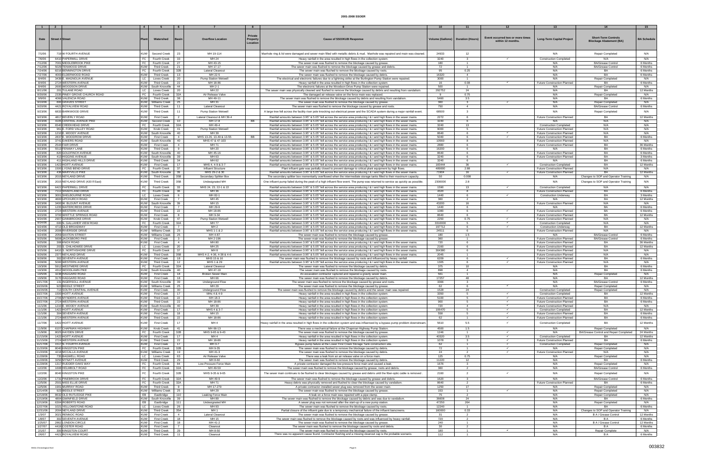|                      |                                                  |                    |                                          |                |                                 | Private                                                                                                                                                                                                                                          |              |                                     |                                                       |                                                                     |                                                              |                    |
|----------------------|--------------------------------------------------|--------------------|------------------------------------------|----------------|---------------------------------|--------------------------------------------------------------------------------------------------------------------------------------------------------------------------------------------------------------------------------------------------|--------------|-------------------------------------|-------------------------------------------------------|---------------------------------------------------------------------|--------------------------------------------------------------|--------------------|
| Date                 | <b>Street # Street</b>                           |                    | Watershed                                | Basin          | <b>Overflow Location</b>        | <b>Cause of SSO/KUB Response</b><br>Property                                                                                                                                                                                                     |              | Volume (Gallons)   Duration (Hours) | Event occurred two or more times<br>within 12 months. | <b>Long-Term Capital Project</b>                                    | <b>Short-Term Controls</b><br><b>Blockage Abatement (BA)</b> | <b>BA Schedule</b> |
|                      |                                                  |                    |                                          |                |                                 | Locatior                                                                                                                                                                                                                                         |              |                                     |                                                       |                                                                     |                                                              |                    |
|                      |                                                  |                    |                                          |                |                                 |                                                                                                                                                                                                                                                  |              |                                     |                                                       |                                                                     |                                                              |                    |
| 7/1/06               | 719 W FOURTH AVENUE                              | KUW                | Second Creek                             | 23             | MH 19-114                       | Manhole ring & lid were damaged and sewer main filled with metallic debris & mud. Manhole was repaired and main was cleaned.                                                                                                                     | 24933        | 12                                  |                                                       | N/A                                                                 | Repair Completed                                             | N/A                |
|                      |                                                  |                    |                                          |                |                                 |                                                                                                                                                                                                                                                  |              |                                     |                                                       |                                                                     |                                                              |                    |
| 7/6/06<br>7/12/06    | 6410 PAPERMILL DRIVE<br>7001 MIDDLEBROOK PIKE    | FC                 | Fourth Creek                             | 33             | MH 24<br>MH 43-15               | Heavy rainfall in the area resulted in high flows in the collection system                                                                                                                                                                       | 3240<br>180  | -3<br>$\overline{1}$                |                                                       | <b>Construction Completed</b><br>N/A                                | N/A<br><b>BA/Grease Control</b>                              | N/A<br>6 Months    |
|                      | 5029 TENWOOD DRIVE                               | FC<br><b>KUW</b>   | Fourth Creek                             | 27<br>21       | MH 17-17                        | The sewer main was flushed to remove the blockage caused by grease                                                                                                                                                                               |              | $\overline{1}$                      |                                                       | N/A                                                                 | <b>BA/Grease Control</b>                                     | 6 Months           |
| 7/12/06<br>7/24/06   | 8216 BENNINGTON DRIVE                            | FC                 | <b>Third Creek</b><br>Fourth Creek       | 32B            | Lateral Cleanout                | The sewer main was flushed to remove the blockage caused by grease and debris.<br>The sewer main was flushed to remove the blockage caused by roots.                                                                                             | 72<br>95     | 0.25                                |                                                       | N/A                                                                 | <b>BA</b>                                                    | 6 Months           |
| 7/27/06              | 4003 ELDERWOOD ROAD                              | <b>KUW</b>         | <b>Third Creek</b>                       | - 13           | MH 22-5                         | The sewer main was flushed to remove the blockage caused by debris                                                                                                                                                                               | 16320        | $\overline{4}$                      |                                                       | N/A                                                                 | BA                                                           | 6 Months           |
| 8/4/06               | 3439 E. MAGNOLIA AVENUE                          | LC                 | Loves Creek                              | 20             | Pump Station Wetwell            | The electrical and electronic failures due to a lightning strike at the Burlington Pump Station were repaired.                                                                                                                                   | 3000         | $\overline{1}$                      |                                                       | N/A                                                                 | Repair Completed                                             | N/A                |
| 8/4/06               | 2724 WESTERN AVENUE                              | <b>KUW</b>         | <b>Third Creek</b>                       | 22             | MH 18-86                        | Heavy rainfall in the area resulted in high flows in the collection system                                                                                                                                                                       | 16           | 0.08                                |                                                       | <b>Future Construction Planned</b>                                  | BA                                                           | 6 Months           |
| 8/4/06               | 2600 WOODSON DRIVE                               |                    | KUW   South Knoxville                    | 44             | MH 2-1                          | The electronic failures at the Woodson Drive Pump Station were repaired.                                                                                                                                                                         | 500          | $\mathbf{1}$                        |                                                       | N/A                                                                 | Repair Completed                                             | N/A                |
| 8/11/06              | 201 TULANE ROAD                                  | LC                 | <b>Loves Creek</b>                       | 20             | MH 22                           | The sewer main was physically cleaned and flushed to remove the blockage caused by debris and resulting from vandalism.                                                                                                                          | 292752       | 24                                  |                                                       | N/A                                                                 | BA                                                           | 12 Months          |
| 8/30/06              | 2335 PINEY GROVE CHURCH ROAD                     | FC                 | <b>Fourth Creek</b>                      | 32A            | Air Release Valve               | The damaged air release valve on the force main was replaced.                                                                                                                                                                                    | <b>q</b>     | 0.75                                |                                                       | N/A                                                                 | <b>Repair Completed</b>                                      | N/A                |
| 9/9/06               | 4066 VALENCIA ROAD                               | <b>KUW</b>         | <b>Third Creek</b>                       | 38             | MH 49-11                        | The sewer main was flushed to remove the blockage caused by debris and resulting from vandalism                                                                                                                                                  | 5460         | 3.5                                 |                                                       | N/A                                                                 | <b>BA</b>                                                    | 6 Months           |
| 9/10/06              | 800 GRAVES STREET                                | <b>KUW</b>         | <b>Williams Creek</b>                    | 25             | MH 31                           | The sewer main was flushed to remove the blockage caused by grease                                                                                                                                                                               | 360          | $\mathbf{3}$                        |                                                       | N/A                                                                 | <b>Repair Completed</b>                                      | N/A                |
| 9/20/06              | 4421 ROYALVIEW ROAD                              | <b>KUW</b>         | <b>Third Creek</b>                       | 11             | Lateral Cleanout                | The sewer main was flushed to remove the blockage caused by grease and roots.                                                                                                                                                                    | 750          | $\overline{4}$                      |                                                       | N/A                                                                 | <b>BA/Grease Contro</b>                                      | 6 Months           |
| 9/23/06              | 6833 BARKWOOD DRIVE                              | <b>KUW</b>         | <b>Third Creek</b>                       | 11             | Pump Station Wetwell            | A large tree fell across the facility riser pole knocking out electrical power and the SCADA system during a major rainfall event                                                                                                                | 68500        | $\mathbf{3}$                        |                                                       | N/A                                                                 | Repair Completed                                             | N/A                |
|                      |                                                  |                    |                                          |                |                                 |                                                                                                                                                                                                                                                  |              |                                     |                                                       |                                                                     |                                                              |                    |
| 9/23/06              | 4817 BEVERLY ROAD                                | <b>KUW</b>         | First Creek                              | $\overline{2}$ | Lateral Cleanout & MH 39-4      | Rainfall amounts between 3.95" & 5.05" fell across the service area producing I & I and high flows in the sewer mains.                                                                                                                           | 2272         | 6                                   |                                                       | <b>Future Construction Planned</b>                                  | BA                                                           | 12 Months          |
| 9/23/06<br>9/23/06   | 4105 CENTRAL AVENUE PIKE<br>6540 CREEKHEAD DRIVE | <b>KUW</b><br>FC   | Second Creek                             | 10<br>32A      | MH 17-8<br>MH 49-4              | <b>BB</b><br>Rainfall amounts between 3.95" & 5.05" fell across the service area producing I & I and high flows in the sewer mains.                                                                                                              | 3240<br>3240 | -6                                  |                                                       | N/A                                                                 | N/A<br>N/A                                                   | N/A<br>N/A         |
| 9/23/06              | 961 E. FORD VALLEY ROAD                          | <b>KUW</b>         | Fourth Creek<br>Knob Creek               | 41             | Pump Station Wetwell            | Rainfall amounts between 3.95" & 5.05" fell across the service area producing I & I and high flows in the sewer mains.<br>Rainfall amounts between 3.95" & 5.05" fell across the service area producing I & I and high flows in the sewer mains. | 9000         | 13<br>-5                            |                                                       | <b>Construction Completed</b><br><b>Future Construction Planned</b> | N/A                                                          | N/A                |
| 9/23/06              | 1210 E. MOODY AVENUE                             | <b>KUW</b>         | South Knoxville                          | 40             | MH 39                           | Rainfall amounts between 3.95" & 5.05" fell across the service area producing I & I and high flows in the sewer mains.                                                                                                                           | 8640         | 6                                   | $\checkmark$                                          | <b>Future Construction Planned</b>                                  | N/A                                                          | N/A                |
| 9/23/06              | 2837 E. WOODROW DRIVE                            | <b>KUW</b>         | <b>First Creek</b>                       | $\overline{a}$ | MHS 13-26, 13-49 & 13-55        | BB<br>Rainfall amounts between 3.95" & 5.05" fell across the service area producing I & I and high flows in the sewer mains.                                                                                                                     | 5040         | 6                                   |                                                       | Future Construction Planned                                         | BA                                                           | 6 Months           |
| 9/23/06              | 3741 EAKERS ROAD                                 | <b>KUW</b>         | South Knoxville                          | 40             | MHS 47 & 47-103                 | Rainfall amounts between 3.95" & 5.05" fell across the service area producing   &   and high flows in the sewer mains.                                                                                                                           | 10560        | 8                                   |                                                       | Future Construction Planned                                         | N/A                                                          | N/A                |
| 9/23/06              | 2544 FAIR DRIVE                                  | <b>KUW</b>         | <b>First Creek</b>                       | $\overline{a}$ | MH 71                           | Rainfall amounts between 3.95" & 5.05" fell across the service area producing I & I and high flows in the sewer mains.                                                                                                                           | 2880         | 6                                   |                                                       | Future Construction Planned                                         | <b>BA</b>                                                    | 36 Months          |
| 9/23/06              | 5513 FENWAY LANE                                 | <b>KUW</b>         | <b>Third Creek</b>                       | -9             | MH 20                           | Rainfall amounts between 3.95" & 5.05" fell across the service area producing   &   and high flows in the sewer mains.                                                                                                                           | 16200        | -6                                  |                                                       | N/A                                                                 | <b>BA</b>                                                    | 6 Months           |
| 9/23/06              | 820 GOLDFINCH AVENUE                             | <b>KUW</b>         | South Knoxville                          | 40             | MH 45-16                        | Rainfall amounts between 3.95" & 5.05" fell across the service area producing I & I and high flows in the sewer mains.                                                                                                                           | 8640         | 6                                   |                                                       | <b>Future Construction Planned</b>                                  | BA                                                           | 6 Months           |
| 9/23/06              | 413 HIGGINS AVENUE                               | <b>KUW</b>         | South Knoxville                          | 39             | MH 63                           | Rainfall amounts between 3.95" & 5.05" fell across the service area producing I & I and high flows in the sewer mains.                                                                                                                           | 3240         | 6                                   |                                                       | <b>Future Construction Planned</b>                                  | <b>BA</b>                                                    | 3 Months           |
| 9/23/06              | 411 HIGHLAND HILLS DRIVE                         | <b>KUW</b>         | <b>Third Creek</b>                       | 34             | MH 62                           | Rainfall amounts between 3.95" & 5.05" fell across the service area producing   &   and high flows in the sewer mains.                                                                                                                           | 3240         | -6                                  |                                                       | N/A                                                                 | BA                                                           | 6 Months           |
| 9/23/06              | 1422 HOITT AVENUE                                | <b>KUW</b>         | <b>First Creek</b>                       | 17             | MHS 4, 4-9 & 3-7                | Rainfall amounts between 3.95" & 5.05" fell across the service area producing I & I and high flows in the sewer mains.                                                                                                                           | 183444       | 36                                  | $\checkmark$                                          | <b>Construction Completed</b>                                       | <b>BA</b>                                                    | 12 Months          |
| 9/23/06              | 1500 LYONS BEND DRIVE                            | FC                 | Fourth Creek                             | 37             | Influent Structure              | Plant influent gate was partially closed to prevent damage to critical plant equipment by high flows.                                                                                                                                            | 489000       | 2.88                                |                                                       | Future Construction Planned                                         | N/A                                                          | N/A                |
| 9/23/06              | 436 MARYVILLE PIKE                               | <b>KUW</b>         | South Knoxville                          | 39             | MHS 29-2 & 30                   | Rainfall amounts between 3.95" & 5.05" fell across the service area producing I & I and high flows in the sewer mains.                                                                                                                           | 71904        | 16                                  |                                                       | <b>Future Construction Planned</b>                                  | BA                                                           | 12 Months          |
| 9/23/06              | 2015 NEYLAND DRIVE                               | <b>KUW</b>         | <b>Third Creek</b>                       | 35B            | Secondary Splitter Box          | The secondary splitter box momentarily overflowed when the intermediate storage tanks filled to their maximum capacity.                                                                                                                          | 50           | 0.008                               |                                                       | N/A                                                                 | Changes to SOP and Operator Training                         | N/A                |
| 9/23/06              | 2015 NEYLAND DRIVE (420 If East)                 | <b>KUW</b>         | <b>Third Creek</b>                       | 35B            | Undesignated MH                 | One influent pump failed during the peak of a high influent flow event. The pump was returned to service as quickly as possible                                                                                                                  | 2300000      | 2.8                                 |                                                       | N/A                                                                 | Changes to SOP and Operator Training                         | N/A                |
|                      | 6422 PAPERMILL DRIVE                             | FC.                |                                          |                | MHS 24, 23, 22-1 & 22           |                                                                                                                                                                                                                                                  | 1590         | 13 <sup>1</sup>                     |                                                       |                                                                     | N/A                                                          | N/A                |
| 9/23/06<br>9/23/06   | 7112 SHADYLAND DRIVE                             | FC                 | Fourth Creek<br>Fourth Creek             | 33<br>36       | MH 36                           | Rainfall amounts between 3.95" & 5.05" fell across the service area producing   &   and high flows in the sewer mains.<br>Rainfall amounts between 3.95" & 5.05" fell across the service area producing I & I and high flows in the sewer mains. | 4320         | -8                                  |                                                       | <b>Construction Completed</b><br><b>Future Construction Planned</b> | <b>BA</b>                                                    | 6 Months           |
| 9/23/06              | 3001 SHELBOURNE ROAD                             | LC                 | Loves Creek                              | 6              | MH 82-1                         | Rainfall amounts between 3.95" & 5.05" fell across the service area producing I & I and high flows in the sewer mains.                                                                                                                           | 1440         | 6                                   | $\checkmark$                                          | <b>Construction Underway</b>                                        | BA                                                           | 3 Months           |
| 9/23/06              | 4600 UPCHURCH ROAD                               | <b>KUW</b>         | <b>First Creek</b>                       | $\overline{7}$ | MH 45                           | Rainfall amounts between 3.95" & 5.05" fell across the service area producing I & I and high flows in the sewer mains.                                                                                                                           | 360          | -2                                  |                                                       | N/A                                                                 | BA                                                           | 12 Months          |
| 9/23/06              | 3400 W. BLOUNT AVENUE                            | <b>KUW</b>         | South Knoxville                          | 39             | MH 15                           | Rainfall amounts between 3.95" & 5.05" fell across the service area producing I & I and high flows in the sewer mains.                                                                                                                           | 43200        | 16                                  |                                                       | <b>Future Construction Planned</b>                                  | N/A                                                          | N/A                |
| 9/23/06              | 1235 WATERCRESS DRIVE                            | <b>KUW</b>         | <b>First Creek</b>                       | $\overline{7}$ | MH 29-9                         | Rainfall amounts between 3.95" & 5.05" fell across the service area producing I & I and high flows in the sewer mains.                                                                                                                           | 1440         | 6                                   |                                                       | N/A                                                                 | <b>BA</b>                                                    | 6 Months           |
| 9/23/06              | 2724 WESTERN AVENUE                              | <b>KUW</b>         | <b>Third Creek</b>                       | 22             | MH 18-86                        | Rainfall amounts between 3.95" & 5.05" fell across the service area producing   &   and high flows in the sewer mains.                                                                                                                           | 1080         | 6                                   |                                                       | Future Construction Planned                                         | <b>BA</b>                                                    | 6 Months           |
| 9/23/06              | 3700 WHITTLE SPRINGS ROAD                        | <b>KUW</b>         | <b>First Creek</b>                       | 8              | MH 9-34                         | Rainfall amounts between 3.95" & 5.05" fell across the service area producing I & I and high flows in the sewer mains.                                                                                                                           | 8640         | 6                                   |                                                       | Future Construction Planned                                         | <b>BA</b>                                                    | 12 Months          |
| 9/24/06              | 2907 GINNBROOKE DRIVE                            | <b>KUW</b>         | Knob Creek                               | 47             | <b>Pump Station Wetwell</b>     | Rainfall amounts between 3.95" & 5.05" fell across the service area producing   &   and high flows in the sewer mains.                                                                                                                           | 2250         | 0.75                                | $\checkmark$                                          | Future Construction Planned                                         | N/A                                                          | N/A                |
| 9/24/06              | 600 N. GALLAHER VIEW ROAD                        | FC                 | Fourth Creek                             | 32A            | <b>MH77</b>                     | Rainfall amounts between 3.95" & 5.05" fell across the service area producing I & I and high flows in the sewer mains.                                                                                                                           | 3310000      |                                     | $\checkmark$                                          | <b>Construction Completed</b>                                       | N/A                                                          | N/A                |
| 9/24/06              | 4713 OLD BROADWAY                                | <b>KUW</b>         | <b>First Creek</b>                       | 7              | MH 2                            | Rainfall amounts between 3.95" & 5.05" fell across the service area producing I & I and high flows in the sewer mains.                                                                                                                           | 197712       | -6                                  |                                                       | <b>Construction Underway</b>                                        | <b>BA</b>                                                    | 12 Months          |
| 9/24/06              | 2008 RIVERSIDE DRIVE                             | <b>KUW</b>         | <b>Williams Creek</b>                    | 25             | MHS 1-1 & 2                     | Rainfall amounts between 3.95" & 5.05" fell across the service area producing I & I and high flows in the sewer mains.                                                                                                                           | 24511        | 6                                   |                                                       | <b>Future Construction Planned</b>                                  | N/A                                                          | N/A                |
| 9/24/06              | 2059 SAXTON STREET                               | <b>KUW</b>         | <b>Williams Creek</b>                    | 25             | MH 4-87                         | The sewer main was flushed to remove the blockage caused by grease                                                                                                                                                                               | 180          | 1.5                                 |                                                       | N/A                                                                 | <b>BA/Grease Control</b>                                     | 6 Months           |
| 9/25/06              | 5608 JACKSBORO PIKE                              | <b>KUW</b>         | <b>First Creek</b>                       | $\mathbf{3}$   | MH 2-196                        | The sewer main was flushed to remove the blockage caused by grease                                                                                                                                                                               | 360          | $\overline{1}$                      |                                                       | Future Construction Planned                                         | <b>BA/Grease Control</b>                                     | 6 Months           |
| 9/25/06              | 308 KNOX ROAD                                    | <b>KUW</b>         | <b>First Creek</b>                       | $\overline{4}$ | MH 80                           | Rainfall amounts between 3.95" & 5.05" fell across the service area producing I & I and high flows in the sewer mains.                                                                                                                           | 720          | -6                                  |                                                       | Future Construction Planned                                         | BA                                                           | 36 Months          |
| 9/25/06              | 203 S. CHILHOWEE DRIVE                           | LC .               | <b>Loves Creek</b>                       | 20             | MH 25                           | Rainfall amounts between 3.95" & 5.05" fell across the service area producing I & I and high flows in the sewer mains.                                                                                                                           | 2160         | 6                                   |                                                       | <b>Future Construction Planned</b>                                  | <b>BA</b>                                                    | 12 Months          |
| 9/25/06              | 6410 S. NORTHSHORE DRIVE                         | FC                 | Fourth Creek                             | 37             | MH 8                            | Rainfall amounts between 3.95" & 5.05" fell across the service area producing I & I and high flows in the sewer mains.                                                                                                                           | 304380       | -6                                  |                                                       | <b>Future Construction Planned</b>                                  | N/A                                                          | N/A                |
| 9/26/06              | 2377 NEYLAND DRIVE                               | <b>KUW</b>         | <b>Third Creek</b>                       | 35B            | MHS 4-2, 4-36, 4-38 & 4-6       | Rainfall amounts between 3.95" & 5.05" fell across the service area producing   &   and high flows in the sewer mains.                                                                                                                           | 2045         | $\overline{1}$                      |                                                       | Future Construction Planned                                         | N/A                                                          | N/A                |
| 9/28/06              | 302 SEVENTH AVENUE                               | <b>KUW</b>         | <b>First Creek</b>                       | 18             | MHS 15 & 16                     | The sewer main was flushed to remove the blockage caused by roots and influenced by heavy rainfall.                                                                                                                                              | 6209         | 6                                   | $\checkmark$                                          | <b>Future Construction Planned</b>                                  | BA                                                           | 6 Months           |
| 9/28/06              | 5000 WESTERN AVENUE                              | <b>KUW</b>         | <b>Third Creek</b>                       | 12             | MHS 1 & 29                      | Rainfall amounts between 3.95" & 5.05" fell across the service area producing   &   and high flows in the sewer mains.                                                                                                                           | 1305         | 6                                   |                                                       | <b>Future Construction Planned</b>                                  | N/A                                                          | N/A                |
| 10/3/06              | 5912 WESTMERE DRIVE                              | FC                 | Fourth Creek                             | 32A            | Lateral Cleanout                | The sewer main was flushed to remove the blockage caused by debris                                                                                                                                                                               | 375          | 10                                  |                                                       | N/A                                                                 | BA                                                           | 6 Months           |
| 10/3/06              | 4312 WOODLAWN PIKE                               | <b>KUW</b>         | South Knoxville                          | 40             | MH 47-19                        | The sewer main was flushed to remove the blockage caused by roots.                                                                                                                                                                               | 898          | $\overline{4}$                      |                                                       | N/A                                                                 | <b>BA</b>                                                    | 6 Months           |
| 10/5/06              | 3238 HAGGARD ROAD                                | <b>KUW</b>         | <b>First Creek</b>                       | 18             | <b>Broken Sewer Mair</b>        | An excavation contractor ruptured and repaired a gravity sewer main.                                                                                                                                                                             | 561          | $\overline{1}$                      |                                                       | N/A                                                                 | Repair Completed                                             | N/A                |
| 10/9/06              | 3170 HAGGARD ROAD                                | <b>KUW</b>         | <b>First Creek</b>                       | 18             | MH 66                           | The sewer main was flushed to remove the blockage caused by debris                                                                                                                                                                               | 17257        | 48                                  |                                                       | N/A                                                                 | BA                                                           | 12 Months          |
| 0/17/06              | 131 INGERSOLL AVENU                              | KUW                | SOUTH KNOXVIIIE<br>KUW   Williams Creek  | - 39           | Underground Flow                | l ne sewer main was flushed to remove the blockage caused by grease and roots                                                                                                                                                                    | 3.366<br>62  | 6                                   |                                                       | N/P<br>N/A                                                          | BA/Grease Contro                                             | 6 Months           |
| 10/26/06             | 923 BIDDLE STREET<br>713 SOUTH CENTRAL AVENUE    | <b>KUW</b>         |                                          | 25<br>30       | MH 29                           | The sewer main was flushed to remove the blockage caused by grease.<br>The sewer main was flushed to remove the blockage caused by debris and the sewer main was repaired.                                                                       | 1528         | 24                                  |                                                       | <b>Construction Completed</b>                                       | <b>Repair Completed</b><br>Repair Completed                  | N/A<br>N/A         |
| 10/26/06<br>10/27/06 | 1500 HOITT AVENUE                                | <b>KUW</b>         | <b>First Creek</b><br><b>First Creek</b> | 17             | Underground Flow<br>MHs 4 & 4-9 | Heavy rainfall in the area resulted in high flows in the collection system.                                                                                                                                                                      | 3350         | 5                                   | $\checkmark$                                          | <b>Construction Completed</b>                                       | BA                                                           | 12 Months          |
| 10/27/06             | 2706 MYNDERS AVENUE                              | <b>KUW</b>         | <b>Third Creek</b>                       | 22             | MH 18-3                         | Heavy rainfall in the area resulted in high flows in the collection system.                                                                                                                                                                      | 5100         | -5                                  |                                                       | Future Construction Planned                                         | BA                                                           | 6 Months           |
| 10/27/06             | 2724 WESTERN AVENUE                              | <b>KUW</b>         | <b>Third Creek</b>                       | 22             | MH 18-86                        | Heavy rainfall in the area resulted in high flows in the collection system.                                                                                                                                                                      | 900          | -5                                  | $\checkmark$                                          | Future Construction Planned                                         | BA                                                           | 6 Months           |
| 11/1/06              | 1210 E. MOODY AVENUE                             | <b>KUW</b>         | South Knoxville                          | 40             | MH 39                           | Heavy rainfall in the area resulted in high flows in the collection system.                                                                                                                                                                      | 720          | $\overline{4}$                      | $\checkmark$                                          | Future Construction Planned                                         | N/A                                                          | N/A                |
| 11/1/06              | 1422 HOITT AVENUE                                | <b>KUW</b>         | <b>First Creek</b>                       | 17             | MHS 4 & 3-7                     | Heavy rainfall in the area resulted in high flows in the collection system.                                                                                                                                                                      | 106470       | 5                                   |                                                       | <b>Construction Completed</b>                                       | BA                                                           | 12 Months          |
| 11/1/06              | 304 SEVENTH AVENUE                               | <b>KUW</b>         | <b>First Creek</b>                       | 18             | MH 15                           | Heavy rainfall in the area resulted in high flows in the collection system.                                                                                                                                                                      | 558          | 5                                   | $\checkmark$                                          | Future Construction Planned                                         | BA                                                           | 6 Months           |
| 11/1/06              | 2724 WESTERN AVENUE                              | <b>KUW</b>         | <b>Third Creek</b>                       | 22             | MH 18-86                        | Heavy rainfall in the area resulted in high flows in the collection system.                                                                                                                                                                      | 62           | $\overline{1}$                      | $\checkmark$                                          | Future Construction Planned                                         | <b>BA</b>                                                    | 6 Months           |
| 11/7/06              | 1422 HOITT AVENUE                                | KUW                | <b>First Creek</b>                       | 17             | MH <sub>4</sub>                 | Heavy rainfall in the area resulted in high flows in the collection system and was influenced by a bypass pump problem downstrean                                                                                                                | 5610         | 5.5                                 | $\checkmark$                                          | <b>Construction Completed</b>                                       | BA                                                           | 12 Months          |
|                      |                                                  |                    |                                          |                |                                 |                                                                                                                                                                                                                                                  |              |                                     |                                                       |                                                                     |                                                              |                    |
| 11/9/06              | 6107 CHAPMAN HIGHWAY                             | KUW                | Knob Creek                               | 41             | MH 66-13                        | There was a mechanical failure at the Chapman Highway Pump Station.                                                                                                                                                                              | 4500         | 1.5                                 |                                                       | N/A                                                                 | <b>Repair Completed</b>                                      | N/A                |
| 11/9/06              | 8025 HAYDEN DRIVE                                | FC                 | Fourth Creek                             | 32B            | MHS 9-65 & 9-43                 | The sewer main was flushed to remove the blockage caused by grease.                                                                                                                                                                              | 1246         | $\overline{1}$                      |                                                       | N/A                                                                 | BA/Grease Control and Repair Completed                       | 24 Months          |
| 1/15/06              | 1422 HOITT AVENUE                                | <b>KUW</b>         | <b>First Creek</b>                       | 17             | MH <sub>4</sub>                 | Heavy rainfall in the area resulted in high flows in the collection system.                                                                                                                                                                      | 40320        | 3.5                                 | $\checkmark$                                          | <b>Construction Completed</b>                                       | <b>BA</b>                                                    | 12 Months          |
| 11/15/06<br>11/17/06 | 2724 WESTERN AVENUE<br>1517 N. FOURTH AVENUE     | KUW<br><b>KUW</b>  | <b>Third Creek</b><br><b>First Creek</b> | 22<br>17       | MH 18-86<br>MH 3-7              | Heavy rainfall in the area resulted in high flows in the collection system.                                                                                                                                                                      | 1078<br>62   | 3<br>$\overline{1}$                 | $\checkmark$                                          | <b>Future Construction Planned</b><br><b>Construction Completed</b> | BA<br><b>Repair Completed</b>                                | 6 Months<br>N/A    |
| 11/20/06             | 8040 KINGSTON PIKE                               | FC                 | Fourth Creek                             | 32B            | MH 9-35                         | Bypass pump failure at the Lower First Creek Storage Tank construction site<br>The sewer main was flushed to remove the blockage caused by debris.                                                                                               | 72           | $\overline{1}$                      | $\checkmark$                                          | N/A                                                                 | Repair Completed                                             | N/A                |
| 11/20/06             | 4218 MCCALLA AVENUE                              | <b>KUW</b>         | Williams Creek                           | 19             | MH 41-3                         | The sewer main was flushed to remove the blockage caused by debris.                                                                                                                                                                              | 24           | $\overline{2}$                      | $\checkmark$                                          | <b>Future Construction Planned</b>                                  | N/A                                                          | N/A                |
| 11/28/06             | 735 BAGWELL ROAD                                 | LC                 | Loves Creek                              | 63             | Air Release Valve               | There was a leak from an air release valve on a force main.                                                                                                                                                                                      | 125          | 0.75                                |                                                       | N/A                                                                 | Repair Completed                                             | N/A                |
| 1/28/06              | 3250 MYNATT AVENUE                               | <b>KUW</b>         | <b>Third Creek</b>                       | 29             | MH 8-60                         | The sewer main was flushed to remove the blockage caused by debris.                                                                                                                                                                              | 11220        | 12                                  |                                                       | N/A                                                                 | <b>BA</b>                                                    | 6 Months           |
| 11/28/06             | 1317 RUDDER OAKS WAY                             | FC                 | Fourth Creek                             | 84             | Low-Pressure Force Main         | A private contractor damaged the low-pressure force main and caused a leak.                                                                                                                                                                      | 1676         | $\overline{\mathbf{3}}$             |                                                       | N/A                                                                 | <b>Repair Completed</b>                                      | N/A                |
| 12/2/06              | 1608 HELMBOLT ROAD                               | FC                 | Fourth Creek                             | 32A            | MH 49-59                        | The sewer main was flushed to remove the blockage caused by grease, roots and debris.                                                                                                                                                            | 360          | $\overline{2}$                      |                                                       | N/A                                                                 | <b>BA/Grease Control</b>                                     | 6 Months           |
| 12/2/06              | 8040 KINGSTON PIKE                               | FC                 |                                          | 32B            |                                 |                                                                                                                                                                                                                                                  |              | 2                                   |                                                       | N/A                                                                 |                                                              | N/A                |
|                      |                                                  |                    | Fourth Creek                             |                | MHS 9-35 & 9-65                 | The sewer main continues to be flushed to clear blockages caused by grease and debris until the fiber-optic cable is removed                                                                                                                     | 2160         |                                     |                                                       |                                                                     | Repair Completed                                             |                    |
| 12/2/06              | 1731 PINEBROOK DRIVE                             | FC                 | Fourth Creek                             | 32A            | MH 49-9                         | The sewer main was flushed to remove the blockage caused by grease and debris.                                                                                                                                                                   | 1620         | 3                                   |                                                       | N/A                                                                 | <b>BA/Grease Control</b>                                     | 6 Months           |
| 12/5/06              | 2501 MISS ELLIE DRIVE                            | FC                 | Fourth Creek                             | 32A            | MH 71                           | Heavy debris was physically removed and flushed to clear the blockage caused by vandalism.                                                                                                                                                       | 8640         | 2                                   |                                                       | <b>Future Construction Planned</b>                                  | <b>BA</b>                                                    | 6 Months           |
| 12/5/06              | 1901 MURRAY ROAD                                 | <b>KUW</b>         | <b>Third Creek</b>                       | 9              | MH 17-279                       | A private contractor-installed sewer plug was removed from the sewer main.                                                                                                                                                                       | 1250         | 17                                  |                                                       | N/A                                                                 | Repair Completed                                             | N/A                |
| 2/14/06              | 923 BIDDLE STREET                                | <b>KUW</b>         | Williams Creek                           | - 25           | MH 29                           | The sewer main was flushed to remove the blockage caused by grease.                                                                                                                                                                              | 153          | $\overline{1}$                      |                                                       | N/A                                                                 | Repair Completed                                             | N/A                |
| 12/18/06<br>2/19/06  | 8632 OLD RUTLEDGE PIKE<br>4804 GWINFIELD DRIVE   | EB  <br><b>KUW</b> | Eastbridge<br>South Knoxville            | 110<br>39      | Leaking Force Main<br>MH 89     | A leak on a force main was repaired with a pipe clamp.<br>The sewer main was flushed to remove the blockage caused by debris and was due to vandalism.                                                                                           | 75<br>36608  | 2<br>24                             |                                                       | N/A<br>N/A                                                          | Repair Completed<br>BA                                       | N/A<br>6 Months    |
| 12/19/06             | 6304 ROBERTS ROAD                                | EB                 | Eastbridge                               | 111            | Undesignated MH                 | A sewer plug was not removed after the start-up of a new pump station                                                                                                                                                                            | 47250        | 264                                 |                                                       | N/A                                                                 | Repair Completed                                             | N/A                |
| 12/27/06             | 1021 YELLOWSTONE ROAD                            | LC                 | Loves Creek                              | 26             | MH 93                           | The sewer main was flushed to remove the blockage caused by roots.                                                                                                                                                                               | 12240        | $\overline{1}$                      |                                                       | N/A                                                                 | <b>BA</b>                                                    | 6 Months           |
| 12/31/06             | 2004 NEYLAND DRIVE                               | <b>KUW</b>         | <b>Third Creek</b>                       | 35A            | MH <sub>1</sub>                 | Partial closure of the influent gate due to a temporary mechanical failure of the influent barscreens.                                                                                                                                           | 160000       | 0.33                                |                                                       | N/A                                                                 | Changes to SOP and Operator Training                         | N/A                |
| 1/3/07               | 3021 RENNOC ROAD                                 | KUW                | <b>First Creek</b>                       | $\overline{4}$ | Lateral Cleanou                 | The sewer main was flushed to remove the blockage caused by grease                                                                                                                                                                               | 31           |                                     |                                                       | N/A                                                                 | B A / Grease Control                                         | 12 Months          |
| 1/8/07               | 302 SEVENTH AVENUE                               | <b>KUW</b>         | <b>First Creek</b>                       | 18             | MH 15                           | The sewer main was flushed to remove the blockage caused by roots and was influenced by heavy rainfall.                                                                                                                                          | 720          |                                     |                                                       | N/A                                                                 | B A                                                          | 6 Months           |
| 1/25/07              | 2862 LONDON CIRCLE                               | <b>KUW</b>         | <b>First Creek</b>                       | 18             | MH 41-2                         | The sewer main was flushed to remove the blockage caused by grease                                                                                                                                                                               | 240          | $\mathbf{1}$                        |                                                       | N/A                                                                 | B A / Grease Control                                         | 12 Months          |
| 1/27/07              | 4419 COSTER ROAD                                 | <b>KUW</b>         | <b>First Creek</b>                       | $\overline{7}$ | Cleanout                        | The sewer main was flushed to remove the blockage caused by roots and debris                                                                                                                                                                     | 30           | $\overline{2}$                      |                                                       | N/A                                                                 | <b>BA</b>                                                    | 6 Months           |
| 2/1/07               | 300 KINGSTON COURT                               | <b>KUW</b>         | <b>Third Creek</b>                       | 29             | MH 8-50                         | The sewer main was flushed to remove the blockage caused by roots.                                                                                                                                                                               | 180          |                                     |                                                       | N/A                                                                 | <b>Repair Complete</b>                                       | N/A                |
|                      | 2/6/07 4421 ROYALVIEW ROAD                       |                    | KUW Third Creek                          | $-11$          | Cleanout                        | There was no apparent cause found. Contractor flushing and a missing cleanout cap is the probable scenario.                                                                                                                                      | 112          | $\overline{1}$                      |                                                       | N/A                                                                 | B A                                                          | 6 Months           |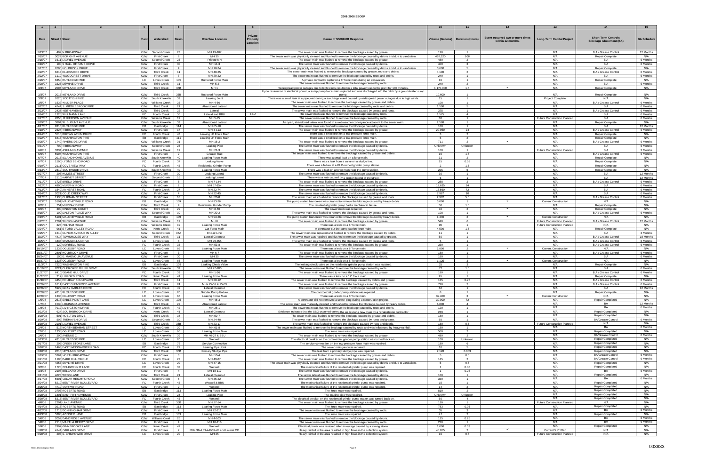| $\sim$ 1             | $\overline{2}$         |                                                      | $\begin{array}{ccc} \end{array}$ |                                                 | 6                     |                                                  | $\mathbf{R}$                    |                                                                                                                                                                                       |                        | 11                                  |                                                       |                                                            | 14                                                           | 15                     |
|----------------------|------------------------|------------------------------------------------------|----------------------------------|-------------------------------------------------|-----------------------|--------------------------------------------------|---------------------------------|---------------------------------------------------------------------------------------------------------------------------------------------------------------------------------------|------------------------|-------------------------------------|-------------------------------------------------------|------------------------------------------------------------|--------------------------------------------------------------|------------------------|
|                      |                        |                                                      |                                  |                                                 |                       |                                                  |                                 |                                                                                                                                                                                       |                        |                                     |                                                       |                                                            |                                                              |                        |
| Date                 | <b>Street # Street</b> |                                                      |                                  | Watershed                                       | <b>Basir</b>          | <b>Overflow Location</b>                         | Private<br>Property<br>Location | <b>Cause of SSO/KUB Response</b>                                                                                                                                                      |                        | Volume (Gallons)   Duration (Hours) | Event occurred two or more times<br>within 12 months. | <b>Long-Term Capital Project</b>                           | <b>Short-Term Controls</b><br><b>Blockage Abatement (BA)</b> | <b>BA Schedule</b>     |
| 2/13/07              |                        | 409 N BROADWAY                                       |                                  | KUW Second Creek                                | 23                    | MH 19-187                                        |                                 | The sewer main was flushed to remove the blockage caused by grease                                                                                                                    | 120                    |                                     |                                                       | N/A                                                        | B A / Grease Control                                         | 12 Months              |
| 2/15/07<br>2/15/07   |                        | 3022 BORIGHT AVENUE<br>1611 LAUREL AVENUE            | <b>KUW</b><br><b>KUW</b>         | <b>First Creek</b><br>Second Creek              | 8<br>23               | MH 35<br>Private MH                              |                                 | The sewer main was physically cleaned and flushed to remove the blockage caused by debris and due to vandalism.<br>The sewer main was flushed to remove the blockage caused by grease | 452,520<br>480         | 108<br>$\overline{2}$               |                                                       | N/A<br>N/A                                                 | Repair Complet<br>B A                                        | N/A<br>6 Months        |
| 2/16/07              |                        | 100 S HALL OF FAME DRIVI                             | <b>KUW</b>                       | <b>First Creek</b>                              | 30                    | MH 14-3                                          |                                 | The sewer main was flushed to remove the blockage caused by debris                                                                                                                    | 400                    |                                     |                                                       | N/A                                                        | B A                                                          | 6 Months               |
| 2/17/07              |                        | 2600 HOLBROOK DRIVE                                  | <b>KUW</b>                       | <b>First Creek</b>                              | $\overline{4}$        | MH 18-24                                         |                                 | The sewer main was physically cleaned and flushed to remove the blockage caused by debris and due to vandalism.                                                                       | 3,600                  | -5                                  |                                                       | N/A                                                        | Repair Complete                                              | N/A                    |
| 2/22/07              |                        | 6213 ELLESMERE DRIVE                                 | <b>KUW</b>                       | <b>Third Creek</b>                              | 11                    | MH 48-25                                         |                                 | The sewer main was flushed to remove the blockage caused by grease, roots and debris.                                                                                                 | 4,100                  | 2                                   |                                                       | N/A                                                        | B A / Grease Control                                         | 6 Months               |
| 2/22/07<br>2/26/07   |                        | 1110 WOODCREST DRIVE<br>6350 RUTLEDGE PIKE           | <b>KUW</b><br>LC                 | <b>First Creek</b><br>Loves Creek               | $\overline{7}$<br>105 | MH 29-22<br>Ruptured Force Mai                   |                                 | The sewer main was flushed to remove the blockage caused by roots and debris<br>A private contractor ruptured a 6" force main during an excavation.                                   | 240<br>16              | $\blacksquare$                      |                                                       | N/A<br>N/A                                                 | B A<br>Repair Complet                                        | 6 Months<br>N/A        |
| 2/28/07              |                        | 3325 DEWINE DRIVE                                    | <b>KUW</b>                       | <b>Third Creek</b>                              | 11                    | MH 5-2                                           |                                 | The sewer main was flushed to remove the blockage caused by roots.                                                                                                                    | 240                    | 2                                   |                                                       | N/A                                                        | B A                                                          | 6 Months               |
| 3/3/07               |                        | 2004 NEYLAND DRIVE                                   | <b>KUW</b>                       | Third Creek                                     | 35B                   | MH <sub>1</sub>                                  |                                 | Widespread power outages due to high winds resulted in a total power loss to the plant for 130 minutes                                                                                | 1,170,000              | 1.5                                 | $\checkmark$                                          | N/A                                                        | Repair Complete                                              | N/A                    |
| 3/3/07               |                        | 2015 NEYLAND DRIVE                                   | KUW                              | <b>Third Creek</b>                              | 35B                   | Ruptured Force Mair                              |                                 | Upon restoration of electrical power, a sump pump force main ruptured and was discharged into the ditch by a groundwater sump                                                         | 10,600                 |                                     |                                                       | N/A                                                        | Repair Complete                                              | N/A                    |
| 3/3/07               |                        | 2620 SCOTTISH PIKE                                   |                                  | KUW   South Knoxville                           | 39                    | Leaking Joint                                    |                                 | pump.<br>There was a small leak at a pipe joint during a surcharge event caused by widespread power outages due to high winds.                                                        | 15                     | $\overline{1}$                      |                                                       | <b>Project Complete</b>                                    | N/A                                                          | N/A                    |
| 3/5/07               |                        | 1532 WILDER PLACE                                    | <b>KUW</b>                       | Williams Creek                                  | 25                    | MH 4-56                                          |                                 | The sewer main was flushed to remove the blockage caused by grease and debris.                                                                                                        | 108                    | $\overline{1}$                      |                                                       | N/A                                                        | B A / Grease Control                                         | 6 Months               |
| 3/22/07              |                        | 4744 S. MIDDLEBROOK PIKE                             | <b>KUW</b>                       | <b>Third Creek</b>                              | 21                    | Abandoned Lateral                                |                                 | The sewer main was flushed to remove the blockage caused by roots and debris.                                                                                                         | 1,500                  | 5                                   |                                                       | N/A                                                        | B A                                                          | 6 Months               |
| 3/23/07<br>3/24/07   |                        | 2437 KEITH AVENUE<br>1325 WILLMANN LANE              | <b>KUW</b><br>FC                 | <b>Third Creek</b><br><b>Fourth Creek</b>       | 22<br>36              | Lateral<br>Lateral and BBL                       | BBU                             | The sewer main was flushed to remove the blockage caused by grease and roots<br>The sewer main was flushed to remove the blockage caused by roots.                                    | 375<br>1,575           | $\overline{1}$<br>$\overline{4}$    |                                                       | N/A<br>N/A                                                 | B A / Grease Control<br>B A                                  | 6 Months<br>6 Months   |
| 3/27/07              |                        | 2856 JEFFERSON AVENUE                                |                                  | <b>KUW</b> Williams Creek                       | 19                    | MH 5-75                                          |                                 | The sewer main was flushed to remove the blockage caused by roots.                                                                                                                    | 30                     | $\overline{1}$                      |                                                       | <b>Future Construction Planned</b>                         | B A                                                          | 6 Months               |
| 3/29/07              |                        | 3804 W. BLOUNT AVENUE                                | <b>KUW</b>                       | South Knoxvill                                  | 39                    | Abandoned Latera                                 |                                 | An open, abandoned lateral was found in a wet-weather conveyance adjacent to the sewer main                                                                                           | 2,588                  | $\overline{1}$                      |                                                       | N/A                                                        | Repair Complet                                               | N/A                    |
| 4/17/07              |                        | 9315 RUTLEDGE PIKE                                   | FB.                              | Eastbridge                                      | 114                   | MH 65-10                                         |                                 | The sewer main was flushed to remove the blockage caused by debris                                                                                                                    | 180                    | $\overline{1}$                      |                                                       | N/A                                                        | B A                                                          | 12 Months              |
| 4/18/07<br>4/24/07   |                        | 2324 N BROADWAY<br>5516 BROWN ATKIN DRIVE            | <b>KUW</b><br>FC                 | <b>First Creek</b><br>Fourth Creek              | 17<br>43              | MH 4-113<br>Leaking LP Force Main                |                                 | The sewer main was flushed to remove the blockage caused by grease.<br>There was a small leak on a low-pressure force main.                                                           | 20,950<br>$\mathbf{R}$ | 24<br>2                             |                                                       | N/A<br>N/A                                                 | B A / Grease Control<br>Repair Complete                      | 6 Months<br>N/A        |
| 5/22/07              |                        | 8413 WASHINGTON PIKE                                 | EB                               | Eastbridge                                      | 111                   | Leaking LP Force Main                            |                                 | There was a small leak on a low-pressure force main.                                                                                                                                  | -5                     | 2                                   |                                                       | N/A                                                        | Repair Complete                                              | N/A                    |
| 5/25/07              |                        | 1749 RIVERSIDE DRIVE                                 |                                  | KUW Williams Creek                              | 31                    | MH 16-2                                          |                                 | The sewer main was flushed to remove the blockage caused by grease.                                                                                                                   | 711                    | $\overline{2}$                      |                                                       | N/A                                                        | B A / Grease Control                                         | 6 Months               |
| 5/31/07              |                        | 700 N BROADWAY                                       |                                  | KUW Second Creek                                | 23                    | Leaking Pipe                                     |                                 | The sewer main was flushed to remove the blockage caused by debris                                                                                                                    | Unknown                | Unknown                             |                                                       | N/A                                                        | B A                                                          | 6 Months               |
| 6/6/07<br>6/6/07     |                        | 3334 ASHLAND AVENUE<br>5904 WASHINGTON PIKE          | <b>KUW</b>                       | <b>KUW</b> Williams Creek<br><b>First Creek</b> | 19<br>$\overline{2}$  | MH 21-3<br>Grease Trap                           |                                 | The sewer main was flushed to remove the blockage caused by debris<br>The sewer main was flushed to remove the blockage caused by grease and debris.                                  | 160<br>19              | $\overline{1}$<br>1.5               |                                                       | <b>Future Construction Planned</b><br>N/A                  | B A<br>B A / Grease Control                                  | 3 Months<br>6 Months   |
| 6/7/07               |                        | 2915 ISLAND HOME AVENUE                              |                                  | KUW South Knoxville                             | 40                    | Leaking Force Main                               |                                 | There was a small leak on a force main.                                                                                                                                               | 31                     | 2                                   |                                                       | N/A                                                        | Repair Complete                                              | N/A                    |
| 6/7/07               |                        | 1500 LYONS BEND ROAD                                 | FC                               | <b>Fourth Creek</b>                             | 37                    | Leaking Valve                                    |                                 | There was a leak from a valve on a sludge line.                                                                                                                                       | 25                     | 0.58                                |                                                       | N/A                                                        | Repair Complete                                              | N/A                    |
| 6/10/07              |                        | 2111 COVE VIEW WAY                                   | FC                               | <b>Fourth Creek</b>                             | 43                    | <b>Residential Grinder Pump</b>                  |                                 | There was a failure at a KUB-owned grinder pump station.                                                                                                                              | $\overline{2}$         | 1.5                                 |                                                       | N/A                                                        | Repair Complete                                              | N/A                    |
| 6/13/07              |                        | 2319 SOUTHSIDE DRIVE                                 |                                  | KUW South Knoxville                             | 40                    | Leaking Force Main                               |                                 | There was a leak on a force main near the pump station.                                                                                                                               | 225                    | 5                                   |                                                       | N/A                                                        | Repair Complete                                              | N/A                    |
| 6/27/07<br>7/7/07    |                        | 208 HUMES STREET<br>2110 HARVEY STREET               | <b>KUW</b>                       | <b>First Creek</b><br>KUW Second Creek          | 30<br>15              | <b>Leaking Lateral</b><br><b>Leaking Lateral</b> |                                 | The sewer main was flushed to remove the blockage caused by debris<br>There was a leak caused by a broken lateral in the street                                                       | 30                     | $\overline{1}$<br>$\overline{1}$    |                                                       | N/A<br>N/A                                                 | B A<br>B A                                                   | 12 Months<br>12 Months |
| 7/11/07              |                        | 1723 BREDA DRIVE                                     | <b>KUW</b>                       | <b>First Creek</b>                              | $\mathbf{R}$          | MH 7-144                                         |                                 | The sewer main was flushed to remove the blockage caused by grease                                                                                                                    | 288                    |                                     |                                                       | N/A                                                        | B A / Grease Control                                         | 6 Months               |
| 7/12/07              |                        | 4900 MURPHY ROAD                                     | <b>KUW</b>                       | <b>First Creek</b>                              |                       | MH 67-154                                        |                                 | The sewer main was flushed to remove the blockage caused by debris                                                                                                                    | 19,635                 | 24                                  |                                                       | N/A                                                        | B A                                                          | 6 Months               |
| 7/13/07              |                        | 1540 AMHERST ROAD                                    | FC                               | <b>Fourth Creek</b>                             | 27                    | MH 22-74                                         |                                 | The sewer main was flushed to remove the blockage caused by debris                                                                                                                    | 16,560                 | 72                                  |                                                       | N/A                                                        | B A                                                          | 6 Months               |
| 7/14/07<br>7/17/07   |                        | 2021 COLD CREEK WAY<br>1935 CHIPMAN STREET           | <b>KUW</b><br><b>KUW</b>         | <b>First Creek</b><br><b>First Creek</b>        | $\overline{4}$<br>18  | MH 22-45<br>MH 20-8                              |                                 | The sewer main was flushed to remove the blockage caused by debris<br>The sewer main was flushed to remove the blockage caused by grease and roots                                    | 7.967<br>2,962         | 10 <sup>1</sup><br>5.5              |                                                       | N/A<br>N/A                                                 | <b>BA</b><br>B A / Grease Control                            | 6 Months<br>6 Months   |
| 7/23/07              |                        | 5101 MALONEYVILLE ROAD                               | EB                               | Eastbridge                                      | 109                   | MH 93-26                                         |                                 | The pump station barscreen was cleaned to remove the blockage caused by heavy debris.                                                                                                 | 3,000                  | $\overline{1}$                      | $\checkmark$                                          | <b>Current Construction</b>                                | N/A                                                          | N/A                    |
| 8/2/07               |                        | 751 MURRAY DRIVE                                     | <b>KUW</b>                       | <b>Third Creek</b>                              | -9                    | <b>Residential Grinder Pum</b>                   |                                 | The residential grinder pump had a mechanical failure.                                                                                                                                | 50                     | 1.5                                 |                                                       | N/A                                                        | Repair Complete                                              | N/A                    |
| 8/6/07               |                        | 300 KINGSTON COURT                                   | <b>KUW</b>                       | <b>Third Creek</b>                              | 29                    | MH 8-50                                          |                                 | The sewer main was repaired.                                                                                                                                                          | 10                     | $\overline{2}$                      | $\checkmark$                                          | N/A                                                        | Repair Complete                                              | N/A                    |
| 8/15/07              |                        | 100 DALTON PLACE WAY                                 | <b>KUW</b>                       | Second Creel                                    | 10 <sup>1</sup>       | MH 20-2                                          |                                 | The sewer main was flushed to remove the blockage caused by grease and roots.                                                                                                         | 108<br>1.440           | $\blacksquare$                      | $\checkmark$                                          | N/A                                                        | B A / Grease Control                                         | 6 Months               |
| 8/19/07<br>8/22/07   |                        | 5101 MALONEYVILLE ROAD<br>2701 WILSON AVENUE         | EB                               | Eastbridge<br>KUW   Williams Creek              | 109<br>19             | MH 93-26<br>MH <sub>8</sub>                      |                                 | The pump station barscreen was cleaned to remove the blockage caused by heavy debris.<br>The sewer main was flushed to remove the blockage caused by grease.                          | 540                    | 2<br>-6                             |                                                       | <b>Current Construction</b><br>Future Construction Planned | N/A<br>B A / Grease Control                                  | N/A<br>12 Months       |
| 9/15/07              |                        | 325 PELHAM ROAD                                      |                                  | KUW   Williams Creek                            | 19                    | Leaking Force Mai                                |                                 | There was a leak on a 6" force main.                                                                                                                                                  | 90                     | $\overline{1}$                      |                                                       | Future Construction Planned                                | N/A                                                          | N/A                    |
| 9/24/07              |                        | 961 E FORD VALLEY ROAD                               | <b>KUW</b>                       | Knob Creek                                      | 41                    | Cut Force Main                                   |                                 | A contractor cut the pump station force main                                                                                                                                          | 4,500                  | 1.5                                 |                                                       | N/A                                                        | <b>Repair Complete</b>                                       | N/A                    |
| 9/25/07              |                        | 1610 CLINCH AVENUE IN ALLEY                          |                                  | KUW   Second Creek                              | 35A                   | End-of-Line                                      |                                 | The sewer main was repaired and flushed to remove the blockage caused by debris                                                                                                       | 11                     | $\overline{1}$                      |                                                       | N/A                                                        | B A                                                          | 3 Months               |
| 10/2/07<br>10/5/07   |                        | 4414 TOWNHOUSE WAY<br>4435 SHANGRI-LA DRIVE          | <b>KUW</b><br>LC                 | <b>Third Creek</b><br>Loves Creek               | 11                    | Lateral Cleanout<br>MH 29-355                    |                                 | The sewer main was repaired and flushed to remove the blockage caused by grease                                                                                                       | 50                     | $\overline{1}$                      |                                                       | N/A<br>N/A                                                 | B A / Grease Control<br>B A / Grease Control                 | 18 Months<br>6 Months  |
| 10/6/07              |                        | 120 MORRELL ROAD                                     | FC                               | <b>Fourth Creek</b>                             | 33                    | MH 53-8                                          |                                 | The sewer main was flushed to remove the blockage caused by grease and roots.<br>The sewer main was flushed to remove the blockage caused by grease.                                  | 360                    | $\overline{1}$                      |                                                       | N/A                                                        | B A / Grease Control                                         | 6 Months               |
| 10/19/07             |                        | 1338 OGLESBY ROAD                                    | LC                               | <b>Loves Creek</b>                              | 66                    | Leaking Force Mair                               |                                 | There was a leak on a 8" force main.                                                                                                                                                  | 1,800                  | $\overline{2}$                      | $\checkmark$                                          | <b>Current Construction</b>                                | N/A                                                          | N/A                    |
| 10/21/07             |                        | 2801 HOLBROOK DRIVE                                  | <b>KUW</b>                       | <b>First Creek</b>                              | $\mathcal{R}$         | MH 6-7                                           |                                 | The sewer main was flushed to remove the blockage caused by grease                                                                                                                    | 180                    | $\overline{1}$                      |                                                       | N/A                                                        | B A / Grease Control                                         | 6 Months               |
| 10/24/07             |                        | 100 E. MAGNOLIA AVENUE<br>1338 OGLESBY ROAD          | <b>KUW</b>                       | <b>First Creek</b>                              | 30                    | MH 35                                            |                                 | The sewer main was flushed to remove the blockage caused by debris.                                                                                                                   | 180                    | $\overline{1}$<br>$\mathbf{3}$      | $\checkmark$                                          | N/A                                                        | B A                                                          | 6 Months               |
| 10/27/07<br>11/3/07  |                        | 7220 WASHINGTON PIKE                                 | LC  <br>EB                       | <b>Loves Creek</b><br>Eastbridge                | 66<br>109             | Leaking Force Mair<br>Leaking Check Valv         |                                 | There was a leak on a 8" force main.<br>The leaking check valve on the residential grinder pump station was repaired                                                                  | 1,125<br>25            | $\mathbf{R}$                        |                                                       | <b>Current Construction</b><br>N/A                         | N/A<br>Repair Complete                                       | N/A<br>N/A             |
| 11/19/07             |                        | 2021 CHEROKEE BLUFF DRIVE                            |                                  | KUW South Knoxville                             | 39                    | MH 27-280                                        |                                 | The sewer main was flushed to remove the blockage caused by roots.                                                                                                                    | 77                     | 1.5                                 |                                                       | N/A                                                        | B A                                                          | 6 Months               |
| 11/27/07             |                        | 6410 DEANE HILL DRIVE                                | FC                               | Fourth Creel                                    | 33                    | MH 1-26                                          |                                 | The sewer main was flushed to remove the blockage caused by grease.                                                                                                                   | 180                    | $\overline{1}$                      |                                                       | N/A                                                        | B A / Grease Control                                         | 6 Months               |
| 11/27/07             |                        | 217 LINFORD ROAD<br>4450 HOLIDAY BOULEVARD           | <b>KUW</b><br><b>KUW</b>         | Knob Creek<br><b>Third Creek</b>                | 41<br>11              | Leaking Force Main<br>MH 20-12                   |                                 | There was a leak on a 12" force main<br>The sewer main was flushed to remove the blockage caused by debris and grease.                                                                | 95<br>135              | $\overline{1}$<br>0.75              |                                                       | N/A<br>N/A                                                 | Repair Complete                                              | N/A<br>6 Months        |
| 11/30/07<br>12/26/07 |                        | 1811 EAST GLENWOOD AVENUE                            | <b>KUW</b>                       | <b>First Creek</b>                              | 24                    | MHs 25-52 & 25-53                                |                                 | The sewer main was flushed to remove the blockage caused by grease                                                                                                                    | 720                    |                                     |                                                       | N/A                                                        | B A / Grease Control<br>B A / Grease Control                 | 6 Months               |
| 12/26/07             |                        | 5922 GRAY GABLES DRIVE                               |                                  | FC Fourth Creek                                 | 49                    | Lateral Cleanout                                 |                                 | The sewer main was flushed to remove the blockage caused by debris                                                                                                                    | 62                     | $\blacksquare$                      |                                                       | N/A                                                        | B A                                                          | 12 Months              |
| 12/28/07             |                        | 4315 RUTLEDGE PIKE                                   |                                  | LC Loves Creek                                  | 20                    | Grinder Pump Failure                             |                                 | The commercial grinder pump station was repaired.                                                                                                                                     |                        | $\blacksquare$                      |                                                       | N/A                                                        | Repair Complete                                              | N/A                    |
| 12/29/07<br>1/5/08   |                        | 1338 OGLESBY ROAD<br>2513 SABLE POINT LANE           |                                  | LC   Loves Creek<br>LC Loves Creek              | 66<br>105             | Leaking Force Main<br>MH 48-3                    |                                 | There was a leak on a 8" force main.                                                                                                                                                  | 32,400<br>39,000       | ્વ<br>72                            | $\checkmark$                                          | <b>Current Construction</b><br>N/A                         | N/A<br>Repair Completed                                      | N/A<br>N/A             |
| 1/7/08               |                        | 1530 LOUISIANA AVENUE                                | <b>KUW</b>                       | <b>Third Creek</b>                              | 22                    | Abandoned Latera                                 |                                 | A contractor did not removed a sewer plug during a construction project.<br>The sewer main was manually-cleaned and flushed to remove the blockage caused by heavy debris.            | 6,800                  | $\overline{4}$                      |                                                       | N/A                                                        | <b>BA</b>                                                    | 12 Months              |
| 1/8/08               |                        | 7912 LIVINGSTON DRIVE                                |                                  | FC Fourth Creek                                 | 42                    | MH 28-1                                          |                                 | The sewer main was flushed to remove the blockage caused by roots and debris                                                                                                          | 120                    | $\blacksquare$                      |                                                       | N/A                                                        | BA                                                           | 6 Months               |
| 1/22/08              |                        | 624 SOUTHBROOK DRIVE                                 | <b>KUW</b>                       | Knob Creek                                      | 41                    | Lateral Cleanout                                 |                                 | Evidence indicates that the SSO occurred during the air test of a new main by a rehabilitation contractor                                                                             | 249                    | $\blacksquare$                      |                                                       | N/A                                                        | Repair Completed                                             | N/A                    |
| 1/28/08              |                        | 501 NOELTON DRIVE<br>509 TREHAVEN DRIVE              | <b>KUW</b>                       | <b>Third Creek</b>                              | 38<br>10              | MH 50-7<br>MH 24-48                              |                                 | The sewer main was flushed to remove the blockage caused by grease and debris.                                                                                                        | 180<br>55              | $\overline{1}$<br>$\overline{1}$    |                                                       | N/A<br>N/A                                                 | <b>Repair Completed</b><br><b>BA/Grease Control</b>          | N/A<br>6 Months        |
| 1/29/08<br>1/30/08   |                        | 2101 LAUREL AVENUE                                   | <b>KUW</b><br><b>KUW</b>         | Second Creek<br><b>Third Creek</b>              | 35B                   | MH 23-17                                         |                                 | The sewer main was flushed to remove the blockage caused by roots and grease<br>The sewer main was flushed to remove the blockage caused by rags and debris                           | 180                    | 0.5                                 |                                                       | Future Construction Planned                                | N/A                                                          | N/A                    |
| 2/4/08               |                        | 516 NORTH BEAMAN STREET                              | LC                               | Loves Creek                                     | 20                    | MH 61-8                                          |                                 | The sewer main was flushed to remove the blockage caused by roots and was influenced by heavy rainfall.                                                                               | 180                    |                                     |                                                       | N/A                                                        | BA                                                           | 6 Months               |
| 2/5/08               |                        | 1338 OGLESBY ROAD                                    | LC                               | <b>Loves Creek</b>                              | 66                    | Leaking Force Main                               |                                 | The force main was repaired.                                                                                                                                                          | 560                    | $\overline{2}$                      |                                                       | N/A                                                        | Repair Completed                                             | N/A                    |
| 2/6/08               |                        | 200 AVENUE C                                         |                                  | KUW South Knoxville                             | 39                    | MH 40-27 & BBU                                   |                                 | The sewer main was flushed to remove the blockage caused by grease                                                                                                                    | 480                    | 2                                   |                                                       | N/A<br>N/A                                                 | <b>BA/Grease Control</b><br>Repair Completed                 | 6 Months<br>N/A        |
| 2/13/08<br>2/17/08   |                        | 4315 RUTLEDGE PIKE<br>206 CREEK STONE LANE           | LC<br>EB I                       | Loves Creek<br>Eastbridge                       | 20<br>72              | Wetwell<br>Service Connection                    |                                 | The electrical breaker on the commercial grinder pump station was turned back on<br>The service connection on the low-pressure force main was repaired.                               | 100<br>180             | Unknown<br>- 6                      |                                                       | N/A                                                        | Repair Completed                                             | N/A                    |
| 2/18/08              |                        | 1463 FAST WEISGARBER ROAD                            |                                  | FC Fourth Creek                                 | 27                    | Leaking Pipe Joint                               |                                 | The sewer main joint was repaired.                                                                                                                                                    | 10                     | -5                                  |                                                       | N/A                                                        | <b>Repair Completed</b>                                      | N/A                    |
| 2/18/08              |                        | 2015 NEYLAND DRIVE                                   | <b>KUW</b>                       | <b>Third Creek</b>                              | 35B                   | Primary Sludge Pipe                              |                                 | The leak from a primary sludge pipe was repaired.                                                                                                                                     | 2,128                  | 0.083                               |                                                       | N/A                                                        | Repair Completed                                             | N/A                    |
| 2/19/08              |                        | 5364 NORTH BROADWAY                                  | <b>KUW</b>                       | <b>First Creek</b>                              | $\mathbf{3}$          | MH 10-4                                          |                                 | The sewer main was flushed to remove the blockage caused by grease and debris.                                                                                                        |                        | 0.5                                 |                                                       | N/A<br>N/A                                                 | <b>BA/Grease Control</b><br><b>BA/Grease Control</b>         | 6 Months<br>6 Months   |
| 2/21/08<br>2/21/08   |                        | 1105 PARK HILL CIRCLE<br>4257 SKYLINE DRIVE          | FC                               | <b>Fourth Creek</b><br>LC   Loves Creek         | 27<br>20              | MH 49-87<br>MH 47-15                             |                                 | The sewer main was flushed to remove the blockage caused by grease<br>The sewer main was physically cleaned and flushed to remove the blockage caused by debris and due to vandalism. | 145                    | $\overline{2}$<br>0.5               |                                                       | N/A                                                        | Repair Completed                                             | N/A                    |
| 3/2/08               |                        | 1720 POLKWRIGHT LANE                                 | FC                               | Fourth Creek                                    | 37                    | Wetwell                                          |                                 | The mechanical failure of the residential grinder pump was repaired.                                                                                                                  | $\overline{1}$         | 0.08                                |                                                       | N/A                                                        | Repair Completed                                             | N/A                    |
| 3/3/08               |                        | 2108 BELCARO DRIVE                                   | <b>KUW</b>                       | <b>First Creek</b>                              | $\overline{4}$        | MH 18-117                                        |                                 | The sewer main was flushed to remove the blockage caused by debris                                                                                                                    |                        | 0.25                                |                                                       | N/A                                                        | BA                                                           | 6 Months               |
| 3/11/08              |                        | 4623 WEBB LANE                                       | <b>KUW</b>                       | <b>Third Creek</b>                              | 21                    | Lateral Cleanout                                 |                                 | The sewer lateral was flushed to remove the blockage caused by debris                                                                                                                 | 180                    | $\overline{1}$                      |                                                       | N/A                                                        | Repair Completed                                             | N/A                    |
| 3/17/08<br>3/24/08   |                        | 5601 CEDAR HEIGHTS ROAD<br>5219 BENT RIVER BOULEVARD | <b>KUW</b><br>FC                 | Second Creek<br>Fourth Creek                    | 5<br>43               | MH 35-22<br>Wetwell & BBU                        |                                 | The sewer main was flushed to remove the blockage caused by debris.                                                                                                                   | 360<br>15              | $\blacksquare$<br>$\overline{1}$    |                                                       | N/A<br>N/A                                                 | <b>BA</b><br><b>Repair Completed</b>                         | 6 Months<br>N/A        |
| 3/25/08              |                        | 4710 MURPHY ROAD                                     | <b>KUW</b>                       | <b>First Creek</b>                              | 2                     | Wetwell                                          |                                 | The mechanical failure of the residential grinder pump was repaired.<br>The mechanical failure of the residential grinder pump was repaired.                                          | 14                     | $\overline{2}$                      |                                                       | N/A                                                        | <b>Repair Completed</b>                                      | N/A                    |
| 3/26/08              |                        | 3706 ROBERTS ROAD                                    | EB                               | Eastbridge                                      | 113                   | Leaking Force Main                               |                                 | The force main was repaired.                                                                                                                                                          | 810                    | $\overline{2}$                      |                                                       | N/A                                                        | <b>Repair Completed</b>                                      | N/A                    |
| 3/28/08              |                        | 1801 EAST FIFTH AVENUE                               | <b>KUW</b>                       | <b>First Creek</b>                              | 24                    | Leaking Pipe                                     |                                 | The leaking pipe was repaired.                                                                                                                                                        | Unknown                | Unknown                             |                                                       | N/A                                                        | <b>Repair Completed</b>                                      | N/A                    |
| 3/30/08              |                        | 5315 BENT RIVER BOULEVARD                            | FC                               | Fourth Creek                                    | 43                    | Wetwell                                          |                                 | The electrical breaker on the residential grinder pump station was turned back on.                                                                                                    | 50                     | $\overline{4}$                      |                                                       | N/A                                                        | Repair Completed<br>N/A                                      | N/A<br>N/A             |
| 4/8/08<br>4/14/08    |                        | 2201 LAKE AVENUE<br>3913 ROBERTS ROAD                | <b>KUW</b><br>EB                 | <b>Third Creek</b><br>Eastbridge                | 35B<br>113            | MH 27-14<br>Leaking Force Main                   |                                 | The sewer main was flushed to remove the blockage caused by grease.<br>The force main was repaired.                                                                                   | 110<br>783             | $\overline{1}$<br>0.05              |                                                       | Future Construction Planned<br>N/A                         | <b>Repair Completed</b>                                      | N/A                    |
| 4/22/08              |                        | 1713 DONNINGHAM DRIVE                                | <b>KUW</b>                       | <b>First Creek</b>                              | $\overline{4}$        | MH 22-211                                        |                                 | The sewer main was flushed to remove the blockage caused by roots.                                                                                                                    | 35                     | $\mathbf{R}$                        |                                                       | N/A                                                        | BA                                                           | 6 Months               |
| 4/23/08              |                        | 5300 AZINGER LANE                                    | EB I                             | Eastbridge                                      | 109                   | Leaking Force Main                               |                                 | The force main was repaired.                                                                                                                                                          | 47                     | 2                                   |                                                       | N/A                                                        | Repair Completed                                             | N/A                    |
| 5/6/08               |                        | 2052 DANDRIDGE AVENUE                                |                                  | KUW   Williams Creel                            | 25                    | MH 4-103                                         |                                 | The sewer main was flushed to remove the blockage caused by debris.                                                                                                                   | 115                    | 0.25<br>$\blacksquare$              |                                                       | N/A                                                        | <b>BA</b><br>BA                                              | 6 Months<br>6 Months   |
| 5/8/08<br>5/9/08     |                        | 2113 MARTHA BERRY DRIVI<br>2907 GINNBROOKE LANE      | <b>KUW</b><br><b>KUW</b>         | <b>First Creek</b><br>Knob Creek                | $\overline{4}$<br>47  | MH 18-116<br>Wetwell                             |                                 | The sewer main was flushed to remove the blockage caused by roots.<br>Electrical power was restored after an outage caused by a strong storm.                                         | 230<br>1,000           | 0.33                                |                                                       | N/A<br>N/A                                                 | Repair Completed                                             | N/A                    |
| 5/28/08              |                        | 4144 OAKLAND DRIVE                                   | <b>KUW</b>                       | <b>First Creek</b>                              | 2                     | MHs 39-4,39-44&39-45 and Lateral CO              |                                 | Heavy rainfall in the area resulted in high flows in the collection system                                                                                                            | 45,655                 | 2                                   | $\checkmark$                                          | Current 5 Yr Plan                                          | N/A                                                          | N/A                    |
| 5/28/08              |                        | 203 S. CHILHOWEE DRIVE                               |                                  | LC Loves Creek                                  | 20                    | MH 25                                            |                                 | Heavy rainfall in the area resulted in high flows in the collection system.                                                                                                           | 16                     | 0.5                                 |                                                       | <b>Future Construction Planned</b>                         | N/A                                                          | N/A                    |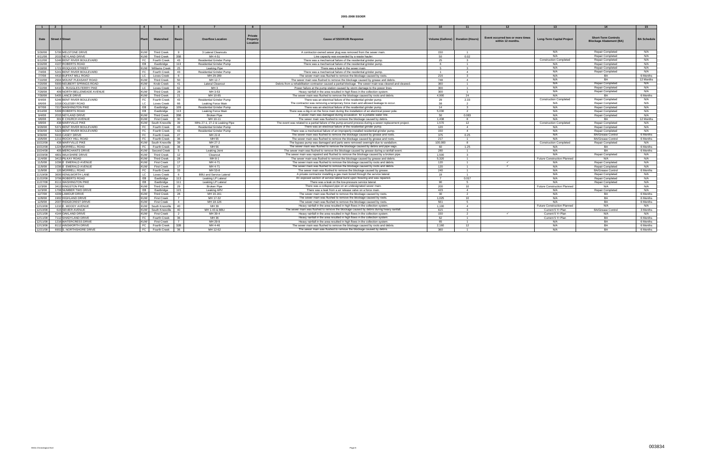|                     |                 |                                               | $\overline{4}$           |                                           | 6                    |                                                       | 8                                             |                                                                                                                                                                        |                |                                     | 12                                                   | 13                                 | 14                                                           | 15                 |
|---------------------|-----------------|-----------------------------------------------|--------------------------|-------------------------------------------|----------------------|-------------------------------------------------------|-----------------------------------------------|------------------------------------------------------------------------------------------------------------------------------------------------------------------------|----------------|-------------------------------------|------------------------------------------------------|------------------------------------|--------------------------------------------------------------|--------------------|
| <b>Date</b>         | Street # Street |                                               |                          | Watershed                                 | Basin                | <b>Overflow Location</b>                              | <b>Private</b><br><b>Property</b><br>Location | <b>Cause of SSO/KUB Response</b>                                                                                                                                       |                | Volume (Gallons)   Duration (Hours) | Event occurred two or more times<br>within 12 months | <b>Long-Term Capital Project</b>   | <b>Short-Term Controls</b><br><b>Blockage Abatement (BA)</b> | <b>BA Schedule</b> |
| 5/30/08             |                 | 5700 MELSTONE DRIVE                           | KUW I                    | <b>Third Creek</b>                        | - 9                  | 3 Lateral Cleanouts                                   |                                               | A contractor-owned sewer plug was removed from the sewer main.                                                                                                         | 150            | $\overline{1}$                      |                                                      | N/A                                | <b>Repair Completed</b>                                      | N/A                |
| 6/11/08             |                 | 2015 NEYLAND DRIVE                            | <b>KUW</b>               | <b>Third Creek</b>                        | 35B                  | MH 4-51                                               |                                               | Line capacity was exceeded by a waste hauler                                                                                                                           | 50             | 0.02                                |                                                      | N/A                                | <b>Repair Completed</b>                                      | N/A                |
| 6/12/08             |                 | 5246 BENT RIVER BOULEVARD                     |                          | FC Fourth Creek                           | 43                   | <b>Residential Grinder Pump</b>                       |                                               | There was a mechanical failure of the residential grinder pump                                                                                                         | 25             | $\mathbf{r}$                        |                                                      | <b>Construction Completed</b>      | <b>Repair Completed</b>                                      | N/A                |
| 6/16/08             |                 | 4107 ROBERTS ROAD                             | EB                       | Eastbridge                                | 113                  | <b>Residential Grinder Pump</b>                       |                                               | There was a mechanical failure of the residential grinder pump                                                                                                         |                | $\overline{1}$                      |                                                      | N/A                                | <b>Repair Completed</b>                                      | N/A                |
| 6/18/08             |                 | 1721 IROQUOIS STREET                          |                          | KUW   Williams Creek                      | 25                   | Leaking Pipe                                          |                                               | There was a leak in the sewer main                                                                                                                                     | - 5            | $\mathbf{3}$                        |                                                      | N/A                                | <b>Repair Completed</b>                                      | N/A                |
| 7/4/08              |                 | 5241 BENT RIVER BOULEVARD                     |                          | FC Fourth Creek                           | 43                   | <b>Residential Grinder Pump</b>                       |                                               | There was a mechanical failure of the residential grinder pump                                                                                                         | $\overline{1}$ | $\overline{4}$                      |                                                      | N/A                                | <b>Repair Completed</b>                                      | N/A                |
| 7/7/08              |                 | 4410 BUFFAT MILL ROAD                         | LC                       | Loves Creek                               | $\epsilon$           | MH 29-289                                             |                                               | The sewer main was flushed to remove the blockage caused by roots                                                                                                      | 216            |                                     |                                                      | N/A                                | <b>BA</b><br><b>BA</b>                                       | 6 Months           |
| 7/10/08             |                 | 2904 MOUNT PLEASANT ROAD                      | KUW                      | <b>Third Creek</b>                        | 50                   | MH 12-7                                               |                                               | The sewer main was flushed to remove the blockage caused by grease and debris                                                                                          | 748            | $\mathbf{A}$                        |                                                      | N/A                                |                                                              | 12 Months          |
| 7/20/08             |                 | 5900 NEUBERT SPRINGS ROAD                     | <b>KUW</b>               | Knob Creek                                | 41                   | Lateral Cleanout                                      |                                               | Debris from a rehabilitation contractor caused a partial blockage. The sewer main was cleared and cleaned.                                                             | 360            | $\overline{1}$<br>$\overline{1}$    |                                                      | N/A<br>N/A                         | <b>Repair Completed</b>                                      | N/A<br>N/A         |
| 7/22/08             |                 | 6410 S. RUGGLES FERRY PIKE                    | LC                       | Loves Creek                               | 62                   | MH <sub>3</sub>                                       |                                               | Power failure at the pump station caused by storm damage to the power lines                                                                                            | 300            |                                     |                                                      | N/A                                | <b>Repair Completed</b>                                      | N/A                |
| 7/28/08             |                 | 409 NORTH BELLEMEADE AVENUE                   | <b>KUW</b>               | <b>Third Creek</b>                        | - 28<br>21           | MH 3-53<br>MH 10-85                                   |                                               | Heavy rainfall in the area resulted in high flows in the collection system                                                                                             | 300<br>4.900   | $\overline{1}$<br>24                |                                                      | N/A                                | <b>Repair Completed</b><br><b>BA</b>                         | 6 Months           |
| 7/30/08<br>8/4/08   |                 | 5405 LANCE DRIVE<br>5246 BENT RIVER BOULEVARD | <b>KUW</b><br>FC         | <b>Third Creek</b>                        |                      |                                                       |                                               | The sewer main was flushed to remove the blockage caused by roots and debris                                                                                           |                | 2.33                                |                                                      | <b>Construction Completed</b>      | Repair Completed                                             | N/A                |
| 8/6/08              |                 | 1019 OGLESBY ROAD                             | LC.                      | <b>Fourth Creek</b><br>Loves Creek        | 43<br>66             | <b>Residential Grinder Pump</b><br>Leaking Force Main |                                               | There was an electrical failure of the residential grinder pump.<br>The contractor was removing a temporary force main and allowed leakage to occur.                   | 29<br>38       | $\overline{2}$                      |                                                      | N/A                                | Repair Completer                                             | N/A                |
| 8/7/08              |                 | 7217 WASHINGTON PIKE                          | EB.                      | Eastbridge                                | 109                  | Residential Grinder Pump                              |                                               | There was an electrical failure of the residential grinder pump.                                                                                                       | 14             | $\mathbf{3}$                        |                                                      | N/A                                | <b>Repair Completed</b>                                      | N/A                |
| 8/14/08             |                 | 5309 ROBERTS ROAD                             | EB                       | Eastbridge                                | 113                  | Leaking Force Main                                    |                                               | There was a dig-in on the force main during the installation of an electrical power pole.                                                                              | 5.030          | 2                                   |                                                      | N/A                                | Repair Completed                                             | N/A                |
| 9/4/08              |                 | 2015 NEYLAND DRIVE                            | <b>KUW</b>               | <b>Third Creek</b>                        | 35B                  | <b>Broken Pipe</b>                                    |                                               | A sewer main was damaged during excavation for a potable water line                                                                                                    | 50             | 0.083                               |                                                      | N/A                                | <b>Repair Completed</b>                                      | N/A                |
| 9/6/08              |                 | 301 E CHURCH AVENUE                           | <b>KUW</b>               | <b>First Creek</b>                        | 30                   | MH 10-11                                              |                                               | The sewer main was flushed to remove the blockage caused by debris.                                                                                                    | 1.438          | $\mathbf{R}$                        |                                                      | N/A                                | BA                                                           | 12 Months          |
| 9/8/08              |                 | 438 MARYVILLE PIKE                            | <b>KUW</b>               | South Knoxville                           | 39                   | MHs 27-1, 27-2 & Leaking Pipe                         |                                               | The event was related to a partial failure of the pump-around process during a sewer replacement project.                                                              | 1,570          | 12                                  |                                                      | <b>Construction Completed</b>      | <b>Repair Completed</b>                                      | N/A                |
| 9/28/08             |                 | 5371 BENT RIVER BOULEVARD                     | FC                       | Fourth Creek                              | 43                   | <b>Residential Grinder Pump</b>                       |                                               | There was an electrical failure of the residential grinder pump                                                                                                        | 120            | $\overline{4}$                      |                                                      | N/A                                | <b>Repair Completed</b>                                      | N/A                |
| 9/30/08             |                 | 5323 BENT RIVER BOULEVARD                     | FC                       | <b>Fourth Creek</b>                       | 43                   | <b>Residential Grinder Pump</b>                       |                                               | There was a mechanical failure of an improperly-installed residential grinder pump.                                                                                    | 150            | $\overline{4}$                      |                                                      | N/A                                | Repair Completed                                             | N/A                |
| 9/30/08             |                 | 5915 CASEY DRIVE                              | FC                       | <b>Fourth Creek</b>                       | 27                   | MH 22-8                                               |                                               | The sewer main was flushed to remove the blockage caused by grease and roots.                                                                                          | 375            | 0.25                                |                                                      | N/A                                | <b>BA/Grease Control</b>                                     | 6 Months           |
| 10/6/08             |                 | 1211 ROCKY HILL ROAD                          |                          | FC   Fourth Creek                         | 36                   | MH 55                                                 |                                               | The sewer main was flushed to remove the blockage caused by grease and roots.                                                                                          | 217            | $\overline{1}$                      |                                                      | N/A                                | <b>BA/Grease Control</b>                                     | 6 Months           |
| 10/22/08            |                 | 438 MARYVILLE PIKE                            |                          | KUW South Knoxville                       | 39                   | MH 27-2                                               |                                               | The bypass pump was damaged and parts were removed overnight due to vandalism.                                                                                         | 100,000        | я.                                  |                                                      | <b>Construction Completed</b>      | <b>Repair Completed</b>                                      | N/A                |
| 10/22/08            |                 | 1224 MORRELL ROAD                             | FC                       | Fourth Creek                              | -36                  | MH 56                                                 |                                               | The sewer main was flushed to remove the blockage caused by debris and pipe sags.                                                                                      | 60             | 1.25                                |                                                      | N/A                                | <b>BA</b>                                                    | 6 Months           |
| 10/24/08            |                 | <b>405 MERCHANTS DRIVE</b>                    | <b>KUW</b>               | Second Creek                              | -5.                  | Leaking Join                                          |                                               | The sewer main was flushed to remove the blockage caused by grease during a rainfall event                                                                             | 280            | $\overline{1}$                      |                                                      | N/A                                | <b>BA</b>                                                    | 6 Months           |
| 10/29/08            |                 | 4801 WILKSHIRE DRIVE                          | <b>KUW</b>               | <b>Third Creek</b>                        | 12                   | Cleanout                                              |                                               | The sewer main was repaired and flushed to remove the blockage caused by a broken pipe.                                                                                | 1.500          | $\mathbf{3}$                        |                                                      | N/A                                | Repair Completed                                             | N/A                |
| 11/4/08             |                 | 3413 PILKAY ROAD                              | <b>KUW</b>               | <b>Third Creek</b>                        | 28                   | MH 8-1                                                |                                               | The sewer main was flushed to remove the blockage caused by grease and debris                                                                                          | 5.320          | $\overline{1}$                      |                                                      | <b>Future Construction Planned</b> | N/A                                                          | N/A                |
| 11/5/08             |                 | 1036 E EMERALD AVENUE                         | <b>KUW</b>               | <b>First Creek</b>                        | 17                   | MH 4-71                                               |                                               | The sewer main was flushed to remove the blockage caused by roots and debris.                                                                                          | 120            | $-1$                                | $\checkmark$                                         | N/A                                | <b>Repair Completed</b>                                      | N/A                |
| 11/9/08             |                 | 1036 E EMERALD AVENUE                         | <b>KUW</b>               | <b>First Creek</b>                        | 17                   | MH 4-71                                               |                                               | The sewer main was flushed to remove the blockage caused by roots and debris                                                                                           | 120            | $\overline{1}$                      | $\checkmark$                                         | N/A                                | <b>Repair Completed</b>                                      | N/A                |
| 11/9/08             |                 | 120 MORRELL ROAD                              | FC                       | Fourth Creek                              | 33                   | MH 53-8                                               |                                               | The sewer main was flushed to remove the blockage caused by grease                                                                                                     | 240            | $\overline{1}$                      |                                                      | N/A                                | <b>BA/Grease Control</b>                                     | 6 Months           |
| 11/19/08            |                 | 3600 KENILWORTH LANE                          | LC                       | Loves Creek                               | 6                    | <b>BBU and Service Lateral</b>                        |                                               | A private contractor installing a gas main bored through the service lateral.                                                                                          | 19             | $-1$                                |                                                      | N/A                                | <b>Repair Completed</b>                                      | N/A                |
| 11/22/08            |                 | 3706 ROBERTS ROAD                             | EB                       | Eastbridge                                | 113                  | Leaking LP Latera                                     |                                               | An exposed section of service lateral burst upon freezing and was repaired.                                                                                            | $\overline{7}$ | 0.017                               |                                                      | N/A                                | <b>Repair Completed</b>                                      | N/A                |
| 11/27/08            |                 | 8111 WASHINGTON PIKE                          | EB                       | Eastbridge                                | 111                  | Leaking LP Latera                                     |                                               | There was a leak on the low-pressure service lateral.                                                                                                                  | 90             | -5                                  |                                                      | N/A                                | <b>Repair Completed</b>                                      | N/A                |
| 12/3/08             |                 | 3413 KINGSTON PIKE                            | <b>KUW</b>               | <b>Third Creek</b>                        | 29                   | <b>Broken Pipe</b>                                    |                                               | There was a collapsed pipe on an undesignated sewer main.                                                                                                              | 200            | 10                                  |                                                      | <b>Future Construction Planned</b> | N/A                                                          | N/A                |
| 12/3/08             |                 | 1708 NUMBER TWO DRIVE                         | EB                       | Eastbridge                                | 115                  | Leaking ARV                                           |                                               | There was a leak from a air release valve on a force main.                                                                                                             | 423            | $\overline{a}$<br>$\overline{2}$    |                                                      | N/A                                | Repair Completed                                             | N/A                |
| 12/7/08             |                 | 4209 LAMOUR DRIVE                             | <b>KUW</b>               | <b>Third Creek</b>                        | 28<br>$\overline{7}$ | MH 16-161                                             |                                               | The sewer main was flushed to remove the blockage caused by roots.                                                                                                     | 30             |                                     |                                                      | N/A                                | BA                                                           | 6 Months           |
| 12/8/08             |                 | 1902 HIGHLAND DRIVE                           | <b>KUW</b><br><b>KUW</b> | <b>First Creek</b>                        | $\overline{4}$       | MH 17-32                                              |                                               | The sewer main was flushed to remove the blockage caused by roots.                                                                                                     | 1.025<br>561   | 10 <sup>10</sup><br>-5              |                                                      | N/A<br>N/A                         | <b>BA</b><br><b>BA</b>                                       | 6 Months           |
| 12/9/08<br>12/10/08 |                 | 2007 RIDGECREST DRIVE<br>1210 E. MOODY AVENUE |                          | <b>First Creek</b><br>KUW South Knoxville | 40                   | MH 18-126<br>MH 39                                    |                                               | The sewer main was flushed to remove the blockage caused by roots.                                                                                                     | 1,100          | $\overline{4}$                      |                                                      | Future Construction Planned        | N/A                                                          | 6 Months<br>N/A    |
| 12/10/08            |                 | 615 SEVIER AVENUE                             |                          | KUW South Knoxville                       | 40                   | MH 1-43 & BBU                                         |                                               | Heavy rainfall in the area resulted in high flows in the collection system<br>The sewer main was flushed to remove the blockage caused by debris during heavy rainfall | 615            | $\mathbf{3}$                        |                                                      | Current 5 Yr Plan                  | <b>BA/Grease Control</b>                                     | 3 Months           |
| 12/11/08            |                 | 4144 OAKLAND DRIVE                            | <b>KUW</b>               | <b>First Creek</b>                        |                      | MH 39-4                                               |                                               | Heavy rainfall in the area resulted in high flows in the collection system                                                                                             | 150            | $\overline{2}$                      | $\checkmark$                                         | Current 5 Yr Plan                  | N/A                                                          | N/A                |
| 12/11/08            |                 | 7112 SHADYLAND DRIVE                          | FC                       | <b>Fourth Creek</b>                       | 36                   | MH 36                                                 |                                               | Heavy rainfall in the area resulted in high flows in the collection system                                                                                             | 62             | $\overline{1}$                      |                                                      | Current 5 Yr Plan                  | BA                                                           | 6 Months           |
| 12/11/08            |                 | 1216 WATERCRESS DRIVE                         | KUW                      | <b>First Creek</b>                        | $\overline{7}$       | MH 29-9                                               |                                               | Heavy rainfall in the area resulted in high flows in the collection system                                                                                             | 65             | $\overline{1}$                      |                                                      | N/A                                | <b>BA</b>                                                    | 6 Months           |
| 12/13/08            |                 | 8112 AINSWORTH DRIVE                          | FC                       | Fourth Creek                              | 32B                  | MH 4-46                                               |                                               | The sewer main was flushed to remove the blockage caused by roots and debris                                                                                           | 2.160          | 12                                  |                                                      | N/A                                | BA                                                           | 6 Months           |
| 12/21/08            |                 | 6902 S. NORTHSHORE DRIVE                      |                          | FC Fourth Creek                           | - 36                 | MH 12-62                                              |                                               | The sewer main was flushed to remove the blockage caused by debris.                                                                                                    | 360            | $\overline{1}$                      |                                                      | N/A                                | <b>RA</b>                                                    | 6 Months           |
|                     |                 |                                               |                          |                                           |                      |                                                       |                                               |                                                                                                                                                                        |                |                                     |                                                      |                                    |                                                              |                    |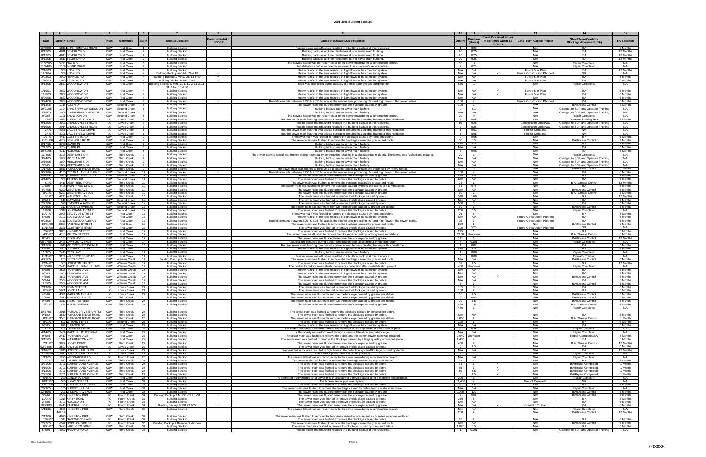|                      |                                                                            |                          |                                                      |                                                                                                         |                          |                                                                                                                                                                                                       | 10                               |                                           |                                                                                         |                                                                              |                        |
|----------------------|----------------------------------------------------------------------------|--------------------------|------------------------------------------------------|---------------------------------------------------------------------------------------------------------|--------------------------|-------------------------------------------------------------------------------------------------------------------------------------------------------------------------------------------------------|----------------------------------|-------------------------------------------|-----------------------------------------------------------------------------------------|------------------------------------------------------------------------------|------------------------|
| Date                 | <b>Street</b><br># Street                                                  | Plan                     | Watershed                                            | Basin<br><b>Backup Location</b>                                                                         | <b>Event included in</b> | <b>Cause of Backup/KUB Response</b>                                                                                                                                                                   | Volum                            | <b>Duration</b>                           | <b>Event Occurred two o</b><br>more times within 12<br><b>Long-Term Capital Project</b> | <b>Short-Term Controls</b>                                                   | <b>BA Schedule</b>     |
|                      |                                                                            |                          | $\overline{1}$                                       |                                                                                                         | <b>SSOER</b>             |                                                                                                                                                                                                       | $\overline{1}$                   | (Hours)                                   | months<br>N/A                                                                           | <b>Blockage Abatement (BA)</b>                                               |                        |
| 10/30/06<br>8/12/05  | 5315 SHANNONDALE ROAD<br>4811 BEVERLY RD                                   | KUW  <br><b>KUW</b>      | <b>First Creek</b><br><b>First Creek</b>             | <b>Building Backup</b><br>$\overline{2}$<br><b>Building Backup</b>                                      |                          | Routine sewer main flushing resulted in a building backup at this residence<br>Building backups at three residences due to sewer main flushing.                                                       | 20                               | 0.08<br>0.25                              | N/A                                                                                     | BA                                                                           | 6 Months<br>12 Months  |
| 8/12/05<br>8/12/05   | 4815 BEVERLY RD<br>4817 BEVERLY RD                                         | <b>KUW</b><br><b>KUW</b> | <b>First Creek</b><br><b>First Creek</b>             | <b>Building Backup</b><br>$\overline{2}$<br><b>Building Backup</b><br>2                                 |                          | Building backups at three residences due to sewer main flushing<br>Building backups at three residences due to sewer main flushing.                                                                   | 20<br>20                         | 0.25<br>0.25                              | N/A<br>N/A                                                                              | BA<br><b>BA</b>                                                              | 12 Months<br>12 Months |
| 11/22/05             | 5720 OAK RD                                                                | <b>KUW</b>               | <b>First Creek</b>                                   | <b>Building Backup</b><br>$\overline{\mathbf{3}}$                                                       |                          | The service lateral was not reconnected to the sewer main during a construction project.                                                                                                              | 35                               | 12                                        | N/A                                                                                     | <b>Repair Completed</b>                                                      | N/A                    |
| 11/14/06<br>2/16/03  | 5109 INSKIP ROAD<br>308 KNOX RD                                            | <b>KUW</b><br><b>KUW</b> | <b>First Creek</b><br><b>First Creek</b>             | <b>Building Backup</b><br>$\overline{4}$<br><b>Building Backup</b><br>$\overline{4}$                    |                          | Rehabilitation contractor failed to reconnect the customer's service lateral<br>Heavy rainfall in the area resulted in high flows in the collection system                                            | $\overline{2}$<br>N/A            | 0.25<br>N/A                               | N/A<br>Future 5 Yr Plan                                                                 | <b>Repair Completed</b><br><b>BA</b>                                         | N/A<br>12 Months       |
| 12/9/04<br>2/22/03   | 308 KNOX RD<br>2900 RENNOC RD                                              | <b>KUW</b><br><b>KUW</b> | <b>First Creek</b><br><b>First Creek</b>             | Building Backup and MH 79 & 18<br>$\overline{4}$<br>Building Backup & MH13-26 & 13-49<br>$\overline{4}$ |                          | Heavy rainfall in the area resulted in high flows in the collection system                                                                                                                            | N/A<br>N/A                       | N/A<br>N/A                                | <b>Future Construction Planned</b><br>$\checkmark$<br>Future 5 Yr Plan                  | N/A<br>BA                                                                    | N/A<br>6 Months        |
| 2/16/03              | 2910 RENNOC RD                                                             | <b>KUW</b>               | <b>First Creek</b>                                   | Building Backup & MH 13-49<br>$\overline{4}$                                                            |                          | Heavy rainfall in the area resulted in high flows in the collection system<br>Heavy rainfall in the area resulted in high flows in the collection system                                              | N/A                              | N/A                                       | Future 5 Yr Plan                                                                        | BA                                                                           | 6 Months               |
| 8/13/05              | 2539 WOODROW DR                                                            | KUW                      | <b>First Creek</b>                                   | 4 Building Backup & MHs 11-1, 11-2, 11-3, 11-<br>34, 14-4, 15 & 80                                      |                          | There was insufficient pump capacity at a third-party bypass pumping site                                                                                                                             | 635                              | 10                                        |                                                                                         | Repair Completed                                                             | N/A                    |
| 1/19/01<br>11/6/03   | 2837 WOODROW DR<br>2837 WOODROW DR                                         | <b>KUW</b><br>KUW        | <b>First Creek</b><br><b>First Creek</b>             | <b>Building Backup</b><br>$\overline{4}$<br>$\overline{4}$<br><b>Building Backup</b>                    |                          | Heavy rainfall in the area resulted in high flows in the collection system<br>Heavy rainfall in the area resulted in high flows in the collection system                                              | N/A<br>N/A                       | N/A<br>N/A                                | Future 5 Yr Plan<br>$\checkmark$<br>Future 5 Yr Plan                                    | RA<br>RA                                                                     | 6 Months<br>6 Months   |
| 5/20/05              | 2837 WOODROW DR                                                            | <b>KUW</b>               | <b>First Creek</b>                                   | $\overline{4}$<br><b>Building Backup</b>                                                                |                          | Heavy rainfall in the area resulted in high flows in the collection system                                                                                                                            | N/A                              | N/A                                       | N/A                                                                                     | BA                                                                           | 6 Months               |
| 9/24/06<br>8/13/05   | 2837 WOODROW DRIVE<br>1118 ALLEN DR                                        | <b>KUW</b><br><b>KUW</b> | <b>First Creek</b><br>Second Creek                   | $\overline{4}$<br><b>Building Backup</b><br><b>Building Backup</b><br>5                                 | $\checkmark$             | Rainfall amounts between 3.95" & 5.05" fell across the service area producing I & I and high flows in the sewer mains<br>The sewer main was flushed to remove the blockage caused by grease.          | 100<br>100                       | $\overline{4}$<br>$\overline{2}$          | <b>Future Construction Planned</b><br>N/A                                               | BA<br><b>BA/Grease Control</b>                                               | 6 Months<br>6 Months   |
| 10/21/05<br>3/28/05  | 1104 BRADSHAW GARDENS DR   KUW<br>1009 CUMBERLAND VIEW CR                  | <b>KUW</b>               | Second Creek<br>Second Creek                         | <b>Building Backup</b><br><b>Building Backup</b><br>- 5                                                 |                          | Building backup due to sewer main flushing.                                                                                                                                                           | $\overline{2}$<br>N/A            | 0.1<br>N/A                                | N/A<br>N/A                                                                              | Changes to SOP and Operator Training<br>Changes to SOP and Operator Training | N/A<br>N/A             |
| 9/2/05               | 1121 SNOWDON DR                                                            | KUW                      | Second Creek                                         | <b>Building Backup</b><br>5                                                                             |                          | Building backup due to sewer main flushing<br>The service lateral was not reconnected to the sewer main during a construction project                                                                 | 20                               | 24                                        | N/A                                                                                     | <b>Repair Completed</b>                                                      | N/A                    |
| 1/9/07<br>9/12/06    | 3933 BUFFAT MILL ROAD<br>2903 CROSS VALLEY ROAD                            | LC  <br>LC .             | Loves Creek<br>Loves Creek                           | <b>Building Backup</b><br>6<br><b>Building Backup</b><br>6                                              |                          | Routine sewer main flushing by a private contractor resulted in a building backup at this residence.<br>Routine sewer main flushing resulted in a building backup at this residence.                  | $\overline{\mathbf{3}}$<br>10    | 0.05<br>0.25                              | N/A<br><b>Construction Underway</b>                                                     | Operator Training / B A<br>Changes to SOP and Operator Training              | 6 Months<br>N/A        |
| 9/19/06<br>2/6/07    | 2914 CROSS VALLEY ROAD<br>4021 VALLEY VIEW DRIVE                           | LC I<br>LC               | Loves Creek<br>Loves Creek                           | <b>Building Backup</b><br>6<br><b>Building Backup</b><br>6                                              |                          | Routine sewer main flushing resulted in a building backup at this residence.<br>Routine sewer main flushing by a private contractor resulted in a building backup at this residence.                  | $\overline{2}$<br>$\overline{1}$ | 0.25<br>0.03                              | <b>Construction Underway</b><br><b>Project Complete</b>                                 | Changes to SOP and Operator Training<br>N/A                                  | N/A<br>N/A             |
| 2/6/07<br>1/27/07    | 4101 VALLEY VIEW DRIVE<br>4419 COSTER ROAD                                 | LC  <br>KUW I            | Loves Creek<br><b>First Creek</b>                    | <b>Building Backup</b><br>6<br><b>Building Backup</b><br>7                                              |                          | Routine sewer main flushing by a private contractor resulted in a building backup at this residence.                                                                                                  | $\overline{\mathbf{3}}$<br>2     | 0.05                                      | <b>Project Complete</b><br>N/A                                                          | N/A<br>B A                                                                   | N/A<br>6 Months        |
| 11/01/08             | 4707 SEMINOLE ROAD                                                         | KUW I                    | <b>First Creek</b>                                   | <b>Building Backup</b><br>7                                                                             |                          | The sewer main was flushed to remove the blockage caused by roots and debris.<br>The sewer main was flushed to remove the blockage caused by grease and roots.                                        | 50                               | 0.05<br>1.5                               | N/A                                                                                     | <b>BA/Grease Control</b>                                                     | 3 Months               |
| 2/17/05<br>2/17/05   | 3703 CLARK PL<br>3704 CLARK PI                                             | KUW I<br>KUW I           | <b>First Creek</b><br><b>First Creek</b>             | <b>Building Backup</b><br>8<br><b>Building Backup</b><br>8                                              |                          | Building backup due to sewer main flushing.<br>Building backup due to sewer main flushing                                                                                                             | N/A<br>N/A                       | N/A<br>N/A                                | N/A<br>N/A                                                                              | RA.<br>RA                                                                    | 6 Months<br>6 Months   |
| 10/31/05<br>11/4/05  | 4110 HOLLAND RD<br>3123 DEER LAKE DR                                       | KUW<br>KUW               | <b>First Creek</b><br><b>Third Creek</b>             | <b>Building Backup</b><br>8<br><b>Building Backup</b><br>9                                              |                          | Building backup due to sewer main flushing.<br>The private service lateral was broken during recent utility construction resulting in a blockage due to debris. The lateral was flushed and repaired. | 5<br>20                          | 0.08<br>$\overline{1}$                    | N/A<br>N/A                                                                              | BA<br><b>Repair Completed</b>                                                | 6 Months<br>N/A        |
| 3/24/05              | 1907 MC CLAIN RD                                                           | <b>KUW</b>               | <b>Third Creek</b>                                   | $\mathbf{Q}$<br><b>Building Backup</b>                                                                  |                          | Building backup due to sewer main flushing                                                                                                                                                            | N/A                              | N/A                                       | N/A                                                                                     | Changes to SOP and Operator Training                                         | N/A                    |
| 2/16/05<br>3/3/05    | 1904 MERCHANTS DF<br>1904 MERCHANTS DR                                     | <b>KUW</b><br><b>KUW</b> | <b>Third Creek</b><br><b>Third Creek</b>             | $\mathbf{Q}$<br><b>Building Backup</b><br>$\mathbf{Q}$<br><b>Building Backup</b>                        |                          | Building backup due to sewer main flushing<br>Building backup due to sewer main flushing                                                                                                              | N/A<br>N/A                       | N/A<br>N/A                                | N/A<br>N/A                                                                              | Changes to SOP and Operator Training<br>Changes to SOP and Operator Training | N/A<br>N/A             |
| 1/17/06<br>9/23/06   | 5811 PLEASANT RIDGE ROAD<br>4105 CENTRAL AVENUE PIKE                       | <b>KUW</b><br><b>KUW</b> | <b>Third Creek</b><br>Second Creek                   | <b>Building Backup</b><br>10                                                                            | $\checkmark$             | The sewer main was flushed to remove the blockage caused by grease and influenced by heavy rainfall                                                                                                   | 18017<br>100                     | $\overline{\mathbf{3}}$<br>$\overline{4}$ | N/A<br>N/A                                                                              | <b>BA/Grease Control</b><br>RA                                               | 1 Month<br>6 Months    |
| 6/10/05              | 3930 SUMMERCREST WAY                                                       |                          | KUW Second Creek                                     | <b>Building Backup</b><br>10<br><b>Building Backup</b>                                                  |                          | Rainfall amounts between 3.95" & 5.05" fell across the service area producing I & I and high flows in the sewer mains<br>The sewer main was flushed to remove the blockage caused by grease           | N/A                              | N/A                                       | N/A                                                                                     | <b>BA</b>                                                                    | 6 Months               |
| 4/14/05<br>8/3/07    | 308 TILLERY DR<br>4416 DEERFIELD ROAD                                      | <b>KUW</b><br><b>KUW</b> | Second Creek<br>Third Creek                          | 10<br><b>Building Backup</b><br>11<br><b>Building Backup</b>                                            |                          | The sewer main was flushed to remove the blockage caused by debris<br>The sewer main was flushed to remove the blockage caused by grease and root                                                     | N/A<br>75                        | N/A                                       | N/A<br>N/A                                                                              | BA<br>B A / Grease Control                                                   | 6 Months<br>12 Months  |
| 1/4/06<br>4/27/05    | 4408 TWIN PINES DRIVE<br>6220 WESTERN AVE                                  | <b>KUW</b><br><b>KUW</b> | Third Creek<br>Third Creek                           | 11<br><b>Building Backup</b><br>11<br><b>Building Backup</b>                                            |                          | The sewer main was flushed to remove the blockage caused by roots and debris due to vandalism<br>The sewer main was flushed to remove the blockage caused by grease                                   | 35<br>N/A                        | 0.75<br>N/A                               | N/A<br>N/A                                                                              | BA.<br><b>BA/Grease Control</b>                                              | 6 Months<br>6 Months   |
| 8/23/07              | 6220 WESTERN AVENUE                                                        | <b>KUW</b>               | Third Creek                                          | 11<br><b>Building Backup</b>                                                                            |                          | The sewer main was flushed to remove the blockage caused by grease                                                                                                                                    | 10                               | $\overline{1}$                            | N/A                                                                                     | B A / Grease Control                                                         | 3 Months               |
| 8/2/07<br>3/3/04     | 4213 WALROCK LANE<br>119 BURWELL AVE                                       | <b>KUW</b>               | Third Creek<br>KUW Second Creek                      | 12<br><b>Building Backup</b><br>15<br><b>Building Backup</b>                                            |                          | The sewer main was flushed to remove the blockage caused by roots<br>The sewer main was flushed to remove the blockage caused by roots                                                                | 540<br>N/A                       | 1.66<br>N/A                               | N/A<br>N/A                                                                              |                                                                              | 12 Months<br>6 Months  |
| 2/22/06<br>3/26/06   | 328 E MORELIA AVENU<br>317 E QUINCY AVENUE                                 |                          | KUW Second Creek<br>KUW Second Creek                 | 15<br><b>Building Backup</b><br>15<br><b>Building Backup</b>                                            |                          | The sewer main was flushed to remove the blockage caused by root:<br>The sewer main was flushed to remove the blockage caused by grease and debris                                                    | 500<br>60                        | $\mathbf{R}$<br>$\overline{1}$            | N/A<br>N/A                                                                              | RA<br><b>BA/Grease Control</b>                                               | 6 Months<br>6 Months   |
| 11/8/06<br>11/27/07  | 1317 LOUISIANA AVENUE<br>2905 BELLEVUE STREET                              | <b>KUW</b>               | KUW Second Creek<br><b>First Creek</b>               | 15<br><b>Building Backup</b><br>16<br><b>Building Backup</b>                                            |                          | The sewer main was flushed to remove the blockage caused by debris.<br>The sewer main was flushed to remove the blockage caused by roots and debris                                                   | 200<br>91                        | 1.5<br>-5                                 | N/A<br>N/A                                                                              | <b>Repair Completed</b><br>R A                                               | N/A<br>6 Months        |
| 6/6/05               | 2101 EDGEWOOD AVE                                                          | <b>KUW</b>               | First Creek                                          | 16<br><b>Building Backup</b>                                                                            |                          | Heavy rainfall in the area resulted in high flows in the collection system                                                                                                                            | N/A                              | N/A<br>$\overline{1}$                     | <b>Future Construction Planned</b>                                                      | BA<br><b>BA</b>                                                              | 6 Months               |
| 9/23/06<br>10/08/08  | 2111 EDGEWOOD AVENU<br>2800 FAIRVIEW STREET                                | <b>KUW</b><br><b>KUW</b> | <b>First Creek</b><br><b>First Creek</b>             | 16<br><b>Building Backup</b><br>16<br><b>Building Backup</b>                                            |                          | Rainfall amounts between 3.95" & 5.05" fell across the service area producing I & I and high flows in the sewer mains<br>The sewer main was flushed to remove the blockage caused by grease and roo   | 25<br>200                        | $\overline{1}$                            | <b>Future Construction Planned</b><br>N/A                                               | <b>BA/Grease Control</b>                                                     | 6 Months<br>6 Months   |
| 11/15/08<br>7/28/07  | 3321 GODFREY STREET<br>3808 KINCAID STREET                                 | <b>KUW</b><br>KUW        | <b>First Creek</b><br><b>First Creek</b>             | 16<br><b>Building Backup</b><br>16<br><b>Building Backup</b>                                            |                          | The sewer main was flushed to remove the blockage caused by roots<br>The sewer main was flushed to remove the blockage caused by debris.                                                              | 100<br>225                       | 5.25<br>$\overline{1}$                    | <b>Future Construction Planned</b><br>N/A                                               | N/A<br>B A                                                                   | N/A<br>6 Months        |
| 4/15/07<br>8/8/05    | 4105 MILTON STREET<br>1135 RIDER AVE                                       | KUW<br><b>KUW</b>        | <b>First Creek</b><br><b>First Creek</b>             | 16<br><b>Building Backup</b><br><b>Building Backup</b><br>16                                            |                          | The sewer main was flushed to remove the blockage caused by roots, grease and debris<br>The sewer main was flushed to remove the blockage caused by grease.                                           | 2150<br>141                      | Unknowr<br>$\overline{1}$                 | N/A<br>N/A                                                                              | B A / Grease Control<br><b>BA/Grease Control</b>                             | 6 Months<br>12 Months  |
| 08/07/08             | 2428 LAWSON AVENUE                                                         | <b>KUW</b>               | <b>First Creek</b>                                   | 17<br><b>Building Backup</b>                                                                            |                          | A plug failure occurred during a post-construction pipe pressure test by the contractor                                                                                                               | $\mathbf{3}$                     | 0.001                                     | N/A                                                                                     | Repair Completed                                                             | N/A                    |
| 3/12/06<br>6/6/05    | 1610 MC CROSKEY AVENUE<br>2000 WASHINGTON PK                               | <b>KUW</b><br><b>KUW</b> | <b>First Creek</b><br><b>First Creek</b>             | 17<br><b>Building Backup</b><br>17<br><b>Building Backup</b>                                            |                          | Routine sewer main flushing by a private contractor resulted in a building backup at this residence.<br>Heavy rainfall in the area resulted in high flows in the collection system.                   | $\overline{1}$<br>N/A            | 0.02<br>N/A                               | N/A<br>N/A                                                                              | BA<br>BA                                                                     | 6 Months<br>6 Months   |
| 11/3/05<br>11/15/07  | 2413 CECIL AVE<br>3254 WILDERNESS ROAD                                     | KUW<br>KUW               | <b>First Creek</b><br><b>First Creek</b>             | <b>Building Backup</b><br>18<br><b>Building Backup</b><br>18                                            |                          | Building backup due to sewer main flushing.<br>Routine sewer main flushing resulted in a building backup at this residence.                                                                           | $\overline{1}$<br>5              | 0.08<br>0.08                              | N/A<br>N/A                                                                              | Repair Completed<br><b>Operator Training</b>                                 | N/A<br>N/A             |
| 4/25/05              | 205 BENTLEY ST                                                             |                          | KUW Williams Creek   19                              | <b>Building Backup &amp; Cleanou</b>                                                                    |                          | The sewer main was flushed to remove the blockage caused by grease and roots                                                                                                                          | N/A                              | N/A                                       | N/A<br>N/A                                                                              | <b>BA/Grease Control</b>                                                     | 6 Months               |
| 12/14/07<br>01/25/08 | 503 HOUSTON STREET<br>2446 MARTIN L. KING JR. AV                           |                          | KUW Williams Creek   19<br>KUW   Williams Creek   19 | <b>Building Backup</b><br><b>Building Backup</b>                                                        |                          | The sewer main was flushed to remove the blockage caused by debris.<br>The contractor did not re-establish the service connection after a rehabilitation project                                      | 32<br>450                        | 0.5<br>Jnknown                            | N/A                                                                                     | Repair Completed                                                             | 12 Months<br>N/A       |
| 6/6/05<br>6/6/05     | 2575 PARKVIEW AVE<br>2600 PARKVIEW AVE                                     |                          | KUW Williams Creek 19<br>KUW Williams Creek 19       | <b>Building Backup</b><br><b>Building Backup</b>                                                        |                          | Heavy rainfall in the area resulted in high flows in the collection system<br>Heavy rainfall in the area resulted in high flows in the collection system                                              | N/A<br>N/A                       | N/A<br>N/A                                | N/A<br>N/A                                                                              | BA<br><b>BA</b>                                                              | 6 Months<br>6 Months   |
| 4/3/05<br>5/7/04     | 2601 PARKVIEW AVE<br>2564 WOODBINE AVI                                     |                          | KUW Williams Creek 19<br>KUW Williams Creek 19       | <b>Building Backup</b>                                                                                  |                          | The sewer main was flushed to remove the blockage caused by grease                                                                                                                                    | N/A<br>N/A                       | N/A<br>N/A                                | N/A<br>N/A                                                                              | <b>BA/Grease Control</b><br><b>BA</b>                                        | 6 Months<br>6 Months   |
| 12/5/05              | 2564 WOODBINE AVE                                                          |                          | KUW   Williams Creek                                 | <b>Building Backup</b><br>19<br><b>Building Backup</b>                                                  |                          | The sewer main was flushed to remove the blockage caused by debris<br>The sewer main was flushed to remove the blockage caused by grease                                                              | - 5                              |                                           | N/A                                                                                     | <b>BA/Grease Control</b>                                                     | 6 Months               |
| 2/13/06<br>6/30/07   | 501 FERN STREET<br>5901 LOICE LANE                                         | LC                       | Loves Creek<br>LC   Loves Creek   20                 | 20<br><b>Building Backup</b><br><b>Building Backup</b>                                                  |                          | The sewer main was flushed to remove the blockage caused by roots.<br>The sewer main was flushed to remove the blockage caused by roots                                                               | 105<br>100                       |                                           | N/A<br>N/A                                                                              | BA<br>B A                                                                    | 6 Months<br>6 Months   |
| 4/8/06<br>7/1/06     | 4331 MANSION AVENUE<br>5020 TENWOOD DRIVE                                  | LC I<br>KUW              | Loves Creek 20<br>Third Creek 21                     | <b>Building Backup</b><br><b>Building Backup</b>                                                        |                          | <u>The sewer main was flushed to remove the blockage caused by grease and debri</u><br>The sewer main was flushed to remove the blockage caused by grease and debri-                                  | 60<br>- 3                        | 0.5<br>0.08                               | N/A<br>N/A                                                                              | <b>BA/Grease Control</b><br><b>BA/Grease Control</b>                         | 6 Months<br>6 Months   |
| 9/7/06               | 3317 BISHOP STREET<br>1434 NOLAN AVENUE                                    |                          | KUW Third Creek 22                                   | <b>Building Backup</b>                                                                                  |                          | The sewer main was flushed to remove the blockage caused by grease and debris                                                                                                                         | 20                               | 0.5                                       | N/A<br>N/A                                                                              | <b>BA/Grease Control</b>                                                     | 6 Months               |
| 7/28/07              |                                                                            |                          | KUW Third Creek 22                                   | <b>Building Backup</b>                                                                                  |                          | The sewer main was flushed to remove the blockage caused by grease.                                                                                                                                   | 450<br>480                       | 1.5                                       | N/A                                                                                     | B A / Grease Control<br>Repair Completed                                     | 6 Months<br>N/A        |
| 10/27/06<br>9/1/02   | 2015 PASCAL DRIVE (6 UNITS)<br>3550 PLEASANT RIDGE ROAD KUW Third Creek 22 | <b>KUW</b>               | <b>Third Creek</b>                                   | 22<br><b>Building Backup</b><br><b>Building Backup</b>                                                  |                          | The sewer main was flushed to remove the blockage caused by construction debris.<br>The sewer main was flushed to remove the blockage caused by debris.                                               | N/A                              | N/A                                       | N/A                                                                                     | BA                                                                           | 3 Months               |
| 8/19/07<br>8/23/07   | 3550 PLEASANT RIDGE ROAD KUW Third Creek 22<br>501 W. MAIN STREET          |                          | KUW Second Creek 23                                  | <b>Building Backup</b><br><b>Building Backup</b>                                                        |                          | The sewer main was flushed to remove the blockage caused by grease and debris.<br>The sewer main was flushed to remove the blockage caused by debris.                                                 | 8.860<br>100                     | $\overline{2}$<br>$\overline{1}$          | N/A<br>N/A                                                                              | B A / Grease Control<br>B A                                                  | 1 Month<br>6 Months    |
| 6/6/05<br>5/7/07     | 621 ELEANOR ST<br>401 GEORGIA STREET                                       | <b>KUW</b>               | KUW First Creek 24<br><b>First Creek</b>             | <b>Building Backup</b><br>24<br><b>Building Backup</b>                                                  |                          | Heavy rainfall in the area resulted in high flows in the collection system.<br>The sewer main was flushed to remove the blockage caused by debris due to a broken pipe.                               | N/A<br>$\overline{2}$            | N/A<br>0.25                               | N/A<br>N/A                                                                              | BA<br>Repair Complete                                                        | 6 Months<br>N/A        |
| 4/14/05              | 2439 MARTIN LUTHER KING<br>2412 PARKVIEW AVE                               | KUW I                    | <b>First Creek</b>                                   | <b>Building Backup</b><br>24<br><b>Building Backup</b>                                                  |                          | A third-party contractor bored through a service lateral causing a blockage.                                                                                                                          | N/A                              | N/A                                       | N/A                                                                                     | Repair Completed                                                             | N/A                    |
| 9/8/05<br>9/15/05    | 1512 WASHINGTON AVE                                                        | <b>KUW</b>               | <b>First Creek</b><br>KUW First Creek                | 24<br><b>Building Backup</b><br>24                                                                      |                          | The sewer main was flushed to remove the debris and the broken sewer main was repaired.<br>The sewer main was flushed to remove the blockage caused by a large quantity of crushed stone.             | 2.040<br>1,400                   | Unknown<br>$\overline{4}$                 | N/A<br>N/A                                                                              | Repair Completed/BA<br><b>BA</b>                                             | 6 Months<br>6 Months   |
| 2/11/07<br>02/04/08  | 3807 LONAS DRIVE<br>3500 ARGYLE DRIVE                                      | KUW I<br>LC I            | <b>Third Creek</b><br>Loves Creek                    | <b>Building Backup</b><br>25<br>26<br><b>Building Backup</b>                                            |                          | The sewer main was flushed to remove the blockage caused by grease.<br>The sewer main was flushed to remove the blockage caused by roots.                                                             | 400<br>$\overline{2}$            | $\overline{2}$<br>0.5                     | N/A<br>N/A                                                                              | B A / Grease Control<br>BA.                                                  | 12 Months<br>6 Months  |
| 3/18/02              | 5816 HOLSTON HILLS RD                                                      | LC I                     | Loves Creek                                          | <b>Building Backup</b><br>26                                                                            |                          | Heavy rainfall in the area resulted in high flows in the collection system/Blockage caused by debris.<br>There was a power failure at a pump station.                                                 | N/A                              | N/A<br>$\overline{1}$                     | N/A<br>N/A                                                                              | BA.                                                                          | 12 Months<br>N/A       |
| 12/10/08<br>1/13/05  | 5816 HOLSTON HILLS ROAD<br>1225 WEISGARBER RD                              | LC  <br>FC               | Loves Creek<br>Fourth Creek                          | <b>Building Backup</b><br>26<br><b>Building Backup</b><br>27                                            |                          | The service lateral was not reconnected to the sewer main during a construction project                                                                                                               | 50<br>N/A                        | N/A                                       | N/A                                                                                     | <b>Repair Completed</b><br>Repair Completed                                  | N/A                    |
| 1/2/07<br>3/31/06    | 1919 LAUREL AVENUE<br>2701 SUTHERLAND AVENUE                               | KUW<br>KUW I             | <b>Third Creek</b><br><b>Third Creek</b>             | 29<br><b>Building Backup</b><br>29<br><b>Building Backup</b>                                            |                          | The sewer main was flushed to remove the blockage caused by rags and debris.<br>The sewer main was flushed to remove the blockage caused by debris.                                                   | 15<br>61                         | $\overline{1}$<br>$\mathbf{1}$            | N/A<br>N/A                                                                              | B A<br>BA/Repair Completed                                                   | 6 Months<br>1 Month    |
| 4/10/06<br>4/13/06   | 2701 SUTHERLAND AVENUE<br>2701 SUTHERLAND AVENUE                           | KUW<br><b>KUW</b>        | <b>Third Creek</b><br><b>Third Creek</b>             | 29<br><b>Building Backup</b><br><b>Building Backup</b><br>29                                            |                          | The sewer main was flushed to remove the blockage caused by debris.<br>The sewer main was flushed to remove the blockage caused by debris.                                                            | 65<br>10                         | $\overline{1}$<br>0.5                     | ✓<br>N/A<br>✓<br>N/A                                                                    | <b>BA/Repair Completed</b><br>BA/Repair Completed                            | 1 Month<br>1 Month     |
| 7/25/06<br>5/15/07   | 2701 SUTHERLAND AVENUE<br>220 CLINCH AVENUE                                | <b>KUW</b><br>KUW I      | <b>Third Creek</b><br><b>First Creek</b>             | <b>Building Backup</b><br>29<br><b>Building Backup</b><br>30                                            |                          | The sewer main was flushed to remove the blockage caused by debris.<br>A contractor inadvertantly left a sewer plug in a customer's service lateral after a manhole rehabilitation.                   | 300                              | 0.5<br>$\overline{\mathbf{3}}$            | N/A<br>N/A                                                                              | BA/Repair Completed<br>Repair Complete                                       | 1 Month<br>N/A         |
| 10/12/07             | 530 S. GAY STREET                                                          | KUW I                    | <b>First Creek</b>                                   | 30<br><b>Building Backup</b>                                                                            |                          | The broken sewer pipe was repaired.                                                                                                                                                                   | 24.480                           | $\overline{4}$                            | Project Complete                                                                        | N/A                                                                          | N/A                    |
| 12/22/08<br>2/23/05  | 105 SOUTH GAY STREET<br>100 SUMMIT HILL DR                                 | KUW I                    | KUW First Creek<br><b>First Creek</b>                | 30<br><b>Building Backup</b><br>30<br><b>Building Backup</b>                                            |                          | The sewer main was flushed to remove the blockage caused by debris.<br>The sewer main was flushed to remove the blockage caused by debris from a water main break                                     | 10<br>N/A                        | 0.5<br>N/A                                | N/A<br>N/A                                                                              | BA<br>Repair Completed                                                       | 6 Months<br>N/A        |
| 12/15/06<br>3/7/06   | 203 W DEPOT AVENUE<br>6504 KINGSTON PIKE                                   | <b>KUW</b><br>FC I       | <b>First Creek</b><br>Fourth Creek                   | 30<br><b>Building Backup</b><br>Building Backup & MHS 1-35 & 1-31<br>33                                 |                          | The sewer main was flushed to remove the blockage caused by grease.<br>The sewer main was flushed to remove the blockage caused by grease.                                                            | 1000<br>$\overline{\mathbf{3}}$  | 120<br>0.08                               | N/A<br>N/A                                                                              | <b>BA/Grease Control</b><br><b>BA/Grease Control</b>                         | 6 Months<br>6 Months   |
| 11/26/07<br>2/4/05   | 1316 KIRBY ROAD<br>4703 NOCONA DR                                          | FC I<br>FC I             | Fourth Creek<br>Fourth Creek                         | <b>Building Backup</b><br>33<br>33<br><b>Building Backup</b>                                            |                          | The sewer main was flushed to remove the blockage caused by roots.<br>The sewer main was flushed to remove the blockage caused by roots.                                                              | 250<br>N/A                       | 5<br>N/A                                  | N/A<br>N/A                                                                              | B A<br>BA                                                                    | 3 Months<br>6 Months   |
| 10/29/03             | 6410 PAPERMILL DR<br>4509 KINGSTON PIKE                                    | FC                       | Fourth Creek<br>KUW Third Creek                      | Building Backup & MH 23 & 24<br>33<br><b>Building Backup</b><br>34                                      | $\checkmark$             | The sewer main was flushed to remove the blockage caused by grease.                                                                                                                                   | N/A<br>N/A                       | N/A<br>N/A                                | Current 5 Yr Plan<br>$\checkmark$<br>N/A                                                | BA                                                                           | 6 Months<br>N/A        |
| 1/13/05              | 4620 &                                                                     |                          |                                                      |                                                                                                         |                          | The service lateral was not reconnected to the sewer main during a construction project                                                                                                               | 200                              | $\overline{2}$                            | N/A                                                                                     | Repair Completed<br><b>BA/Grease Control</b>                                 | 12 Months              |
| 7/13/06<br>1/28/07   | 4626 KINGSTON PIKE<br>1313 GATEWOOD LANE                                   | <b>KUW</b><br>FC I       | <b>Third Creek</b><br>Fourth Creek 36                | 34<br><b>Building Backup</b><br><b>Building Backup</b>                                                  |                          | The sewer main was flushed to remove the blockage caused by grease and a collapsed pipe was replaced<br>The sewer main was flushed to remove the blockage caused by debris.                           | 10                               |                                           | N/A                                                                                     | B A                                                                          | 3 Months               |
| 2/22/05<br>8/29/07   | 6522 NORTHSHORE DR<br>3428 LAKE VIEW DRIVE                                 |                          | KUW Third Creek 38                                   | FC   Fourth Creek   37   Building Backup & Basement Window<br>Building Backup                           |                          | The sewer main was flushed to remove the blockage caused by grease and roots<br>The sewer main was flushed to remove the blockage caused by roots and debris                                          | N/A<br>1.870                     | N/A<br>1.5                                | N/A<br>N/A                                                                              | <b>BA/Grease Control</b><br>B A                                              | 6 Months<br>6 Months   |
|                      | 6/8/06 1022 NAVAHO ROAD                                                    |                          | KUW Third Creek 38                                   | <b>Building Backup</b>                                                                                  |                          | Routine sewer main flushing resulted in a building backup at this residence.                                                                                                                          | $\sim$ 1                         | 0.001                                     | N/A                                                                                     | Changes to SOP and Operator Training                                         | N/A                    |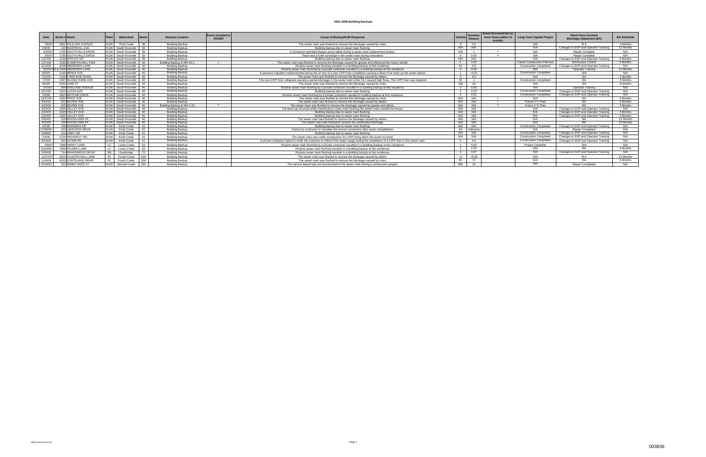| Date     | Street # Street                |            | Watershed          | Basin      | <b>Backup Location</b>    | Event included<br><b>SSOER</b> | <b>Cause of Backup/KUB Response</b>                                                                                                      | Volum          | <b>Duration</b><br>(Hours) | <b>Event Occurred two or</b><br>more times within 12<br>months | <b>Long-Term Capital Project</b> | <b>Short-Term Controls</b><br><b>Blockage Abatement (BA)</b> | <b>BA Schedule</b> |
|----------|--------------------------------|------------|--------------------|------------|---------------------------|--------------------------------|------------------------------------------------------------------------------------------------------------------------------------------|----------------|----------------------------|----------------------------------------------------------------|----------------------------------|--------------------------------------------------------------|--------------------|
| 3/6/07   | 3831 TALILUNA AVENUE           | KUW        | <b>Third Creek</b> | 38         | <b>Building Backup</b>    |                                | The sewer main was flushed to remove the blockage caused by roots.                                                                       |                | 0.5                        |                                                                | N/A                              |                                                              | 3 Months           |
| 4/8/05   | 143 INGERSOLL AVE              | KUW        | South Knoxville 39 |            | <b>Building Backup</b>    |                                | Building backup due to sewer main flushing.                                                                                              | N/A            | N/A                        |                                                                | N/A                              | Changes to SOP and Operator Training                         | 12 Months          |
| 5/29/07  | 1705 SOUTH HILLS DRIVE         | KUW        | South Knoxville    | 39         | <b>Building Backup</b>    |                                | A contractor-operated bypass pump failed during a sewer main replacement project                                                         | 244            | $\overline{1}$             | $\checkmark$                                                   | N/A                              | Repair Complete                                              | N/A                |
| 6/5/07   | 1705 SOUTH HILLS DRIVE         |            | South Knoxville    | 39         | Building Backup           |                                | There was a brief surcharge in the sewer main during restoration.                                                                        |                | 0.05                       | $\overline{\phantom{a}}$                                       | N/A                              | <b>Repair Complete</b>                                       | N/A                |
| 1/27/05  | 1109 SPRUCE DR                 |            | South Knoxville 39 |            | <b>Building Backup</b>    |                                | Building backup due to sewer main flushing.                                                                                              | N/A            | N/A                        |                                                                | N/A                              | Changes to SOP and Operator Training                         | 6 Months           |
| 1/17/06  | 4132 W MARTIN MILL PIKE        |            | South Knoxville 39 |            | Building Backup & MH 62-1 | $\overline{\phantom{a}}$       | The sewer main was flushed to remove the blockage caused by grease and influenced by heavy rainfall.                                     |                | 0.05                       |                                                                | Future Construction Planned      | <b>BA/Grease Control</b>                                     | 6 Months           |
| 4/12/06  | 2408 ABERDEEN LANE             | <b>KUW</b> | South Knoxville 40 |            | <b>Building Backup</b>    |                                | Routine sewer main flushing resulted in a building backup at this residence.                                                             | $10^{-1}$      | 0.5                        |                                                                | <b>Construction Completed</b>    | Changes to SOP and Operator Training                         | N/A                |
|          | 5/22/0704 & 2408 ABERDEEN LANE | <b>KUW</b> | South Knoxville 40 |            | <b>Building Backup</b>    |                                | Routine sewer main flushing by a private contractor resulted in a building backup at this residence.                                     | $\overline{4}$ | 0.05                       |                                                                |                                  | <b>Operator Training</b>                                     | 12 Months          |
| 8/3/05   | 2135 BEREA AVE                 |            | South Knoxville    | 40         | <b>Building Backup</b>    |                                | A pressure regulator malfunctioned during the air test of a new CIPP liner installation causing a blast of air back up the sewer lateral |                | < 0.01                     |                                                                | <b>Construction Completed</b>    | N/A                                                          | N/A                |
| 7/22/06  | 1115 F RED BUD ROAD            | KUW        | South Knoxville    | 40         | <b>Building Backup</b>    |                                | The sewer main was flushed to remove the blockage caused by debris.                                                                      |                | 0.5                        |                                                                | N/A                              | <b>RA</b>                                                    | 6 Months           |
| 7/7/05   | 1907 ISLAND HOME AVE           | KUW        | South Knoxville    | 40         | <b>Building Backup</b>    |                                | The new CIPP liner collapsed causing a partial blockage in the sewer main while I & I caused high flows. The CIPP liner was repaired.    | 60             | $\overline{1}$             |                                                                | <b>Construction Completed</b>    | <b>BA</b>                                                    | 3 Months           |
| 9/5/05   | 3433 JUNE ST                   | KUW        | South Knoxville 40 |            | <b>Building Backup</b>    |                                | The sewer main was flushed to remove the blockage caused by roots.                                                                       | 100            | 48                         |                                                                | N/A                              | RA                                                           | 6 Months           |
| 5/16/07  | 909 KINGLAND AVENUE            | KUW        | South Knoxville    | 40         | Building Backup           |                                | Routine sewer main flushing by a private contractor resulted in a building backup at this residence.                                     |                | 0.05                       |                                                                | N/A                              | Operator Training                                            | N/A                |
| 8/17/05  | 2314 LLOYD AVE                 | KUW        | South Knoxville    | $140 -$    | <b>Building Backup</b>    |                                | Building backup due to sewer main flushing.                                                                                              |                | 0.03                       |                                                                | <b>Construction Completed</b>    | Changes to SOP and Operator Training                         | N/A                |
| 1/3/06   | 2810 MAYFAIR DRIVE             | KUW        | South Knoxville 40 |            | <b>Building Backup</b>    |                                | Routine sewer main flushing by a private contractor resulted in building backup at this residence                                        |                | 0.01                       |                                                                | <b>Construction Completed</b>    | Changes to SOP and Operator Training                         | N/A                |
| 12/27/04 | 1822 PRICE AVE                 | KUW        | South Knoxville 40 |            | <b>Building Backup</b>    |                                | The sewer main was flushed to remove the blockage caused by roots                                                                        | N/A            | N/A                        | $\checkmark$                                                   | N/A                              | BA                                                           | 6 Months           |
| 4/14/01  | 615 SEVIER AVE                 | KUW        | South Knoxville    | $\vert$ 40 | <b>Building Backup</b>    |                                | The sewer main was flushed to remove the blockage caused by debris.                                                                      | N/A            | N/A                        | $\checkmark$                                                   | Future 5 Yr Plan                 | BA                                                           | 3 Months           |
| 3/19/02  | 615 SEVIER AVE                 | KUW        | South Knoxville    | 40         | Building Backup & MH 1-43 |                                | The sewer main was flushed to remove the blockage caused by grease and debris.                                                           | N/A            | N/A                        |                                                                | Future 5 Yr Plan                 | RΔ                                                           | 3 Months           |
| 3/22/04  | 1024 VALLEY AVE                | KUM        | South Knoxville    | 40         | <b>Building Backup</b>    |                                | The back-up occurred while maintenance crews were flushing the sewer main outside the house.                                             | N/A            | N/A                        |                                                                | N/A                              | Changes to SOP and Operator Training                         | N/A                |
| 2/22/05  | 1024 VALLEY AVE                |            | South Knoxville    | 40         | <b>Building Backup</b>    |                                | Building backup due to sewer main flushing.                                                                                              | N/A            | N/A                        |                                                                | N/A                              | Changes to SOP and Operator Training                         | 3 Months           |
| 2/22/05  | 1025 VALLEY AVE                |            | South Knoxville    | 40         | <b>Building Backup</b>    |                                | Building backup due to sewer main flushing.                                                                                              | N/A            | N/A                        |                                                                | N/A                              | Changes to SOP and Operator Training                         | 3 Months           |
| 9/30/02  | 418 WOODLAWN PK                | KIM        | South Knoxville    | 40         | <b>Building Backup</b>    |                                | The sewer main was flushed to remove the blockage caused by debris.                                                                      | N/A            | N/A                        |                                                                | N/A                              |                                                              | 12 Months          |
| 4/15/05  | 418 WOODLAWN PK                | KIIW       | South Knoxville    | 40         | <b>Building Backup</b>    |                                | The sewer main was flushed to remove the unidentified blockage.                                                                          | N/A            | N/A                        |                                                                | N/A                              |                                                              | 12 Months          |
| 4/4/05   | 708 FDWARDS DR                 | KIIW       | Knob Creek         | 41         | <b>Building Backup</b>    |                                | Building backup due to sewer main flushing.                                                                                              | N/A            | N/A                        |                                                                | <b>Construction Completed</b>    | Changes to SOP and Operator Training                         | N/A                |
| 07/08/08 | 102 LAKEVIEW DRIVE             | KUW        | Knob Creek         | 41         | <b>Building Backup</b>    |                                | Failure by contractor to reinstate the service connection after sewer rehabilitation.                                                    | 94             | Unknown                    |                                                                | N/A                              | Repair Completed                                             | N/A                |
| 2/28/05  | 114 LINDY DR                   | KUW        | Knob Creek         | 41         | <b>Building Backup</b>    |                                | Building backup due to sewer main flushing.                                                                                              | N/A            | N/A                        |                                                                | <b>Construction Completed</b>    | Changes to SOP and Operator Training                         | N/A                |
| 3/3/05   | 4725 PROSPECT RD               | KUW        | Knob Creek         | 41         | <b>Building Backup</b>    |                                | The sewer main was under construction for CIPP lining when the event occurred.                                                           | N/A            | N/A                        |                                                                | <b>Construction Completed</b>    | Changes to SOP and Operator Training                         | N/A                |
| 9/13/05  | 312 STONE RD                   | KUW        | Knob Creek         | 41         | <b>Building Backup</b>    |                                | A private contractor failed to notify the customer to refrain from water usage during the installation of a CIPP liner in the sewer main |                | 0.5                        |                                                                | <b>Construction Completed</b>    | Changes to SOP and Operator Training                         | N/A                |
| 5/8/07   | 7309 HARDY LANE                |            | Loves Creek        | 63         | <b>Building Backup</b>    |                                | Routine sewer main flushing by a private contractor resulted in a building backup at this residence.                                     |                | 0.05                       |                                                                | Project Complete                 | N/A                                                          | N/A                |
| 10/26/06 | 7556 PALMER LANE               |            | Loves Creek        | 63         | <b>Building Backup</b>    |                                | Routine sewer main flushing resulted in a building backup at this residence.                                                             |                | 0.02                       |                                                                | N/A                              | <b>RA</b>                                                    | 6 Months           |
| 5/30/06  | 714 DRAKEWOOD DRIVE            |            | Eastbridge         | 72         | <b>Building Backup</b>    |                                | Routine sewer main flushing resulted in a building backup at this residence.                                                             |                | 0.07                       |                                                                | N/A                              | Changes to SOP and Operator Training                         | N/A                |
| 12/27/07 | 2013 COUNTRYHILL LANE          | EC.        | Fourth Creek       | 32A        | <b>Building Backup</b>    |                                | The sewer main was flushed to remove the blockage caused by debris                                                                       | $\leq 1$       | < 0.05                     |                                                                | N/A                              | R A                                                          | 12 Months          |
| 11/6/06  | 8323 CORTELAND DRIVE           | FC.        | Fourth Creek       | 32B        | <b>Building Backup</b>    |                                | The sewer main was flushed to remove the blockage caused by roots.                                                                       | 80             | 72                         |                                                                | N/A                              | RΔ.                                                          | 6 Months           |
| 10/19/05 | 315 JAMES AGEE ST              | <b>KUW</b> | Second Creek 35A   |            | <b>Building Backup</b>    |                                | The service lateral was not reconnected to the sewer main during a construction project.                                                 | 800            | 24                         |                                                                | N/A                              | Repair Completed                                             | N/A                |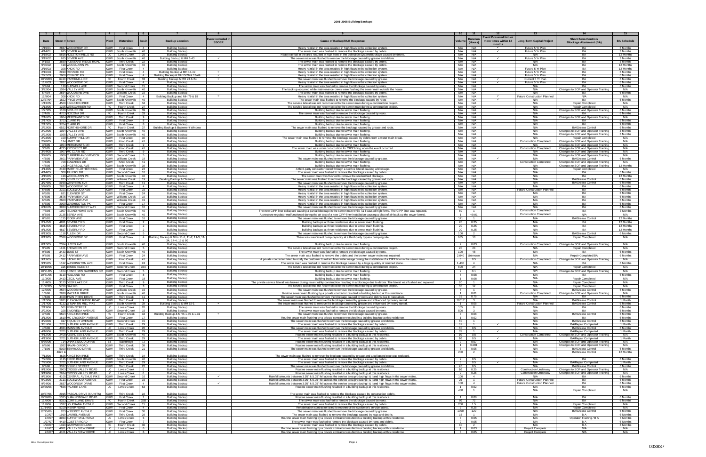|                     |               |                                                  | $\overline{4}$                 |                                           |                                                 |                                                                    |                          |                                                                                                                                                                                                                                                  | 10                                        | 11                                                               |                                                              |                                                                              |                        |
|---------------------|---------------|--------------------------------------------------|--------------------------------|-------------------------------------------|-------------------------------------------------|--------------------------------------------------------------------|--------------------------|--------------------------------------------------------------------------------------------------------------------------------------------------------------------------------------------------------------------------------------------------|-------------------------------------------|------------------------------------------------------------------|--------------------------------------------------------------|------------------------------------------------------------------------------|------------------------|
| Date                | <b>Street</b> | Street                                           | Plan                           | Watershed                                 | Basin                                           | <b>Backup Location</b>                                             | <b>Event included in</b> | <b>Cause of Backup/KUB Response</b>                                                                                                                                                                                                              | Volum                                     | Event Occurred two of<br><b>Duration</b><br>more times within 12 | <b>Long-Term Capital Project</b>                             | <b>Short-Term Controls</b>                                                   | <b>BA Schedule</b>     |
|                     |               |                                                  |                                |                                           |                                                 |                                                                    | <b>SSOER</b>             |                                                                                                                                                                                                                                                  |                                           | (Hours)<br>months                                                |                                                              | <b>Blockage Abatement (BA)</b>                                               |                        |
| 1/19/01             |               | 2837 WOODROW DF                                  | <b>KUW</b>                     | <b>First Creek</b>                        | 4                                               | <b>Building Backup</b>                                             |                          | Heavy rainfall in the area resulted in high flows in the collection systen                                                                                                                                                                       | N/A                                       | N/A                                                              | Future 5 Yr Plan                                             |                                                                              | 6 Months               |
| 4/14/01<br>3/18/02  |               | 615 SEVIER AVE<br>5816 HOLSTON HILLS RD          | <b>KUW</b><br>LC               | South Knoxville<br>Loves Creek            | 40<br>26                                        | <b>Building Backup</b><br><b>Building Backup</b>                   |                          | The sewer main was flushed to remove the blockage caused by debris<br>Heavy rainfall in the area resulted in high flows in the collection system/Blockage caused by debris                                                                       | N/A<br>N/A                                | N/A<br>N/A                                                       | Future 5 Yr Plan<br>N/A                                      | <b>BA</b><br><b>BA</b>                                                       | 3 Months<br>12 Months  |
| 3/19/02             |               | 615 SEVIER AVE                                   |                                | KUW South Knoxville                       | 40                                              | 3uilding Backup & MH 1-43                                          |                          | The sewer main was flushed to remove the blockage caused by grease and debris                                                                                                                                                                    | N/A                                       | N/A                                                              | Future 5 Yr Plan                                             | BA                                                                           | 3 Months               |
| 9/1/02<br>9/30/02   |               | 3550 PLEASANT RIDGE ROAD<br>418 WOODLAWN PK      |                                | KUW Third Creek<br>KUW   South Knoxville  | 22<br>40                                        | <b>Building Backup</b><br><b>Building Backup</b>                   |                          | The sewer main was flushed to remove the blockage caused by debris<br>The sewer main was flushed to remove the blockage caused by debris.                                                                                                        | N/A<br>N/A I                              | N/A<br>N/A                                                       | N/A<br>N/A                                                   | BA<br><b>BA</b>                                                              | 3 Months<br>12 Months  |
| 2/16/03             |               | 308 KNOX RD                                      | KUW I                          | <b>First Creek</b>                        | $\overline{4}$                                  | <b>Building Backup</b>                                             |                          | Heavy rainfall in the area resulted in high flows in the collection system.                                                                                                                                                                      | N/A                                       | N/A                                                              | Future 5 Yr Plan                                             | <b>BA</b>                                                                    | 12 Months              |
| 2/16/03<br>2/22/03  |               | 2910 RENNOC RD<br>2900 RENNOC RD                 | KUW<br>KUW                     | <b>First Creek</b><br><b>First Creek</b>  | $\overline{4}$<br>$\overline{4}$                | Building Backup & MH 13-49<br>Building Backup & MH13-26 & 13-49    |                          | Heavy rainfall in the area resulted in high flows in the collection system.<br>Heavy rainfall in the area resulted in high flows in the collection system.                                                                                       | N/A<br>N/A                                | N/A<br>N/A                                                       | Future 5 Yr Plan<br>Future 5 Yr Plan                         | <b>BA</b><br><b>BA</b>                                                       | 6 Months<br>6 Months   |
| 10/29/03            |               | 6410 PAPERMILL DF                                | FC                             | Fourth Creek                              | 33                                              | Building Backup & MH 23 & 24                                       |                          | The sewer main was flushed to remove the blockage caused by grease                                                                                                                                                                               | N/A                                       | N/A<br>$\checkmark$                                              | Current 5 Yr Plan                                            | <b>BA</b>                                                                    | 6 Months               |
| 11/6/03             |               | 2837 WOODROW DF                                  | KUW I                          | <b>First Creek</b>                        | $\overline{4}$                                  | <b>Building Backup</b>                                             |                          | Heavy rainfall in the area resulted in high flows in the collection system                                                                                                                                                                       | N/A                                       | N/A<br>$\checkmark$                                              | Future 5 Yr Plan<br>N/A                                      | <b>BA</b><br>BA                                                              | 6 Months               |
| 3/3/04<br>3/22/04   |               | 119 BURWELL AVI<br>1024 VALLEY AVE               | KUW                            | Second Creek<br>KUW South Knoxville       | 15<br>40                                        | <b>Building Backup</b><br><b>Building Backup</b>                   |                          | The sewer main was flushed to remove the blockage caused by roots<br>The back-up occurred while maintenance crews were flushing the sewer main outside the house                                                                                 | N/A<br>N/A                                | N/A<br>N/A                                                       | N/A                                                          | Changes to SOP and Operator Training                                         | 6 Months<br>N/A        |
| 5/7/04              |               | 2564 WOODBINE AV                                 |                                | KUW Williams Creek                        | 19                                              | <b>Building Backup</b>                                             |                          | The sewer main was flushed to remove the blockage caused by debris                                                                                                                                                                               | N/A                                       | N/A                                                              | N/A                                                          | <b>BA</b>                                                                    | 6 Months               |
| 12/9/04<br>12/27/04 |               | 308 KNOX RD<br>1822 PRICE AV                     | <b>KUW</b>                     | <b>First Creek</b><br>KUW South Knoxville | $\overline{4}$<br>40                            | Building Backup and MH 79 & 18<br><b>Building Backup</b>           |                          | Heavy rainfall in the area resulted in high flows in the collection syster<br>The sewer main was flushed to remove the blockage caused by roots                                                                                                  | N/A<br>N/A                                | N/A<br>N/A<br>$\checkmark$                                       | <b>Future Construction Planned</b><br>N/A                    | N/A<br>BA                                                                    | N/A<br>6 Months        |
| 1/13/05             |               | 4509 KINGSTON PIKI                               |                                | KUW Third Creek                           | 34                                              | <b>Building Backup</b>                                             |                          | The service lateral was not reconnected to the sewer main during a construction projec                                                                                                                                                           | N/A                                       | N/A                                                              | N/A                                                          | <b>Repair Completed</b>                                                      | N/A                    |
| 1/13/05<br>1/27/05  |               | 1225 WEISGARBER RD<br>1109 SPRUCE DR             | FC                             | Fourth Creek<br>KUW South Knoxville       | 27<br>39                                        | <b>Building Backup</b><br><b>Building Backup</b>                   |                          | The service lateral was not reconnected to the sewer main during a construction project<br>Building backup due to sewer main flushing                                                                                                            | N/A<br>N/A                                | N/A<br>N/A                                                       | N/A<br>N/A                                                   | <b>Repair Completed</b><br>Changes to SOP and Operator Training              | N/A<br>6 Months        |
| 2/4/05              |               | 4703 NOCONA DR                                   |                                | FC Fourth Creek                           | 33                                              | <b>Building Backup</b>                                             |                          | The sewer main was flushed to remove the blockage caused by roots                                                                                                                                                                                | N/A                                       | N/A                                                              | N/A                                                          | <b>BA</b>                                                                    | 6 Months               |
| 2/16/05<br>2/17/05  |               | 1904 MERCHANTS DF<br>3703 CLARK P                | KUW  <br><b>KUW</b>            | <b>Third Creek</b><br>First Creek         | -9<br>-8                                        | <b>Building Backup</b><br><b>Building Backup</b>                   |                          | Building backup due to sewer main flushing<br>Building backup due to sewer main flushin                                                                                                                                                          | N/A<br>N/A                                | N/A<br>N/A                                                       | N/A<br>N/A                                                   | Changes to SOP and Operator Training<br>RA                                   | N/A<br>6 Months        |
| 2/17/05             |               | 3704 CLARK P                                     | <b>KUW</b>                     | <b>First Creek</b>                        | -8                                              | <b>Building Backup</b>                                             |                          | Building backup due to sewer main flushing                                                                                                                                                                                                       | N/A                                       | N/A                                                              | N/A                                                          | RA                                                                           | 6 Months               |
| 2/22/05             |               | 6522 NORTHSHORE DF                               | FC                             | Fourth Creek<br>KUW South Knoxville       | 37<br>40                                        | Building Backup & Basement Window                                  |                          | The sewer main was flushed to remove the blockage caused by grease and roots                                                                                                                                                                     | N/A<br>N/A                                | N/A<br>N/A                                                       | N/A<br>N/A                                                   | <b>BA/Grease Control</b>                                                     | 6 Months               |
| 2/22/05<br>2/22/05  |               | 1024 VALLEY AVI<br>1025 VALLEY AVE               |                                | KUW South Knoxville                       | 40                                              | <b>Building Backup</b><br><b>Building Backup</b>                   |                          | Building backup due to sewer main flushin<br>Building backup due to sewer main flushing                                                                                                                                                          | N/A                                       | N/A                                                              | N/A                                                          | Changes to SOP and Operator Training<br>Changes to SOP and Operator Training | 3 Months<br>3 Month:   |
| 2/23/05             |               | 100 SUMMIT HILL DF                               | <b>KUW</b>                     | First Creek                               | 30                                              | <b>Building Backup</b>                                             |                          | The sewer main was flushed to remove the blockage caused by debris from a water main break                                                                                                                                                       | N/A I                                     | N/A                                                              | N/A                                                          | <b>Repair Completed</b>                                                      | N/A                    |
| 2/28/05<br>3/3/05   |               | 114 LINDY DR<br>1904 MERCHANTS DI                | KUW  <br>KUW I                 | Knob Creek<br>Third Creek                 | 41<br>9                                         | <b>Building Backup</b><br><b>Building Backup</b>                   |                          | Building backup due to sewer main flushin<br>Building backup due to sewer main flushing                                                                                                                                                          | N/A<br>N/A                                | N/A<br>N/A                                                       | <b>Construction Completed</b><br>N/A                         | Changes to SOP and Operator Training<br>Changes to SOP and Operator Training | N/A<br>N/A             |
| 3/3/05              |               | 4725 PROSPECT RD                                 | KUW <sup>1</sup>               | Knob Creek                                | 41                                              | <b>Building Backup</b>                                             |                          | The sewer main was under construction for CIPP lining when the event occurred                                                                                                                                                                    | N/A                                       | N/A                                                              | <b>Construction Completed</b>                                | Changes to SOP and Operator Training                                         | N/A                    |
| 3/24/05<br>3/28/05  |               | 1907 MC CLAIN RD<br>1009 CUMBERLAND VIEW CR      | KUW <sup>1</sup><br><b>KUW</b> | Third Creek<br>Second Creek               | -9                                              | <b>Building Backup</b><br><b>Building Backup</b>                   |                          | Building backup due to sewer main flushing<br>Building backup due to sewer main flushing                                                                                                                                                         | N/A<br>N/A                                | N/A<br>N/A                                                       | N/A<br>N/A                                                   | Changes to SOP and Operator Training<br>Changes to SOP and Operator Training | N/A<br>N/A             |
| 4/3/05              |               | 2601 PARKVIEW AVE                                |                                | KUW Williams Creek                        | 19                                              | <b>Building Backup</b>                                             |                          | The sewer main was flushed to remove the blockage caused by grease                                                                                                                                                                               | N/A                                       | N/A<br>$\checkmark$                                              | N/A                                                          | <b>BA/Grease Control</b>                                                     | 6 Months               |
| 4/4/05<br>4/8/05    |               | 708 EDWARDS DR<br>143 INGERSOLL AVE              | <b>KUW</b><br><b>KUW</b>       | Knob Creek<br>South Knoxville             | 41<br>39                                        | <b>Building Backup</b><br><b>Building Backup</b>                   |                          | Building backup due to sewer main flushing                                                                                                                                                                                                       | N/A<br>N/A                                | N/A<br>N/A                                                       | <b>Construction Completed</b><br>N/A                         | Changes to SOP and Operator Training<br>Changes to SOP and Operator Training | N/A<br>12 Months       |
| 4/14/05             |               | 2439 MARTIN LUTHER KING                          | <b>KUW</b>                     | First Creek                               | 24                                              | <b>Building Backup</b>                                             |                          | Building backup due to sewer main flushing<br>A third-party contractor bored through a service lateral causing a blockage                                                                                                                        | N/A                                       | N/A                                                              | N/A                                                          | <b>Repair Completed</b>                                                      | N/A                    |
| 4/14/05             |               | 308 TILLERY DR                                   | KUW                            | Second Creek                              | 10                                              | <b>Building Backup</b>                                             |                          | The sewer main was flushed to remove the blockage caused by debris                                                                                                                                                                               | N/A                                       | N/A<br>N/A                                                       | N/A                                                          | BA                                                                           | 6 Months               |
| 4/15/05<br>4/25/05  |               | 418 WOODLAWN PK<br>205 BENTLEY ST                |                                | KUW South Knoxville<br>KUW Williams Creek | 40<br>19                                        | <b>Building Backup</b><br><u> Building Backup &amp; Cleanou</u>    |                          | The sewer main was flushed to remove the unidentified blockage<br><u>The sewer main was flushed to remove the blockage caused by grease and root:</u>                                                                                            | N/A<br>N/A                                | N/A                                                              | N/A<br>N/A                                                   | <b>BA/Grease Contro</b>                                                      | 12 Months<br>6 Months  |
| 4/27/05             |               | 6220 WESTERN AVI                                 | KUW                            | <b>Third Creek</b>                        | 11                                              | <b>Building Backup</b>                                             |                          | The sewer main was flushed to remove the blockage caused by grease                                                                                                                                                                               | N/A I                                     | N/A                                                              | N/A                                                          | <b>BA/Grease Control</b>                                                     | 6 Months               |
| 5/20/05<br>6/6/05   |               | 2837 WOODROW DF<br>2101 EDGEWOOD AV              | KUW I<br><b>KUW</b>            | First Creek<br>First Creek                | $\overline{4}$<br>16                            | <b>Building Backup</b><br><b>Building Backup</b>                   |                          | Heavy rainfall in the area resulted in high flows in the collection system<br>Heavy rainfall in the area resulted in high flows in the collection system                                                                                         | N/A<br>N/A                                | N/A<br>N/A                                                       | N/A<br><b>Future Construction Planned</b>                    | RA<br><b>BA</b>                                                              | 6 Months<br>6 Months   |
| 6/6/05              |               | 621 ELEANOR ST                                   | KUW I                          | First Creek                               | 24                                              | <b>Building Backup</b>                                             |                          | Heavy rainfall in the area resulted in high flows in the collection system                                                                                                                                                                       | N/A                                       | N/A                                                              | N/A                                                          | BA                                                                           | 6 Months               |
| 6/6/05<br>6/6/05    |               | 2575 PARKVIEW AV<br>2600 PARKVIEW AVE            | KUW<br>KUW                     | Williams Creek<br>Williams Creek          | 19<br>19                                        | <b>Building Backup</b><br><b>Building Backup</b>                   |                          | Heavy rainfall in the area resulted in high flows in the collection system<br>Heavy rainfall in the area resulted in high flows in the collection system                                                                                         | N/A<br>N/A                                | N/A<br>N/A                                                       | N/A<br>N/A                                                   | BA<br>BA                                                                     | 6 Months<br>6 Months   |
| 6/6/05              |               | 2000 WASHINGTON PK                               | <b>KUW</b>                     | First Creek                               | 17                                              | <b>Building Backup</b>                                             |                          | Heavy rainfall in the area resulted in high flows in the collection system                                                                                                                                                                       | N/A                                       | N/A                                                              | N/A                                                          | BA                                                                           | 6 Months               |
| 6/10/05<br>7/7/05   |               | 3930 SUMMERCREST WAY<br>1907 ISLAND HOME AVE     | <b>KUW</b>                     | Second Creek<br>KUW South Knoxville       | 10<br>40                                        | <b>Building Backup</b><br><b>Building Backup</b>                   |                          | The sewer main was flushed to remove the blockage caused by grease<br>The new CIPP liner collapsed causing a partial blockage in the sewer main while I & I caused high flows. The CIPP liner was repaired.                                      | N/A<br>60                                 | N/A<br>$\overline{1}$                                            | N/A<br><b>Construction Completed</b>                         | BA<br>BA                                                                     | 6 Months<br>3 Months   |
| 8/3/05              |               | 2135 BEREA AVE                                   | <b>KUW</b>                     | South Knoxville                           | 40                                              | <b>Building Backup</b>                                             |                          | A pressure regulator malfunctioned during the air test of a new CIPP liner installation causing a blast of air back up the sewer lateral.                                                                                                        | $\overline{1}$                            | < 0.01                                                           | <b>Construction Completed</b>                                | N/A                                                                          | N/A                    |
| 8/8/05              |               | 1135 RIDER AVE                                   | KUW                            | <b>First Creek</b>                        | 16                                              | <b>Building Backup</b>                                             |                          | The sewer main was flushed to remove the blockage caused by grease                                                                                                                                                                               | 141                                       | $\overline{1}$                                                   | N/A                                                          | <b>BA/Grease Control</b>                                                     | 12 Months              |
| 8/12/05<br>8/12/05  |               | 4811 BEVERLY RD<br>4815 BEVERLY RD               | KUW<br>KUW                     | <b>First Creek</b><br><b>First Creek</b>  | 2                                               | <b>Building Backup</b><br><b>Building Backup</b>                   |                          | Building backups at three residences due to sewer main flushing                                                                                                                                                                                  | 20<br>20                                  | 0.25<br>0.25                                                     | N/A<br>N/A                                                   | <b>BA</b><br>BA                                                              | 12 Months<br>12 Months |
| 8/12/05             |               | 4817 BEVERLY RD                                  | <b>KUW</b>                     | <b>First Creek</b>                        | 2                                               | <b>Building Backup</b>                                             |                          | Building backups at three residences due to sewer main flushing<br>Building backups at three residences due to sewer main flushing                                                                                                               | 20                                        | 0.25                                                             | N/A                                                          | RA                                                                           | 12 Months              |
| 8/13/05             |               | 1118 ALLEN DR                                    | <b>KUW</b>                     | Second Creek                              | 5                                               | <b>Building Backup</b>                                             |                          | The sewer main was flushed to remove the blockage caused by grease                                                                                                                                                                               | 100                                       | $\overline{2}$                                                   | N/A                                                          | <b>BA/Grease Control</b>                                                     | 6 Months               |
| 8/13/05             |               | 2539 WOODROW DR                                  | <b>KUW</b>                     | <b>First Creek</b>                        |                                                 | 4 Building Backup & MHs 11-1, 11-2, 11-3, 11-<br>34, 14-4, 15 & 80 |                          | There was insufficient pump capacity at a third-party bypass pumping site.                                                                                                                                                                       | 635                                       | 10                                                               | N/A                                                          | Repair Completed                                                             | N/A                    |
| 8/17/05             |               | 2314 LLOYD AVE                                   | KUW I                          | South Knoxville                           | -40                                             | <b>Building Backup</b>                                             |                          | Building backup due to sewer main flushing.                                                                                                                                                                                                      |                                           | 0.03                                                             | <b>Construction Completed</b>                                | Changes to SOP and Operator Training                                         | N/A                    |
| 9/2/05              |               | 1121 SNOWDON DR<br>3433 JUNE ST                  | <b>KUW</b>                     | Second Creek                              | 5<br>40                                         | <b>Building Backup</b><br><b>Building Backup</b>                   |                          | The service lateral was not reconnected to the sewer main during a construction project.                                                                                                                                                         | 20<br>100                                 | 24                                                               | N/A<br>N/A                                                   | <b>Repair Completed</b><br>BA                                                | N/A                    |
| 9/5/05<br>9/8/05    |               | 2412 PARKVIEW AVE                                | KUW<br>KUW                     | South Knoxville<br><b>First Creek</b>     | 24                                              | <b>Building Backup</b>                                             |                          | The sewer main was flushed to remove the blockage caused by roots.<br>The sewer main was flushed to remove the debris and the broken sewer main was repaired                                                                                     | 2,040                                     | 48<br>Unknowr                                                    | N/A                                                          | Repair Completed/BA                                                          | 6 Months<br>6 Months   |
| 9/13/05             |               | 312 STONE RD                                     | <b>KUW</b>                     | Knob Creek                                | 41                                              | <b>Building Backup</b>                                             |                          | A private contractor failed to notify the customer to refrain from water usage during the installation of a CIPP liner in the sewer main.                                                                                                        | 5                                         | 0.5                                                              | <b>Construction Completed</b>                                | Changes to SOP and Operator Training                                         | N/A                    |
| 9/15/05<br>10/19/05 |               | 1512 WASHINGTON AVE<br>315 JAMES AGEE ST         | KUW<br><b>KUW</b>              | <b>First Creek</b><br>Second Creek        | 24<br>35A                                       | <b>Building Backup</b><br><b>Building Backup</b>                   |                          | The sewer main was flushed to remove the blockage caused by a large quantity of crushed stone<br>The service lateral was not reconnected to the sewer main during a construction project.                                                        | 1,400<br>800                              | 4<br>24                                                          | N/A<br>N/A                                                   | <b>Repair Completed</b>                                                      | 6 Months<br>N/A        |
| 10/21/05            |               | 1104 BRADSHAW GARDENS DR KUW                     |                                | Second Creek                              | $5 -$                                           | <b>Building Backup</b>                                             |                          | Building backup due to sewer main flushing                                                                                                                                                                                                       | $\overline{2}$                            | 0.1                                                              | N/A                                                          | Changes to SOP and Operator Training                                         | N/A                    |
| 10/31/05            |               | 4110 HOLLAND RD                                  | KUW                            | <b>First Creek</b>                        | 8                                               | <b>Building Backup</b>                                             |                          | Building backup due to sewer main flushing                                                                                                                                                                                                       | - 5                                       | 0.08                                                             | N/A                                                          | RA                                                                           | 6 Months               |
| 11/3/05<br>11/4/05  |               | 2413 CECIL AVE<br>3123 DEER LAKE DR              | <b>KUW</b><br>KUW              | <b>First Creek</b><br>Third Creek         | 18<br>9                                         | <b>Building Backup</b><br><b>Building Backup</b>                   |                          | Building backup due to sewer main flushing.<br>The private service lateral was broken during recent utility construction resulting in a blockage due to debris. The lateral was flushed and repaired.                                            | $\overline{1}$<br>20                      | 0.08                                                             | N/A<br>N/A                                                   | Repair Completed<br>Repair Completed                                         | N/A<br>N/A             |
| 11/22/05            |               | 5720 OAK RD                                      | <b>KUW</b>                     | <b>First Creek</b>                        | $\mathbf{3}$                                    | <b>Building Backup</b>                                             |                          | The service lateral was not reconnected to the sewer main during a construction project.                                                                                                                                                         | 35                                        | 12                                                               | N/A                                                          | Repair Completed                                                             | N/A                    |
| 12/5/05             |               | 2564 WOODBINE AVE                                |                                | KUW   Williams Creek   19                 |                                                 | <b>Building Backup</b>                                             |                          | The sewer main was flushed to remove the blockage caused by grease                                                                                                                                                                               | $\blacksquare$                            |                                                                  | N/A                                                          | <b>BA/Grease Control</b>                                                     | 6 Months               |
| 1/3/06<br>1/4/06    |               | 2810 MAYFAIR DRIVE<br>4408 TWIN PINES DRIVE      |                                | KUW South Knoxville 40                    | KUW Third Creek 11                              | <b>Building Backup</b><br><b>Building Backup</b>                   |                          | Routine sewer main flushing by a private contractor resulted in building backup at this residence.<br>The sewer main was flushed to remove the blockage caused by roots and debris due to vandalism.                                             | 35                                        | 0.01<br>0.75                                                     | <b>Construction Completed</b><br>N/A                         | Changes to SOP and Operator Training<br><b>BA</b>                            | N/A<br>6 Months        |
| 1/17/06             |               | 5811 PLEASANT RIDGE ROAD                         |                                |                                           | KUW Third Creek 9                               | <b>Building Backup</b>                                             |                          | The sewer main was flushed to remove the blockage caused by grease and influenced by heavy rainfall                                                                                                                                              | 18017                                     | $\overline{\mathbf{3}}$                                          | N/A                                                          | <b>BA/Grease Control</b>                                                     | 1 Month                |
| 1/17/06<br>2/13/06  |               | 4132 W MARTIN MILL PIKE<br>501 FERN STREET       |                                |                                           | KUW South Knoxville   39<br>LC Loves Creek   20 | Building Backup & MH 62-1<br><b>Building Backup</b>                | $\checkmark$             | The sewer main was flushed to remove the blockage caused by grease and influenced by heavy rainfall.<br>The sewer main was flushed to remove the blockage caused by roots.                                                                       | $\sim$ 1<br>105                           | 0.05<br>8 <sup>1</sup>                                           | Future Construction Planned<br>N/A                           | <b>BA/Grease Control</b><br><b>BA</b>                                        | 6 Months<br>6 Months   |
| 2/22/06             |               | 328 E MORELIA AVENUE                             |                                |                                           | KUW Second Creek   15                           | <b>Building Backup</b>                                             |                          | The sewer main was flushed to remove the blockage caused by roots.                                                                                                                                                                               | 500                                       | $\overline{\mathbf{3}}$                                          | N/A                                                          | <b>BA</b>                                                                    | 6 Months               |
| 3/7/06<br>3/12/06   |               | 6504 KINGSTON PIKE<br>1610 MC CROSKEY AVENUE     |                                |                                           | FC   Fourth Creek   33<br>KUW First Creek   17  | Building Backup & MHS 1-35 & 1-31<br><b>Building Backup</b>        | $\checkmark$             | The sewer main was flushed to remove the blockage caused by grease<br>Routine sewer main flushing by a private contractor resulted in a building backup at this residence.                                                                       | 3 <sup>1</sup><br>$\sim$ 1                | 0.08<br>0.02                                                     | N/A<br>N/A                                                   | <b>BA/Grease Control</b><br><b>BA</b>                                        | 6 Months<br>6 Months   |
| 3/26/06             |               | 317 E QUINCY AVENUE                              |                                |                                           | KUW Second Creek   15                           | <b>Building Backup</b>                                             |                          | The sewer main was flushed to remove the blockage caused by grease and debris                                                                                                                                                                    | 60                                        | $\overline{1}$                                                   | N/A                                                          | <b>BA/Grease Control</b>                                                     | 6 Months               |
| 3/31/06<br>4/8/06   |               | 2701 SUTHERLAND AVENU<br>4331 MANSION AVENUE     |                                |                                           | KUW Third Creek 29<br>LC Loves Creek 20         | <b>Building Backup</b><br><b>Building Backup</b>                   |                          | The sewer main was flushed to remove the blockage caused by debris.<br>The sewer main was flushed to remove the blockage caused by grease and debris.                                                                                            | 61                                        | $\overline{1}$<br>$\checkmark$<br>60 0.5                         | N/A<br>N/A                                                   | <b>BA/Repair Completed</b><br><b>BA/Grease Control</b>                       | 1 Month<br>6 Months    |
| 4/10/06             |               | 2701 SUTHERLAND AVENU                            |                                | KUW Third Creek 29                        |                                                 | <b>Building Backup</b>                                             |                          | The sewer main was flushed to remove the blockage caused by debris.                                                                                                                                                                              | 65                                        | $\overline{1}$<br>$\checkmark$                                   | N/A                                                          | <b>BA/Repair Completed</b>                                                   | 1 Month                |
| 4/12/06<br>4/13/06  |               | 2408 ABERDEEN LANE<br>2701 SUTHERLAND AVENU      |                                | KUW South Knoxville   40                  | KUW Third Creek 29                              | <b>Building Backup</b><br><b>Building Backup</b>                   |                          | Routine sewer main flushing resulted in a building backup at this residence.<br>The sewer main was flushed to remove the blockage caused by debris.                                                                                              | 10<br>10                                  | 0.5<br>0.5<br>$\checkmark$                                       | <b>Construction Completed</b><br>N/A                         | Changes to SOP and Operator Training<br><b>BA/Repair Completed</b>           | N/A<br>1 Month         |
| 5/30/06             |               | 714 DRAKEWOOD DRIVE                              |                                | EB   Eastbridge                           | 72                                              | <b>Building Backup</b>                                             |                          | Routine sewer main flushing resulted in a building backup at this residence.                                                                                                                                                                     | $\overline{2}$                            | 0.07                                                             | N/A                                                          | Changes to SOP and Operator Training                                         | N/A                    |
| 6/8/06<br>7/1/06    |               | 1022 NAVAHO ROAD<br>5020 TENWOOD DRIVE           |                                |                                           | KUW Third Creek   38<br>KUW Third Creek 21      | <b>Building Backup</b><br><b>Building Backup</b>                   |                          | Routine sewer main flushing resulted in a building backup at this residence.<br>The sewer main was flushed to remove the blockage caused by grease and debris.                                                                                   | $\overline{1}$<br>$\overline{\mathbf{3}}$ | 0.001<br>0.08                                                    | N/A<br>N/A                                                   | Changes to SOP and Operator Training<br><b>BA/Grease Control</b>             | N/A<br>6 Months        |
|                     | 4620 &        |                                                  |                                |                                           |                                                 |                                                                    |                          |                                                                                                                                                                                                                                                  | 200                                       | $\overline{2}$                                                   | N/A                                                          | <b>BA/Grease Control</b>                                                     | 12 Months              |
| 7/13/06             |               | 4626 KINGSTON PIKE<br>1115 E RED BUD ROAD        | <b>KUW</b>                     | <b>Third Creek</b>                        | 34                                              | <b>Building Backup</b>                                             |                          | The sewer main was flushed to remove the blockage caused by grease and a collapsed pipe was replaced.                                                                                                                                            | $\overline{2}$                            |                                                                  |                                                              | BA                                                                           |                        |
| 7/22/06<br>7/25/06  |               | 2701 SUTHERLAND AVENU                            |                                |                                           | KUW South Knoxville 40<br>KUW Third Creek   29  | <b>Building Backup</b><br><b>Building Backup</b>                   |                          | The sewer main was flushed to remove the blockage caused by debris.<br>The sewer main was flushed to remove the blockage caused by debris.                                                                                                       | $5^{\circ}$                               | 0.5<br>$\checkmark$<br>0.5                                       | N/A<br>N/A                                                   | <b>BA/Repair Completed</b>                                                   | 6 Months<br>1 Month    |
| 9/7/06              |               | 3317 BISHOP STREET                               |                                |                                           | KUW Third Creek 22                              | <b>Building Backup</b>                                             |                          | The sewer main was flushed to remove the blockage caused by grease and debris                                                                                                                                                                    |                                           | 20 0.5                                                           | N/A                                                          | <b>BA/Grease Control</b>                                                     | 6 Months               |
| 9/12/06<br>9/19/06  |               | 2903 CROSS VALLEY ROAD<br>2914 CROSS VALLEY ROAD |                                | LC   Loves Creek   6                      | LC Loves Creek 6                                | <b>Building Backup</b><br><b>Building Backup</b>                   |                          | Routine sewer main flushing resulted in a building backup at this residence<br>Routine sewer main flushing resulted in a building backup at this residence                                                                                       |                                           | $10 \t 0.25$<br>$2 \t 0.25$                                      | <b>Construction Underway</b><br><b>Construction Underway</b> | Changes to SOP and Operator Training<br>Changes to SOP and Operator Training | N/A<br>N/A             |
| 9/23/06             |               | 4105 CENTRAL AVENUE PIKE                         |                                | KUW Second Creek                          | 10                                              | <b>Building Backup</b>                                             | $\checkmark$             | Rainfall amounts between 3.95" & 5.05" fell across the service area producing I & I and high flows in the sewer mains                                                                                                                            | 100                                       | $\overline{4}$                                                   | N/A                                                          | <b>BA</b>                                                                    | 6 Months               |
| 9/23/06<br>9/24/06  |               | 2111 EDGEWOOD AVENUE<br>2837 WOODROW DRIVE       |                                | KUW First Creek<br>KUW First Creek        | 16<br>$\overline{4}$                            | <b>Building Backup</b><br><b>Building Backup</b>                   | $\checkmark$             | Rainfall amounts between 3.95" & 5.05" fell across the service area producing I & I and high flows in the sewer mains.<br>Rainfall amounts between 3.95" & 5.05" fell across the service area producing I & I and high flows in the sewer mains. | 25<br>100                                 | $\overline{1}$<br>$\overline{4}$                                 | Future Construction Planned<br>Future Construction Planned   | <b>BA</b><br><b>BA</b>                                                       | 6 Months<br>6 Months   |
| 10/26/06            |               | 7556 PALMER LANE                                 |                                | LC   Loves Creek                          | 63                                              | <b>Building Backup</b>                                             |                          | Routine sewer main flushing resulted in a building backup at this residence.                                                                                                                                                                     |                                           | 10.02                                                            | N/A                                                          | BA                                                                           | 6 Months               |
| 10/27/06            |               | 2015 PASCAL DRIVE (6 UNITS)                      | <b>KUW</b>                     | <b>Third Creek</b>                        | 22                                              | <b>Building Backup</b>                                             |                          | The sewer main was flushed to remove the blockage caused by construction debris.                                                                                                                                                                 | 480                                       | $\overline{1}$                                                   | N/A                                                          | Repair Completed                                                             | N/A                    |
| 10/30/06            |               | 5315 SHANNONDALE ROAD                            | <b>KUW</b>                     | <b>First Creek</b>                        | $\overline{1}$                                  | <b>Building Backup</b>                                             |                          | Routine sewer main flushing resulted in a building backup at this residence.                                                                                                                                                                     | $\sim$ 1                                  | 0.08                                                             | N/A                                                          | BA                                                                           | 6 Months               |
| 11/6/06<br>11/8/06  |               | 8323 CORTELAND DRIVE<br>1317 LOUISIANA AVENUE    |                                | FC Fourth Creek<br>KUW Second Creek       | 32B<br>15                                       | <b>Building Backup</b><br><b>Building Backup</b>                   |                          | The sewer main was flushed to remove the blockage caused by roots.<br>The sewer main was flushed to remove the blockage caused by debris.                                                                                                        | 80  <br>200                               | 72<br>1.5                                                        | N/A<br>N/A                                                   | RA<br>Repair Completed                                                       | 6 Months<br>N/A        |
| 11/14/06            |               | 5109 INSKIP ROAD                                 |                                | KUW First Creek                           | $\overline{4}$                                  | <b>Building Backup</b>                                             |                          | Rehabilitation contractor failed to reconnect the customer's service lateral.                                                                                                                                                                    | $\overline{2}$                            | 0.25                                                             | N/A                                                          | Repair Completed                                                             | N/A                    |
| 12/15/06<br>1/2/07  |               | 203 W DEPOT AVENUE<br>1919 LAUREL AVENUE         | <b>KUW</b><br><b>KUW</b>       | <b>First Creek</b><br><b>Third Creek</b>  | 30<br>29                                        | <b>Building Backup</b><br><b>Building Backup</b>                   |                          | The sewer main was flushed to remove the blockage caused by grease.<br>The sewer main was flushed to remove the blockage caused by rags and debris.                                                                                              | 1000<br>15                                | 120<br>$\overline{1}$                                            | N/A<br>N/A                                                   | <b>BA/Grease Control</b><br>B A                                              | 6 Months<br>6 Months   |
| 1/9/07              |               | 3933 BUFFAT MILL ROAD                            | LC                             | <b>Loves Creek</b>                        | 6                                               | <b>Building Backup</b>                                             |                          | Routine sewer main flushing by a private contractor resulted in a building backup at this residence.                                                                                                                                             | 3 <sup>1</sup>                            | 0.05                                                             | N/A                                                          | Operator Training / B A                                                      | 6 Months               |
| 1/27/07<br>1/28/07  |               | 4419 COSTER ROAD<br>1313 GATEWOOD LANE           | KUW<br>FC                      | <b>First Creek</b><br>Fourth Creek        | $\overline{7}$<br>36                            | <b>Building Backup</b><br><b>Building Backup</b>                   |                          | The sewer main was flushed to remove the blockage caused by roots and debris.<br>The sewer main was flushed to remove the blockage caused by debris.                                                                                             | $\overline{2}$<br>10                      | 0.05<br>$\overline{2}$                                           | N/A<br>N/A                                                   | B A<br>ВA                                                                    | 6 Months<br>3 Months   |
| 2/6/07              |               | 4021 VALLEY VIEW DRIVE                           | LC                             | Loves Creek                               | 6                                               | <b>Building Backup</b>                                             |                          | Routine sewer main flushing by a private contractor resulted in a building backup at this residence.                                                                                                                                             | $\blacksquare$                            | 0.03                                                             | Project Complete                                             | N/A                                                                          | N/A                    |
|                     |               | 2/6/07 4101 VALLEY VIEW DRIVE                    |                                | LC Loves Creek                            | 6 <sup>1</sup>                                  | <b>Building Backup</b>                                             |                          | Routine sewer main flushing by a private contractor resulted in a building backup at this residence.                                                                                                                                             |                                           | 3 0.05                                                           | Project Complete                                             | N/A                                                                          | N/A                    |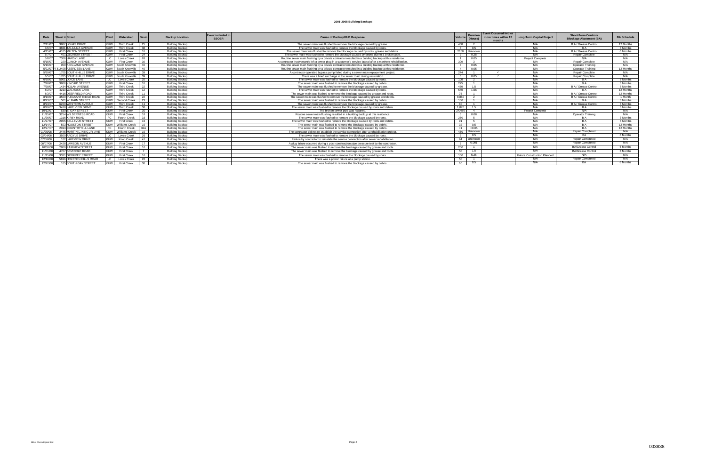| Date     | Street # Street                |                   | Watershed          | <b>Basin</b> | <b>Backup Location</b> | Event included i<br><b>SSOER</b> | <b>Cause of Backup/KUB Response</b>                                                                         | Volum           | <b>Duration</b><br>(Hours) | <b>Event Occurred two or</b><br>more times within 12<br>months | <b>Long-Term Capital Project</b> | <b>Short-Term Controls</b><br><b>Blockage Abatement (BA)</b> | <b>BA Schedule</b> |
|----------|--------------------------------|-------------------|--------------------|--------------|------------------------|----------------------------------|-------------------------------------------------------------------------------------------------------------|-----------------|----------------------------|----------------------------------------------------------------|----------------------------------|--------------------------------------------------------------|--------------------|
| 2/11/07  | 3807 LONAS DRIVE               | <b>KUW</b>        | <b>Third Creek</b> | 25           | Building Backup        |                                  | The sewer main was flushed to remove the blockage caused by grease.                                         | 400             |                            |                                                                | N/A                              | B A / Grease Control                                         | 12 Months          |
| 3/6/07   | 3831 TALILUNA AVENUE           | <b>KUW</b>        | <b>Third Creek</b> | 38           | <b>Building Backup</b> |                                  | The sewer main was flushed to remove the blockage caused by roots.                                          |                 | 0.5                        |                                                                | N/A                              |                                                              | 3 Months           |
| 4/15/07  | 4105 MILTON STREET             | <b>KUW</b>        | <b>First Creek</b> | 16           | <b>Building Backup</b> |                                  | The sewer main was flushed to remove the blockage caused by roots, grease and debris.                       | 2150            | Unknown                    |                                                                | N/A                              | B A / Grease Control                                         | 6 Months           |
| 5/7/07   | 401 GEORGIA STREET             | <b>KUW</b>        | <b>First Creek</b> | 24           | <b>Building Backup</b> |                                  | The sewer main was flushed to remove the blockage caused by debris due to a broken pipe.                    |                 | 0.25                       |                                                                | N/A                              | Repair Complete                                              | N/A                |
| 5/8/07   | 7309 HARDY LANE                |                   | Loves Creek        | 63           | <b>Building Backup</b> |                                  | Routine sewer main flushing by a private contractor resulted in a building backup at this residence.        |                 | 0.05                       |                                                                | Project Complete                 | N/A                                                          | N/A                |
| 5/15/07  | 220 CLINCH AVENUE              | <b>KUW</b>        | <b>First Creek</b> | 30           | <b>Building Backup</b> |                                  | A contractor inadvertantly left a sewer plug in a customer's service lateral after a manhole rehabilitation | 300             | $\overline{a}$             |                                                                | N/A                              | Repair Complete                                              | N/A                |
| 5/16/07  | 909 KINGLAND AVENUE            | KUW               | South Knoxville    | 40           | <b>Building Backup</b> |                                  | Routine sewer main flushing by a private contractor resulted in a building backup at this residence.        |                 | 0.05                       |                                                                | N/A                              | <b>Operator Training</b>                                     | N/A                |
|          | 5/22/0704 & 2408 ABERDEEN LANE |                   | South Knoxville    | 40           | <b>Building Backup</b> |                                  | Routine sewer main flushing by a private contractor resulted in a building backup at this residence.        | $\overline{4}$  | 0.05                       |                                                                | N/A                              | <b>Operator Training</b>                                     | 12 Months          |
| 5/29/07  | 1705 SOUTH HILLS DRIVE         | KUW               | South Knoxville    | 39           | <b>Building Backup</b> |                                  | A contractor-operated bypass pump failed during a sewer main replacement project.                           | 244             |                            |                                                                | N/A                              | Repair Complete                                              | N/A                |
| 6/5/07   | 1705 SOUTH HILLS DRIVE         | KIIW              | South Knoxville    | 39           | <b>Building Backup</b> |                                  | There was a brief surcharge in the sewer main during restoration.                                           |                 | 0.05                       |                                                                | N/A                              | Repair Complete                                              | N/A                |
| 6/30/07  | 5901 LOICE LANE                |                   | Loves Creek        | 20           | <b>Building Backup</b> |                                  | The sewer main was flushed to remove the blockage caused by roots.                                          | 100             |                            |                                                                | N/A                              | RА                                                           | 6 Months           |
| 7/28/07  | 3808 KINCAID STREET            | <b>KUV</b>        | <b>First Creek</b> | 16           | <b>Building Backup</b> |                                  | The sewer main was flushed to remove the blockage caused by debris                                          | 225             |                            |                                                                | N/A                              |                                                              | 6 Months           |
| 7/28/07  | 1434 NOLAN AVENUE              | KUW<br>KUW<br>KUW | <b>Third Creek</b> | 22           | <b>Building Backup</b> |                                  | The sewer main was flushed to remove the blockage caused by grease                                          | 450             | 1.5                        |                                                                | N/A                              | B A / Grease Control                                         | 6 Months           |
| 8/2/07   | 4213 WALROCK LANE              |                   | <b>Third Creek</b> | 12           | <b>Building Backup</b> |                                  | The sewer main was flushed to remove the blockage caused by roots.                                          | 540             | 1.66                       |                                                                | N/A                              |                                                              | 12 Months          |
| 8/3/07   | 4416 DEERFIELD ROAD            |                   | <b>Third Creek</b> | 11           | <b>Building Backup</b> |                                  | The sewer main was flushed to remove the blockage caused by grease and roots                                | 75              | $\overline{1}$             |                                                                | N/A                              | B A / Grease Control                                         | 12 Months          |
| 8/19/07  | 3550 PLEASANT RIDGE ROAD       | KUW               | <b>Third Creek</b> | 22           | <b>Building Backup</b> |                                  | The sewer main was flushed to remove the blockage caused by grease and debris.                              | 8,860           |                            |                                                                | N/A                              | B A / Grease Control                                         | 1 Month            |
| 8/23/07  | 501 W. MAIN STREET             | <b>KUW</b>        | Second Creek       | 23           | Building Backup        |                                  | The sewer main was flushed to remove the blockage caused by debris                                          | 100             | $\overline{4}$             |                                                                | N/A                              |                                                              | 6 Months           |
| 8/23/07  | 6220 WESTERN AVENUE            | <b>KUW</b>        | <b>Third Creek</b> | 11           | <b>Building Backup</b> |                                  | The sewer main was flushed to remove the blockage caused by grease.                                         | 10 <sup>1</sup> | $\overline{1}$             |                                                                | N/A                              | B A / Grease Control                                         | 3 Months           |
| 8/29/07  | 3428 LAKE VIEW DRIVE           | <b>KUW</b>        | <b>Third Creek</b> | 38           | <b>Building Backup</b> |                                  | The sewer main was flushed to remove the blockage caused by roots and debris                                | 1.870           | 1.5                        |                                                                | N/A                              | R A                                                          | 6 Months           |
| 10/12/07 | 530 S. GAY STREET              | <b>KUW</b>        | <b>First Creek</b> | 30           | <b>Building Backup</b> |                                  | The broken sewer pipe was repaired.                                                                         | 24.480          | $\overline{a}$             |                                                                | <b>Project Complete</b>          | N/A                                                          | N/A                |
| 11/15/07 | 3254 WILDERNESS ROAD           | KUW               | <b>First Creek</b> | 18           | <b>Building Backup</b> |                                  | Routine sewer main flushing resulted in a building backup at this residence.                                |                 | 0.08                       |                                                                | N/A                              | <b>Operator Training</b>                                     | N/A                |
| 11/26/07 | 1316 KIRBY ROAD                |                   | Fourth Creek       | 33           | <b>Building Backup</b> |                                  | The sewer main was flushed to remove the blockage caused by roots.                                          | 250             | -5                         |                                                                | N/A                              | B A                                                          | 3 Months           |
| 11/27/07 | 2905 BELLEVUE STREET           |                   | <b>First Creek</b> | 16           | <b>Building Backup</b> |                                  | The sewer main was flushed to remove the blockage caused by roots and debris                                | 91              | -5                         |                                                                | N/A                              | B A                                                          | 6 Months           |
| 12/14/07 | 503 HOUSTON STREET             | KUW               | Williams Creek     | 19           | <b>Building Backup</b> |                                  | The sewer main was flushed to remove the blockage caused by debris.                                         | 32 <sub>o</sub> | 0.5                        |                                                                | N/A                              | R A                                                          | 12 Months          |
| 12/27/07 | 2013 COUNTRYHILL LANE          |                   | Fourth Creek       | 32A          | <b>Building Backup</b> |                                  | The sewer main was flushed to remove the blockage caused by debris                                          | <1              | < 0.05                     |                                                                | N/A                              |                                                              | 12 Months          |
| 01/25/08 | 2446 MARTIN L. KING JR. AVE    | KUW               | Williams Creek     | 19           | <b>Building Backup</b> |                                  | The contractor did not re-establish the service connection after a rehabilitation project.                  | 450             | Unknown                    |                                                                | N/A                              | Repair Completed                                             | N/A                |
| 02/04/08 | 3500 ARGYLE DRIVE              |                   | Loves Creek        | ንፍ           | <b>Building Backup</b> |                                  | The sewer main was flushed to remove the blockage caused by roots.                                          |                 | 0.5                        |                                                                | N/A                              | <b>RA</b>                                                    | 6 Months           |
| 07/08/08 | 102 LAKEVIEW DRIVE             | KUW               | Knob Creek         | 41           | <b>Building Backup</b> |                                  | Failure by contractor to reinstate the service connection after sewer rehabilitation.                       | 94              | Unknown                    |                                                                | N/A                              | <b>Repair Completed</b>                                      | N/A                |
| 08/07/08 | 2428 LAWSON AVENUE             | <b>KUW</b>        | <b>First Creek</b> | 17           | <b>Building Backup</b> |                                  | A plug failure occurred during a post-construction pipe pressure test by the contractor.                    |                 | 0.001                      |                                                                | N/A                              | Repair Completed                                             | N/A                |
| 10/08/08 | 2800 FAIRVIEW STREET           | <b>KUW</b>        | <b>First Creek</b> | 16           | <b>Building Backup</b> |                                  | The sewer main was flushed to remove the blockage caused by grease and roots.                               | 200             |                            |                                                                | N/A                              | <b>BA/Grease Control</b>                                     | 6 Months           |
| 11/01/08 | 4707 SEMINOLE ROAD             | <b>KUW</b>        | <b>First Creek</b> |              | <b>Building Backup</b> |                                  | The sewer main was flushed to remove the blockage caused by grease and roots.                               | 50              | 1.5                        |                                                                | N/A                              | <b>BA/Grease Control</b>                                     | 3 Months           |
| 11/15/08 | 3321 GODFREY STREET            | KUW               | <b>First Creek</b> | 16           | <b>Building Backup</b> |                                  | The sewer main was flushed to remove the blockage caused by roots.                                          | 100             | 5.25                       |                                                                | Future Construction Planned      | N/A                                                          | N/A                |
| 12/10/08 | 5816 HOLSTON HILLS ROAD        |                   | Loves Creek        | 26           | <b>Building Backup</b> |                                  | There was a power failure at a pump station.                                                                | 50              |                            |                                                                | N/A                              | <b>Repair Completed</b>                                      | N/A                |
| 12/22/08 | 105 SOUTH GAY STREET           |                   | <b>First Creek</b> | $30^{\circ}$ | <b>Building Backup</b> |                                  | The sewer main was flushed to remove the blockage caused by debris                                          | 10 <sub>1</sub> | 0.5                        |                                                                | N/A                              | <b>RA</b>                                                    | 6 Months           |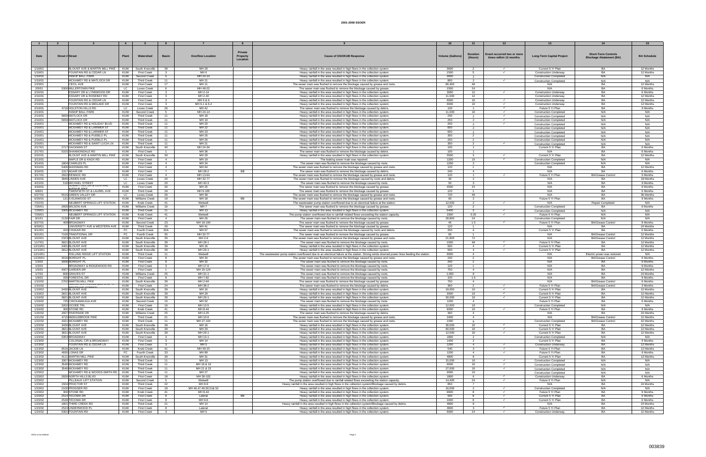|                    |                                                  |                    |                                      |                                |                                      |                                                                                                                                                                                      |                        |                                  |                                                       | 13                                                             |                                                              |                        |
|--------------------|--------------------------------------------------|--------------------|--------------------------------------|--------------------------------|--------------------------------------|--------------------------------------------------------------------------------------------------------------------------------------------------------------------------------------|------------------------|----------------------------------|-------------------------------------------------------|----------------------------------------------------------------|--------------------------------------------------------------|------------------------|
|                    |                                                  |                    |                                      |                                |                                      |                                                                                                                                                                                      |                        |                                  |                                                       |                                                                |                                                              |                        |
|                    |                                                  |                    |                                      |                                | Private                              |                                                                                                                                                                                      |                        |                                  |                                                       |                                                                |                                                              |                        |
| Date               | <b>Street # Street</b>                           | Plant              | Watershed                            | <b>Basin</b>                   | <b>Overflow Location</b><br>Property | <b>Cause of SSO/KUB Response</b>                                                                                                                                                     | <b>Volume (Gallons</b> | Duration                         | Event occurred two or more<br>times within 12 months. | <b>Long-Term Capital Project</b>                               | <b>Short-Term Controls</b><br><b>Blockage Abatement (BA)</b> | <b>BA Schedule</b>     |
|                    |                                                  |                    |                                      |                                | Location                             |                                                                                                                                                                                      |                        | (Hours)                          |                                                       |                                                                |                                                              |                        |
|                    |                                                  |                    |                                      |                                |                                      |                                                                                                                                                                                      |                        |                                  |                                                       |                                                                |                                                              |                        |
| 1/19/01            | BLOUNT AVE & MARTIN MILL PIKE                    | KUW                | South Knoxville                      | 39                             | MH 29                                | Heavy rainfall in the area resulted in high flows in the collection system                                                                                                           | 3600                   | $\overline{2}$                   | $\checkmark$                                          | Current 5 Yr Plan                                              | <b>BA</b>                                                    | 12 Months              |
| 1/19/01            | FOUNTAIN RD & CEDAR LN                           | <b>KUW</b>         | <b>First Creek</b>                   |                                | MH <sub>6</sub>                      | Heavy rainfall in the area resulted in high flows in the collection system                                                                                                           | 1500                   |                                  | $\checkmark$                                          | <b>Construction Underway</b>                                   | <b>BA</b>                                                    | 12 Months              |
| 1/19/01            | <b>INSKIP BALL PARK</b>                          | KUW                | Second Creek                         | 5                              | MH 24-14                             | Heavy rainfall in the area resulted in high flows in the collection system                                                                                                           | 3600                   |                                  |                                                       | <b>Construction Completed</b>                                  | N/A                                                          | N/A                    |
| 1/19/01            | MCKAMEY RD & MATLOCK DR                          | KUW                | <b>Third Creek</b>                   | 11                             | MH 21                                | Heavy rainfall in the area resulted in high flows in the collection system                                                                                                           | 800                    | 2                                | $\checkmark$                                          | <b>Construction Completed</b>                                  | N/A                                                          | N/A                    |
| 1/23/01            | <b>CECIL AVE</b>                                 | <b>KUW</b>         | <b>First Creek</b>                   | 17                             | MH 11                                | The sewer main was flushed to remove the blockage caused by grease and roots                                                                                                         | 86,400                 | 48                               |                                                       | N/A                                                            | <b>BA</b>                                                    | 12 Months              |
| 2/5/01             | 5300 MILLERTOWN PIKE                             | LC.                | Loves Creek                          | 6                              | MH 48-22                             | The sewer main was flushed to remove the blockage caused by grease                                                                                                                   | 1500                   | 24                               |                                                       | N/A                                                            | BA                                                           | 6 Months               |
| 2/16/01            | ESSARY DR & LYNNWOOD DR                          | KUW                | <b>First Creek</b>                   | -3-                            | MH 2-14                              | Heavy rainfall in the area resulted in high flows in the collection system                                                                                                           | 3000                   | 12                               | $\checkmark$                                          | <b>Construction Underway</b>                                   | BA                                                           | 6 Months               |
| 2/16/01            | <b>ESSARY DR &amp; ROSEBAY RD</b>                | KUW                | <b>First Creek</b>                   | $\mathbf{3}$                   | MH 2-40                              | Heavy rainfall in the area resulted in high flows in the collection system                                                                                                           | 11,000                 | 12                               |                                                       | <b>Construction Underway</b>                                   | <b>BA</b>                                                    | 12 Months              |
| 2/16/01            | FOUNTAIN RD & CEDAR LN                           | KUW                | <b>First Creek</b>                   | $\mathbf{R}$                   | MH 5 & 6                             | Heavy rainfall in the area resulted in high flows in the collection system                                                                                                           | 6000                   | 10 <sup>1</sup>                  | $\checkmark$                                          | <b>Construction Underway</b>                                   | <b>BA</b>                                                    | 12 Months              |
| 2/16/01            | FOUNTAIN RD & MIDLAKE DR                         | KUW                | <b>First Creek</b>                   | $\mathbf{3}$                   | MH 6-1 & 6-2                         | Heavy rainfall in the area resulted in high flows in the collection system                                                                                                           | 6000                   | 10 <sup>1</sup>                  | $\checkmark$                                          | <b>Construction Underway</b>                                   | BA                                                           | 12 Months              |
| 2/16/01<br>2/16/01 | 4716 HOLSTON HILLS RD<br><b>INSKIP BALL PARK</b> | LC.<br>KUW         | Loves Creek                          | 26<br>-5                       | MH 42<br>MH 24-14                    | The sewer main was flushed to remove the blockage caused by debris.                                                                                                                  | 100<br>11.000          | -1.                              | $\checkmark$<br>$\checkmark$                          | Future 5 Yr Plan                                               | RA<br>N/A                                                    | 6 Months<br>N/A        |
| 2/16/01            | 5659 MATLOCK DR                                  | KUW                | Second Creek<br><b>Third Creek</b>   | 11                             | MH 18                                | Heavy rainfall in the area resulted in high flows in the collection system                                                                                                           | 250                    | 10                               | $\checkmark$                                          | <b>Construction Completed</b>                                  |                                                              |                        |
| 2/16/01            | 5659 MATLOCK DR                                  | <b>KUW</b>         | <b>Third Creek</b>                   | 11                             | MH 19                                | Heavy rainfall in the area resulted in high flows in the collection system<br>Heavy rainfall in the area resulted in high flows in the collection system                             | 250                    | $\overline{2}$                   | $\checkmark$                                          | <b>Construction Completed</b>                                  | N/A<br>N/A                                                   | N/A<br>N/A             |
| 2/16/01            | MCKAMEY RD & HOLIDAY BLVD                        | KUW                | Third Creek                          | 11                             | MH 20                                | Heavy rainfall in the area resulted in high flows in the collection system                                                                                                           | 250                    |                                  | $\checkmark$                                          | <b>Construction Completed</b>                                  | N/A                                                          | N/A                    |
| 2/16/01            | MCKAMEY RD & LARIMER ST                          | KUW                | <b>Third Creek</b>                   | 11                             | MH 22                                | Heavy rainfall in the area resulted in high flows in the collection system                                                                                                           | 600                    |                                  |                                                       | <b>Construction Completed</b><br><b>Construction Completed</b> | N/A                                                          | N/A                    |
| 2/16/01            | MCKAMEY RD & LARIMER ST                          | KUW                | <b>Third Creek</b>                   | 11                             | MH 23                                | Heavy rainfall in the area resulted in high flows in the collection system                                                                                                           | 600                    |                                  |                                                       | <b>Construction Completed</b>                                  | N/A                                                          | N/A                    |
| 2/16/01            | MCKAMEY RD & PUEBLO PL                           | KUW                | <b>Third Creek</b>                   | 11                             | MH 25                                | Heavy rainfall in the area resulted in high flows in the collection system                                                                                                           | 350                    | 2                                |                                                       | <b>Construction Completed</b>                                  | N/A                                                          | N/A                    |
| 2/16/01            | MCKAMEY RD & PUEBLO PL                           | KUW                | <b>Third Creek</b>                   | 11                             | MH 26                                | Heavy rainfall in the area resulted in high flows in the collection system                                                                                                           | 250                    | $\overline{2}$                   |                                                       | <b>Construction Completed</b>                                  | N/A                                                          | N/A                    |
| 2/16/01            | MCKAMEY RD & SAINT LUCIA LN                      | KUW                | Third Creek                          | 11                             | MH 21                                | Heavy rainfall in the area resulted in high flows in the collection system                                                                                                           | 350                    | $\overline{2}$                   | $\checkmark$                                          | <b>Construction Completed</b>                                  | N/A                                                          | N/A                    |
| 2/17/01            | 2717 HACKMAN ST                                  | KUW                | South Knoxville                      | 40                             | MH 24-34                             | Heavy rainfall in the area resulted in high flows in the collection system                                                                                                           | 100                    | $\overline{1}$                   |                                                       | Current 5 Yr Plan                                              | BA                                                           | 6 Months               |
| 2/17/01            | 5315 SHANNONDALE RD                              | KUW                | <b>First Creek</b>                   | $\overline{1}$                 | MH 36                                | The sewer main was flushed to remove the blockage caused by debris.                                                                                                                  | 100                    | $\overline{1}$                   |                                                       | N/A                                                            | <b>BA</b>                                                    | 6 Months               |
| 2/22/01            | BLOUNT AVE & MARTIN MILL PIKE                    | <b>KUW</b>         | South Knoxville                      | 39                             | MH 29                                | Heavy rainfall in the area resulted in high flows in the collection system                                                                                                           | 5500                   | $\overline{\mathbf{3}}$          | $\checkmark$                                          | Current 5 Yr Plan                                              | <b>RA</b>                                                    | 12 Months              |
| 3/13/01            | MAPLE DR & KNOX RD                               | KUW                | <b>First Creek</b>                   | $\overline{4}$                 | MH 19                                | The leaking sewer main was repaired.                                                                                                                                                 | 1200                   | 10                               |                                                       | <b>Construction Completed</b>                                  | N/A                                                          | N/A                    |
| 3/14/01            | 1804 CHARLES PL                                  | KUW                | <b>First Creek</b>                   | $\overline{4}$                 | MH 34                                | The sewer main was flushed to remove the blockage caused by roots.                                                                                                                   | 1200                   | $\overline{2}$                   |                                                       | <b>Construction Completed</b>                                  | N/A                                                          | N/A                    |
| 3/15/01            | 5406 WASSMAN RD                                  | KUW                | <b>First Creek</b>                   | $\overline{4}$                 | MH 64                                | The sewer main was flushed to remove the blockage caused by grease and roots                                                                                                         | 120                    | $\overline{1}$                   |                                                       | N/A                                                            | <b>BA</b>                                                    | 12 Months              |
| 3/16/01            | 1317 ADAIR DR                                    | KUW                | <b>First Creek</b>                   | $\overline{7}$                 | MH 28-2<br><b>BB</b>                 | The sewer main was flushed to remove the blockage caused by debris.                                                                                                                  | 240                    | $\overline{a}$                   |                                                       | N/A                                                            | BA                                                           | 6 Months               |
| 3/17/01            | 2922 RENNOC RD                                   | KUW                | <b>First Creek</b>                   | $\overline{4}$                 | MH 13-64                             | The sewer main was flushed to remove the blockage caused by grease and roots                                                                                                         | 120                    | $\mathbf{1}$                     |                                                       | Future 5 Yr Plan                                               | <b>BA/Grease Control</b>                                     | 6 Months               |
| 4/16/01            | 3946 LINDEN AVE                                  | LC.                | Loves Creek                          | 20                             | MH 32-77                             | The sewer main was flushed to remove the blockage caused by roots and debris                                                                                                         | 30                     | 2                                |                                                       | N/A                                                            | BA                                                           | 18 Months              |
| 4/22/01            | 510 MICHAEL STREET<br>SUMMII HILL DR & CENTRAL   | LC                 | Loves Creek                          | 20                             | MH 40-3                              | The sewer main was flushed to remove the blockage caused by roots.                                                                                                                   | -50                    | $\mathbf{3}$                     |                                                       | N/A                                                            | <b>BA</b>                                                    | 9 Months               |
| 4/30/01            | <b>AVENUE DIKE</b>                               | KUW                | <b>First Creek</b>                   | 30                             | MH 25                                | The sewer main was flushed to remove the blockage caused by grease.                                                                                                                  | 4500                   | 24                               |                                                       | N/A                                                            | <b>BA</b><br>RA                                              | 6 Months               |
| 6/8/01             | TWENTIETH ST & LAUREL AVE                        | <b>KUW</b>         | <b>Third Creek</b>                   | 29                             | MH 9-105                             | The sewer main was flushed to remove the blockage caused by grease                                                                                                                   | 120                    | $\mathbf{1}$                     |                                                       | N/A                                                            |                                                              | 6 Months               |
| 6/27/01<br>6/29/01 | 5515 GREEN VALLEY DF<br>121 S ELMWOOD ST         | LC .<br><b>KUW</b> | Loves Creek<br>Williams Creek        | 26<br>19                       | MH 39<br>MH 18<br><b>BB</b>          | The sewer main was flushed to remove the blockage caused by grease and roots<br>The sewer main was flushed to remove the blockage caused by grease and roots                         | 720<br>60              | 48<br>2                          |                                                       | N/A<br>Future 5 Yr Plan                                        | BA<br>RA                                                     | 36 Months<br>9 Months  |
| 7/22/01            | NEUBERT SPRINGS LIFT STATION                     | KUW                | Knob Creek                           | 41                             | Wetwell                              | The wastewater pump station overflowed due to an electrical failure at the station                                                                                                   | 12,000                 | 2                                | $\checkmark$                                          | N/A                                                            | <b>Repair Completed</b>                                      | N/A                    |
| 7/26/01            | 2655 WILSON AVE                                  | KUW                | Williams Creek                       | 19                             | MH <sub>7</sub>                      | The sewer main was flushed to remove the blockage caused by grease                                                                                                                   | 120                    | 2                                |                                                       | <b>Construction Completed</b>                                  | <b>RA</b>                                                    | 6 Months               |
| 7/29/01            | 3305 MCKAMEY RD                                  | KUW                | Third Creek                          | 11                             | MH 13                                | Heavy rainfall in the area resulted in high flows in the collection system                                                                                                           | 5400                   | $\mathbf{3}$                     | $\checkmark$                                          | <b>Construction Completed</b>                                  | N/A                                                          | N/A                    |
| 7/29/01            | NEUBERT SPRINGS LIFT STATION                     | KUW                | Knob Creek                           | 41                             | Wetwell                              | The pump station overflowed due to rainfall-related flows exceeding the station capacity.                                                                                            | 2300                   | 0.25                             | $\checkmark$                                          | Future 5 Yr Plan                                               | N/A                                                          | N/A                    |
| 8/1/01             | 2130 FAIR DR                                     | KUW                | <b>First Creek</b>                   | $\overline{4}$                 | MH 26                                | The sewer main was flushed to remove the blockage caused by roots.                                                                                                                   | 28,800                 | 24                               |                                                       | <b>Construction Completed</b>                                  | N/A                                                          | N/A                    |
| 8/27/01            | 409 BROADWAY                                     | KUW                | Second Creek                         | 23                             | MH 19-194                            | The sewer main was flushed to remove the blockage caused by grease                                                                                                                   | 45                     | 1.5                              | $\checkmark$                                          | Future 5 Yr Plan                                               | <b>BA/Grease Control</b>                                     | 9 Months               |
| 8/29/01            | UNIVERSITY AVE & WESTERN AVE                     | KUW                | <b>Third Creek</b>                   | 29                             | MH 41                                | The sewer main was flushed to remove the blockage caused by grease                                                                                                                   | 120                    | $\overline{1}$                   |                                                       | N/A                                                            |                                                              | 24 Months              |
| 9/12/01            | 410 CHUKAR RD                                    | FC                 | <b>Fourth Creek</b>                  | 32A                            | MH 67                                | The sewer main was flushed to remove the blockage caused by roots and debris.                                                                                                        | 250                    | $\overline{4}$                   |                                                       | Current 5 Yr Plan                                              | <b>BA</b>                                                    | 6 Months               |
| 9/21/01            | 7100 TRADITIONAL DR                              | FC                 | Fourth Creek                         | 33                             | MH 32-77                             | The sewer main was flushed to remove the blockage caused by grease                                                                                                                   | -60                    | $\overline{1}$                   |                                                       | N/A                                                            | <b>BA/Grease Control</b>                                     | 12 Months              |
| 10/2/01            | 2323 BLOUNT AVE                                  | KUW                | South Knoxville                      | 39                             | MH 2-9                               | The sewer main was flushed to remove the blockage caused by grease and roots                                                                                                         | 21.600                 | 72                               |                                                       | N/A                                                            | <b>BA/Grease Control</b>                                     | 12 Months              |
| 11/7/01            | 3821 BLOUNT AVE                                  | KUW                | South Knoxville                      | 39                             | MH 28-1                              | The sewer main was flushed to remove the blockage caused by roots.                                                                                                                   | 1500                   | 48                               | $\checkmark$                                          | Future 5 Yr Plan                                               | R۵                                                           | 12 Months              |
| 12/13/01           | 3401 BLOUNT AVE                                  | KUW                | South Knoxville                      | 39                             | MH 16                                | Heavy rainfall in the area resulted in high flows in the collection system                                                                                                           | 500                    | $\overline{4}$                   | $\checkmark$                                          | Current 5 Yr Plan                                              | BA                                                           | 12 Months              |
| 12/13/01           | 3812 BLOUNT AVE                                  | KUW                | South Knoxville                      | 39                             | MH 29-1                              | Heavy rainfall in the area resulted in high flows in the collection system                                                                                                           | 500                    | $\overline{4}$                   | $\checkmark$                                          | Current 5 Yr Plan                                              | <b>RA</b>                                                    | 12 Months              |
| 12/14/01           | ROLLING RIDGE LIFT STATION                       | KUW                | <b>Third Creek</b>                   | 11                             | Wetwell                              | The wastewater pump station overflowed due to an electrical failure at the station. Strong winds downed power lines feeding the station.                                             | 6000                   | $\overline{4}$                   |                                                       | N/A                                                            | Electric power was restored                                  | N/A                    |
| 12/29/01           | 3016 BORIGHT PL                                  | KUW                | <b>First Creek</b>                   | -8                             | MH 34                                | The sewer main was flushed to remove the blockage caused by grease and roots                                                                                                         | 240                    | $\overline{2}$                   |                                                       | N/A                                                            | <b>BA/Grease Control</b>                                     | 6 Months               |
| 1/3/02             | 3006 BORIGHT PL                                  | KUW                | <b>First Creek</b>                   | -8                             | MH 32                                | The sewer main was flushed to remove the blockage caused by roots.                                                                                                                   | 250                    | 2                                |                                                       | N/A                                                            | BΑ                                                           | 6 Months               |
| 1/3/02             | BROADWAY & RIDGEWOOD RD<br>4007 GARDEN DR        | KUW                | <b>First Creek</b>                   | $\mathbf{3}$<br>$\overline{1}$ | MH 17-6                              | The sewer main was flushed to remove the blockage caused by roots.<br>The sewer main was flushed to remove the blockage caused by roots.                                             | 120                    | $\overline{1}$<br>$\overline{4}$ |                                                       | N/A<br>N/A                                                     | BA<br><b>BA</b>                                              | 9 Months               |
| 1/5/02<br>1/7/02   | 806 GRAVES ST                                    | KUW<br>KUW         | <b>First Creek</b><br>Williams Creek | 25                             | MH 15-124<br>MH 31-1                 | The sewer main was flushed to remove the blockage caused by roots.                                                                                                                   | 750<br>1,000           | 8                                |                                                       | N/A                                                            | <b>BA</b>                                                    | 12 Months<br>24 Months |
| 1/9/02             | 330 FORESTAL DR                                  | KUW                | <b>First Creek</b>                   | -8                             | MH 7-82                              | The sewer main was flushed to remove the blockage caused by roots.                                                                                                                   | 100                    | 1.5                              |                                                       | N/A                                                            | R۵                                                           | 9 Months               |
| 1/10/02            | 2702 MARTIN MILL PIKE                            | KUW                | South Knoxville                      | 39                             | MH 2-64                              | The sewer main was flushed to remove the blockage caused by grease                                                                                                                   | 750                    | $\overline{4}$                   |                                                       | N/A                                                            | <b>BA/Grease Control</b>                                     | 6 Months               |
| 1/15/02            | SLINGTUN AVENUE (200 E UF                        | KUW                | <b>First Creek</b>                   | 24                             | MH 38-2                              | The sewer main was flushed to remove the blockage caused by debris.                                                                                                                  | 360                    | $\overline{2}$                   | $\checkmark$                                          | Future 5 Yr Plan                                               | <b>BA/Grease Control</b>                                     | 3 Months               |
| 1/19/02            | <b>REPTRAND STREET</b><br>3430 BLOUNT AVE        | KUW                | South Knoxville                      | 39                             | MH 16                                | Heavy rainfall in the area resulted in high flows in the collection system                                                                                                           | 18,000                 | 10                               | $\checkmark$                                          | Current 5 Yr Plan                                              | <b>BA</b>                                                    | 12 Months              |
| 1/19/02            | 3821 BLOUNT AVE                                  | KUW                | South Knoxville                      | 39                             | MH 29                                | Heavy rainfall in the area resulted in high flows in the collection system                                                                                                           | 3000                   | 10                               | $\checkmark$                                          | Current 5 Yr Plan                                              | <b>RA</b>                                                    | 12 Months              |
| 1/19/02            | 3821 BLOUNT AVE                                  | <b>KUW</b>         | South Knoxville                      | 39                             | MH 29-1                              | Heavy rainfall in the area resulted in high flows in the collection system                                                                                                           | 30.000                 | 10 <sup>1</sup>                  |                                                       | Current 5 Yr Plan                                              | RA                                                           | 12 Months              |
| 1/19/02            | 725 CHICKAMAUGA AVE                              | KUW                | Second Creek                         | 15                             | MH 52                                | The sewer main was flushed to remove the blockage caused by roots.                                                                                                                   | 1200                   | $\overline{4}$                   |                                                       | Future 5 Yr Plan                                               | BA                                                           | 6 Months               |
| 1/19/02            | 3202 OCOEE TRL                                   | KUW                | <b>First Creek</b>                   | 16                             | MH 13-5                              | Heavy rainfall in the area resulted in high flows in the collection system.                                                                                                          | 12,000                 | 10                               |                                                       | <b>Construction Completed</b>                                  | N/A                                                          | N/A                    |
| 1/19/02            | 300 STONE RD                                     | <b>KUW</b>         | Knob Creek                           | 41                             | MH 8-44                              | Heavy rainfall in the area resulted in high flows in the collection system.                                                                                                          | 9000                   | 10 <sup>1</sup>                  | $\checkmark$                                          | Future 5 Yr Plan                                               | BA                                                           | 9 Months               |
| 1/20/02            | 2007 RIVERSIDE DR                                | KUW                | Williams Creek                       | 25                             | MH 4-25                              | The sewer main was flushed to remove the blockage caused by debris.                                                                                                                  | 360                    | $\overline{4}$                   |                                                       | N/A                                                            | <b>BA</b>                                                    | 24 Months              |
| 1/21/02            | 4715 MIDDLEBROOK PIKE                            | <b>KUW</b>         | <b>Third Creek</b>                   | 21                             | MH 10-6                              | The sewer main was flushed to remove the blockage caused by grease and roots.                                                                                                        | 2400                   | $\overline{4}$                   |                                                       | N/A                                                            | <b>BA/Grease Control</b>                                     | 12 Months              |
| 1/22/02            | 4321 MCKAMEY RD                                  | KUW                | Third Creek                          | 11                             | MH 27-104                            | The sewer main was flushed to remove the blockage caused by grease and roots                                                                                                         | 1000                   | -8                               |                                                       | <b>Construction Completed</b>                                  | <b>BA/Grease Control</b>                                     | 42 Months              |
| 1/23/02            | 3430 BLOUNT AVE                                  | <b>KUW</b>         | South Knoxville                      | 39                             | MH 16                                | Heavy rainfall in the area resulted in high flows in the collection system.                                                                                                          | 30,000                 | 10 <sup>1</sup>                  | $\checkmark$                                          | Current 5 Yr Plan                                              | <b>BA</b>                                                    | 12 Months              |
| 1/23/02<br>1/23/02 | 3821 BLOUNT AVE<br>3821 BLOUNT AVE               | KUW<br>KUW         | South Knoxville<br>South Knoxville   | 39<br>39                       | MH 29<br>MH 29-1                     | Heavy rainfall in the area resulted in high flows in the collection system<br>Heavy rainfall in the area resulted in high flows in the collection system.                            | 60,000<br>12,000       | 10<br>10                         | $\checkmark$<br>$\checkmark$                          | Current 5 Yr Plan<br>Current 5 Yr Plan                         | BA<br><b>BA</b>                                              | 12 Months<br>12 Months |
| 1/23/02            | 5353 BROADWAY                                    | KUW                | <b>First Creek</b>                   | $\mathbf{3}$                   | MH 13-1                              | Heavy rainfall in the area resulted in high flows in the collection system                                                                                                           | 1800                   | $\overline{2}$                   |                                                       | <b>Construction Completed</b>                                  | N/A                                                          | N/A                    |
| 1/23/02            | COLONIAL CIR & BROADWAY                          | KUW                | First Creek                          | $\mathbf{3}$                   | MH 14                                | Heavy rainfall in the area resulted in high flows in the collection system.                                                                                                          | 1400                   | $\overline{2}$                   |                                                       | Current 5 Yr Plan                                              | BA                                                           | 9 Months               |
| 1/23/02            | FOUNTAIN RD & CEDAR LN                           | KUW                | <b>First Creek</b>                   | $\mathbf{3}$                   | MH <sub>5</sub>                      | Heavy rainfall in the area resulted in high flows in the collection system.                                                                                                          | 1200                   | $\overline{4}$                   | $\checkmark$                                          | <b>Construction Underway</b>                                   | BA                                                           | 12 Months              |
| 1/23/02            | 6516 JACKIE LN                                   | KUW                | Knob Creek                           | 41                             | MH 49-15                             | Heavy rainfall in the area resulted in high flows in the collection system.                                                                                                          | 540                    | $\overline{\mathbf{3}}$          | $\checkmark$                                          | Future 5 Yr Plan                                               | BA                                                           | 12 Months              |
| 1/23/02            | 4930 LONAS DR                                    | FC                 | Fourth Creek                         | 33                             | MH 89                                | Heavy rainfall in the area resulted in high flows in the collection system                                                                                                           | 1200                   | $\overline{4}$                   | $\checkmark$                                          | Future 5 Yr Plan                                               | <b>BA</b>                                                    | 6 Months               |
| 1/23/02            | 4111 MARTIN MILL PIKE                            | KUW                | South Knoxville                      | 39                             | MH 31                                | Heavy rainfall in the area resulted in high flows in the collection system                                                                                                           | 4800                   | 8                                |                                                       | Current 5 Yr Plan                                              | BA                                                           | 12 Months              |
| 1/23/02            | 3307 MCKAMEY RD                                  | <b>KUW</b>         | <b>Third Creek</b>                   | 11                             | MH 13                                | Heavy rainfall in the area resulted in high flows in the collection system.                                                                                                          | 15,000                 | 10                               | $\checkmark$                                          | <b>Construction Completed</b>                                  | N/A                                                          | N/A                    |
| 1/23/02            | 3540 MCKAMEY RD                                  | KUW                | <b>Third Creek</b>                   | 11                             | MH 18 & 19                           | Heavy rainfall in the area resulted in high flows in the collection system                                                                                                           | 6000                   | 10                               | $\checkmark$                                          | <b>Construction Completed</b>                                  | N/A                                                          | N/A                    |
| 1/23/02            | 3540 MCKAMEY RD                                  | <b>KUW</b>         | <b>Third Creek</b>                   | 11                             | MH 21 & 23                           | Heavy rainfall in the area resulted in high flows in the collection system.                                                                                                          | 27,000                 | 10 <sup>1</sup>                  | $\checkmark$                                          | <b>Construction Completed</b>                                  | N/A                                                          | N/A                    |
| 1/23/02            | MCKAMEY RD & WOODS-SMITH RD                      | KUW                | Third Creek                          | 11                             | MH 27                                | Heavy rainfall in the area resulted in high flows in the collection system.                                                                                                          | 3000                   | 10                               |                                                       | <b>Construction Completed</b>                                  | N/A                                                          | N/A                    |
| 1/23/02            | 2826 NORTH HILLS BLVD                            | KUW                | <b>First Creek</b>                   | 18                             | MH 30-102                            | Heavy rainfall in the area resulted in high flows in the collection system.                                                                                                          | 1800                   | 6                                | $\checkmark$                                          | <b>Construction Underway</b>                                   | BA                                                           | 6 Months               |
| 1/23/02            | PILLEAUX LIFT STATION                            | <b>KUW</b>         | Second Creek                         | 5                              | Wetwell                              | The pump station overflowed due to rainfall-related flows exceeding the station capacity.                                                                                            | 14.400                 | 24                               | $\checkmark$                                          | Future 5 Yr Plan                                               | N/A                                                          | N/A                    |
| 1/23/02            | 1504 PROCTOR ST                                  | KUW                | <b>Third Creek</b>                   | 22                             | MH 8-9                               | Heavy rainfall in the area resulted in high flows in the collection system/Blockage caused by debris.                                                                                | 850                    | $\overline{7}$                   |                                                       | N/A                                                            | BA                                                           | 24 Months              |
| 1/23/02            | 2100 PROSSER RD                                  | <b>KUW</b>         | <b>First Creek</b>                   | 18                             | MH 46.47.49.50.51& 52                | Heavy rainfall in the area resulted in high flows in the collection system                                                                                                           | 16,000                 | 2                                | $\checkmark$                                          | <b>Construction Completed</b>                                  | N/A                                                          | N/A                    |
| 1/23/02            | 300 STONE RD                                     | KUW                | Knob Creek                           | 41                             | MH 8-44                              | Heavy rainfall in the area resulted in high flows in the collection system.                                                                                                          | 9600                   | 8                                | $\checkmark$                                          | Future 5 Yr Plan                                               | BA                                                           | 9 Months               |
| 1/23/02<br>1/23/02 | 2514 TECOMA DR                                   | <b>KUW</b>         | <b>First Creek</b>                   | 8<br>8                         | <b>BB</b><br>Lateral<br>MH 9-6       | Heavy rainfall in the area resulted in high flows in the collection system.                                                                                                          | 500                    | -8                               | $\checkmark$<br>$\checkmark$                          | Current 5 Yr Plan                                              | <b>BA</b>                                                    | 6 Months<br>6 Months   |
| 1/23/02            | 2528 TECOMA DR<br>1801 THIRD CREEK RD            | KUW<br>KUW         | <b>First Creek</b><br>Third Creek    | 21                             | MH 14                                | Heavy rainfall in the area resulted in high flows in the collection system.<br>Heavy rainfall in the area resulted in high flows in the collection system/Blockage caused by debris. | 2400<br>4800           | 8<br>- 8                         |                                                       | Current 5 Yr Plan<br>N/A                                       | BA<br><b>BA</b>                                              | 24 Months              |
| 1/23/02            | 2524 UNDERWOOD PL                                | KUW                | <b>First Creek</b>                   | 8                              | Lateral                              | Heavy rainfall in the area resulted in high flows in the collection system                                                                                                           | 3600                   | $\overline{\mathbf{3}}$          | $\checkmark$                                          | Future 5 Yr Plan                                               | BA                                                           | 12 Months              |
| 1/24/02            | 5301 FOUNTAIN RD                                 | KUW                | First Creek                          | $\overline{\mathbf{3}}$        | MH <sub>5</sub>                      | Heavy rainfall in the area resulted in high flows in the collection system.                                                                                                          | 6000                   | 24                               | $\checkmark$                                          | <b>Construction Underway</b>                                   | <b>BA</b>                                                    | 12 Months              |
|                    |                                                  |                    |                                      |                                |                                      |                                                                                                                                                                                      |                        |                                  |                                                       |                                                                |                                                              |                        |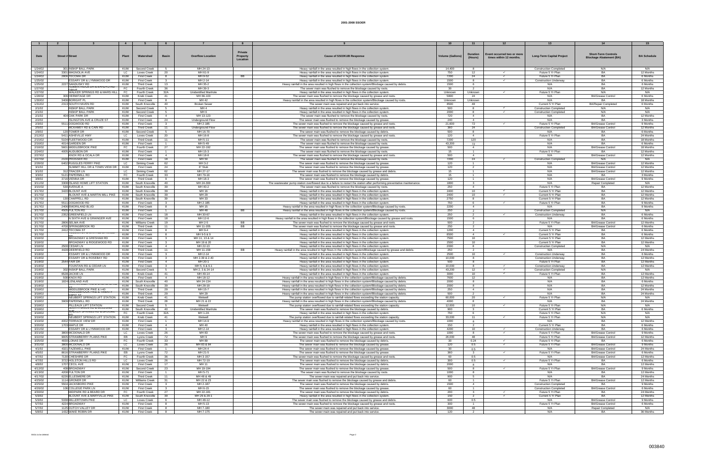|         |                                                   |            |                       |                |                                 | <b>Private</b>  |                                                                                                                           |                        | <b>Duration</b>         | Event occurred two or more |                                  | <b>Short-Term Controls</b>     |                    |
|---------|---------------------------------------------------|------------|-----------------------|----------------|---------------------------------|-----------------|---------------------------------------------------------------------------------------------------------------------------|------------------------|-------------------------|----------------------------|----------------------------------|--------------------------------|--------------------|
| Date    | <b>Street # Street</b>                            | Plan       | Watershed             | <b>Basin</b>   | <b>Overflow Location</b>        | <b>Property</b> | <b>Cause of SSO/KUB Response</b>                                                                                          | <b>Volume (Gallons</b> | (Hours)                 | times within 12 months.    | <b>Long-Term Capital Project</b> | <b>Blockage Abatement (BA)</b> | <b>BA Schedule</b> |
|         |                                                   |            |                       |                |                                 | Location        |                                                                                                                           |                        |                         |                            |                                  |                                |                    |
|         |                                                   |            |                       |                |                                 |                 |                                                                                                                           |                        |                         |                            |                                  |                                |                    |
| 1/24/02 | 301 INSKIP BALL PARK                              | KUW        | Second Creek          | -5.            | MH 24-13                        |                 | Heavy rainfall in the area resulted in high flows in the collection system.                                               | 14.400                 | <b>8</b>                |                            | <b>Construction Completed</b>    | N/A                            | N/A                |
| 1/24/02 | 3301 MAGNOLIA AVE                                 | LC.        | Loves Creek           | 20             | MH 61-9                         |                 | Heavy rainfall in the area resulted in high flows in the collection system.                                               | 750                    | 12                      | $\checkmark$               | Future 5 Yr Plan                 | BA                             | 12 Months          |
| 1/24/02 | 2806 TECOMA DR                                    | <b>KUW</b> | <b>First Creek</b>    | -8             | MH 9-52                         | BB              | Heavy rainfall in the area resulted in high flows in the collection system.                                               | 7200                   | 24                      | $\checkmark$               | Future 5 Yr Plan                 | RA                             | 6 Months           |
| 1/25/02 | ESSARY DR & LYNNWOOD DR                           | KUW        | <b>First Creek</b>    | 3              | MH 2-14                         |                 | Heavy rainfall in the area resulted in high flows in the collection system                                                | 1500                   | 8                       | $\checkmark$               | Construction Underway            | <b>BA</b>                      | 6 Months           |
| 1/25/02 | 2227 SANDUSKY RD                                  | KUW        | <b>Third Creek</b>    | 13             | MH 35-2                         |                 | Heavy rainfall in the area resulted in high flows in the collection system/Blockage caused by debris.                     | 1500                   | -6                      |                            | N/A                              | RA                             | 6 Months           |
| 1/27/02 | וואט ו שאחט איש אש און אווסטע                     | FC         | Fourth Creek          | 36             | MH 39-3                         |                 | The sewer main was flushed to remove the blockage caused by roots.                                                        | 30                     | $\overline{2}$          |                            | N/A                              | BA                             | 12 Months          |
| 1/27/02 | DDIVE.<br>WALKER SPRINGS RD & MARS HILL           | FC         |                       | 32A            | <b>Unidentified Manhole</b>     |                 |                                                                                                                           |                        |                         | $\checkmark$               | Future 5 Yr Plan                 | N/A                            | N/A                |
|         |                                                   |            | Fourth Creek          |                |                                 |                 | Heavy rainfall in the area resulted in high flows in the collection system                                                | Unknown                | Unknown                 |                            |                                  |                                |                    |
| 1/28/02 | 306 HERMITAGE DR                                  | KUW        | Knob Creek            | 41             | MH 66-103                       |                 | The sewer main was flushed to remove the blockage caused by grease and roots                                              | 5800                   | 24                      |                            | N/A                              | <b>BA/Grease Control</b>       | 6 Months           |
| 1/30/02 | 3408 BORIGHT PL                                   | KUW        | <b>First Creek</b>    | 8              | MH 42                           |                 | Heavy rainfall in the area resulted in high flows in the collection system/Blockage caused by roots.                      | Unknown                | Unknown                 |                            | N/A                              | B <sub>A</sub>                 | 18 Months          |
| 1/31/02 | 2313 SOUTH HAVEN RD                               | <b>KUW</b> | South Knoxville       | 40             | <b>Broken Sewer</b>             |                 | The sewer main was repaired and put back into service.                                                                    | 8500                   | 48                      |                            | Current 5 Yr Plan                | <b>BA/Repair Completed</b>     | 6 Months           |
| 2/1/02  | <b>INSKIP BALL PARK</b>                           | KUW        | Second Creek          | 5              | MH <sub>4</sub>                 |                 | Heavy rainfall in the area resulted in high flows in the collection system.                                               | 500                    | 8                       | $\checkmark$               | <b>Construction Completed</b>    | N/A                            | N/A                |
| 2/1/02  | <b>INSKIP BALL PARK</b>                           | KUW        | Second Creek          |                | MH <sub>6</sub>                 |                 | Heavy rainfall in the area resulted in high flows in the collection system                                                | 2000                   |                         | $\checkmark$               | <b>Construction Completed</b>    | N/A                            | N/A                |
| 2/1/02  | 404 OAK PARK DR                                   | <b>KUW</b> | <b>First Creek</b>    | $\overline{4}$ | MH 13-123                       |                 | The sewer main was flushed to remove the blockage caused by roots.                                                        | 720                    | $\overline{4}$          |                            | N/A                              | BΑ                             | 12 Months          |
| 2/2/02  | <b>ISLINGTON AVE &amp; CRUZE ST</b>               | KUW        | <b>First Creek</b>    | 24             | Underground Flow                |                 | The sewer main was flushed to remove the blockage caused by grease.                                                       | 240                    | $\overline{4}$          |                            | N/A                              | RA                             | 3 Months           |
| 2/3/02  | 5511 DOGWOOD RD                                   | KUW        | <b>First Creek</b>    | $\mathbf{3}$   | MH 2-185                        |                 | The sewer main was flushed to remove the blockage caused by grease and roots                                              | 21,600                 | 72                      | $\checkmark$               | Future 5 Yr Plan                 | <b>BA/Grease Control</b>       | 9 Months           |
| 2/5/02  | MCKAMEY RD & CAIN RD                              | <b>KUW</b> | <b>Third Creek</b>    | 11             | Underground Flow                |                 | The sewer main was flushed to remove the blockage caused by grease and roots                                              | 360                    | 24                      |                            | <b>Construction Completed</b>    | <b>BA/Grease Control</b>       | 12 Months          |
| 2/9/02  | 120 TOWER DR                                      | KUW        | Second Creek          | -5             | MH 16-70                        |                 | The sewer main was flushed to remove the blockage caused by debris.                                                       | 500                    | -8                      |                            | N/A                              | B۵                             | 6 Months           |
| 2/12/02 | 5411 ASHEVILLE HWY                                | LC.        | Loves Creek           | 20             | MH 16-8                         |                 | The sewer main was flushed to remove the blockage caused by grease and roots                                              | 120                    | $\overline{4}$          |                            | Future 5 Yr Plan                 | <b>BA</b>                      | 24 Months          |
| 2/15/02 | 5104 FLEETWOOD CIR                                | KUW        | <b>Third Creek</b>    | 11             | MH 5-11                         |                 | The sewer main was flushed to remove the blockage caused by roots.                                                        | 7200                   | 120                     |                            | N/A                              | BA                             | 18 Months          |
| 2/16/02 | 4014 GARDEN DR                                    | KUW        | <b>First Creek</b>    | $\overline{1}$ | MH 5-49                         |                 | The sewer main was flushed to remove the blockage caused by roots.                                                        | 43,200                 | 72                      |                            | N/A                              | <b>BA</b>                      | 6 Months           |
| 2/18/02 | 5601 MIDDLEBROOK PIKE                             | FC         | Fourth Creek          | 27             | MH 22-192                       |                 | The sewer main was flushed to remove the blockage caused by grease.                                                       | 500                    | -4                      |                            | N/A                              | <b>BA/Grease Control</b>       | 18 Months          |
| 2/24/02 | 4005 AUDUBON DR                                   | <b>KUW</b> |                       | $\overline{1}$ | MH 15-3                         |                 |                                                                                                                           | 15                     | $\overline{1}$          |                            | Future 5 Yr Plan                 | <b>BA</b>                      | 12 Months          |
|         |                                                   |            | <b>First Creek</b>    |                |                                 |                 | The sewer main was flushed to remove the blockage caused by roots.                                                        |                        |                         |                            |                                  |                                |                    |
| 2/27/02 | KNOX RD & OCALA DR                                | <b>KUW</b> | First Creek           | $\overline{a}$ | MH 18-8                         |                 | The sewer main was flushed to remove the blockage caused by grease and roots                                              | 500                    | $\overline{a}$          |                            | N/A                              | <b>BA/Grease Control</b>       | 12 Months          |
| 2/27/02 | 2100 PROSSER RD                                   | KUW        | <b>First Creek</b>    | 18             | MH 50                           |                 | The sewer main was flushed to remove the blockage caused by roots.                                                        | 7200                   | 24                      | $\checkmark$               | <b>Construction Completed</b>    | N/A                            | N/A                |
| 2/28/02 | 6402 RUGGLES FERRY PIKE                           | LC.        | Sinking Creek         | 62             | MH 3-2                          |                 | The sewer main was flushed to remove the blockage caused by grease.                                                       | 120                    | $\overline{1}$          |                            | N/A                              | <b>BA/Grease Contro</b>        | 12 Months          |
| 3/1/02  | SUMMIT HILL DR & TOWN VIEW DR                     | KUW        | <b>First Creek</b>    | 24             | 6" Stub                         |                 | The sewer main was flushed to remove the blockage caused by grease.                                                       | 120                    | $\overline{2}$          |                            | N/A                              | <b>BA/Grease Control</b>       | 12 Months          |
| 3/1/02  | 312 TRACER LN                                     | LC         | Sinking Creek         | 62             | MH 27-17                        |                 | The sewer main was flushed to remove the blockage caused by grease and debris                                             | 15                     | $\overline{1}$          |                            | N/A                              | <b>BA/Grease Control</b>       | 12 Months          |
| 3/3/02  | 5121 PAPERMILL RD                                 | FC.        | Fourth Creek          | 33             | MH 79-16                        |                 | The sewer main was flushed to remove the blockage caused by debris.                                                       | 15                     | $\overline{1}$          |                            | N/A                              | BA                             | 3 Months           |
| 3/8/02  | 3716 VIENNA DR                                    | KUW        | <b>Third Creek</b>    | 9              | MH 18-3                         |                 | The sewer main was flushed to remove the blockage caused by grease.                                                       | 120                    | $\overline{1}$          |                            | N/A                              | <b>BA/Grease Control</b>       | 9 Months           |
| 3/11/02 | 3308 ISLAND HOME LIFT STATION                     | KUW        | South Knoxville       | 40             | MH 24-300                       |                 | The wastewater pump station overflowed due to a failure to restart the station after performing preventative maintenance. | 1800                   | $\mathbf{3}$            |                            | N/A                              | Repair Completed               | N/A                |
| 3/15/02 | 530 AVENUE A                                      | KUW        | South Knoxville       | 39             | MH 40-2                         |                 | The sewer main was flushed to remove the blockage caused by roots.                                                        | 250                    | $\overline{4}$          |                            | Future 5 Yr Plan                 | BA                             | 12 Months          |
| 3/17/02 | 3420 BLOUNT AVE                                   | KUW        | South Knoxville       | 39             | MH 16                           |                 | Heavy rainfall in the area resulted in high flows in the collection system                                                | 2400                   | 10                      | $\checkmark$               | Current 5 Yr Plan                | <b>BA</b>                      | 12 Months          |
| 3/17/02 | BLOUNT AVE & MARTIN MILL PIKE                     | KUW        | South Knoxville       | 39             | MH 29                           |                 | Heavy rainfall in the area resulted in high flows in the collection system                                                | 2400                   | 10 <sup>1</sup>         | $\checkmark$               | Current 5 Yr Plan                | <b>BA</b>                      | 12 Months          |
| 3/17/02 | 130 CHAPPELL RD                                   | <b>KUW</b> | South Knoxville       | 39             | MH 33                           |                 | Heavy rainfall in the area resulted in high flows in the collection system                                                | 2750                   |                         |                            | Current 5 Yr Plan                | BA                             | 12 Months          |
| 3/17/02 | 5511 DOGWOOD RD                                   | <b>KUW</b> | <b>First Creek</b>    | $\mathbf{3}$   | MH 2-185                        |                 | Heavy rainfall in the area resulted in high flows in the collection system.                                               | 750                    | -6                      |                            | Future 5 Yr Plan                 | <b>BA</b>                      | 9 Months           |
|         | 2406 EMORILAND BLVD                               |            |                       |                |                                 |                 |                                                                                                                           |                        |                         |                            |                                  | BA                             |                    |
| 3/17/02 |                                                   | <b>KUW</b> | <b>First Creek</b>    | 8              | MH 15                           |                 | Heavy rainfall in the area resulted in high flows in the collection system/Blockage caused by roots.                      | 2200                   | $\overline{4}$          |                            | N/A                              |                                | 9 Months           |
| 3/17/02 | 4505 FULTON RD                                    | <b>KUW</b> | <b>First Creek</b>    | $\overline{1}$ | MH 48                           | <b>BB</b>       | Heavy rainfall in the area resulted in high flows in the collection system/Blockage caused by roots.                      | 250                    |                         |                            | <b>Construction Completed</b>    | N/A                            | N/A                |
| 3/17/02 | 2352 GREENFIELD LN                                | <b>KUW</b> | <b>First Creek</b>    | 18             | MH 30-67                        |                 | Heavy rainfall in the area resulted in high flows in the collection system                                                | 250                    | $\overline{2}$          | $\checkmark$               | <b>Construction Underway</b>     | BA                             | 6 Months           |
| 3/17/02 | N SIXTH AVE & GRAINGER AVE                        | KUW        | <b>First Creek</b>    | 18             | MH 12-6                         |                 | Heavy rainfall in the area resulted in high flows in the collection system/Blockage caused by grease and roots.           | 1500                   | - 6                     |                            | N/A                              | RA                             | 6 Months           |
| 3/17/02 | 2806 SELMA AVE                                    | KUW        | <b>Nilliams Creek</b> | 19             | MH 2-5                          | BB              | The sewer main was flushed to remove the blockage caused by grease and roots                                              | 500                    | $\overline{2}$          |                            | Future 5 Yr Plan                 | <b>BA/Grease Control</b>       | 12 Months          |
| 3/17/02 | 4700 SPRINGBROOK RD                               | KUW        | <b>Third Creek</b>    | 11             | MH 11-205                       | BB              | The sewer main was flushed to remove the blockage caused by grease and roots                                              | 250                    | $\overline{2}$          |                            | N/A                              | <b>BA/Grease Control</b>       | 6 Months           |
| 3/17/02 | 2412 TECOMA ST                                    | KUW        | <b>First Creek</b>    | 8              | MH 9-4                          |                 | Heavy rainfall in the area resulted in high flows in the collection system.                                               | 1200                   | $\overline{4}$          |                            | Current 5 Yr Plan                | BA                             | 6 Months           |
| 3/17/02 | ECOMA ST & WHITTLE SPRINGS                        | <b>KUW</b> | <b>First Creek</b>    | 8              | MH 9-5 & 9                      |                 | Heavy rainfall in the area resulted in high flows in the collection system                                                | 8500                   | $\overline{4}$          | $\checkmark$               | Current 5 Yr Plan                | <b>BA</b>                      | 6 Months           |
| 3/18/02 | BROADWAY & GRESHAM RD                             | <b>KUW</b> | <b>First Creek</b>    | $\mathbf{R}$   | MH 11, 13 & 14                  |                 | Heavy rainfall in the area resulted in high flows in the collection system.                                               | 7500                   | 10 <sup>1</sup>         |                            | Current 5 Yr Plan                | RA                             | 12 Months          |
| 3/18/02 | BROADWAY & RIDGEWOOD RD                           | KUW        | <b>First Creek</b>    | 3              | MH 19 & 20                      |                 | Heavy rainfall in the area resulted in high flows in the collection system.                                               | 2500                   | 10                      |                            | Current 5 Yr Plan                | <b>BA</b>                      | 12 Months          |
| 3/18/02 | 2500 CEDAR LN                                     | <b>KUW</b> | <b>First Creek</b>    | 4              | MH 22-13                        |                 | Heavy rainfall in the area resulted in high flows in the collection system.                                               | 2000                   | -8                      |                            | <b>Construction Completed</b>    | N/A                            | N/A                |
| 3/18/02 | 4428 DEERFIELD RD                                 | <b>KUW</b> | <b>Third Creek</b>    | 11             | MH 11-158                       | BB              | Heavy rainfall in the area resulted in high flows in the collection system/Blockage caused by grease and debris.          | 250                    | $\overline{2}$          |                            | N/A                              | BA                             | 24 Months          |
| 3/18/02 | <b>ESSARY DR &amp; LYNNWOOD DR</b>                | KUW        | <b>First Creek</b>    | $\mathbf{R}$   | MH 2-14                         |                 | Heavy rainfall in the area resulted in high flows in the collection system.                                               | 2500                   | 10                      | $\checkmark$               | <b>Construction Underway</b>     | BA                             | 6 Months           |
| 3/18/02 | <b>SSARY DR &amp; ROSEBAY RD</b>                  | KUW        | <b>First Creek</b>    | $\mathbf{3}$   | MH 2-39 & 2-40                  |                 | Heavy rainfall in the area resulted in high flows in the collection system.                                               | 10,000                 | 8                       |                            | <b>Construction Underway</b>     | BA                             | 12 Months          |
| 3/18/02 | 2544 FAIR DR                                      | KUW        | <b>First Creek</b>    | $\overline{a}$ | MH 20-1                         |                 |                                                                                                                           | 500                    | -8                      |                            | Future 5 Yr Plan                 | <b>BA</b>                      | 12 Months          |
|         |                                                   |            |                       | $\mathbf{3}$   |                                 |                 | Heavy rainfall in the area resulted in high flows in the collection system.                                               | 10,000                 | $\mathbf{R}$            | $\checkmark$               |                                  | B                              | 12 Months          |
| 3/18/02 | FOUNTAIN RD & CEDAR LN                            | <b>KUW</b> | <b>First Creek</b>    |                | MH 5, 6 & 6-1                   |                 | Heavy rainfall in the area resulted in high flows in the collection system.                                               |                        |                         | $\checkmark$               | <b>Construction Underway</b>     |                                |                    |
| 3/18/02 | 302 INSKIP BALL PARK                              | KUW        | Second Creek          | 5 <sup>5</sup> | MH 2, 3 & 24-14                 |                 | Heavy rainfall in the area resulted in high flows in the collection system.                                               | 43,200                 | 12                      |                            | <b>Construction Completed</b>    | N/A                            | N/A                |
| 3/18/02 | 6528 JACKIE LN                                    | <b>KUW</b> | Knob Creek            | 41             | MH 49-14                        |                 | Heavy rainfall in the area resulted in high flows in the collection system                                                | 3000                   | 10 <sup>1</sup>         | $\checkmark$               | Future 5 Yr Plan                 | RA                             | 12 Months          |
| 3/18/02 | 500 KNOX RD                                       | KUW        | <b>First Creek</b>    | $\overline{4}$ | MH 18-12                        |                 | Heavy rainfall in the area resulted in high flows in the collection system/Blockage caused by debris.                     | 7600                   | 12                      |                            | N/A                              | <b>BA</b>                      | 12 Months          |
| 3/18/02 | 1824 LENLAND AVE<br>MARTIN MILL PIRE & CHURCHLAND | <b>KUW</b> | South Knoxville       | 40             | MH 24-134                       |                 | Heavy rainfall in the area resulted in high flows in the collection system/Blockage caused by debris                      | 2000                   | 8                       |                            | N/A                              | RA                             | 6 Months           |
| 3/18/02 |                                                   | KUW        | South Knoxville       | 39             | MH 28-19                        |                 | Heavy rainfall in the area resulted in high flows in the collection system/Blockage caused by debris.                     | 2000                   | -8                      |                            | N/A                              | BA                             | 12 Months          |
| 3/18/02 | MIDDLEBROOK PIKE & I-40                           | <b>KUW</b> | <b>Third Creek</b>    | 29             | MH 15-7                         |                 | Heavy rainfall in the area resulted in high flows in the collection system/Blockage caused by debris                      | 250                    | $\overline{4}$          |                            | N/A                              | RA                             | 24 Months          |
| 3/18/02 | MIDDLEBROOK PIKE & TWENT<br><b>FIDOT OT</b>       | KUW        | <b>Third Creek</b>    | 29             | MH 29                           |                 | Heavy rainfall in the area resulted in high flows in the collection system/Blockage caused by debris                      | 500                    | $\overline{2}$          |                            | N/A                              | BA                             | 24 Months          |
| 3/18/02 | NEUBERT SPRINGS LIFT STATION                      | KUW        | Knob Creek            | 41             | Wetwell                         |                 | The pump station overflowed due to rainfall-related flows exceeding the station capacity                                  | 60,000                 | 20                      |                            | Future 5 Yr Plan                 | N/A                            | N/A                |
| 3/18/02 | 3909 PAPERMILL RD                                 | KUW        | <b>Third Creek</b>    | 28             | MH 21 & 22                      |                 | Heavy rainfall in the area resulted in high flows in the collection system/Blockage caused by debris.                     | 4000                   |                         |                            | N/A                              | BA                             | 24 Months          |
| 3/18/02 | PILLEAUX LIFT STATION                             | KUW        | Second Creek          | 5 <sup>5</sup> | Wetwell                         |                 | The pump station overflowed due to rainfall-related flows exceeding the station capacity.                                 | 12,000                 | 10                      | $\checkmark$               | Future 5 Yr Plan                 | N/A                            | N/A                |
| 3/18/02 | <b>SUUTH HAVEIN RD &amp; MICCLUING</b>            | <b>KUW</b> | South Knoxville       | 40             | Unidentified Manhole            |                 | The sewer main was flushed to remove the blockage caused by debris.                                                       | 900                    | $\mathbf{3}$            |                            | Current 5 Yr Plan                | BA                             | 6 Months           |
| 3/18/02 | WALKER SPRINGS RD & BROOME                        | FC         | Fourth Creek          | 32A            | MH 1-2A                         |                 | Heavy rainfall in the area resulted in high flows in the collection system.                                               | 750                    | 6                       |                            | Future 5 Yr Plan                 | N/A                            | N/A                |
| 3/19/02 | NEUBERT SPRINGS LIFT STATION                      | KUW        | Knob Creek            | 41             | Wetwell                         |                 | The pump station overflowed due to rainfall-related flows exceeding the station capacity.                                 | 33,000                 | 11                      | $\checkmark$               | Future 5 Yr Plan                 | N/A                            | N/A                |
| 3/19/02 | 4002 TERRACE VIEW DR                              | KUW        | <b>First Creek</b>    | $\overline{1}$ | MH 14-9                         |                 | Heavy rainfall in the area resulted in high flows in the collection system/Blockage caused by roots.                      | 1000                   |                         |                            | N/A                              | BA                             | 12 Months          |
| 3/20/02 | 1703 MAPLE DR                                     | KUW        | <b>First Creek</b>    | $\overline{4}$ | MH 40                           |                 | Heavy rainfall in the area resulted in high flows in the collection system.                                               | 150                    | $\overline{2}$          |                            | Current 5 Yr Plan                | <b>BA</b>                      | 6 Months           |
| 3/21/02 | ESSARY DR & LYNNWOOD DR                           | KUW        | <b>First Creek</b>    | $\mathbf{3}$   | MH 2-14                         |                 | Heavy rainfall in the area resulted in high flows in the collection system.                                               | 4200                   | 10                      | $\checkmark$               | <b>Construction Underway</b>     | <b>BA</b>                      | 6 Months           |
| 3/21/02 | 3800 MCDONALD DR                                  | LC.        | Loves Creek           | 26             | MH 83                           |                 | The sewer main was flushed to remove the blockage caused by grease and roots                                              | 1000                   | 8                       | $\checkmark$               | Future 5 Yr Plan                 | <b>BA/Grease Control</b>       | 9 Months           |
|         |                                                   |            |                       |                |                                 |                 |                                                                                                                           |                        |                         |                            |                                  |                                |                    |
| 3/22/02 | 9005 STRAWBERRY PLAINS PIKE                       | <b>FB</b>  | Lyons Creek           | 72             | MH <sub>9</sub><br><b>MH 89</b> |                 | The sewer main was flushed to remove the blockage caused by grease and roots                                              | 26,000                 | 48                      |                            | Future 5 Yr Plan                 | <b>BA/Grease Control</b>       | 12 Months          |
| 3/25/02 | 4930 LONAS DR                                     | FC         | Fourth Creek          | 33             |                                 |                 | The sewer main was flushed to remove the blockage caused by debris.                                                       | 30                     | 0.24                    | $\checkmark$               | Future 5 Yr Plan                 | <b>BA</b>                      | 6 Months           |
| 3/31/02 | 3800 MCDONALD DR                                  | LC.        | Loves Creek           | 26             | MH 83 & 84                      |                 | The sewer main was flushed to remove the blockage caused by grease.                                                       | 120                    | 0.5                     | $\checkmark$               | Future 5 Yr Plan                 | <b>BA/Grease Control</b>       | 9 Months           |
| 4/1/02  | 4321 TAZEWELL PIKE                                | KUW        | <b>First Creek</b>    | $\overline{1}$ | MH 24-4                         |                 | The sewer main was flushed to remove the blockage caused by grease.                                                       | 30                     | 0.5                     |                            | N/A                              | <b>BA/Grease Control</b>       | 24 Months          |
| 4/5/02  | 8616 STRAWBERRY PLAINS PIKE                       | EB         | Lyons Creek           | 72             | MH 21-5                         |                 | The sewer main was flushed to remove the blockage caused by grease.                                                       | 360                    | $\overline{\mathbf{3}}$ | $\checkmark$               | Future 5 Yr Plan                 | <b>BA/Grease Control</b>       | 6 Months           |
| 4/7/02  | 7130 CHESHIRE DR                                  | FC         | Fourth Creek          | 36             | MH 3-157                        |                 | The sewer main was flushed to remove the blockage caused by grease and roots                                              | 60                     | 0.5                     |                            | N/A                              | <b>BA/Grease Control</b>       | 12 Months          |
| 4/7/02  | 3722 HOLSTON HILLS RD                             | LC         | Loves Creek           | 26             | MH 72-19                        |                 | The sewer main was flushed to remove the blockage caused by debris.                                                       | 300                    | 0.5                     | $\checkmark$               | Future 5 Yr Plan                 | <b>BA</b>                      | 6 Months           |
| 4/8/02  | 1707 CECIL AVE                                    | <b>KUW</b> | <b>First Creek</b>    | 17             | MH 11                           |                 | The sewer main was flushed to remove the blockage caused by debris.                                                       | 2000                   | $\mathbf{R}$            |                            | N/A                              | <b>BA</b>                      | 12 Months          |
| 4/12/02 | 409 BROADWAY                                      | KUW        | Second Creek          | 23             | MH 19-194                       |                 | The sewer main was flushed to remove the blockage caused by grease.                                                       | 500                    | 8                       | $\checkmark$               | Future 5 Yr Plan                 | <b>BA/Grease Control</b>       | 9 Months           |
| 4/13/02 | 4208 FULTON DR                                    | <b>KUW</b> | <b>First Creek</b>    | -1             | MH 5-71                         |                 | The sewer main was flushed to remove the blockage caused by roots.                                                        | 1000                   | 8                       |                            | N/A                              | RA                             | 12 Months          |
| 4/17/02 | 6226 ELLESMERE DR                                 | KUW        | Third Creek           | 11             | MH 48 & 49                      |                 | The sewer main was repaired and put back into service.                                                                    | 900                    | -5                      |                            | N/A                              | <b>BA</b>                      | 24 Months          |
| 4/25/02 | 1114 GRONER DR                                    | KUW        | Williams Creek        | 31             | MH 22 & 23                      |                 | The sewer main was flushed to remove the blockage caused by grease and debris.                                            | 60                     | $\overline{1}$          |                            | Future 5 Yr Plan                 | <b>BA/Grease Control</b>       | 12 Months          |
| 4/25/02 | 5504 JACKSBORO PIKE                               | KUW        |                       |                | MH 2-187                        |                 | The sewer main was flushed to remove the blockage caused by debris.                                                       |                        |                         |                            | <b>Construction Completed</b>    | <b>BA</b>                      |                    |
|         |                                                   |            | <b>First Creek</b>    | -3-            |                                 |                 |                                                                                                                           | 1500                   | $\overline{4}$          |                            |                                  |                                | 9 Months           |
| 4/26/02 | 106 COLLEGE PARK LN                               | KUW        | <b>First Creek</b>    | $\mathbf{3}$   | MH 6-15                         |                 | The sewer main was flushed to remove the blockage caused by grease.                                                       | 60                     | $\overline{1}$          |                            | <b>Construction Completed</b>    | <b>BA/Grease Control</b>       | 6 Months           |
| 4/30/02 | MIDPARK RD & BEARD DR                             | FC         | Fourth Creek          | 27             | MH 22-181                       |                 | The sewer main was flushed to remove the blockage caused by debris.                                                       | 200                    | $\mathbf{3}$            | $\checkmark$               | Future 5 Yr Plan                 | <b>BA</b>                      | 24 Months          |
| 5/3/02  | BLOUNT AVE & MARYVILLE PIKE                       | <b>KUW</b> | South Knoxville       | 39             | MH 29 & 29-1                    |                 | Heavy rainfall in the area resulted in high flows in the collection system.                                               | 150                    | $\overline{2}$          | $\checkmark$               | Current 5 Yr Plan                | <b>BA</b>                      | 12 Months          |
| 5/3/02  | 5338 MILLERTOWN PIKE                              | LC         | Loves Creek           | 6              | MH 48-12                        |                 | The sewer main was flushed to remove the blockage caused by grease and debris.                                            | 600                    | 0.5                     |                            | N/A                              | <b>BA/Grease Control</b>       | 9 Months           |
| 5/7/02  | 4224 BROADWAY                                     | KUW        | <b>First Creek</b>    | 8              | MH 5-13                         |                 | The sewer main was flushed to remove the blockage caused by grease and roots.                                             | 300                    | $\overline{1}$          |                            | Future 5 Yr Plan                 | <b>BA/Grease Control</b>       | 6 Months           |
| 5/7/02  | 1125 DUTCH VALLEY DR                              | KUW        | <b>First Creek</b>    | -8             | MH 7-180                        |                 | The sewer main was repaired and put back into service.                                                                    | 3000                   | 48                      |                            | N/A                              | Repair Completed               | N/A                |
| 5/8/02  | 1432 WAKE ROBIN DR                                | KUW        | <b>First Creek</b>    | 8              | MH 7-175                        |                 | The sewer main was repaired and put back into service.                                                                    | 120                    | $\overline{2}$          |                            | N/A                              | BA                             | 36 Months          |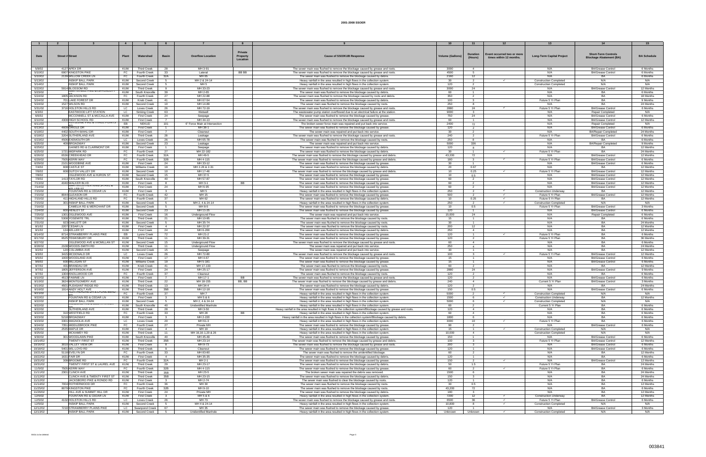|          |                                                 |            |                       |                         |                               | Private   |                                                                                                                 |                         |                         |                            |                                  |                                |                    |
|----------|-------------------------------------------------|------------|-----------------------|-------------------------|-------------------------------|-----------|-----------------------------------------------------------------------------------------------------------------|-------------------------|-------------------------|----------------------------|----------------------------------|--------------------------------|--------------------|
| Date     | <b>Street # Street</b>                          | Plant      | Watershed             | <b>Basin</b>            | <b>Overflow Location</b>      | Property  | Cause of SSO/KUB Response                                                                                       | <b>Volume (Gallons)</b> | <b>Duration</b>         | Event occurred two or more | <b>Long-Term Capital Project</b> | <b>Short-Term Controls</b>     | <b>BA Schedule</b> |
|          |                                                 |            |                       |                         |                               | Location  |                                                                                                                 |                         | (Hours)                 | times within 12 months.    |                                  | <b>Blockage Abatement (BA)</b> |                    |
|          |                                                 |            |                       |                         |                               |           |                                                                                                                 |                         |                         |                            |                                  |                                |                    |
|          |                                                 |            |                       |                         |                               |           |                                                                                                                 |                         |                         |                            |                                  |                                |                    |
| 5/9/02   | 4127 APEX DR                                    | KUW        | <b>Third Creek</b>    | -28                     | MH 3-91                       |           | The sewer main was flushed to remove the blockage caused by grease and roots.                                   | 3000                    | $\overline{4}$          |                            | N/A                              | <b>BA/Grease Control</b>       | 6 Months           |
| 5/10/02  | 6907 KINGSTON PIKE                              | FC         | Fourth Creek          | 33                      | Lateral                       | BB BB     | The sewer main was flushed to remove the blockage caused by grease and roots.                                   | 4500                    | 5                       |                            | N/A                              | <b>BA/Grease Control</b>       | 6 Months           |
| 5/10/02  | 2139 WILLOW CREEK LN                            | FC         | Fourth Creek          | 32A                     | MH 65                         |           | The sewer main was flushed to remove the blockage caused by debris.                                             | 2160                    | 12                      |                            | N/A                              | RA                             | 6 Months           |
| 5/13/02  | <b>INSKIP BALL PARK</b>                         | KUW        |                       | 5                       | MH 2 & 24-14                  |           | Heavy rainfall in the area resulted in high flows in the collection system                                      | 30                      |                         | $\checkmark$               | <b>Construction Completed</b>    | N/A                            | N/A                |
|          |                                                 |            | Second Creek          |                         |                               |           |                                                                                                                 |                         | $\overline{2}$          |                            |                                  |                                |                    |
| 5/14/02  | <b>INSKIP BALL PARK</b>                         | KUW        | Second Creek          | -5                      | MH <sub>5</sub>               |           | Heavy rainfall in the area resulted in high flows in the collection system                                      | 120                     | 2                       |                            | <b>Construction Completed</b>    | N/A                            | N/A                |
| 5/22/02  | 5914 BLOSSOM RD                                 | <b>KUW</b> | <b>Third Creek</b>    | -9                      | MH 33-23                      |           | The sewer main was flushed to remove the blockage caused by grease and roots.                                   | 3000                    | 24                      |                            | N/A                              | <b>BA/Grease Control</b>       | 12 Months          |
| 5/23/02  | ANTIN MILLI                                     | KUW        | South Knoxville       | 39                      | MH 2-65                       |           | The sewer main was flushed to remove the blockage caused by debris.                                             | 60                      | $\overline{1}$          |                            | N/A                              | <b>BA</b>                      | 6 Months           |
| 5/24/02  | 1805 JACKSON RD                                 | FC         | Fourth Creek          | 27                      | MH 22-88                      |           | The sewer main was flushed to remove the blockage caused by roots and debris.                                   | 350                     | $\overline{2}$          |                            | N/A                              | RA                             | 18 Months          |
| 5/24/02  | 701 LAKE FOREST DR                              | KUW        | Knob Creek            | 41                      | MH 67-54                      |           | The sewer main was flushed to remove the blockage caused by debris.                                             | 100                     | 3                       |                            | Future 5 Yr Plan                 | <b>RA</b>                      | 9 Months           |
|          |                                                 |            |                       |                         |                               |           |                                                                                                                 |                         |                         |                            |                                  |                                |                    |
| 5/24/02  | 1527 WILSON RD                                  | KUW        | Second Creek          | 10                      | MH 14-89                      |           | The sewer main was flushed to remove the blockage caused by roots.                                              | 250                     | 8                       |                            | N/A                              | <b>RA</b>                      | 24 Months          |
| 5/31/02  | 3716 HOLSTON HILLS RD                           | LC.        | oves Creek            | 26                      | MH 72-19                      |           | The sewer main was flushed to remove the blockage caused by grease and roots.                                   | 2880                    | 24                      | $\checkmark$               | Future 5 Yr Plan                 | <b>BA/Grease Control</b>       | 6 Months           |
| 6/3/02   | <b>EASTWOOD LIFT STATION</b>                    | LC         | <b>Sinking Creek</b>  | 63                      | Wetwell                       |           | The wastewater pump station overflowed due to an electrical failure at the station.                             | 9000                    | $\mathbf{3}$            |                            | N/A                              | <b>Repair Completed</b>        | N/A                |
| 6/6/02   | MCCONNELL ST & MCCALLA AVE                      | <b>KUW</b> | <b>First Creek</b>    | 24                      | Seepage                       |           | The sewer main was flushed to remove the blockage caused by grease.                                             | 750                     | 24                      |                            | N/A                              | <b>BA/Grease Control</b>       | 6 Months           |
|          | 4308 HIGH SCHOOL RD                             |            |                       | $\overline{7}$          |                               |           |                                                                                                                 |                         |                         |                            |                                  |                                |                    |
| 6/10/02  | UTLEDUE FINE &                                  | KUW        | <b>First Creek</b>    |                         | MH 44-13                      |           | The sewer main was flushed to remove the blockage caused by grease and roots                                    | 60                      | $\overline{1}$          |                            | N/A                              | <b>BA/Grease Control</b>       | 12 Months          |
| 6/11/02  |                                                 | EB         | <b>NEKUD</b>          | 101                     | 6" Force Main at Intersection |           | The broken sewer force main was repaired and put back into service.                                             | 2400                    | 72                      |                            | N/A                              | <b>Repair Completed</b>        | N/A                |
| 6/13/02  | 4609 ORIOLE DR                                  | KUW        | <b>First Creek</b>    | $\overline{1}$          | MH 38-1                       |           | The sewer main was flushed to remove the blockage caused by grease.                                             | 120                     |                         |                            | N/A                              | <b>BA/Grease Control</b>       | 6 Months           |
| 6/18/02  | 4402 SOUTH WAHLI DR                             | <b>KUW</b> | <b>First Creek</b>    | $\overline{7}$          | Cleanout                      |           | The sewer main was repaired and put back into service.                                                          | 30                      | $\overline{2}$          |                            | N/A                              | <b>BA/Repair Completed</b>     | 24 Months          |
| 6/18/02  | 3204 SUTHERLAND AVE                             | <b>KUW</b> | Third Creek           | 28                      | Leakage                       |           | The sewer main was flushed to remove the blockage caused by grease and roots.                                   | 240                     | 2                       |                            | Future 5 Yr Plan                 | <b>BA/Grease Control</b>       | 6 Months           |
| 6/23/02  | 4506 EXEMOUTH DR                                | LC         |                       | 26                      | MH 65-78                      |           |                                                                                                                 | 250                     | -8                      |                            | N/A                              | R <sub>L</sub>                 | 6 Months           |
|          |                                                 |            | Loves Creek           |                         |                               |           | The sewer main was flushed to remove the blockage caused by roots.                                              |                         |                         |                            |                                  |                                |                    |
| 6/25/02  | 409 BROADWAY                                    | KUW        | Second Creek          | 23                      | Leakage                       |           | The sewer main was repaired and put back into service.                                                          | 5000                    | 336                     |                            | N/A                              | <b>BA/Repair Completed</b>     | 9 Months           |
| 6/25/02  | GAINES RD & CLAIRMONT DR                        | KUW        | <b>First Creek</b>    | $\overline{1}$          | Seepage                       |           | The sewer main was flushed to remove the blockage caused by debris.                                             | 120                     | 8                       |                            | N/A                              | <b>RA</b>                      | 12 Months          |
| 6/25/02  | 1721 MIDPARK RD                                 | FC         | Fourth Creek          | 27                      | MH 22-182                     |           | The sewer main was flushed to remove the blockage caused by debris.                                             | 30                      | $\overline{1}$          | $\checkmark$               | Future 5 Yr Plan                 | RA                             | 24 Months          |
| 6/26/02  | 6536 CREEKHEAD DR                               | FC         | Fourth Creek          | 32A                     | MH 49-5                       |           | The sewer main was flushed to remove the blockage caused by grease and debris.                                  | 43,200                  | 72                      |                            | N/A                              | <b>BA/Grease Control</b>       | 12 Months          |
| 6/29/02  | 7505 KERRI WAY                                  |            | <b>Fourth Creek</b>   |                         | MH 4-115                      |           | The sewer main was flushed to remove the blockage caused by grease and debris.                                  | 180                     |                         |                            | Future 5 Yr Plan                 | <b>BA/Grease Control</b>       | 6 Months           |
|          |                                                 | FC         |                       | 32B                     |                               |           |                                                                                                                 |                         | 3                       |                            |                                  |                                |                    |
| 6/29/02  | 2101 WOODBINE AVE                               | KUW        | <b>First Creek</b>    | 24                      | MH 33-12                      |           | The sewer main was flushed to remove the blockage caused by grease                                              | 30                      | $\overline{1}$          |                            | N/A                              | <b>BA/Grease Control</b>       | 6 Months           |
| 7/4/02   | 608 CASTLE ST                                   | KUW        | <b>Williams Creek</b> | 19                      | MH 2-26 & 2-31                |           | The sewer main was flushed to remove the blockage caused by debris.                                             | -20                     | 0.67                    |                            | N/A                              | RA                             | 12 Months          |
| 7/6/02   | 608 DUTCH VALLEY DR                             | KUW        | Second Creek          | 10 <sup>1</sup>         | MH 17-46                      |           | The sewer main was flushed to remove the blockage caused by grease and debris                                   | 10                      | 0.25                    |                            | Future 5 Yr Plan                 | <b>BA/Grease Control</b>       | 12 Months          |
| 7/8/02   | OGLEWOOD AVE & HURON ST                         | KUW        | Second Creek          | 15                      | MH 37-5                       |           | The sewer main was flushed to remove the blockage caused by grease                                              | 10                      |                         |                            | N/A                              | <b>BA/Grease Control</b>       | 12 Months          |
| 7/9/02   | 1413 TAYLOR RD                                  |            |                       |                         | MH 57-87                      |           | The sewer main was flushed to remove the blockage caused by grease                                              |                         | 0.5                     |                            | N/A                              | <b>BA/Grease Control</b>       |                    |
|          |                                                 | KUW        | South Knoxville       | 40                      |                               |           |                                                                                                                 | 60                      | $\overline{2}$          |                            |                                  |                                | 12 Months          |
| 7/13/02  | 4040 WALKER BLVD                                | KUW        | <b>First Creek</b>    | <b>R</b>                | MH 3-1                        | <b>BB</b> | The sewer main was flushed to remove the blockage caused by grease                                              | 60                      | $\overline{2}$          |                            | N/A                              | <b>BA/Grease Control</b>       | 12 Months          |
| 7/14/02  | IARTIN LUTHER KING JR AVE 6<br><b>VELLED ST</b> | <b>KUW</b> | <b>First Creek</b>    | 24                      | MH 6-95                       |           | The sewer main was flushed to remove the blockage caused by grease                                              | 60                      | 2                       |                            | N/A                              | <b>BA/Grease Control</b>       | 12 Months          |
| 7/15/02  | FOUNTAIN RD & CEDAR LN                          | KUW        | <b>First Creek</b>    | $\overline{\mathbf{3}}$ | MH <sub>5</sub>               |           | Heavy rainfall in the area resulted in high flows in the collection system                                      | 250                     | $\overline{2}$          | $\checkmark$               | <b>Construction Underway</b>     | <b>BA</b>                      | 12 Months          |
| 7/15/02  | 8044 GLEASON DR                                 | FC         | Fourth Creek          | 42                      | MH 15                         |           | The sewer main was flushed to remove the blockage caused by grease                                              | 500                     | $\overline{2}$          | $\checkmark$               | Future 5 Yr Plan                 | <b>BA/Grease Control</b>       | 12 Months          |
|          |                                                 |            |                       |                         |                               |           |                                                                                                                 |                         |                         |                            |                                  |                                |                    |
| 7/15/02  | 411 HIGHLAND HILLS RD                           | FC         | Fourth Creek          | 37                      | MH 62                         |           | The sewer main was flushed to remove the blockage caused by debris.                                             | 10                      | 0.25                    | $\checkmark$               | Future 5 Yr Plan                 | <b>BA</b>                      | 12 Months          |
| 7/15/02  | 301 INSKIP BALL PARK                            | KUW        | Second Creek          | 5                       | MH 2, 4 & 24-14               |           | Heavy rainfall in the area resulted in high flows in the collection system.                                     | 250                     | 2                       | $\checkmark$               | <b>Construction Completed</b>    | N/A                            | N/A                |
| 7/16/02  | CAMELIA RD & MERCHANT DR                        | <b>KUW</b> | Second Creek          | 5                       | MH 8-5                        |           | The sewer main was flushed to remove the blockage caused by grease                                              | 10                      | 0.5                     |                            | Future 5 Yr Plan                 | <b>BA/Grease Control</b>       | 3 Months           |
| 7/24/02  | 600 HENLEY ST                                   | <b>KUW</b> | Second Creek          | 23                      | $\overline{MH}$ 11-25         |           | The sewer main was flushed to remove the blockage caused by grease.                                             | 120                     | $\overline{1}$          |                            | N/A                              | <b>BA/Grease Control</b>       | 6 Months           |
| 7/25/02  | 1301 OGLEWOOD AVE                               | KUW        | <b>First Creek</b>    | 16                      | Underground Flow              |           | The sewer main was repaired and put back into service.                                                          | 15,000                  |                         |                            | N/A                              | <b>Repair Completed</b>        | 6 Months           |
|          |                                                 |            |                       |                         |                               |           |                                                                                                                 |                         | 24                      |                            |                                  |                                |                    |
| 7/26/02  | 5308 YOSEMITE TRL                               | KUW        | <b>Third Creek</b>    | 21                      | MH 10-95                      |           | The sewer main was flushed to remove the blockage caused by roots.                                              | 15                      | $\overline{1}$          |                            | N/A                              | <b>BA</b>                      | 6 Months           |
| 7/31/02  | 923 OAKLETT DR                                  | KUW        | Second Creek          | - 5                     | MH 35-74                      |           | The sewer main was flushed to remove the blockage caused by roots.                                              | 30                      | $\overline{1}$          |                            | N/A                              | <b>BA</b>                      | 24 Months          |
| 8/1/02   | 2207 CEDAR LN                                   | KUW        | <b>First Creek</b>    | $\overline{4}$          | MH 22-37                      |           | The sewer main was flushed to remove the blockage caused by roots.                                              | 200                     | 12                      |                            | N/A                              | RA                             | 12 Months          |
| 8/1/02   | 124 KELLER ST                                   | KUW        | <b>First Creek</b>    | 24                      | MH 6-200                      |           | The sewer main was flushed to remove the blockage caused by debris.                                             | 250                     | $\overline{4}$          |                            | N/A                              | <b>BA</b>                      | 12 Months          |
|          |                                                 |            |                       |                         |                               |           |                                                                                                                 |                         |                         |                            |                                  |                                |                    |
| 8/14/02  | 8714 STRAWBERRY PLAINS PIKE                     | EB         | vons Creek            | 72                      | MH 21-2                       |           | The sewer main was flushed to remove the blockage caused by grease                                              | 120                     | $\overline{1}$          | $\checkmark$               | Future 5 Yr Plan                 | BA                             | 6 Months           |
| 8/17/02  | 6525 TEWKSBURY DR                               | KUW        | <b>Third Creek</b>    | 11                      | MH 39-31                      |           | The sewer main was flushed to remove the blockage caused by grease                                              | 120                     | 2                       |                            | Future 5 Yr Plan                 | <b>BA</b>                      | 36 Months          |
| 8/27/02  | OGLEWOOD AVE & MCMILLAN ST                      | KUW        | Second Creek          | 15                      | <b>Underground Flow</b>       |           | The sewer main was flushed to remove the blockage caused by grease and roots.                                   | 60                      | $\overline{4}$          |                            | N/A                              | <b>BA</b>                      | 6 Months           |
| 8/28/02  | 2108 WOODS-SMITH RD                             | KUW        | Third Creek           | 11                      | Underground Flow              |           | The sewer main was repaired and put back into service.                                                          | 250                     | $\overline{4}$          |                            | N/A                              | RA                             | 24 Months          |
| 9/2/02   | 120 COLUMBIA AVE                                | <b>KUW</b> | Second Creek          | 15                      |                               |           | The sewer main was repaired and put back into service.                                                          | 30                      | $\overline{1}$          |                            | N/A                              | RA                             | 12 Months          |
|          |                                                 |            |                       |                         | Seepage                       |           |                                                                                                                 |                         |                         |                            |                                  |                                |                    |
| 9/3/02   | 3415 MCDONALD DR                                | LC         | Loves Creek           | 26                      | MH 72-80                      |           | The sewer main was flushed to remove the blockage caused by grease and roots                                    | 100                     | $\overline{\mathbf{3}}$ |                            | Future 5 Yr Plan                 | <b>BA/Grease Control</b>       | 12 Months          |
| 9/5/02   | 1000 WOODLAND AVE                               | <b>KUW</b> | First Creek           | 17                      | MH 4-67                       |           | The sewer main was flushed to remove the blockage caused by grease.                                             | -15                     | $\overline{1}$          |                            | N/A                              | <b>BA/Grease Control</b>       | 6 Months           |
| 9/6/02   | 600 MILLIGAN ST                                 | KUW        | Williams Creek        | 19                      | MH 5-181                      |           | The sewer main was flushed to remove the blockage caused by grease                                              | 15                      | $\overline{1}$          |                            | N/A                              | <b>BA/Grease Control</b>       | 6 Months           |
| 9/7/02   | 401 BRANDAU DR                                  | KUW        | Knob Creek            | 41                      | MH 17-133                     |           | The sewer main was flushed to remove the blockage caused by roots.                                              | 60                      | $\overline{2}$          |                            | N/A                              | RA                             | 12 Months          |
|          |                                                 |            |                       |                         |                               |           |                                                                                                                 |                         |                         |                            | N/A                              |                                | 9 Months           |
| 9/7/02   | 1805 JEFFERSON AVE                              | KUW        | <b>First Creek</b>    | 24                      | MH 25-17                      |           | The sewer main was flushed to remove the blockage caused by grease                                              | 2880                    | 24                      |                            |                                  | <b>BA/Grease Control</b>       |                    |
| 9/7/02   | 1304 KNOLLWOOD CIR                              | FC         | Fourth Creek          | 37                      | Cleanout                      |           | The sewer main was flushed to remove the blockage caused by roots.                                              | 120                     | $\overline{2}$          |                            | N/A                              | <b>RA</b>                      | 6 Months           |
| 9/10/02  | 4513 FAWNIE LN                                  | KUW        | <b>First Creek</b>    | $\overline{7}$          | MH 17-1                       | <b>BB</b> | The sewer main was flushed to remove the blockage caused by grease and roots.                                   | 120                     | $\overline{2}$          |                            | N/A                              | <b>BA/Grease Control</b>       | 6 Months           |
| 9/10/02  | 3624 MONTGOMERY AVE                             | KUW        | Third Creek           | 22                      | MH 18-155                     | BB, BB    | The sewer main was flushed to remove the blockage caused by grease and debris                                   | 240                     | $\overline{4}$          |                            | Current 5 Yr Plan                | <b>BA/Grease Control</b>       | 3 Months           |
| 9/10/02  | 4501 PLEASANT RIDGE RD                          | <b>KUW</b> | Third Creek           | 13                      | MH 34-4                       |           | The sewer main was flushed to remove the blockage caused by debris.                                             | 120                     | 2                       |                            | N/A                              | RA                             | 24 Months          |
|          | 1914 ANDY HOLT AVE                              |            |                       |                         |                               |           |                                                                                                                 |                         |                         |                            |                                  |                                |                    |
| 9/16/02  | URTHSHURE DR & LTUINS BEINL                     | KUW        | <b>Third Creek</b>    | 35B                     | MH 12-18                      |           | The sewer main was flushed to remove the blockage caused by grease                                              | 150                     | 0.5                     |                            | N/A                              | <b>BA/Grease Control</b>       | 6 Months           |
| 9/21/02  |                                                 | FC         | Fourth Creek          | 37                      | MH <sub>7</sub>               |           | Heavy rainfall in the area resulted in high flows in the collection system.                                     | 5000                    | $\overline{2}$          | $\checkmark$               | <b>Construction Completed</b>    | N/A                            | N/A                |
| 9/22/02  | FOUNTAIN RD & CEDAR LN                          | KUW        | <b>First Creek</b>    |                         | MH 5 & 6                      |           | Heavy rainfall in the area resulted in high flows in the collection system                                      | 1500                    |                         |                            | <b>Construction Underway</b>     |                                | 12 Months          |
| 9/22/02  | <b>INSKIP BALL PARK</b>                         | KUW        | Second Creek          | 5                       | MH 2, 4 & 24-14               |           | Heavy rainfall in the area resulted in high flows in the collection system                                      | 5000                    | 6                       | $\checkmark$               | <b>Construction Completed</b>    | N/A                            | N/A                |
| 9/22/02  | viuuluivu ave & juu<br><b>HTMVEN</b>            | <b>KUW</b> | South Knoxville       | 40                      | <b>Unidentified Manhole</b>   |           | Heavy rainfall in the area resulted in high flows in the collection system                                      | 60                      | 2                       |                            | Current 5 Yr Plan                | <b>BA</b>                      | 6 Months           |
| 9/22/02  | SUTHERLAND AVE                                  | <b>KUW</b> | <b>Third Creek</b>    | 28                      | MH 3-50                       |           | Heavy rainfall in the area resulted in high flows in the collection system/Blockage caused by grease and roots. | 120                     | $\overline{4}$          |                            | N/A                              | BA                             | 6 Months           |
|          |                                                 |            |                       |                         |                               |           |                                                                                                                 |                         |                         |                            | N/A                              | BA                             |                    |
| 9/22/02  | 310 WESTFIELD RD                                | FC         | Fourth Creek          | 33                      | MH 28                         | <b>BB</b> | Heavy rainfall in the area resulted in high flows in the collection system.                                     | 60                      | $\overline{4}$          |                            |                                  |                                | 6 Months           |
| 9/23/02  | 5218 BROADWAY                                   | <b>KUW</b> | First Creek           | $3^{\circ}$             | MH 2-220                      |           | Heavy rainfall in the area resulted in high flows in the collection system/Blockage caused by debris.           | 1800                    | 6                       |                            | N/A                              | <b>BA</b>                      | 6 Months           |
| 9/23/02  | 3301 MAGNOLIA AVE                               | LC         | Loves Creek           | 20                      | MH 61-3                       |           | Heavy rainfall in the area resulted in high flows in the collection system.                                     | 3000                    | 10                      | $\checkmark$               | Future 5 Yr Plan                 | RA                             | 6 Months           |
| 9/24/02  | 7351 MIDDLEBROOK PIKE                           | FC         | Fourth Creek          | 27                      | Private MH                    |           | The sewer main was flushed to remove the blockage caused by grease.                                             | 90                      | 2                       |                            | N/A                              | <b>BA/Grease Control</b>       | 6 Months           |
| 9/25/02  | 2535 MAPLE DR                                   | <b>KUW</b> | First Creek           | $\overline{4}$          | MH 19                         |           | Heavy rainfall in the area resulted in high flows in the collection system.                                     | 15                      | $\overline{1}$          | $\checkmark$               | <b>Construction Completed</b>    | N/A                            | N/A                |
|          |                                                 |            |                       |                         |                               |           |                                                                                                                 |                         |                         |                            |                                  |                                |                    |
| 9/25/02  | <b>MCKAMEY RD</b>                               | <b>KUW</b> | Third Creek           | 11                      | MH 16,16-1,20 & 26            |           | Heavy rainfall in the area resulted in high flows in the collection system.                                     | 10,000                  | $\overline{4}$          |                            | <b>Construction Completed</b>    | N/A                            | N/A                |
| 9/30/02  | 301 WOODLAWN PIKE                               | KUW        | South Knoxville       | 40                      | MH 45-49                      |           | The sewer main was flushed to remove the blockage caused by grease.                                             | 150                     | $\overline{1}$          |                            | N/A                              | <b>BA/Grease Control</b>       | 6 Months           |
| 10/14/02 | <b>TWENTY FIRST ST</b>                          | KUW        | Third Creek           | 35B                     | MH 23-14                      |           | The sewer main was flushed to remove the blockage caused by grease and debris.                                  | 100                     | 3                       |                            | Future 5 Yr Plan                 | <b>BA/Grease Control</b>       | 12 Months          |
| 10/16/02 | 3010 VALLEY VIEW DR                             | <b>KUW</b> | First Creek           | -8                      | MH 9-73                       |           | The sewer main was flushed to remove the blockage caused by grease and roots.                                   | 200                     | $\overline{\mathbf{3}}$ |                            | N/A                              | <b>BA/Grease Control</b>       | 6 Months           |
| 10/18/02 | 5401 WIL-LOYD RD                                | <b>KUW</b> | <b>Third Creek</b>    | 9                       | Cleanout                      |           | The sewer main was flushed to remove the blockage caused by grease.                                             | 120                     | $\overline{1}$          |                            | N/A                              | <b>BA/Grease Control</b>       | 6 Months           |
| 10/21/02 | 5118 EVELYN DR                                  |            |                       |                         |                               |           |                                                                                                                 |                         | 2                       |                            | N/A                              | <b>BA</b>                      |                    |
|          |                                                 | FC         | Fourth Creek          | 33                      | MH 83-80                      |           | The sewer main was flushed to remove the unidentified blockage.                                                 | 60                      |                         |                            |                                  |                                | 12 Months          |
| 10/22/02 | 1631 FAIR DR                                    | <b>KUW</b> | <b>First Creek</b>    | $\overline{4}$          | MH 35-35                      |           | The sewer main was flushed to remove the blockage caused by debris.                                             | 120                     | $\blacksquare$          |                            | N/A                              | RA                             | 6 Months           |
| 10/31/02 | 309 BROOME RD                                   | FC 1       | Fourth Creek          | 32A                     | MH 2-1                        |           | The sewer main was flushed to remove the blockage caused by grease.                                             | 150                     | $\overline{2}$          | $\checkmark$               | N/A                              | <b>BA/Grease Control</b>       | 12 Months          |
| 10/31/02 | TWENTY FIRST ST & LAUREL AVE                    | KUW        | <b>Third Creek</b>    | 29                      | MH 23-17                      |           | The sewer main was flushed to remove the blockage caused by debris.                                             | 50                      | 1.5                     |                            | Future 5 Yr Plan                 | BA                             | 24 Months          |
| 11/5/02  | 7505 KERRI WAY                                  | FC         | Fourth Creek          | 32B                     | MH 4-115                      |           | The sewer main was flushed to remove the blockage caused by grease.                                             | 60                      | 2                       |                            | Future 5 Yr Plan                 | BA                             | 6 Months           |
| 11/11/02 |                                                 |            |                       |                         |                               |           |                                                                                                                 |                         |                         |                            |                                  |                                |                    |
|          | 2301 CLINCH AVE                                 | <b>KUW</b> | <b>Third Creek</b>    | 35B                     | MH 23-5                       |           | The broken sewer main was repaired the debris was removed.                                                      | 1500                    | 6                       |                            | N/A                              | <b>BA</b>                      | 24 Months          |
| 11/12/02 | CLINCH AVE & TWENTY FIRST ST                    | <b>KUW</b> | Third Creek           | 35B                     | MH 23-15                      |           | The sewer main was flushed to remove the blockage caused by debris.                                             | 150                     | $\overline{\mathbf{3}}$ |                            | N/A                              | <b>BA</b>                      | 24 Months          |
| 11/12/02 | JACKSBORO PIKE & RONDO RD                       | KUW        | <b>First Creek</b>    | $\mathbf{3}$            | MH 2-74                       |           | The sewer main was flushed to clear the blockage caused by roots.                                               | 120                     | $\overline{1}$          |                            | N/A                              | <b>BA</b>                      | 6 Months           |
| 11/14/02 | 7004 ROTHERWOOD DR                              | FC         | Fourth Creek          | 36                      | MH 30                         |           | The sewer main was flushed to remove the blockage caused by roots.                                              | 30                      | 0.5                     |                            | N/A                              | <b>BA</b>                      | 12 Months          |
| 11/25/02 | 8079 KINGSTON PIKE                              | FC .       | Fourth Creek          | 32B                     | MH 9-10                       |           | The sewer main was flushed to remove the blockage caused by roots.                                              | 43,200                  | 72                      |                            | N/A                              | <b>RA</b>                      | 6 Months           |
| 11/26/02 | HILL AVE & SUMMIT HILL DR                       | KUW        |                       | 24                      | Private MH                    |           | The sewer main was flushed to remove the blockage caused by debris.                                             | 180                     | $\mathbf{3}$            |                            | N/A                              | <b>BA</b>                      | 12 Months          |
|          |                                                 |            | <b>First Creek</b>    |                         |                               |           |                                                                                                                 |                         |                         |                            |                                  |                                |                    |
| 12/5/02  | FOUNTAIN RD & CEDAR LN                          | KUW        | <b>First Creek</b>    | $\mathbf{3}$            | MH 5 & 6                      |           | Heavy rainfall in the area resulted in high flows in the collection system.                                     | 7200                    | 12                      | $\checkmark$               | <b>Construction Underway</b>     | <b>BA</b>                      | 12 Months          |
| 12/5/02  | 4102 HOLSTON HILLS RD                           | LC         | Loves Creek           | -26                     | MH 73                         |           | The sewer main was flushed to remove the blockage caused by grease and roots.                                   | 6500                    | 36                      | $\checkmark$               | Future 5 Yr Plan                 | <b>BA/Grease Control</b>       | 6 Months           |
| 12/5/02  | <b>INSKIP BALL PARK</b>                         | <b>KUW</b> | Second Creek          | 5                       | MH 4 & 24-14                  |           | Heavy rainfall in the area resulted in high flows in the collection system.                                     | 10.800                  | -8                      | $\checkmark$               | <b>Construction Completed</b>    | N/A                            | N/A                |
| 12/12/02 | 7210 STRAWBERRY PLAINS PIKE                     | LC         | Swanpond Creek        | 67                      | MH 35                         |           | The sewer main was flushed to remove the blockage caused by grease.                                             | 120                     | $\overline{1}$          |                            | N/A                              | <b>BA/Grease Control</b>       | 3 Months           |
| 12/13/02 | <b>INSKIP BALL PARK</b>                         | KUW        | Second Creek          | 5                       | Unidentified Manhole          |           | Heavy rainfall in the area resulted in high flows in the collection system.                                     | Unknown                 | Unknown                 | $\checkmark$               | <b>Construction Completed</b>    | N/A                            | N/A                |
|          |                                                 |            |                       |                         |                               |           |                                                                                                                 |                         |                         |                            |                                  |                                |                    |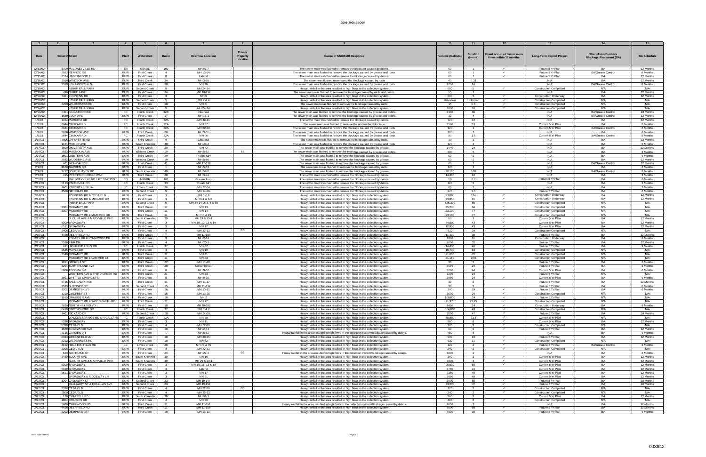|                    |                               |            |                    |                |                           | Private         |                                                                                                                                            |                        | <b>Duration</b> | Event occurred two or more |                                  | <b>Short-Term Controls</b>     |                    |
|--------------------|-------------------------------|------------|--------------------|----------------|---------------------------|-----------------|--------------------------------------------------------------------------------------------------------------------------------------------|------------------------|-----------------|----------------------------|----------------------------------|--------------------------------|--------------------|
| Date               | <b>Street # Street</b>        | Plant      | Watershed          | <b>Basin</b>   | <b>Overflow Location</b>  | <b>Property</b> | <b>Cause of SSO/KUB Response</b>                                                                                                           | <b>Volume (Gallons</b> | (Hours)         | times within 12 months.    | <b>Long-Term Capital Project</b> | <b>Blockage Abatement (BA)</b> | <b>BA Schedule</b> |
|                    |                               |            |                    |                |                           | Location        |                                                                                                                                            |                        |                 |                            |                                  |                                |                    |
|                    |                               |            |                    |                |                           |                 |                                                                                                                                            |                        |                 |                            |                                  |                                |                    |
| 12/13/02           | 5109 MALONEYVILLE RD          | FB.        | NEKUD              | 101            | MH 93-7                   |                 | The sewer main was flushed to remove the blockage caused by debris.                                                                        | 60                     | $\blacksquare$  | $\checkmark$               | Future 5 Yr Plan                 | BA                             | 12 Months          |
| 12/14/02           | 2922 RENNOC RD                | <b>KUW</b> | <b>First Creek</b> | $\overline{4}$ | MH 13-64                  |                 | The sewer main was flushed to remove the blockage caused by grease and roots                                                               | 60                     | $\overline{1}$  | $\checkmark$               | Future 5 Yr Plan                 | <b>BA/Grease Control</b>       | 6 Months           |
| 12/15/02           | 2524 UNDERWOOD PL             | KUW        | <b>First Creek</b> | 8              | Lateral                   |                 | The sewer main was flushed to remove the blockage caused by debris.                                                                        | -60                    | $\mathbf{1}$    | $\checkmark$               | Future 5 Yr Plan                 | <b>BA</b>                      | 12 Months          |
| 12/16/02           | 3918 WINDSOR AVE              | KUW        | <b>Third Creek</b> | 34             | MH 3-55                   |                 | The sewer was flushed to removed the blockage caused by roots                                                                              | 40                     | 0.33            |                            | N/A                              | <b>BA</b>                      | 12 Months          |
| 12/17/02           | 3319 KENILWORTH LN            | KUW        | <b>First Creek</b> | 18             | MH 70                     |                 | The sewer main was flushed to remove the blockage caused by grease and roots                                                               | 7200                   | 24              |                            | N/A                              | <b>BA/Grease Control</b>       | 6 Months           |
| 12/19/02           | <b>INSKIP BALL PARK</b>       | <b>KUW</b> | Second Creek       |                | MH 24-14                  |                 |                                                                                                                                            | 600                    | -5              | $\checkmark$               | <b>Construction Completed</b>    | N/A                            | N/A                |
|                    |                               |            |                    | -5             |                           |                 | Heavy rainfall in the area resulted in high flows in the collection system.                                                                |                        |                 |                            |                                  |                                |                    |
| 12/19/02           | 746 N FIFTH AVE               | KUW        | <b>First Creek</b> | 24             | MH 18-117                 |                 | The sewer main was flushed to remove the blockage caused by roots and debris                                                               | 15                     | $\overline{1}$  |                            | N/A                              | <b>BA</b>                      | 12 Months          |
| 12/20/02           | 5301 FOUNTAIN RD              | <b>KUW</b> | <b>First Creek</b> | $\mathbf{3}$   | MH <sub>6</sub>           |                 | Heavy rainfall in the area resulted in high flows in the collection system.                                                                | 600                    | 5               | $\checkmark$               | <b>Construction Underway</b>     | <b>BA</b>                      | 12 Months          |
| 12/20/02           | <b>INSKIP BALL PARK</b>       | KUW        | Second Creek       | -5             | MH 2 & 4                  |                 | Heavy rainfall in the area resulted in high flows in the collection system.                                                                | Unknown                | Unknown         | $\checkmark$               | <b>Construction Completed</b>    | N/A                            | N/A                |
| 12/20/02           | 3200 WILDERNESS RD            | <b>KUW</b> | <b>First Creek</b> | 18             | MH 51                     |                 | The sewer main was flushed to remove the blockage caused by roots.                                                                         | 15                     | 0.5             | $\checkmark$               | <b>Construction Completed</b>    | N/A                            | N/A                |
| 12/24/02           | <b>INSKIP BALL PARK</b>       | KUW        | Second Creek       | -5             | MH 24-14                  |                 | Heavy rainfall in the area resulted in high flows in the collection system                                                                 | 1800                   | 10 <sup>1</sup> |                            | <b>Construction Completed</b>    | N/A                            | N/A                |
| 12/26/02           | 8401 KINGSTON PIKE            | FC         | Fourth Creek       | 32B            | Cleanout                  |                 | The sewer main was flushed to remove the blockage caused by grease and debris.                                                             | 2160                   | 36              |                            | N/A                              | <b>BA/Grease Control</b>       | 18 Months          |
| 12/30/02           | 1629 LUCK AVE                 | KUW        | <b>First Creek</b> | 17             | MH 11-1                   |                 | The sewer main was flushed to remove the blockage caused by grease and debris.                                                             | 12                     | $\overline{4}$  |                            | N/A                              | <b>BA/Grease Control</b>       | 12 Months          |
| 1/3/03             | 1424 MARCONI DR               | FC.        | Fourth Creek       | 32A            | MH 49-11                  |                 | The sewer main was flushed to remove the blockage caused by debris.                                                                        | 720                    | 12              |                            | N/A                              | <b>BA</b>                      | 12 Months          |
| 1/6/03             | 2644 CHUKAR RD                | FC         | Fourth Creek       | 32A            | MH 67                     |                 | The sewer main was flushed to remove the unidentified blockage                                                                             | 1560                   | 13              |                            | Current 5 Yr Plan                | <b>BA</b>                      | 6 Months           |
|                    |                               |            |                    | 32A            | MH 69-30                  |                 |                                                                                                                                            | 120                    | $\overline{1}$  |                            |                                  |                                | 6 Months           |
| 1/7/03             | 2624 CHUKAR RD                | FC         | Fourth Creek       |                |                           |                 | The sewer main was flushed to remove the blockage caused by grease and roots                                                               |                        |                 |                            | Current 5 Yr Plan                | <b>BA/Grease Contro</b>        |                    |
| 1/7/03             | 3918 WINDSOR AV               | KUW        | <b>Third Creek</b> | 28             | MH 3-55                   |                 | The sewer main was flushed to remove the blockage caused by grease and roots                                                               | 180                    | $\mathbf{3}$    |                            | N/A                              | BA                             | 6 Months           |
| 1/8/03             | 2644 CHUKAR RD                | FC .       | Fourth Creek       | 32A            | MH 66                     |                 | The sewer main was flushed to remove the blockage caused by grease and roots                                                               | 90                     | 1.5             |                            | Current 5 Yr Plan                | <b>BA/Grease Control</b>       | 6 Months           |
| 1/10/03            | 3005 LAFAYETTE RD             | KUW        | <b>Third Creek</b> | $\mathbf{Q}$   | Cleanout                  |                 | The sewer main was flushed to remove the blockage caused by roots.                                                                         | 10                     | $\overline{1}$  |                            | N/A                              | RA                             | 12 Months          |
| 1/10/03            | 1121 MOODY AVE                | KUW        | South Knoxville    | 40             | MH 40-4                   |                 | The sewer main was flushed to remove the blockage caused by grease and roots                                                               | 120                    |                 |                            | N/A                              | <b>BA</b>                      | 6 Months           |
| 1/17/03            | 1600 UNIVERSITY AVE           | KUW        | <b>Third Creek</b> | 29             | MH 42                     |                 | The sewer main was flushed to remove the blockage caused by grease                                                                         | 1440                   | 24              |                            | N/A                              | <b>BA</b>                      | 12 Months          |
| 1/24/03            | 2833 MAGNOLIA AVE             | KUW        | Williams Creek     | 19             | MH 5-52                   | <b>BB</b>       | The sewer main was flushed to remove the blockage caused by grease and debris.                                                             | 600                    | -5              |                            | N/A                              | RA                             | 3 Months           |
| 1/24/03            | 1801 WESTERN AVE              | <b>KUW</b> | <b>Third Creek</b> | 29             | Private MH                |                 | The sewer main was flushed to remove the blockage caused by grease.                                                                        | 60                     | $\overline{1}$  |                            | N/A                              | <b>BA</b>                      | 6 Months           |
| 1/26/03            | 3032 WOODBINE AVE             | KUW        | Williams Creek     | 19             | MH 5-86                   |                 | The sewer main was flushed to remove the blockage caused by grease.                                                                        | -60                    | $\overline{1}$  |                            | N/A                              | BΑ                             | 12 Months          |
| 1/31/03            | 401 BRANDAU DR                | KUW        | Knob Creek         | 41             | MH 17-137                 |                 | The sewer main was flushed to remove the blockage caused by grease.                                                                        | 60                     | $\overline{1}$  |                            | N/A                              | <b>BA/Grease Control</b>       | 12 Months          |
| 2/1/03             | 4108 GARDEN DR                | KUW        | <b>First Creek</b> | $\blacksquare$ | MH 5-51                   |                 | The sewer main was flushed to remove the blockage caused by roots.                                                                         | 120                    | $\overline{1}$  |                            | N/A                              |                                | 6 Months           |
| 2/1/03             | 3712 SOUTH HAVEN RD           | <b>KUW</b> | South Knoxville    | 40             | MH 57-6                   |                 | The sewer main was flushed to remove the blockage caused by grease.                                                                        | 20.160                 | 168             |                            | N/A                              | <b>BA/Grease Control</b>       | 6 Months           |
| 2/4/03             | 415 PRESTWICK RIDGE WAY       | KUW        | <b>Third Creek</b> | 28             | MH 3-74                   |                 | The sewer main was flushed to remove the blockage caused by debris.                                                                        | 14.400                 | 24              |                            | N/A                              | <b>BA</b>                      | 3 Months           |
|                    | MALONEYVILLE RD LIFT STATION  | EB.        | NEKUD              | 101            |                           |                 |                                                                                                                                            | 50                     | 0.2             |                            | Future 5 Yr Plan                 | RA                             | 6 Months           |
| 2/5/03<br>2/11/03  | 5113 PAPERMILL RD             | <b>FC</b>  | Fourth Creek       | 33             | Grease Trap<br>Private MH |                 | The sewer main was flushed to remove the blockage caused by debris.<br>The sewer main was flushed to remove the blockage caused by debris. | 120                    | $\overline{2}$  |                            | N/A                              | BA                             | 3 Months           |
|                    |                               |            |                    |                |                           |                 |                                                                                                                                            |                        |                 |                            |                                  |                                |                    |
| 2/11/03            | 1601 ROBERT HUFF LN           | LC         | Loves Creek        | 26             | MH 72-64                  |                 | The sewer main was flushed to remove the blockage caused by debris.                                                                        | 60                     | $\sim$          |                            | N/A                              | RA                             | 3 Months           |
| 2/12/03            | 4500 NICHOLAS RD              | KUW        | Second Creek       | 5              | MH 14-28                  |                 | The sewer main was flushed to remove the blockage caused by debris.                                                                        | 270                    | 1.5             |                            | Future 5 Yr Plan                 | BA                             | 6 Months           |
| 2/14/03            | FOUNTAIN RD & CEDAR LN        | KUW        | <b>First Creek</b> |                | MH 5 & 6                  |                 | Heavy rainfall in the area resulted in high flows in the collection system.                                                                | 93,000                 | 124             | $\checkmark$               | <b>Construction Underway</b>     | <b>BA</b>                      | 12 Months          |
| 2/14/03            | FOUNTAIN RD & MIDLAKE DR      | KUW        | <b>First Creek</b> | $\overline{3}$ | MH 6-1 & 6-2              |                 | Heavy rainfall in the area resulted in high flows in the collection system.                                                                | 23,850                 | 91              | $\checkmark$               | <b>Construction Underway</b>     | BA                             | 12 Months          |
| 2/14/03            | <b>INSKIP BALL PARK</b>       | KUW        | Second Creek       | 5              | MH 24-14, 2, 3, 4 & 58    |                 | Heavy rainfall in the area resulted in high flows in the collection system                                                                 | 525,300                | 85              | $\checkmark$               | <b>Construction Completed</b>    | N/A                            | N/A                |
| 2/14/03            | 3301 MCKAMEY RD               | KUW        | Third Creek        | 11             | MH 13                     |                 | Heavy rainfall in the area resulted in high flows in the collection system                                                                 | 25,200                 | 84              | $\checkmark$               | <b>Construction Completed</b>    | N/A                            | N/A                |
| 2/14/03            | 3307 MCKAMEY RD               | KUW        | Third Creek        | 11             | MH 14                     |                 | Heavy rainfall in the area resulted in high flows in the collection system                                                                 | 23,100                 | 77              | $\checkmark$               | <b>Construction Completed</b>    | N/A                            | N/A                |
| 2/14/03            | MCKAMEY RD & MATLOCK DR       | KUW        | Third Creek        | 11             | MH 18 & 19                |                 | Heavy rainfall in the area resulted in high flows in the collection system                                                                 | 23,100                 | 77              | $\checkmark$               | <b>Construction Completed</b>    | N/A                            | N/A                |
| 2/15/03            | BLOUNT AVE & MARYVILLE PIKE   | KUW        | South Knoxville    | 39             | MH 29 & 29-1              |                 | Heavy rainfall in the area resulted in high flows in the collection system                                                                 | 60                     | $\overline{2}$  | $\checkmark$               | Current 5 Yr Plan                | <b>BA</b>                      | 12 Months          |
| 2/15/03            | 5300 BROADWAY                 | KUW        | <b>First Creek</b> | $\overline{3}$ | MH 10, 12, 13 & 14        |                 | Heavy rainfall in the area resulted in high flows in the collection system.                                                                | 64.500                 | 43              | $\checkmark$               | Current 5 Yr Plan                | <b>BA</b>                      | 12 Months          |
| 2/15/03            | 5511 BROADWAY                 | KUW        | <b>First Creek</b> | $\mathbf{3}$   | MH 17                     |                 | Heavy rainfall in the area resulted in high flows in the collection system.                                                                | 12,900                 | 43              | $\checkmark$               | Current 5 Yr Plan                | <b>BA</b>                      | 12 Months          |
| 2/15/03            | 2406 CEDAR LN                 | KUW        | <b>First Creek</b> | $\overline{4}$ | MH 22-13                  | BB              | Heavy rainfall in the area resulted in high flows in the collection system.                                                                | 510                    | 34              | $\checkmark$               | <b>Construction Completed</b>    | N/A                            | N/A                |
| 2/15/03            | 4428 DEERFIELD RD             | <b>KUW</b> | <b>Third Creek</b> | 11             | MH 11-158                 |                 | Heavy rainfall in the area resulted in high flows in the collection system                                                                 | 11.400                 | 38              | $\checkmark$               | Future 5 Yr Plan                 | <b>BA</b>                      | 12 Months          |
| 2/15/03            | ESSARY DR & LYNNWOOD DR       | KUW        | <b>First Creek</b> | $\mathbf{3}$   | MH 2-14                   |                 | Heavy rainfall in the area resulted in high flows in the collection system.                                                                | 1830                   | 61              | $\checkmark$               | <b>Construction Underway</b>     | BA                             | 6 Months           |
| 2/15/03            | 2538 FAIR DR                  | KUW        | <b>First Creek</b> | $\overline{4}$ | MH 20-1                   |                 | Heavy rainfall in the area resulted in high flows in the collection system.                                                                | 9600                   | 32              | $\checkmark$               | Future 5 Yr Plan                 | <b>BA</b>                      | 12 Months          |
|                    |                               |            |                    |                |                           |                 |                                                                                                                                            |                        |                 | $\checkmark$               |                                  | <b>BA</b>                      |                    |
| 2/15/03            | 411 HIGHLAND HILLS RD         | FC         | Fourth Creek       | 37             | MH 62                     |                 | Heavy rainfall in the area resulted in high flows in the collection system.                                                                | 14,400                 | 48              |                            | Future 5 Yr Plan                 |                                | 9 Months           |
| 2/15/03            | 2535 MAPLE DR                 | <b>KUW</b> | <b>First Creek</b> | $\overline{4}$ | MH 19                     |                 | Heavy rainfall in the area resulted in high flows in the collection system.                                                                | 18.700                 | 63              | $\checkmark$               | <b>Construction Completed</b>    | N/A                            | N/A                |
| 2/15/03            | 3540 MCKAMEY RD               | KUW        | <b>Third Creek</b> | 11             | MH 21                     |                 | Heavy rainfall in the area resulted in high flows in the collection system.                                                                | 21,600                 | 72              | $\checkmark$               | <b>Construction Completed</b>    | N/A                            | N/A                |
| 2/15/03            | MCKAMEY RD & LARIMER ST       | KUW        | <b>Third Creek</b> | 11             | MH 23                     |                 | Heavy rainfall in the area resulted in high flows in the collection system.                                                                | 21.150                 | 70.5            | $\checkmark$               | <b>Construction Completed</b>    | N/A                            | N/A                |
| 2/15/03            | 1811 STERCHI ST               | <b>KUW</b> | Third Creek        | 22             | MH 11-48                  |                 | Heavy rainfall in the area resulted in high flows in the collection system                                                                 | 30                     |                 | $\checkmark$               | Future 5 Yr Plan                 | BA                             | 6 Months           |
| 2/15/03            | 3204 SUTHERLAND AVE           | KUW        | <b>Third Creek</b> | 28             | Unnumbered                |                 | Heavy rainfall in the area resulted in high flows in the collection system.                                                                | 5670                   | 24              | $\checkmark$               | Future 5 Yr Plan                 | <b>BA</b>                      | 6 Months           |
| 2/15/03            | 2808 TECOMA DR                | KUW        | <b>First Creek</b> | -8             | MH 9-52                   |                 | Heavy rainfall in the area resulted in high flows in the collection system                                                                 | 5280                   | 44              |                            | Current 5 Yr Plan                | <b>BA</b>                      | 6 Months           |
| 2/15/03            | WESTERN AVE & THIRD CREEK RD  | KUW        | <b>Third Creek</b> | 21             | MH 33                     |                 | Heavy rainfall in the area resulted in high flows in the collection system.                                                                | 7200                   | 24              |                            | Future 5 Yr Plan                 | N/A                            | N/A                |
| 2/15/03            | 3501 WHITTLE SPRINGS RD       | KUW        | <b>First Creek</b> | 8              | MH 9-35                   |                 | Heavy rainfall in the area resulted in high flows in the collection system.                                                                | 2880                   | 24              | $\checkmark$               | Current 5 Yr Plan                | <b>BA</b>                      | 6 Months           |
| 2/16/03            | 5715 BALL CAMP PIKE           | KUW        | <b>Third Creek</b> | 11             | MH 11-17                  |                 | Heavy rainfall in the area resulted in high flows in the collection system.                                                                | 30                     | 2               |                            | Future 5 Yr Plan                 | BA                             | 12 Months          |
| 2/16/03            | 2523 BURNSIDE ST              | KUW        | Second Creek       | 15             | MH 21-112                 |                 | Heavy rainfall in the area resulted in high flows in the collection system                                                                 | -30                    |                 |                            | Future 5 Yr Plan                 | <b>RA</b>                      | 6 Months           |
| 2/16/03            | 3202 DEMPSTER ST              | KUW        | <b>First Creek</b> | 16             | MH 13-11                  |                 | Heavy rainfall in the area resulted in high flows in the collection system                                                                 | 300                    | 19              | $\checkmark$               | Future 5 Yr Plan                 | <b>BA</b>                      | 6 Months           |
| 2/16/03            | 3219 GODFREY ST               | KUW        | <b>First Creek</b> | 16             | MH 13-25                  |                 | Heavy rainfall in the area resulted in high flows in the collection system.                                                                | 3600                   | 24              | $\checkmark$               | <b>Construction Completed</b>    | N/A                            | N/A                |
| 2/16/03            | 1515 GRAINGER AVE             | KUW        | <b>First Creek</b> | 18             | MH <sub>2</sub>           |                 | Heavy rainfall in the area resulted in high flows in the collection system.                                                                | 108,000                | 24              |                            | Future 5 Yr Plan                 | N/A                            | N/A                |
| 2/16/03            | MCKAMEY RD & WOOD-SMITH RD    | KUW        | <b>Third Creek</b> | 11             | MH 27                     |                 | Heavy rainfall in the area resulted in high flows in the collection system.                                                                | 21,375                 | 71.25           | $\checkmark$               | <b>Construction Completed</b>    | N/A                            | N/A                |
| 2/16/03            | 2820 NORTH HILLS BLVD         | KUW        | <b>First Creek</b> | 18             | MH 30-102                 |                 | Heavy rainfall in the area resulted in high flows in the collection system.                                                                | 8400                   | 14              | $\checkmark$               | <b>Construction Underway</b>     | <b>BA</b>                      | 6 Months           |
|                    |                               |            |                    |                |                           |                 |                                                                                                                                            |                        |                 | $\checkmark$               |                                  |                                |                    |
| 2/16/03            | 6410 NORTHSHORE DR            | <b>FC</b>  | Fourth Creek       | 37             | MH 6 & 7                  |                 | Heavy rainfall in the area resulted in high flows in the collection system.                                                                | 864,000                | 48              |                            | <b>Construction Completed</b>    | N/A                            | N/A                |
| 2/16/03            | 1401 RICKARD DR               | KUW        | Second Creek       | 10             | MH 14-69                  |                 | Heavy rainfall in the area resulted in high flows in the collection system.                                                                | 7050                   | 47              | $\checkmark$               | Future 5 Yr Plan                 | BA                             | 24 Months          |
| 2/16/03            | WALKER SPRINGS RD & N GALLAHE | <b>FC</b>  | Fourth Creek       | 32A            | MH 78                     |                 | Heavy rainfall in the area resulted in high flows in the collection system.                                                                | 85,800                 | 71.5            | $\checkmark$               | Current 5 Yr Plan                | N/A                            | N/A                |
| 2/17/03            | 5338 BROADWAY                 | KUW        | <b>First Creek</b> | $\mathcal{L}$  | MH 11                     |                 | Heavy rainfall in the area resulted in high flows in the collection system                                                                 | 960                    |                 | $\checkmark$               | Current 5 Yr Plan                | <b>BA</b>                      | 12 Months          |
| 2/17/03            | 2328 CEDAR LN                 | <b>KUW</b> | First Creek        | $\overline{4}$ | MH 22-30                  |                 | Heavy rainfall in the area resulted in high flows in the collection system.                                                                | 120                    |                 | $\checkmark$               | <b>Construction Completed</b>    | N/A                            | N/A                |
| 2/17/03            | 1620 EDGEWOOD AVE             | KUW        | <b>First Creek</b> | 16             | MH 2-41                   |                 | Heavy rainfall in the area resulted in high flows in the collection system.                                                                | 60                     | $\overline{2}$  | $\checkmark$               | Future 5 Yr Plan                 | <b>BA</b>                      | 12 Months          |
| 2/17/03            | 4116 GARDEN DR                | KUW        | <b>First Creek</b> | $\overline{1}$ | MH 5-52                   |                 | Heavy rainfall in the area resulted in high flows in the collection system/Blockage caused by debris.                                      | 450                    | 5               |                            | N/A                              | <b>BA</b>                      | 6 Months           |
| 2/17/03            | 2333 GREENFIELD LN            | KUW        | <b>First Creek</b> | 18             | MH 30-35                  |                 | Heavy rainfall in the area resulted in high flows in the collection system                                                                 | 900                    | 10              | $\checkmark$               | Future 5 Yr Plan                 | <b>BA</b>                      | 12 Months          |
| 2/17/03            | 3212 WILDERNESS RD            | KUW        | <b>First Creek</b> | 18             | MH 52                     |                 | Heavy rainfall in the area resulted in high flows in the collection system.                                                                | 630                    | 21              | $\checkmark$               | <b>Construction Completed</b>    | N/A                            | N/A                |
| 2/18/03            | 4102 HOLSTON HILLS RD         | LC         | Loves Creek        | 26             | MH 73 & 75                |                 | Heavy rainfall in the area resulted in high flows in the collection system.                                                                | 120                    | $\overline{2}$  | $\checkmark$               | Future 5 Yr Plan                 | <b>BA/Grease Control</b>       | 6 Months           |
| 2/20/03            | 2308 CEDAR LN                 | KUW        | <b>First Creek</b> | $\overline{4}$ | MH 22-33                  |                 | Heavy rainfall in the area resulted in high flows in the collection system.                                                                | 240                    | $\overline{2}$  | $\checkmark$               | <b>Construction Completed</b>    | N/A                            | N/A                |
| 2/22/03            | 523 BERTRAND ST               | KUW        | <b>First Creek</b> | 24             | MH 29-4                   | <b>BB</b>       | Heavy rainfall in the area resulted in high flows in the collection system/Blockage caused by swags.                                       | 6000                   |                 |                            | N/A                              | <b>BA</b>                      | 6 Months           |
| 2/22/03            | 3420 BLOUNT AVE               | <b>KUW</b> | South Knoxville    | 39             | MH 16                     |                 | Heavy rainfall in the area resulted in high flows in the collection system                                                                 | 360                    | $\mathbf{R}$    | $\checkmark$               | Current 5 Yr Plan                | BA                             | 12 Months          |
|                    | BLOUNT AVE & MARYVILLE PIKE   | <b>KUW</b> | South Knoxville    | 39             | MH 29 & 29-1              |                 | Heavy rainfall in the area resulted in high flows in the collection system.                                                                | 1800                   |                 | $\checkmark$               | Current 5 Yr Plan                | BA                             | 12 Months          |
| 2/22/03<br>2/22/03 | 5300 BROADWAY                 | KUW        |                    | $\mathbf{3}$   |                           |                 |                                                                                                                                            |                        | 50              | $\checkmark$               |                                  | BA                             | 12 Months          |
|                    |                               |            | <b>First Creek</b> |                | MH 10, 11, 12 & 13        |                 | Heavy rainfall in the area resulted in high flows in the collection system.                                                                | 25,500                 |                 |                            | Current 5 Yr Plan                |                                |                    |
| 2/22/03            | 5319 BROADWAY                 | <b>KUW</b> | <b>First Creek</b> | $\mathbf{3}$   | Lateral                   |                 | Heavy rainfall in the area resulted in high flows in the collection system.                                                                | 5760                   | 24              |                            | Current 5 Yr Plan                | BA                             | 12 Months          |
| 2/22/03            | 5511 BROADWAY                 | KUW        | <b>First Creek</b> | $\mathbf{3}$   | MH 17                     |                 | Heavy rainfall in the area resulted in high flows in the collection system.                                                                | 7350                   | 49              | $\checkmark$               | Current 5 Yr Plan                | BA                             | 12 Months          |
| 2/22/03            | BROADWAY & RIDGEWAY LN        | KUW        | <b>First Creek</b> | $\mathbf{R}$   | MH 21                     |                 | Heavy rainfall in the area resulted in high flows in the collection system.                                                                | 2880                   | 48              |                            | Current 5 Yr Plan                | <b>BA</b>                      | 12 Months          |
| 2/22/03            | 1204 CALLAWAY ST              | KUW        | Second Creek       | 23             | MH 19-147                 |                 | Heavy rainfall in the area resulted in high flows in the collection system.                                                                | 3600                   | 60              | $\checkmark$               | Future 5 Yr Plan                 | BA                             | 18 Months          |
| 2/22/03            | CALLAWAY ST & DOUGLAS AVE     | <b>KUW</b> | Second Creek       | 23             | MH 19-151                 |                 | Heavy rainfall in the area resulted in high flows in the collection system.                                                                | 43,200                 | 72              | $\checkmark$               | Future 5 Yr Plan                 | <b>BA</b>                      | 18 Months          |
| 2/22/03            | 2328 CEDAR LN                 | KUW        | <b>First Creek</b> | $\sim$ 4       | MH 22-30                  | BB              | Heavy rainfall in the area resulted in high flows in the collection system.                                                                | 120                    | $\overline{2}$  | $\checkmark$               | <b>Construction Completed</b>    | N/A                            | N/A                |
| 2/22/03            | 2500 CEDAR LN                 | KUW        | <b>First Creek</b> | 4              | MH 22-13                  |                 | Heavy rainfall in the area resulted in high flows in the collection system.                                                                | 240                    |                 | $\checkmark$               | <b>Construction Completed</b>    | N/A                            | N/A                |
| 2/22/03            | 130 CHAPPELL RD               | KUW        | outh Knoxville     | 39             | MH 61-1                   |                 | Heavy rainfall in the area resulted in high flows in the collection system.                                                                | 360                    |                 |                            | Current 5 Yr Plan                | BA                             | 12 Months          |
| 2/22/03            | 1804 CHARLES DR               | KUW        | First Creek        | 4              | MH 36                     |                 | Heavy rainfall in the area resulted in high flows in the collection system.                                                                | 480                    | $\overline{2}$  | $\checkmark$               | <b>Construction Completed</b>    | N/A                            | N/A                |
| 2/22/03            | 5609 CLIFFWOOD RD             | KUW        | Third Creek        | 11             | MH 11-191                 |                 | Heavy rainfall in the area resulted in high flows in the collection system/Blockage caused by debris.                                      | 9000                   |                 |                            | N/A                              | <b>BA</b>                      | 12 Months          |
| 2/22/03            | 4428 DEERFIELD RD             | <b>KUW</b> | Third Creek        | 11             | MH 11-158                 |                 | Heavy rainfall in the area resulted in high flows in the collection system                                                                 | 9000                   | 60              | $\checkmark$               | Future 5 Yr Plan                 | BA                             | 12 Months          |
| 2/22/03            | 3202 DEMPSTER ST              | <b>KUW</b> | <b>First Creek</b> | 16             | MH 13-11                  |                 | Heavy rainfall in the area resulted in high flows in the collection system.                                                                | 4800                   | 16              | $\checkmark$               | Future 5 Yr Plan                 | BA                             | 6 Months           |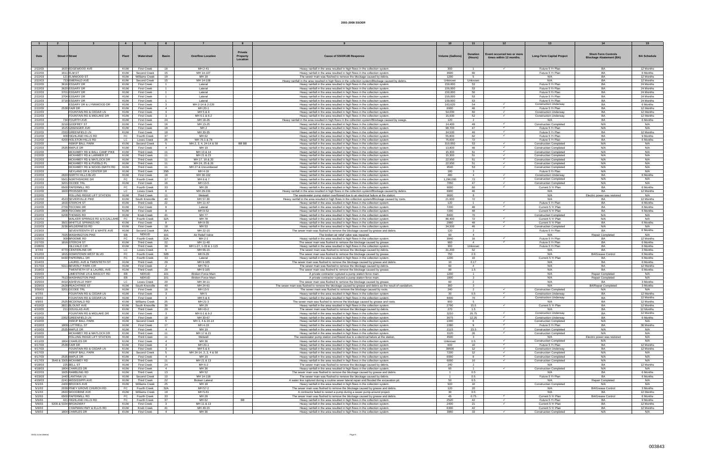|                    |                                                    |                   |                                          |                              |                                    |                 |                                                                                                                                                                                 |                         |                                |                              | 13                                                 |                                |                       |
|--------------------|----------------------------------------------------|-------------------|------------------------------------------|------------------------------|------------------------------------|-----------------|---------------------------------------------------------------------------------------------------------------------------------------------------------------------------------|-------------------------|--------------------------------|------------------------------|----------------------------------------------------|--------------------------------|-----------------------|
|                    |                                                    |                   |                                          |                              |                                    |                 |                                                                                                                                                                                 |                         |                                |                              |                                                    |                                |                       |
|                    |                                                    |                   |                                          |                              |                                    | <b>Private</b>  |                                                                                                                                                                                 |                         |                                |                              |                                                    |                                |                       |
| Date               | <b>Street # Street</b>                             | Plant             | Watershed                                | <b>Basin</b>                 | <b>Overflow Location</b>           | <b>Property</b> | <b>Cause of SSO/KUB Response</b>                                                                                                                                                | <b>Volume (Gallons)</b> | Duration                       | Event occurred two or more   | <b>Long-Term Capital Project</b>                   | <b>Short-Term Controls</b>     | <b>BA Schedule</b>    |
|                    |                                                    |                   |                                          |                              |                                    | Location        |                                                                                                                                                                                 |                         | (Hours)                        | times within 12 months.      |                                                    | <b>Blockage Abatement (BA)</b> |                       |
|                    |                                                    |                   |                                          |                              |                                    |                 |                                                                                                                                                                                 |                         |                                |                              |                                                    |                                |                       |
| 2/22/03            | 1620 EDGEWOOD AVE                                  | KUW               | <b>First Creek</b>                       | 16                           | MH 2-41                            |                 | Heavy rainfall in the area resulted in high flows in the collection system                                                                                                      | 300                     | $\overline{1}$                 | $\checkmark$                 | Future 5 Yr Plan                                   | <b>BA</b>                      | 12 Months             |
| 2/22/03            | 1611 ELM ST                                        | KUW               | Second Creek                             | 15                           | MH 14-107                          |                 | Heavy rainfall in the area resulted in high flows in the collection system                                                                                                      | 3600                    | 60                             |                              | Future 5 Yr Plan                                   | BA                             | 6 Months              |
| 2/22/03            | 121 ELMWOOD ST                                     | KUW               | Williams Creek                           | 19                           | MH 18                              |                 | The sewer main was flushed to remove the blockage caused by debris.                                                                                                             | 1200                    | 5                              |                              | N/A                                                | <b>BA</b>                      | 12 Months             |
| 2/22/03            | 733 EMERALD AVE                                    | KUW               | Second Creek                             | 15                           | MH 14-108                          |                 | Heavy rainfall in the area resulted in high flows in the collection system/Blockage caused by debris                                                                            | Unknown                 | Unknown                        |                              | N/A                                                | RA                             | 12 Months             |
| 2/22/03            | 3616 ESSARY DR                                     | <b>KUW</b>        | <b>First Creek</b>                       | $\overline{1}$               | Lateral                            |                 | Heavy rainfall in the area resulted in high flows in the collection system                                                                                                      | 159,000                 | 53                             |                              | Future 5 Yr Plan                                   | <b>BA</b>                      | 24 Months             |
| 2/22/03            | 3620 ESSARY DR                                     | KUW               | <b>First Creek</b>                       |                              | Lateral                            |                 | Heavy rainfall in the area resulted in high flows in the collection system                                                                                                      | 159,000                 | 53                             |                              | Future 5 Yr Plan                                   | BA                             | 24 Months             |
| 2/22/03            | 3701 ESSARY DR                                     | KUW               | <b>First Creek</b>                       | $\overline{1}$               | Lateral                            |                 | Heavy rainfall in the area resulted in high flows in the collection system                                                                                                      | 150,000                 | 50                             |                              | Future 5 Yr Plan                                   | <b>BA</b>                      | 24 Months             |
| 2/22/03            | 3704 ESSARY DR                                     | KUW               | <b>First Creek</b>                       | 1                            | Lateral                            |                 | Heavy rainfall in the area resulted in high flows in the collection system                                                                                                      | 159,000                 | 53                             |                              | Future 5 Yr Plan                                   | BA                             | 24 Months             |
| 2/22/03            | 3716 ESSARY DR                                     | KUW               | <b>First Creek</b>                       |                              | Lateral                            |                 | Heavy rainfall in the area resulted in high flows in the collection system                                                                                                      | 159,000                 | 53                             |                              | Future 5 Yr Plan                                   | <b>BA</b>                      | 24 Months             |
| 2/22/03            | ESSARY DR & LYNNWOOD DR                            | KUW               | <b>First Creek</b>                       |                              | MH 2-14 & 2-220                    |                 | Heavy rainfall in the area resulted in high flows in the collection system                                                                                                      | 163,620                 | 54                             | $\checkmark$                 | <b>Construction Underway</b>                       | BA                             | 6 Months              |
| 2/22/03            | 2538 FAIR DR                                       | KUW               | <b>First Creek</b>                       | 4                            | MH 20-1                            |                 | Heavy rainfall in the area resulted in high flows in the collection system                                                                                                      | 6900                    | 46                             | $\checkmark$                 | Future 5 Yr Plan                                   | <b>BA</b>                      | 12 Months             |
| 2/22/03            | FOUNTAIN RD & CEDAR LN                             | <b>KUW</b>        | <b>First Creek</b>                       | $\mathbf{R}$                 | MH 5 & 6                           |                 | Heavy rainfall in the area resulted in high flows in the collection system                                                                                                      | 54.000                  | 60                             | $\checkmark$                 | <b>Construction Underway</b>                       | <b>RA</b>                      | 12 Months             |
| 2/22/03            | FOUNTAIN RD & MIDLAKE DR                           | KUW               | <b>First Creek</b>                       | $\mathcal{R}$                | MH 6-1 & 6-2                       |                 | Heavy rainfall in the area resulted in high flows in the collection system                                                                                                      | 15,600                  | 52                             | $\checkmark$                 | <b>Construction Underway</b>                       | BA                             | 12 Months             |
| 2/22/03            | 734 FOURTH AVE                                     | <b>KUW</b>        | <b>First Creek</b>                       | 24                           | MH 18-26                           |                 | Heavy rainfall in the area resulted in high flows in the collection system/Blockage caused by swags.                                                                            | 120                     | 2                              | $\checkmark$                 | N/A                                                | <b>BA</b>                      | 6 Months              |
| 2/22/03            | 3219 GODFREY ST                                    | KUW               | <b>First Creek</b>                       | 16                           | MH 13-25                           |                 | Heavy rainfall in the area resulted in high flows in the collection system                                                                                                      | 14,400                  | 48                             | $\checkmark$                 | <b>Construction Completed</b>                      | N/A                            | N/A                   |
| 2/22/03            | 1515 GRAINGER AV                                   | KUW               | <b>First Creek</b>                       | 18<br>18                     | MH <sub>2</sub>                    |                 | Heavy rainfall in the area resulted in high flows in the collection system                                                                                                      | 98,700                  | 47<br>46                       | $\checkmark$                 | Future 5 Yr Plar                                   | N/A<br><b>BA</b>               | N/A                   |
| 2/22/03<br>2/22/03 | 2333 GREENFIELD LN<br>409 HIGHLAND HILLS RD        | KUW<br>FC         | <b>First Creek</b><br>Fourth Creek       | 37                           | MH 30-35<br>MH 62                  |                 | Heavy rainfall in the area resulted in high flows in the collection system<br>Heavy rainfall in the area resulted in high flows in the collection system                        | 34,500<br>55,800        | 62                             | $\checkmark$                 | Future 5 Yr Plan<br>Future 5 Yr Plan               | <b>BA</b>                      | 12 Months<br>9 Months |
| 2/22/03            | 4200 HOLSTON HILLS RD                              | LC.               | Loves Creek                              | 26                           | MH 76-1 & 78                       |                 | Heavy rainfall in the area resulted in high flows in the collection system                                                                                                      | 75,600                  | 72                             |                              | Future 5 Yr Plan                                   | <b>BA</b>                      | 6 Months              |
| 2/22/03            | <b>INSKIP BALL PARK</b>                            | KUW               | Second Creek                             | 5                            | MH 2, 3, 4, 24-14 & 58             | BB BB           | Heavy rainfall in the area resulted in high flows in the collection system                                                                                                      | 310,050                 | 53                             | $\checkmark$                 | <b>Construction Completed</b>                      | N/A                            | N/A                   |
| 2/22/03            | 2535 MAPLE DR                                      | KUW               | <b>First Creek</b>                       | $\overline{4}$               | MH 19                              |                 | Heavy rainfall in the area resulted in high flows in the collection system                                                                                                      | 13,800                  | 46                             |                              | <b>Construction Completed</b>                      | N/A                            | N/A                   |
| 2/22/03            | MCKAMEY RD & BALL CAMP PIKE                        | <b>KUW</b>        | <b>Third Creek</b>                       | 11                           | MH 13 & 14                         |                 | Heavy rainfall in the area resulted in high flows in the collection system                                                                                                      | 15.300                  | 51                             | $\checkmark$                 | <b>Construction Completed</b>                      | N/A                            | N/A                   |
| 2/22/03            | MCKAMEY RD & LARIMER ST                            | <b>KUW</b>        | <b>Third Creek</b>                       | 11                           | MH 21 & 23                         |                 | Heavy rainfall in the area resulted in high flows in the collection system                                                                                                      | 15,300                  | 51                             | $\checkmark$                 | <b>Construction Completed</b>                      | N/A                            | N/A                   |
| 2/22/03            | MCKAMEY RD & MATLOCK DR                            | KUW               | Third Creek                              | 11                           | MH 17, 18 & 20                     |                 | Heavy rainfall in the area resulted in high flows in the collection system                                                                                                      | 22,950                  | 51                             |                              | <b>Construction Completed</b>                      | N/A                            | N/A                   |
| 2/22/03            | MCKAMEY RD & PUEBLO PL                             | KUW               | <b>Third Creek</b>                       | 11                           | MH 24, 25 & 26                     |                 | Heavy rainfall in the area resulted in high flows in the collection system                                                                                                      | 22,950                  | 51                             | $\checkmark$                 | <b>Construction Completed</b>                      | N/A                            | N/A                   |
| 2/22/03            | MCKAMEY RD & WOOD-SMITH RD                         | KUW               | <b>Third Creek</b>                       | 11                           | MH 27 & Unnumbered                 |                 | Heavy rainfall in the area resulted in high flows in the collection system                                                                                                      | 9540                    | 53                             | $\checkmark$                 | <b>Construction Completed</b>                      | N/A                            | N/A                   |
| 2/22/03            | NEYLAND DR & CENTER DR                             | KUW               | <b>Third Creek</b>                       | 35B                          | MH 4-16                            |                 | Heavy rainfall in the area resulted in high flows in the collection system                                                                                                      | 180                     | $\mathbf{R}$                   |                              | Future 5 Yr Plan                                   | N/A                            | N/A                   |
| 2/22/03            | 2820 NORTH HILLS BLVD                              | KUW               | <b>First Creek</b>                       | 18                           | MH 30-102                          |                 | Heavy rainfall in the area resulted in high flows in the collection system                                                                                                      | 480                     | $\overline{4}$                 |                              | <b>Construction Underway</b>                       | BA                             | 6 Months              |
| 2/22/03            | 5501 NORTHSHORE DR                                 | FC .              | <b>Fourth Creek</b>                      | 37                           | MH 6 & 7                           |                 | Heavy rainfall in the area resulted in high flows in the collection system                                                                                                      | 1,296,000               | 72                             | $\checkmark$                 | <b>Construction Completed</b>                      | N/A                            | N/A                   |
| 2/22/03            | 3201 OCOEE TRL                                     | KUW               | <b>First Creek</b>                       | 16                           | MH 13-5                            |                 | Heavy rainfall in the area resulted in high flows in the collection system                                                                                                      | 7050                    | 47                             | $\checkmark$                 | <b>Construction Completed</b>                      | N/A                            | N/A                   |
| 2/22/03            | 6500 PAPERMILL RD                                  | FC                | Fourth Creek                             | 33                           | MH 28                              |                 | Heavy rainfall in the area resulted in high flows in the collection system                                                                                                      | 9000                    | 60                             | $\checkmark$                 | Current 5 Yr Plan                                  | BA                             | 6 Months              |
| 2/22/03            | 1600 PROSSER RD                                    | LC                | Loves Creek                              |                              | MH 29-191                          |                 | Heavy rainfall in the area resulted in high flows in the collection system/Blockage caused by debris.                                                                           | 6900                    | 46                             |                              | N/A                                                | BA                             | 12 Months             |
| 2/22/03            | <b>ROLLING RIDGE LIFT STATION</b>                  | KUW               | <b>Third Creek</b>                       | 11                           | Wetwell                            |                 | The wastewater pump station overflowed due to an electrical failure at the station                                                                                              | 9600                    |                                |                              | N/A                                                | Electric power was restored    | N/A                   |
| 2/22/03            | 4523 SEVIERVILLE PIKE                              | KUW               | South Knoxville                          | 40                           | MH 57-30                           |                 | Heavy rainfall in the area resulted in high flows in the collection system/Blockage caused by roots.                                                                            | 21,600                  | 72                             |                              | N/A                                                | <b>RA</b>                      | 12 Months             |
| 2/22/03            | 1816 STERCHI ST                                    | KUW               | <b>Third Creek</b>                       | 22                           | MH 11-47                           |                 | Heavy rainfall in the area resulted in high flows in the collection system                                                                                                      | 120                     | $\mathbf{1}$                   |                              | Future 5 Yr Plan                                   | BA                             | 6 Months              |
| 2/22/03            | 2700 TECOMA DF                                     | KUW               | <b>First Creek</b>                       | -8                           | Lateral                            |                 | Heavy rainfall in the area resulted in high flows in the collection system                                                                                                      | 7200                    | 48                             | $\checkmark$<br>$\checkmark$ | Current 5 Yr Plan                                  | BA                             | 6 Months              |
| 2/22/03            | 2808 TECOMA DR                                     | KUW               | <b>First Creek</b>                       | -8                           | MH 9-52                            |                 | Heavy rainfall in the area resulted in high flows in the collection system                                                                                                      | 7200                    | 48<br>70                       |                              | Current 5 Yr Plan                                  | <b>BA</b>                      | 6 Months              |
| 2/22/03<br>2/22/03 | 6208 THOMAS RD<br>WALKER SPRINGS RD & N GALLAHE FC | KUW               | Knob Creek                               | 41<br>32A                    | MH 77<br>MH 78                     |                 | Heavy rainfall in the area resulted in high flows in the collection system                                                                                                      | 8400<br>86,400          |                                | $\checkmark$                 | <b>Construction Completed</b><br>Current 5 Yr Plan | N/A<br>N/A                     | N/A<br>N/A            |
| 2/22/03            | 3501 WHITTLE SPRINGS RD                            | KUW               | Fourth Creek<br><b>First Creek</b>       | 8                            | MH 9-35                            |                 | Heavy rainfall in the area resulted in high flows in the collection system<br>Heavy rainfall in the area resulted in high flows in the collection system                        | 2880                    | 72<br>48                       | $\checkmark$                 | Current 5 Yr Plan                                  | <b>BA</b>                      | 6 Months              |
| 2/22/03            | 3236 WILDERNESS RD                                 | KUW               | <b>First Creek</b>                       | 18                           | MH 53                              |                 | Heavy rainfall in the area resulted in high flows in the collection system                                                                                                      | 34,500                  | 46                             | $\checkmark$                 | <b>Construction Completed</b>                      | N/A                            | N/A                   |
| 2/23/03            | <b>SEVENTEENTH ST &amp; WHITE AVE</b>              | KUW               | Second Creek                             | 35A                          | MH 22-15                           |                 | The sewer main was flushed to remove the blockage caused by grease and debris.                                                                                                  | 120                     |                                |                              | Future 5 Yr Plan                                   | <b>BA</b>                      | 6 Months              |
| 2/23/03            | 7025 WASHINGTON PIKE                               | EB                | NEKUD                                    | 101                          | Air Relief Valve                   |                 | The broken air relief valve was repaired.                                                                                                                                       | 60                      | $\overline{4}$                 |                              | N/A                                                | Repair Completed               | N/A                   |
| 2/25/03            | 309 BROOME RD                                      | FC                | Fourth Creek                             | 32A                          | MH 2-1                             |                 | Heavy rainfall in the area resulted in high flows in the collection system                                                                                                      | 3840                    | 16                             | $\checkmark$                 | Future 5 Yr Plan                                   | <b>BA</b>                      | 12 Months             |
| 2/27/03            | 1816 STERCHI ST                                    | KUW               | <b>Third Creek</b>                       | 22                           | MH 11-40                           |                 | The sewer main was flushed to remove the blockage caused by grease                                                                                                              | 960                     | $\overline{a}$                 | $\checkmark$                 | Future 5 Yr Plan                                   | BA                             | 6 Months              |
| 2/28/03            | <b>HILLVALE CIR</b>                                | <b>KUW</b>        | <b>Third Creek</b>                       | 38                           | MH 1-27, 1-33 & 1-115              |                 | Heavy rainfall in the area resulted in high flows in the collection system                                                                                                      | 300                     | Unknown                        |                              | Future 5 Yr Plan                                   | <b>BA</b>                      | 6 Months              |
| 3/7/03             | 4770 CENTERLINE DR                                 | LC.               | Loves Creek                              | 6                            | MH 66-15                           |                 | The sewer main was flushed to remove the blockage caused by debris.                                                                                                             | 31,200                  | 52                             |                              | N/A                                                | <b>RA</b>                      | 3 Months              |
| 3/12/03            | 1815 DOWNTOWN WEST BLVD                            | FC                | Fourth Creek                             | 32B                          | MH 9-29                            |                 | The sewer main was flushed to remove the blockage caused by grease                                                                                                              | 750                     | 2.5                            |                              | N/A                                                | <b>BA/Grease Control</b>       | 6 Months              |
| 3/13/03            | 6430 PAPERMILL DR                                  | FC                | <b>Fourth Creek</b>                      | 33                           | Lateral                            |                 | Heavy rainfall in the area resulted in high flows in the collection system                                                                                                      | 1200                    | 10                             |                              | Current 5 Yr Plan                                  | BA                             | 6 Months              |
| 3/14/03            | LAUREL AVE & TWENTIETH ST                          | KUW               | Third Creek                              | 29                           | MH 9-105                           |                 | The sewer main was flushed to remove the blockage caused by grease and debris                                                                                                   | 10                      | 0.17                           |                              | N/A                                                | BA                             | 6 Months              |
| 3/17/03            | 5311 BEVERLY PARK CIR                              | KUW               | <b>First Creek</b>                       | $\overline{2}$               | MH 79-1                            |                 | The sewer main was flushed to remove the blockage caused by debris.                                                                                                             | 60                      | $\overline{4}$                 |                              | N/A                                                | BA                             | 12 Months             |
| 3/18/03            | TWENTIETH ST & LAUREL AVE                          | KUW               | Third Creek                              | 29                           | MH 9-105                           |                 | The sewer main was flushed to remove the blockage caused by grease                                                                                                              | 90                      | 1.5                            |                              | N/A                                                | BΑ                             | 6 Months              |
| 3/20/03            | LIMESTONE LN & MASCOT RD                           | EB                | NEKUD                                    | 101                          | <b>Broken Force Main</b>           |                 | A private contractor ruptured a pump station force main.                                                                                                                        | 1200                    | $\mathbf{1}$                   |                              | N/A                                                | <b>Repair Completed</b>        | N/A                   |
| 3/24/03            | 7513 WASHINGTON PIKE                               | EB                | NEKUD                                    | 101                          | <b>Broken Force Main</b>           |                 | A private contractor ruptured a pump station force main                                                                                                                         | 1800                    | 3                              |                              | N/A                                                | Repair Completed<br>RA         | N/A                   |
| 3/25/03<br>3/29/03 | 4414 ASHEVILLE HWY<br>2628 PEACHTREE ST            | LC<br>KUW         | Loves Creek<br>South Knoxville           | 20<br>40                     | MH 34-11<br>MH 24-61               |                 | The sewer main was flushed to remove the blockage caused by grease<br>The sewer main was flushed to remove the blockage caused by grease and debris as the result of vandalism. | 60<br>360               | $\overline{2}$<br>$\mathbf{3}$ |                              | N/A<br>N/A                                         | <b>BA/Repair Completed</b>     | 3 Months<br>3 Months  |
| 3/30/03            | 3201 OCOEE TRL                                     | KUW               | <b>First Creek</b>                       | 16                           | MH 13-5                            |                 | The sewer main was flushed to remove the blockage caused by roots.                                                                                                              | 240                     | 2                              | $\checkmark$                 | <b>Construction Completed</b>                      | N/A                            | N/A                   |
| 4/7/03             | FOUNTAIN RD & CEDAR LN                             | KUW               | <b>First Creek</b>                       | $\mathbf{3}$                 | MH <sub>5</sub>                    |                 | Heavy rainfall in the area resulted in high flows in the collection system                                                                                                      | 30                      | 0.5                            | $\checkmark$                 | <b>Construction Underway</b>                       | <b>BA</b>                      | 12 Months             |
| 4/9/03             | FOUNTAIN RD & CEDAR LN                             | KUW               | <b>First Creek</b>                       |                              | MH 5 & 6                           |                 | Heavy rainfall in the area resulted in high flows in the collection system                                                                                                      | 8400                    | 70                             |                              | <b>Construction Underway</b>                       | R <sub>A</sub>                 | 12 Months             |
| 4/9/03             | 2525 MCDONALD RD                                   | KUW               | <b>Williams Creek</b>                    | 25                           | MH 21-3                            |                 | The sewer main was flushed to remove the blockage caused by grease and roots                                                                                                    | 900                     |                                |                              | N/A                                                | BA                             | 12 Months             |
| 4/10/03            | 3821 BLOUNT AVE                                    | KUW               | South Knoxville                          | 39                           | MH 29                              |                 | Heavy rainfall in the area resulted in high flows in the collection system.                                                                                                     | 2790                    | 15.5                           | $\checkmark$                 | Current 5 Yr Plan                                  | <b>BA</b>                      | 12 Months             |
| 4/10/03            | 211 DOUGLAS AVE                                    | <b>KUW</b>        | <b>Third Creek</b>                       | 29                           | MH 43-2                            |                 | The sewer main was flushed to remove the blockage caused by debris.                                                                                                             | 270                     | 1.5                            |                              | N/A                                                | BA                             | 12 Months             |
| 4/10/03            | FOUNTAIN RD & MIDLAKE DR                           | KUW               | <b>First Creek</b>                       | $\overline{\mathbf{3}}$      | MH 6-1 & 6-2                       |                 | Heavy rainfall in the area resulted in high flows in the collection system.                                                                                                     | 3210                    | 26.75                          | $\checkmark$                 | <b>Construction Underway</b>                       | BA                             | 12 Months             |
| 4/10/03            | 2352 GREENFIELD LN                                 | KUW               | <b>First Creek</b>                       | 18                           | MH 30-67                           |                 | Heavy rainfall in the area resulted in high flows in the collection system                                                                                                      | 3675                    | 12.25                          | $\checkmark$                 | <b>Construction Underway</b>                       | BA                             | 6 Months              |
| 4/10/03            | <b>INSKIP BALL PARK</b>                            | KUW               | Second Creek                             | 5                            | MH 3, 4 & 24-14                    |                 | Heavy rainfall in the area resulted in high flows in the collection system                                                                                                      | 1000                    | 6                              | $\checkmark$                 | <b>Construction Completed</b>                      | N/A                            | N/A                   |
| 4/10/03            | 1809 LUTTRELL ST                                   | <b>KUW</b>        | <b>First Creek</b>                       | 17                           | MH 4-19                            |                 | Heavy rainfall in the area resulted in high flows in the collection system.                                                                                                     | 1080                    | 9                              | $\checkmark$                 | Future 5 Yr Plan                                   | <b>BA</b>                      | 36 Months             |
| 4/10/03            | 2535 MAPLE DR                                      | KUW               | First Creek                              |                              | MH 19                              |                 | Heavy rainfall in the area resulted in high flows in the collection system                                                                                                      | 2115                    | 23.5                           | $\checkmark$                 | <b>Construction Completed</b>                      | N/A                            | N/A                   |
| 4/10/03            | MCKAMEY RD & MATLOCK DR                            | KUW               | <b>Third Creek</b>                       | 11                           | MH 17 & 21                         |                 | Heavy rainfall in the area resulted in high flows in the collection system                                                                                                      | 3120                    | 26                             | $\checkmark$                 | <b>Construction Completed</b>                      | N/A                            | N/A                   |
| 4/10/03            | ROLLING RIDGE LIFT STATION                         | KUW               | <b>Third Creek</b>                       | 11                           | Wetwell                            |                 | The wastewater pump station overflowed due to a electrical failure at the station.                                                                                              | 4500                    | $\mathbf{3}$                   |                              | N/A                                                | Electric power was restored    | N/A                   |
| 4/11/03            | 1804 CHARLES DR                                    | KUW               | <b>First Creek</b>                       | $\overline{4}$               | MH 36                              |                 | Heavy rainfall in the area resulted in high flows in the collection system.                                                                                                     | Unknown                 | 0.5                            | $\checkmark$                 | <b>Construction Completed</b>                      | N/A                            | N/A                   |
| 4/17/03            | 2538 FAIR DR                                       | KUW               | <b>First Creek</b>                       | $\overline{4}$               | MH 20-1                            |                 | Heavy rainfall in the area resulted in high flows in the collection system                                                                                                      | 600                     | 10                             | $\checkmark$                 | Future 5 Yr Plan                                   | BA                             | 12 Months             |
| 4/17/03<br>4/17/03 | FOUNTAIN RD & CEDAR LN<br><b>INSKIP BALL PARK</b>  | KUW<br><b>KUW</b> | <b>First Creek</b>                       | $\overline{\mathbf{3}}$<br>5 | MH 5 & 6<br>MH 24-14, 2, 3, 4 & 58 |                 | Heavy rainfall in the area resulted in high flows in the collection system                                                                                                      | 39600                   | 12                             | $\checkmark$<br>$\checkmark$ | <b>Construction Underway</b>                       | <b>BA</b><br>N/A               | 12 Months<br>N/A      |
|                    |                                                    |                   | Second Creek                             |                              |                                    |                 | Heavy rainfall in the area resulted in high flows in the collection system                                                                                                      | 7200                    | 12                             |                              | <b>Construction Completed</b>                      |                                |                       |
| 4/17/03<br>4/17/03 | 2535 MAPLE DR<br>3540 & 3305 MCKAMEY RD            | KUW<br>KUW        | <b>First Creek</b><br><b>Third Creek</b> | $\overline{4}$<br>11         | MH 19<br>MH 21 & 13                |                 | Heavy rainfall in the area resulted in high flows in the collection system.<br>Heavy rainfall in the area resulted in high flows in the collection system                       | 6000<br>6000            | 8                              | $\checkmark$<br>$\checkmark$ | <b>Construction Completed</b>                      | N/A<br>N/A                     | N/A<br>N/A            |
| 4/18/03            | 225 BELL ST                                        | <b>KUW</b>        | <b>First Creek</b>                       | 24                           | MH 6-2                             |                 | The sewer main was flushed to remove the blockage caused by debris.                                                                                                             | 240                     | 10<br>$\overline{2}$           |                              | <b>Construction Completed</b><br>N/A               | BA                             | 12 Months             |
| 4/18/03            | 1804 CHARLES DR                                    | KUW               | <b>First Creek</b>                       | $\overline{4}$               | MH 36                              |                 | Heavy rainfall in the area resulted in high flows in the collection system.                                                                                                     | 60                      | $\overline{1}$                 | $\checkmark$                 | <b>Construction Completed</b>                      | N/A                            | N/A                   |
| 4/22/03            | 1605 RAMBLING RD                                   | KUW               | <b>Third Creek</b>                       | 13                           | MH 52                              |                 | The sewer main was flushed to remove the blockage caused by grease and debris.                                                                                                  |                         | 0.5                            |                              | N/A                                                | <b>BA</b>                      | 6 Months              |
| 4/23/03            | 1440 LANTANA LN                                    | KUW               | Second Creek                             | 10                           | MH 14-118                          |                 | The sewer main was flushed to remove the blockage caused by debris.                                                                                                             | $\overline{1}$          | 0.5                            |                              | Future 5 Yr Plan                                   | <b>BA</b>                      | 6 Months              |
| 4/29/03            | 2241 MISSISSIPPI AVE                               | <b>KUW</b>        | <b>Third Creek</b>                       | 22                           | <b>Broken Lateral</b>              |                 | A water line ruptured during a routine sewer lateral repair and flooded the excavation pit.                                                                                     | 50                      | 0.5                            |                              | N/A                                                | Repair Completed               | N/A                   |
| 5/1/03             | 2400 BROOKS AVE                                    | KUW               | Williams Creek                           | 25                           | MH 18                              |                 | Heavy rainfall in the area resulted in high flows in the collection system.                                                                                                     | 500                     | 10                             |                              | <b>Construction Completed</b>                      | N/A                            | N/A                   |
| 5/1/03             | 2039 PINEY GROVE CHURCH RD                         | FC                | Fourth Creek                             | 32A                          | MH 57-2                            |                 | The sewer main was flushed to remove the blockage caused by grease and debris.                                                                                                  | 120                     | 20                             |                              | N/A                                                | <b>BA/Grease Control</b>       | 3 Months              |
| 5/1/03             | 2820 WOODBINE AVE                                  | <b>KUW</b>        | Williams Creek                           | 19                           | MH 5-61                            |                 | A contractor failed to restart a pump during a sewer pump-around project.                                                                                                       | 30                      | 0.5                            |                              | N/A                                                | <b>BA</b>                      | 12 Months             |
| 5/2/03             | 6500 PAPERMILL RD                                  | FC                | Fourth Creek                             | 33                           | MH 28                              |                 | The sewer main was flushed to remove the blockage caused by grease and debri-                                                                                                   | 45                      | 0.75                           | $\checkmark$                 | Current 5 Yr Plan                                  | <b>BA/Grease Contro</b>        | 6 Months              |
| 5/5/03             | 421 HIGHLAND HILLS RD                              | FC                | Fourth Creek                             | 37                           | MH 62                              | <b>BB</b>       | Heavy rainfall in the area resulted in high flows in the collection system                                                                                                      | 2520                    | 42                             | $\checkmark$                 | Future 5 Yr Plan                                   | <b>BA</b>                      | 9 Months              |
| 5/6/03             | 5300 & 5334 BROADWAY                               | KUW               | <b>First Creek</b>                       | 3                            | MH 11 & 13                         |                 | Heavy rainfall in the area resulted in high flows in the collection system.                                                                                                     | 2400                    | 21                             | $\checkmark$                 | Current 5 Yr Plan                                  | BA                             | 12 Months             |
| 5/6/03             | CHAPMAN HWY & ELLIS RD                             | KUW               | Knob Creek                               | 41                           | MH 49-15                           |                 | Heavy rainfall in the area resulted in high flows in the collection system                                                                                                      | 6300                    | 42                             |                              | Current 5 Yr Plan                                  | <b>BA</b>                      | 12 Months             |
| 5/6/03             | 1804 CHARLES DR                                    | <b>KUW</b>        | <b>First Creek</b>                       | $\overline{4}$               | MH 36                              |                 | Heavy rainfall in the area resulted in high flows in the collection system                                                                                                      | 3960                    | 33                             | $\checkmark$                 | <b>Construction Completed</b>                      | N/A                            | N/A                   |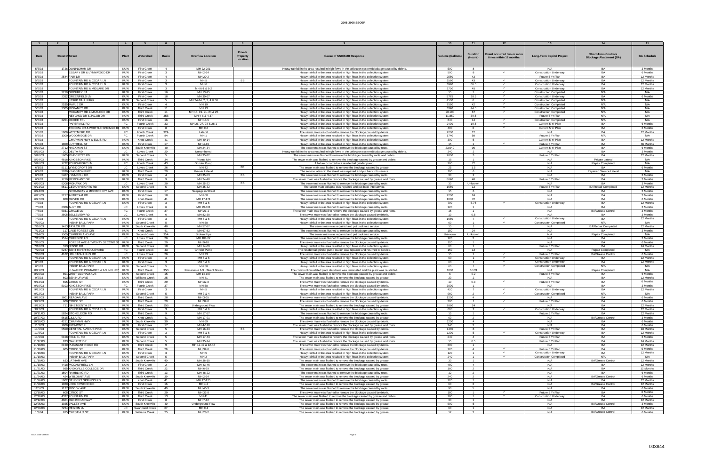|                  |                                                   | $\overline{4}$ |                                   |                         |                                |                 |                                                                                                                                                 |                         |                                  |                            |                                  |                                       |                    |
|------------------|---------------------------------------------------|----------------|-----------------------------------|-------------------------|--------------------------------|-----------------|-------------------------------------------------------------------------------------------------------------------------------------------------|-------------------------|----------------------------------|----------------------------|----------------------------------|---------------------------------------|--------------------|
|                  |                                                   |                |                                   |                         |                                |                 |                                                                                                                                                 |                         |                                  |                            |                                  |                                       |                    |
|                  |                                                   |                |                                   |                         |                                |                 |                                                                                                                                                 |                         |                                  |                            |                                  |                                       |                    |
|                  |                                                   |                |                                   |                         |                                | Private         |                                                                                                                                                 |                         | Duration                         | Event occurred two or more |                                  | <b>Short-Term Controls</b>            |                    |
| Date             | Street # Stree                                    | Plant          | Watershed                         | <b>Basin</b>            | <b>Overflow Location</b>       | <b>Property</b> | Cause of SSO/KUB Response                                                                                                                       | <b>Volume (Gallons)</b> | (Hours)                          | times within 12 months.    | <b>Long-Term Capital Project</b> | <b>Blockage Abatement (BA)</b>        | <b>BA Schedule</b> |
|                  |                                                   |                |                                   |                         |                                | Location        |                                                                                                                                                 |                         |                                  |                            |                                  |                                       |                    |
|                  |                                                   |                |                                   |                         |                                |                 |                                                                                                                                                 |                         |                                  |                            |                                  |                                       |                    |
| 5/6/03           | 1726 DONINGHAM DR                                 | KUW            | <b>First Creek</b>                | $\overline{a}$          | MH 22-201                      |                 | Heavy rainfall in the area resulted in high flows in the collection system/Blockage caused by debris.                                           | 500                     | $\mathbf{R}$                     |                            | N/A                              | BA                                    | 3 Months           |
| 5/6/03           | ESSARY DR & LYNNWOOD DR                           | KUW            | <b>First Creek</b>                | $\overline{\mathbf{3}}$ | MH 2-14                        |                 | Heavy rainfall in the area resulted in high flows in the collection system                                                                      | 500                     | 8                                | $\checkmark$               | <b>Construction Underway</b>     | BA                                    | 6 Months           |
| 5/6/03           | 2544 FAIR DR                                      | <b>KUW</b>     | <b>First Creek</b>                | -4                      | MH 20-2                        |                 | Heavy rainfall in the area resulted in high flows in the collection system                                                                      | 2580                    | 43                               |                            | Future 5 Yr Plan                 | <b>BA</b>                             | 12 Months          |
| 5/6/03           | FOUNTAIN RD & CEDAR LN                            | KUW            | <b>First Creek</b>                | $\mathbf{3}$            | MH <sub>5</sub>                | BB              | Heavy rainfall in the area resulted in high flows in the collection system                                                                      | 2580                    | 43                               | $\checkmark$               | <b>Construction Underway</b>     | BA                                    | 12 Months          |
| 5/6/03           | FOUNTAIN RD & CEDAR LN                            | KUW            | <b>First Creek</b>                | $\mathbf{3}$            | MH <sub>6</sub>                |                 | Heavy rainfall in the area resulted in high flows in the collection system                                                                      | 3990                    | 66.5                             | $\checkmark$               | <b>Construction Underway</b>     | <b>RA</b>                             | 12 Months          |
| 5/6/03           | FOUNTAIN RD & MIDLAKE DR                          | <b>KUW</b>     | <b>First Creek</b>                | $\mathbf{3}$            | MH 6-1 & 6-2                   |                 | Heavy rainfall in the area resulted in high flows in the collection system                                                                      | 2700                    | 45                               |                            | <b>Construction Underway</b>     | <b>BA</b>                             | 12 Months          |
| 5/6/03           | 3219 GODFREY ST                                   | KUW            | <b>First Creek</b>                | 16                      | MH 13-25                       |                 | Heavy rainfall in the area resulted in high flows in the collection system                                                                      | 15                      | $\mathbf{1}$                     | $\checkmark$               | <b>Construction Completed</b>    | N/A                                   | N/A                |
|                  |                                                   |                |                                   |                         |                                |                 |                                                                                                                                                 |                         | 38.5                             | $\checkmark$               |                                  | <b>RA</b>                             |                    |
| 5/6/03           | 2352 GREENFIELD L                                 | KUW            | <b>First Creek</b>                | 18<br>-5                | MH 30-67                       |                 | Heavy rainfall in the area resulted in high flows in the collection system                                                                      | 5775                    | 6                                | $\checkmark$               | <b>Construction Underway</b>     | N/A                                   | 6 Months<br>N/A    |
| 5/6/03           | <b>INSKIP BALL PARK</b>                           | KUW            | Second Creek                      |                         | MH 24-14, 2, 3, 4 & 58         |                 | Heavy rainfall in the area resulted in high flows in the collection system                                                                      | 4500                    |                                  |                            | <b>Construction Completed</b>    |                                       |                    |
| 5/6/03           | 2535 MAPLE DR                                     | KUW            | <b>First Creek</b>                | $\overline{a}$          | MH 19                          |                 | Heavy rainfall in the area resulted in high flows in the collection system                                                                      | 7560                    | 42                               |                            | <b>Construction Completed</b>    | N/A                                   | N/A                |
| 5/6/03           | 3305 MCKAMEY RD                                   | KUW            | <b>Third Creek</b>                | 11                      | MH 13                          |                 | Heavy rainfall in the area resulted in high flows in the collection system                                                                      | 3340                    | 44.5                             | $\checkmark$               | <b>Construction Completed</b>    | N/A                                   | N/A                |
| 5/6/03           | MCKAMEY RD & MATLOCK DR                           | KUW            | <b>Third Creek</b>                | 11                      | MH 18, 19, 21, 24 & 25         |                 | Heavy rainfall in the area resulted in high flows in the collection system                                                                      | 20,100                  | 67                               | $\checkmark$               | <b>Construction Completed</b>    | N/A                                   | N/A                |
| 5/6/03           | NEYLAND DR & JACOB DR                             | KUW            | <b>Third Creek</b>                | 35B                     | MH 4-6 & 4-37                  |                 | Heavy rainfall in the area resulted in high flows in the collection system                                                                      | 11,850                  | 39.5                             |                            | Future 5 Yr Plan                 | N/A                                   | N/A                |
| 5/6/03           | 3201 OCOEE TRL                                    | KUW            | <b>First Creek</b>                | 16                      | MH 13-5                        |                 | Heavy rainfall in the area resulted in high flows in the collection system                                                                      | 840                     | 14                               | $\checkmark$               | <b>Construction Completed</b>    | N/A                                   | N/A                |
| 5/6/03           | PAPERMILL RD                                      | FC             | Fourth Creek                      | 33                      | MH 26, 27, 28 & 28-1           |                 | Heavy rainfall in the area resulted in high flows in the collection system                                                                      | 2400                    | 19.5                             | $\checkmark$               | Current 5 Yr Plan                | <b>BA</b>                             | 6 Months           |
| 5/6/03           | TECOMA DR & WHITTLE SPRINGS RI KUW                |                | <b>First Creek</b>                | -8                      | MH 9-6                         |                 | Heavy rainfall in the area resulted in high flows in the collection system                                                                      | 400                     | $\epsilon$                       | $\checkmark$               | Current 5 Yr Plan                | <b>RA</b>                             | 6 Months           |
| 5/6/03           | 5909 WESTMERE DR                                  | FC             | Fourth Creek                      | 32A                     | Lateral                        |                 | The sewer main was flushed to remove the blockage caused by debris                                                                              | 7200                    | 12                               |                            | N/A                              | BA                                    | 12 Months          |
| 5/6/03           | 1300 WOODRIDGE DR                                 | FC             | <b>Fourth Creek</b>               | 84                      | MH <sub>1</sub>                |                 | Heavy rainfall in the area resulted in high flows in the collection system                                                                      | 1740                    | 58                               |                            | Future 5 Yr Plan                 | N/A                                   | N/A                |
| 5/7/03           | CHAPMAN HWY & ELLIS RD                            | KUW            | Knob Creek                        | 41                      | MH 49-14                       |                 | Heavy rainfall in the area resulted in high flows in the collection system                                                                      | 300                     | -5                               |                            | Current 5 Yr Plan                | BA                                    | 12 Months          |
| 5/8/03           | 1809 LUTTRELL ST                                  | KUW            | <b>First Creek</b>                | 17                      | MH 4-19                        |                 | Heavy rainfall in the area resulted in high flows in the collection system                                                                      | 15                      | $\sim$                           | $\checkmark$               | Future 5 Yr Plan                 | <b>BA</b>                             | 36 Months          |
| 5/10/03          | 2712 HACKMAN S'                                   | KUW            | South Knoxville                   | 40                      | MH 24-34                       |                 | The sewer main was flushed to remove the blockage caused by roots                                                                               | 23,040                  | 96                               |                            | Current 5 Yr Plan                | BA                                    | 6 Months           |
| 5/15/03          | 201 DELTA RD                                      | LC .           | Loves Creek                       | 20                      | Unnumbered                     |                 | Heavy rainfall in the area resulted in high flows in the collection system/Blockage caused by debris.                                           | 240                     | $\overline{2}$                   |                            | N/A                              | BA                                    | 3 Months           |
| 5/20/03          | 5605 PINECREST RD                                 | KUW            | Second Creek                      | 5                       | MH 35-32                       |                 | The sewer main was flushed to remove the blockage caused by roots and debris                                                                    | 2000                    | 3                                |                            | Future 5 Yr Plan                 | RA                                    | 12 Months          |
| 5/24/03          | 4816 KINGSTON PIKE                                | KUW            | <b>Third Creek</b>                | 34                      | Private MH                     |                 | The sewer main was flushed to remove the blockage caused by grease and debris                                                                   | 15                      | $\overline{1}$                   |                            | N/A                              | Private Lateral                       | N/A                |
| 5/26/03          | 1732 POLKWRIGHT LN                                | FC .           | Fourth Creek                      | 43                      | Grinder Pump                   |                 | A failure occurred in a residential grinder pump.                                                                                               | 200                     | 72                               |                            | N/A                              | Repair Completed                      | N/A                |
| 6/1/03           | 5111 WYNDCROFT DR                                 | LC             |                                   | 26                      | MH 42                          | <b>BB</b>       |                                                                                                                                                 | 25                      | 1.5                              |                            | N/A                              | <b>RA</b>                             | 6 Months           |
|                  |                                                   |                | Loves Creek                       |                         |                                |                 | The sewer main was flushed to remove the blockage caused by grease                                                                              |                         |                                  |                            |                                  |                                       |                    |
| 6/2/03<br>6/3/03 | 3039 KINGSTON PIKE<br>5407 LYNNDELL RD            | KUW<br>KUW     | Third Creek<br><b>First Creek</b> | 29<br>$\overline{4}$    | Private Lateral<br>MH 35-53    | <b>BB</b>       | The service lateral in the street was repaired and put back into service.<br>The sewer main was flushed to remove the blockage caused by roots. | 100<br>30               | 6<br>2                           |                            | N/A<br>N/A                       | Repaired Service Lateral<br><b>BA</b> | N/A<br>3 Months    |
|                  |                                                   |                |                                   |                         |                                |                 |                                                                                                                                                 |                         |                                  |                            |                                  |                                       |                    |
| 6/9/03           | 1710 MERCHANT DR                                  | KUW            | <b>Third Creek</b>                | 9                       | MH 24-48                       |                 | The sewer main was flushed to remove the blockage caused by grease and roots                                                                    | 8640                    | 48                               |                            | Future 5 Yr Plan                 | <b>BA</b>                             | 3 Months           |
| 6/10/03          | 5208 MOHAWK DF                                    | LC             | Loves Creek                       | 20                      | MH 25-22                       | BB              | The sewer main was flushed to remove the blockage caused by roots                                                                               |                         | Unknown                          |                            | N/A                              | RA                                    | 3 Months           |
| 6/21/03          | 5511 CEDAR HEIGHTS RD                             | KUW            | Second Creek                      | - 5                     | MH 35-32                       |                 | The sewer main collapse was repaired and put back into service.                                                                                 | 1560                    | 13                               |                            | Future 5 Yr Plan                 | <b>BA/Repair Completed</b>            | 12 Months          |
| 6/24/03          | BROADWAY & MCCROSKEY AVE                          | KUW            | <b>First Creek</b>                | 17                      | Seepage in Street              |                 | The sewer main was flushed to remove the blockage caused by roots.                                                                              | 15                      | 6                                |                            | N/A                              | BA                                    | 3 Months           |
| 6/25/03          | 2217 ANTIETAM RD                                  | KUW            | <b>First Creek</b>                | 18                      | MH 60                          |                 | The sewer main was flushed to remove the blockage caused by roots                                                                               | 7200                    | 24                               |                            | N/A                              | RA                                    | 3 Months           |
| 6/27/03          | 809 OLIVER RD                                     | KUW            | Knob Creek                        | 41                      | MH 17-171                      |                 | The sewer main was flushed to remove the blockage caused by roots.                                                                              | 1080                    | 72                               |                            | N/A                              | BA                                    | 6 Months           |
| 7/2/03           | FOUNTAIN RD & CEDAR LN                            | KUW            | <b>First Creek</b>                | $\mathbf{3}$            | MH 5 & 6                       |                 | Heavy rainfall in the area resulted in high flows in the collection system                                                                      | 700                     | 5.75                             |                            | <b>Construction Underway</b>     | <b>BA</b>                             | 12 Months          |
| 7/5/03           | 2306 AULT RD                                      | LC             | oves Creek                        | $6^{\circ}$             | MH 29-301                      |                 | The sewer main was flushed to remove the blockage caused by roots                                                                               | 120                     | $\overline{1}$                   |                            | N/A                              | BA                                    | 3 Months           |
| 7/8/03           | 6031 GRACE LN                                     | <b>FC</b>      | Fourth Creek                      | 37                      | MH 21-1                        |                 | The sewer main was flushed to remove the blockage caused by grease and roots                                                                    | 15                      | $\overline{1}$                   |                            | N/A                              | <b>BA/Grease Control</b>              | 3 Months           |
| 7/9/03           | 3505 BELLEVIEW RD                                 | LC             | Loves Creek                       |                         | MH 82-38                       |                 | The sewer main was flushed to remove the blockage caused by debris.                                                                             | 10                      | 0.5                              |                            | N/A                              |                                       | 3 Months           |
| 7/9/03           | FOUNTAIN RD & CEDAR LN                            | KUW            | <b>First Creek</b>                | $\mathbf{3}$            | MH 5 & 6                       |                 | Heavy rainfall in the area resulted in high flows in the collection system                                                                      | 1680                    | $\overline{7}$                   | $\checkmark$               | <b>Construction Underway</b>     | BA                                    | 12 Months          |
| 7/10/03          | <b>INSKIP BALL PARK</b>                           | KUW            | Second Creek                      |                         | MH 58                          |                 | Heavy rainfall in the area resulted in high flows in the collection system                                                                      | ഹ                       |                                  |                            | <b>Construction Completed</b>    | N/A                                   | N/A                |
| 7/10/03          | 1413 TAYLOR RD                                    | KUW            | South Knoxville                   | 40                      | MH 57-87                       |                 | The sewer main was repaired and put back into service.                                                                                          | 15                      | $\overline{1}$                   |                            | N/A                              | <b>BA/Repair Completed</b>            | 12 Months          |
| 7/11/03          | 117 LAKE FOREST CIR                               | KUW            | Knob Creek                        | 41                      | MH 67-82                       |                 | The sewer main was flushed to remove the blockage caused by roots.                                                                              | 150                     | 24                               |                            | N/A                              |                                       | 3 Months           |
| 7/14/03          | 1505 CUMBERLAND AVE                               | KUW            | Second Creek                      | 35A                     | <b>Broken Pipe</b>             |                 | The sewer main was repaired and put back into service.                                                                                          | Unknown                 | Unknown                          |                            | N/A                              | <b>Repair Completed</b>               | N/A                |
| 7/15/03          | 1514 CLIFFSIDE LN                                 | LC             | Loves Creek                       | 26                      | MH 104-22                      |                 | The sewer main was flushed to remove the blockage caused by roots.                                                                              | 120                     | $\overline{2}$                   |                            | N/A                              | RA                                    | 3 Months           |
| 7/16/03          | FOREST AVE & TWENTY SECOND S                      | KUW            | <b>Third Creek</b>                | 29                      | MH 9-28                        |                 | The sewer main was flushed to remove the blockage caused by debris.                                                                             | 120                     | $\overline{1}$                   |                            | N/A                              | BA                                    | 6 Months           |
|                  |                                                   |                |                                   | 10 <sup>1</sup>         | MH 14-69                       |                 |                                                                                                                                                 |                         |                                  |                            |                                  | RA                                    |                    |
| 7/18/03          | 313 JENSO DR                                      | KUW            | Second Creek                      |                         |                                |                 | Heavy rainfall in the area resulted in high flows in the collection system                                                                      | 60                      | $\overline{1}$                   |                            | Future 5 Yr Plan                 |                                       | 24 Months          |
| 7/20/03          | 5247 BENT RIVER BOULEVARD                         | FC .           | Fourth Creek                      | 43                      | Grinder Pump                   |                 | The residential grinder pump station was repaired and returned to service                                                                       | 150                     | 12                               |                            | N/A                              | <b>Repair Completed</b>               | N/A                |
| 7/30/03          | 4102 HOLSTON HILLS RD                             | LC.            | Loves Creek                       | 26                      | MH 73                          |                 | The sewer main was flushed to remove the blockage caused by debris.                                                                             | 15                      | $\blacktriangleleft$             | $\checkmark$               | Future 5 Yr Plan                 | <b>BA/Grease Control</b>              | 6 Months           |
| 7/31/03          | FOUNTAIN RD & CEDAR LN                            | KUW            | <b>First Creek</b>                | $\mathbf{3}$            | MH 5 & 6                       |                 | Heavy rainfall in the area resulted in high flows in the collection system                                                                      | 60                      | $\mathbf{1}$                     |                            | <b>Construction Underway</b>     | B۵                                    | 12 Months          |
| 8/5/03           | FOUNTAIN RD & CEDAR L                             | KUW            | <b>First Creek</b>                | $\mathcal{R}$           | MH 5 & 6                       |                 | Heavy rainfall in the area resulted in high flows in the collection system                                                                      | 60                      | $\overline{1}$                   | $\checkmark$               | <b>Construction Underway</b>     | BA                                    | 12 Months          |
| 8/5/03           | <b>INSKIP BALL PARK</b>                           | KUW            | Second Creek                      | -5                      | MH 58                          |                 | Heavy rainfall in the area resulted in high flows in the collection system                                                                      | 60                      | $-1$                             | $\checkmark$               | <b>Construction Completed</b>    | N/A                                   | N/A                |
| 8/21/03          | KUWAHEE PRIMARIES # 1-3 INFLUEN                   | KUW            | <b>Third Creek</b>                | 35B                     | Primaries # 1-3 Influent Boxes |                 | The construction related plant shutdown was terminated and the plant was re-started                                                             | 1000                    | 0.133                            |                            | N/A                              | Repair Completed                      | N/A                |
| 8/29/03          | 801 WEST OLDHAM AVE                               | KUW            | Second Creek                      | 15                      | MH 14-107                      |                 | The sewer main was flushed to remove the blockage caused by grease and debris                                                                   |                         | 0.2                              |                            | Future 5 Yr Plan                 | BA                                    | 6 Months           |
| 9/2/03           | 603 BEN HUR AVE                                   | KUW            | Williams Creek                    | 25                      | MH 41                          |                 | The sewer main was flushed to remove the blockage caused by grease                                                                              | 30                      | $\overline{2}$                   |                            | N/A                              | <b>BA</b>                             | 12 Months          |
| 9/13/03          | 605 CITICO ST                                     | KUW            | <b>Third Creek</b>                | 29                      | MH 32-8                        |                 | The sewer main was flushed to remove the blockage caused by debris                                                                              | 10                      | 0.3                              | $\checkmark$               | Future 5 Yr Plan                 | <b>RA</b>                             | 6 Months           |
| 9/19/03          | 5103 KINGSTON PIKE                                | FC             | Fourth Creek                      | 37                      | MH 58                          |                 | The sewer main was flushed to remove the blockage caused by debris.                                                                             | 3000                    | $\mathbf{1}$                     |                            | N/A                              | BA                                    | 3 Months           |
| 9/22/03          | FOUNTAIN RD & CEDAR LN                            | KUW            | <b>First Creek</b>                | $\mathbf{3}$            | MH <sub>5</sub>                |                 | Heavy rainfall in the area resulted in high flows in the collection system                                                                      | 420                     | $\overline{7}$                   | $\checkmark$               | <b>Construction Underway</b>     | RA                                    | 12 Months          |
| 9/22/03          | <b>INSKIP BALL PARK</b>                           | <b>KUW</b>     | Second Creek                      | 5                       | MH 3 & 4                       |                 | Heavy rainfall in the area resulted in high flows in the collection system                                                                      | 960                     | $\overline{2}$                   | $\checkmark$               | <b>Construction Completed</b>    | N/A                                   | N/A                |
| 9/22/03          | 3801 REAGAN AVE                                   | KUW            | <b>Third Creek</b>                | 28                      | MH 3-35                        |                 | The sewer main was flushed to remove the blockage caused by debris                                                                              | 1200                    | $\Lambda$                        |                            | N/A                              | RA                                    | 6 Months           |
| 9/23/03          | 600 CITICO ST                                     | KUW            | <b>Third Creek</b>                | 29                      | MH 32-8                        |                 | The sewer main was flushed to remove the blockage caused by debris.                                                                             | 300                     |                                  | $\checkmark$               | Future 5 Yr Plan                 | BA                                    | 6 Months           |
| 9/23/03          | 711 NINETEENTH ST                                 | KUW            | <b>Third Creek</b>                | 35B                     | Underground Flow               |                 | The sewer main was flushed to remove the blockage caused by grease                                                                              | 2880                    | 24                               |                            | N/A                              | BA                                    | 12 Months          |
| 9/27/03          | FOUNTAIN RD & CEDAR LN                            | KUW            | First Creek                       | $\overline{\mathbf{3}}$ | MH 5 & 6                       |                 | Heavy rainfall in the area resulted in high flows in the collection system                                                                      | 600                     | $\overline{2}$                   | $\checkmark$               | <b>Construction Underway</b>     | BA                                    | 12 Months          |
| 10/11/03         | 5824 STONELEIGH RD                                | KUW            | <b>Third Creek</b>                | 9                       | MH 17-57                       |                 | The sewer main was flushed to remove the blockage caused by roots.                                                                              | 15                      | $\overline{1}$                   |                            | Future 5 Yr Plan                 | <b>BA</b>                             | 12 Months          |
| 10/27/03         | 5615 CILLA RD                                     | KUW            | Knob Creek                        | 41                      | MH 17-91                       |                 | The sewer main was flushed to remove the blockage caused by grease.                                                                             | 60                      | $\overline{2}$                   |                            | N/A                              | <b>BA/Grease Control</b>              | 3 Months           |
| 10/30/03         | 4211 CHAPMAN HWY                                  | KUW            | South Knoxville                   | 39                      | MH 69                          |                 | The sewer main was flushed to remove the blockage caused by debris.                                                                             | 1200                    | $\mathbf{A}$                     |                            | N/A                              | RA                                    | 6 Months           |
| 11/3/03          | 1909 FREMONT PL                                   | KUW            | <b>First Creek</b>                | 17                      | MH 4-148                       |                 | The sewer main was flushed to remove the blockage caused by grease and roots                                                                    | 240                     |                                  |                            | N/A                              | BA                                    | 6 Months           |
| 11/5/03          | 5500 CENTRAL AVENUE PIKE                          | <b>KUW</b>     | Second Creek                      | -5                      | MH 16-33                       | BB              | The sewer main was flushed to remove the blockage caused by debris.                                                                             | 1440                    | 8                                |                            | Future 5 Yr Plan                 | BA                                    | 18 Months          |
| 11/6/03          | FOUNTAIN RD & CEDAR LN                            | KUW            | <b>First Creek</b>                | $\overline{\mathbf{3}}$ | MH 5 & 6                       |                 | Heavy rainfall in the area resulted in high flows in the collection system                                                                      | 1200                    | 5                                | $\checkmark$               | <b>Construction Underway</b>     | <b>BA</b>                             | 12 Months          |
| 11/9/03          | 5108 FENNEL RD                                    | <b>KUW</b>     | Second Creek                      | 5                       | MH 17-43                       |                 | The sewer main was flushed to remove the blockage caused by grease and roots.                                                                   | 240                     | $\overline{4}$                   |                            | Future 5 Yr Plan                 | <b>BA</b>                             | 6 Months           |
| 11/17/03         | 923 OAKLETT DR                                    | KUW            | Second Creek                      |                         | MH 35-74                       |                 | The sewer main was flushed to remove the blockage caused by grease and roots                                                                    | 15                      |                                  |                            |                                  | BA                                    | 24 Months          |
| 11/18/03         | 6150 PLEASANT RIDGE RD                            |                |                                   |                         |                                |                 |                                                                                                                                                 |                         | 0.5                              |                            | Future 5 Yr Plan                 | BA                                    |                    |
|                  |                                                   | KUW            | <b>Third Creek</b>                | -9                      | MH 12-47 & 12-48               |                 | The sewer main was flushed to remove the blockage caused by debris.                                                                             | 600                     | $\overline{1}$<br>$\overline{a}$ | $\checkmark$               | N/A                              |                                       | 12 Months          |
| 11/19/03         | 605 CITICO ST                                     | KUW            | <b>Third Creek</b>                | 29                      | MH 32-8                        |                 | The sewer main was flushed to remove the blockage caused by debris.                                                                             | 720                     |                                  | $\checkmark$               | Future 5 Yr Plan                 | BA                                    | 6 Months           |
| 11/19/03         | FOUNTAIN RD & CEDAR LN<br><b>INSKIP BALL PARK</b> | KUW            | <b>First Creek</b>                | $\mathbf{3}$            | MH <sub>5</sub>                |                 | Heavy rainfall in the area resulted in high flows in the collection system.                                                                     | 120                     | $\overline{1}$                   |                            | <b>Construction Underway</b>     | <b>BA</b>                             | 12 Months          |
| 11/19/03         |                                                   | KUW            | Second Creek                      | 5                       | MH <sub>2</sub>                |                 | Heavy rainfall in the area resulted in high flows in the collection system.                                                                     | 240                     | $\overline{1}$                   | $\checkmark$               | <b>Construction Completed</b>    | N/A                                   | N/A                |
| 11/19/03         | 633 LATHAM AVE                                    | KUW            | South Knoxville                   | 40                      | MH 36-15                       |                 | The sewer main was flushed to remove the blockage caused by grease.                                                                             | 30                      | $\overline{1}$                   |                            | N/A                              | <b>BA/Grease Control</b>              | 12 Months          |
| 11/19/03         | 4418 MCCAMPBELL LN                                | KUW            | <b>First Creek</b>                | $\overline{2}$          | MH 43-46                       |                 | The sewer main was flushed to remove the blockage caused by roots.                                                                              | 480                     | $\overline{a}$                   |                            | N/A                              |                                       | 12 Months          |
| 11/21/03         | 955 KNOXVILLE COLLEGE DR                          | KUW            | Third Creek                       | 22                      | MH 6-79                        |                 | The sewer main was flushed to remove the blockage caused by grease.                                                                             | 180                     | $\overline{2}$                   |                            | N/A                              | BA                                    | 12 Months          |
| 11/21/03         | 1504 RAMBLING RD                                  | KUW            | Third Creek                       | 13                      | MH 48-22                       |                 | The sewer main was flushed to remove the blockage caused by roots.                                                                              | 12                      | $\overline{2}$                   |                            | N/A                              | <b>BA</b>                             | 6 Months           |
| 11/24/03         | 424 W BLOUNT AVE                                  | KUW            | South Knoxville                   | 39                      | MH 2-24                        |                 | The sewer main was flushed to remove the blockage caused by grease                                                                              | 240                     | $\overline{2}$                   |                            | N/A                              | <b>BA/Grease Control</b>              | 6 Months           |
| 11/26/03         | 5902 NEUBERT SPRINGS RD                           | KUW            | Knob Creek                        | 41                      | MH 17-175                      |                 | The sewer main was flushed to remove the blockage caused by roots.                                                                              | 120                     | $\overline{1}$                   |                            | N/A                              | RA                                    | 12 Months          |
| 11/28/03         | 1060 LEDGERWOOD RD                                | KUW            | <b>First Creek</b>                | 16                      | MH 4-7                         |                 | The sewer main was flushed to remove the blockage caused by grease.                                                                             | 60                      | $\overline{2}$                   |                            | N/A                              | <b>BA/Grease Control</b>              | 12 Months          |
| 12/5/03          | 1127 MOODY AVE                                    | KUW            | South Knoxville                   | 40                      | MH 40-3                        |                 | The sewer main was flushed to remove the blockage caused by roots.                                                                              | 90                      | 5                                |                            | N/A                              | <b>BA</b>                             | 6 Months           |
| 12/10/03         | 605 CITICO ST                                     | KUW            | <b>Third Creek</b>                | 29                      | MH 32-8                        |                 | The sewer main was flushed to remove the blockage caused by debris.                                                                             | 180                     | $-1$                             | $\checkmark$               | Future 5 Yr Plan                 | BA                                    | 6 Months           |
| 12/10/03         | 4337 FOUNTAIN DR                                  | KUW            | <b>Third Creek</b>                | 13                      | MH 41                          |                 | The sewer main was flushed to remove the blockage caused by grease and debris                                                                   | 180                     | $\overline{1}$                   | $\checkmark$               | Construction Underway            | <b>BA</b>                             | 6 Months           |
| 12/12/03         | 4601 OLD BROADWAY                                 | <b>KUW</b>     | <b>First Creek</b>                | 8                       | MH 7-12                        |                 | The sewer main was flushed to remove the blockage caused by grease.                                                                             | 30                      | $\overline{1}$                   |                            | N/A                              | <b>BA</b>                             | 12 Months          |
| 12/25/03         | 1025 VALLEY AVE                                   | KUW            | South Knoxville                   | 40                      | Underground Flow               |                 | The sewer main was flushed to remove the blockage caused by grease.                                                                             | 600                     | 5                                |                            | N/A                              | <b>BA/Grease Control</b>              | 3 Months           |
| 12/30/03         | 7224 REGION LN                                    | <b>LC</b>      | Swanpond Creek                    | 67                      | MH 9-1                         |                 | The sewer main was flushed to remove the blockage caused by grease                                                                              | ഹ                       |                                  |                            | N/A                              | RA                                    | 12 Months          |
| 1/3/04           | 815 CHESTNUT ST                                   |                | KUW   Williams Creek              | 25                      | MH 28-2                        |                 | The sewer main was flushed to remove the blockage caused by grease                                                                              | 12                      |                                  |                            | N/A                              | <b>BA/Grease Control</b>              | 6 Months           |
|                  |                                                   |                |                                   |                         |                                |                 |                                                                                                                                                 |                         |                                  |                            |                                  |                                       |                    |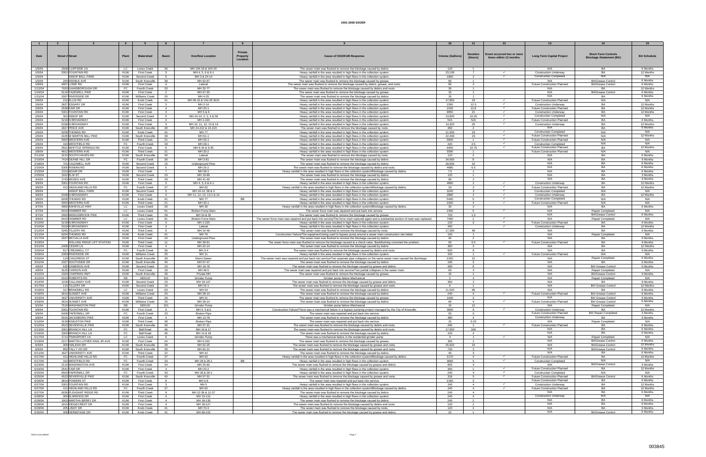|         |                        |                                |            |                       |                |                          |           |                                                                                                                                           |                        |                            |                                                      | 13                                 |                                                              |                    |
|---------|------------------------|--------------------------------|------------|-----------------------|----------------|--------------------------|-----------|-------------------------------------------------------------------------------------------------------------------------------------------|------------------------|----------------------------|------------------------------------------------------|------------------------------------|--------------------------------------------------------------|--------------------|
|         |                        |                                |            |                       |                |                          |           |                                                                                                                                           |                        |                            |                                                      |                                    |                                                              |                    |
|         |                        |                                |            |                       |                |                          | Private   |                                                                                                                                           |                        |                            |                                                      |                                    |                                                              |                    |
| Date    | <b>Street # Street</b> |                                | Plan       | Watershed             | <b>Basin</b>   | Overflow Location        | Property  | <b>Cause of SSO/KUB Response</b>                                                                                                          | <b>Volume (Gallons</b> | <b>Duration</b><br>(Hours) | Event occurred two or more<br>times within 12 months | <b>Long-Term Capital Project</b>   | <b>Short-Term Controls</b><br><b>Blockage Abatement (BA)</b> | <b>BA Schedule</b> |
|         |                        |                                |            |                       |                |                          | Location  |                                                                                                                                           |                        |                            |                                                      |                                    |                                                              |                    |
|         |                        |                                |            |                       |                |                          |           |                                                                                                                                           |                        |                            |                                                      |                                    |                                                              |                    |
| 1/5/04  |                        | 1508 CLIFFSIDE LN              | LC.        | <b>Loves Creek</b>    | 26             | MH 104-19 & 104-20       |           | The sewer main was flushed to remove the blockage caused by debris                                                                        | 120                    | $\overline{1}$             |                                                      | N/A                                | <b>BA</b>                                                    | 6 Months           |
| 1/5/04  |                        | 5301 FOUNTAIN RD               | KUW        | <b>First Creek</b>    | $\mathbf{3}$   | MH 4, 5, 6 & 6-1         |           | Heavy rainfall in the area resulted in high flows in the collection system.                                                               | 23,100                 | $\overline{7}$             |                                                      | <b>Construction Underway</b>       | <b>BA</b>                                                    | 12 Months          |
| 1/5/04  |                        | <b>INSKIP BALL PARK</b>        | KUW        | Second Creek          | 5              | MH 3 & 24-14             |           | Heavy rainfall in the area resulted in high flows in the collection system.                                                               | 1800                   | $\overline{2}$             | $\checkmark$                                         | <b>Construction Completed</b>      | N/A                                                          | N/A                |
| 1/5/04  |                        | 200 KEEBLE AVE                 | <b>KUW</b> | South Knoxville       | 39             | MH 62-67                 |           | The sewer main was flushed to remove the blockage caused by grease.                                                                       | 60                     | $\overline{1}$             |                                                      | N/A                                | <b>BA/Grease Control</b>                                     | 6 Months           |
| 1/8/04  |                        | 4907 LOWE RD                   | KUW        | <b>First Creek</b>    | $\overline{4}$ | Lateral                  |           | The sewer main was flushed to remove the blockage caused by debris, grease, and roots.                                                    | 60                     | 2                          |                                                      | <b>Future Construction Planned</b> | <b>BA/Grease Control</b>                                     | 6 Months           |
| 1/12/04 |                        | 7020 GAINSBOROUGH DR           | FC         | Fourth Creek          | 33             | MH 32-77                 |           | The sewer main was flushed to remove the blockage caused by debris and roots                                                              | 30                     |                            |                                                      | N/A                                |                                                              | 12 Months          |
| 1/24/04 |                        | 5116 TAZEWELL PIKE             | KUW        | <b>First Creek</b>    | 2              | MH 67-20                 |           | The sewer main was flushed to remove the blockage caused by grease.                                                                       | 15                     | $\overline{1}$             |                                                      | N/A                                | <b>BA/Grease Control</b>                                     | 6 Months           |
| 1/31/04 |                        | 2007 RIVERSIDE DF              | <b>KUW</b> | Villiams Creek        | 25             | MH 4-25                  |           | The sewer main was flushed to remove the blockage caused by debris                                                                        | 15                     | $\overline{1}$             |                                                      | N/A                                | <b>BA</b>                                                    | 6 Months           |
| 2/6/04  |                        | 212 ELLIS RD                   | KUW        | Knob Creek            | 41             | MH 49-15 & VALVE BOX     |           | Heavy rainfall in the area resulted in high flows in the collection system                                                                | 17,850                 | 23                         | $\checkmark$                                         | Future Construction Planned        | N/A                                                          | N/A                |
| 2/6/04  |                        | 2827 ESSARY DR                 | KUW        | <b>First Creek</b>    |                | MH 2-14                  |           | Heavy rainfall in the area resulted in high flows in the collection system                                                                | 1500                   | 12.5                       | $\checkmark$                                         | <b>Construction Underway</b>       | <b>BA</b>                                                    | 12 Months          |
| 2/6/04  |                        | 2538 FAIR DR                   | KUW        | <b>First Creek</b>    | $\overline{4}$ | MH 20-1                  |           | Heavy rainfall in the area resulted in high flows in the collection system.                                                               | 1540                   | 12.8                       | $\checkmark$                                         | <b>Future Construction Planned</b> | RA                                                           | 12 Months          |
| 2/6/04  |                        | 5301 FOUNTAIN RD               | <b>KUW</b> | <b>First Creek</b>    | $\mathbf{R}$   | MH 5 & 6                 |           | Heavy rainfall in the area resulted in high flows in the collection system.                                                               | 9850                   | 21                         | $\checkmark$                                         | Construction Underway              | <b>BA</b>                                                    | 12 Months          |
| 2/6/04  |                        | 301 INSKIP DR                  | KUW        | Second Creek          |                | MH 24-14, 2, 3, 4 & 58   |           | Heavy rainfall in the area resulted in high flows in the collection system                                                                | 13,845                 | 10.25                      | $\checkmark$                                         | <b>Construction Completed</b>      | N/A                                                          | N/A                |
| 2/6/04  |                        | 5218 N BROADWAY                | <b>KUW</b> | <b>First Creek</b>    | $\mathbf{3}$   | MH 2-220                 |           | Heavy rainfall in the area resulted in high flows in the collection system.                                                               | N/A                    | N/A                        | $\checkmark$                                         | <b>Future Construction Planned</b> | <b>BA</b>                                                    | 6 Months           |
| 2/6/04  |                        | 5338 N BROADWAY                | KUW        | <b>First Creek</b>    |                | MH 10, 11, 12, 13 & 14   |           | Heavy rainfall in the area resulted in high flows in the collection system                                                                | 14,325                 | 20                         | $\checkmark$                                         | <b>Construction Underway</b>       | <b>BA</b>                                                    | 12 Months          |
| 2/6/04  |                        | 1827 PRICE AVE                 | KUW        | outh Knoxville        | 40             | MH 24-222 & 24-223       |           | The sewer main was flushed to remove the blockage caused by roots                                                                         | 360                    |                            |                                                      | N/A                                | RA                                                           | 6 Months           |
| 2/6/04  |                        | 6208 THOMAS RD                 | <b>KUW</b> | Knob Creek            | 41             | MH 77                    |           | Heavy rainfall in the area resulted in high flows in the collection system                                                                | 11.500                 | 23                         | $\checkmark$                                         | <b>Construction Completed</b>      | N/A                                                          | N/A                |
| 2/6/04  |                        | 4105 W MARTIN MILL PIKE        | KUW        | South Knoxville       | 39             | MH 61-1                  |           | Heavy rainfall in the area resulted in high flows in the collection system.                                                               | 22,400                 | 23                         | $\checkmark$                                         | Future Construction Planned        | N/A                                                          | 12 Months          |
| 2/6/04  |                        | 5000 WESTERN AVE               | KUW        | <b>Third Creek</b>    | 21             | MH 33-1                  |           | Heavy rainfall in the area resulted in high flows in the collection system.                                                               | 3600                   |                            | $\checkmark$                                         | Future Construction Planned        | N/A                                                          | N/A                |
| 2/6/04  |                        | 310 WESTFIELD RD               | FC         | Fourth Creek          | 33             | MH 28-1                  |           | Heavy rainfall in the area resulted in high flows in the collection system.                                                               | 420                    | 3.5                        | $\checkmark$                                         | <b>Construction Completed</b>      | N/A                                                          | N/A                |
| 2/6/04  |                        | 3501 WHITTLE SPRINGS RD        | KUW        | <b>First Creek</b>    | -8             | MH 9-34 & 9-35           |           | Heavy rainfall in the area resulted in high flows in the collection system                                                                | 6450                   | 10.75                      | $\checkmark$                                         | <b>Future Construction Planned</b> | <b>BA</b>                                                    | 12 Months          |
| 2/8/04  |                        | 4812 WESTERN AVE               | <b>KUW</b> | <b>Third Creek</b>    | 21             | MH 33-2                  |           | Heavy rainfall in the area resulted in high flows in the collection system.                                                               | 3000                   | $\overline{1}$             |                                                      | <b>Future Construction Planned</b> | N/A                                                          | N/A                |
| 2/11/04 |                        | 3215 SOUTH HAVEN RD            | <b>KUW</b> | South Knoxville       | 40             | Lateral                  |           | The sewer main was flushed to remove the blockage caused by roots                                                                         | 110                    | 2                          |                                                      | N/A                                | <b>BA</b>                                                    | 6 Months           |
| 2/16/04 |                        | 7414 DEANE HILL DR             | FC         | Fourth Creek          | 36             | MH 3-81                  |           | The sewer main was flushed to remove the blockage caused by debris                                                                        | 34,560                 | 8                          |                                                      | N/A                                | BA                                                           | 6 Months           |
| 2/18/04 |                        | 701 CALDWELL AVE               | KUW        | Second Creek          | 15             | Underground Flow         |           | The sewer main was flushed to remove the blockage caused by debris                                                                        | 18,000                 | 10                         |                                                      | N/A                                | <b>BA</b>                                                    | 6 Months           |
| 2/20/04 |                        | 5305 ROWAN RD                  | <b>KUW</b> | Second Creek          | -5.            | MH 25-2                  |           | The sewer main was flushed to remove the blockage caused by debris and roots                                                              | 4680                   | 6.5                        |                                                      | N/A                                | BA                                                           | 6 Months           |
| 2/23/04 |                        | 1313 ADAIR DR                  | KUW        | <b>First Creek</b>    | $\overline{7}$ | MH 28-1                  |           | Heavy rainfall in the area resulted in high flows in the collection system/Blockage caused by debris.                                     | 7.5                    | $-1$                       |                                                      | N/A                                | <b>BA</b>                                                    | 6 Months           |
| 2/25/04 |                        | 1022 ELM ST                    | KUW        | Second Creek          | 23             | MH 19-96                 |           | The sewer main was flushed to remove the blockage caused by debris                                                                        | 120                    |                            |                                                      | N/A                                | BA                                                           | 3 Months           |
| 3/4/04  |                        | 1743 MOSES AVE                 | KUW        | <b>Third Creek</b>    | 29             | MH 41-40                 |           | The sewer main was flushed to remove the blockage caused by debris                                                                        | 90                     | $\overline{2}$             |                                                      | N/A                                | <b>BA</b>                                                    | 6 Months           |
| 3/6/04  |                        | 5301 FOUNTAIN RD               | <b>KUW</b> | <b>First Creek</b>    | $\mathcal{R}$  | MH 4, 5, 6 & 6-1         |           | Heavy rainfall in the area resulted in high flows in the collection system                                                                | 4800                   | $\overline{2}$             | $\checkmark$                                         | <b>Construction Underway</b>       | <b>BA</b>                                                    | 12 Months          |
| 3/6/04  |                        | 411 HIGHLAND HILLS RD          | FC         | Fourth Creek          | 37             | MH 62                    |           | Heavy rainfall in the area resulted in high flows in the collection system/Blockage caused by debris.                                     | 33                     | $\overline{2}$             | $\checkmark$                                         | Future Construction Planned        | <b>BA</b>                                                    | 12 Months          |
| 3/6/04  |                        | <b>INSKIP BALL PARK</b>        | KUW        | Second Creek          |                | MH 24-14, 58 & 4         |           | Heavy rainfall in the area resulted in high flows in the collection system                                                                | 3240                   |                            | $\checkmark$                                         | <b>Construction Completed</b>      | N/A                                                          | N/A                |
| 3/6/04  |                        | 5338 N BROADWAY                | KUW        | <b>First Creek</b>    | $\mathbf{3}$   | MH 11, 12, 13, 13-1 & 14 |           | Heavy rainfall in the area resulted in high flows in the collection system.                                                               | 2880                   | $\overline{2}$             | $\checkmark$                                         | <b>Construction Underway</b>       | BA                                                           | 12 Months          |
| 3/6/04  |                        | 6208 THOMAS RD                 | KUW        | Knob Creek            | 41             | MH 77                    | <b>BB</b> | Heavy rainfall in the area resulted in high flows in the collection system                                                                | 5400                   |                            | $\checkmark$                                         | <b>Construction Completed</b>      | N/A                                                          | N/A                |
| 3/6/04  |                        | 5000 WESTERN AVE               | <b>KUW</b> | <b>Third Creek</b>    | 21             | MH 33-1                  |           | Heavy rainfall in the area resulted in high flows in the collection system.                                                               | 1920                   | $\overline{4}$             | $\checkmark$                                         | Future Construction Planned        | N/A                                                          | N/A                |
| 3/7/04  |                        | 4900 ASHEVILLE HWY             | LC         | Loves Creek           | 20             | MH 30                    |           | Heavy rainfall in the area resulted in high flows in the collection system/Blockage caused by debris.                                     | 33                     | $\overline{2}$             |                                                      | N/A                                | RA                                                           | 6 Months           |
| 3/7/04  |                        | 6410 HAMMER RD                 | LC         | Loves Creek           | 61             | Broken Force Main        |           | The sewer force main was repaired and put back into service.                                                                              | 2356                   | 5                          | $\checkmark$                                         | N/A                                | Repair Completed                                             | N/A                |
| 3/7/04  |                        | 2000 MIDDLEBROOK PIKE          | KUW        | <b>Third Creek</b>    | 29             | MH 34 & 35               |           | The sewer main was flushed to remove the blockage caused by grease                                                                        | 720                    | 1.5                        |                                                      | N/A                                | <b>BA/Grease Control</b>                                     | 6 Months           |
| 3/9/04  |                        | 6410 HAMMER RD                 | LC         | Loves Creek           | 61             | <b>Broken Force Main</b> |           | The sewer force main was repaired and put back into service/The force main ruptured again and a substantial section of main was replaced. | 7480                   |                            | $\checkmark$                                         | N/A                                | Repair Completed                                             | N/A                |
| 3/10/04 |                        | 5218 N BROADWAY                | KUW        | <b>First Creek</b>    | $\mathbf{3}$   | MH 2-220                 |           | Heavy rainfall in the area resulted in high flows in the collection system.                                                               | 120                    | 2                          | $\checkmark$                                         | <b>Future Construction Planned</b> | <b>BA</b>                                                    | 6 Months           |
| 3/10/04 |                        | 5319 N BROADWAY                | KUW        | <b>First Creek</b>    | $\mathbf{3}$   | Lateral                  |           | Heavy rainfall in the area resulted in high flows in the collection system.                                                               | 260                    |                            | $\checkmark$                                         | <b>Construction Underway</b>       | <b>BA</b>                                                    | 12 Months          |
| 3/10/04 |                        | 5265 TILLERY RD                | KUW        | Third Creek           |                | MH 24-49                 |           | The sewer main was flushed to remove the blockage caused by roots.                                                                        | 17,280                 | 48                         |                                                      | N/A                                | BA                                                           | 6 Months           |
| 3/11/04 |                        | 6204 THOMAS RD                 | KUW        | Knob Creek            | 41             | MH 76                    |           | Construction Failure/The equipment being used to bypass pump around a sewer main construction site failed.                                | 150                    | $\overline{1}$             |                                                      | N/A                                | Repair Completed                                             | N/A                |
| 3/17/04 |                        | 2027 MCCALLA AVE               | KUW        | <b>First Creek</b>    | 24             | Underground Flow         |           | The sewer main was flushed to remove the blockage caused by debris                                                                        | 40                     | $\overline{2}$             |                                                      | N/A                                | <b>BA</b>                                                    | 6 Months           |
| 3/19/04 |                        | ROLLING RIDGE LIFT STATION     | KUW        | Third Creek           | 11             | MH 39-91                 |           | The sewer force main was flushed to remove the blockage caused at a check valve. Backflushing corrected the problem.                      | 90                     | 0.5                        | $\checkmark$                                         | <b>Future Construction Planned</b> | <b>BA</b>                                                    | 6 Months           |
| 3/21/04 |                        | 2406 CEDAR LN                  | <b>KUW</b> | <b>First Creek</b>    | $\overline{4}$ | MH 22-14                 |           | The sewer main was flushed to remove the blockage caused by debris                                                                        | 360                    | 3                          |                                                      | N/A                                | <b>BA</b>                                                    | 12 Months          |
| 3/25/04 |                        | 817 CRESWELL CT                | FC         | Fourth Creek          | 36             | MH 3-4                   |           | The sewer main was flushed to remove the blockage caused by debris and roots                                                              | 600                    | -8                         |                                                      | N/A                                | <b>BA</b>                                                    | 6 Months           |
| 3/29/04 |                        | 2363 RIVERSIDE DR              | KUW        | <b>Williams Creek</b> | 25             | MH 11                    |           | Heavy rainfall in the area resulted in high flows in the collection system.                                                               | 150                    | $\blacksquare$             | $\checkmark$                                         | <b>Future Construction Planned</b> | N/A                                                          | N/A                |
| 3/30/04 |                        | 119 CHILDRESS ST               | KUW        | South Knoxville       | 39             | <b>Storm Sewer</b>       |           | The sewer main was repaired and put back into service/Two separate pipe collapses on the same sewer main caused the discharge.            | 2160                   | 12                         |                                                      | N/A                                | <b>Repair Completed</b>                                      | 6 Months           |
| 3/31/04 |                        | 2327 SOUTHSIDE DF              | KUW        | South Knoxville       | 40             | MH 57-47                 |           | The sewer main was flushed to remove the blockage caused by debris                                                                        | 180                    | $\mathbf{R}$               |                                                      | N/A                                | BA                                                           | 6 Months           |
| 4/6/04  |                        | 635 DAMERON AVE                | KUW        | Second Creek          | 23             | MH 19-78                 |           | The sewer main was flushed to remove the blockage caused by grease and debris                                                             | 480                    | $\overline{R}$             |                                                      | N/A                                | <b>BA/ Grease Control</b>                                    | 6 Months           |
| 4/8/04  |                        | 3125 CARSON AVE                | KUW        | <b>First Creek</b>    | 18             | MH 48-5                  |           | The sewer main was repaired and put back into service/Two partial collapses in the sewer main.                                            | 60                     | $\overline{4}$             |                                                      | N/A                                | Repair Completed                                             | N/A                |
| 4/12/04 |                        | 2320 CHAPMAN HWY               | KUW        | South Knoxville       | 39             | Private MH               |           | The sewer main was flushed to remove the blockage caused by grease.                                                                       | 15                     | $\overline{1}$             |                                                      | N/A                                | <b>BA/Grease Control</b>                                     | 6 Months           |
| 4/12/04 |                        | 6310 ROBERTS RD                | EB         | NEKUD                 | 101            | Grinder Pump             |           | Grinder pump failure-Mechanical                                                                                                           |                        | $\overline{4}$             |                                                      | N/A                                | Repair Completed                                             | N/A                |
| 4/14/04 |                        | 1106 CALLAWAY AVE              | <b>KUW</b> | Second Creek          | 23             | MH 19-147                |           | The sewer main was flushed to remove the blockage caused by grease and debris                                                             | 360                    | $\overline{2}$             |                                                      | N/A                                | <b>BA</b>                                                    | 6 Months           |
| 4/17/04 |                        | 114 TILLERY DR                 | KUW        | Second Creek          | 10             | MH 16-1                  |           | The sewer main was flushed to remove the blockage caused by grease and roots                                                              |                        |                            |                                                      | N/A                                | <b>BA/ Grease Control</b>                                    | 12 Months          |
| 4/19/04 |                        | 317 BRAKEBILL RD               | LC         | Loves Creek           | 63             | MH 54                    |           | The sewer main was flushed to remove the blockage caused by debris                                                                        | 11,520                 | 96                         |                                                      | N/A                                |                                                              | 6 Months           |
| 4/19/04 |                        | 2614 SUNSET AVE                | <b>KUW</b> | Williams Creek        | 25             | MH 28-14                 |           | The sewer main was flushed to remove the blockage caused by debris                                                                        | 240                    | $\mathbf{A}$               | $\checkmark$                                         | <b>Future Construction Planned</b> | BA/ Grease Control                                           | 6 Months           |
| 4/23/04 |                        | 1637 UNIVERSITY AVE            | KUW        | <b>Third Creek</b>    | 29             | MH 41                    |           | The sewer main was flushed to remove the blockage caused by grease                                                                        | 1440                   |                            |                                                      | N/A                                | <b>BA/ Grease Contro</b>                                     | 6 Months           |
| 4/29/04 |                        | 2614 SUNSET AVE                | <b>KUW</b> | Williams Creek        | 25             | MH 28-14                 |           | The sewer main was flushed to remove the blockage caused by debris                                                                        | 60                     | $\mathbf{A}$               | $\checkmark$                                         | Future Construction Planned        | <b>BA/ Grease Control</b>                                    | 6 Months           |
| 5/2/04  |                        | 7519 WASHINGTON PIKE           | EB         | NEKUD                 | 101            | Grinder Pump             |           | Grinder pump failure-Mechanical                                                                                                           | 10                     | 12                         |                                                      | N/A                                | <b>Repair Completed</b>                                      | N/A                |
| 5/6/04  |                        | 5301 FOUNTAIN RD               | <b>KUW</b> | <b>First Creek</b>    | $\mathbf{3}$   | MH 4, 5 & 6              |           | Construction Failure/There was a mechanical failure in a bypass pumping project managed by the City of Knoxville.                         | 3600                   |                            | $\checkmark$                                         | <b>Construction Underway</b>       | <b>BA</b>                                                    | 12 Months          |
| 5/6/04  |                        | 6408 PAPERMILL DR              | FC         | Fourth Creek          | 33             | Broken Pipe              |           | The sewer main was repaired and put back into service.                                                                                    | 50                     |                            |                                                      | Future Construction Planned        | <b>BA/ Repair Completed</b>                                  | 3 Months           |
| 5/8/04  |                        | 5015 JACKSBORO PIKE            | <b>KUW</b> | First Creek           | $\overline{4}$ | MH 13-78                 |           | The sewer main was flushed to remove the blockage caused by debris                                                                        | 480                    | $\overline{4}$             |                                                      | <b>Construction Underway</b>       | <b>BA</b>                                                    | 6 Months           |
| 5/10/04 |                        | 3128 KINGSTON PIKE             | KUW        | <b>Third Creek</b>    | 38             | <b>Broken Pipe</b>       |           | The sewer main was repaired and put back into service.                                                                                    | 15                     | 0.25                       |                                                      | N/A                                | Repair Completed                                             | N/A                |
| 5/12/04 |                        | 4523 SEVIERVILLE PIKE          | KUW        | South Knoxville       | 40             | MH 57-31                 |           | The sewer main was flushed to remove the blockage caused by debris and roots                                                              | 240                    | $\overline{1}$             | $\checkmark$                                         | Future Construction Planned        | <b>BA</b>                                                    | 6 Months           |
| 5/13/04 |                        | 3301 BRANCH HILL LN            | FC         | <b>Ball Road</b>      | 49             | MH 16 & 17               |           | The sewer main was flushed to remove the blockage caused by debris and roots                                                              | 17,050                 | 168                        |                                                      | N/A                                | <b>BA</b>                                                    | 6 Months           |
| 5/16/04 |                        | 3300 BRANCH HILL LN            | FC         | <b>Ball Road</b>      | 49             | MH 14 & 18               |           | The sewer main was flushed to remove the blockage caused by debris                                                                        | 100                    | $\overline{4}$             |                                                      | N/A                                | <b>BA</b>                                                    | 6 Months           |
| 5/17/04 |                        | 1711 TRANSPORT LN              | LC         | Loves Creek           | 6              | Grinder Pump             |           | There was a mechanical failure in the residential grinder pump                                                                            | $\overline{4}$         | $\overline{1}$             | $\checkmark$                                         | N/A                                | Repair Completed                                             | N/A                |
| 5/19/04 |                        | 2217 MARTIN LUTHER KING JR AVE | KUW        | <b>First Creek</b>    | 24             | MH 6-152                 |           | The sewer main was flushed to remove the blockage caused by grease.                                                                       | 365                    |                            |                                                      | N/A                                | <b>BA/Grease Control</b>                                     | 6 Months           |
| 6/4/04  |                        | 309 HIALEAH DR                 | <b>KUW</b> | South Knoxville       | 39             | MH 62-25                 |           | The sewer main was flushed to remove the blockage caused by grease and roots                                                              | 25,920                 | 24                         |                                                      | N/A                                | <b>BA/Grease Control</b>                                     | 12 Months          |
| 6/5/04  |                        | 850 TALLY HO DR                | <b>KUW</b> | South Knoxville       | 39             | MH 62-21                 |           | The sewer main was flushed to remove the blockage caused by grease and roots                                                              | 726                    | $\overline{2}$             |                                                      | N/A                                | <b>BA/Grease Control</b>                                     | 6 Months           |
| 6/11/04 |                        | 1627 UNIVERSITY AVE            | KUW        | <b>Third Creek</b>    | 22             | MH 42                    |           | The sewer main was flushed to remove the blockage caused by debris                                                                        | 40                     | $\mathbf{a}$               |                                                      | N/A                                | <b>BA</b>                                                    | 6 Months           |
| 6/17/04 |                        | 411 HIGHLAND HILLS RD          | <b>FC</b>  | Fourth Creek          | 37             | MH 62                    |           | Heavy rainfall in the area resulted in high flows in the collection system/Blockage caused by debris.                                     | 2170                   | $\overline{4}$             | $\checkmark$                                         | Future Construction Planned        | <b>BA</b>                                                    | 12 Months          |
| 6/17/04 |                        | 310 WESTFIELD RD               | FC         | Fourth Creek          | 33             | MH 28 & 28-              | BB        | Heavy rainfall in the area resulted in high flows in the collection system                                                                | 3600                   | - 5                        | $\checkmark$                                         | <b>Construction Completed</b>      | N/A                                                          | N/A                |
| 6/23/04 |                        | 2110 WASHINGTON AVE            | <b>KUW</b> | <b>First Creek</b>    | 24             | MH 25-92                 |           | The sewer main was flushed to remove the blockage caused by grease and debris.                                                            | 655                    | $\overline{4}$             |                                                      | N/A                                | <b>BA/Grease Control</b>                                     | 6 Months           |
| 6/24/04 |                        | 2541 FAIR DR                   | <b>KUW</b> | <b>First Creek</b>    | $\overline{4}$ | MH 20-2                  |           | Heavy rainfall in the area resulted in high flows in the collection system.                                                               | 360                    | $\overline{1}$             | $\checkmark$                                         | Future Construction Planned        | BA                                                           | 12 Months          |
| 6/25/04 |                        | 6500 PAPERMILL DR              | <b>FC</b>  | Fourth Creek          | 33             | MH 28 & 28-1             |           | Heavy rainfall in the area resulted in high flows in the collection system                                                                | 240                    | $\overline{4}$             | $\checkmark$                                         | <b>Construction Completed</b>      | N/A                                                          | N/A                |
| 6/25/04 |                        | 4523 SEVIERVILLE PIKE          | KUW        | South Knoxville       | 40             | MH 57-31                 |           | The sewer main was flushed to remove the blockage caused by grease and roots                                                              | 318                    | - 5                        | $\checkmark$                                         | <b>Future Construction Planned</b> | <b>BA/Grease Control</b>                                     | 6 Months           |
| 6/26/04 |                        | 3814 POWERS ST                 | KUW        | <b>First Creek</b>    | 8              | MH 5-9                   |           | The sewer main was repaired and put back into service.                                                                                    | 2160                   | $\mathbf{R}$               |                                                      | <b>Future Construction Planned</b> | <b>BA</b>                                                    | 6 Months           |
| 6/27/04 |                        | 5301 FOUNTAIN RD               | <b>KUW</b> | <b>First Creek</b>    | $\mathbf{3}$   | MH <sub>5</sub>          |           | Heavy rainfall in the area resulted in high flows in the collection system.                                                               | 240                    | $\overline{4}$             | $\checkmark$                                         | <b>Construction Underway</b>       | <b>BA</b>                                                    | 12 Months          |
| 6/27/04 |                        | 411 HIGHLAND HILLS RD          | <b>FC</b>  | Fourth Creek          | 37             | MH 62                    |           | Heavy rainfall in the area resulted in high flows in the collection system/Blockage caused by debris.                                     | 240                    | $\overline{4}$             | $\checkmark$                                         | Future Construction Planned        | <b>BA</b>                                                    | 12 Months          |
| 6/27/04 |                        | 6036 PLEASANT RIDGE RD         | <b>KUW</b> | <b>Third Creek</b>    | 9              | MH 12-36 & 12-37         |           | The sewer main was flushed to remove the blockage caused by debris                                                                        | 240                    | $\overline{a}$             |                                                      | N/A                                | BA                                                           | 6 Months           |
| 6/28/04 |                        | 300 ELMWOOD DR                 | KUW        | <b>First Creek</b>    | $\overline{a}$ | MH 13-112                |           | Heavy rainfall in the area resulted in high flows in the collection system                                                                | 240                    | $\overline{a}$             |                                                      | <b>Construction Underway</b>       | N/A                                                          | N/A                |
| 6/28/04 |                        | 1903 MARTHA BERRY DR           | <b>KUW</b> | <b>First Creek</b>    | $\overline{4}$ | MH 18-135                |           | The sewer main was flushed to remove the blockage caused by debris                                                                        | 240                    | $\overline{2}$             |                                                      | N/A                                | BA                                                           | 6 Months           |
| 6/28/04 |                        | 1915 RIDGECREST DR             | KUW        | <b>First Creek</b>    | $\overline{4}$ | MH 18-127                |           | The sewer main was flushed to remove the blockage caused by debris and roots                                                              | 120                    | $\blacksquare$             |                                                      | N/A                                | <b>BA</b>                                                    | 6 Months           |
| 6/29/04 |                        | 205 LINDY DR                   | KUW        | Knob Creek            | 41             | MH 70-3                  |           | The sewer main was flushed to remove the blockage caused by roots                                                                         | 120                    |                            |                                                      | N/A                                | <b>BA</b>                                                    | 3 Months           |
| 6/30/04 |                        | 308 HERMITAGE DR               | <b>KUW</b> | Knob Creek            | 41             | MH 66-102                |           | The sewer main was flushed to remove the blockage caused by grease and debris                                                             | 22                     | $-1$                       |                                                      | N/A                                | <b>BA/Grease Control</b>                                     | 6 Months           |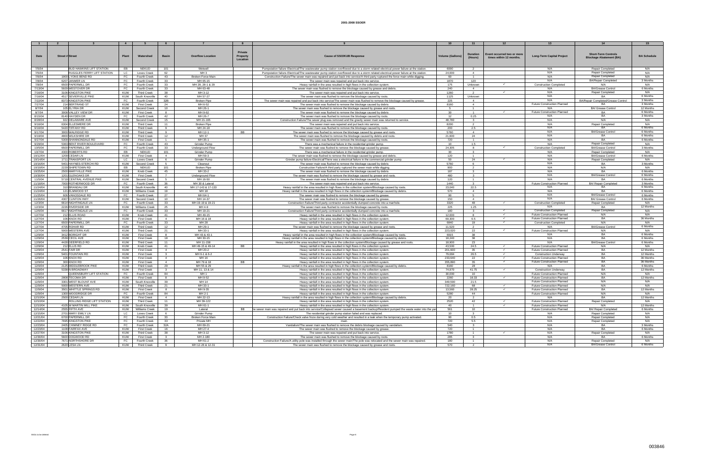|                      |                                                    | $\overline{4}$          |                                          |                      |                                     |                                               |                                                                                                                                                                                                        |                         |                                  |                                                       |                                                                     |                                                              |                        |
|----------------------|----------------------------------------------------|-------------------------|------------------------------------------|----------------------|-------------------------------------|-----------------------------------------------|--------------------------------------------------------------------------------------------------------------------------------------------------------------------------------------------------------|-------------------------|----------------------------------|-------------------------------------------------------|---------------------------------------------------------------------|--------------------------------------------------------------|------------------------|
| Date                 | <b>Street # Street</b>                             | Plant                   | Watershed                                | <b>Basin</b>         | <b>Overflow Location</b>            | <b>Private</b><br><b>Property</b><br>Location | <b>Cause of SSO/KUB Response</b>                                                                                                                                                                       | <b>Volume (Gallons)</b> | <b>Duration</b><br>(Hours)       | Event occurred two or more<br>times within 12 months. | <b>Long-Term Capital Project</b>                                    | <b>Short-Term Controls</b><br><b>Blockage Abatement (BA)</b> | <b>BA Schedule</b>     |
| 7/5/04               | BUD HAWKINS LIFT STATION                           | EB                      | NEKUD                                    | 101                  | Wetwell                             |                                               | Pumpstation failure-Electrical/The wastewater pump station overflowed due to a storm related electrical power failure at the station.                                                                  | 6000                    | 2                                |                                                       | N/A                                                                 | Repair Completed                                             | N/A                    |
| 7/5/04               | RUGGLES FERRY LIFT STATION                         | LC                      | Loves Creek                              | 62                   | MH <sub>3</sub>                     |                                               | Pumpstation failure-Electrical/The wastewater pump station overflowed due to a storm related electrical power failure at the station.                                                                  | 24,000                  | $\overline{4}$                   |                                                       | N/A                                                                 | <b>Repair Completed</b>                                      | N/A                    |
| 7/6/04               | 1900 LYONS BEND RD                                 | FC                      | Fourth Creek                             | 43                   | Broken Force Main                   |                                               | Construction Failure/The sewer main was repaired and put back into service/A third party ruptured the force main while digging                                                                         | 60                      | $\overline{1}$                   |                                                       | N/A                                                                 | Repair Completed                                             | N/A                    |
| 7/8/04               | 6207 JANMER LN                                     | FC                      | Fourth Creek                             | 33                   | MH 65-15                            |                                               | The sewer main was repaired and put back into service.                                                                                                                                                 | 1870                    | 120                              |                                                       | N/A                                                                 | <b>BA/Repair Completed</b>                                   | 3 Months               |
| 7/8/04               | 6500 PAPERMILL DR                                  | FC                      | Fourth Creek                             | 33                   | MH 28, 28-1 & 29                    |                                               | Heavy rainfall in the area resulted in high flows in the collection system.                                                                                                                            | 175                     | Unknown                          |                                                       | <b>Construction Completed</b>                                       | N/A                                                          | N/A                    |
| 7/13/04              | 5929 WESTOVER DR                                   | FC                      | Fourth Creek                             | 33                   | MH 63-48                            |                                               | The sewer main was flushed to remove the blockage caused by grease and debris.                                                                                                                         | 240                     | $\overline{a}$                   |                                                       | N/A                                                                 | <b>BA/Grease Control</b>                                     | 6 Months               |
| 7/16/04              | 3106 KINGSTON PIKE                                 | <b>KUW</b>              | <b>Third Creek</b>                       | 38                   | MH 3-12                             |                                               | The sewer main was repaired and put back into service                                                                                                                                                  | 1260                    |                                  | $\checkmark$                                          | N/A                                                                 | <b>Repair Completed</b>                                      | N/A                    |
| 7/16/04              | 4517 SEVIERVILLE PIKE                              | KUW                     | South Knoxville                          | 40                   | MH 57-27                            |                                               | The sewer main was flushed to remove the blockage caused by roots                                                                                                                                      | 1125                    | Unknown                          |                                                       | N/A                                                                 |                                                              | 6 Months               |
| 7/22/04              | 8373 KINGSTON PIKE                                 | FC                      | Fourth Creek                             | 32B                  | <b>Broken Pipe</b>                  |                                               | The sewer main was repaired and put back into service/The sewer main was flushed to remove the blockage caused by grease.                                                                              | 225                     | $\overline{4}$                   |                                                       | N/A                                                                 | BA/Repair Completed/Grease Control                           | 3 Months               |
| 7/27/04              | 214 BERTRAND ST                                    | KUW                     | <b>First Creek</b>                       | 24                   | MH 6-52                             |                                               | The sewer main was flushed to remove the blockage caused by debris                                                                                                                                     | 8160                    | $\overline{a}$                   |                                                       | <b>Future Construction Planned</b>                                  | <b>BA</b>                                                    | 3 Months               |
| 8/7/04               | 105 ELYRIA DR                                      | KUW                     | Second Creek                             | 10                   | MH 26-1                             |                                               | The sewer main was flushed to remove the blockage caused by grease and roots                                                                                                                           |                         |                                  |                                                       | N/A                                                                 | <b>BA/ Grease Contro</b>                                     | 12 Months              |
| 8/7/04               | 3008 VALLEY VIEW DR                                | KUW                     | <b>First Creek</b>                       |                      | MH 9-62                             |                                               | The sewer main was flushed to remove the blockage caused by debris                                                                                                                                     | - 30                    | $\overline{1}$                   | $\checkmark$                                          | Future Construction Planned                                         | BA<br><b>RA</b>                                              | 6 Months               |
| 8/15/04<br>8/28/04   | 8140 HAYDEN DR<br>922 DELAWARE AVE                 | FC                      | Fourth Creek                             | 42                   | MH 26-7                             |                                               | The sewer main was flushed to remove the blockage caused by roots<br>Construction Failure/The sewer plug was removed and the gravity sewer main was returned to service.                               | 12<br>48,780            | 0.25                             |                                                       | N/A<br>N/A                                                          | N/A                                                          | 3 Months<br>N/A        |
| 9/16/04              | 6304 ELLESMERE DF                                  | KUW                     | Second Creek<br><b>Third Creek</b>       | 15<br>11             | MH 21-165                           |                                               |                                                                                                                                                                                                        |                         | $\overline{\mathbf{3}}$<br>2     |                                                       |                                                                     |                                                              |                        |
| 9/16/04              | 5420 TIFFANY RD                                    | KUW<br>KUW              | <b>Third Creek</b>                       | -9                   | <b>Broken Pipe</b><br>MH 24-18      |                                               | The sewer main was repaired and put back into service<br>The sewer main was flushed to remove the blockage caused by roots                                                                             | 8200<br>200             | 2.5                              |                                                       | N/A<br>N/A                                                          | Repair Complete                                              | N/A<br>6 Months        |
| 9/17/04              | 3000 WALRIDGE RD                                   | KUW                     | Third Creek                              | $\mathbf{Q}$         | MH 12-1                             | <b>BB</b>                                     | The sewer main was flushed to remove the blockage caused by grease and roots                                                                                                                           | 5760                    | $\overline{a}$                   |                                                       | N/A                                                                 | <b>BA/Grease Control</b>                                     | 6 Months               |
| 9/19/04              | 4800 WILKSHIRE DR                                  | KUW                     | <b>Third Creek</b>                       | 12                   | MH 37                               |                                               | The sewer main was flushed to remove the blockage caused by debris and roots                                                                                                                           | 21,600                  | 24                               |                                                       | N/A                                                                 | <b>BA</b>                                                    | 6 Months               |
| 9/27/04              | 5309 SHANNONDALE RD                                | KUW                     | <b>First Creek</b>                       | $\overline{1}$       | MH 35-1                             |                                               | The sewer main was flushed to remove the blockage caused by roots.                                                                                                                                     | 720                     | $\overline{1}$                   |                                                       | N/A                                                                 | <b>RA</b>                                                    | 6 Months               |
| 9/29/04              | 5363 BENT RIVER BOULEVARD                          | FC                      | Fourth Creek                             | 43                   | <b>Grinder Pump</b>                 |                                               | There was a mechanical failure in the residential grinder pump.                                                                                                                                        | 10                      | 1.5                              |                                                       | N/A                                                                 | Repair Completed                                             | N/A                    |
| 10/5/04              | 6500 PAPERMILL DR                                  | FC                      | Fourth Creek                             | 33                   | <b>Underground Flow</b>             |                                               | The sewer main was flushed to remove the blockage caused by grease                                                                                                                                     | 24,305                  | -8                               | $\checkmark$                                          | <b>Construction Completed</b>                                       | <b>BA/Grease Contro</b>                                      | 3 Months               |
| 10/7/04              | 4300 ROBERTS RD                                    | EB                      | NEKUD                                    | 101                  | Grinder Pump                        |                                               | There was a mechanical failure in the residential grinder pump.                                                                                                                                        | 30                      | $\overline{\mathbf{3}}$          |                                                       | N/A                                                                 | Repair Completed                                             | N/A                    |
| 10/12/04             | 1209 CEDAR LN                                      | KUW                     | <b>First Creek</b>                       | $\overline{4}$       | MH 59-3                             |                                               | The sewer main was flushed to remove the blockage caused by grease and debris.                                                                                                                         | 120                     | $\overline{1}$                   |                                                       | N/A                                                                 | <b>BA/Grease Control</b>                                     | 6 Months               |
| 10/14/04             | 1711 TRANSPORT LN                                  | LC                      | Loves Creek                              |                      | Grinder Pump                        |                                               | Grinder pump failure-Electrical/There was a electrical failure in the commercial grinder pump                                                                                                          | 50                      | 24                               | $\checkmark$                                          | N/A                                                                 | <b>Repair Completer</b>                                      | N/A                    |
| 10/16/04<br>10/19/04 | 5401 HAYNES-STERCHI RD                             | KUW                     | Second Creek                             |                      | Cleanout                            |                                               | The sewer main was flushed to remove the blockage caused by debris                                                                                                                                     | 5760                    | 6                                |                                                       | N/A                                                                 | <b>BA</b>                                                    | 3 Months               |
| 10/25/04             | 2229 SHIPETOWN RD<br>2500 MARYVILLE PIKE           | EB<br>KUW               | NEKUD<br>Knob Creek                      | 101<br>45            | <b>Broken Pipe</b><br>MH 33-2       |                                               | Construction Failure/A third party ruptured the sewer main while digging<br>The sewer main was flushed to remove the blockage caused by debris                                                         | 900<br>187              | $\overline{2}$<br>$\mathbf{3}$   |                                                       | N/A<br>N/A                                                          | N/A<br><b>BA</b>                                             | N/A<br>6 Months        |
| 10/30/04             | 1201 GLENOAKS DR                                   | KUW                     | First Creek                              | $\overline{7}$       |                                     |                                               | The sewer main was flushed to remove the blockage caused by grease and roots                                                                                                                           | 480                     | $\mathbf{r}$                     |                                                       | N/A                                                                 | <b>BA/Grease Control</b>                                     | 6 Months               |
| 11/5/04              | 5719 CENTRAL AVENUE PIKE                           | KUW                     | Second Creek                             |                      | <b>Underground Flow</b><br>MH 16-50 |                                               | The sewer main was flushed to remove the blockage caused by debris                                                                                                                                     | 120                     | $\overline{1}$                   |                                                       | N/A                                                                 |                                                              | 6 Months               |
| 11/18/04             | 7000 ROTHERWOOD DI                                 | FC                      | Fourth Creek                             | 36                   | MH 30 & Latera                      |                                               | The sewer main was repaired and put back into service.                                                                                                                                                 | 1440                    | $\mathbf{3}$                     |                                                       | <b>Future Construction Planned</b>                                  | <b>BA/ Repair Completed</b>                                  | 3 Months               |
| 11/24/04             | 310 BRANDAU DR                                     | <b>KUW</b>              | South Knoxville                          | 40                   | MH 17-143 & 17-133                  |                                               | Heavy rainfall in the area resulted in high flows in the collection system/Blockage caused by roots.                                                                                                   | 23.040                  | 22.5                             |                                                       | N/A                                                                 | <b>BA</b>                                                    | 6 Months               |
| 11/24/04             | 121 ELMWOOD ST                                     | KUW                     | Williams Creek                           | 19                   | MH 18                               |                                               | Heavy rainfall in the area resulted in high flows in the collection system/Blockage caused by debris                                                                                                   | 570                     |                                  |                                                       | N/A                                                                 | RA                                                           | 6 Months               |
| 11/25/04             | 606 VANOSDALE RD                                   | FC                      | Fourth Creek                             | 27                   | MH 64-1                             |                                               | The sewer main was flushed to remove the blockage caused by grease                                                                                                                                     | - 90                    | -5                               |                                                       | N/A                                                                 | <b>BA/Grease Control</b>                                     | 6 Months               |
| 11/26/04             | 4307 CLINTON HWY                                   | KUW                     | Second Creek                             | 10                   | MH 14-37                            |                                               | The sewer main was flushed to remove the blockage caused by grease                                                                                                                                     | 150                     | $\overline{4}$                   |                                                       | N/A                                                                 | BA/ Grease Control                                           | 6 Months               |
| 12/3/04              | 6614 NIGHTINGALE LN                                | FC                      | Fourth Creek                             | 33                   | MH 19-19 & 19-21                    |                                               | Construction Failure/Third party contractor accidentially dumped concrete into a manhole                                                                                                               | 3320                    | 48                               | $\checkmark$                                          | <b>Construction Completed</b>                                       | Repair Completed                                             | N/A                    |
| 12/3/04              | 2226 RIVERSIDE DR                                  | KUW                     | Williams Creek                           | 25                   | MH 4-9                              |                                               | The sewer main was flushed to remove the blockage caused by roots                                                                                                                                      | 225                     | 1.25                             |                                                       | N/A                                                                 | <b>BA</b>                                                    | 12 Months              |
| 12/6/04              | 6617 NIGHTINGALE LN                                | FC                      | Fourth Creek                             | 33                   | MH 19-21                            |                                               | Construction Failure/Third party contractor accidentially dumped concrete into a manhole                                                                                                               | 180                     | $\mathbf{3}$<br>$\mathbf{R}$     | $\checkmark$                                          | <b>Construction Completed</b><br><b>Future Construction Planned</b> | <b>Repair Completed</b><br>N/A                               | N/A<br>N/A             |
| 12/7/04<br>12/7/04   | 212 ELLIS ROAD<br>106 KNOX RD                      | KUW<br>KUW              | Knob Creek<br><b>First Creek</b>         | 41<br>$\overline{4}$ | MH 49-15<br>MH 16 & 18              |                                               | Heavy rainfall in the area resulted in high flows in the collection system                                                                                                                             | 12,000<br>69,300        | 6.5                              | $\checkmark$                                          | Future Construction Planned                                         | <b>BA</b>                                                    | 36 Months              |
| 12/7/04              | 6500 PAPERMILL DR                                  | FC                      | Fourth Creek                             | 33                   | MH 28                               |                                               | Heavy rainfall in the area resulted in high flows in the collection system<br>Heavy rainfall in the area resulted in high flows in the collection system                                               | 6840                    | 19                               |                                                       | <b>Construction Completed</b>                                       | N/A                                                          | N/A                    |
| 12/7/04              | 4705 ROHAR RD                                      | KUW                     | <b>Third Creek</b>                       | 12                   | MH 29-1                             |                                               | The sewer main was flushed to remove the blockage caused by grease and roots                                                                                                                           | 11,520                  | $\overline{2}$                   |                                                       | N/A                                                                 | <b>BA/Grease Contro</b>                                      | 6 Months               |
| 12/7/04              | 5000 WESTERN AV                                    | KUW                     | <b>Third Creek</b>                       | 21                   | MH 33-1                             |                                               | Heavy rainfall in the area resulted in high flows in the collection system                                                                                                                             | 223,020                 | 22                               | $\checkmark$                                          | Future Construction Planned                                         | N/A                                                          | N/A                    |
| 12/9/04              | 3412 BORIGHT DR                                    | KUW                     | <b>First Creek</b>                       | -8                   | MH 43 & 43-1                        |                                               | Heavy rainfall in the area resulted in high flows in the collection system/Blockage caused by roots.                                                                                                   | 6915                    | 38                               |                                                       | N/A                                                                 | <b>BA</b>                                                    | 6 Months               |
| 12/9/04              | 2539 CECIL AVE                                     | KUW                     | <b>First Creek</b>                       | 18                   | MH 30-15                            |                                               | Heavy rainfall in the area resulted in high flows in the collection system/Blockage caused by debris                                                                                                   | 18,240                  | 38                               |                                                       | N/A                                                                 | RA                                                           | 6 Months               |
| 12/9/04              | 4428 DEERFIELD RD                                  | KUW                     | <b>Third Creek</b>                       | 11                   | MH 11-158                           |                                               | Heavy rainfall in the area resulted in high flows in the collection system/Blockage caused by grease and roots.                                                                                        | 18,900                  | 23                               |                                                       | N/A                                                                 | <b>BA/Grease Control</b>                                     | 6 Months               |
| 12/9/04              | 212 ELLIS RD                                       | KUW                     | Knob Creek                               | 41                   | MH 49-15 & 49-14                    | BB                                            | Heavy rainfall in the area resulted in high flows in the collection system                                                                                                                             | 43,500                  | 24.5                             | $\checkmark$                                          | Future Construction Planned                                         | N/A                                                          | N/A                    |
| 12/9/04              | 2541 FAIR DR                                       | KUW                     | <b>First Creek</b>                       | $\overline{4}$       | MH 20-2                             |                                               | Heavy rainfall in the area resulted in high flows in the collection system                                                                                                                             | 201.600                 | 35                               | $\checkmark$                                          | Future Construction Planned                                         | <b>BA</b>                                                    | 12 Months              |
| 12/9/04<br>12/9/04   | 5401 FOUNTAIN RD<br>106 KNOX RD                    | KUW<br>KUW              | <b>First Creek</b><br><b>First Creek</b> | 3<br>$\overline{4}$  | MH 6-1 & 6-2<br>MH 16               |                                               | Heavy rainfall in the area resulted in high flows in the collection system<br>Heavy rainfall in the area resulted in high flows in the collection system                                               | 79,684<br>233,640       | 26.5<br>22                       | $\checkmark$<br>$\checkmark$                          | <b>Construction Underway</b><br>Future Construction Planned         | <b>RA</b><br><b>BA</b>                                       | 12 Months<br>36 Months |
| 12/9/04              | 300 KNOX RD                                        | KUW                     | <b>First Creek</b>                       | $\overline{4}$       | MH 79 & 18                          | BB                                            | Heavy rainfall in the area resulted in high flows in the collection system                                                                                                                             | 355,890                 | 35                               | $\checkmark$                                          | Future Construction Planned                                         | <b>RA</b>                                                    | 36 Months              |
| 12/9/04              | 2125 MIDDLEBROOK PIKE                              | <b>KUW</b>              | <b>Third Creek</b>                       | 29                   | MH 55 & 29                          |                                               | Heavy rainfall in the area resulted in high flows in the collection system/Blockage caused by debris.                                                                                                  | 8160                    | 28                               |                                                       | N/A                                                                 | BA                                                           | 6 Months               |
| 12/9/04              | 5338 N BROADWAY                                    | KUW                     | <b>First Creek</b>                       | 3                    | MH 11, 13 & 14                      |                                               | Heavy rainfall in the area resulted in high flows in the collection system                                                                                                                             | 74,970                  | 41.75                            |                                                       | <b>Construction Underway</b>                                        | <b>BA</b>                                                    | 12 Months              |
| 12/9/04              | QUEENSBURY LIFT STATION                            | FC                      | Fourth Creek                             | 84                   | MH <sub>1</sub>                     |                                               | Heavy rainfall in the area resulted in high flows in the collection system                                                                                                                             | 30,000                  | 10 <sup>10</sup>                 |                                                       | Future Construction Planned                                         | N/A                                                          | N/A                    |
| 12/9/04              | 2808 TECOMA DR                                     | KUW                     | <b>First Creek</b>                       |                      | MH 9-52                             |                                               | Heavy rainfall in the area resulted in high flows in the collection system                                                                                                                             | 2260                    | 18.33                            | $\checkmark$                                          | <b>Future Construction Planned</b>                                  | <b>BA</b>                                                    | 12 Months              |
| 12/9/04              | 3301 WEST BLOUNT AVE                               | KUW                     | South Knoxville                          | 39                   | MH 14                               |                                               | Heavy rainfall in the area resulted in high flows in the collection system                                                                                                                             | 349,590                 | 21.5                             |                                                       | <b>Future Construction Planned</b>                                  | N/A                                                          | N/A                    |
| 12/9/04              | 5000 WESTERN AVE                                   | KUW                     | <b>Third Creek</b>                       | 21                   | MH 33-1                             |                                               | Heavy rainfall in the area resulted in high flows in the collection system                                                                                                                             | 722,160                 | 68                               | $\checkmark$                                          | <b>Future Construction Planned</b>                                  | N/A                                                          | N/A                    |
| 12/9/04              | 3501 WHITTLE SPRINGS RD                            | KUW                     | <b>First Creek</b>                       | - 8                  | MH 9-35                             |                                               | Heavy rainfall in the area resulted in high flows in the collection system                                                                                                                             | 13,560                  | 28.25                            | $\checkmark$                                          | <b>Future Construction Planned</b>                                  | <b>BA</b>                                                    | 12 Months              |
| 12/9/04              | 1300 WOODRIDGE DR                                  | FC                      | Fourth Creek                             | 84                   | MH 2-1                              |                                               | Heavy rainfall in the area resulted in high flows in the collection system                                                                                                                             | 5280                    | 44                               |                                                       | <b>Future Construction Planned</b>                                  | N/A                                                          | N/A                    |
| 12/10/04<br>12/10/04 | 2500 CEDAR LN<br><b>ROLLING RIDGE LIFT STATION</b> | KUW<br><b>KUW</b>       | <b>First Creek</b><br><b>Third Creek</b> | $\overline{4}$<br>11 | MH 22-13<br>MH 39-122               |                                               | Heavy rainfall in the area resulted in high flows in the collection system/Blockage caused by debris<br>Heavy rainfall in the area resulted in high flows in the collection system.                    | 20<br>2520              | $\overline{2}$<br>42             |                                                       | N/A<br>Future Construction Planned                                  | BA<br>Repair Completed                                       | 12 Months<br>N/A       |
| 12/10/04             | 4105 W MARTIN MILL PIKE                            | KUW                     | South Knoxville                          | 39                   | MH 61-1                             |                                               | Heavy rainfall in the area resulted in high flows in the collection system                                                                                                                             | 40                      | $\overline{1}$                   |                                                       | Future Construction Planned                                         | N/A                                                          | 12 Months              |
| 12/14/04             | 2555 FIFTH AVE                                     | <b>KUW</b>              | <b>Williams Creek</b>                    | 19                   | Lateral                             | BB.                                           | he sewer main was repaired and put back into service/Collapsed sewer caused a basement backup/Resident pumped the waste water into the yar                                                             | 561                     | 10 <sup>1</sup>                  |                                                       | Future Construction Planned                                         | BA/ Repair Completed                                         | 6 Months               |
| 12/15/04             | 2701 MARY EMILY LN                                 | <b>LC</b>               | Loves Creek                              | 6                    | Grinder Pump                        |                                               | The residential grinder pump station failed and was replaced.                                                                                                                                          | 10                      | $\overline{\mathbf{3}}$          |                                                       | N/A                                                                 | Repair Completed                                             | N/A                    |
| 12/21/04             | 6700 PAPERMILL DR                                  | FC                      | Fourth Creek                             | 33                   | Broken Force Main                   |                                               | Construction Failure/Check valve froze during very cold weather and resulted in a leak when the temporary pump activated.                                                                              | 90                      | 0.5                              |                                                       | N/A                                                                 | <b>Repair Completed</b>                                      | N/A                    |
| 12/22/04             | 7695 KINGSTON PIKE                                 | FC                      | Fourth Creek                             | 33                   | Private MH                          |                                               |                                                                                                                                                                                                        | 720                     | 5.5                              |                                                       | N/A                                                                 | Repair Completed                                             | N/A                    |
| 12/23/04             | 2405 CHIMNEY RIDGE RD                              | FC.                     | Fourth Creek                             | 32A                  | MH 69-21                            |                                               | Vandalism/The sewer main was flushed to remove the debris blockage caused by vandalism.                                                                                                                | 540                     | $\overline{\mathbf{3}}$          |                                                       | N/A                                                                 | <b>BA</b>                                                    | 3 Months               |
| 12/23/04             | 1108 FAIRFAX AVE                                   | <b>KUW</b>              | <b>First Creek</b>                       | 16                   | MH 27-4                             |                                               | The sewer main was flushed to remove the blockage caused by grease.                                                                                                                                    | 720                     | $\overline{1}$                   |                                                       | N/A                                                                 | <b>BA</b>                                                    | 6 Months               |
| 12/27/04<br>12/30/04 | 3106 KINGSTON PIKE                                 | KUW                     | <b>Third Creek</b>                       | 38                   | MH 3-12                             |                                               | The sewer main was repaired and put back into service.                                                                                                                                                 | 1780                    | $\overline{1}$                   | $\checkmark$                                          | N/A                                                                 | <b>Repair Completed</b><br>RA                                | N/A                    |
| 12/30/04             | 5600 DOGWOOD RD<br>7671 NORTHSHORE DR              | <b>KUW</b><br><b>FC</b> | <b>First Creek</b><br>Fourth Creek       | $\mathbf{3}$<br>36   | MH 2-180<br>MH 61-2                 |                                               | The sewer main was flushed to remove the blockage caused by roots.<br>Construction Failure/A utility pole was installed through the sewer main/The pole was relocated and the sewer main was repaired. | 285<br>180              | 3 <sup>3</sup><br>$\overline{1}$ |                                                       | N/A<br>N/A                                                          | <b>Repair Completed</b>                                      | 6 Months<br>N/A        |
| 12/31/04             | 2620 LESA LN                                       | <b>KUW</b>              | <b>Third Creek</b>                       | $\mathbf{q}$         | MH 12-26 & 12-31                    |                                               | The sewer main was flushed to remove the blockage caused by grease and roots.                                                                                                                          | 570                     | $\overline{2}$                   |                                                       | N/A                                                                 | <b>BA/Grease Control</b>                                     | 6 Months               |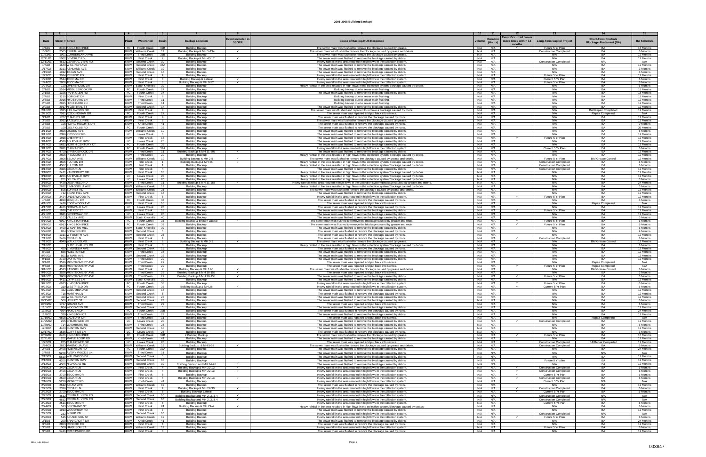|                            |                                                       | $\overline{4}$                         |                                                                                         |                                                                            |                              |                                                                                                                                                                                                                         | 10                |                   |                                |                                                                |                                        | 15                                 |
|----------------------------|-------------------------------------------------------|----------------------------------------|-----------------------------------------------------------------------------------------|----------------------------------------------------------------------------|------------------------------|-------------------------------------------------------------------------------------------------------------------------------------------------------------------------------------------------------------------------|-------------------|-------------------|--------------------------------|----------------------------------------------------------------|----------------------------------------|------------------------------------|
|                            |                                                       |                                        |                                                                                         |                                                                            | vent included i              |                                                                                                                                                                                                                         |                   | Duratior          | <b>Event Occurred two or</b>   |                                                                | <b>Short-Term Controls</b>             |                                    |
| Date                       | <b>Street # Street</b>                                |                                        | Watershed<br>asin                                                                       | <b>Backup Location</b>                                                     | <b>SSOER</b>                 | <b>Cause of Backup/KUB Respons</b>                                                                                                                                                                                      | /olum∈            | (Hours)           | more times within 12<br>months | <b>Long-Term Capital Project</b>                               | <b>Blockage Abatement (BA)</b>         | <b>BA Schedule</b>                 |
| 4/3/01                     | 8401 KINGSTON PIKE                                    |                                        | FC Fourth Creek   32B                                                                   | <b>Building Backup</b>                                                     |                              | The sewer main was flushed to remove the blockage caused by grease                                                                                                                                                      | N/A               | N/A               |                                | Future 5 Yr Plan                                               | BA                                     | 18 Months                          |
| 10/9/01<br>11/23/01        | 2565 E FIFTH AVE<br>1901 CUMBERLAND AVI               | <b>KUW</b>                             | KUW   Williams Creek<br>19<br><b>Third Creek</b><br>35B                                 | Building Backup & MH 5-134<br><b>Building Backup</b>                       | $\checkmark$                 | The sewer main was flushed to remove the blockage caused by grease and debi<br>The sewer main was flushed to remove the blockage caused by grease                                                                       | N/A<br>N/A        | N/A<br>N/A        |                                | <b>Construction Completed</b><br>N/A                           | BA<br>BA                               | 6 Months<br>12 Months              |
| 12/11/01                   | 5002 BEVERLY RD                                       | <b>KUW</b>                             | <b>First Creek</b><br>$\overline{2}$                                                    | Building Backup & MH 43-17                                                 | $\checkmark$                 | The sewer main was flushed to remove the blockage caused by debris                                                                                                                                                      | N/A               | N/A               |                                | N/A                                                            | BA                                     | 12 Months                          |
| 12/11/01<br>1/7/02         | 4612 CENTRAL VIEW RD<br>1640 W CLINCH AVE             | <b>KUW</b><br><b>KUW</b>               | Second Creek<br>10<br>35A<br>Second Creek                                               | Building Backup<br><b>Building Backup</b>                                  |                              | Heavy rainfall in the area resulted in high flows in the collection system.<br>The sewer main was flushed to remove the blockage caused by debris.                                                                      | N/A<br>N/A        | N/A<br>N/A        |                                | <b>Construction Completed</b><br>N/A                           | N/A<br>BA                              | N/A<br>12 Months                   |
| 1/17/02                    | 3311 ASHLAND AVE                                      |                                        | <b>KUW</b> Williams Creek<br>19                                                         | <b>Building Backup</b>                                                     |                              | The sewer main was flushed to remove the blockage caused by debris.                                                                                                                                                     | N/A               | N/A               |                                | N/A                                                            | BA                                     | 3 Months                           |
| 1/19/02<br>1/23/02         | 1012 TEXAS AVE<br>3014 RENNOC RD                      | <b>KUW</b><br><b>KUW</b>               | Second Creek<br>15<br><b>First Creek</b><br>4                                           | <b>Building Backup</b><br><b>Building Backup</b>                           |                              | The sewer main was flushed to remove the blockage caused by debris.<br>Heavy rainfall in the area resulted in high flows in the collection system.                                                                      | N/A<br>N/A        | N/A<br>N/A        |                                | N/A<br>Future 5 Yr Plan                                        | <b>RA</b><br><b>BA</b>                 | 3 Months<br>12 Months              |
| 1/23/02                    | 2514 TECOMA DR                                        | <b>KUW</b>                             | <b>First Creek</b><br>8                                                                 | Building Backup & Latera                                                   | $\checkmark$                 | Heavy rainfall in the area resulted in high flows in the collection system.                                                                                                                                             | N/A               | N/A               |                                | Current 5 Yr Plan                                              | BA                                     | 6 Months                           |
| 1/24/02<br>1/24/02         | 2806 TECOMA DR<br>120 OVERBROOK DR                    | KUW I<br><b>KUW</b>                    | <b>First Creek</b><br>8<br>South Knoxville<br>39                                        | Building Backup & MH 9-52<br><b>Building Backup</b>                        | $\checkmark$                 | Heavy rainfall in the area resulted in high flows in the collection system.<br>Heavy rainfall in the area resulted in high flows in the collection system/Blockage caused by debris.                                    | N/A<br>N/A        | N/A<br>N/A        |                                | Future 5 Yr Plan<br>N/A                                        | <b>BA</b><br><b>BA</b>                 | 6 Months<br>6 Months               |
| 2/1/02                     | 5514 MIDDLEBROOK PK                                   |                                        | FC Fourth Creek<br>27                                                                   | <b>Building Backup</b>                                                     |                              | Building backup due to sewer main flushing.                                                                                                                                                                             | N/A               | N/A               |                                | N/A                                                            | BA                                     | 18 Months                          |
| 2/1/02<br>2/4/02           | 1325 PARK GLEN RD<br>3215 BORIGHT DR                  | <b>KUW</b>                             | FC   Fourth Creek<br>37 I<br><b>First Creek</b><br>8                                    | <b>Building Backup</b><br><b>Building Backup</b>                           |                              | The sewer main was flushed to remove the blockage caused by debris.<br>Building backup due to sewer main flushing.                                                                                                      | N/A<br>N/A        | N/A<br>N/A        |                                | N/A<br>N/A                                                     | BA<br><b>RA</b>                        | 18 Months<br>12 Months             |
| 2/5/02                     | 2016 HYDE PARK LN                                     | <b>KUW</b>                             | <b>Third Creek</b><br>11                                                                | <b>Building Backup</b>                                                     |                              | Building backup due to sewer main flushing                                                                                                                                                                              | N/A               | N/A               |                                | N/A                                                            | BA                                     | 12 Months                          |
| 2/5/02<br>2/9/02           | 2025 HYDE PARK LN<br>2917 N CENTRAL S                 | <b>KUW</b><br><b>KUW</b>               | <b>Third Creek</b><br>11<br>Second Creek<br>14                                          | <b>Building Backup</b><br><b>Building Backup</b>                           |                              | Building backup due to sewer main flushing.<br>The sewer main was flushed to remove the blockage caused by debris.                                                                                                      | N/A<br>N/A        | N/A<br>N/A        |                                | N/A<br>N/A                                                     | <b>BA</b>                              | 12 Months<br>12 Months             |
| 2/16/02                    | 1325 FIELDWOOD DR                                     | <b>KUW</b>                             | <b>First Creek</b><br>4                                                                 | <b>Building Backup</b>                                                     |                              | The sewer main was flushed and repaired to remove a blockage caused by roots                                                                                                                                            | N/A               | N/A               |                                | N/A                                                            | <b>BA/ Repair Completed</b>            | 12 Months                          |
| 2/23/02<br>3/1/02          | 7011 ROCKINGHAM DI<br>1707 CHARLES DR                 | FC  <br>KUW I                          | Fourth Creek<br>27<br><b>First Creek</b><br>4                                           | <b>Building Backup</b>                                                     |                              | The sewer main was repaired and put back into service.<br>The sewer main was flushed to remove the blockage caused by roots.                                                                                            | N/A<br>N/A        | N/A<br>N/A        |                                | N/A<br>N/A                                                     | Repair Completed<br>RA                 | N/A<br>12 Months                   |
| 3/6/02                     | 3012 TAZEWELL PIKE                                    | <b>KUW</b>                             | <b>First Creek</b><br>8                                                                 | Building Backup<br><b>Building Backup</b>                                  |                              | The sewer main was flushed to remove the blockage caused by grease.                                                                                                                                                     | N/A               | N/A               |                                | N/A                                                            | <b>BA</b>                              | 12 Months                          |
| 3/7/02                     | 106 ROYAL HEIGHTS DR                                  | <b>KUW</b>                             | Knob Creek<br>41                                                                        | <b>Building Backup</b>                                                     |                              | The sewer main was flushed to remove the blockage caused by roots.                                                                                                                                                      | N/A<br>N/A        | N/A<br>N/A        |                                | N/A<br>N/A                                                     | BA<br><b>BA</b>                        | 9 Months                           |
| 3/9/02<br>3/11/02          | 109 GOLF CLUB RD<br>2606 LINDEN AVE                   |                                        | FC Fourth Creek<br>33<br>KUW   Williams Creek<br>19                                     | <b>Building Backup</b><br><b>Building Backup</b>                           |                              | The sewer main was flushed to remove the blockage caused by roots.<br>The sewer main was flushed to remove the blockage caused by debris.                                                                               | N/A               | N/A               |                                | N/A                                                            | <b>RA</b>                              | 36 Months<br>6 Months              |
| 3/13/02                    | 2329 PROSSER RD                                       | LC                                     | Loves Creek<br>6                                                                        | <b>Building Backup</b>                                                     |                              | The sewer main was flushed to remove the blockage caused by debris.                                                                                                                                                     | N/A               | N/A               |                                | N/A                                                            | BA                                     | 12 Months                          |
| 3/14/02<br>3/14/02         | 1918 CHERRY S<br>4516 ASHEVILLE HWY                   | KUW I<br>LC                            | First Creek<br>18<br>Loves Creek<br>20                                                  | <b>Building Backup</b><br><b>Building Backup</b>                           |                              | The sewer main was flushed to remove the blockage caused by debris.<br>The sewer main was flushed to remove the blockage caused by debris.                                                                              | N/A<br>N/A        | N/A<br>N/A        | $\checkmark$                   | Future 5 Yr Plan<br>N/A                                        | <b>BA</b><br><b>RA</b>                 | 12 Months<br>12 Months             |
| 3/17/02                    | 5612 NORTH CENTURY CT                                 | FC                                     | Fourth Creek<br>33                                                                      | <b>Building Backup</b>                                                     |                              | The sewer main was flushed to remove the blockage caused by debris.                                                                                                                                                     | N/A               | N/A               |                                | N/A                                                            | BA                                     | 12 Months                          |
| 3/17/02<br>3/17/02         | 2621 CHUKAR RD<br>4700 SPRINGBROOK DR                 | <b>KUW</b>                             | FC Fourth Creek<br>32A<br><b>Third Creek</b><br>11 <sub>1</sub>                         | <b>Building Backup</b><br>Building Backup & MH 11-205                      | $\checkmark$                 | Heavy rainfall in the area resulted in high flows in the collection system.<br>The sewer main was flushed to remove the blockage caused by debris.                                                                      | N/A<br>N/A        | N/A<br>N/A        |                                | Current 5 Yr Plan<br>N/A                                       | <b>BA</b><br><b>RA</b>                 | 6 Months<br>12 Months              |
| 3/17/02                    | 2606 PIEDMONT ST                                      | <b>KUW</b>                             | Third Creek<br>22                                                                       | <b>Building Backup</b>                                                     |                              | Heavy rainfall in the area resulted in high flows in the collection system/Blockage caused by debris.                                                                                                                   | N/A               | N/A               |                                | N/A                                                            | <b>BA</b>                              | 12 Months                          |
| 3/17/02<br>3/18/02         | 2806 SELMA AV<br>4505 FULTON D                        | <b>KUW</b><br>KUW                      | Williams Creek<br>19<br><b>First Creek</b><br>$\sim$ 1                                  | Building Backup & MH 2-<br>Building Backup & MH 48                         | $\checkmark$<br>$\checkmark$ | The sewer main was flushed to remove the blockage caused by grease and debris.<br>Heavy rainfall in the area resulted in high flows in the collection system/Blockage caused by debris.                                 | N/A<br>N/A        | N/A<br>N/A        |                                | Future 5 Yr Plan<br><b>Construction Completed</b>              | <b>BA/ Grease Control</b><br><b>BA</b> | 12 Months<br>6 Months              |
| 3/18/02                    | 4507 FULTON DF                                        | <b>KUW</b>                             | <b>First Creek</b><br>1                                                                 | <b>Building Backup</b>                                                     |                              | Heavy rainfall in the area resulted in high flows in the collection system/Blockage caused by debris.                                                                                                                   | N/A               | N/A               |                                | <b>Construction Completed</b>                                  | <b>BA</b>                              | 6 Months                           |
| 3/18/02<br>3/18/02         | 2326 CEDAR LN<br>2411 KANTEBURY DI                    | <b>KUW</b><br><b>KUW</b>               | <b>First Creek</b><br>4<br><b>First Creek</b><br>18                                     | <b>Building Backup</b>                                                     |                              | The sewer main was flushed to remove the blockage caused by debris.<br>Heavy rainfall in the area resulted in high flows in the collection system/Blockage caused by debris                                             | N/A<br>N/A        | N/A<br>N/A        | $\checkmark$                   | <b>Construction Completed</b><br>N/A                           | BA<br>BA                               | 12 Months<br>12 Months             |
| 3/18/02                    | 4201 ASHEVILLE HWY                                    | LC                                     | Loves Creek<br>20                                                                       | <b>Building Backup</b><br><b>Building Backup</b>                           |                              | Heavy rainfall in the area resulted in high flows in the collection system/Blockage caused by debris                                                                                                                    | N/A               | N/A               |                                | N/A                                                            | BA                                     | 12 Months                          |
| 3/18/02                    | 201 DELTA RD                                          | LC                                     | 20<br>Loves Creek                                                                       | <b>Building Backup</b>                                                     | $\checkmark$                 | Heavy rainfall in the area resulted in high flows in the collection system/Blockage caused by debris                                                                                                                    | N/A               | N/A               |                                | N/A                                                            | BA                                     | 3 Months                           |
| 3/18/02<br>3/18/02         | 4428 DEERFIELD RD<br>2812 E MAGNOLIA AV               | KUW I                                  | <b>Third Creek</b><br>11<br>KUW Williams Creek<br>19                                    | Building Backup & MH 11-158<br><b>Building Backup</b>                      |                              | Heavy rainfall in the area resulted in high flows in the collection system/Blockage caused by grease and debri<br>Heavy rainfall in the area resulted in high flows in the collection system/Blockage caused by debris  | N/A<br>N/A        | N/A<br>N/A        |                                | N/A<br>N/A                                                     | BA<br>BA                               | 24 Months<br>3 Months              |
| 3/19/02                    | 508 SURREY RD                                         |                                        | KUW   Williams Creek<br>25                                                              | <b>Building Backup</b>                                                     |                              | The sewer main was flushed to remove the blockage caused by grease and debr                                                                                                                                             | N/A               | N/A               |                                | N/A                                                            | BA                                     | 12 Months                          |
| 3/26/02<br>3/29/02         | 712 E OAK HILL AVI<br>2424 UNDERWOOD F                |                                        | KUW Second Creek<br>15<br>KUW First Creek<br>8                                          | <b>Building Backup</b><br>Building Backup                                  |                              | The sewer main was flushed to remove the blockage caused by debris<br>Heavy rainfall in the area resulted in high flows in the collection system                                                                        | N/A<br>N/A        | N/A<br>N/A        | $\checkmark$                   | N/A<br>Future 5 Yr Plan                                        | BA<br>BA                               | 12 Months<br>12 Months             |
| 4/3/02                     | 4920 JONQUIL DR                                       |                                        | FC   Fourth Creek<br>33                                                                 | Building Backup                                                            |                              | The sewer main was flushed to remove the blockage caused by roots.                                                                                                                                                      | N/A               | N/A               |                                | N/A                                                            | <b>BA</b>                              | 3 Months                           |
| 4/16/02<br>4/17/02         | 1416 EDGEWOOD AVI<br>4401 NORWALK AVE                 | <b>KUW</b><br>LC                       | <b>First Creek</b><br>16<br>Loves Creek<br>20 l                                         | <b>Building Backup</b><br><b>Building Backup</b>                           |                              | The sewer main was repaired and put back into service.<br>The sewer main was flushed to remove the blockage caused by roots.                                                                                            | N/A<br>N/A        | N/A<br>N/A        |                                | N/A<br>N/A                                                     | Repair Completed<br><b>BA</b>          | N/A<br>12 Months                   |
| 4/18/02                    | 1918 CHERRY ST                                        | <b>KUW</b>                             | <b>First Creek</b><br>18                                                                | <b>Building Backup</b>                                                     |                              | The sewer main was flushed to remove the blockage caused by debris.                                                                                                                                                     | N/A               | N/A               | $\checkmark$                   | Future 5 Yr Plan                                               | <b>BA</b>                              | 12 Months                          |
| 4/25/02<br>5/4/02          | 3841 SPEEDWAY CR<br>1103 VALLEY AVE                   | LC  <br>KUW I                          | Loves Creek<br>20<br>South Knoxville<br>40                                              | <b>Building Backup</b>                                                     |                              | The sewer main was flushed to remove the blockage caused by debris.                                                                                                                                                     | N/A<br>N/A        | N/A<br>N/A        |                                | N/A<br>N/A                                                     | BA<br><b>BA</b>                        | 12 Months<br>3 Months              |
| 5/10/02                    | 6907 KINGSTON PIKE                                    |                                        | FC   Fourth Creek<br>33                                                                 | <b>Building Backup</b><br>Building Backup & Broken Lateral                 |                              | The sewer main was flushed to remove the blockage caused by debris.<br>The sewer main was flushed to remove the blockage caused by grease and roots                                                                     | N/A               | N/A               | $\checkmark$                   | Future 5 Yr Plan                                               | <b>RA</b>                              | 6 Months                           |
| 5/10/02                    | 6913 KINGSTON PIKE<br>4400 W MARTIN MILI              | FC                                     | Fourth Creek<br>33                                                                      | <b>Building Backup</b>                                                     |                              | The sewer main was flushed to remove the blockage caused by grease and roots                                                                                                                                            | N/A               | N/A<br>N/A        | $\checkmark$                   | Future 5 Yr Plan<br>N/A                                        | BA<br>BA                               | 6 Months<br>6 Months               |
| 5/12/02<br>5/26/02         | 904 SNOWDEN DR                                        | <b>KUW</b>                             | KUW South Knoxville<br>39<br>Second Creek<br>5                                          | Building Backup<br><b>Building Backup</b>                                  |                              | The sewer main was flushed to remove the blockage caused by debris.<br>The sewer main was flushed to remove the blockage caused by roots.                                                                               | N/A<br>N/A        | N/A               |                                | N/A                                                            | <b>RA</b>                              | 9 Months                           |
| 6/18/02                    | 1311 W FOURTH AVE                                     | <b>KUW</b>                             | Second Creek<br>23                                                                      | <b>Building Backup</b>                                                     |                              | The sewer main was flushed to remove the blockage caused by roots.                                                                                                                                                      | N/A               | N/A               |                                | N/A                                                            | <b>BA</b><br><b>BA</b>                 | 12 Months                          |
| 7/13/02<br>7/13/02         | 2406 CEDAR LN<br>4040 WALKER BLVD                     | <b>KUW</b><br><b>KUW</b>               | First Creek<br>4<br><b>First Creek</b><br>8                                             | <b>Building Backup</b><br>Building Backup & MH 3-1                         |                              | The sewer main was flushed to remove the blockage caused by roots.<br>The sewer main was flushed to remove the blockage caused by grease.                                                                               | N/A<br>N/A        | N/A<br>N/A        | $\checkmark$                   | <b>Construction Completed</b><br>N/A                           | <b>BA/ Grease Control</b>              | 6 Months<br>12 Months              |
| 7/18/02                    | <b>DUTCH VALLEY RD</b>                                | <b>KUW</b>                             | <b>First Creek</b><br>8                                                                 | <b>Building Backup</b>                                                     |                              | Heavy rainfall in the area resulted in high flows in the collection system/Blockage caused by debris.                                                                                                                   | N/A               | N/A               |                                | N/A                                                            | BA                                     | 6 Months                           |
| 7/18/02<br>8/2/02          | 429 E MORELIA AVE<br>558 NOELTON DR                   | <b>KUW</b><br>KUW I                    | Second Creek<br>15<br>Third Creek<br>38 l                                               | <b>Building Backup</b><br><b>Building Backup</b>                           |                              | The sewer main was flushed to remove the blockage caused by roots.<br>The sewer main was flushed to remove the blockage caused by debris.                                                                               | N/A<br>N/A        | N/A<br>N/A        |                                | N/A<br>N/A                                                     | BA<br><b>BA</b>                        | 12 Months<br>12 Months             |
| 8/20/02                    | 501 W MAIN AVE                                        | <b>KUW</b>                             | Second Creek<br>23                                                                      | <b>Building Backup</b>                                                     |                              | The sewer main was flushed to remove the blockage caused by debris.                                                                                                                                                     | N/A               | N/A               |                                | N/A                                                            | <b>BA</b>                              | 12 Months                          |
| 9/1/02<br>9/4/02           | 2720 DAYTON ST<br>3526 MONTGOMERY AVE                 | <b>KUW</b><br>KUW I                    | <b>Third Creek</b><br>22<br><b>Third Creek</b><br>22                                    | <b>Building Backup</b><br><b>Building Backup</b>                           |                              | The sewer main was flushed to remove the blockage caused by debris.<br>The sewer main was repaired and put back into service.                                                                                           | N/A<br>N/A        | N/A<br>N/A        |                                | N/A<br>N/A                                                     | <b>BA</b><br>Repair Completed          | 12 Months<br>N/A                   |
| 9/5/02                     | 3608 MONTGOMERY AVE                                   | <b>KUW</b>                             | Third Creek<br>22                                                                       | <b>Building Backup</b>                                                     |                              | The sewer main was repaired and put back into service.                                                                                                                                                                  | N/A               | N/A               | $\checkmark$                   | Future 5 Yr Plan                                               | Repair Completed                       | N/A                                |
| 9/10/02<br>9/10/02         | 4513 FAWNIE LN<br>3526 MONTGOMERY AVE                 | <b>KUW</b><br>KUW I                    | <b>First Creek</b><br>7<br>Third Creek<br>22                                            | Building Backup & MH 17-1<br>Building Backup & MH 18-155                   | $\checkmark$<br>$\checkmark$ | The sewer main was flushed to remove the blockage caused by grease and debris<br>The sewer main was repaired and put back into service.                                                                                 | N/A<br>N/A        | N/A<br>N/A        |                                | N/A<br>N/A                                                     | <b>BA/ Grease Control</b><br><b>BA</b> | 6 Months<br>3 Months               |
| 9/10/02                    | 3608 MONTGOMERY AVE                                   | KUW I                                  | <b>Third Creek</b><br>22                                                                | Building Backup & MH 18-155                                                | $\checkmark$                 | The sewer main was flushed to remove the blockage caused by debris.                                                                                                                                                     | N/A               | N/A               | $\checkmark$                   | Future 5 Yr Plan                                               | RA                                     | 3 Months                           |
| 9/16/02<br>9/22/02         | 4411 CYPRESS LN<br>6913 KINGSTON PIKE                 | <b>KUW</b>                             | South Knoxville<br>39<br>FC   Fourth Creek<br>33                                        | Building Backup<br><b>Building Backup</b>                                  |                              | The sewer main was flushed to remove the blockage caused by debris.<br>Heavy rainfall in the area resulted in high flows in the collection system.                                                                      | N/A<br>N/A        | N/A<br>N/A        | $\checkmark$                   | N/A<br>Future 5 Yr Plan                                        | <b>BA</b><br><b>BA</b>                 | 12 Months<br>6 Months              |
| 9/22/02                    | 310 WESTFIELD DR                                      |                                        | FC Fourth Creek<br>33 I                                                                 | Building Backup & MH 28                                                    |                              | Heavy rainfall in the area resulted in high flows in the collection system.                                                                                                                                             | N/A               | N/A               |                                | Current 5 Yr Plan                                              | <b>RA</b>                              | 6 Months                           |
| 9/22/02<br>9/23/02         | 432 ICOLUMBIA AVI<br>718 MARTHA LN                    |                                        | KUW Second Creek   15<br>KUW Second Creek   5                                           | Building Backup<br><b>Building Backup</b>                                  |                              | The sewer main was flushed to remove the blockage caused by debris.<br>The sewer main was flushed to remove the blockage caused by roots.                                                                               | N/A<br>N/A        | N/A<br>N/A        |                                | N/A<br>N/A                                                     | BA<br>BA                               | 12 Months<br>12 Months             |
| 10/7/02                    | 420 W CLINCH AVE                                      |                                        | KUW   Second Creek<br>23                                                                | Building Backup                                                            |                              | The sewer main was flushed to remove the blockage caused by debris.                                                                                                                                                     | N/A               | N/A               |                                | N/A                                                            | BA                                     | 12 Months                          |
| 10/15/02                   | 500 HENLEY ST                                         |                                        | KUW Second Creek<br>23                                                                  | <b>Building Backup</b>                                                     |                              | The sewer main was flushed to remove the blockage caused by debris.<br>The sewer main was repaired and put back into service.                                                                                           | N/A               | N/A               |                                | N/A<br>N/A                                                     | BA<br>BA                               | 6 Months                           |
| 10/23/02<br>11/1/02        | 1727 GRAND AVE<br>904 WOODVIEW DR                     |                                        | KUW Third Creek<br>29<br>KUW Second Creek<br>- 5 - 1                                    | <b>Building Backup</b><br>Building Backup                                  |                              | The sewer main was flushed to remove the blockage caused by debris.                                                                                                                                                     | N/A<br>N/A I      | N/A<br>N/A        |                                | N/A                                                            | BA                                     | 6 Months<br>12 Months              |
| 11/8/02<br>11/8/02         | 7924 HAYDEN DR<br>330 KINGSTON CT                     |                                        | FC Fourth Creek<br>32B<br>KUW Third Creek<br>29                                         | <b>Building Backup</b><br><b>Building Backup</b>                           |                              | The sewer main was flushed to remove the blockage caused by roots.                                                                                                                                                      | N/A<br>N/A        | N/A<br>N/A        |                                | N/A<br>N/A                                                     | BA<br>BA                               | 24 Months<br>12 Months             |
| 11/10/02                   | 6508 CADBURY DR                                       |                                        | KUW Third Creek<br>11                                                                   | Building Backup                                                            |                              | The sewer main was flushed to remove the blockage caused by debris.<br>The sewer main was repaired and put back into service.                                                                                           | N/A               | N/A               |                                | N/A                                                            | Repair Completed                       | N/A                                |
| 11/25/02                   | 205 CHILHOWEE DF<br>714 WASHBURN RD                   | <b>KUW</b>                             | LC Loves Creek<br>20                                                                    | <b>Building Backup</b>                                                     |                              | The sewer main was flushed to remove the blockage caused by debris.                                                                                                                                                     | N/A<br>N/A        | N/A               | $\checkmark$                   | <b>Construction Completed</b><br>N/A                           | BA<br>BA                               | 12 Months                          |
| 11/29/02<br>12/3/02        | 4403 CLINTON HWY                                      |                                        | <b>Third Creek</b><br>28<br>KUW Second Creek<br>10                                      | <b>Building Backup</b><br>Building Backup                                  |                              | The sewer main was flushed to remove the blockage caused by debris.<br>The sewer main was flushed to remove the blockage caused by debris.                                                                              | N/A I             | N/A<br>N/A        |                                | N/A                                                            | <b>BA</b>                              | 6 Months<br>12 Months              |
| 12/17/02<br>12/26/02       | 1536 CLIFFSIDE LN<br>8401 KINGSTON PIKE               |                                        | LC   Loves Creek<br>26 l                                                                | Building Backup                                                            |                              | The sewer main was flushed to remove the blockage caused by roots.                                                                                                                                                      | N/A<br>N/A        | N/A<br>N/A        | $\checkmark$                   | N/A<br>Future 5 Yr Plan                                        | <b>BA</b><br><b>RA</b>                 | 3 Months<br>18 Months              |
| 12/31/02                   | 202 MAPLE LOOP RD                                     | <b>KUW</b>                             | FC   Fourth Creek<br>32B<br>Knob Creek<br>41                                            | 2 Building Backup<br>Building Backup                                       |                              | The sewer main was flushed to remove the blockage caused by grease.<br>The sewer main was flushed to remove the blockage caused by debris.                                                                              | N/A               | N/A               |                                | N/A                                                            | <b>BA</b>                              | 12 Months                          |
| 1/22/03                    | 205 CHILHOWEE DR                                      |                                        | LC Loves Creek<br>20                                                                    | Building Backup                                                            | $\checkmark$                 | The sewer main was repaired and put back into service.                                                                                                                                                                  | N/A               | N/A               | $\checkmark$                   | <b>Construction Completed</b>                                  | <b>BA/Repair Completed</b>             | 12 Months                          |
| 1/24/03<br>2/4/03          | 2833 MAGNOLIA AVE<br>2408 ROBINSON RD                 |                                        | KUW Williams Creek<br>19<br>FC Fourth Creek<br>32A                                      | Building Backup & MH 5-52<br><b>Building Backup</b>                        |                              | The sewer main was flushed to remove the blockage caused by grease and debris<br>The sewer main was flushed to remove the blockage caused by debris.                                                                    | N/A<br>N/A        | N/A<br>N/A        |                                | <b>Construction Completed</b><br>N/A                           | BA<br>BA                               | 6 Months<br>24 Months              |
| 2/4/03                     | 5278 AVERY WOODS LN                                   | <b>KUW</b>                             | Third Creek<br>11                                                                       | <b>Building Backup</b>                                                     |                              | The sewer main was flushed to remove the blockage caused by debris.                                                                                                                                                     | N/A               | N/A               |                                | N/A                                                            | N/A                                    | N/A                                |
| 2/12/03<br>2/12/03         | 5610 WALLWOOD DR                                      | <b>KUW</b><br><b>KUW</b>               | Second Creek<br>5 <sub>5</sub><br>Second Creek<br>10                                    | <b>Building Backup</b>                                                     |                              | The sewer main was flushed to remove the blockage caused by debris.                                                                                                                                                     | N/A               | N/A               |                                | N/A                                                            | BA                                     | 12 Months<br>12 Months             |
| 2/12/03                    | 4200 CLINTON HWY<br>4500 NICHOLAS RD                  | <b>KUW</b>                             | Second Creek<br>10                                                                      | <b>Building Backup</b><br>Building Backup and MH 14-28                     | $\checkmark$                 | The sewer main was flushed to remove the blockage caused by debris.<br>The sewer main was flushed to remove the blockage caused by debris.                                                                              | N/A<br>N/A        | N/A<br>N/A        |                                | Future 5 Yr plan<br>N/A                                        | BA<br>BA                               | 12 Months                          |
| 2/15/03                    | 2404 CEDAR LN                                         | <b>KUW</b>                             | <b>First Creek</b><br>4                                                                 | Building Backup & MH 22-13                                                 | $\checkmark$                 | Heavy rainfall in the area resulted in high flows in the collection system.                                                                                                                                             | N/A               | N/A               |                                | <b>Construction Completed</b>                                  | BA                                     | 6 Months                           |
| 2/15/03<br>2/15/03         | 2406 CEDAR LN<br>2700 TECOMA DR                       | <b>KUW</b><br><b>KUW</b>               | First Creek<br>$\overline{4}$<br><b>First Creek</b><br>8                                | Building Backup & MH 22-13<br><b>Building Backup</b>                       | $\checkmark$                 | Heavy rainfall in the area resulted in high flows in the collection system.<br>Heavy rainfall in the area resulted in high flows in the collection system.                                                              | N/A<br>N/A        | N/A<br>N/A        | $\checkmark$<br>$\checkmark$   | <b>Construction Completed</b><br>Current 5 Yr Plan             | BA<br>BA                               | 6 Months<br>6 Months               |
| 2/16/03                    | 2500 CEDAR LN                                         | <b>KUW</b>                             | <b>First Creek</b><br>4 1                                                               | Building Backup & MH 22-13                                                 | $\checkmark$                 | Heavy rainfall in the area resulted in high flows in the collection system.                                                                                                                                             | N/A               | N/A               | $\checkmark$                   | <b>Construction Completed</b>                                  | <b>BA</b>                              | 6 Months                           |
| 2/16/03<br>2/20/03         | 5230 MCNUTT RD<br>2612 SELMA AVE                      | <b>KUW</b><br><b>KUW</b>               | Knob Creek<br>41<br><b>Williams Creek</b><br>19                                         | <b>Building Backup</b><br><b>Building Backup</b>                           |                              | Heavy rainfall in the area resulted in high flows in the collection system.<br>The sewer main was flushed to remove the blockage caused by roots.                                                                       | N/A<br>N/A        | N/A<br>N/A        |                                | Current 5 Yr Plan<br>N/A                                       | N/A<br>BA                              | N/A<br>12 Months                   |
| 2/22/03                    | 2326 CEDAR LN                                         | <b>KUW</b>                             | First Creek<br>4 1                                                                      | Building Backup & MH 22-30                                                 | $\checkmark$                 | Heavy rainfall in the area resulted in high flows in the collection system.                                                                                                                                             | N/A               | N/A               |                                | <b>Construction Completed</b>                                  | BA                                     | 6 Months                           |
| 2/22/03<br>2/22/03         | 2700 TECOMA DR<br>4612 CENTRAL VIEW RD                | <b>KUW</b><br><b>KUW</b>               | First Creek<br>8                                                                        | Building Backup/ Lateral                                                   | $\checkmark$                 | Heavy rainfall in the area resulted in high flows in the collection system.                                                                                                                                             | N/A               | N/A               | $\checkmark$                   | Current 5 Yr Plan                                              | BA                                     | 6 Months                           |
| 2/22/03                    | 4612 CENTRAL VIEW RD                                  | <b>KUW</b>                             | Second Creek<br>$10$  <br>Second Creek<br>10                                            | Building Backup and MH 2, 3, & 4<br>Building Backup and MH 2, 3, & 4       | $\checkmark$                 | Heavy rainfall in the area resulted in high flows in the collection system.<br>Heavy rainfall in the area resulted in high flows in the collection system.                                                              | N/A<br>N/A        | N/A<br>N/A        |                                | <b>Construction Completed</b><br><b>Construction Completed</b> | N/A<br>N/A                             | N/A<br>N/A                         |
| 2/23/03                    | 2511 TECOMA DR                                        | <b>KUW</b>                             | <b>First Creek</b><br>8                                                                 | Building Backup                                                            |                              | Heavy rainfall in the area resulted in high flows in the collection system.                                                                                                                                             | N/A               | N/A               |                                | Current 5 Yr Plan                                              | BA                                     | 6 Months                           |
| 2/24/03<br>2/26/03         | 523 BERTRAND ST<br>1913 WOODROW RD                    | KUW I<br><b>KUW</b>                    | <b>First Creek</b><br>24<br><b>First Creek</b><br>$\overline{7}$                        | Building Backup & MH 29-4<br><b>Building Backup</b>                        | $\checkmark$                 | Heavy rainfall in the area resulted in high flows in the collection system/Blockage caused by swags.<br>The sewer main was flushed to remove the blockage caused by debris.                                             | N/A<br>N/A        | N/A<br>N/A        |                                | N/A<br>N/A                                                     | BA<br>BA                               | 6 Months<br>12 Months              |
| 2/27/03                    | 212 INSKIP RD                                         | <b>KUW</b>                             | 10<br>Second Creek                                                                      | <b>Building Backup</b>                                                     |                              | Heavy rainfall in the area resulted in high flows in the collection system.                                                                                                                                             | N/A               | N/A               |                                | <b>Construction Completed</b>                                  | N/A                                    | N/A                                |
| 2/28/03                    |                                                       |                                        |                                                                                         | Building Backup                                                            |                              | Heavy rainfall in the area resulted in high flows in the collection system                                                                                                                                              | N/A               | N/A               | $\checkmark$                   | Future 5 Yr Plar                                               |                                        | 6 Months                           |
|                            | 515 S HARRISON ST                                     | <b>KUW</b>                             | 19<br>Williams Creek                                                                    |                                                                            |                              |                                                                                                                                                                                                                         |                   |                   |                                |                                                                | BA                                     |                                    |
| 3/1/03<br>3/3/03<br>3/3/03 | 200 BRANCROFF DR<br>2853 RENNOC RD<br>509 HARRISON ST | <b>KUW</b><br><b>KUW</b><br><b>KUW</b> | Knob Creek<br>41<br>$\overline{4}$<br><b>First Creek</b><br>19<br><b>Williams Creek</b> | <b>Building Backup</b><br><b>Building Backup</b><br><b>Building Backup</b> |                              | The sewer main was flushed to remove the blockage caused by debris.<br>The sewer main was flushed to remove the blockage caused by roots.<br>Heavy rainfall in the area resulted in high flows in the collection system | N/A<br>N/A<br>N/A | N/A<br>N/A<br>N/A |                                | N/A<br>N/A<br>Future 5 Yr Plan                                 | BA<br>BA<br>BA                         | 24 Months<br>12 Months<br>6 Months |